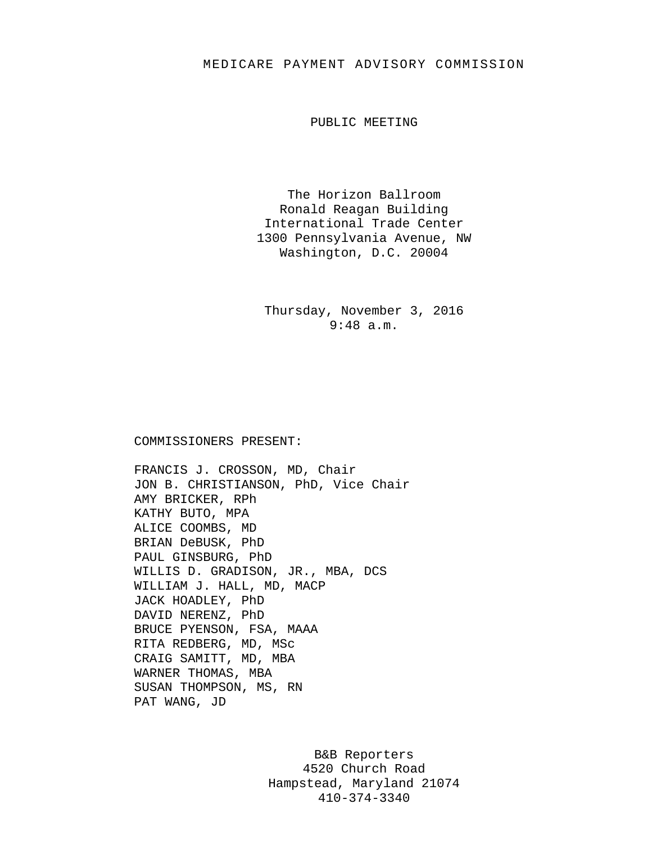## MEDICARE PAYMENT ADVISORY COMMISSION

PUBLIC MEETING

The Horizon Ballroom Ronald Reagan Building International Trade Center 1300 Pennsylvania Avenue, NW Washington, D.C. 20004

Thursday, November 3, 2016 9:48 a.m.

## COMMISSIONERS PRESENT:

FRANCIS J. CROSSON, MD, Chair JON B. CHRISTIANSON, PhD, Vice Chair AMY BRICKER, RPh KATHY BUTO, MPA ALICE COOMBS, MD BRIAN DeBUSK, PhD PAUL GINSBURG, PhD WILLIS D. GRADISON, JR., MBA, DCS WILLIAM J. HALL, MD, MACP JACK HOADLEY, PhD DAVID NERENZ, PhD BRUCE PYENSON, FSA, MAAA RITA REDBERG, MD, MSc CRAIG SAMITT, MD, MBA WARNER THOMAS, MBA SUSAN THOMPSON, MS, RN PAT WANG, JD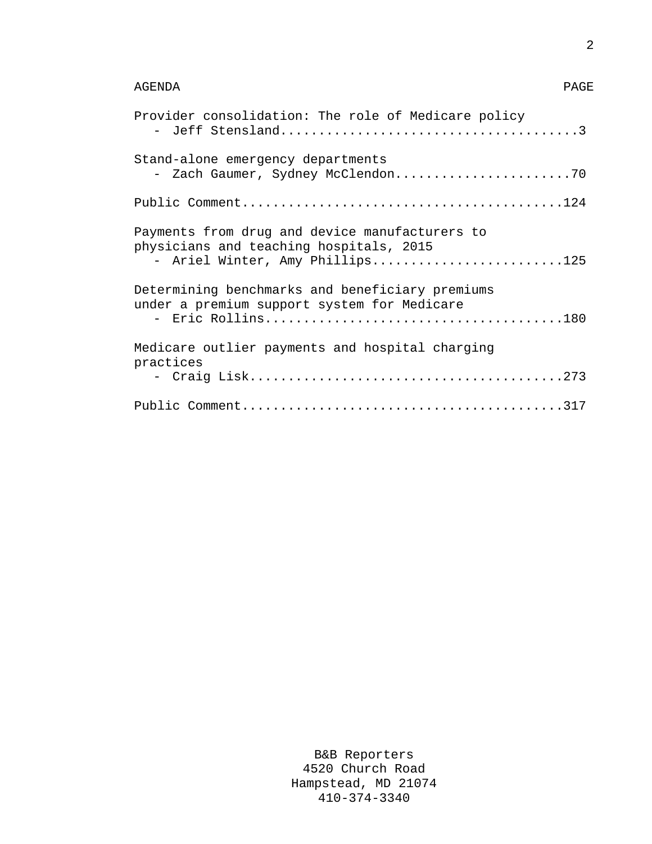## AGENDA PAGE

| Provider consolidation: The role of Medicare policy                                                                          |
|------------------------------------------------------------------------------------------------------------------------------|
| Stand-alone emergency departments                                                                                            |
|                                                                                                                              |
| Payments from drug and device manufacturers to<br>physicians and teaching hospitals, 2015<br>- Ariel Winter, Amy Phillips125 |
| Determining benchmarks and beneficiary premiums<br>under a premium support system for Medicare                               |
| Medicare outlier payments and hospital charging<br>practices                                                                 |
|                                                                                                                              |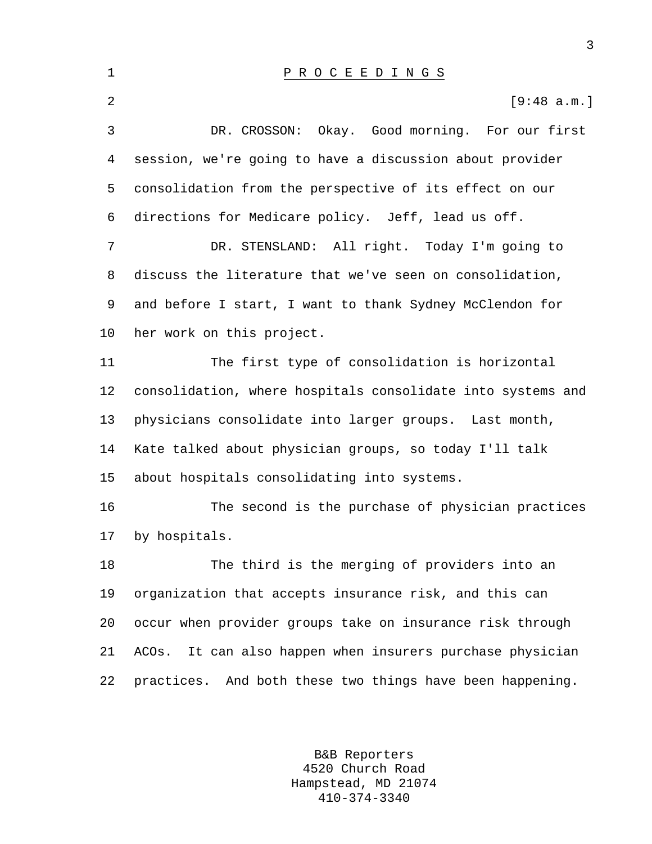1 P R O C E E D I N G S 2  $[9:48$  a.m.] 3 DR. CROSSON: Okay. Good morning. For our first 4 session, we're going to have a discussion about provider 5 consolidation from the perspective of its effect on our 6 directions for Medicare policy. Jeff, lead us off. 7 DR. STENSLAND: All right. Today I'm going to 8 discuss the literature that we've seen on consolidation, 9 and before I start, I want to thank Sydney McClendon for 10 her work on this project. 11 The first type of consolidation is horizontal 12 consolidation, where hospitals consolidate into systems and 13 physicians consolidate into larger groups. Last month, 14 Kate talked about physician groups, so today I'll talk 15 about hospitals consolidating into systems. 16 The second is the purchase of physician practices 17 by hospitals. 18 The third is the merging of providers into an 19 organization that accepts insurance risk, and this can 20 occur when provider groups take on insurance risk through 21 ACOs. It can also happen when insurers purchase physician 22 practices. And both these two things have been happening.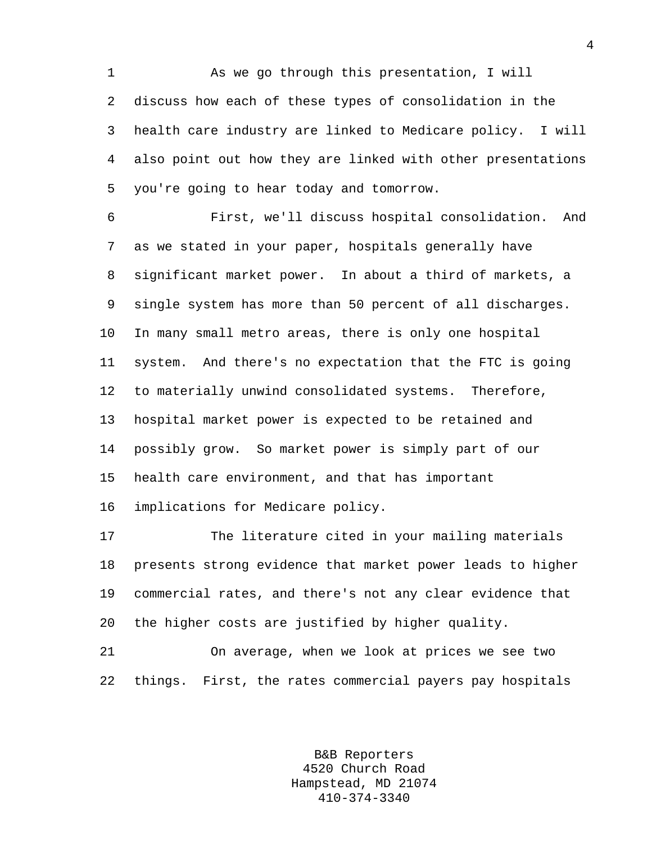1 As we go through this presentation, I will 2 discuss how each of these types of consolidation in the 3 health care industry are linked to Medicare policy. I will 4 also point out how they are linked with other presentations 5 you're going to hear today and tomorrow.

6 First, we'll discuss hospital consolidation. And 7 as we stated in your paper, hospitals generally have 8 significant market power. In about a third of markets, a 9 single system has more than 50 percent of all discharges. 10 In many small metro areas, there is only one hospital 11 system. And there's no expectation that the FTC is going 12 to materially unwind consolidated systems. Therefore, 13 hospital market power is expected to be retained and 14 possibly grow. So market power is simply part of our 15 health care environment, and that has important 16 implications for Medicare policy.

17 The literature cited in your mailing materials 18 presents strong evidence that market power leads to higher 19 commercial rates, and there's not any clear evidence that 20 the higher costs are justified by higher quality.

21 On average, when we look at prices we see two 22 things. First, the rates commercial payers pay hospitals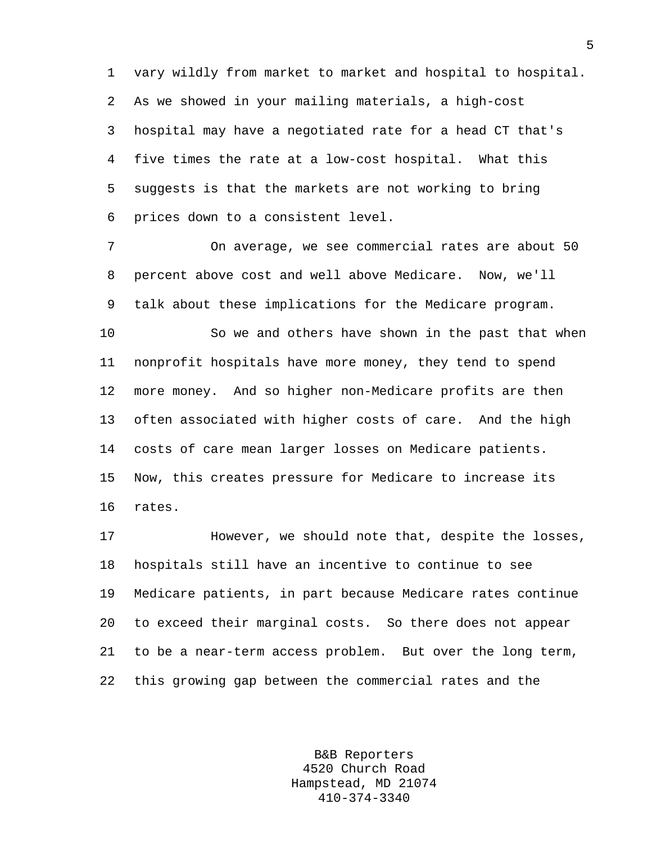1 vary wildly from market to market and hospital to hospital. 2 As we showed in your mailing materials, a high-cost 3 hospital may have a negotiated rate for a head CT that's 4 five times the rate at a low-cost hospital. What this 5 suggests is that the markets are not working to bring 6 prices down to a consistent level.

7 On average, we see commercial rates are about 50 8 percent above cost and well above Medicare. Now, we'll 9 talk about these implications for the Medicare program.

10 So we and others have shown in the past that when 11 nonprofit hospitals have more money, they tend to spend 12 more money. And so higher non-Medicare profits are then 13 often associated with higher costs of care. And the high 14 costs of care mean larger losses on Medicare patients. 15 Now, this creates pressure for Medicare to increase its 16 rates.

17 However, we should note that, despite the losses, 18 hospitals still have an incentive to continue to see 19 Medicare patients, in part because Medicare rates continue 20 to exceed their marginal costs. So there does not appear 21 to be a near-term access problem. But over the long term, 22 this growing gap between the commercial rates and the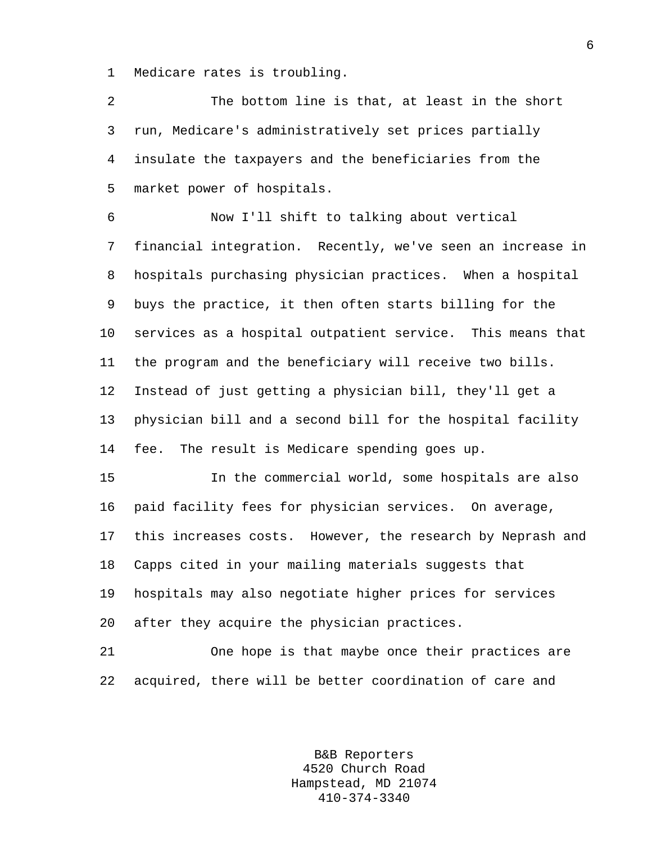1 Medicare rates is troubling.

2 The bottom line is that, at least in the short 3 run, Medicare's administratively set prices partially 4 insulate the taxpayers and the beneficiaries from the 5 market power of hospitals.

6 Now I'll shift to talking about vertical 7 financial integration. Recently, we've seen an increase in 8 hospitals purchasing physician practices. When a hospital 9 buys the practice, it then often starts billing for the 10 services as a hospital outpatient service. This means that 11 the program and the beneficiary will receive two bills. 12 Instead of just getting a physician bill, they'll get a 13 physician bill and a second bill for the hospital facility 14 fee. The result is Medicare spending goes up.

15 In the commercial world, some hospitals are also 16 paid facility fees for physician services. On average, 17 this increases costs. However, the research by Neprash and 18 Capps cited in your mailing materials suggests that 19 hospitals may also negotiate higher prices for services 20 after they acquire the physician practices.

21 One hope is that maybe once their practices are 22 acquired, there will be better coordination of care and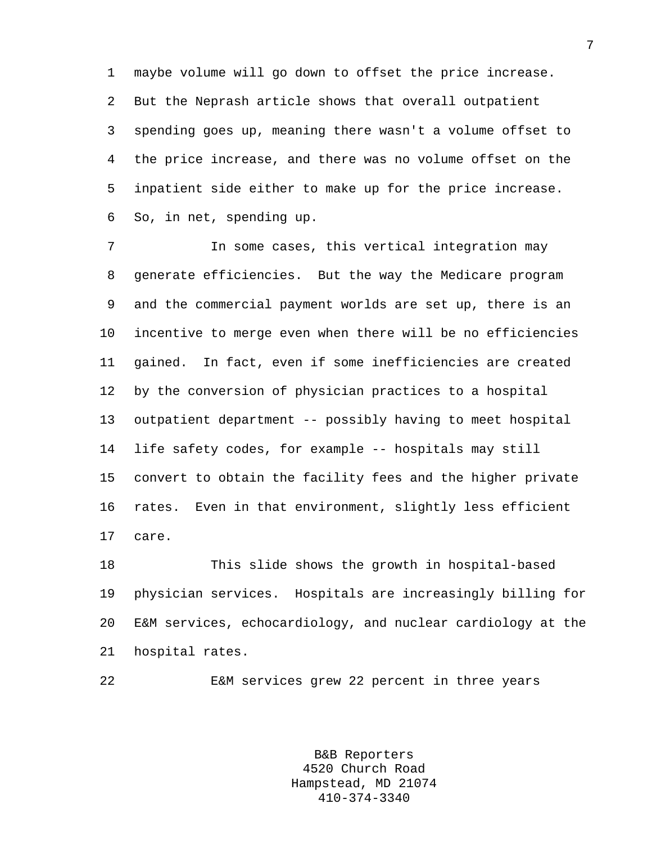1 maybe volume will go down to offset the price increase. 2 But the Neprash article shows that overall outpatient 3 spending goes up, meaning there wasn't a volume offset to 4 the price increase, and there was no volume offset on the 5 inpatient side either to make up for the price increase. 6 So, in net, spending up.

7 In some cases, this vertical integration may 8 generate efficiencies. But the way the Medicare program 9 and the commercial payment worlds are set up, there is an 10 incentive to merge even when there will be no efficiencies 11 gained. In fact, even if some inefficiencies are created 12 by the conversion of physician practices to a hospital 13 outpatient department -- possibly having to meet hospital 14 life safety codes, for example -- hospitals may still 15 convert to obtain the facility fees and the higher private 16 rates. Even in that environment, slightly less efficient 17 care.

18 This slide shows the growth in hospital-based 19 physician services. Hospitals are increasingly billing for 20 E&M services, echocardiology, and nuclear cardiology at the 21 hospital rates.

22 E&M services grew 22 percent in three years

B&B Reporters 4520 Church Road Hampstead, MD 21074 410-374-3340

7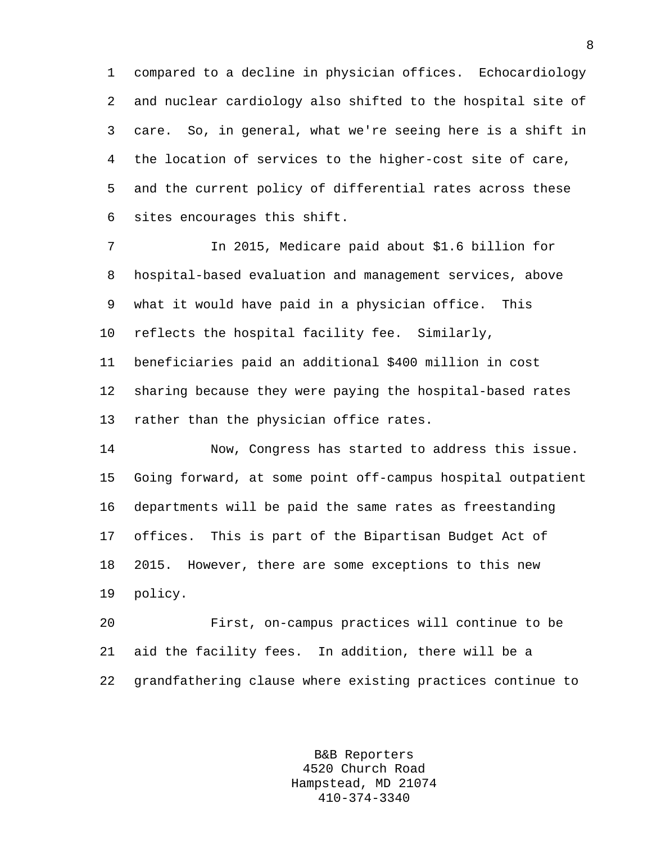1 compared to a decline in physician offices. Echocardiology 2 and nuclear cardiology also shifted to the hospital site of 3 care. So, in general, what we're seeing here is a shift in 4 the location of services to the higher-cost site of care, 5 and the current policy of differential rates across these 6 sites encourages this shift.

7 In 2015, Medicare paid about \$1.6 billion for 8 hospital-based evaluation and management services, above 9 what it would have paid in a physician office. This 10 reflects the hospital facility fee. Similarly, 11 beneficiaries paid an additional \$400 million in cost 12 sharing because they were paying the hospital-based rates 13 rather than the physician office rates.

14 Now, Congress has started to address this issue. 15 Going forward, at some point off-campus hospital outpatient 16 departments will be paid the same rates as freestanding 17 offices. This is part of the Bipartisan Budget Act of 18 2015. However, there are some exceptions to this new 19 policy.

20 First, on-campus practices will continue to be 21 aid the facility fees. In addition, there will be a 22 grandfathering clause where existing practices continue to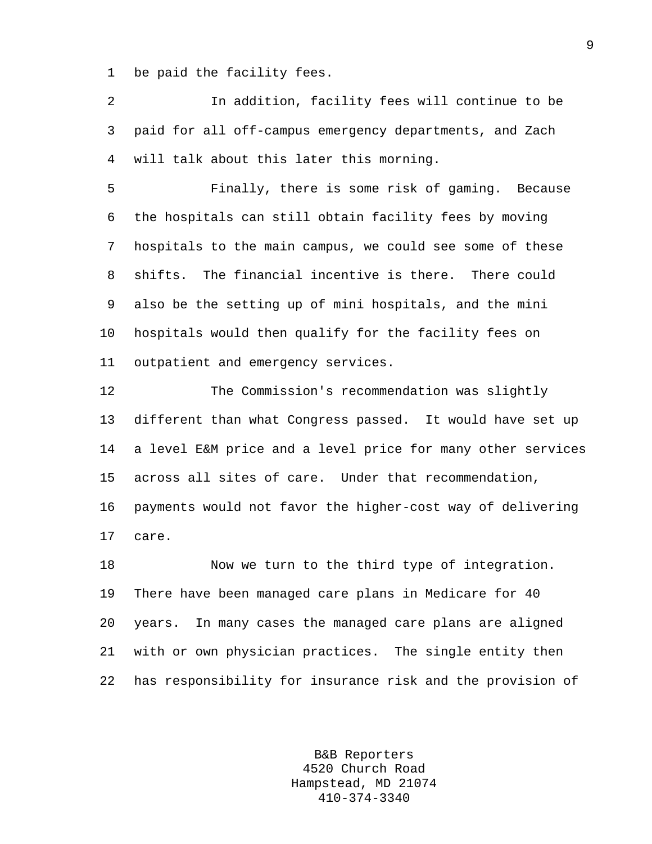1 be paid the facility fees.

2 In addition, facility fees will continue to be 3 paid for all off-campus emergency departments, and Zach 4 will talk about this later this morning.

5 Finally, there is some risk of gaming. Because 6 the hospitals can still obtain facility fees by moving 7 hospitals to the main campus, we could see some of these 8 shifts. The financial incentive is there. There could 9 also be the setting up of mini hospitals, and the mini 10 hospitals would then qualify for the facility fees on 11 outpatient and emergency services.

12 The Commission's recommendation was slightly 13 different than what Congress passed. It would have set up 14 a level E&M price and a level price for many other services 15 across all sites of care. Under that recommendation, 16 payments would not favor the higher-cost way of delivering 17 care.

18 Now we turn to the third type of integration. 19 There have been managed care plans in Medicare for 40 20 years. In many cases the managed care plans are aligned 21 with or own physician practices. The single entity then 22 has responsibility for insurance risk and the provision of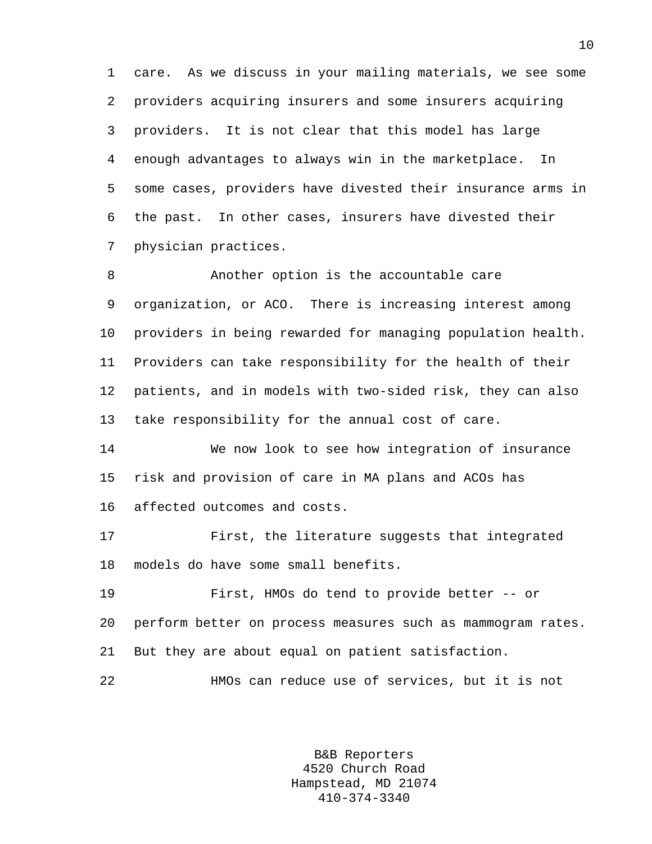1 care. As we discuss in your mailing materials, we see some 2 providers acquiring insurers and some insurers acquiring 3 providers. It is not clear that this model has large 4 enough advantages to always win in the marketplace. In 5 some cases, providers have divested their insurance arms in 6 the past. In other cases, insurers have divested their 7 physician practices.

8 Another option is the accountable care 9 organization, or ACO. There is increasing interest among 10 providers in being rewarded for managing population health. 11 Providers can take responsibility for the health of their 12 patients, and in models with two-sided risk, they can also 13 take responsibility for the annual cost of care.

14 We now look to see how integration of insurance 15 risk and provision of care in MA plans and ACOs has 16 affected outcomes and costs.

17 First, the literature suggests that integrated 18 models do have some small benefits.

19 First, HMOs do tend to provide better -- or 20 perform better on process measures such as mammogram rates. 21 But they are about equal on patient satisfaction.

22 HMOs can reduce use of services, but it is not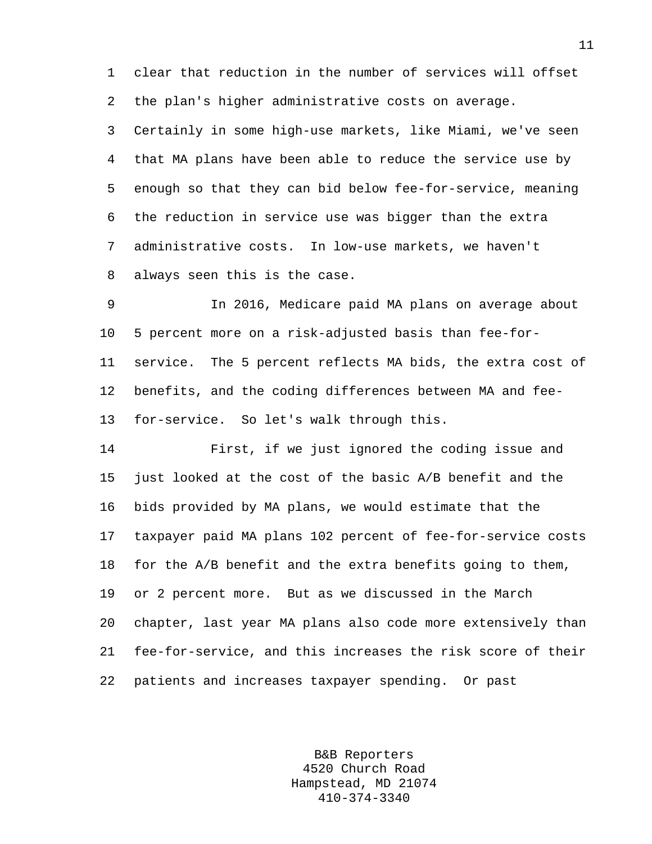1 clear that reduction in the number of services will offset 2 the plan's higher administrative costs on average.

3 Certainly in some high-use markets, like Miami, we've seen 4 that MA plans have been able to reduce the service use by 5 enough so that they can bid below fee-for-service, meaning 6 the reduction in service use was bigger than the extra 7 administrative costs. In low-use markets, we haven't 8 always seen this is the case.

9 In 2016, Medicare paid MA plans on average about 10 5 percent more on a risk-adjusted basis than fee-for-11 service. The 5 percent reflects MA bids, the extra cost of 12 benefits, and the coding differences between MA and fee-13 for-service. So let's walk through this.

14 First, if we just ignored the coding issue and 15 just looked at the cost of the basic A/B benefit and the 16 bids provided by MA plans, we would estimate that the 17 taxpayer paid MA plans 102 percent of fee-for-service costs 18 for the A/B benefit and the extra benefits going to them, 19 or 2 percent more. But as we discussed in the March 20 chapter, last year MA plans also code more extensively than 21 fee-for-service, and this increases the risk score of their 22 patients and increases taxpayer spending. Or past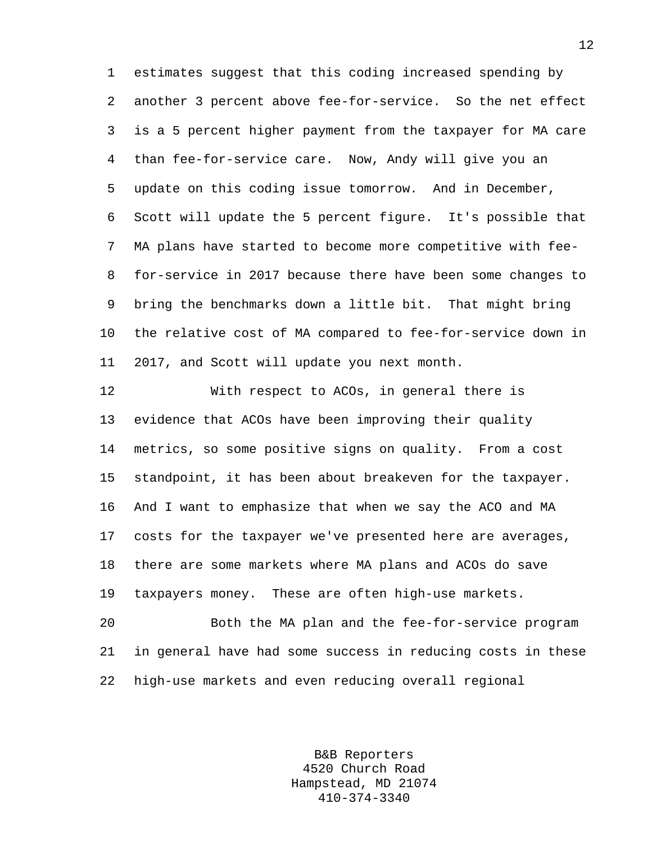1 estimates suggest that this coding increased spending by 2 another 3 percent above fee-for-service. So the net effect 3 is a 5 percent higher payment from the taxpayer for MA care 4 than fee-for-service care. Now, Andy will give you an 5 update on this coding issue tomorrow. And in December, 6 Scott will update the 5 percent figure. It's possible that 7 MA plans have started to become more competitive with fee-8 for-service in 2017 because there have been some changes to 9 bring the benchmarks down a little bit. That might bring 10 the relative cost of MA compared to fee-for-service down in 11 2017, and Scott will update you next month.

12 With respect to ACOs, in general there is 13 evidence that ACOs have been improving their quality 14 metrics, so some positive signs on quality. From a cost 15 standpoint, it has been about breakeven for the taxpayer. 16 And I want to emphasize that when we say the ACO and MA 17 costs for the taxpayer we've presented here are averages, 18 there are some markets where MA plans and ACOs do save 19 taxpayers money. These are often high-use markets.

20 Both the MA plan and the fee-for-service program 21 in general have had some success in reducing costs in these 22 high-use markets and even reducing overall regional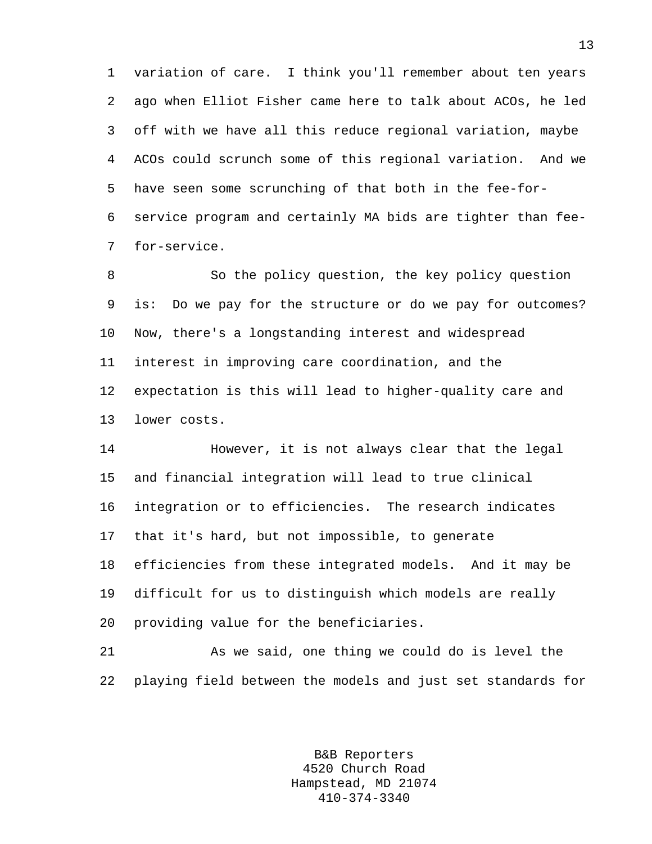1 variation of care. I think you'll remember about ten years 2 ago when Elliot Fisher came here to talk about ACOs, he led 3 off with we have all this reduce regional variation, maybe 4 ACOs could scrunch some of this regional variation. And we 5 have seen some scrunching of that both in the fee-for-6 service program and certainly MA bids are tighter than fee-7 for-service.

8 So the policy question, the key policy question 9 is: Do we pay for the structure or do we pay for outcomes? 10 Now, there's a longstanding interest and widespread 11 interest in improving care coordination, and the 12 expectation is this will lead to higher-quality care and 13 lower costs.

14 However, it is not always clear that the legal 15 and financial integration will lead to true clinical 16 integration or to efficiencies. The research indicates 17 that it's hard, but not impossible, to generate 18 efficiencies from these integrated models. And it may be 19 difficult for us to distinguish which models are really 20 providing value for the beneficiaries.

21 As we said, one thing we could do is level the 22 playing field between the models and just set standards for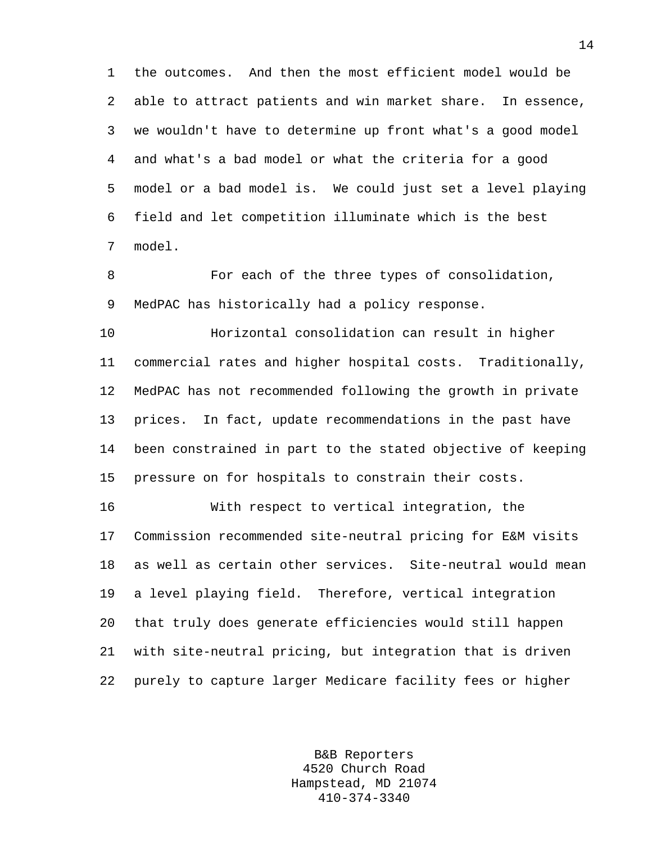1 the outcomes. And then the most efficient model would be 2 able to attract patients and win market share. In essence, 3 we wouldn't have to determine up front what's a good model 4 and what's a bad model or what the criteria for a good 5 model or a bad model is. We could just set a level playing 6 field and let competition illuminate which is the best 7 model.

8 For each of the three types of consolidation, 9 MedPAC has historically had a policy response.

10 Horizontal consolidation can result in higher 11 commercial rates and higher hospital costs. Traditionally, 12 MedPAC has not recommended following the growth in private 13 prices. In fact, update recommendations in the past have 14 been constrained in part to the stated objective of keeping 15 pressure on for hospitals to constrain their costs.

16 With respect to vertical integration, the 17 Commission recommended site-neutral pricing for E&M visits 18 as well as certain other services. Site-neutral would mean 19 a level playing field. Therefore, vertical integration 20 that truly does generate efficiencies would still happen 21 with site-neutral pricing, but integration that is driven 22 purely to capture larger Medicare facility fees or higher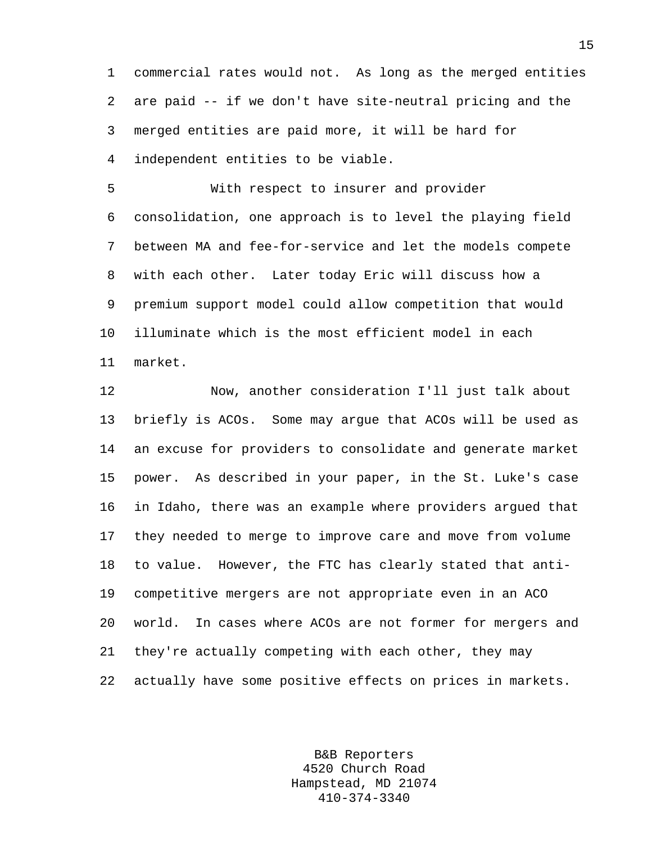1 commercial rates would not. As long as the merged entities 2 are paid -- if we don't have site-neutral pricing and the 3 merged entities are paid more, it will be hard for 4 independent entities to be viable.

5 With respect to insurer and provider 6 consolidation, one approach is to level the playing field 7 between MA and fee-for-service and let the models compete 8 with each other. Later today Eric will discuss how a 9 premium support model could allow competition that would 10 illuminate which is the most efficient model in each 11 market.

12 Now, another consideration I'll just talk about 13 briefly is ACOs. Some may argue that ACOs will be used as 14 an excuse for providers to consolidate and generate market 15 power. As described in your paper, in the St. Luke's case 16 in Idaho, there was an example where providers argued that 17 they needed to merge to improve care and move from volume 18 to value. However, the FTC has clearly stated that anti-19 competitive mergers are not appropriate even in an ACO 20 world. In cases where ACOs are not former for mergers and 21 they're actually competing with each other, they may 22 actually have some positive effects on prices in markets.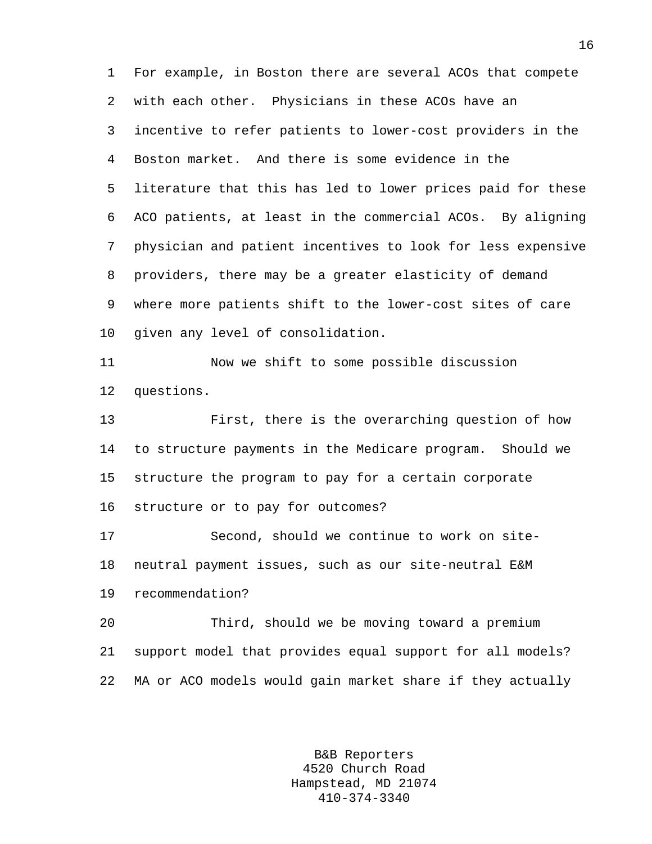1 For example, in Boston there are several ACOs that compete 2 with each other. Physicians in these ACOs have an 3 incentive to refer patients to lower-cost providers in the 4 Boston market. And there is some evidence in the 5 literature that this has led to lower prices paid for these 6 ACO patients, at least in the commercial ACOs. By aligning 7 physician and patient incentives to look for less expensive 8 providers, there may be a greater elasticity of demand 9 where more patients shift to the lower-cost sites of care 10 given any level of consolidation.

11 Now we shift to some possible discussion 12 questions.

13 First, there is the overarching question of how 14 to structure payments in the Medicare program. Should we 15 structure the program to pay for a certain corporate 16 structure or to pay for outcomes?

17 Second, should we continue to work on site-18 neutral payment issues, such as our site-neutral E&M 19 recommendation?

20 Third, should we be moving toward a premium 21 support model that provides equal support for all models? 22 MA or ACO models would gain market share if they actually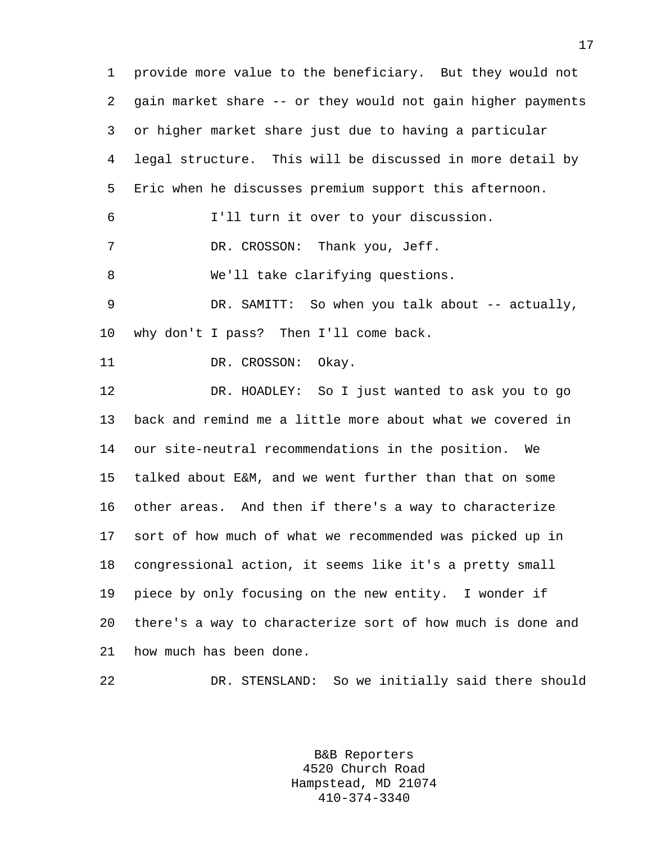1 provide more value to the beneficiary. But they would not 2 gain market share -- or they would not gain higher payments 3 or higher market share just due to having a particular 4 legal structure. This will be discussed in more detail by 5 Eric when he discusses premium support this afternoon. 6 I'll turn it over to your discussion. 7 DR. CROSSON: Thank you, Jeff. 8 We'll take clarifying questions. 9 DR. SAMITT: So when you talk about -- actually, 10 why don't I pass? Then I'll come back. 11 DR. CROSSON: Okay. 12 DR. HOADLEY: So I just wanted to ask you to go 13 back and remind me a little more about what we covered in 14 our site-neutral recommendations in the position. We 15 talked about E&M, and we went further than that on some 16 other areas. And then if there's a way to characterize 17 sort of how much of what we recommended was picked up in 18 congressional action, it seems like it's a pretty small 19 piece by only focusing on the new entity. I wonder if 20 there's a way to characterize sort of how much is done and 21 how much has been done.

> B&B Reporters 4520 Church Road Hampstead, MD 21074 410-374-3340

22 DR. STENSLAND: So we initially said there should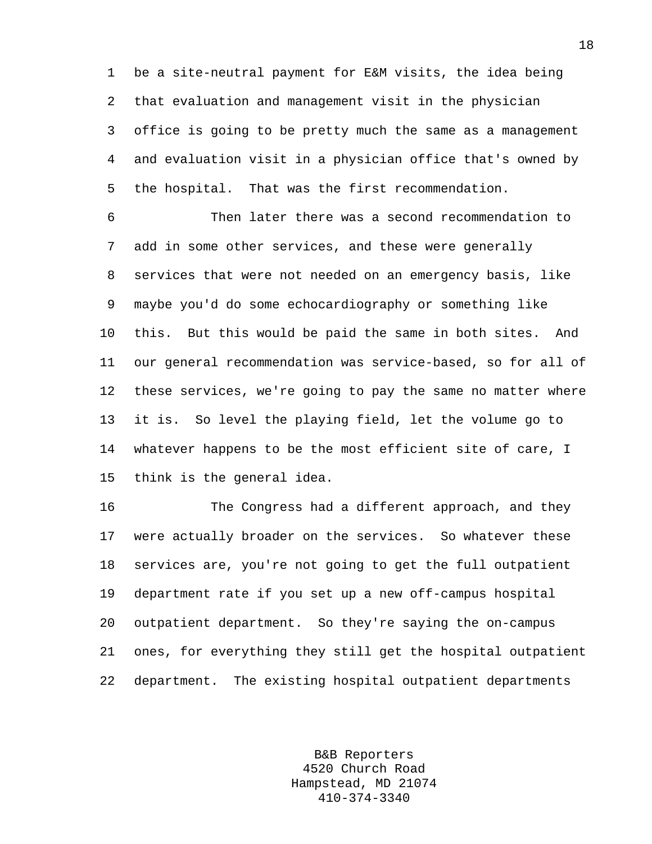1 be a site-neutral payment for E&M visits, the idea being 2 that evaluation and management visit in the physician 3 office is going to be pretty much the same as a management 4 and evaluation visit in a physician office that's owned by 5 the hospital. That was the first recommendation.

6 Then later there was a second recommendation to 7 add in some other services, and these were generally 8 services that were not needed on an emergency basis, like 9 maybe you'd do some echocardiography or something like 10 this. But this would be paid the same in both sites. And 11 our general recommendation was service-based, so for all of 12 these services, we're going to pay the same no matter where 13 it is. So level the playing field, let the volume go to 14 whatever happens to be the most efficient site of care, I 15 think is the general idea.

16 The Congress had a different approach, and they 17 were actually broader on the services. So whatever these 18 services are, you're not going to get the full outpatient 19 department rate if you set up a new off-campus hospital 20 outpatient department. So they're saying the on-campus 21 ones, for everything they still get the hospital outpatient 22 department. The existing hospital outpatient departments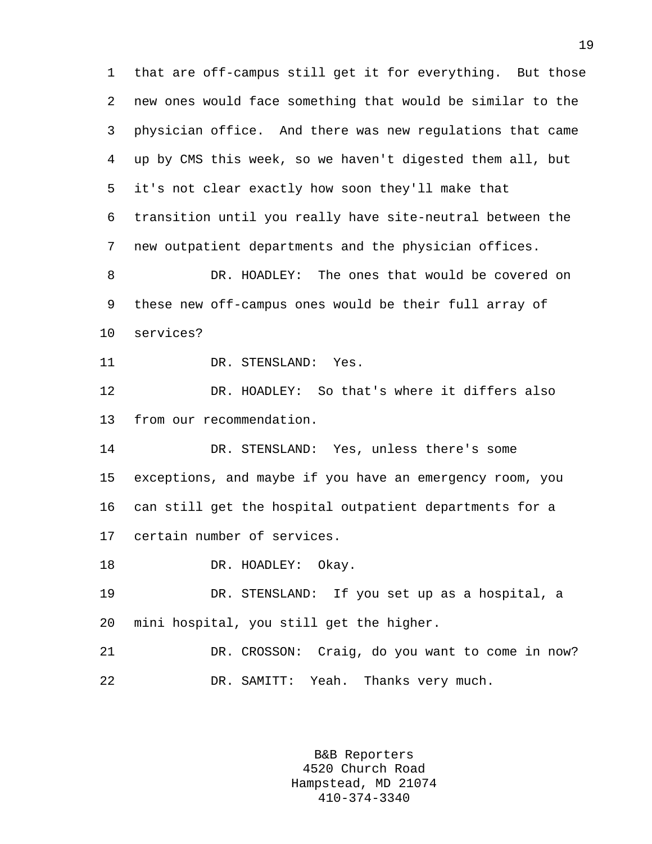1 that are off-campus still get it for everything. But those 2 new ones would face something that would be similar to the 3 physician office. And there was new regulations that came 4 up by CMS this week, so we haven't digested them all, but 5 it's not clear exactly how soon they'll make that 6 transition until you really have site-neutral between the 7 new outpatient departments and the physician offices. 8 DR. HOADLEY: The ones that would be covered on 9 these new off-campus ones would be their full array of 10 services? 11 DR. STENSLAND: Yes. 12 DR. HOADLEY: So that's where it differs also 13 from our recommendation. 14 DR. STENSLAND: Yes, unless there's some 15 exceptions, and maybe if you have an emergency room, you 16 can still get the hospital outpatient departments for a 17 certain number of services. 18 DR. HOADLEY: Okay. 19 DR. STENSLAND: If you set up as a hospital, a 20 mini hospital, you still get the higher. 21 DR. CROSSON: Craig, do you want to come in now? 22 DR. SAMITT: Yeah. Thanks very much.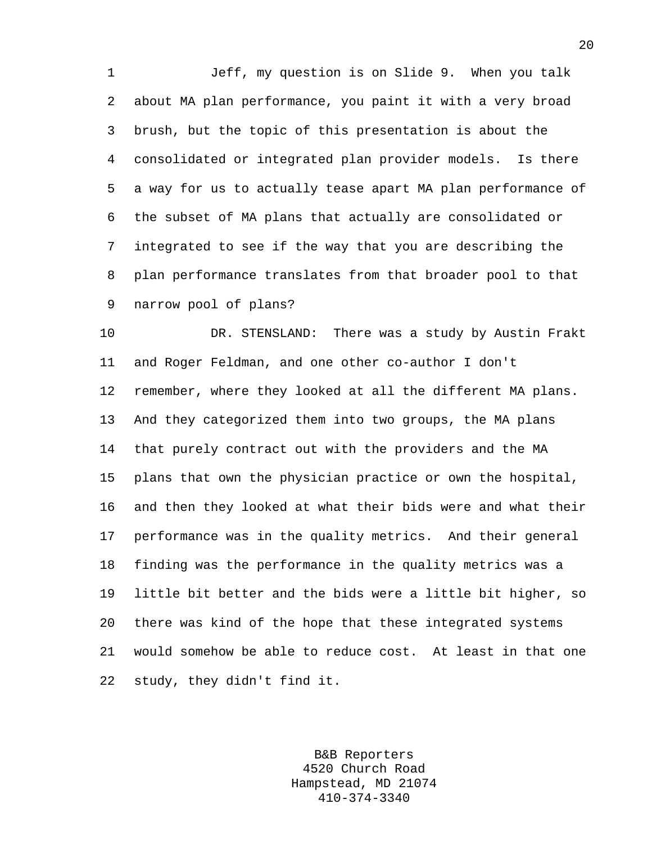1 Jeff, my question is on Slide 9. When you talk 2 about MA plan performance, you paint it with a very broad 3 brush, but the topic of this presentation is about the 4 consolidated or integrated plan provider models. Is there 5 a way for us to actually tease apart MA plan performance of 6 the subset of MA plans that actually are consolidated or 7 integrated to see if the way that you are describing the 8 plan performance translates from that broader pool to that 9 narrow pool of plans?

10 DR. STENSLAND: There was a study by Austin Frakt 11 and Roger Feldman, and one other co-author I don't 12 remember, where they looked at all the different MA plans. 13 And they categorized them into two groups, the MA plans 14 that purely contract out with the providers and the MA 15 plans that own the physician practice or own the hospital, 16 and then they looked at what their bids were and what their 17 performance was in the quality metrics. And their general 18 finding was the performance in the quality metrics was a 19 little bit better and the bids were a little bit higher, so 20 there was kind of the hope that these integrated systems 21 would somehow be able to reduce cost. At least in that one 22 study, they didn't find it.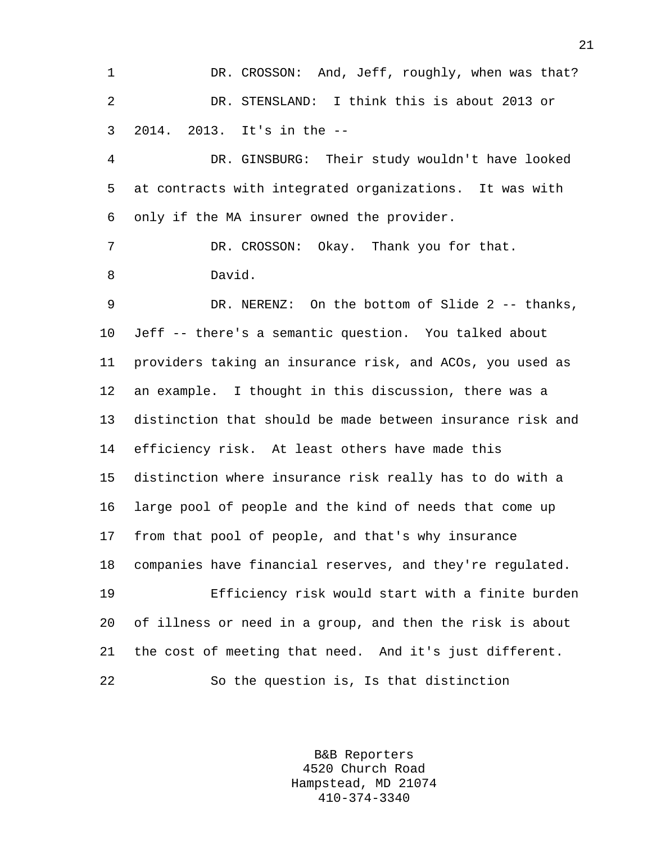1 DR. CROSSON: And, Jeff, roughly, when was that? 2 DR. STENSLAND: I think this is about 2013 or 3 2014. 2013. It's in the --

4 DR. GINSBURG: Their study wouldn't have looked 5 at contracts with integrated organizations. It was with 6 only if the MA insurer owned the provider.

7 DR. CROSSON: Okay. Thank you for that. 8 David.

9 DR. NERENZ: On the bottom of Slide 2 -- thanks, 10 Jeff -- there's a semantic question. You talked about 11 providers taking an insurance risk, and ACOs, you used as 12 an example. I thought in this discussion, there was a 13 distinction that should be made between insurance risk and 14 efficiency risk. At least others have made this 15 distinction where insurance risk really has to do with a 16 large pool of people and the kind of needs that come up 17 from that pool of people, and that's why insurance 18 companies have financial reserves, and they're regulated. 19 Efficiency risk would start with a finite burden 20 of illness or need in a group, and then the risk is about 21 the cost of meeting that need. And it's just different.

22 So the question is, Is that distinction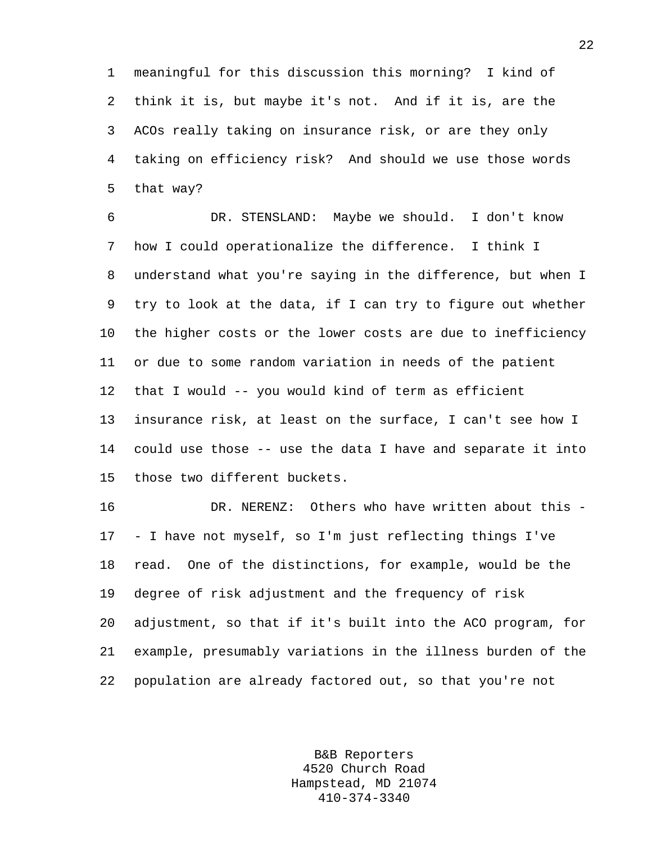1 meaningful for this discussion this morning? I kind of 2 think it is, but maybe it's not. And if it is, are the 3 ACOs really taking on insurance risk, or are they only 4 taking on efficiency risk? And should we use those words 5 that way?

6 DR. STENSLAND: Maybe we should. I don't know 7 how I could operationalize the difference. I think I 8 understand what you're saying in the difference, but when I 9 try to look at the data, if I can try to figure out whether 10 the higher costs or the lower costs are due to inefficiency 11 or due to some random variation in needs of the patient 12 that I would -- you would kind of term as efficient 13 insurance risk, at least on the surface, I can't see how I 14 could use those -- use the data I have and separate it into 15 those two different buckets.

16 DR. NERENZ: Others who have written about this - 17 - I have not myself, so I'm just reflecting things I've 18 read. One of the distinctions, for example, would be the 19 degree of risk adjustment and the frequency of risk 20 adjustment, so that if it's built into the ACO program, for 21 example, presumably variations in the illness burden of the 22 population are already factored out, so that you're not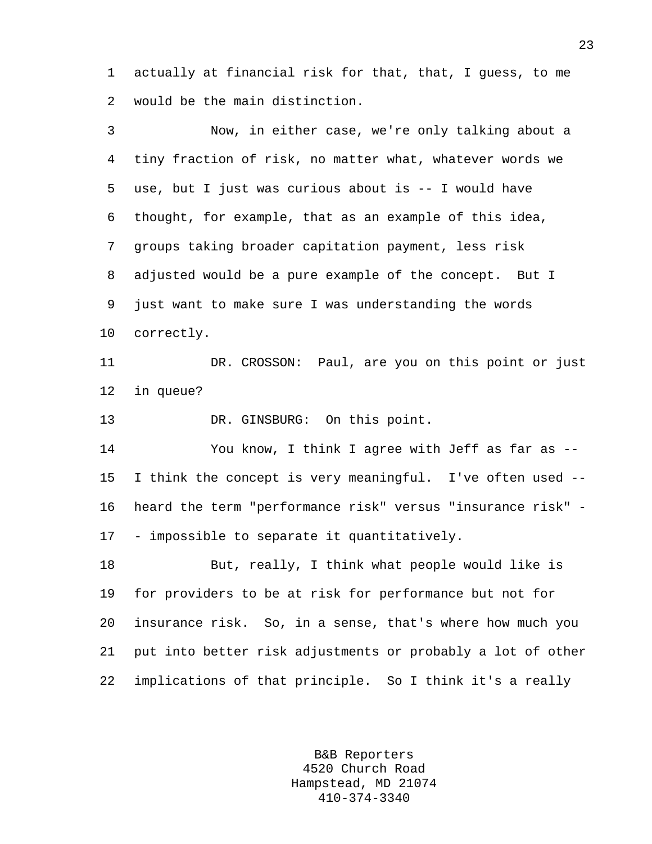1 actually at financial risk for that, that, I guess, to me 2 would be the main distinction.

3 Now, in either case, we're only talking about a 4 tiny fraction of risk, no matter what, whatever words we 5 use, but I just was curious about is -- I would have 6 thought, for example, that as an example of this idea, 7 groups taking broader capitation payment, less risk 8 adjusted would be a pure example of the concept. But I 9 just want to make sure I was understanding the words 10 correctly. 11 DR. CROSSON: Paul, are you on this point or just 12 in queue? 13 DR. GINSBURG: On this point. 14 You know, I think I agree with Jeff as far as -- 15 I think the concept is very meaningful. I've often used -- 16 heard the term "performance risk" versus "insurance risk" - 17 - impossible to separate it quantitatively. 18 But, really, I think what people would like is 19 for providers to be at risk for performance but not for 20 insurance risk. So, in a sense, that's where how much you 21 put into better risk adjustments or probably a lot of other 22 implications of that principle. So I think it's a really

> B&B Reporters 4520 Church Road Hampstead, MD 21074 410-374-3340

23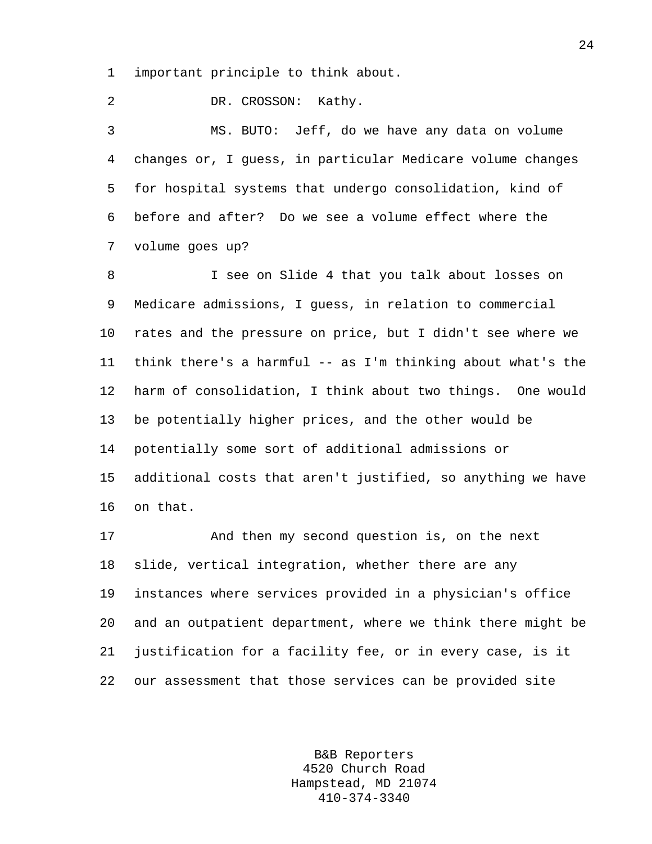1 important principle to think about.

2 DR. CROSSON: Kathy.

3 MS. BUTO: Jeff, do we have any data on volume 4 changes or, I guess, in particular Medicare volume changes 5 for hospital systems that undergo consolidation, kind of 6 before and after? Do we see a volume effect where the 7 volume goes up?

8 I see on Slide 4 that you talk about losses on 9 Medicare admissions, I guess, in relation to commercial 10 rates and the pressure on price, but I didn't see where we 11 think there's a harmful -- as I'm thinking about what's the 12 harm of consolidation, I think about two things. One would 13 be potentially higher prices, and the other would be 14 potentially some sort of additional admissions or 15 additional costs that aren't justified, so anything we have 16 on that.

17 And then my second question is, on the next 18 slide, vertical integration, whether there are any 19 instances where services provided in a physician's office 20 and an outpatient department, where we think there might be 21 justification for a facility fee, or in every case, is it 22 our assessment that those services can be provided site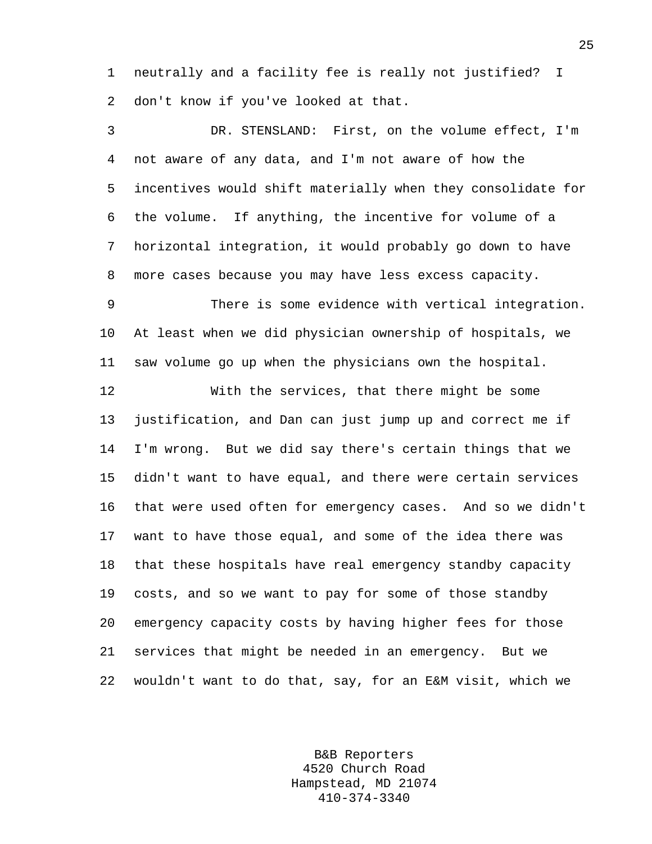1 neutrally and a facility fee is really not justified? I 2 don't know if you've looked at that.

3 DR. STENSLAND: First, on the volume effect, I'm 4 not aware of any data, and I'm not aware of how the 5 incentives would shift materially when they consolidate for 6 the volume. If anything, the incentive for volume of a 7 horizontal integration, it would probably go down to have 8 more cases because you may have less excess capacity.

9 There is some evidence with vertical integration. 10 At least when we did physician ownership of hospitals, we 11 saw volume go up when the physicians own the hospital.

12 With the services, that there might be some 13 justification, and Dan can just jump up and correct me if 14 I'm wrong. But we did say there's certain things that we 15 didn't want to have equal, and there were certain services 16 that were used often for emergency cases. And so we didn't 17 want to have those equal, and some of the idea there was 18 that these hospitals have real emergency standby capacity 19 costs, and so we want to pay for some of those standby 20 emergency capacity costs by having higher fees for those 21 services that might be needed in an emergency. But we 22 wouldn't want to do that, say, for an E&M visit, which we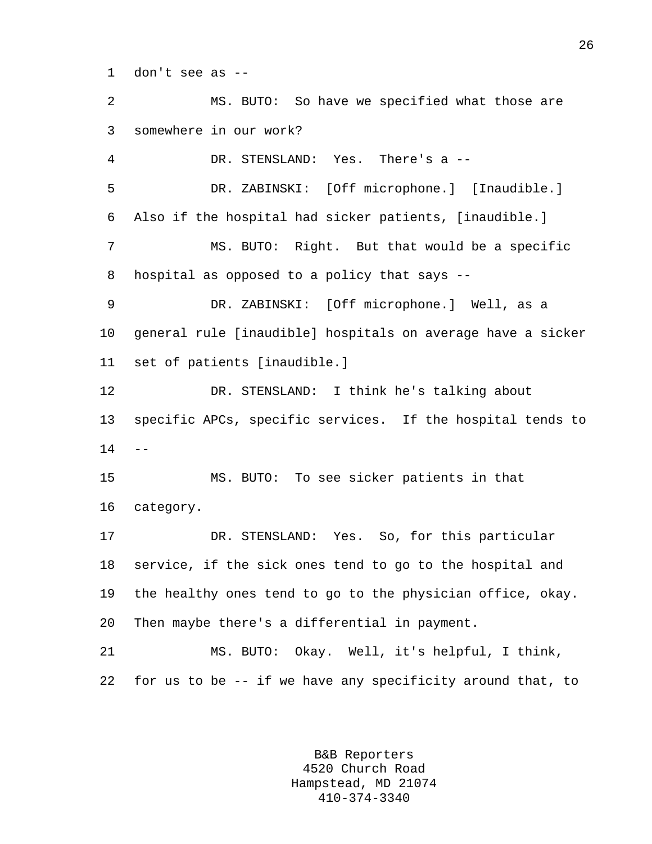1 don't see as --

2 MS. BUTO: So have we specified what those are 3 somewhere in our work? 4 DR. STENSLAND: Yes. There's a -- 5 DR. ZABINSKI: [Off microphone.] [Inaudible.] 6 Also if the hospital had sicker patients, [inaudible.] 7 MS. BUTO: Right. But that would be a specific 8 hospital as opposed to a policy that says -- 9 DR. ZABINSKI: [Off microphone.] Well, as a 10 general rule [inaudible] hospitals on average have a sicker 11 set of patients [inaudible.] 12 DR. STENSLAND: I think he's talking about 13 specific APCs, specific services. If the hospital tends to  $14 - -$ 15 MS. BUTO: To see sicker patients in that 16 category. 17 DR. STENSLAND: Yes. So, for this particular 18 service, if the sick ones tend to go to the hospital and 19 the healthy ones tend to go to the physician office, okay. 20 Then maybe there's a differential in payment. 21 MS. BUTO: Okay. Well, it's helpful, I think, 22 for us to be -- if we have any specificity around that, to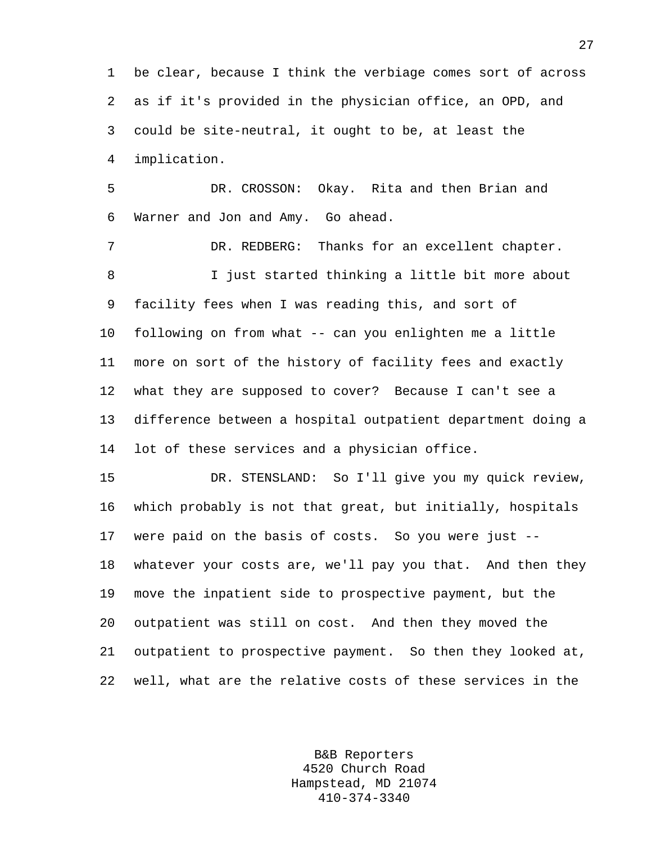1 be clear, because I think the verbiage comes sort of across 2 as if it's provided in the physician office, an OPD, and 3 could be site-neutral, it ought to be, at least the 4 implication.

5 DR. CROSSON: Okay. Rita and then Brian and 6 Warner and Jon and Amy. Go ahead.

7 DR. REDBERG: Thanks for an excellent chapter. 8 I just started thinking a little bit more about 9 facility fees when I was reading this, and sort of 10 following on from what -- can you enlighten me a little 11 more on sort of the history of facility fees and exactly 12 what they are supposed to cover? Because I can't see a 13 difference between a hospital outpatient department doing a 14 lot of these services and a physician office.

15 DR. STENSLAND: So I'll give you my quick review, 16 which probably is not that great, but initially, hospitals 17 were paid on the basis of costs. So you were just -- 18 whatever your costs are, we'll pay you that. And then they 19 move the inpatient side to prospective payment, but the 20 outpatient was still on cost. And then they moved the 21 outpatient to prospective payment. So then they looked at, 22 well, what are the relative costs of these services in the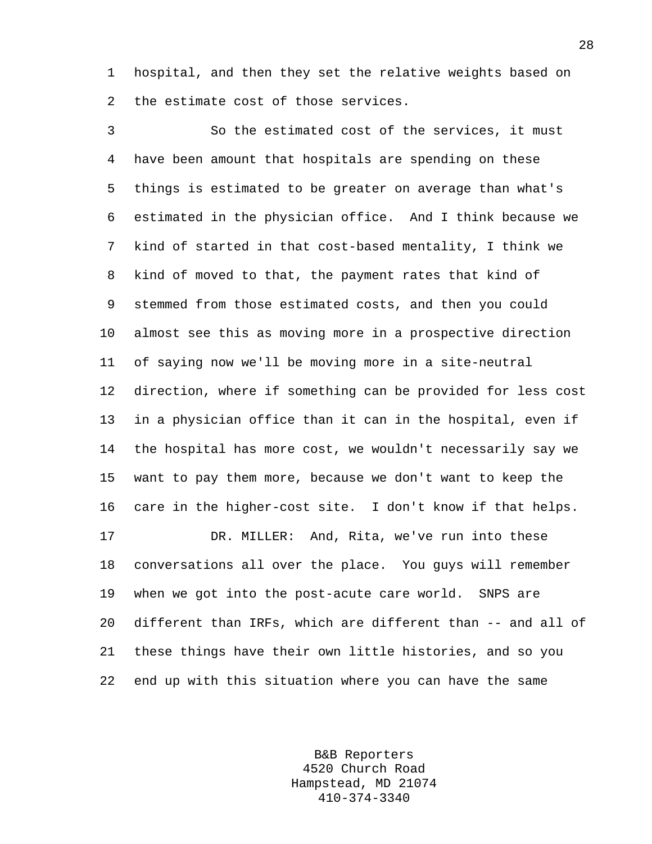1 hospital, and then they set the relative weights based on 2 the estimate cost of those services.

3 So the estimated cost of the services, it must 4 have been amount that hospitals are spending on these 5 things is estimated to be greater on average than what's 6 estimated in the physician office. And I think because we 7 kind of started in that cost-based mentality, I think we 8 kind of moved to that, the payment rates that kind of 9 stemmed from those estimated costs, and then you could 10 almost see this as moving more in a prospective direction 11 of saying now we'll be moving more in a site-neutral 12 direction, where if something can be provided for less cost 13 in a physician office than it can in the hospital, even if 14 the hospital has more cost, we wouldn't necessarily say we 15 want to pay them more, because we don't want to keep the 16 care in the higher-cost site. I don't know if that helps. 17 DR. MILLER: And, Rita, we've run into these 18 conversations all over the place. You guys will remember 19 when we got into the post-acute care world. SNPS are 20 different than IRFs, which are different than -- and all of 21 these things have their own little histories, and so you 22 end up with this situation where you can have the same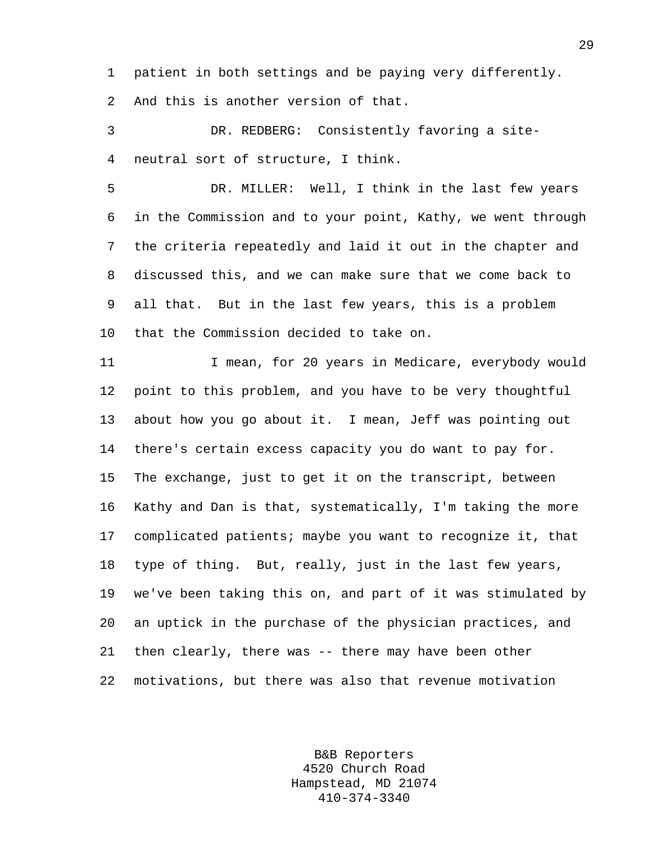1 patient in both settings and be paying very differently.

2 And this is another version of that.

3 DR. REDBERG: Consistently favoring a site-4 neutral sort of structure, I think.

5 DR. MILLER: Well, I think in the last few years 6 in the Commission and to your point, Kathy, we went through 7 the criteria repeatedly and laid it out in the chapter and 8 discussed this, and we can make sure that we come back to 9 all that. But in the last few years, this is a problem 10 that the Commission decided to take on.

11 I mean, for 20 years in Medicare, everybody would 12 point to this problem, and you have to be very thoughtful 13 about how you go about it. I mean, Jeff was pointing out 14 there's certain excess capacity you do want to pay for. 15 The exchange, just to get it on the transcript, between 16 Kathy and Dan is that, systematically, I'm taking the more 17 complicated patients; maybe you want to recognize it, that 18 type of thing. But, really, just in the last few years, 19 we've been taking this on, and part of it was stimulated by 20 an uptick in the purchase of the physician practices, and 21 then clearly, there was -- there may have been other 22 motivations, but there was also that revenue motivation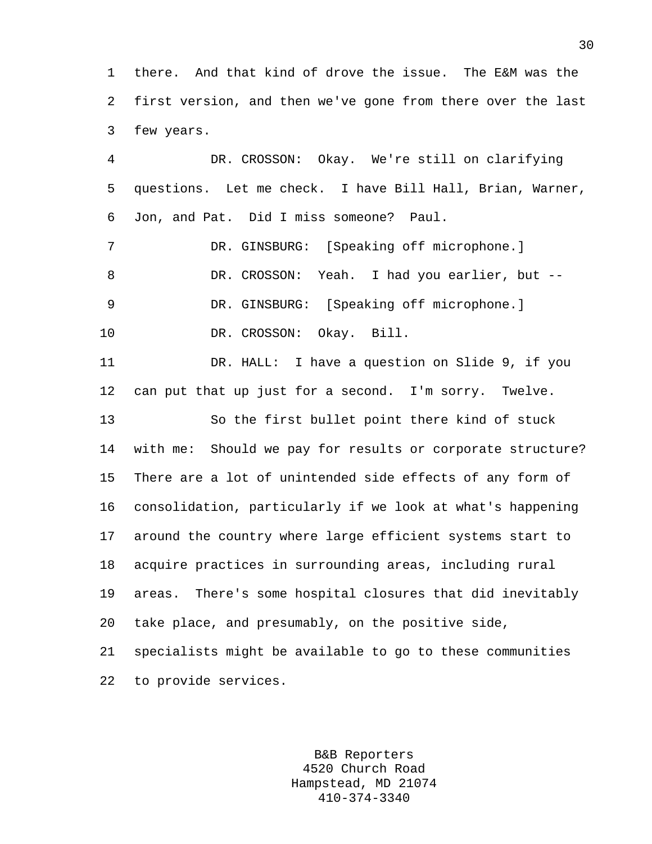1 there. And that kind of drove the issue. The E&M was the 2 first version, and then we've gone from there over the last 3 few years.

4 DR. CROSSON: Okay. We're still on clarifying 5 questions. Let me check. I have Bill Hall, Brian, Warner, 6 Jon, and Pat. Did I miss someone? Paul. 7 DR. GINSBURG: [Speaking off microphone.] 8 DR. CROSSON: Yeah. I had you earlier, but --9 DR. GINSBURG: [Speaking off microphone.] 10 DR. CROSSON: Okay. Bill. 11 DR. HALL: I have a question on Slide 9, if you 12 can put that up just for a second. I'm sorry. Twelve. 13 So the first bullet point there kind of stuck 14 with me: Should we pay for results or corporate structure? 15 There are a lot of unintended side effects of any form of 16 consolidation, particularly if we look at what's happening 17 around the country where large efficient systems start to 18 acquire practices in surrounding areas, including rural 19 areas. There's some hospital closures that did inevitably 20 take place, and presumably, on the positive side, 21 specialists might be available to go to these communities 22 to provide services.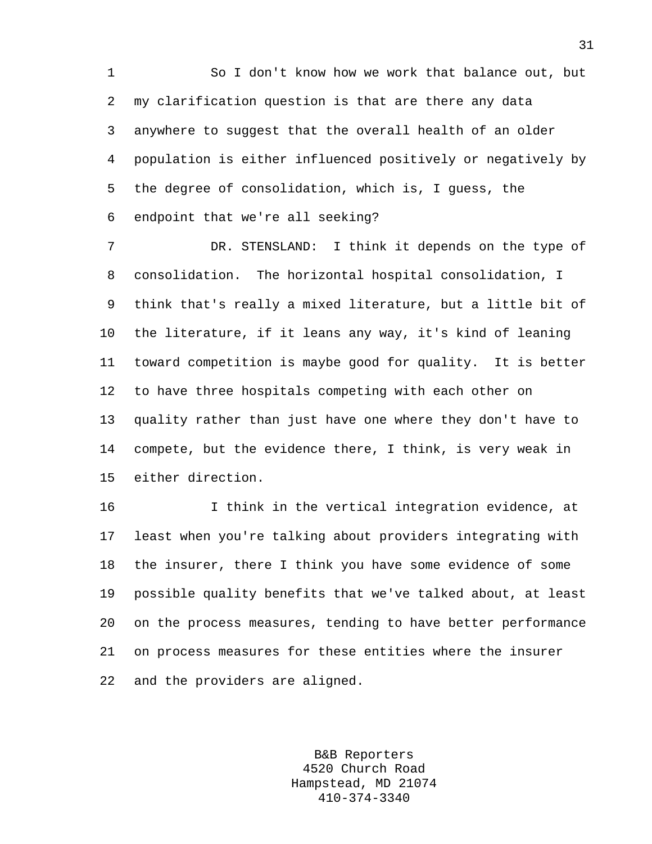1 So I don't know how we work that balance out, but 2 my clarification question is that are there any data 3 anywhere to suggest that the overall health of an older 4 population is either influenced positively or negatively by 5 the degree of consolidation, which is, I guess, the 6 endpoint that we're all seeking?

7 DR. STENSLAND: I think it depends on the type of 8 consolidation. The horizontal hospital consolidation, I 9 think that's really a mixed literature, but a little bit of 10 the literature, if it leans any way, it's kind of leaning 11 toward competition is maybe good for quality. It is better 12 to have three hospitals competing with each other on 13 quality rather than just have one where they don't have to 14 compete, but the evidence there, I think, is very weak in 15 either direction.

16 I think in the vertical integration evidence, at 17 least when you're talking about providers integrating with 18 the insurer, there I think you have some evidence of some 19 possible quality benefits that we've talked about, at least 20 on the process measures, tending to have better performance 21 on process measures for these entities where the insurer 22 and the providers are aligned.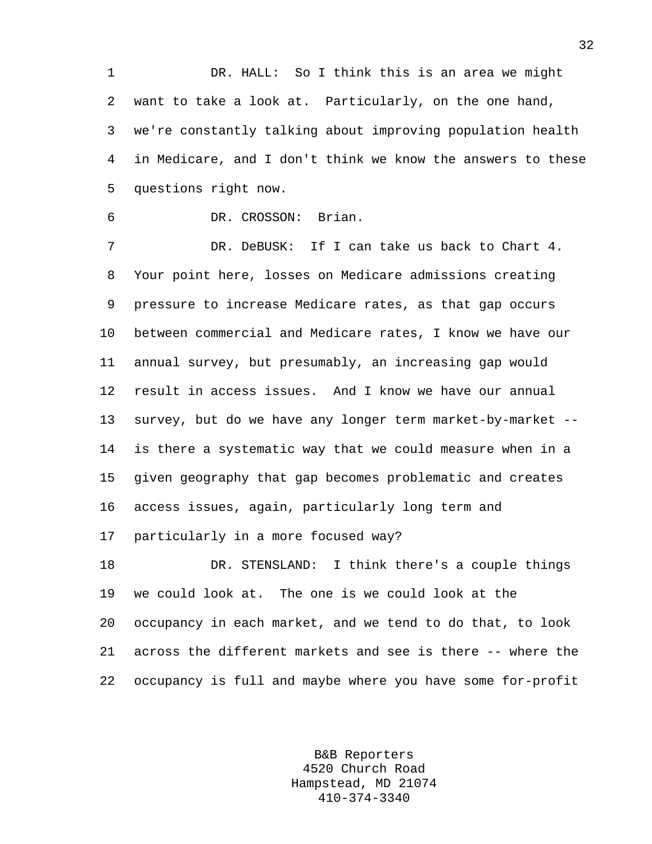1 DR. HALL: So I think this is an area we might 2 want to take a look at. Particularly, on the one hand, 3 we're constantly talking about improving population health 4 in Medicare, and I don't think we know the answers to these 5 questions right now.

6 DR. CROSSON: Brian.

7 DR. DeBUSK: If I can take us back to Chart 4. 8 Your point here, losses on Medicare admissions creating 9 pressure to increase Medicare rates, as that gap occurs 10 between commercial and Medicare rates, I know we have our 11 annual survey, but presumably, an increasing gap would 12 result in access issues. And I know we have our annual 13 survey, but do we have any longer term market-by-market -- 14 is there a systematic way that we could measure when in a 15 given geography that gap becomes problematic and creates 16 access issues, again, particularly long term and 17 particularly in a more focused way? 18 DR. STENSLAND: I think there's a couple things

19 we could look at. The one is we could look at the 20 occupancy in each market, and we tend to do that, to look 21 across the different markets and see is there -- where the 22 occupancy is full and maybe where you have some for-profit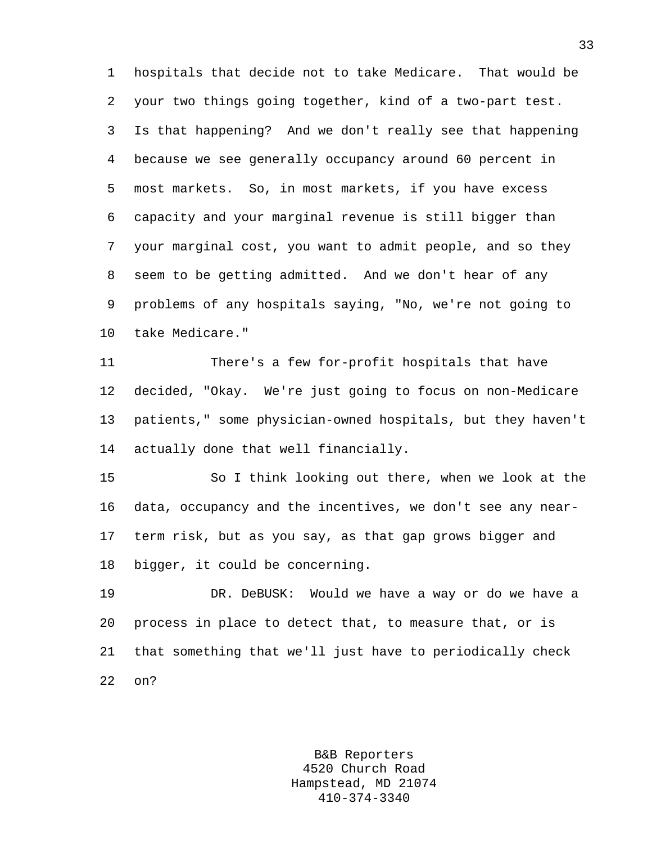1 hospitals that decide not to take Medicare. That would be 2 your two things going together, kind of a two-part test. 3 Is that happening? And we don't really see that happening 4 because we see generally occupancy around 60 percent in 5 most markets. So, in most markets, if you have excess 6 capacity and your marginal revenue is still bigger than 7 your marginal cost, you want to admit people, and so they 8 seem to be getting admitted. And we don't hear of any 9 problems of any hospitals saying, "No, we're not going to 10 take Medicare."

11 There's a few for-profit hospitals that have 12 decided, "Okay. We're just going to focus on non-Medicare 13 patients," some physician-owned hospitals, but they haven't 14 actually done that well financially.

15 So I think looking out there, when we look at the 16 data, occupancy and the incentives, we don't see any near-17 term risk, but as you say, as that gap grows bigger and 18 bigger, it could be concerning.

19 DR. DeBUSK: Would we have a way or do we have a 20 process in place to detect that, to measure that, or is 21 that something that we'll just have to periodically check 22 on?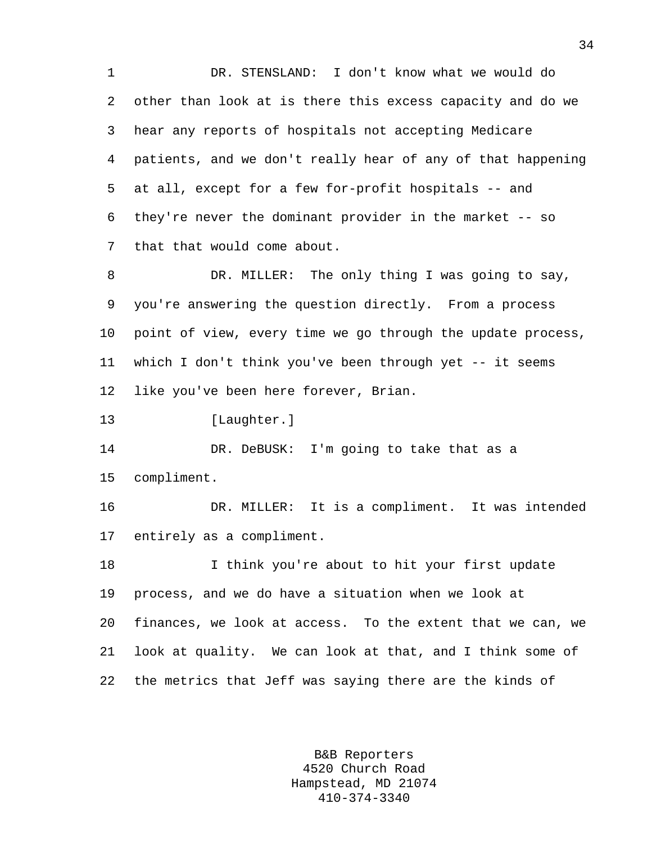1 DR. STENSLAND: I don't know what we would do 2 other than look at is there this excess capacity and do we 3 hear any reports of hospitals not accepting Medicare 4 patients, and we don't really hear of any of that happening 5 at all, except for a few for-profit hospitals -- and 6 they're never the dominant provider in the market -- so 7 that that would come about.

8 DR. MILLER: The only thing I was going to say, 9 you're answering the question directly. From a process 10 point of view, every time we go through the update process, 11 which I don't think you've been through yet -- it seems 12 like you've been here forever, Brian.

13 [Laughter.]

14 DR. DeBUSK: I'm going to take that as a 15 compliment.

16 DR. MILLER: It is a compliment. It was intended 17 entirely as a compliment.

18 I think you're about to hit your first update 19 process, and we do have a situation when we look at 20 finances, we look at access. To the extent that we can, we 21 look at quality. We can look at that, and I think some of 22 the metrics that Jeff was saying there are the kinds of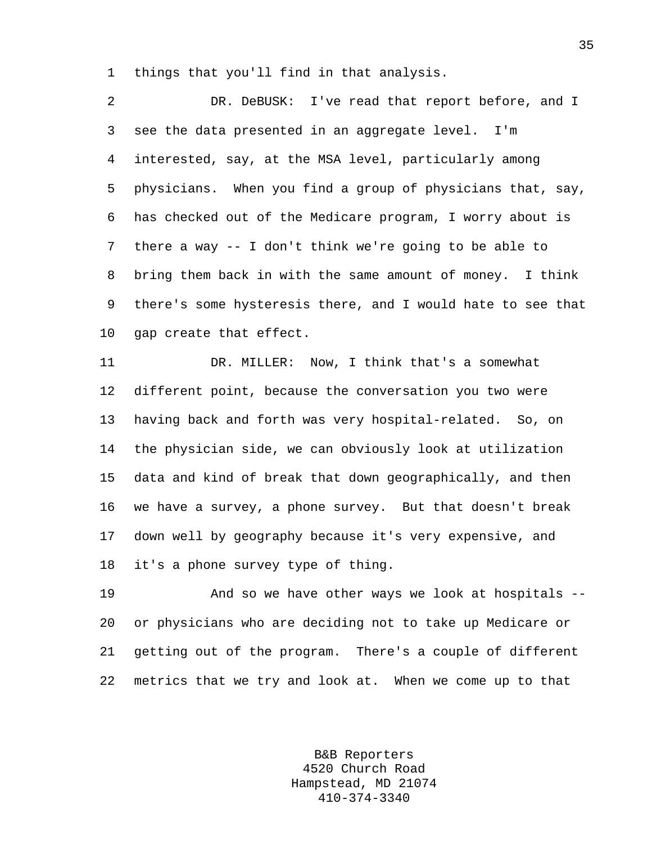1 things that you'll find in that analysis.

2 DR. DeBUSK: I've read that report before, and I 3 see the data presented in an aggregate level. I'm 4 interested, say, at the MSA level, particularly among 5 physicians. When you find a group of physicians that, say, 6 has checked out of the Medicare program, I worry about is 7 there a way -- I don't think we're going to be able to 8 bring them back in with the same amount of money. I think 9 there's some hysteresis there, and I would hate to see that 10 gap create that effect.

11 DR. MILLER: Now, I think that's a somewhat 12 different point, because the conversation you two were 13 having back and forth was very hospital-related. So, on 14 the physician side, we can obviously look at utilization 15 data and kind of break that down geographically, and then 16 we have a survey, a phone survey. But that doesn't break 17 down well by geography because it's very expensive, and 18 it's a phone survey type of thing.

19 And so we have other ways we look at hospitals -- 20 or physicians who are deciding not to take up Medicare or 21 getting out of the program. There's a couple of different 22 metrics that we try and look at. When we come up to that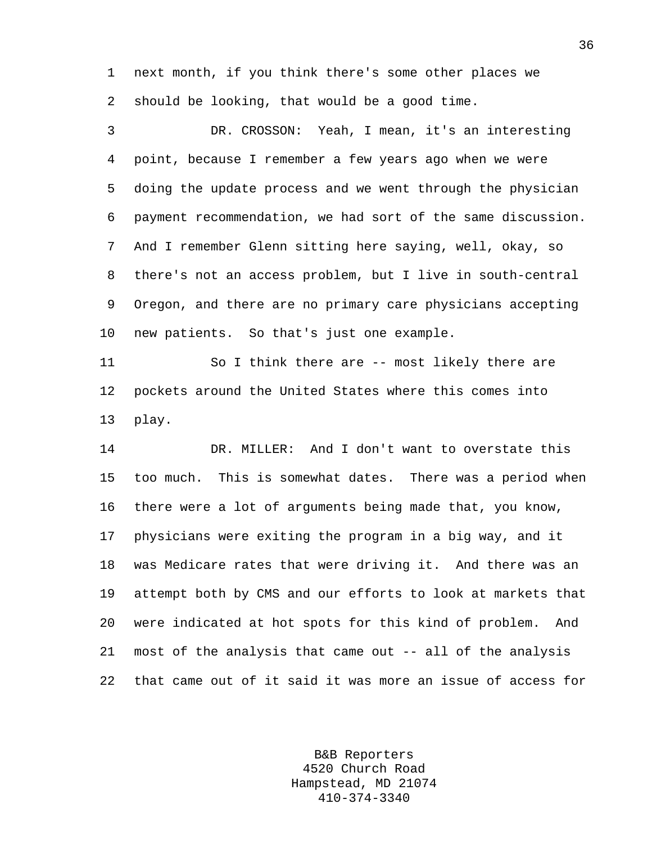1 next month, if you think there's some other places we 2 should be looking, that would be a good time.

3 DR. CROSSON: Yeah, I mean, it's an interesting 4 point, because I remember a few years ago when we were 5 doing the update process and we went through the physician 6 payment recommendation, we had sort of the same discussion. 7 And I remember Glenn sitting here saying, well, okay, so 8 there's not an access problem, but I live in south-central 9 Oregon, and there are no primary care physicians accepting 10 new patients. So that's just one example.

11 So I think there are -- most likely there are 12 pockets around the United States where this comes into 13 play.

14 DR. MILLER: And I don't want to overstate this 15 too much. This is somewhat dates. There was a period when 16 there were a lot of arguments being made that, you know, 17 physicians were exiting the program in a big way, and it 18 was Medicare rates that were driving it. And there was an 19 attempt both by CMS and our efforts to look at markets that 20 were indicated at hot spots for this kind of problem. And 21 most of the analysis that came out -- all of the analysis 22 that came out of it said it was more an issue of access for

> B&B Reporters 4520 Church Road Hampstead, MD 21074 410-374-3340

36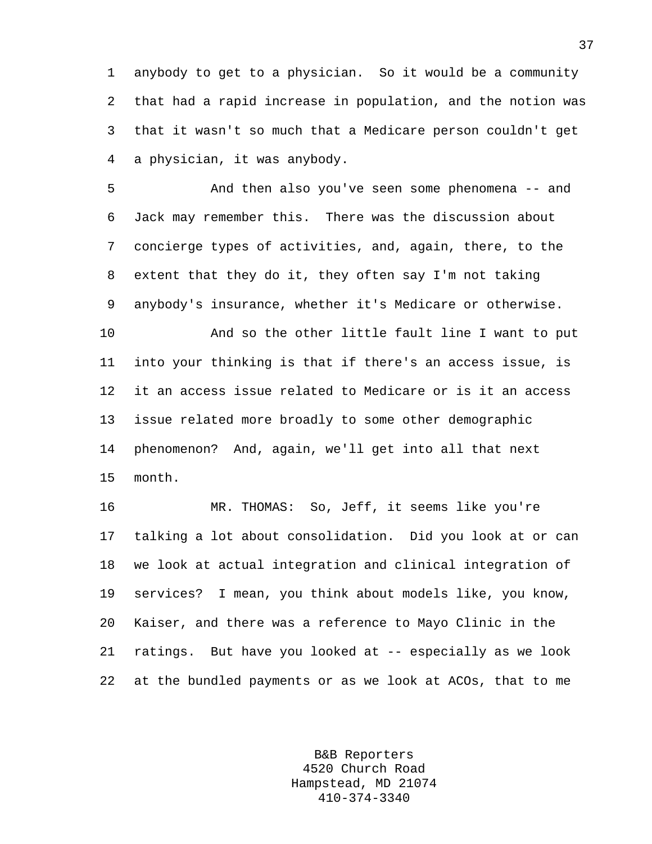1 anybody to get to a physician. So it would be a community 2 that had a rapid increase in population, and the notion was 3 that it wasn't so much that a Medicare person couldn't get 4 a physician, it was anybody.

5 And then also you've seen some phenomena -- and 6 Jack may remember this. There was the discussion about 7 concierge types of activities, and, again, there, to the 8 extent that they do it, they often say I'm not taking 9 anybody's insurance, whether it's Medicare or otherwise.

10 And so the other little fault line I want to put 11 into your thinking is that if there's an access issue, is 12 it an access issue related to Medicare or is it an access 13 issue related more broadly to some other demographic 14 phenomenon? And, again, we'll get into all that next 15 month.

16 MR. THOMAS: So, Jeff, it seems like you're 17 talking a lot about consolidation. Did you look at or can 18 we look at actual integration and clinical integration of 19 services? I mean, you think about models like, you know, 20 Kaiser, and there was a reference to Mayo Clinic in the 21 ratings. But have you looked at -- especially as we look 22 at the bundled payments or as we look at ACOs, that to me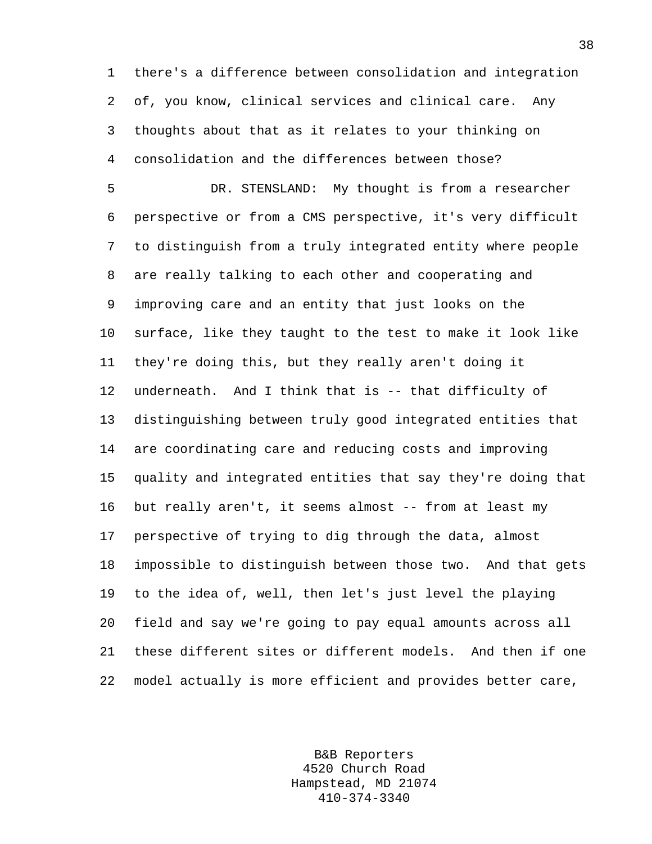1 there's a difference between consolidation and integration 2 of, you know, clinical services and clinical care. Any 3 thoughts about that as it relates to your thinking on 4 consolidation and the differences between those?

5 DR. STENSLAND: My thought is from a researcher 6 perspective or from a CMS perspective, it's very difficult 7 to distinguish from a truly integrated entity where people 8 are really talking to each other and cooperating and 9 improving care and an entity that just looks on the 10 surface, like they taught to the test to make it look like 11 they're doing this, but they really aren't doing it 12 underneath. And I think that is -- that difficulty of 13 distinguishing between truly good integrated entities that 14 are coordinating care and reducing costs and improving 15 quality and integrated entities that say they're doing that 16 but really aren't, it seems almost -- from at least my 17 perspective of trying to dig through the data, almost 18 impossible to distinguish between those two. And that gets 19 to the idea of, well, then let's just level the playing 20 field and say we're going to pay equal amounts across all 21 these different sites or different models. And then if one 22 model actually is more efficient and provides better care,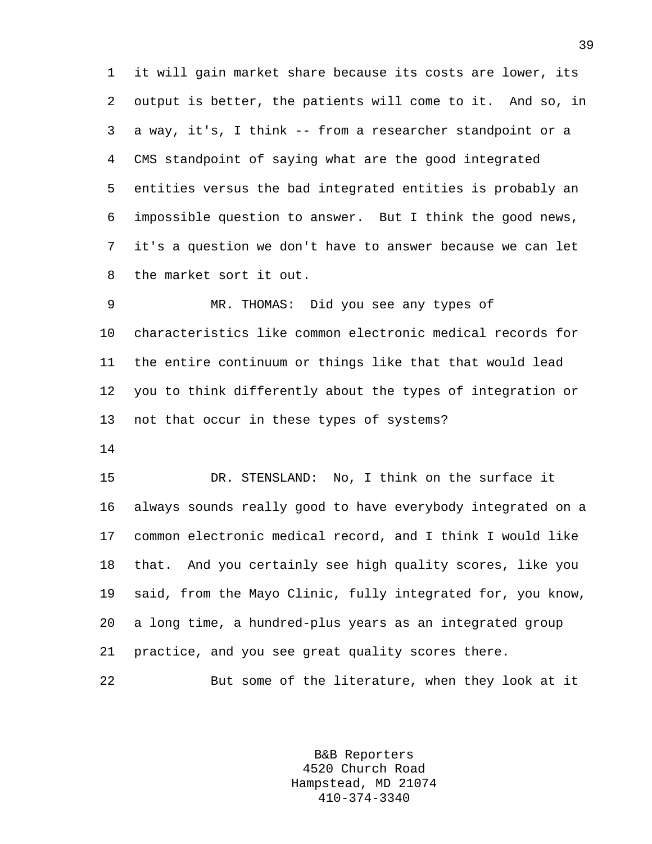1 it will gain market share because its costs are lower, its 2 output is better, the patients will come to it. And so, in 3 a way, it's, I think -- from a researcher standpoint or a 4 CMS standpoint of saying what are the good integrated 5 entities versus the bad integrated entities is probably an 6 impossible question to answer. But I think the good news, 7 it's a question we don't have to answer because we can let 8 the market sort it out.

9 MR. THOMAS: Did you see any types of 10 characteristics like common electronic medical records for 11 the entire continuum or things like that that would lead 12 you to think differently about the types of integration or 13 not that occur in these types of systems?

14

15 DR. STENSLAND: No, I think on the surface it 16 always sounds really good to have everybody integrated on a 17 common electronic medical record, and I think I would like 18 that. And you certainly see high quality scores, like you 19 said, from the Mayo Clinic, fully integrated for, you know, 20 a long time, a hundred-plus years as an integrated group 21 practice, and you see great quality scores there.

22 But some of the literature, when they look at it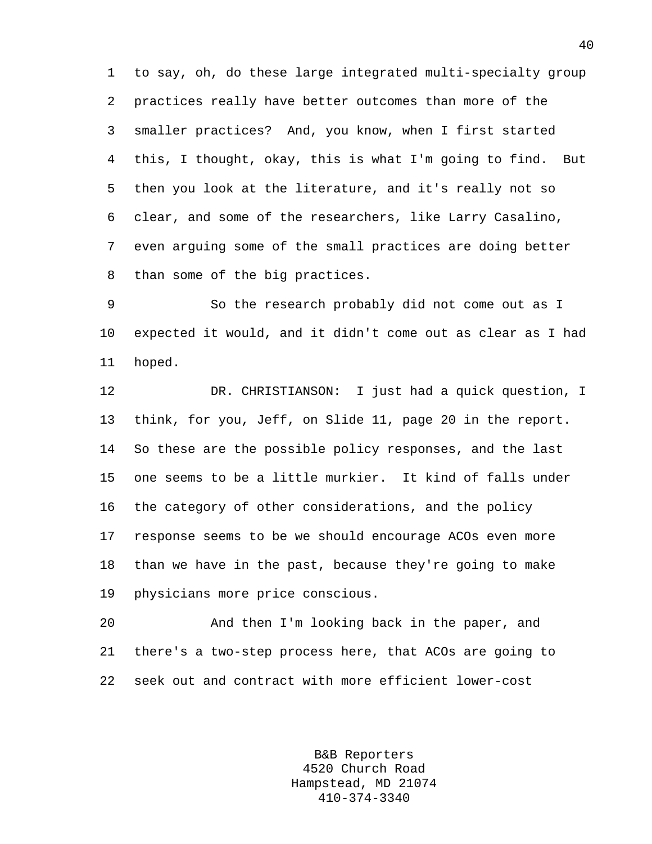1 to say, oh, do these large integrated multi-specialty group 2 practices really have better outcomes than more of the 3 smaller practices? And, you know, when I first started 4 this, I thought, okay, this is what I'm going to find. But 5 then you look at the literature, and it's really not so 6 clear, and some of the researchers, like Larry Casalino, 7 even arguing some of the small practices are doing better 8 than some of the big practices.

9 So the research probably did not come out as I 10 expected it would, and it didn't come out as clear as I had 11 hoped.

12 DR. CHRISTIANSON: I just had a quick question, I 13 think, for you, Jeff, on Slide 11, page 20 in the report. 14 So these are the possible policy responses, and the last 15 one seems to be a little murkier. It kind of falls under 16 the category of other considerations, and the policy 17 response seems to be we should encourage ACOs even more 18 than we have in the past, because they're going to make 19 physicians more price conscious.

20 And then I'm looking back in the paper, and 21 there's a two-step process here, that ACOs are going to 22 seek out and contract with more efficient lower-cost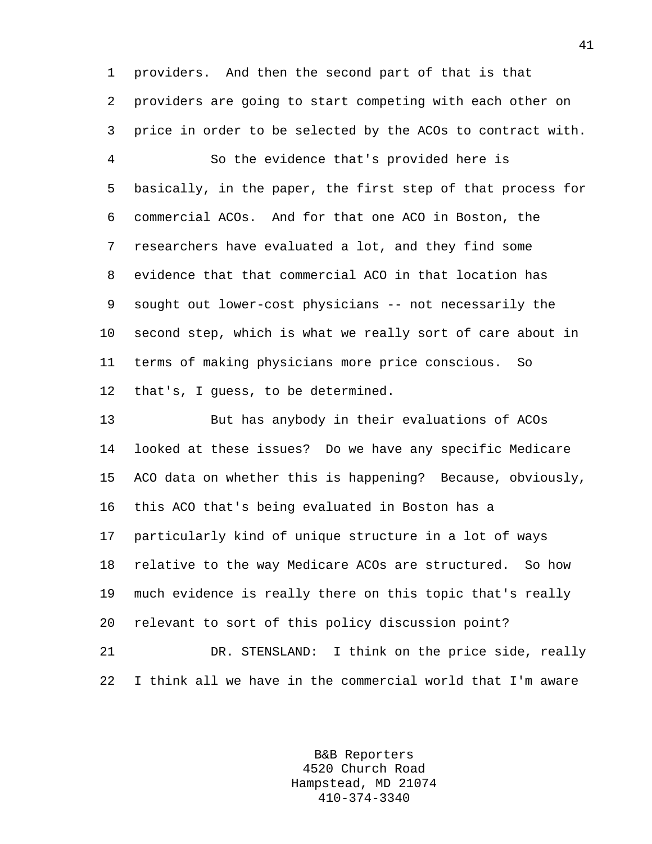1 providers. And then the second part of that is that 2 providers are going to start competing with each other on 3 price in order to be selected by the ACOs to contract with.

4 So the evidence that's provided here is 5 basically, in the paper, the first step of that process for 6 commercial ACOs. And for that one ACO in Boston, the 7 researchers have evaluated a lot, and they find some 8 evidence that that commercial ACO in that location has 9 sought out lower-cost physicians -- not necessarily the 10 second step, which is what we really sort of care about in 11 terms of making physicians more price conscious. So 12 that's, I guess, to be determined.

13 But has anybody in their evaluations of ACOs 14 looked at these issues? Do we have any specific Medicare 15 ACO data on whether this is happening? Because, obviously, 16 this ACO that's being evaluated in Boston has a 17 particularly kind of unique structure in a lot of ways 18 relative to the way Medicare ACOs are structured. So how 19 much evidence is really there on this topic that's really 20 relevant to sort of this policy discussion point? 21 DR. STENSLAND: I think on the price side, really 22 I think all we have in the commercial world that I'm aware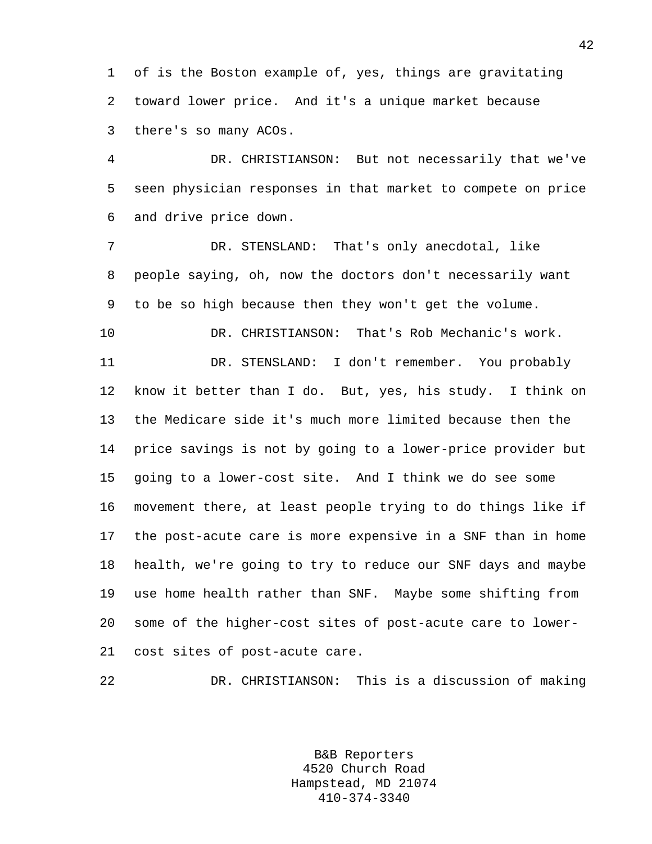1 of is the Boston example of, yes, things are gravitating 2 toward lower price. And it's a unique market because 3 there's so many ACOs.

4 DR. CHRISTIANSON: But not necessarily that we've 5 seen physician responses in that market to compete on price 6 and drive price down.

7 DR. STENSLAND: That's only anecdotal, like 8 people saying, oh, now the doctors don't necessarily want 9 to be so high because then they won't get the volume.

10 DR. CHRISTIANSON: That's Rob Mechanic's work.

11 DR. STENSLAND: I don't remember. You probably 12 know it better than I do. But, yes, his study. I think on 13 the Medicare side it's much more limited because then the 14 price savings is not by going to a lower-price provider but 15 going to a lower-cost site. And I think we do see some 16 movement there, at least people trying to do things like if 17 the post-acute care is more expensive in a SNF than in home 18 health, we're going to try to reduce our SNF days and maybe 19 use home health rather than SNF. Maybe some shifting from 20 some of the higher-cost sites of post-acute care to lower-21 cost sites of post-acute care.

22 DR. CHRISTIANSON: This is a discussion of making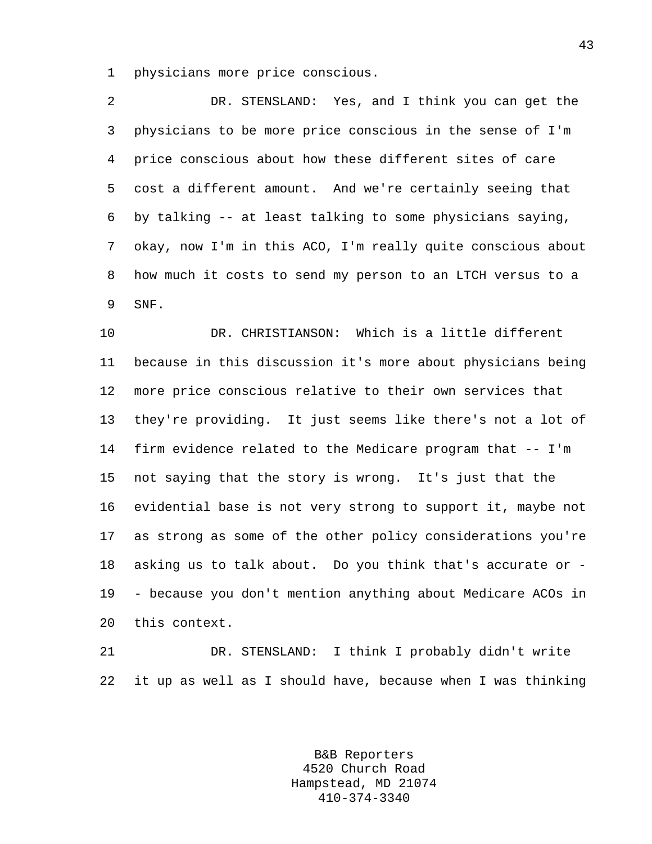1 physicians more price conscious.

2 DR. STENSLAND: Yes, and I think you can get the 3 physicians to be more price conscious in the sense of I'm 4 price conscious about how these different sites of care 5 cost a different amount. And we're certainly seeing that 6 by talking -- at least talking to some physicians saying, 7 okay, now I'm in this ACO, I'm really quite conscious about 8 how much it costs to send my person to an LTCH versus to a 9 SNF.

10 DR. CHRISTIANSON: Which is a little different 11 because in this discussion it's more about physicians being 12 more price conscious relative to their own services that 13 they're providing. It just seems like there's not a lot of 14 firm evidence related to the Medicare program that -- I'm 15 not saying that the story is wrong. It's just that the 16 evidential base is not very strong to support it, maybe not 17 as strong as some of the other policy considerations you're 18 asking us to talk about. Do you think that's accurate or - 19 - because you don't mention anything about Medicare ACOs in 20 this context.

21 DR. STENSLAND: I think I probably didn't write 22 it up as well as I should have, because when I was thinking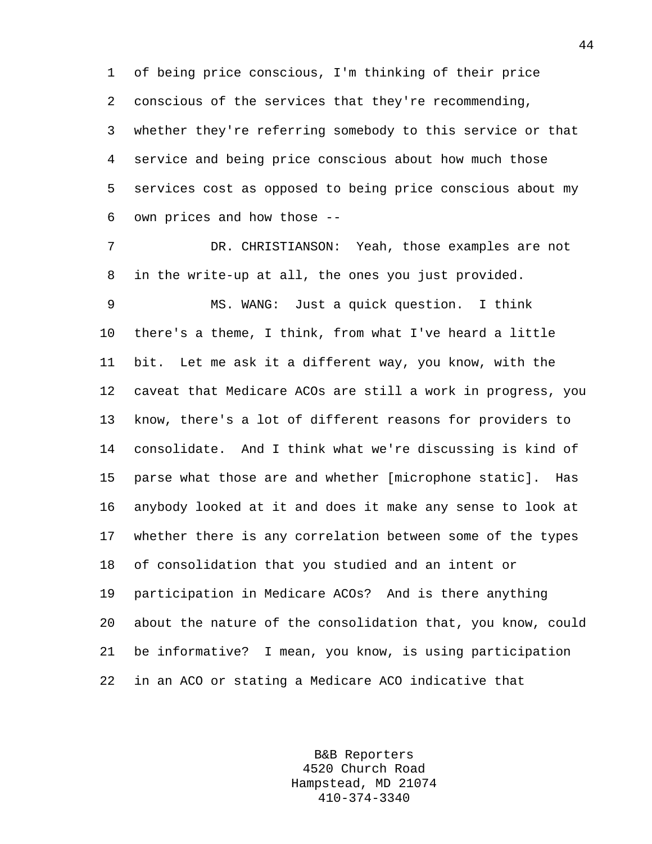1 of being price conscious, I'm thinking of their price 2 conscious of the services that they're recommending, 3 whether they're referring somebody to this service or that 4 service and being price conscious about how much those 5 services cost as opposed to being price conscious about my 6 own prices and how those --

7 DR. CHRISTIANSON: Yeah, those examples are not 8 in the write-up at all, the ones you just provided.

9 MS. WANG: Just a quick question. I think 10 there's a theme, I think, from what I've heard a little 11 bit. Let me ask it a different way, you know, with the 12 caveat that Medicare ACOs are still a work in progress, you 13 know, there's a lot of different reasons for providers to 14 consolidate. And I think what we're discussing is kind of 15 parse what those are and whether [microphone static]. Has 16 anybody looked at it and does it make any sense to look at 17 whether there is any correlation between some of the types 18 of consolidation that you studied and an intent or 19 participation in Medicare ACOs? And is there anything 20 about the nature of the consolidation that, you know, could 21 be informative? I mean, you know, is using participation 22 in an ACO or stating a Medicare ACO indicative that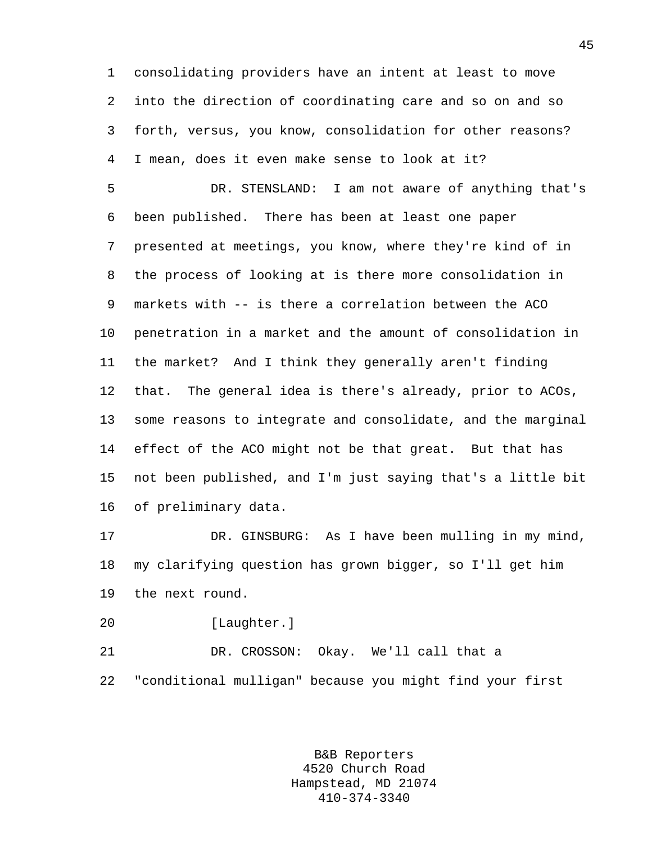1 consolidating providers have an intent at least to move 2 into the direction of coordinating care and so on and so 3 forth, versus, you know, consolidation for other reasons? 4 I mean, does it even make sense to look at it?

5 DR. STENSLAND: I am not aware of anything that's 6 been published. There has been at least one paper 7 presented at meetings, you know, where they're kind of in 8 the process of looking at is there more consolidation in 9 markets with -- is there a correlation between the ACO 10 penetration in a market and the amount of consolidation in 11 the market? And I think they generally aren't finding 12 that. The general idea is there's already, prior to ACOs, 13 some reasons to integrate and consolidate, and the marginal 14 effect of the ACO might not be that great. But that has 15 not been published, and I'm just saying that's a little bit 16 of preliminary data.

17 DR. GINSBURG: As I have been mulling in my mind, 18 my clarifying question has grown bigger, so I'll get him 19 the next round.

20 [Laughter.]

21 DR. CROSSON: Okay. We'll call that a 22 "conditional mulligan" because you might find your first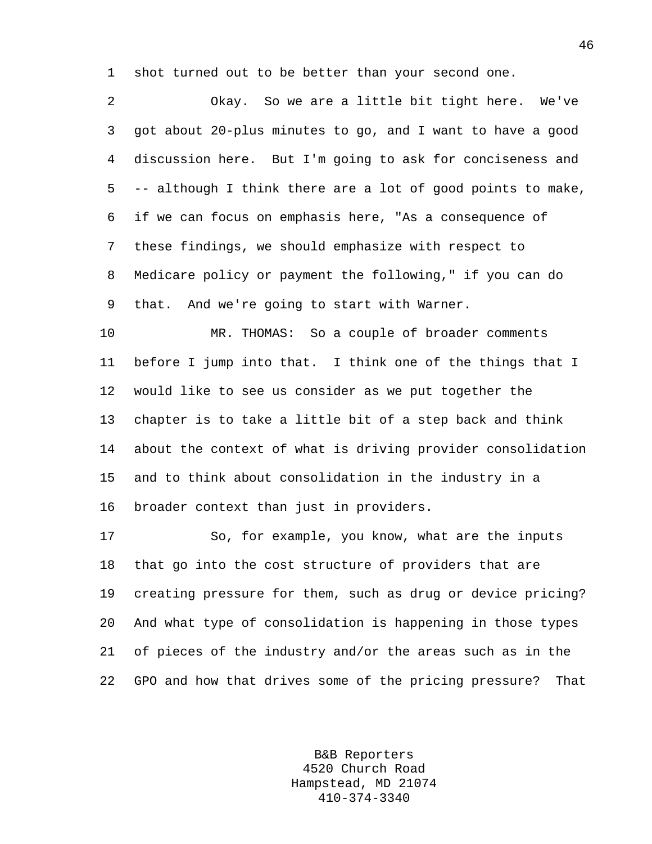1 shot turned out to be better than your second one.

2 Okay. So we are a little bit tight here. We've 3 got about 20-plus minutes to go, and I want to have a good 4 discussion here. But I'm going to ask for conciseness and 5 -- although I think there are a lot of good points to make, 6 if we can focus on emphasis here, "As a consequence of 7 these findings, we should emphasize with respect to 8 Medicare policy or payment the following," if you can do 9 that. And we're going to start with Warner.

10 MR. THOMAS: So a couple of broader comments 11 before I jump into that. I think one of the things that I 12 would like to see us consider as we put together the 13 chapter is to take a little bit of a step back and think 14 about the context of what is driving provider consolidation 15 and to think about consolidation in the industry in a 16 broader context than just in providers.

17 So, for example, you know, what are the inputs 18 that go into the cost structure of providers that are 19 creating pressure for them, such as drug or device pricing? 20 And what type of consolidation is happening in those types 21 of pieces of the industry and/or the areas such as in the 22 GPO and how that drives some of the pricing pressure? That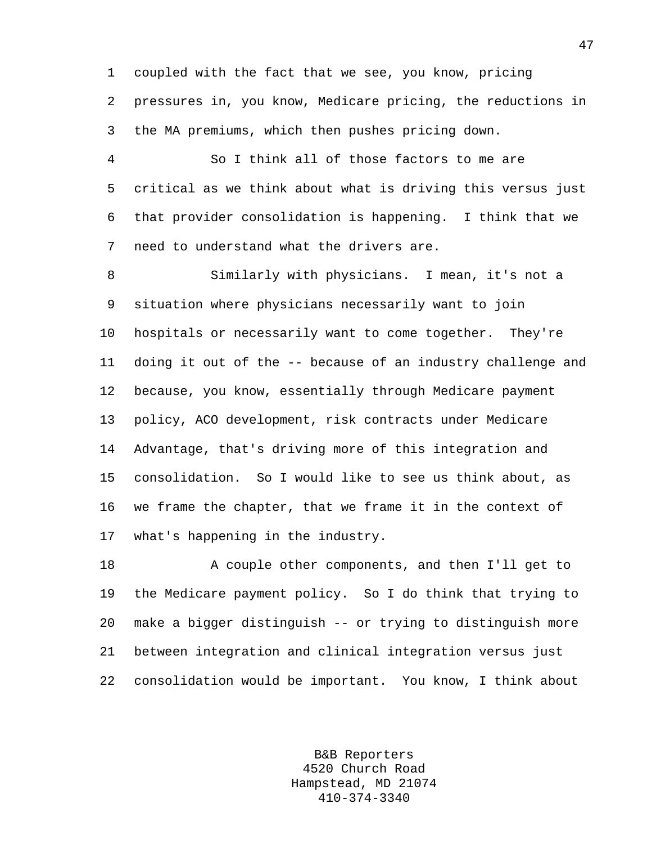1 coupled with the fact that we see, you know, pricing 2 pressures in, you know, Medicare pricing, the reductions in 3 the MA premiums, which then pushes pricing down.

4 So I think all of those factors to me are 5 critical as we think about what is driving this versus just 6 that provider consolidation is happening. I think that we 7 need to understand what the drivers are.

8 Similarly with physicians. I mean, it's not a 9 situation where physicians necessarily want to join 10 hospitals or necessarily want to come together. They're 11 doing it out of the -- because of an industry challenge and 12 because, you know, essentially through Medicare payment 13 policy, ACO development, risk contracts under Medicare 14 Advantage, that's driving more of this integration and 15 consolidation. So I would like to see us think about, as 16 we frame the chapter, that we frame it in the context of 17 what's happening in the industry.

18 A couple other components, and then I'll get to 19 the Medicare payment policy. So I do think that trying to 20 make a bigger distinguish -- or trying to distinguish more 21 between integration and clinical integration versus just 22 consolidation would be important. You know, I think about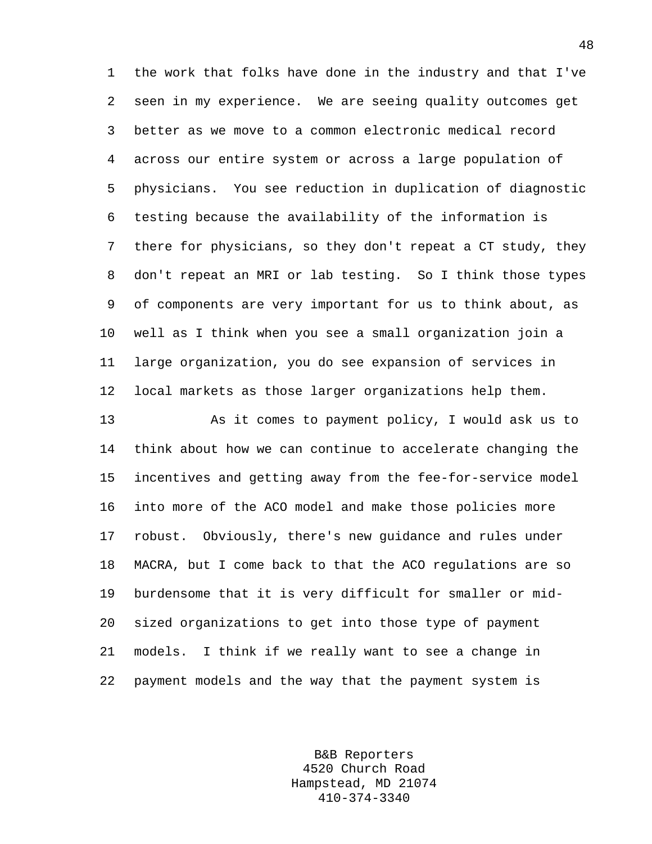1 the work that folks have done in the industry and that I've 2 seen in my experience. We are seeing quality outcomes get 3 better as we move to a common electronic medical record 4 across our entire system or across a large population of 5 physicians. You see reduction in duplication of diagnostic 6 testing because the availability of the information is 7 there for physicians, so they don't repeat a CT study, they 8 don't repeat an MRI or lab testing. So I think those types 9 of components are very important for us to think about, as 10 well as I think when you see a small organization join a 11 large organization, you do see expansion of services in 12 local markets as those larger organizations help them.

13 As it comes to payment policy, I would ask us to 14 think about how we can continue to accelerate changing the 15 incentives and getting away from the fee-for-service model 16 into more of the ACO model and make those policies more 17 robust. Obviously, there's new guidance and rules under 18 MACRA, but I come back to that the ACO regulations are so 19 burdensome that it is very difficult for smaller or mid-20 sized organizations to get into those type of payment 21 models. I think if we really want to see a change in 22 payment models and the way that the payment system is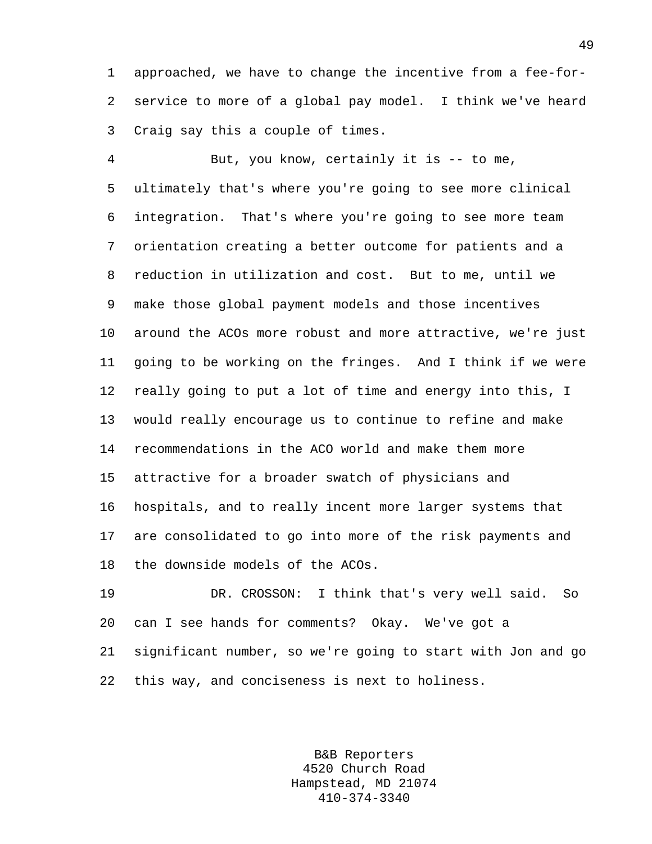1 approached, we have to change the incentive from a fee-for-2 service to more of a global pay model. I think we've heard 3 Craig say this a couple of times.

4 But, you know, certainly it is -- to me, 5 ultimately that's where you're going to see more clinical 6 integration. That's where you're going to see more team 7 orientation creating a better outcome for patients and a 8 reduction in utilization and cost. But to me, until we 9 make those global payment models and those incentives 10 around the ACOs more robust and more attractive, we're just 11 going to be working on the fringes. And I think if we were 12 really going to put a lot of time and energy into this, I 13 would really encourage us to continue to refine and make 14 recommendations in the ACO world and make them more 15 attractive for a broader swatch of physicians and 16 hospitals, and to really incent more larger systems that 17 are consolidated to go into more of the risk payments and 18 the downside models of the ACOs.

19 DR. CROSSON: I think that's very well said. So 20 can I see hands for comments? Okay. We've got a 21 significant number, so we're going to start with Jon and go 22 this way, and conciseness is next to holiness.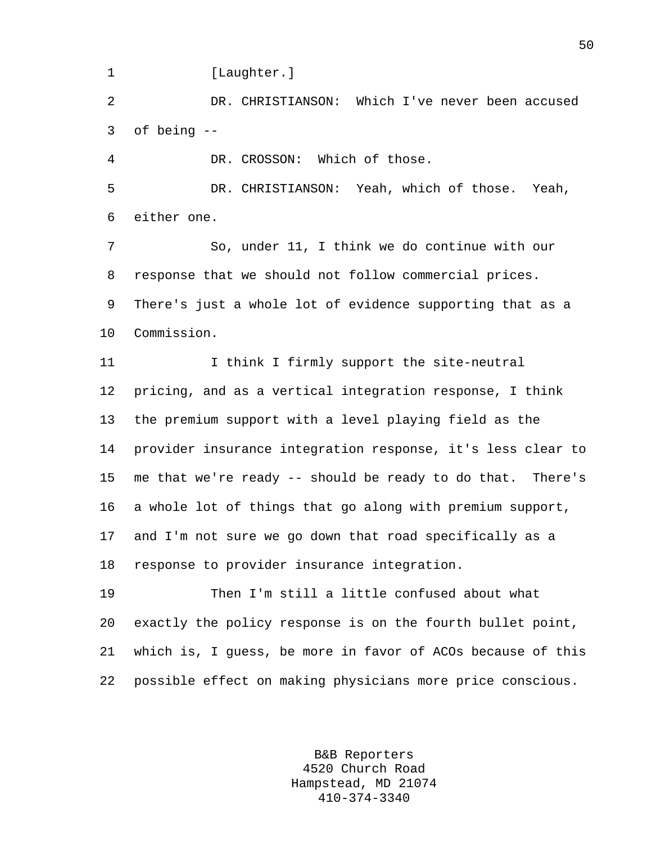1 [Laughter.]

2 DR. CHRISTIANSON: Which I've never been accused 3 of being --

4 DR. CROSSON: Which of those.

5 DR. CHRISTIANSON: Yeah, which of those. Yeah, 6 either one.

7 So, under 11, I think we do continue with our 8 response that we should not follow commercial prices. 9 There's just a whole lot of evidence supporting that as a 10 Commission.

11 11 I think I firmly support the site-neutral 12 pricing, and as a vertical integration response, I think 13 the premium support with a level playing field as the 14 provider insurance integration response, it's less clear to 15 me that we're ready -- should be ready to do that. There's 16 a whole lot of things that go along with premium support, 17 and I'm not sure we go down that road specifically as a 18 response to provider insurance integration.

19 Then I'm still a little confused about what 20 exactly the policy response is on the fourth bullet point, 21 which is, I guess, be more in favor of ACOs because of this 22 possible effect on making physicians more price conscious.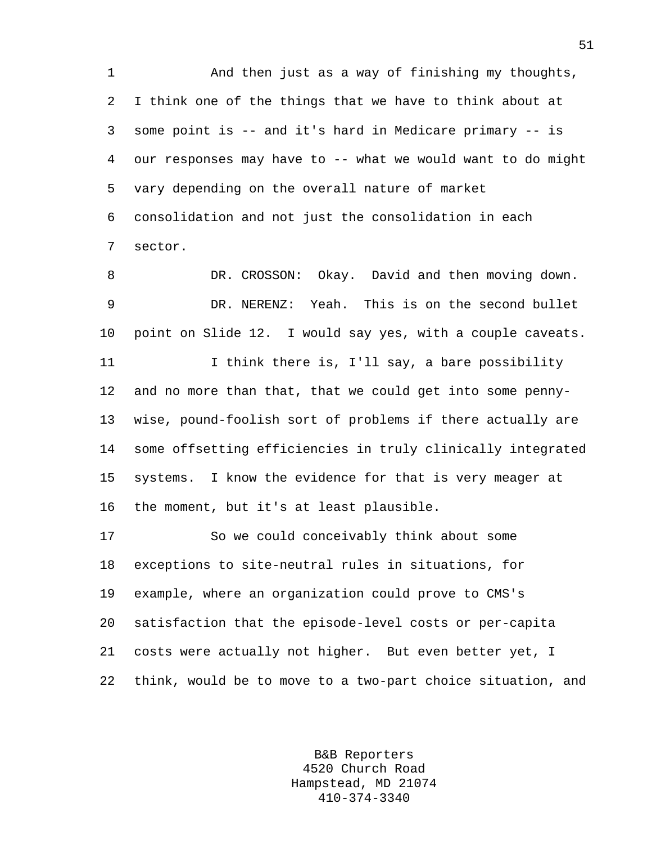1 And then just as a way of finishing my thoughts, 2 I think one of the things that we have to think about at 3 some point is -- and it's hard in Medicare primary -- is 4 our responses may have to -- what we would want to do might 5 vary depending on the overall nature of market 6 consolidation and not just the consolidation in each 7 sector.

8 DR. CROSSON: Okay. David and then moving down. 9 DR. NERENZ: Yeah. This is on the second bullet 10 point on Slide 12. I would say yes, with a couple caveats. 11 I think there is, I'll say, a bare possibility 12 and no more than that, that we could get into some penny-13 wise, pound-foolish sort of problems if there actually are 14 some offsetting efficiencies in truly clinically integrated 15 systems. I know the evidence for that is very meager at 16 the moment, but it's at least plausible.

17 So we could conceivably think about some 18 exceptions to site-neutral rules in situations, for 19 example, where an organization could prove to CMS's 20 satisfaction that the episode-level costs or per-capita 21 costs were actually not higher. But even better yet, I 22 think, would be to move to a two-part choice situation, and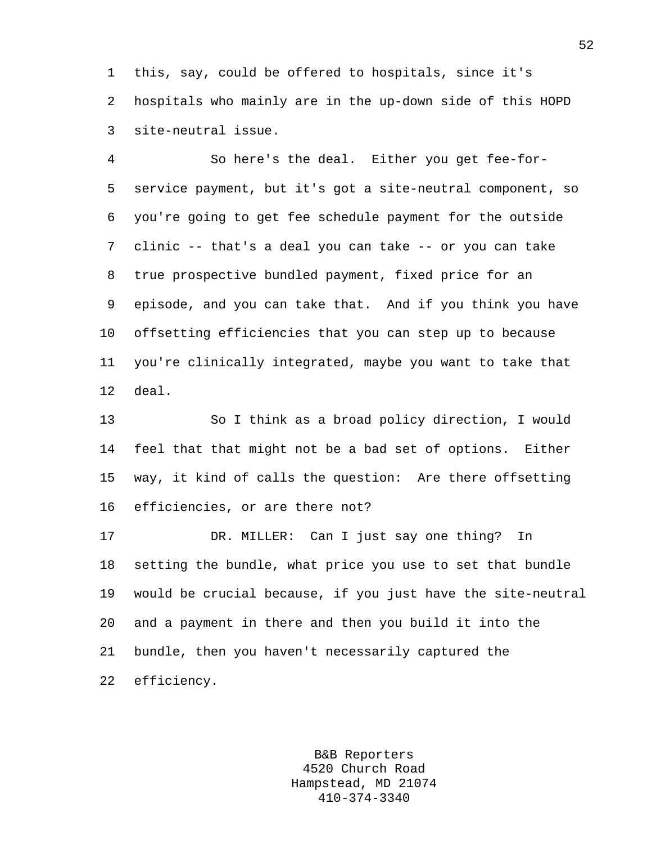1 this, say, could be offered to hospitals, since it's 2 hospitals who mainly are in the up-down side of this HOPD 3 site-neutral issue.

4 So here's the deal. Either you get fee-for-5 service payment, but it's got a site-neutral component, so 6 you're going to get fee schedule payment for the outside 7 clinic -- that's a deal you can take -- or you can take 8 true prospective bundled payment, fixed price for an 9 episode, and you can take that. And if you think you have 10 offsetting efficiencies that you can step up to because 11 you're clinically integrated, maybe you want to take that 12 deal.

13 So I think as a broad policy direction, I would 14 feel that that might not be a bad set of options. Either 15 way, it kind of calls the question: Are there offsetting 16 efficiencies, or are there not?

17 DR. MILLER: Can I just say one thing? In 18 setting the bundle, what price you use to set that bundle 19 would be crucial because, if you just have the site-neutral 20 and a payment in there and then you build it into the 21 bundle, then you haven't necessarily captured the 22 efficiency.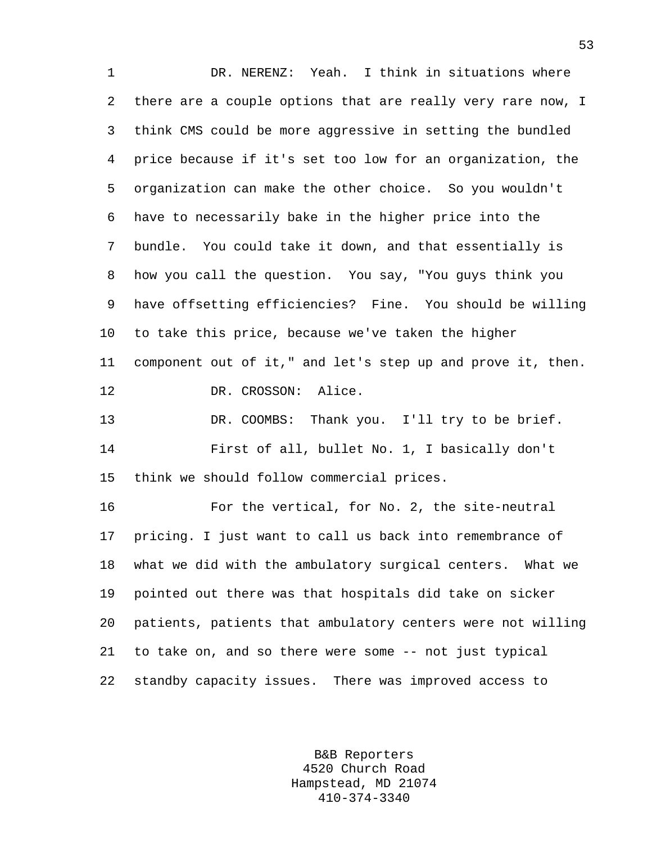1 DR. NERENZ: Yeah. I think in situations where 2 there are a couple options that are really very rare now, I 3 think CMS could be more aggressive in setting the bundled 4 price because if it's set too low for an organization, the 5 organization can make the other choice. So you wouldn't 6 have to necessarily bake in the higher price into the 7 bundle. You could take it down, and that essentially is 8 how you call the question. You say, "You guys think you 9 have offsetting efficiencies? Fine. You should be willing 10 to take this price, because we've taken the higher 11 component out of it," and let's step up and prove it, then. 12 DR. CROSSON: Alice. 13 DR. COOMBS: Thank you. I'll try to be brief. 14 First of all, bullet No. 1, I basically don't 15 think we should follow commercial prices. 16 For the vertical, for No. 2, the site-neutral 17 pricing. I just want to call us back into remembrance of 18 what we did with the ambulatory surgical centers. What we 19 pointed out there was that hospitals did take on sicker 20 patients, patients that ambulatory centers were not willing 21 to take on, and so there were some -- not just typical 22 standby capacity issues. There was improved access to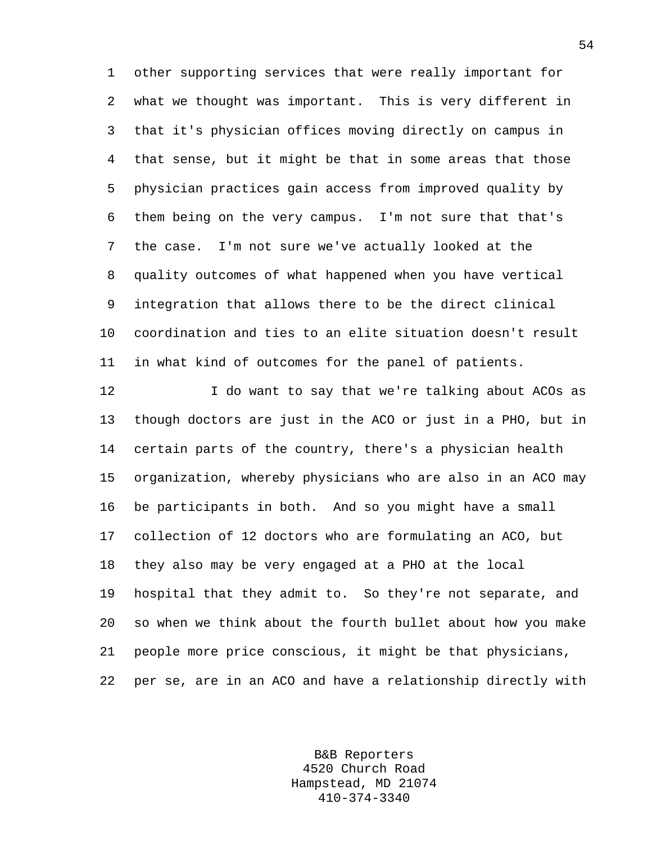1 other supporting services that were really important for 2 what we thought was important. This is very different in 3 that it's physician offices moving directly on campus in 4 that sense, but it might be that in some areas that those 5 physician practices gain access from improved quality by 6 them being on the very campus. I'm not sure that that's 7 the case. I'm not sure we've actually looked at the 8 quality outcomes of what happened when you have vertical 9 integration that allows there to be the direct clinical 10 coordination and ties to an elite situation doesn't result 11 in what kind of outcomes for the panel of patients.

12 I do want to say that we're talking about ACOs as 13 though doctors are just in the ACO or just in a PHO, but in 14 certain parts of the country, there's a physician health 15 organization, whereby physicians who are also in an ACO may 16 be participants in both. And so you might have a small 17 collection of 12 doctors who are formulating an ACO, but 18 they also may be very engaged at a PHO at the local 19 hospital that they admit to. So they're not separate, and 20 so when we think about the fourth bullet about how you make 21 people more price conscious, it might be that physicians, 22 per se, are in an ACO and have a relationship directly with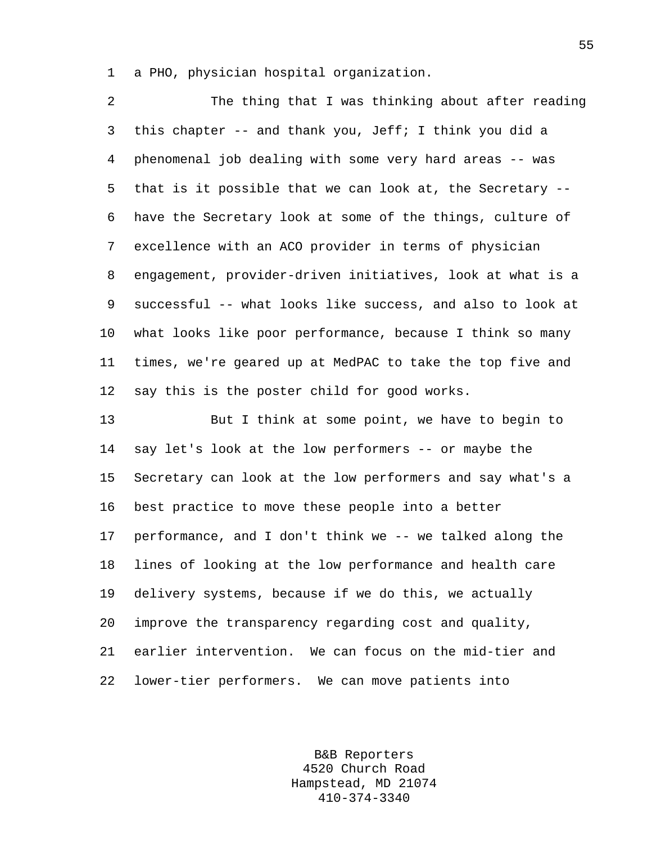1 a PHO, physician hospital organization.

2 The thing that I was thinking about after reading 3 this chapter -- and thank you, Jeff; I think you did a 4 phenomenal job dealing with some very hard areas -- was 5 that is it possible that we can look at, the Secretary -- 6 have the Secretary look at some of the things, culture of 7 excellence with an ACO provider in terms of physician 8 engagement, provider-driven initiatives, look at what is a 9 successful -- what looks like success, and also to look at 10 what looks like poor performance, because I think so many 11 times, we're geared up at MedPAC to take the top five and 12 say this is the poster child for good works.

13 But I think at some point, we have to begin to 14 say let's look at the low performers -- or maybe the 15 Secretary can look at the low performers and say what's a 16 best practice to move these people into a better 17 performance, and I don't think we -- we talked along the 18 lines of looking at the low performance and health care 19 delivery systems, because if we do this, we actually 20 improve the transparency regarding cost and quality, 21 earlier intervention. We can focus on the mid-tier and 22 lower-tier performers. We can move patients into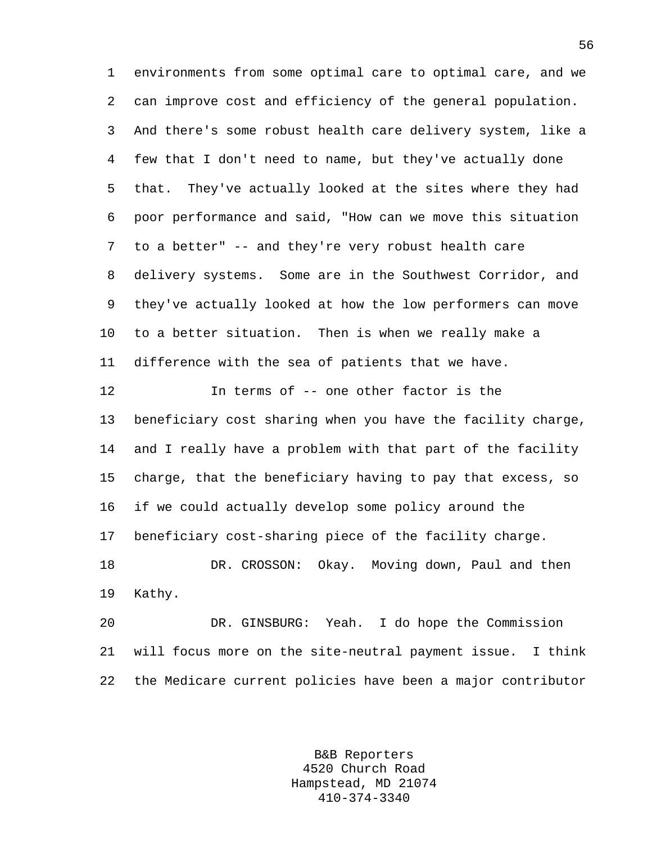1 environments from some optimal care to optimal care, and we 2 can improve cost and efficiency of the general population. 3 And there's some robust health care delivery system, like a 4 few that I don't need to name, but they've actually done 5 that. They've actually looked at the sites where they had 6 poor performance and said, "How can we move this situation 7 to a better" -- and they're very robust health care 8 delivery systems. Some are in the Southwest Corridor, and 9 they've actually looked at how the low performers can move 10 to a better situation. Then is when we really make a 11 difference with the sea of patients that we have.

12 In terms of -- one other factor is the 13 beneficiary cost sharing when you have the facility charge, 14 and I really have a problem with that part of the facility 15 charge, that the beneficiary having to pay that excess, so 16 if we could actually develop some policy around the 17 beneficiary cost-sharing piece of the facility charge. 18 DR. CROSSON: Okay. Moving down, Paul and then 19 Kathy.

20 DR. GINSBURG: Yeah. I do hope the Commission 21 will focus more on the site-neutral payment issue. I think 22 the Medicare current policies have been a major contributor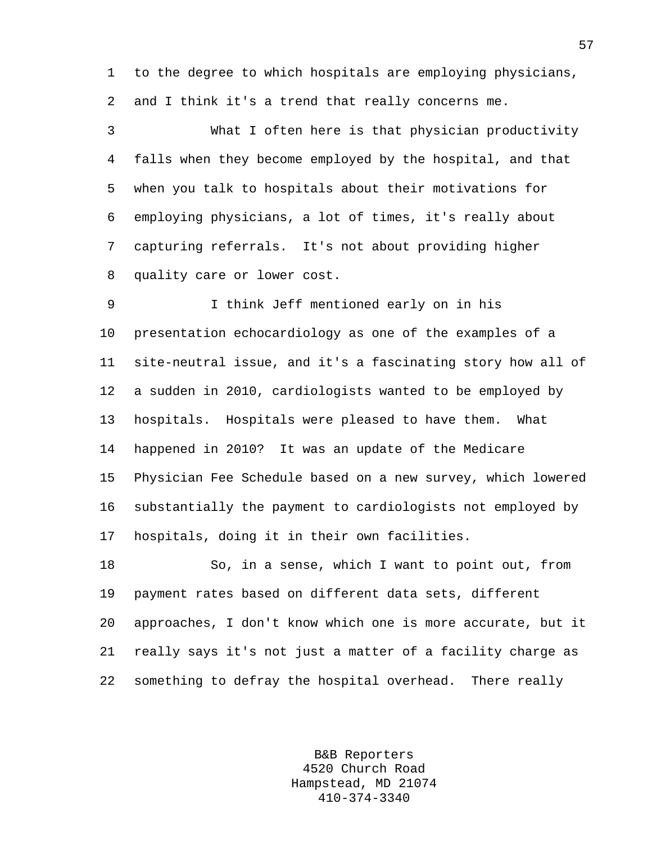1 to the degree to which hospitals are employing physicians, 2 and I think it's a trend that really concerns me.

3 What I often here is that physician productivity 4 falls when they become employed by the hospital, and that 5 when you talk to hospitals about their motivations for 6 employing physicians, a lot of times, it's really about 7 capturing referrals. It's not about providing higher 8 quality care or lower cost.

9 I think Jeff mentioned early on in his 10 presentation echocardiology as one of the examples of a 11 site-neutral issue, and it's a fascinating story how all of 12 a sudden in 2010, cardiologists wanted to be employed by 13 hospitals. Hospitals were pleased to have them. What 14 happened in 2010? It was an update of the Medicare 15 Physician Fee Schedule based on a new survey, which lowered 16 substantially the payment to cardiologists not employed by 17 hospitals, doing it in their own facilities.

18 So, in a sense, which I want to point out, from 19 payment rates based on different data sets, different 20 approaches, I don't know which one is more accurate, but it 21 really says it's not just a matter of a facility charge as 22 something to defray the hospital overhead. There really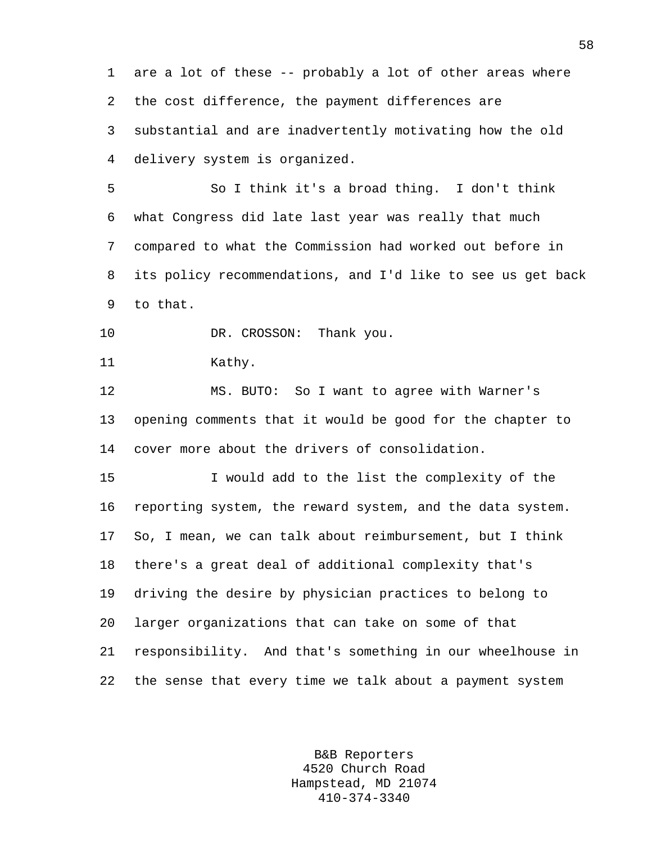1 are a lot of these -- probably a lot of other areas where 2 the cost difference, the payment differences are 3 substantial and are inadvertently motivating how the old 4 delivery system is organized.

5 So I think it's a broad thing. I don't think 6 what Congress did late last year was really that much 7 compared to what the Commission had worked out before in 8 its policy recommendations, and I'd like to see us get back 9 to that.

10 DR. CROSSON: Thank you.

11 Kathy.

12 MS. BUTO: So I want to agree with Warner's 13 opening comments that it would be good for the chapter to 14 cover more about the drivers of consolidation.

15 I would add to the list the complexity of the 16 reporting system, the reward system, and the data system. 17 So, I mean, we can talk about reimbursement, but I think 18 there's a great deal of additional complexity that's 19 driving the desire by physician practices to belong to 20 larger organizations that can take on some of that 21 responsibility. And that's something in our wheelhouse in 22 the sense that every time we talk about a payment system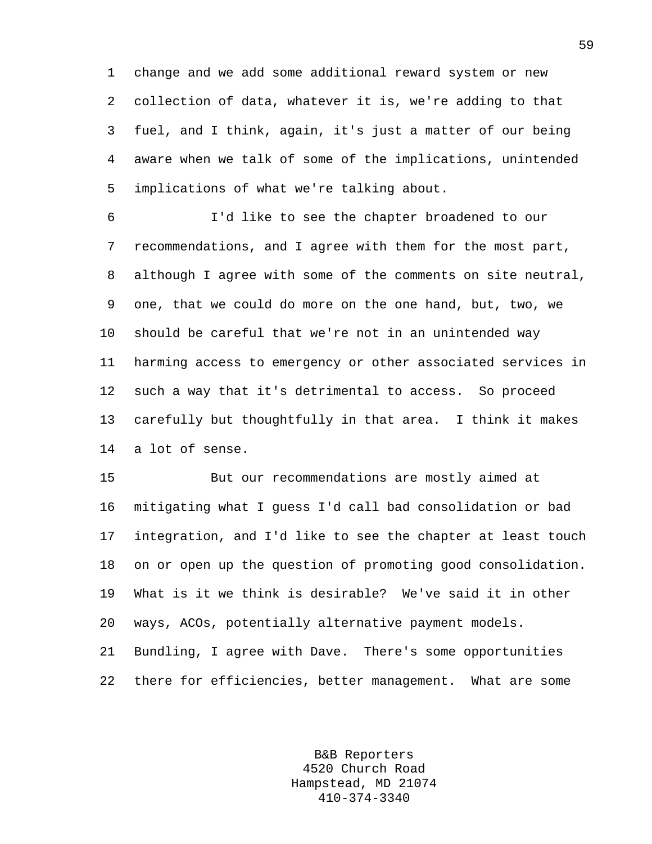1 change and we add some additional reward system or new 2 collection of data, whatever it is, we're adding to that 3 fuel, and I think, again, it's just a matter of our being 4 aware when we talk of some of the implications, unintended 5 implications of what we're talking about.

6 I'd like to see the chapter broadened to our 7 recommendations, and I agree with them for the most part, 8 although I agree with some of the comments on site neutral, 9 one, that we could do more on the one hand, but, two, we 10 should be careful that we're not in an unintended way 11 harming access to emergency or other associated services in 12 such a way that it's detrimental to access. So proceed 13 carefully but thoughtfully in that area. I think it makes 14 a lot of sense.

15 But our recommendations are mostly aimed at 16 mitigating what I guess I'd call bad consolidation or bad 17 integration, and I'd like to see the chapter at least touch 18 on or open up the question of promoting good consolidation. 19 What is it we think is desirable? We've said it in other 20 ways, ACOs, potentially alternative payment models. 21 Bundling, I agree with Dave. There's some opportunities 22 there for efficiencies, better management. What are some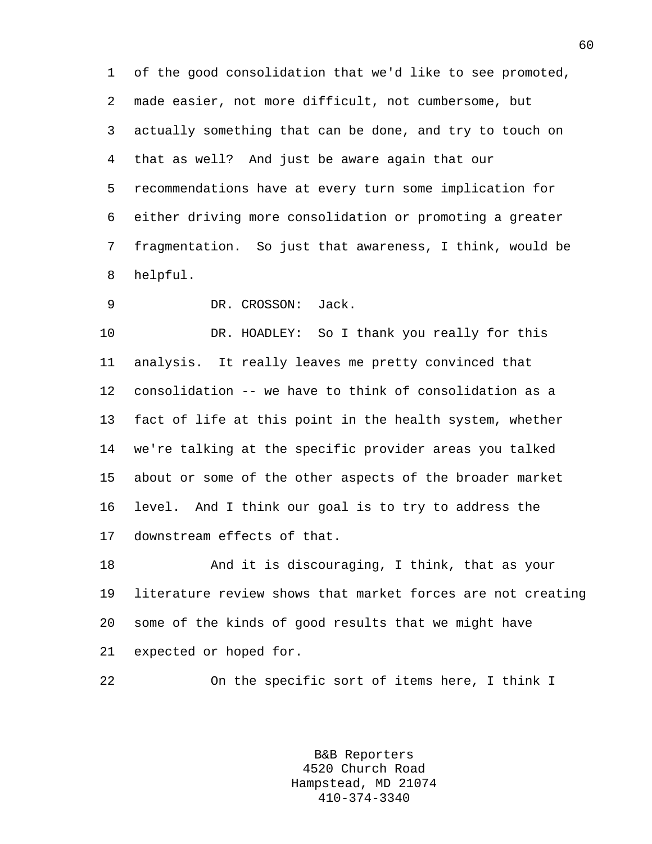1 of the good consolidation that we'd like to see promoted, 2 made easier, not more difficult, not cumbersome, but 3 actually something that can be done, and try to touch on 4 that as well? And just be aware again that our 5 recommendations have at every turn some implication for 6 either driving more consolidation or promoting a greater 7 fragmentation. So just that awareness, I think, would be 8 helpful.

9 DR. CROSSON: Jack.

10 DR. HOADLEY: So I thank you really for this 11 analysis. It really leaves me pretty convinced that 12 consolidation -- we have to think of consolidation as a 13 fact of life at this point in the health system, whether 14 we're talking at the specific provider areas you talked 15 about or some of the other aspects of the broader market 16 level. And I think our goal is to try to address the 17 downstream effects of that.

18 And it is discouraging, I think, that as your 19 literature review shows that market forces are not creating 20 some of the kinds of good results that we might have 21 expected or hoped for.

22 On the specific sort of items here, I think I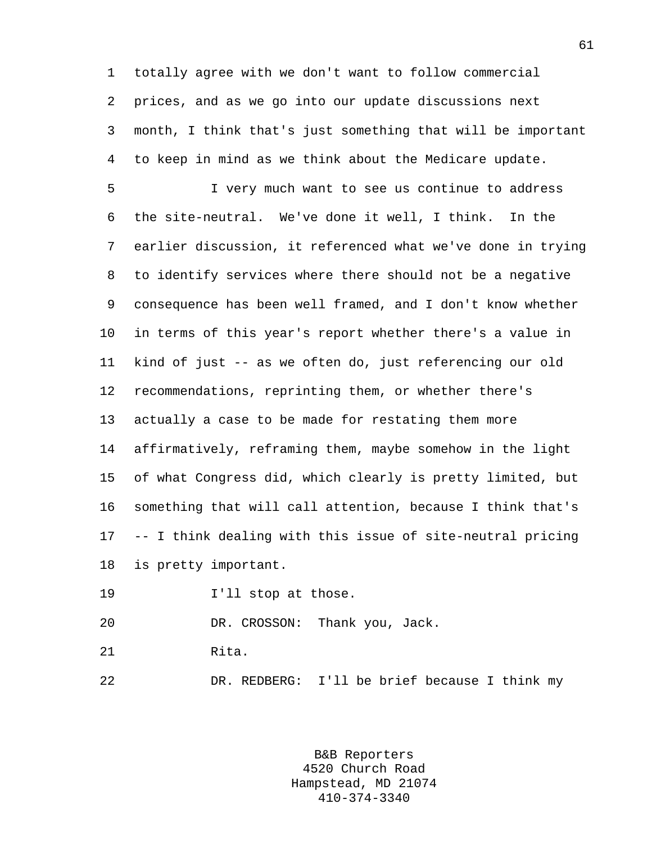1 totally agree with we don't want to follow commercial 2 prices, and as we go into our update discussions next 3 month, I think that's just something that will be important 4 to keep in mind as we think about the Medicare update.

5 I very much want to see us continue to address 6 the site-neutral. We've done it well, I think. In the 7 earlier discussion, it referenced what we've done in trying 8 to identify services where there should not be a negative 9 consequence has been well framed, and I don't know whether 10 in terms of this year's report whether there's a value in 11 kind of just -- as we often do, just referencing our old 12 recommendations, reprinting them, or whether there's 13 actually a case to be made for restating them more 14 affirmatively, reframing them, maybe somehow in the light 15 of what Congress did, which clearly is pretty limited, but 16 something that will call attention, because I think that's 17 -- I think dealing with this issue of site-neutral pricing 18 is pretty important.

19 **I'll** stop at those.

20 DR. CROSSON: Thank you, Jack.

21 Rita.

22 DR. REDBERG: I'll be brief because I think my

B&B Reporters 4520 Church Road Hampstead, MD 21074 410-374-3340

61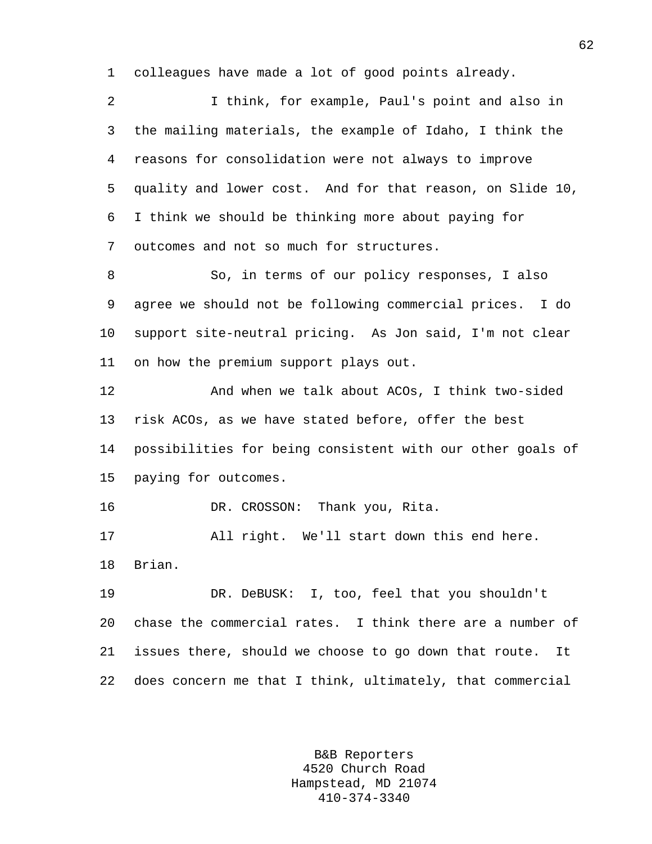1 colleagues have made a lot of good points already.

2 I think, for example, Paul's point and also in 3 the mailing materials, the example of Idaho, I think the 4 reasons for consolidation were not always to improve 5 quality and lower cost. And for that reason, on Slide 10, 6 I think we should be thinking more about paying for 7 outcomes and not so much for structures.

8 So, in terms of our policy responses, I also 9 agree we should not be following commercial prices. I do 10 support site-neutral pricing. As Jon said, I'm not clear 11 on how the premium support plays out.

12 And when we talk about ACOs, I think two-sided 13 risk ACOs, as we have stated before, offer the best 14 possibilities for being consistent with our other goals of 15 paying for outcomes.

16 DR. CROSSON: Thank you, Rita.

17 All right. We'll start down this end here. 18 Brian.

19 DR. DeBUSK: I, too, feel that you shouldn't 20 chase the commercial rates. I think there are a number of 21 issues there, should we choose to go down that route. It 22 does concern me that I think, ultimately, that commercial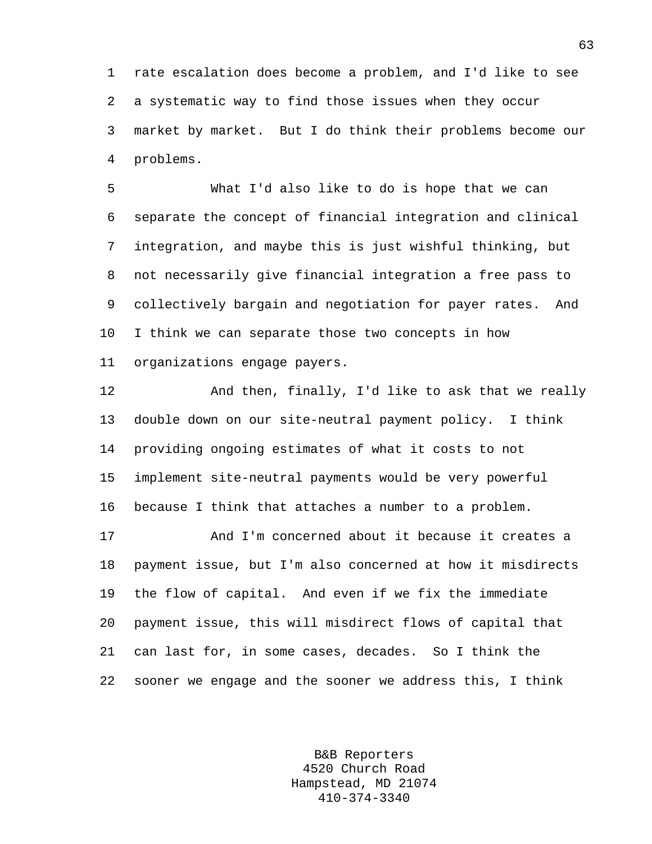1 rate escalation does become a problem, and I'd like to see 2 a systematic way to find those issues when they occur 3 market by market. But I do think their problems become our 4 problems.

5 What I'd also like to do is hope that we can 6 separate the concept of financial integration and clinical 7 integration, and maybe this is just wishful thinking, but 8 not necessarily give financial integration a free pass to 9 collectively bargain and negotiation for payer rates. And 10 I think we can separate those two concepts in how 11 organizations engage payers.

12 And then, finally, I'd like to ask that we really 13 double down on our site-neutral payment policy. I think 14 providing ongoing estimates of what it costs to not 15 implement site-neutral payments would be very powerful 16 because I think that attaches a number to a problem. 17 And I'm concerned about it because it creates a 18 payment issue, but I'm also concerned at how it misdirects 19 the flow of capital. And even if we fix the immediate 20 payment issue, this will misdirect flows of capital that 21 can last for, in some cases, decades. So I think the

22 sooner we engage and the sooner we address this, I think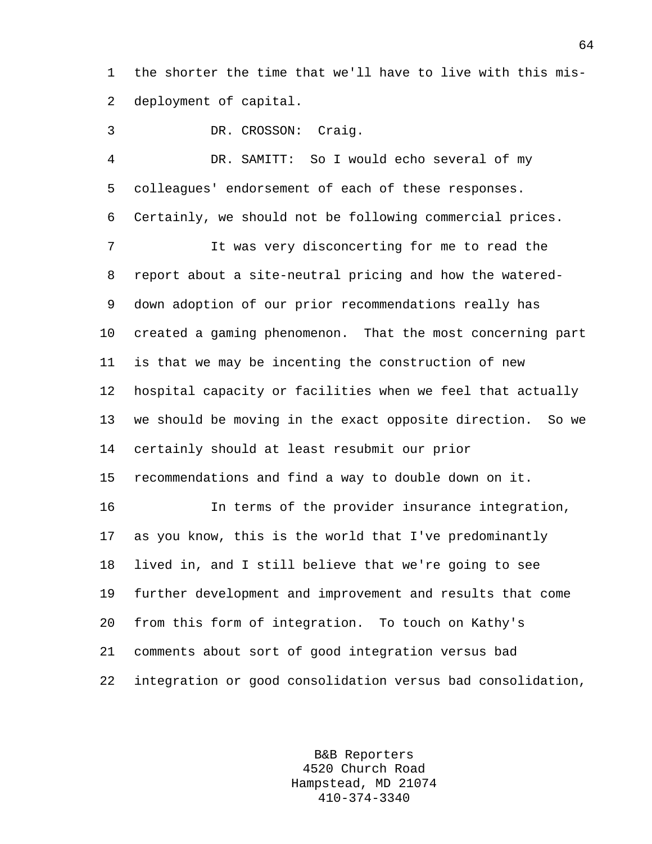1 the shorter the time that we'll have to live with this mis-2 deployment of capital.

3 DR. CROSSON: Craig.

4 DR. SAMITT: So I would echo several of my 5 colleagues' endorsement of each of these responses. 6 Certainly, we should not be following commercial prices. 7 It was very disconcerting for me to read the 8 report about a site-neutral pricing and how the watered-9 down adoption of our prior recommendations really has 10 created a gaming phenomenon. That the most concerning part 11 is that we may be incenting the construction of new 12 hospital capacity or facilities when we feel that actually 13 we should be moving in the exact opposite direction. So we 14 certainly should at least resubmit our prior 15 recommendations and find a way to double down on it. 16 In terms of the provider insurance integration, 17 as you know, this is the world that I've predominantly 18 lived in, and I still believe that we're going to see 19 further development and improvement and results that come 20 from this form of integration. To touch on Kathy's 21 comments about sort of good integration versus bad 22 integration or good consolidation versus bad consolidation,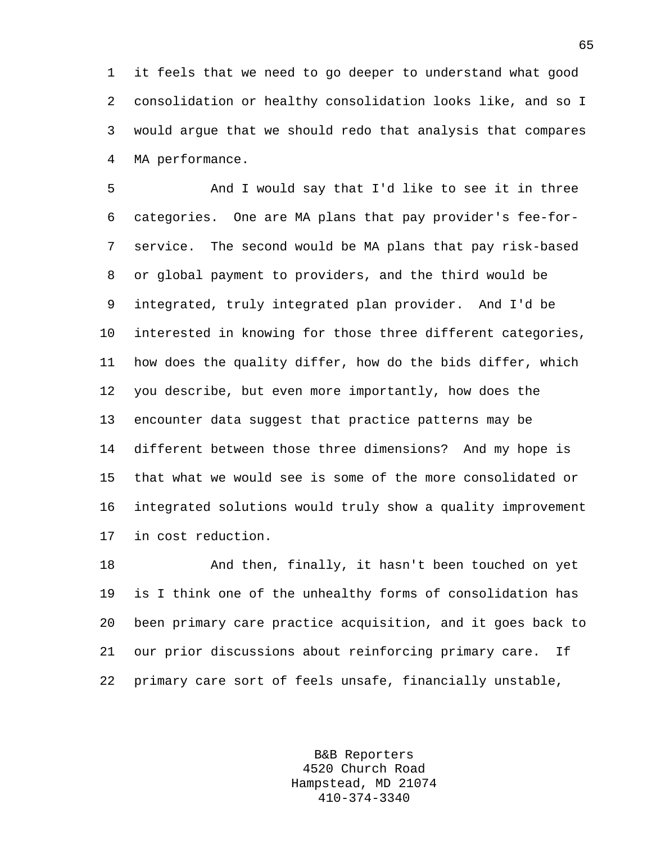1 it feels that we need to go deeper to understand what good 2 consolidation or healthy consolidation looks like, and so I 3 would argue that we should redo that analysis that compares 4 MA performance.

5 And I would say that I'd like to see it in three 6 categories. One are MA plans that pay provider's fee-for-7 service. The second would be MA plans that pay risk-based 8 or global payment to providers, and the third would be 9 integrated, truly integrated plan provider. And I'd be 10 interested in knowing for those three different categories, 11 how does the quality differ, how do the bids differ, which 12 you describe, but even more importantly, how does the 13 encounter data suggest that practice patterns may be 14 different between those three dimensions? And my hope is 15 that what we would see is some of the more consolidated or 16 integrated solutions would truly show a quality improvement 17 in cost reduction.

18 And then, finally, it hasn't been touched on yet 19 is I think one of the unhealthy forms of consolidation has 20 been primary care practice acquisition, and it goes back to 21 our prior discussions about reinforcing primary care. If 22 primary care sort of feels unsafe, financially unstable,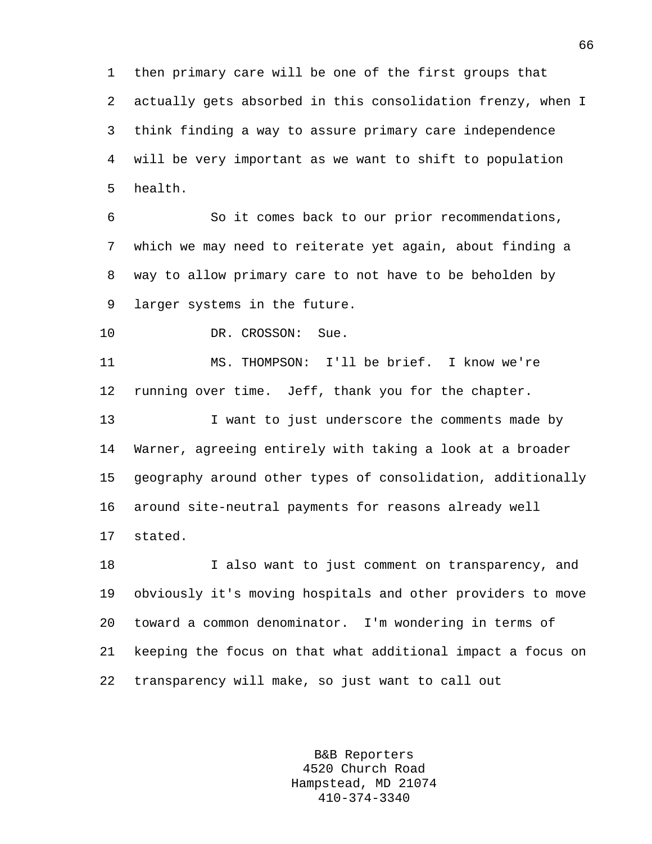1 then primary care will be one of the first groups that 2 actually gets absorbed in this consolidation frenzy, when I 3 think finding a way to assure primary care independence 4 will be very important as we want to shift to population 5 health.

6 So it comes back to our prior recommendations, 7 which we may need to reiterate yet again, about finding a 8 way to allow primary care to not have to be beholden by 9 larger systems in the future.

10 DR. CROSSON: Sue.

11 MS. THOMPSON: I'll be brief. I know we're 12 running over time. Jeff, thank you for the chapter.

13 I want to just underscore the comments made by 14 Warner, agreeing entirely with taking a look at a broader 15 geography around other types of consolidation, additionally 16 around site-neutral payments for reasons already well 17 stated.

18 I also want to just comment on transparency, and 19 obviously it's moving hospitals and other providers to move 20 toward a common denominator. I'm wondering in terms of 21 keeping the focus on that what additional impact a focus on 22 transparency will make, so just want to call out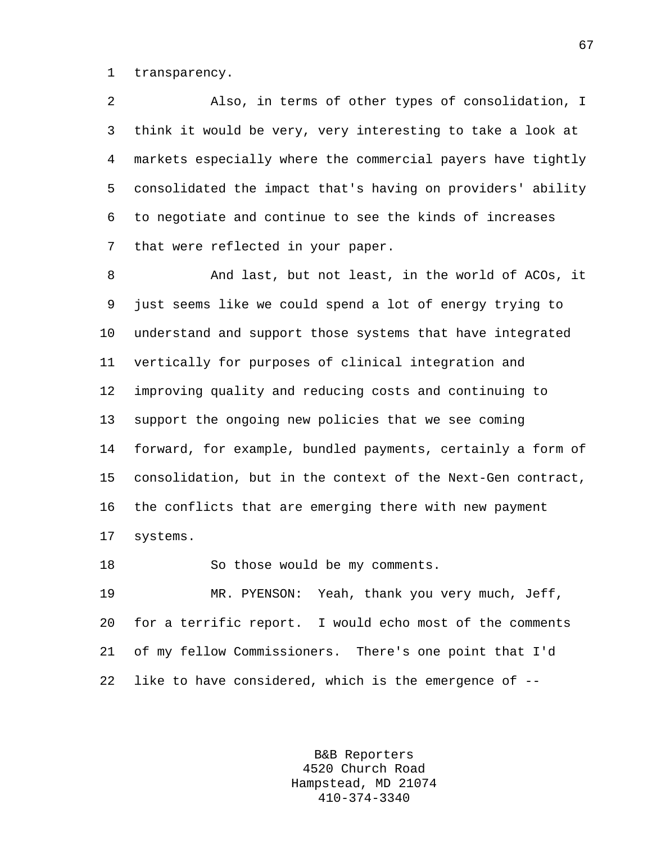1 transparency.

2 Also, in terms of other types of consolidation, I 3 think it would be very, very interesting to take a look at 4 markets especially where the commercial payers have tightly 5 consolidated the impact that's having on providers' ability 6 to negotiate and continue to see the kinds of increases 7 that were reflected in your paper.

8 And last, but not least, in the world of ACOs, it 9 just seems like we could spend a lot of energy trying to 10 understand and support those systems that have integrated 11 vertically for purposes of clinical integration and 12 improving quality and reducing costs and continuing to 13 support the ongoing new policies that we see coming 14 forward, for example, bundled payments, certainly a form of 15 consolidation, but in the context of the Next-Gen contract, 16 the conflicts that are emerging there with new payment 17 systems.

18 So those would be my comments.

19 MR. PYENSON: Yeah, thank you very much, Jeff, 20 for a terrific report. I would echo most of the comments 21 of my fellow Commissioners. There's one point that I'd 22 like to have considered, which is the emergence of --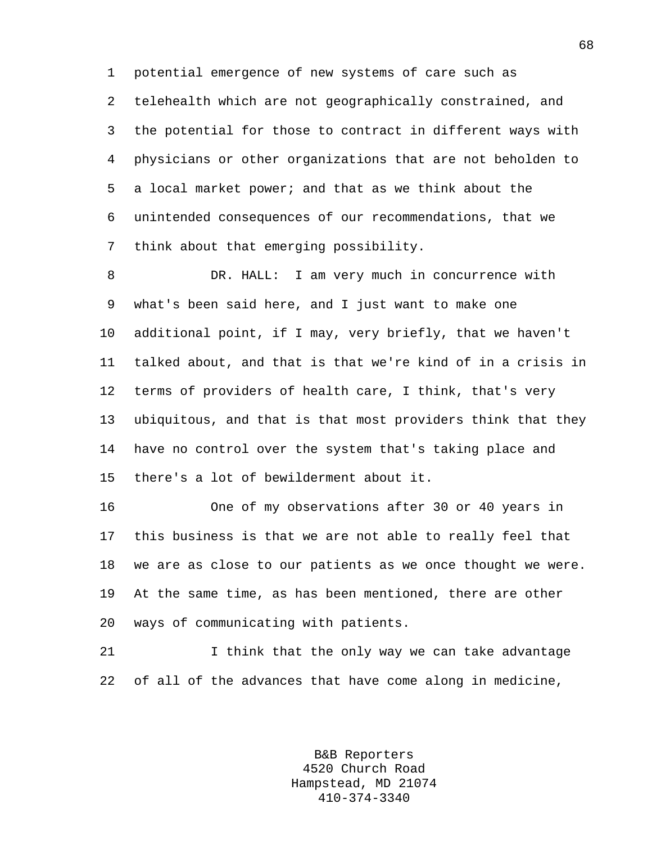1 potential emergence of new systems of care such as 2 telehealth which are not geographically constrained, and 3 the potential for those to contract in different ways with 4 physicians or other organizations that are not beholden to 5 a local market power; and that as we think about the 6 unintended consequences of our recommendations, that we 7 think about that emerging possibility.

8 DR. HALL: I am very much in concurrence with 9 what's been said here, and I just want to make one 10 additional point, if I may, very briefly, that we haven't 11 talked about, and that is that we're kind of in a crisis in 12 terms of providers of health care, I think, that's very 13 ubiquitous, and that is that most providers think that they 14 have no control over the system that's taking place and 15 there's a lot of bewilderment about it.

16 One of my observations after 30 or 40 years in 17 this business is that we are not able to really feel that 18 we are as close to our patients as we once thought we were. 19 At the same time, as has been mentioned, there are other 20 ways of communicating with patients.

21 1 I think that the only way we can take advantage 22 of all of the advances that have come along in medicine,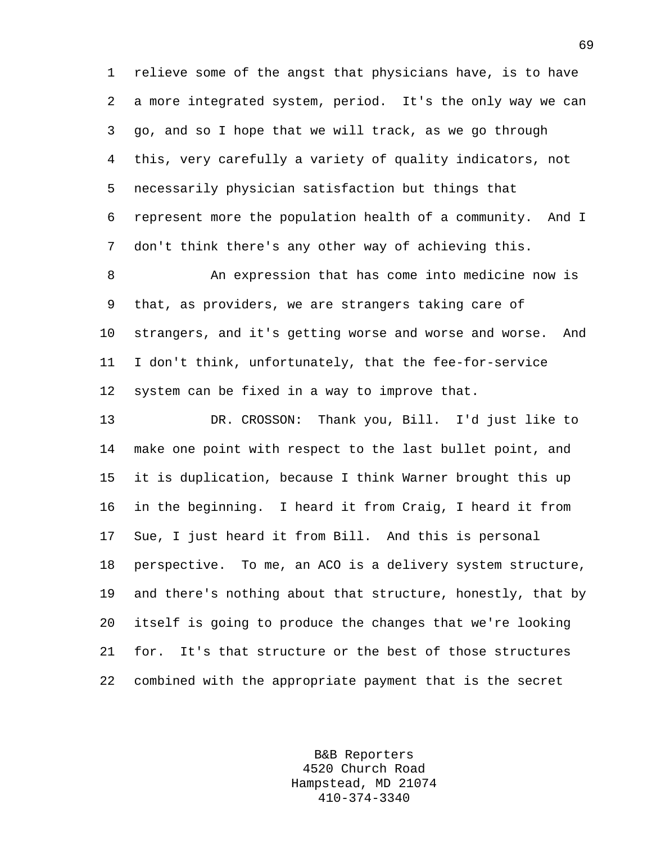1 relieve some of the angst that physicians have, is to have 2 a more integrated system, period. It's the only way we can 3 go, and so I hope that we will track, as we go through 4 this, very carefully a variety of quality indicators, not 5 necessarily physician satisfaction but things that 6 represent more the population health of a community. And I 7 don't think there's any other way of achieving this.

8 An expression that has come into medicine now is 9 that, as providers, we are strangers taking care of 10 strangers, and it's getting worse and worse and worse. And 11 I don't think, unfortunately, that the fee-for-service 12 system can be fixed in a way to improve that.

13 DR. CROSSON: Thank you, Bill. I'd just like to 14 make one point with respect to the last bullet point, and 15 it is duplication, because I think Warner brought this up 16 in the beginning. I heard it from Craig, I heard it from 17 Sue, I just heard it from Bill. And this is personal 18 perspective. To me, an ACO is a delivery system structure, 19 and there's nothing about that structure, honestly, that by 20 itself is going to produce the changes that we're looking 21 for. It's that structure or the best of those structures 22 combined with the appropriate payment that is the secret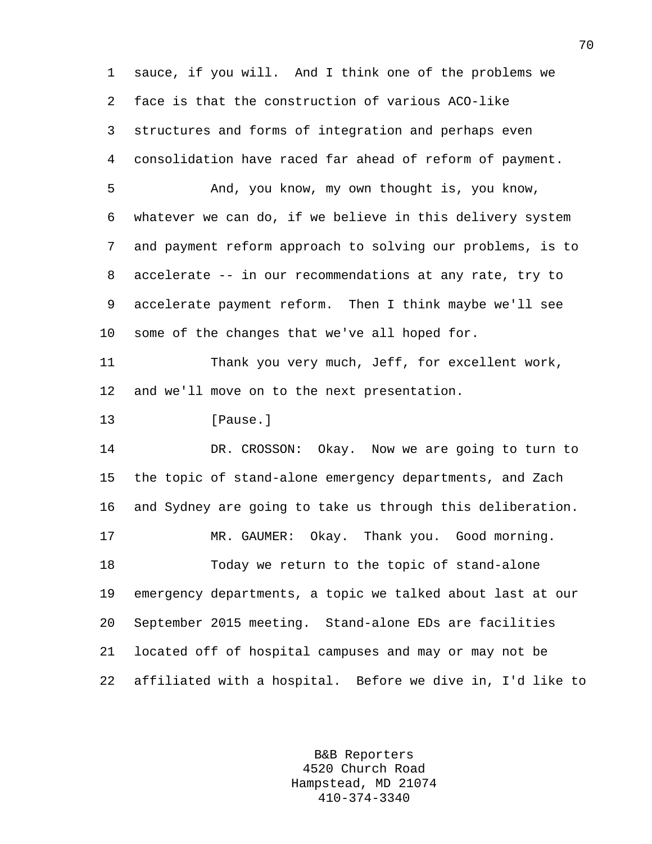1 sauce, if you will. And I think one of the problems we 2 face is that the construction of various ACO-like 3 structures and forms of integration and perhaps even 4 consolidation have raced far ahead of reform of payment. 5 And, you know, my own thought is, you know, 6 whatever we can do, if we believe in this delivery system 7 and payment reform approach to solving our problems, is to 8 accelerate -- in our recommendations at any rate, try to 9 accelerate payment reform. Then I think maybe we'll see 10 some of the changes that we've all hoped for. 11 Thank you very much, Jeff, for excellent work, 12 and we'll move on to the next presentation. 13 **I**Pause. 14 DR. CROSSON: Okay. Now we are going to turn to 15 the topic of stand-alone emergency departments, and Zach 16 and Sydney are going to take us through this deliberation. 17 MR. GAUMER: Okay. Thank you. Good morning. 18 Today we return to the topic of stand-alone 19 emergency departments, a topic we talked about last at our 20 September 2015 meeting. Stand-alone EDs are facilities 21 located off of hospital campuses and may or may not be 22 affiliated with a hospital. Before we dive in, I'd like to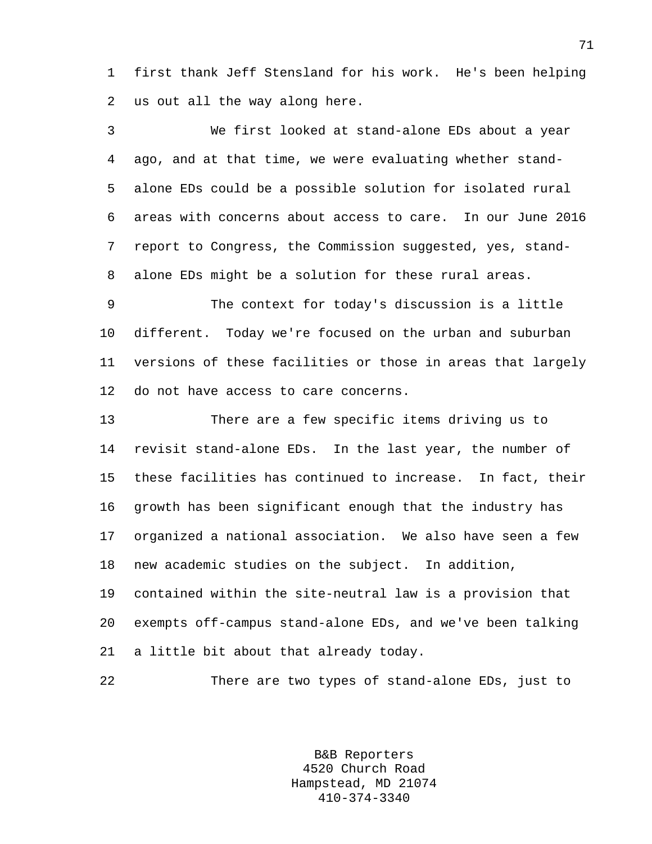1 first thank Jeff Stensland for his work. He's been helping 2 us out all the way along here.

3 We first looked at stand-alone EDs about a year 4 ago, and at that time, we were evaluating whether stand-5 alone EDs could be a possible solution for isolated rural 6 areas with concerns about access to care. In our June 2016 7 report to Congress, the Commission suggested, yes, stand-8 alone EDs might be a solution for these rural areas.

9 The context for today's discussion is a little 10 different. Today we're focused on the urban and suburban 11 versions of these facilities or those in areas that largely 12 do not have access to care concerns.

13 There are a few specific items driving us to 14 revisit stand-alone EDs. In the last year, the number of 15 these facilities has continued to increase. In fact, their 16 growth has been significant enough that the industry has 17 organized a national association. We also have seen a few 18 new academic studies on the subject. In addition, 19 contained within the site-neutral law is a provision that

20 exempts off-campus stand-alone EDs, and we've been talking 21 a little bit about that already today.

22 There are two types of stand-alone EDs, just to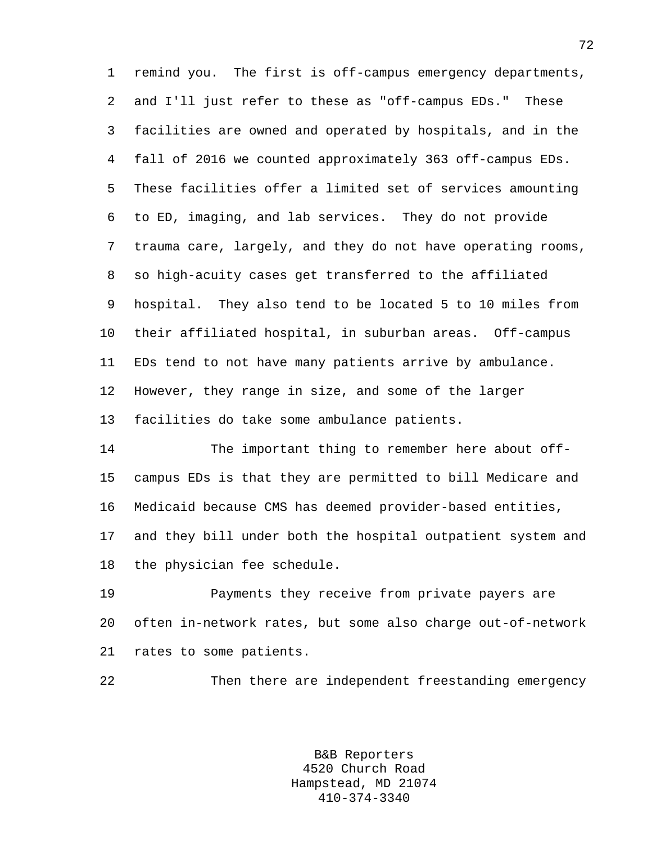1 remind you. The first is off-campus emergency departments, 2 and I'll just refer to these as "off-campus EDs." These 3 facilities are owned and operated by hospitals, and in the 4 fall of 2016 we counted approximately 363 off-campus EDs. 5 These facilities offer a limited set of services amounting 6 to ED, imaging, and lab services. They do not provide 7 trauma care, largely, and they do not have operating rooms, 8 so high-acuity cases get transferred to the affiliated 9 hospital. They also tend to be located 5 to 10 miles from 10 their affiliated hospital, in suburban areas. Off-campus 11 EDs tend to not have many patients arrive by ambulance. 12 However, they range in size, and some of the larger 13 facilities do take some ambulance patients.

14 The important thing to remember here about off-15 campus EDs is that they are permitted to bill Medicare and 16 Medicaid because CMS has deemed provider-based entities, 17 and they bill under both the hospital outpatient system and 18 the physician fee schedule.

19 Payments they receive from private payers are 20 often in-network rates, but some also charge out-of-network 21 rates to some patients.

22 Then there are independent freestanding emergency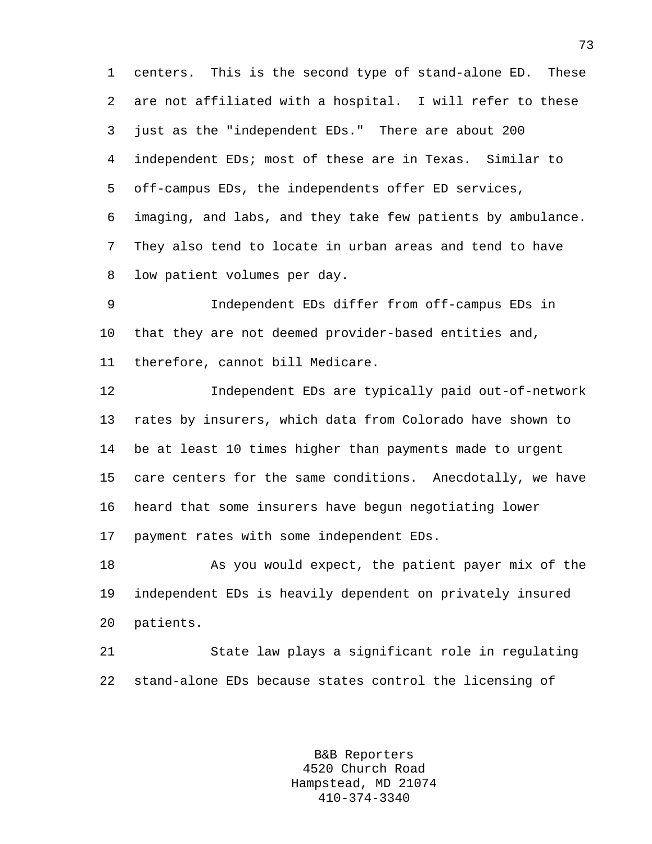1 centers. This is the second type of stand-alone ED. These 2 are not affiliated with a hospital. I will refer to these 3 just as the "independent EDs." There are about 200 4 independent EDs; most of these are in Texas. Similar to 5 off-campus EDs, the independents offer ED services, 6 imaging, and labs, and they take few patients by ambulance. 7 They also tend to locate in urban areas and tend to have 8 low patient volumes per day.

9 Independent EDs differ from off-campus EDs in 10 that they are not deemed provider-based entities and, 11 therefore, cannot bill Medicare.

12 Independent EDs are typically paid out-of-network 13 rates by insurers, which data from Colorado have shown to 14 be at least 10 times higher than payments made to urgent 15 care centers for the same conditions. Anecdotally, we have 16 heard that some insurers have begun negotiating lower 17 payment rates with some independent EDs.

18 As you would expect, the patient payer mix of the 19 independent EDs is heavily dependent on privately insured 20 patients.

21 State law plays a significant role in regulating 22 stand-alone EDs because states control the licensing of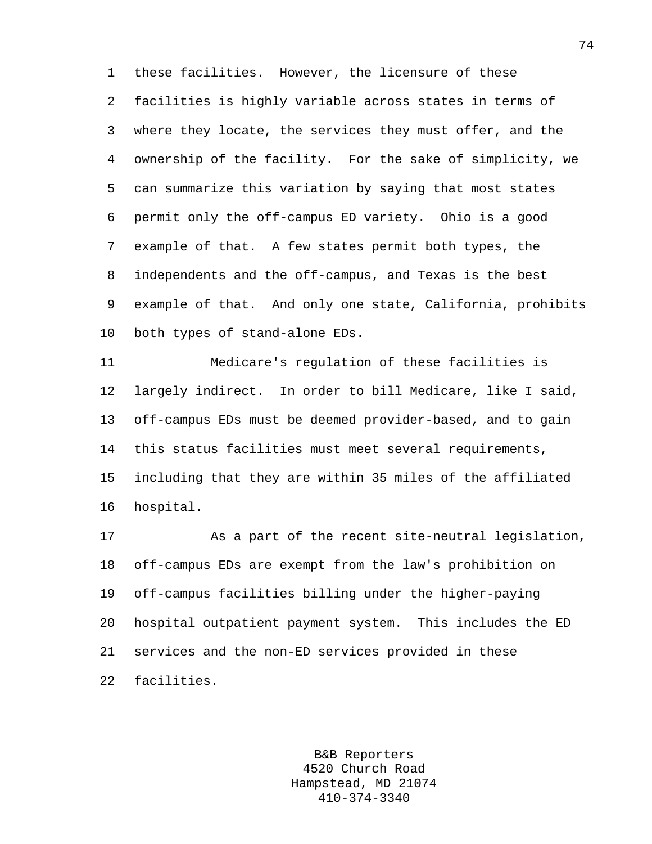1 these facilities. However, the licensure of these 2 facilities is highly variable across states in terms of 3 where they locate, the services they must offer, and the 4 ownership of the facility. For the sake of simplicity, we 5 can summarize this variation by saying that most states 6 permit only the off-campus ED variety. Ohio is a good 7 example of that. A few states permit both types, the 8 independents and the off-campus, and Texas is the best 9 example of that. And only one state, California, prohibits 10 both types of stand-alone EDs.

11 Medicare's regulation of these facilities is 12 largely indirect. In order to bill Medicare, like I said, 13 off-campus EDs must be deemed provider-based, and to gain 14 this status facilities must meet several requirements, 15 including that they are within 35 miles of the affiliated 16 hospital.

17 As a part of the recent site-neutral legislation, 18 off-campus EDs are exempt from the law's prohibition on 19 off-campus facilities billing under the higher-paying 20 hospital outpatient payment system. This includes the ED 21 services and the non-ED services provided in these 22 facilities.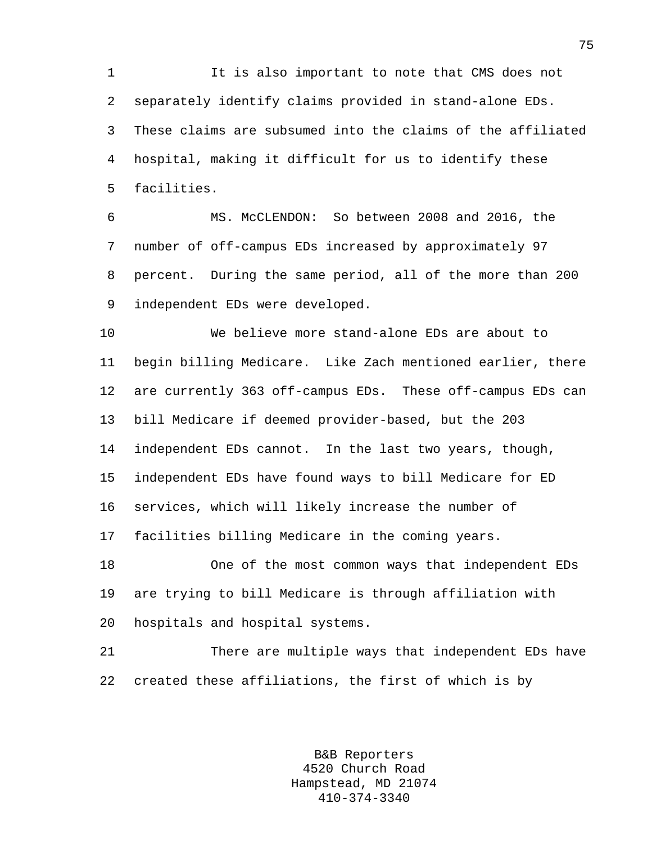1 It is also important to note that CMS does not 2 separately identify claims provided in stand-alone EDs. 3 These claims are subsumed into the claims of the affiliated 4 hospital, making it difficult for us to identify these 5 facilities.

6 MS. McCLENDON: So between 2008 and 2016, the 7 number of off-campus EDs increased by approximately 97 8 percent. During the same period, all of the more than 200 9 independent EDs were developed.

10 We believe more stand-alone EDs are about to 11 begin billing Medicare. Like Zach mentioned earlier, there 12 are currently 363 off-campus EDs. These off-campus EDs can 13 bill Medicare if deemed provider-based, but the 203 14 independent EDs cannot. In the last two years, though, 15 independent EDs have found ways to bill Medicare for ED 16 services, which will likely increase the number of 17 facilities billing Medicare in the coming years.

18 One of the most common ways that independent EDs 19 are trying to bill Medicare is through affiliation with 20 hospitals and hospital systems.

21 There are multiple ways that independent EDs have 22 created these affiliations, the first of which is by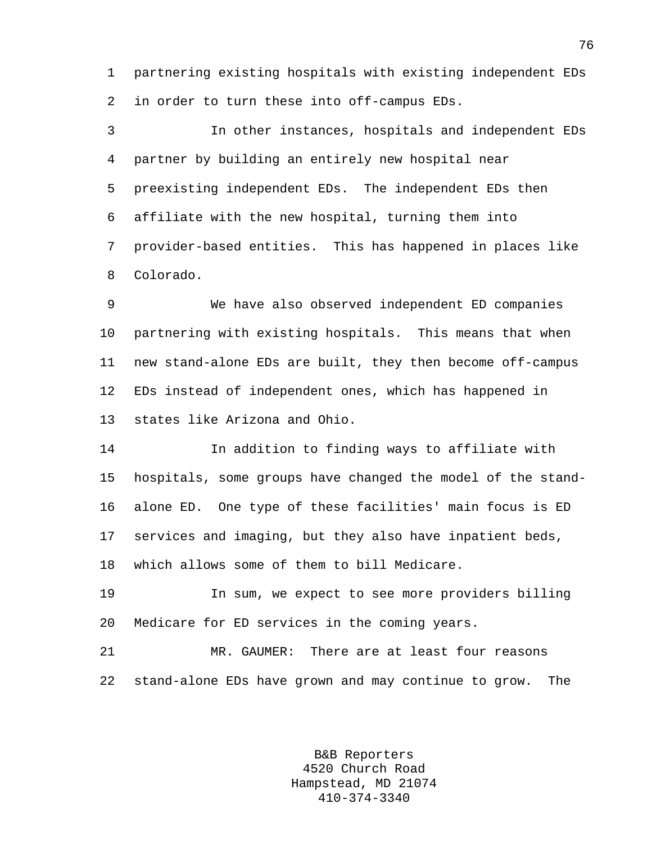1 partnering existing hospitals with existing independent EDs 2 in order to turn these into off-campus EDs.

3 In other instances, hospitals and independent EDs 4 partner by building an entirely new hospital near 5 preexisting independent EDs. The independent EDs then 6 affiliate with the new hospital, turning them into 7 provider-based entities. This has happened in places like 8 Colorado.

9 We have also observed independent ED companies 10 partnering with existing hospitals. This means that when 11 new stand-alone EDs are built, they then become off-campus 12 EDs instead of independent ones, which has happened in 13 states like Arizona and Ohio.

14 In addition to finding ways to affiliate with 15 hospitals, some groups have changed the model of the stand-16 alone ED. One type of these facilities' main focus is ED 17 services and imaging, but they also have inpatient beds, 18 which allows some of them to bill Medicare.

19 In sum, we expect to see more providers billing 20 Medicare for ED services in the coming years.

21 MR. GAUMER: There are at least four reasons 22 stand-alone EDs have grown and may continue to grow. The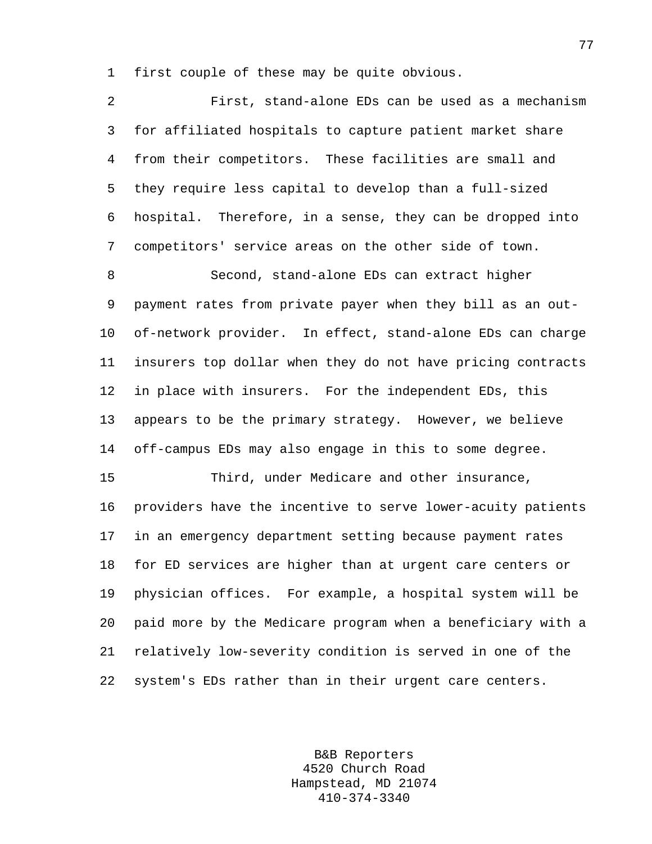1 first couple of these may be quite obvious.

2 First, stand-alone EDs can be used as a mechanism 3 for affiliated hospitals to capture patient market share 4 from their competitors. These facilities are small and 5 they require less capital to develop than a full-sized 6 hospital. Therefore, in a sense, they can be dropped into 7 competitors' service areas on the other side of town. 8 Second, stand-alone EDs can extract higher 9 payment rates from private payer when they bill as an out-10 of-network provider. In effect, stand-alone EDs can charge 11 insurers top dollar when they do not have pricing contracts 12 in place with insurers. For the independent EDs, this 13 appears to be the primary strategy. However, we believe 14 off-campus EDs may also engage in this to some degree. 15 Third, under Medicare and other insurance, 16 providers have the incentive to serve lower-acuity patients 17 in an emergency department setting because payment rates 18 for ED services are higher than at urgent care centers or 19 physician offices. For example, a hospital system will be 20 paid more by the Medicare program when a beneficiary with a 21 relatively low-severity condition is served in one of the 22 system's EDs rather than in their urgent care centers.

> B&B Reporters 4520 Church Road Hampstead, MD 21074 410-374-3340

77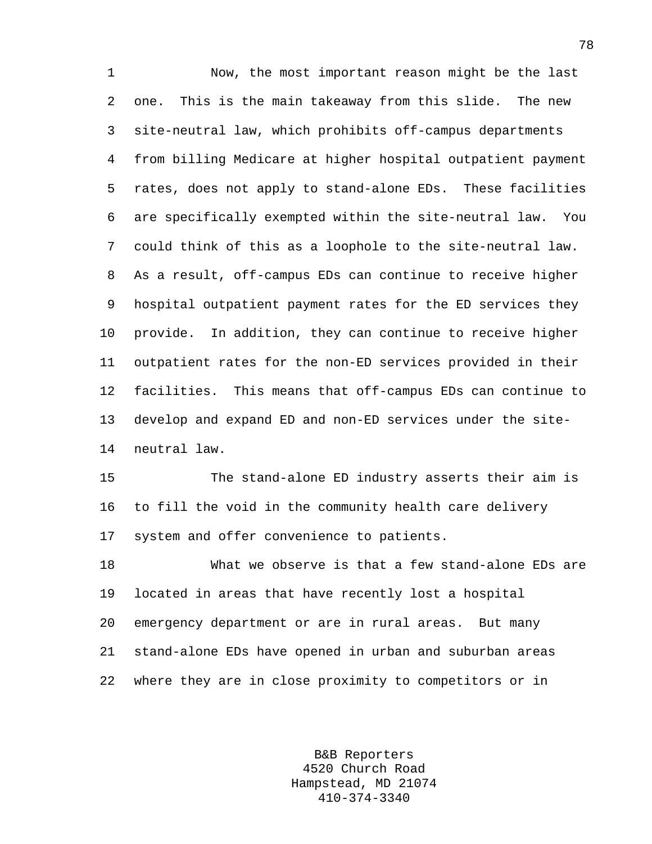1 Now, the most important reason might be the last 2 one. This is the main takeaway from this slide. The new 3 site-neutral law, which prohibits off-campus departments 4 from billing Medicare at higher hospital outpatient payment 5 rates, does not apply to stand-alone EDs. These facilities 6 are specifically exempted within the site-neutral law. You 7 could think of this as a loophole to the site-neutral law. 8 As a result, off-campus EDs can continue to receive higher 9 hospital outpatient payment rates for the ED services they 10 provide. In addition, they can continue to receive higher 11 outpatient rates for the non-ED services provided in their 12 facilities. This means that off-campus EDs can continue to 13 develop and expand ED and non-ED services under the site-14 neutral law.

15 The stand-alone ED industry asserts their aim is 16 to fill the void in the community health care delivery 17 system and offer convenience to patients.

18 What we observe is that a few stand-alone EDs are 19 located in areas that have recently lost a hospital 20 emergency department or are in rural areas. But many 21 stand-alone EDs have opened in urban and suburban areas 22 where they are in close proximity to competitors or in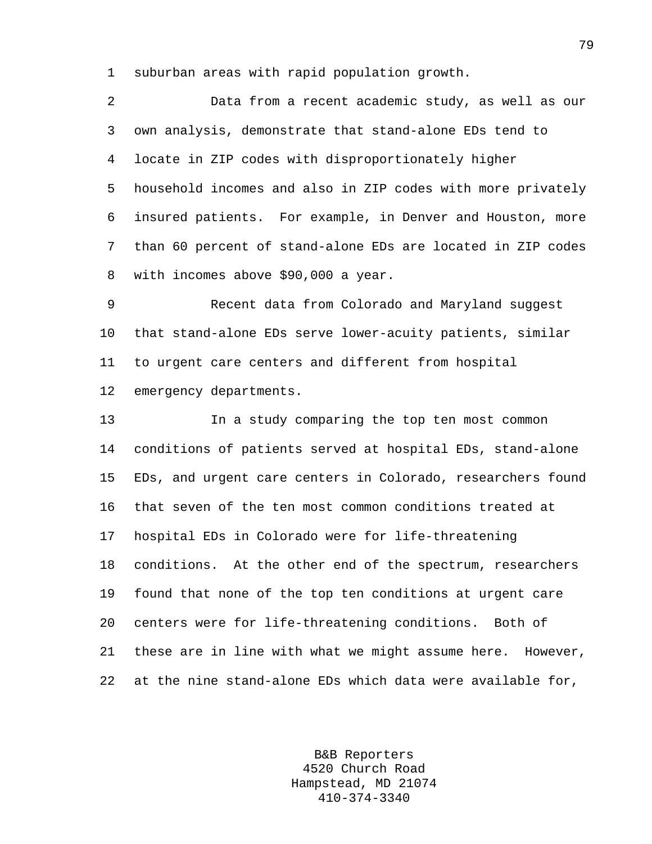1 suburban areas with rapid population growth.

| 2               | Data from a recent academic study, as well as our           |
|-----------------|-------------------------------------------------------------|
| $\mathbf{3}$    | own analysis, demonstrate that stand-alone EDs tend to      |
| $4\overline{ }$ | locate in ZIP codes with disproportionately higher          |
| $5 -$           | household incomes and also in ZIP codes with more privately |
| 6               | insured patients. For example, in Denver and Houston, more  |
| 7               | than 60 percent of stand-alone EDs are located in ZIP codes |
|                 | 8 with incomes above \$90,000 a year.                       |
|                 |                                                             |

9 Recent data from Colorado and Maryland suggest 10 that stand-alone EDs serve lower-acuity patients, similar 11 to urgent care centers and different from hospital 12 emergency departments.

13 In a study comparing the top ten most common 14 conditions of patients served at hospital EDs, stand-alone 15 EDs, and urgent care centers in Colorado, researchers found 16 that seven of the ten most common conditions treated at 17 hospital EDs in Colorado were for life-threatening 18 conditions. At the other end of the spectrum, researchers 19 found that none of the top ten conditions at urgent care 20 centers were for life-threatening conditions. Both of 21 these are in line with what we might assume here. However, 22 at the nine stand-alone EDs which data were available for,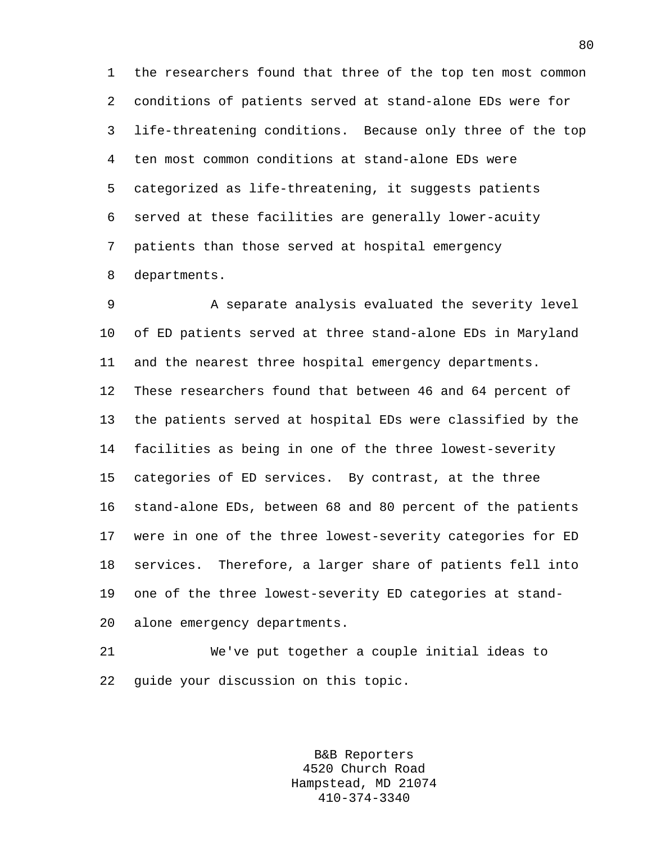1 the researchers found that three of the top ten most common 2 conditions of patients served at stand-alone EDs were for 3 life-threatening conditions. Because only three of the top 4 ten most common conditions at stand-alone EDs were 5 categorized as life-threatening, it suggests patients 6 served at these facilities are generally lower-acuity 7 patients than those served at hospital emergency 8 departments.

9 A separate analysis evaluated the severity level 10 of ED patients served at three stand-alone EDs in Maryland 11 and the nearest three hospital emergency departments. 12 These researchers found that between 46 and 64 percent of 13 the patients served at hospital EDs were classified by the 14 facilities as being in one of the three lowest-severity 15 categories of ED services. By contrast, at the three 16 stand-alone EDs, between 68 and 80 percent of the patients 17 were in one of the three lowest-severity categories for ED 18 services. Therefore, a larger share of patients fell into 19 one of the three lowest-severity ED categories at stand-20 alone emergency departments.

21 We've put together a couple initial ideas to 22 guide your discussion on this topic.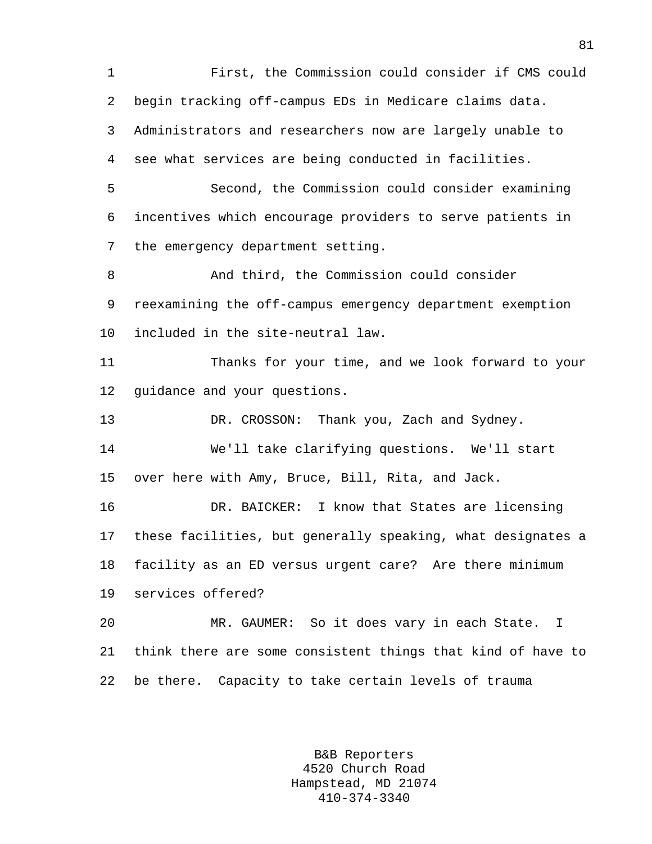1 First, the Commission could consider if CMS could 2 begin tracking off-campus EDs in Medicare claims data. 3 Administrators and researchers now are largely unable to 4 see what services are being conducted in facilities. 5 Second, the Commission could consider examining 6 incentives which encourage providers to serve patients in 7 the emergency department setting. 8 And third, the Commission could consider 9 reexamining the off-campus emergency department exemption 10 included in the site-neutral law. 11 Thanks for your time, and we look forward to your 12 guidance and your questions. 13 DR. CROSSON: Thank you, Zach and Sydney. 14 We'll take clarifying questions. We'll start 15 over here with Amy, Bruce, Bill, Rita, and Jack. 16 DR. BAICKER: I know that States are licensing 17 these facilities, but generally speaking, what designates a 18 facility as an ED versus urgent care? Are there minimum 19 services offered? 20 MR. GAUMER: So it does vary in each State. I 21 think there are some consistent things that kind of have to 22 be there. Capacity to take certain levels of trauma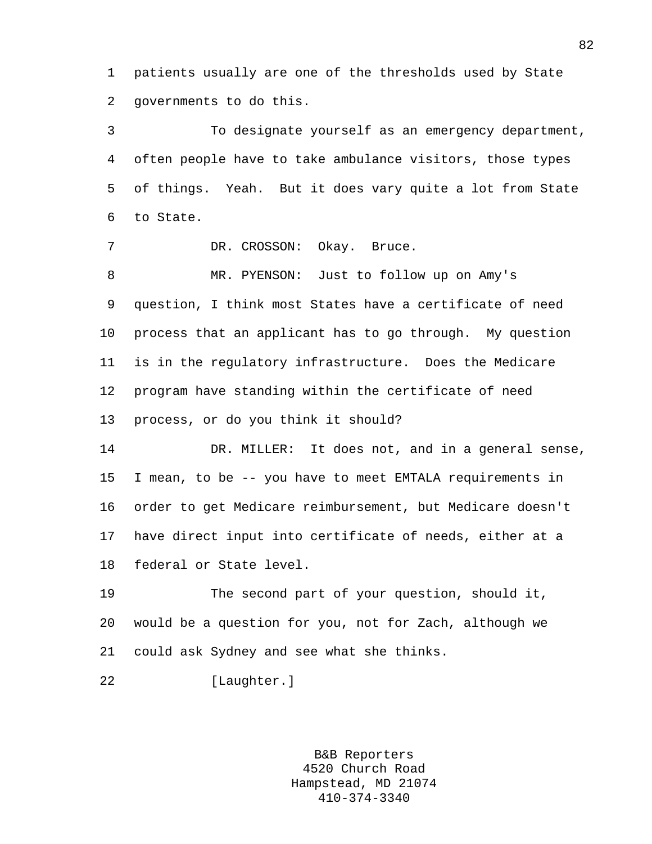1 patients usually are one of the thresholds used by State 2 governments to do this.

3 To designate yourself as an emergency department, 4 often people have to take ambulance visitors, those types 5 of things. Yeah. But it does vary quite a lot from State 6 to State.

7 DR. CROSSON: Okay. Bruce.

8 MR. PYENSON: Just to follow up on Amy's 9 question, I think most States have a certificate of need 10 process that an applicant has to go through. My question 11 is in the regulatory infrastructure. Does the Medicare 12 program have standing within the certificate of need 13 process, or do you think it should?

14 DR. MILLER: It does not, and in a general sense, 15 I mean, to be -- you have to meet EMTALA requirements in 16 order to get Medicare reimbursement, but Medicare doesn't 17 have direct input into certificate of needs, either at a 18 federal or State level.

19 The second part of your question, should it, 20 would be a question for you, not for Zach, although we 21 could ask Sydney and see what she thinks.

22 [Laughter.]

B&B Reporters 4520 Church Road Hampstead, MD 21074 410-374-3340

82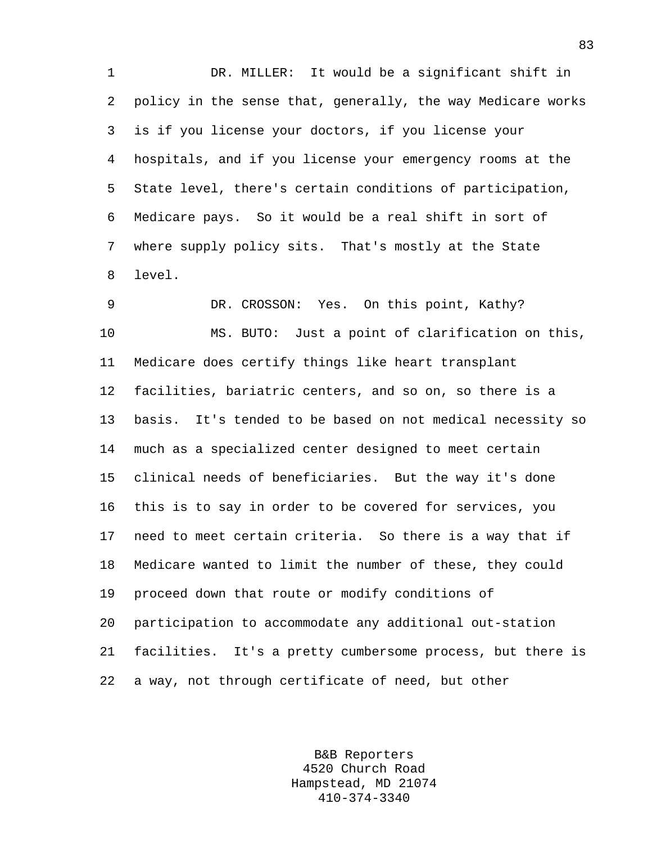1 DR. MILLER: It would be a significant shift in 2 policy in the sense that, generally, the way Medicare works 3 is if you license your doctors, if you license your 4 hospitals, and if you license your emergency rooms at the 5 State level, there's certain conditions of participation, 6 Medicare pays. So it would be a real shift in sort of 7 where supply policy sits. That's mostly at the State 8 level.

9 DR. CROSSON: Yes. On this point, Kathy? 10 MS. BUTO: Just a point of clarification on this, 11 Medicare does certify things like heart transplant 12 facilities, bariatric centers, and so on, so there is a 13 basis. It's tended to be based on not medical necessity so 14 much as a specialized center designed to meet certain 15 clinical needs of beneficiaries. But the way it's done 16 this is to say in order to be covered for services, you 17 need to meet certain criteria. So there is a way that if 18 Medicare wanted to limit the number of these, they could 19 proceed down that route or modify conditions of 20 participation to accommodate any additional out-station 21 facilities. It's a pretty cumbersome process, but there is 22 a way, not through certificate of need, but other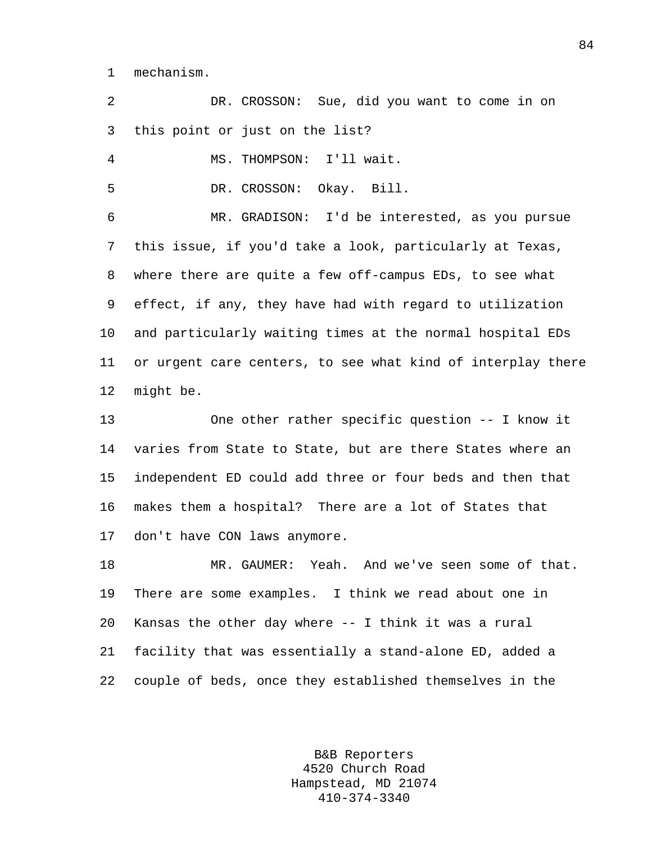1 mechanism.

2 DR. CROSSON: Sue, did you want to come in on 3 this point or just on the list?

4 MS. THOMPSON: I'll wait.

5 DR. CROSSON: Okay. Bill.

6 MR. GRADISON: I'd be interested, as you pursue 7 this issue, if you'd take a look, particularly at Texas, 8 where there are quite a few off-campus EDs, to see what 9 effect, if any, they have had with regard to utilization 10 and particularly waiting times at the normal hospital EDs 11 or urgent care centers, to see what kind of interplay there 12 might be.

13 One other rather specific question -- I know it 14 varies from State to State, but are there States where an 15 independent ED could add three or four beds and then that 16 makes them a hospital? There are a lot of States that 17 don't have CON laws anymore.

18 MR. GAUMER: Yeah. And we've seen some of that. 19 There are some examples. I think we read about one in 20 Kansas the other day where -- I think it was a rural 21 facility that was essentially a stand-alone ED, added a 22 couple of beds, once they established themselves in the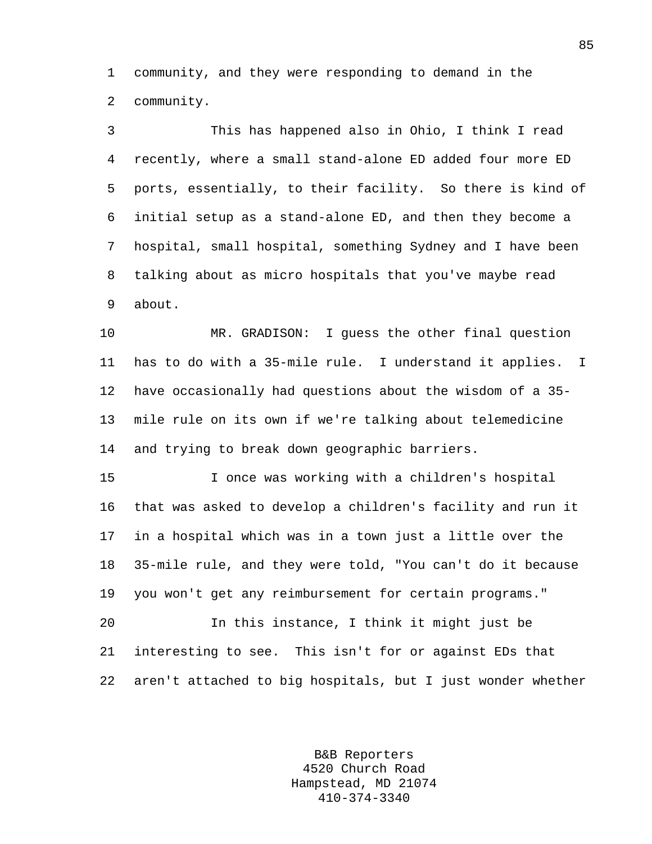1 community, and they were responding to demand in the 2 community.

3 This has happened also in Ohio, I think I read 4 recently, where a small stand-alone ED added four more ED 5 ports, essentially, to their facility. So there is kind of 6 initial setup as a stand-alone ED, and then they become a 7 hospital, small hospital, something Sydney and I have been 8 talking about as micro hospitals that you've maybe read 9 about. 10 MR. GRADISON: I guess the other final question 11 has to do with a 35-mile rule. I understand it applies. I

12 have occasionally had questions about the wisdom of a 35- 13 mile rule on its own if we're talking about telemedicine 14 and trying to break down geographic barriers.

15 I once was working with a children's hospital 16 that was asked to develop a children's facility and run it 17 in a hospital which was in a town just a little over the 18 35-mile rule, and they were told, "You can't do it because 19 you won't get any reimbursement for certain programs."

20 In this instance, I think it might just be 21 interesting to see. This isn't for or against EDs that 22 aren't attached to big hospitals, but I just wonder whether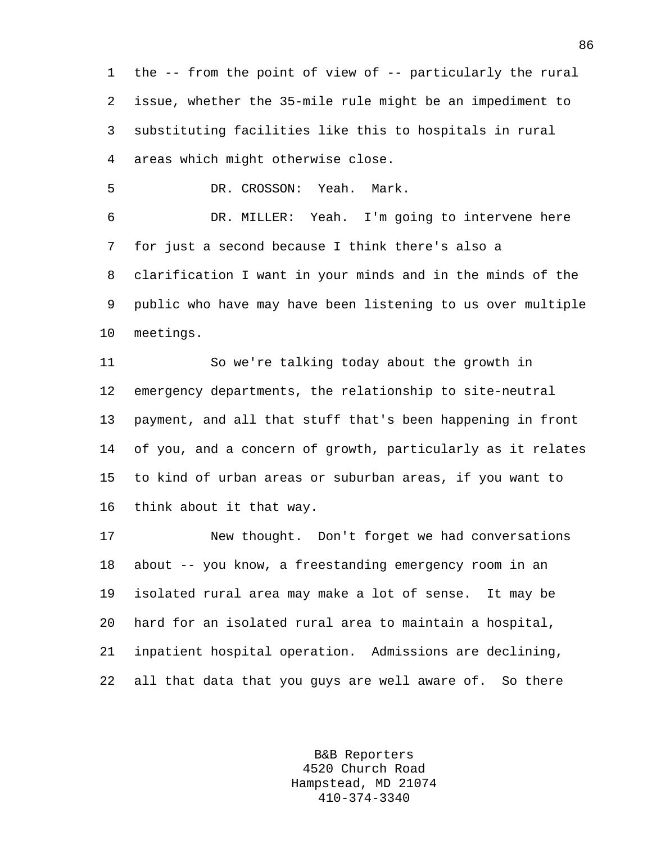1 the -- from the point of view of -- particularly the rural 2 issue, whether the 35-mile rule might be an impediment to 3 substituting facilities like this to hospitals in rural 4 areas which might otherwise close.

5 DR. CROSSON: Yeah. Mark.

6 DR. MILLER: Yeah. I'm going to intervene here 7 for just a second because I think there's also a 8 clarification I want in your minds and in the minds of the 9 public who have may have been listening to us over multiple 10 meetings.

11 So we're talking today about the growth in 12 emergency departments, the relationship to site-neutral 13 payment, and all that stuff that's been happening in front 14 of you, and a concern of growth, particularly as it relates 15 to kind of urban areas or suburban areas, if you want to 16 think about it that way.

17 New thought. Don't forget we had conversations 18 about -- you know, a freestanding emergency room in an 19 isolated rural area may make a lot of sense. It may be 20 hard for an isolated rural area to maintain a hospital, 21 inpatient hospital operation. Admissions are declining, 22 all that data that you guys are well aware of. So there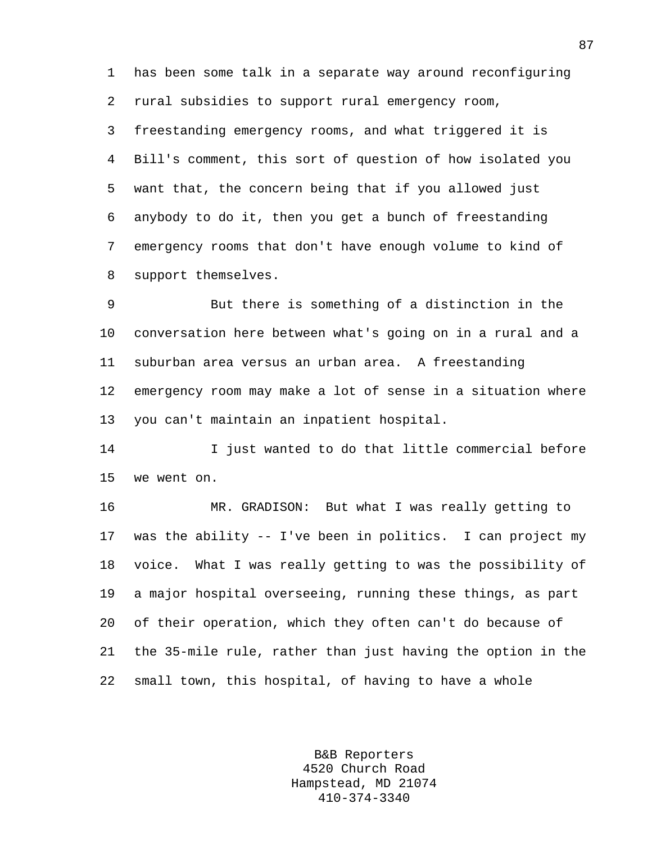1 has been some talk in a separate way around reconfiguring 2 rural subsidies to support rural emergency room, 3 freestanding emergency rooms, and what triggered it is 4 Bill's comment, this sort of question of how isolated you 5 want that, the concern being that if you allowed just 6 anybody to do it, then you get a bunch of freestanding 7 emergency rooms that don't have enough volume to kind of 8 support themselves.

9 But there is something of a distinction in the 10 conversation here between what's going on in a rural and a 11 suburban area versus an urban area. A freestanding 12 emergency room may make a lot of sense in a situation where 13 you can't maintain an inpatient hospital.

14 I just wanted to do that little commercial before 15 we went on.

16 MR. GRADISON: But what I was really getting to 17 was the ability -- I've been in politics. I can project my 18 voice. What I was really getting to was the possibility of 19 a major hospital overseeing, running these things, as part 20 of their operation, which they often can't do because of 21 the 35-mile rule, rather than just having the option in the 22 small town, this hospital, of having to have a whole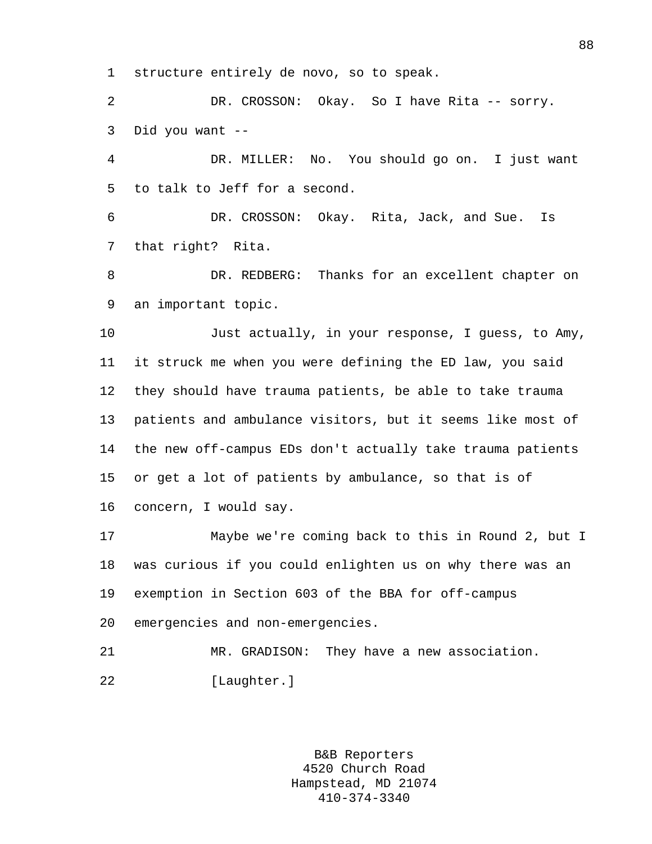1 structure entirely de novo, so to speak.

2 DR. CROSSON: Okay. So I have Rita -- sorry. 3 Did you want --

4 DR. MILLER: No. You should go on. I just want 5 to talk to Jeff for a second.

6 DR. CROSSON: Okay. Rita, Jack, and Sue. Is 7 that right? Rita.

8 DR. REDBERG: Thanks for an excellent chapter on 9 an important topic.

10 Just actually, in your response, I guess, to Amy, 11 it struck me when you were defining the ED law, you said 12 they should have trauma patients, be able to take trauma 13 patients and ambulance visitors, but it seems like most of 14 the new off-campus EDs don't actually take trauma patients 15 or get a lot of patients by ambulance, so that is of 16 concern, I would say.

17 Maybe we're coming back to this in Round 2, but I 18 was curious if you could enlighten us on why there was an 19 exemption in Section 603 of the BBA for off-campus 20 emergencies and non-emergencies.

21 MR. GRADISON: They have a new association. 22 [Laughter.]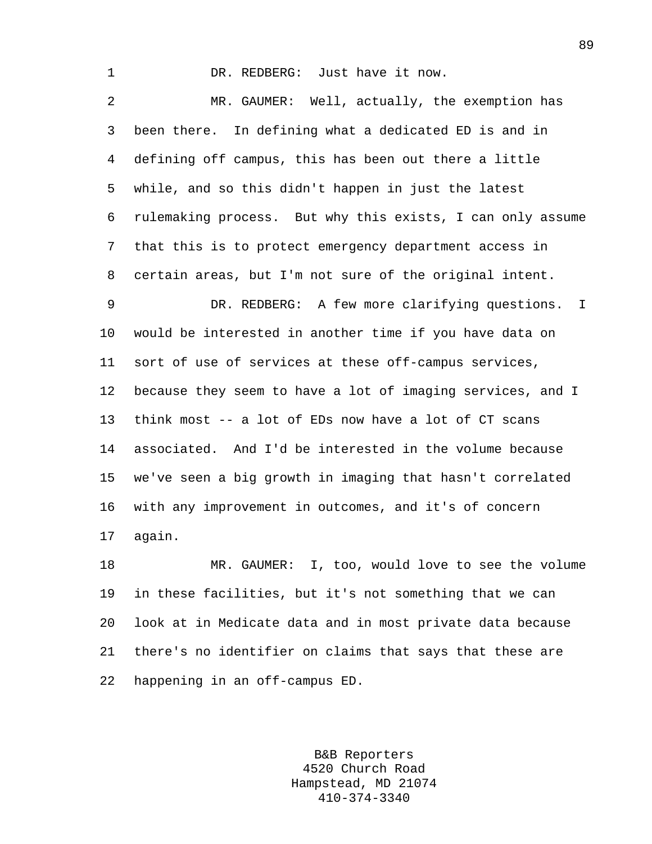1 DR. REDBERG: Just have it now. 2 MR. GAUMER: Well, actually, the exemption has 3 been there. In defining what a dedicated ED is and in 4 defining off campus, this has been out there a little 5 while, and so this didn't happen in just the latest 6 rulemaking process. But why this exists, I can only assume 7 that this is to protect emergency department access in 8 certain areas, but I'm not sure of the original intent. 9 DR. REDBERG: A few more clarifying questions. I 10 would be interested in another time if you have data on 11 sort of use of services at these off-campus services, 12 because they seem to have a lot of imaging services, and I 13 think most -- a lot of EDs now have a lot of CT scans 14 associated. And I'd be interested in the volume because 15 we've seen a big growth in imaging that hasn't correlated 16 with any improvement in outcomes, and it's of concern 17 again. 18 MR. GAUMER: I, too, would love to see the volume 19 in these facilities, but it's not something that we can

20 look at in Medicate data and in most private data because 21 there's no identifier on claims that says that these are 22 happening in an off-campus ED.

> B&B Reporters 4520 Church Road Hampstead, MD 21074 410-374-3340

89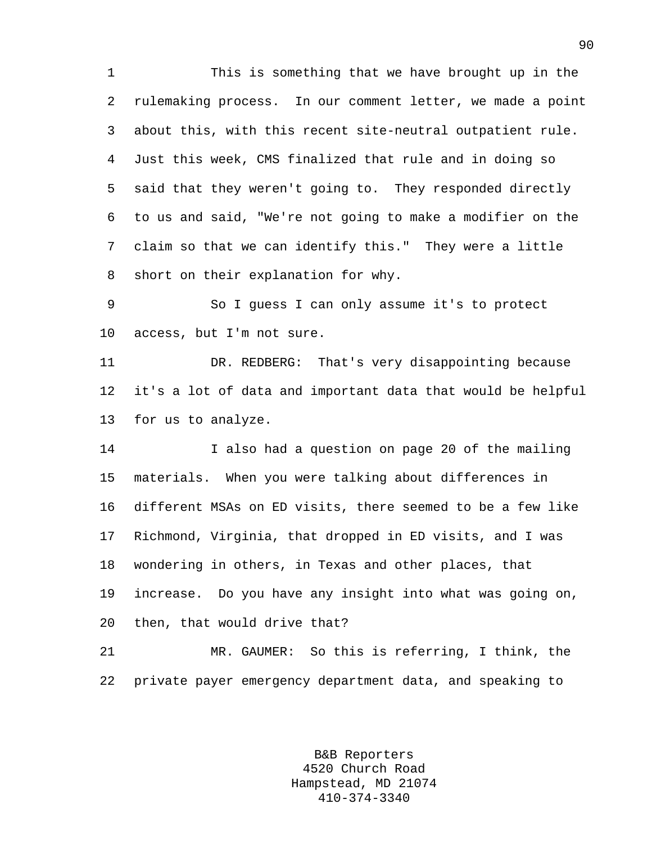1 This is something that we have brought up in the 2 rulemaking process. In our comment letter, we made a point 3 about this, with this recent site-neutral outpatient rule. 4 Just this week, CMS finalized that rule and in doing so 5 said that they weren't going to. They responded directly 6 to us and said, "We're not going to make a modifier on the 7 claim so that we can identify this." They were a little 8 short on their explanation for why.

9 So I guess I can only assume it's to protect 10 access, but I'm not sure.

11 DR. REDBERG: That's very disappointing because 12 it's a lot of data and important data that would be helpful 13 for us to analyze.

14 I also had a question on page 20 of the mailing 15 materials. When you were talking about differences in 16 different MSAs on ED visits, there seemed to be a few like 17 Richmond, Virginia, that dropped in ED visits, and I was 18 wondering in others, in Texas and other places, that 19 increase. Do you have any insight into what was going on, 20 then, that would drive that?

21 MR. GAUMER: So this is referring, I think, the 22 private payer emergency department data, and speaking to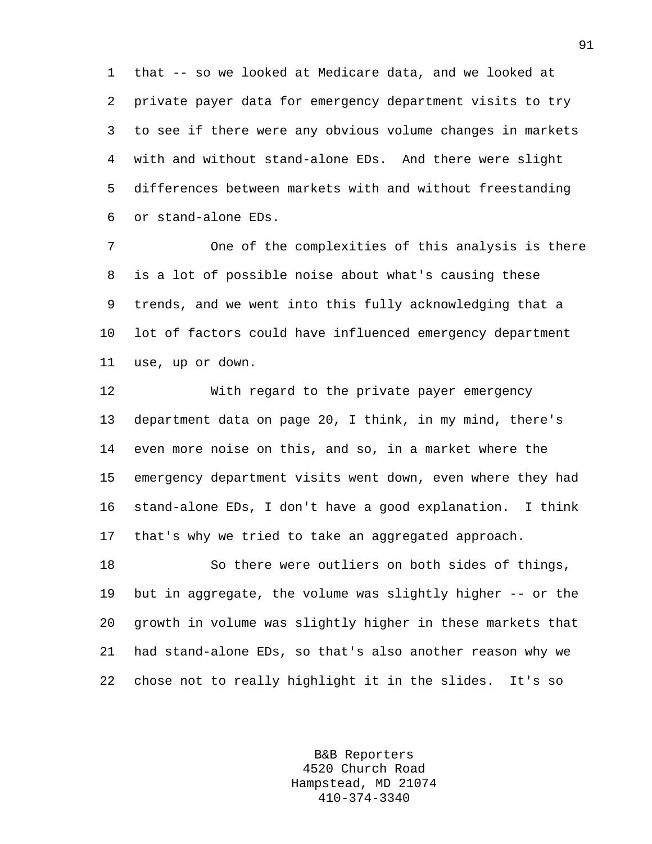1 that -- so we looked at Medicare data, and we looked at 2 private payer data for emergency department visits to try 3 to see if there were any obvious volume changes in markets 4 with and without stand-alone EDs. And there were slight 5 differences between markets with and without freestanding 6 or stand-alone EDs.

7 One of the complexities of this analysis is there 8 is a lot of possible noise about what's causing these 9 trends, and we went into this fully acknowledging that a 10 lot of factors could have influenced emergency department 11 use, up or down.

12 With regard to the private payer emergency 13 department data on page 20, I think, in my mind, there's 14 even more noise on this, and so, in a market where the 15 emergency department visits went down, even where they had 16 stand-alone EDs, I don't have a good explanation. I think 17 that's why we tried to take an aggregated approach.

18 So there were outliers on both sides of things, 19 but in aggregate, the volume was slightly higher -- or the 20 growth in volume was slightly higher in these markets that 21 had stand-alone EDs, so that's also another reason why we 22 chose not to really highlight it in the slides. It's so

> B&B Reporters 4520 Church Road Hampstead, MD 21074 410-374-3340

91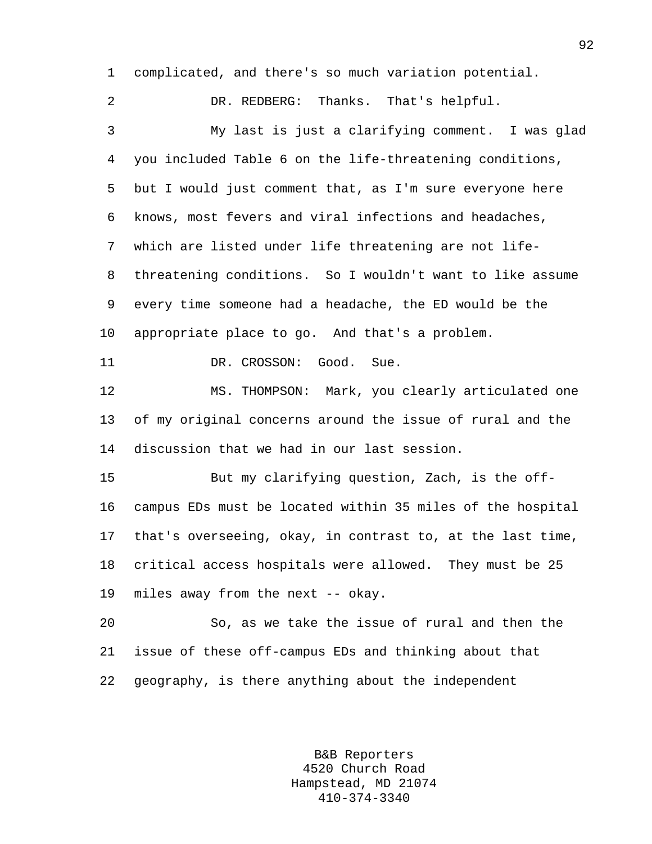1 complicated, and there's so much variation potential.

2 DR. REDBERG: Thanks. That's helpful. 3 My last is just a clarifying comment. I was glad 4 you included Table 6 on the life-threatening conditions, 5 but I would just comment that, as I'm sure everyone here 6 knows, most fevers and viral infections and headaches, 7 which are listed under life threatening are not life-8 threatening conditions. So I wouldn't want to like assume 9 every time someone had a headache, the ED would be the 10 appropriate place to go. And that's a problem. 11 DR. CROSSON: Good. Sue. 12 MS. THOMPSON: Mark, you clearly articulated one 13 of my original concerns around the issue of rural and the 14 discussion that we had in our last session. 15 But my clarifying question, Zach, is the off-16 campus EDs must be located within 35 miles of the hospital 17 that's overseeing, okay, in contrast to, at the last time, 18 critical access hospitals were allowed. They must be 25 19 miles away from the next -- okay. 20 So, as we take the issue of rural and then the 21 issue of these off-campus EDs and thinking about that

22 geography, is there anything about the independent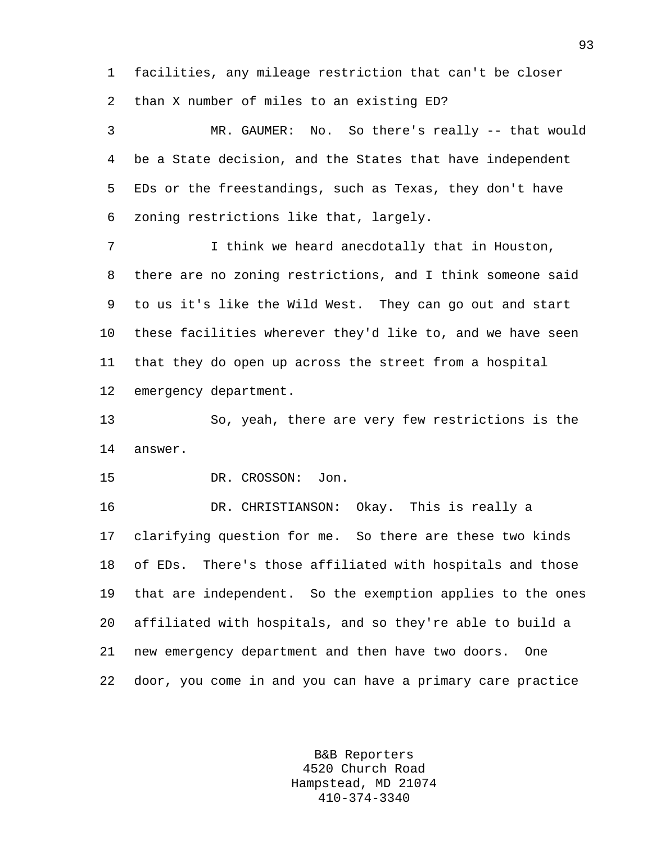1 facilities, any mileage restriction that can't be closer 2 than X number of miles to an existing ED?

3 MR. GAUMER: No. So there's really -- that would 4 be a State decision, and the States that have independent 5 EDs or the freestandings, such as Texas, they don't have 6 zoning restrictions like that, largely.

7 I think we heard anecdotally that in Houston, 8 there are no zoning restrictions, and I think someone said 9 to us it's like the Wild West. They can go out and start 10 these facilities wherever they'd like to, and we have seen 11 that they do open up across the street from a hospital 12 emergency department.

13 So, yeah, there are very few restrictions is the 14 answer.

15 DR. CROSSON: Jon.

16 DR. CHRISTIANSON: Okay. This is really a 17 clarifying question for me. So there are these two kinds 18 of EDs. There's those affiliated with hospitals and those 19 that are independent. So the exemption applies to the ones 20 affiliated with hospitals, and so they're able to build a 21 new emergency department and then have two doors. One 22 door, you come in and you can have a primary care practice

> B&B Reporters 4520 Church Road Hampstead, MD 21074 410-374-3340

93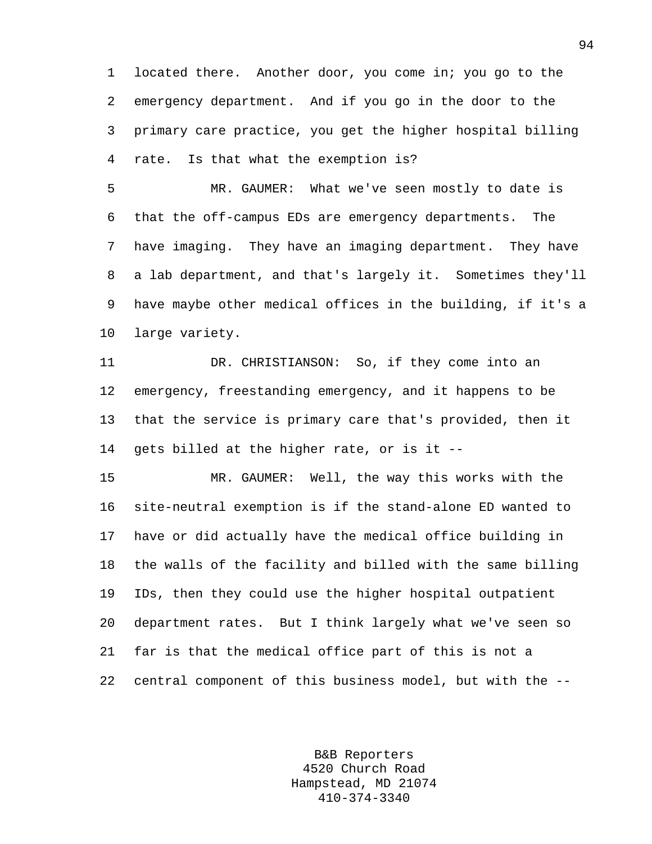1 located there. Another door, you come in; you go to the 2 emergency department. And if you go in the door to the 3 primary care practice, you get the higher hospital billing 4 rate. Is that what the exemption is?

5 MR. GAUMER: What we've seen mostly to date is 6 that the off-campus EDs are emergency departments. The 7 have imaging. They have an imaging department. They have 8 a lab department, and that's largely it. Sometimes they'll 9 have maybe other medical offices in the building, if it's a 10 large variety.

11 DR. CHRISTIANSON: So, if they come into an 12 emergency, freestanding emergency, and it happens to be 13 that the service is primary care that's provided, then it 14 gets billed at the higher rate, or is it --

15 MR. GAUMER: Well, the way this works with the 16 site-neutral exemption is if the stand-alone ED wanted to 17 have or did actually have the medical office building in 18 the walls of the facility and billed with the same billing 19 IDs, then they could use the higher hospital outpatient 20 department rates. But I think largely what we've seen so 21 far is that the medical office part of this is not a 22 central component of this business model, but with the --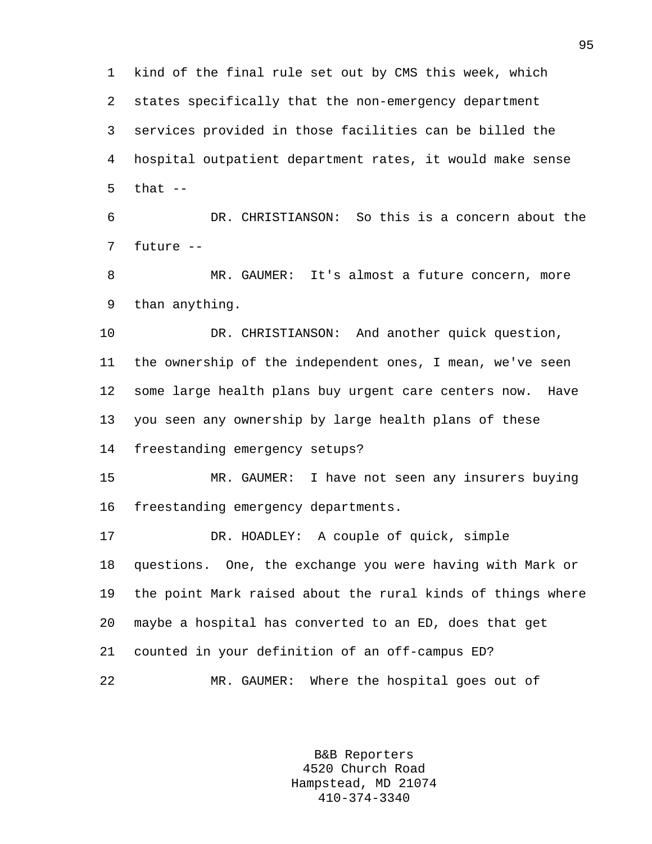1 kind of the final rule set out by CMS this week, which 2 states specifically that the non-emergency department 3 services provided in those facilities can be billed the 4 hospital outpatient department rates, it would make sense  $5$  that  $-$ 

6 DR. CHRISTIANSON: So this is a concern about the 7 future --

8 MR. GAUMER: It's almost a future concern, more 9 than anything.

10 DR. CHRISTIANSON: And another quick question, 11 the ownership of the independent ones, I mean, we've seen 12 some large health plans buy urgent care centers now. Have 13 you seen any ownership by large health plans of these 14 freestanding emergency setups?

15 MR. GAUMER: I have not seen any insurers buying 16 freestanding emergency departments.

17 DR. HOADLEY: A couple of quick, simple 18 questions. One, the exchange you were having with Mark or 19 the point Mark raised about the rural kinds of things where 20 maybe a hospital has converted to an ED, does that get 21 counted in your definition of an off-campus ED? 22 MR. GAUMER: Where the hospital goes out of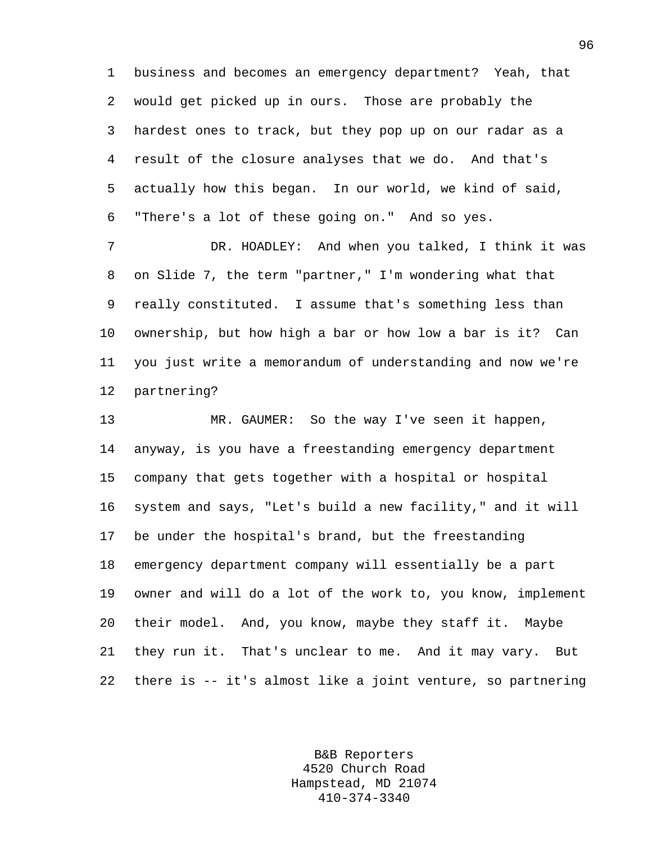1 business and becomes an emergency department? Yeah, that 2 would get picked up in ours. Those are probably the 3 hardest ones to track, but they pop up on our radar as a 4 result of the closure analyses that we do. And that's 5 actually how this began. In our world, we kind of said, 6 "There's a lot of these going on." And so yes.

7 DR. HOADLEY: And when you talked, I think it was 8 on Slide 7, the term "partner," I'm wondering what that 9 really constituted. I assume that's something less than 10 ownership, but how high a bar or how low a bar is it? Can 11 you just write a memorandum of understanding and now we're 12 partnering?

13 MR. GAUMER: So the way I've seen it happen, 14 anyway, is you have a freestanding emergency department 15 company that gets together with a hospital or hospital 16 system and says, "Let's build a new facility," and it will 17 be under the hospital's brand, but the freestanding 18 emergency department company will essentially be a part 19 owner and will do a lot of the work to, you know, implement 20 their model. And, you know, maybe they staff it. Maybe 21 they run it. That's unclear to me. And it may vary. But 22 there is -- it's almost like a joint venture, so partnering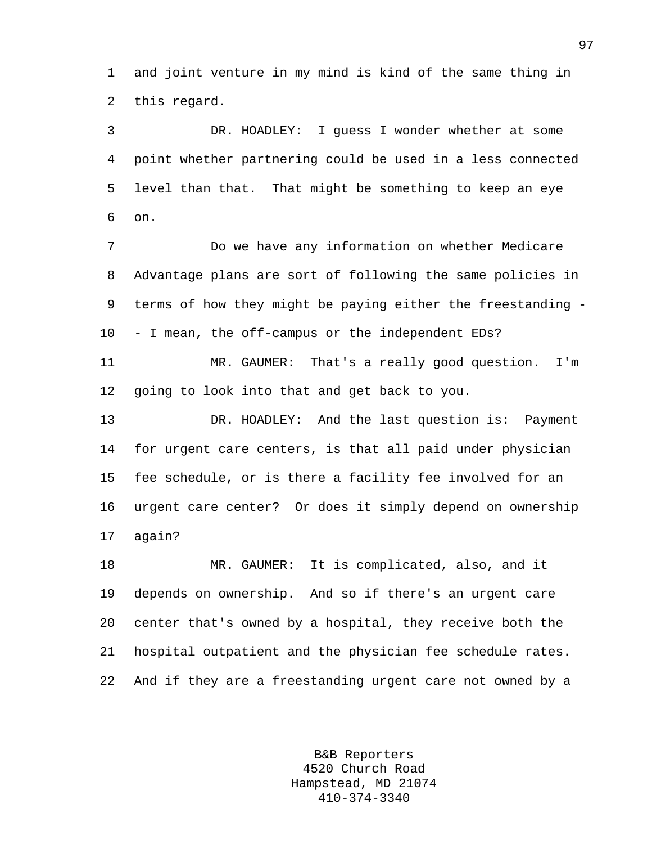1 and joint venture in my mind is kind of the same thing in 2 this regard.

3 DR. HOADLEY: I guess I wonder whether at some 4 point whether partnering could be used in a less connected 5 level than that. That might be something to keep an eye 6 on.

7 Do we have any information on whether Medicare 8 Advantage plans are sort of following the same policies in 9 terms of how they might be paying either the freestanding - 10 - I mean, the off-campus or the independent EDs?

11 MR. GAUMER: That's a really good question. I'm 12 going to look into that and get back to you.

13 DR. HOADLEY: And the last question is: Payment 14 for urgent care centers, is that all paid under physician 15 fee schedule, or is there a facility fee involved for an 16 urgent care center? Or does it simply depend on ownership 17 again?

18 MR. GAUMER: It is complicated, also, and it 19 depends on ownership. And so if there's an urgent care 20 center that's owned by a hospital, they receive both the 21 hospital outpatient and the physician fee schedule rates. 22 And if they are a freestanding urgent care not owned by a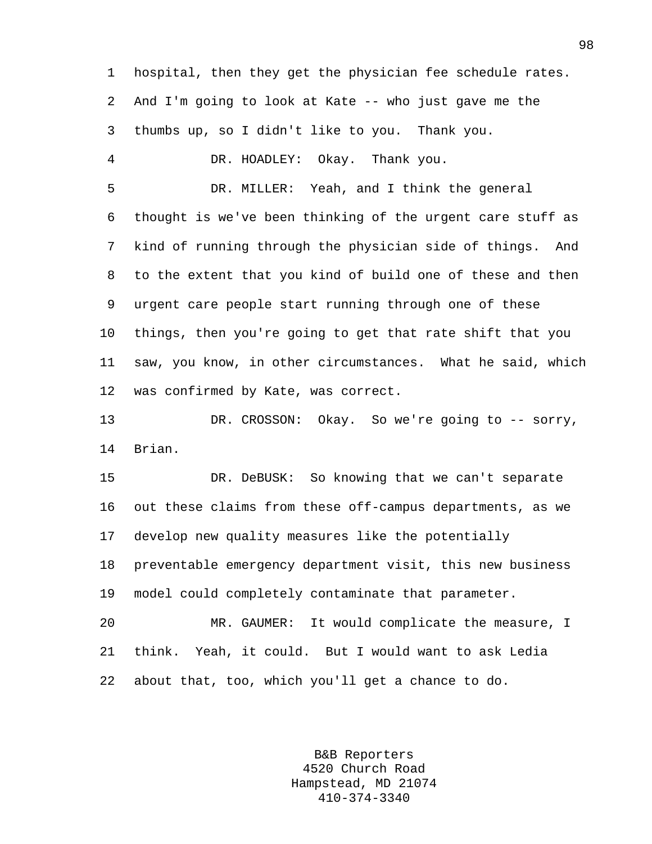1 hospital, then they get the physician fee schedule rates. 2 And I'm going to look at Kate -- who just gave me the 3 thumbs up, so I didn't like to you. Thank you. 4 DR. HOADLEY: Okay. Thank you. 5 DR. MILLER: Yeah, and I think the general 6 thought is we've been thinking of the urgent care stuff as 7 kind of running through the physician side of things. And 8 to the extent that you kind of build one of these and then 9 urgent care people start running through one of these 10 things, then you're going to get that rate shift that you 11 saw, you know, in other circumstances. What he said, which 12 was confirmed by Kate, was correct. 13 DR. CROSSON: Okay. So we're going to -- sorry, 14 Brian. 15 DR. DeBUSK: So knowing that we can't separate

16 out these claims from these off-campus departments, as we 17 develop new quality measures like the potentially 18 preventable emergency department visit, this new business 19 model could completely contaminate that parameter. 20 MR. GAUMER: It would complicate the measure, I 21 think. Yeah, it could. But I would want to ask Ledia

22 about that, too, which you'll get a chance to do.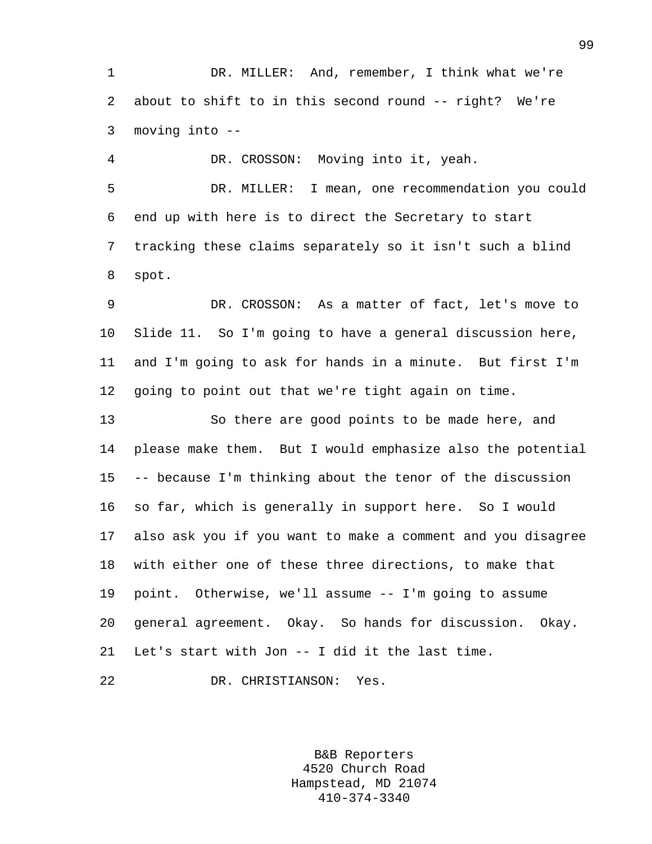1 DR. MILLER: And, remember, I think what we're 2 about to shift to in this second round -- right? We're 3 moving into --

4 DR. CROSSON: Moving into it, yeah. 5 DR. MILLER: I mean, one recommendation you could 6 end up with here is to direct the Secretary to start 7 tracking these claims separately so it isn't such a blind 8 spot.

9 DR. CROSSON: As a matter of fact, let's move to 10 Slide 11. So I'm going to have a general discussion here, 11 and I'm going to ask for hands in a minute. But first I'm 12 going to point out that we're tight again on time.

13 So there are good points to be made here, and 14 please make them. But I would emphasize also the potential 15 -- because I'm thinking about the tenor of the discussion 16 so far, which is generally in support here. So I would 17 also ask you if you want to make a comment and you disagree 18 with either one of these three directions, to make that 19 point. Otherwise, we'll assume -- I'm going to assume 20 general agreement. Okay. So hands for discussion. Okay. 21 Let's start with Jon -- I did it the last time.

22 DR. CHRISTIANSON: Yes.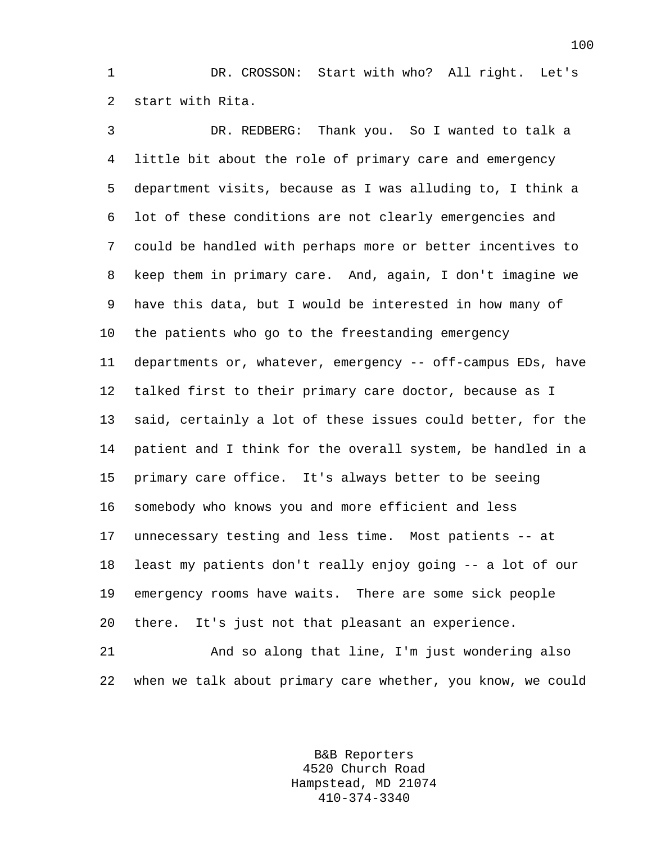1 DR. CROSSON: Start with who? All right. Let's 2 start with Rita.

3 DR. REDBERG: Thank you. So I wanted to talk a 4 little bit about the role of primary care and emergency 5 department visits, because as I was alluding to, I think a 6 lot of these conditions are not clearly emergencies and 7 could be handled with perhaps more or better incentives to 8 keep them in primary care. And, again, I don't imagine we 9 have this data, but I would be interested in how many of 10 the patients who go to the freestanding emergency 11 departments or, whatever, emergency -- off-campus EDs, have 12 talked first to their primary care doctor, because as I 13 said, certainly a lot of these issues could better, for the 14 patient and I think for the overall system, be handled in a 15 primary care office. It's always better to be seeing 16 somebody who knows you and more efficient and less 17 unnecessary testing and less time. Most patients -- at 18 least my patients don't really enjoy going -- a lot of our 19 emergency rooms have waits. There are some sick people 20 there. It's just not that pleasant an experience.

21 And so along that line, I'm just wondering also 22 when we talk about primary care whether, you know, we could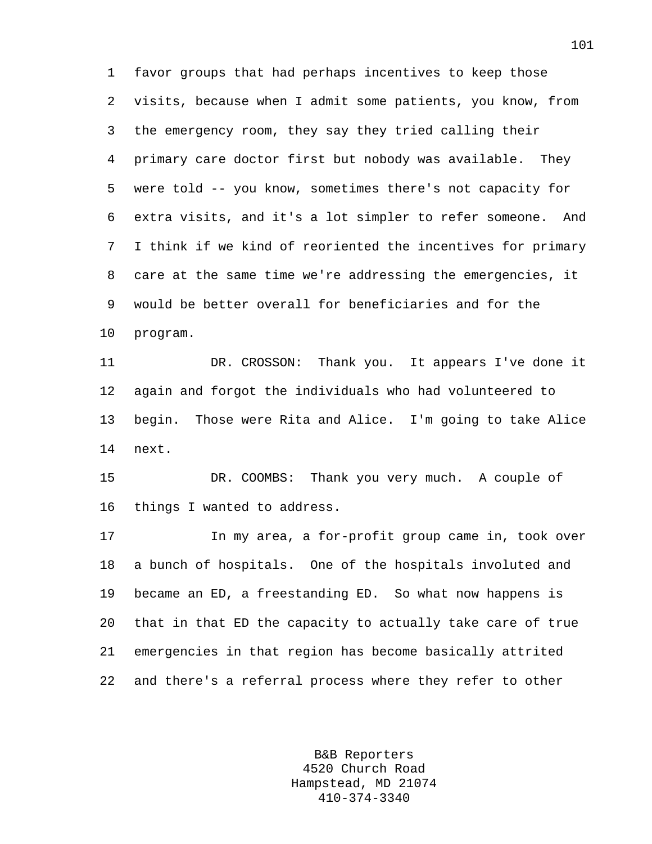1 favor groups that had perhaps incentives to keep those 2 visits, because when I admit some patients, you know, from 3 the emergency room, they say they tried calling their 4 primary care doctor first but nobody was available. They 5 were told -- you know, sometimes there's not capacity for 6 extra visits, and it's a lot simpler to refer someone. And 7 I think if we kind of reoriented the incentives for primary 8 care at the same time we're addressing the emergencies, it 9 would be better overall for beneficiaries and for the 10 program.

11 DR. CROSSON: Thank you. It appears I've done it 12 again and forgot the individuals who had volunteered to 13 begin. Those were Rita and Alice. I'm going to take Alice 14 next.

15 DR. COOMBS: Thank you very much. A couple of 16 things I wanted to address.

17 In my area, a for-profit group came in, took over 18 a bunch of hospitals. One of the hospitals involuted and 19 became an ED, a freestanding ED. So what now happens is 20 that in that ED the capacity to actually take care of true 21 emergencies in that region has become basically attrited 22 and there's a referral process where they refer to other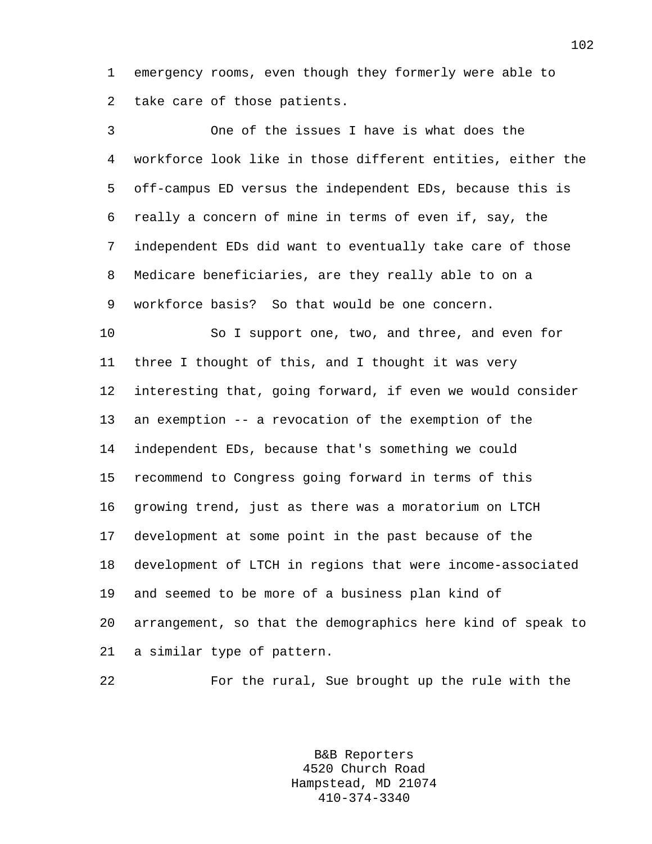1 emergency rooms, even though they formerly were able to 2 take care of those patients.

3 One of the issues I have is what does the 4 workforce look like in those different entities, either the 5 off-campus ED versus the independent EDs, because this is 6 really a concern of mine in terms of even if, say, the 7 independent EDs did want to eventually take care of those 8 Medicare beneficiaries, are they really able to on a 9 workforce basis? So that would be one concern.

10 So I support one, two, and three, and even for 11 three I thought of this, and I thought it was very 12 interesting that, going forward, if even we would consider 13 an exemption -- a revocation of the exemption of the 14 independent EDs, because that's something we could 15 recommend to Congress going forward in terms of this 16 growing trend, just as there was a moratorium on LTCH 17 development at some point in the past because of the 18 development of LTCH in regions that were income-associated 19 and seemed to be more of a business plan kind of 20 arrangement, so that the demographics here kind of speak to 21 a similar type of pattern.

22 For the rural, Sue brought up the rule with the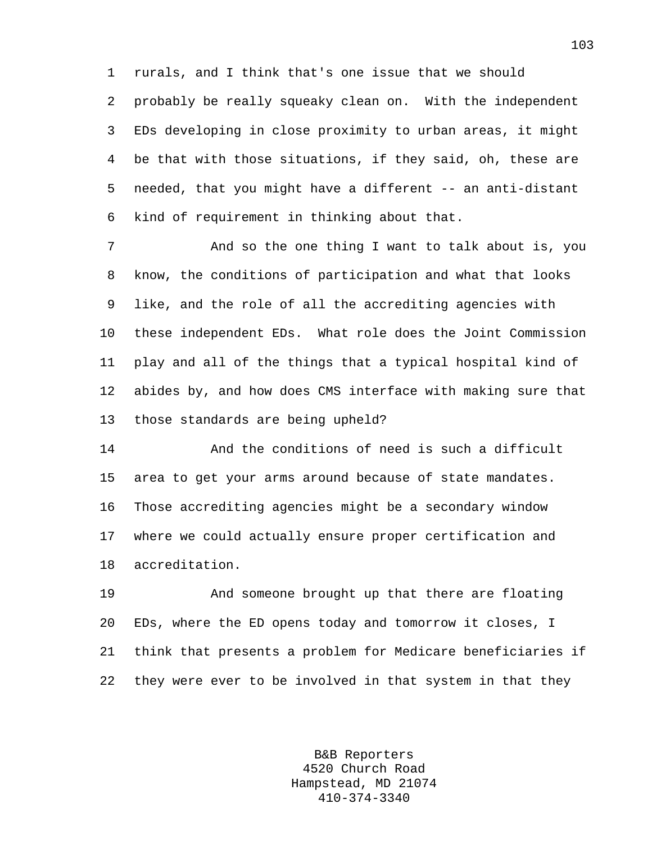1 rurals, and I think that's one issue that we should 2 probably be really squeaky clean on. With the independent 3 EDs developing in close proximity to urban areas, it might 4 be that with those situations, if they said, oh, these are 5 needed, that you might have a different -- an anti-distant 6 kind of requirement in thinking about that.

7 And so the one thing I want to talk about is, you 8 know, the conditions of participation and what that looks 9 like, and the role of all the accrediting agencies with 10 these independent EDs. What role does the Joint Commission 11 play and all of the things that a typical hospital kind of 12 abides by, and how does CMS interface with making sure that 13 those standards are being upheld?

14 And the conditions of need is such a difficult 15 area to get your arms around because of state mandates. 16 Those accrediting agencies might be a secondary window 17 where we could actually ensure proper certification and 18 accreditation.

19 And someone brought up that there are floating 20 EDs, where the ED opens today and tomorrow it closes, I 21 think that presents a problem for Medicare beneficiaries if 22 they were ever to be involved in that system in that they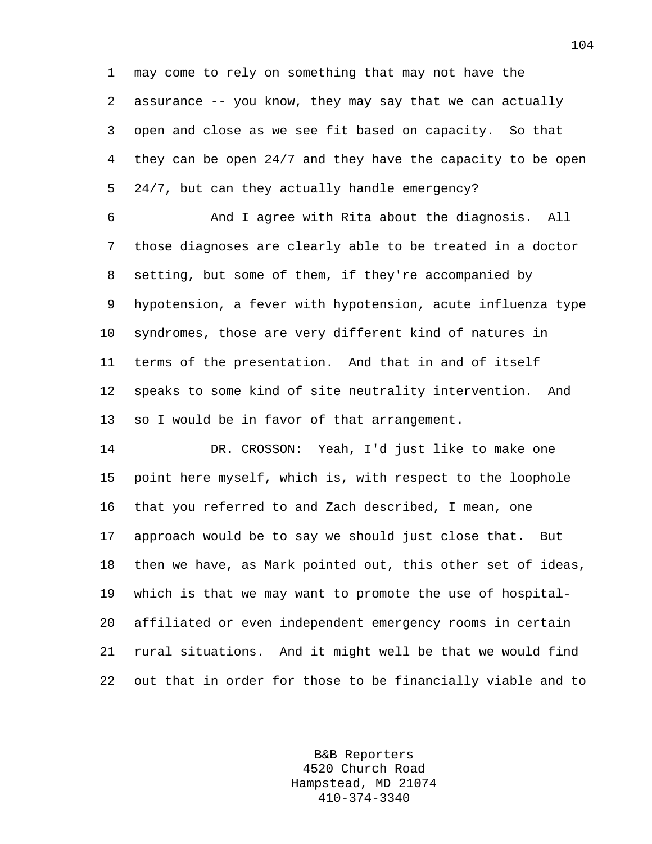1 may come to rely on something that may not have the 2 assurance -- you know, they may say that we can actually 3 open and close as we see fit based on capacity. So that 4 they can be open 24/7 and they have the capacity to be open 5 24/7, but can they actually handle emergency?

6 And I agree with Rita about the diagnosis. All 7 those diagnoses are clearly able to be treated in a doctor 8 setting, but some of them, if they're accompanied by 9 hypotension, a fever with hypotension, acute influenza type 10 syndromes, those are very different kind of natures in 11 terms of the presentation. And that in and of itself 12 speaks to some kind of site neutrality intervention. And 13 so I would be in favor of that arrangement.

14 DR. CROSSON: Yeah, I'd just like to make one 15 point here myself, which is, with respect to the loophole 16 that you referred to and Zach described, I mean, one 17 approach would be to say we should just close that. But 18 then we have, as Mark pointed out, this other set of ideas, 19 which is that we may want to promote the use of hospital-20 affiliated or even independent emergency rooms in certain 21 rural situations. And it might well be that we would find 22 out that in order for those to be financially viable and to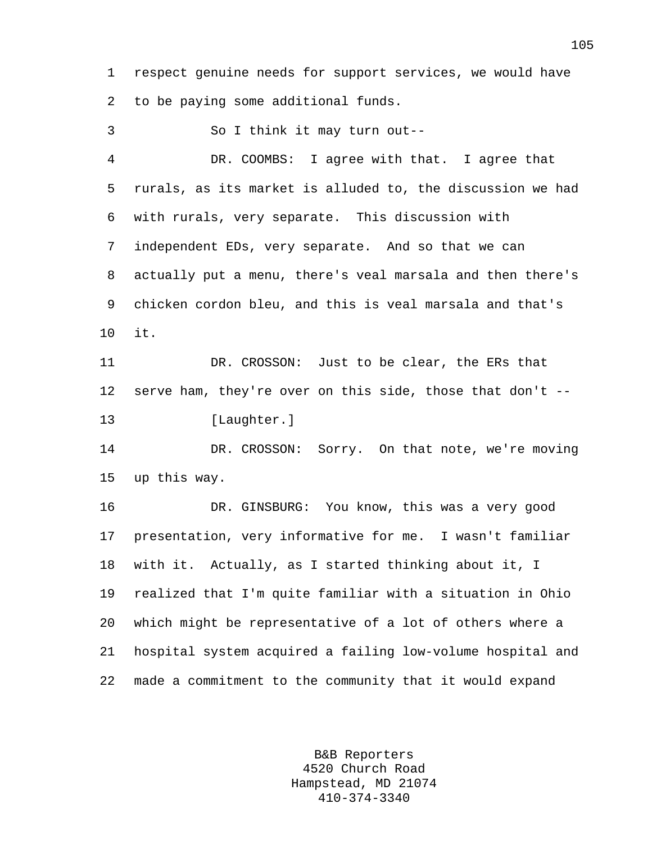1 respect genuine needs for support services, we would have 2 to be paying some additional funds.

3 So I think it may turn out-- 4 DR. COOMBS: I agree with that. I agree that 5 rurals, as its market is alluded to, the discussion we had 6 with rurals, very separate. This discussion with 7 independent EDs, very separate. And so that we can 8 actually put a menu, there's veal marsala and then there's 9 chicken cordon bleu, and this is veal marsala and that's 10 it. 11 DR. CROSSON: Just to be clear, the ERs that 12 serve ham, they're over on this side, those that don't -- 13 [Laughter.] 14 DR. CROSSON: Sorry. On that note, we're moving 15 up this way. 16 DR. GINSBURG: You know, this was a very good 17 presentation, very informative for me. I wasn't familiar 18 with it. Actually, as I started thinking about it, I 19 realized that I'm quite familiar with a situation in Ohio

20 which might be representative of a lot of others where a 21 hospital system acquired a failing low-volume hospital and 22 made a commitment to the community that it would expand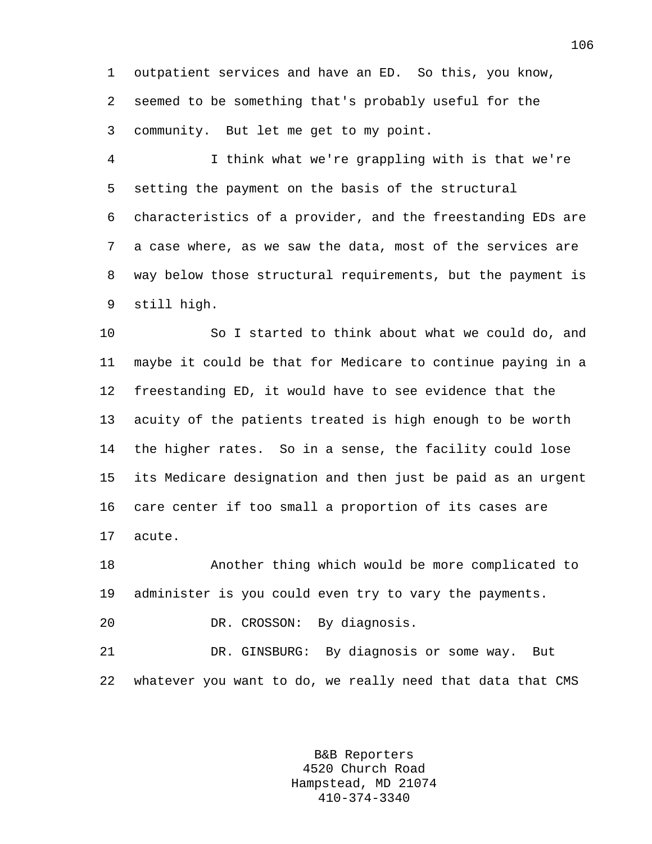1 outpatient services and have an ED. So this, you know, 2 seemed to be something that's probably useful for the 3 community. But let me get to my point.

4 I think what we're grappling with is that we're 5 setting the payment on the basis of the structural 6 characteristics of a provider, and the freestanding EDs are 7 a case where, as we saw the data, most of the services are 8 way below those structural requirements, but the payment is 9 still high.

10 So I started to think about what we could do, and 11 maybe it could be that for Medicare to continue paying in a 12 freestanding ED, it would have to see evidence that the 13 acuity of the patients treated is high enough to be worth 14 the higher rates. So in a sense, the facility could lose 15 its Medicare designation and then just be paid as an urgent 16 care center if too small a proportion of its cases are 17 acute.

18 Another thing which would be more complicated to 19 administer is you could even try to vary the payments.

20 DR. CROSSON: By diagnosis.

21 DR. GINSBURG: By diagnosis or some way. But 22 whatever you want to do, we really need that data that CMS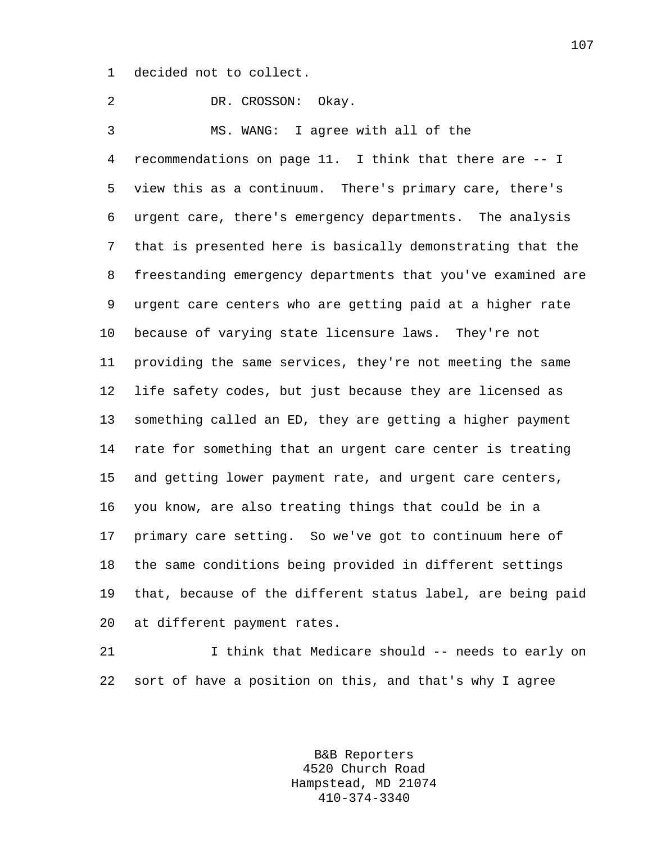1 decided not to collect.

2 DR. CROSSON: Okay. 3 MS. WANG: I agree with all of the 4 recommendations on page 11. I think that there are -- I 5 view this as a continuum. There's primary care, there's 6 urgent care, there's emergency departments. The analysis 7 that is presented here is basically demonstrating that the 8 freestanding emergency departments that you've examined are 9 urgent care centers who are getting paid at a higher rate 10 because of varying state licensure laws. They're not 11 providing the same services, they're not meeting the same 12 life safety codes, but just because they are licensed as 13 something called an ED, they are getting a higher payment 14 rate for something that an urgent care center is treating 15 and getting lower payment rate, and urgent care centers, 16 you know, are also treating things that could be in a 17 primary care setting. So we've got to continuum here of 18 the same conditions being provided in different settings 19 that, because of the different status label, are being paid 20 at different payment rates.

21 I think that Medicare should -- needs to early on 22 sort of have a position on this, and that's why I agree

> B&B Reporters 4520 Church Road Hampstead, MD 21074 410-374-3340

107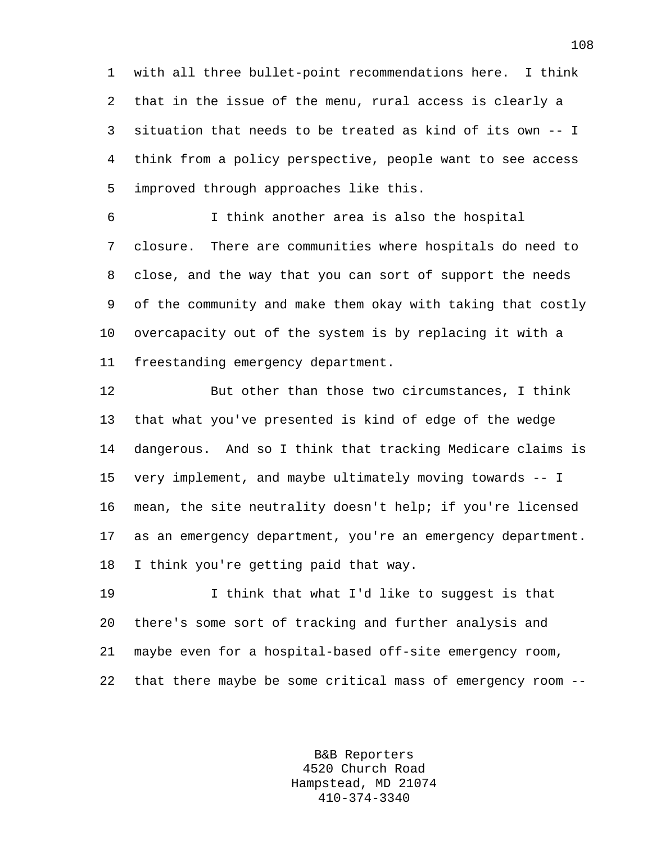1 with all three bullet-point recommendations here. I think 2 that in the issue of the menu, rural access is clearly a 3 situation that needs to be treated as kind of its own -- I 4 think from a policy perspective, people want to see access 5 improved through approaches like this.

6 I think another area is also the hospital 7 closure. There are communities where hospitals do need to 8 close, and the way that you can sort of support the needs 9 of the community and make them okay with taking that costly 10 overcapacity out of the system is by replacing it with a 11 freestanding emergency department.

12 But other than those two circumstances, I think 13 that what you've presented is kind of edge of the wedge 14 dangerous. And so I think that tracking Medicare claims is 15 very implement, and maybe ultimately moving towards -- I 16 mean, the site neutrality doesn't help; if you're licensed 17 as an emergency department, you're an emergency department. 18 I think you're getting paid that way.

19 I think that what I'd like to suggest is that 20 there's some sort of tracking and further analysis and 21 maybe even for a hospital-based off-site emergency room, 22 that there maybe be some critical mass of emergency room --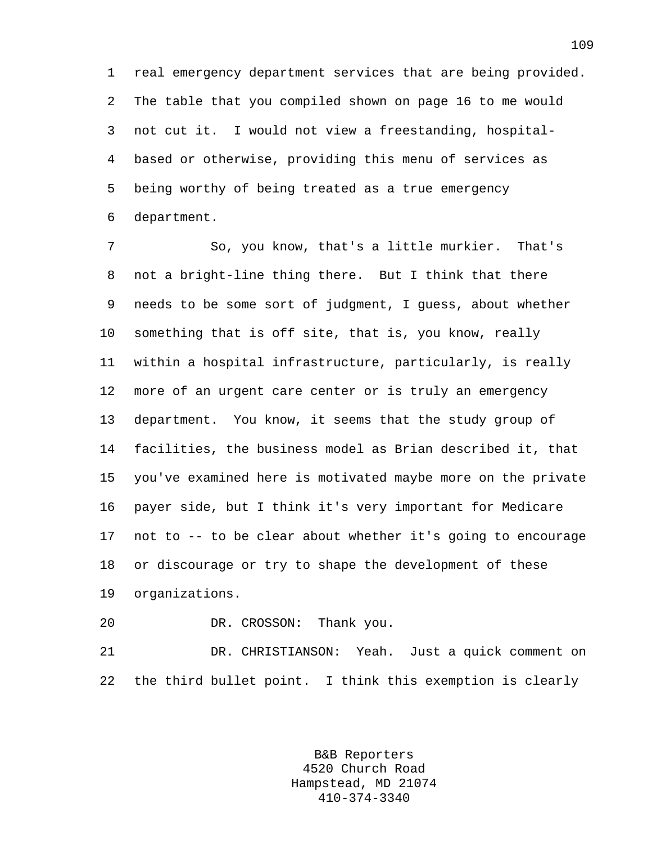1 real emergency department services that are being provided. 2 The table that you compiled shown on page 16 to me would 3 not cut it. I would not view a freestanding, hospital-4 based or otherwise, providing this menu of services as 5 being worthy of being treated as a true emergency 6 department.

7 So, you know, that's a little murkier. That's 8 not a bright-line thing there. But I think that there 9 needs to be some sort of judgment, I guess, about whether 10 something that is off site, that is, you know, really 11 within a hospital infrastructure, particularly, is really 12 more of an urgent care center or is truly an emergency 13 department. You know, it seems that the study group of 14 facilities, the business model as Brian described it, that 15 you've examined here is motivated maybe more on the private 16 payer side, but I think it's very important for Medicare 17 not to -- to be clear about whether it's going to encourage 18 or discourage or try to shape the development of these 19 organizations.

20 DR. CROSSON: Thank you.

21 DR. CHRISTIANSON: Yeah. Just a quick comment on 22 the third bullet point. I think this exemption is clearly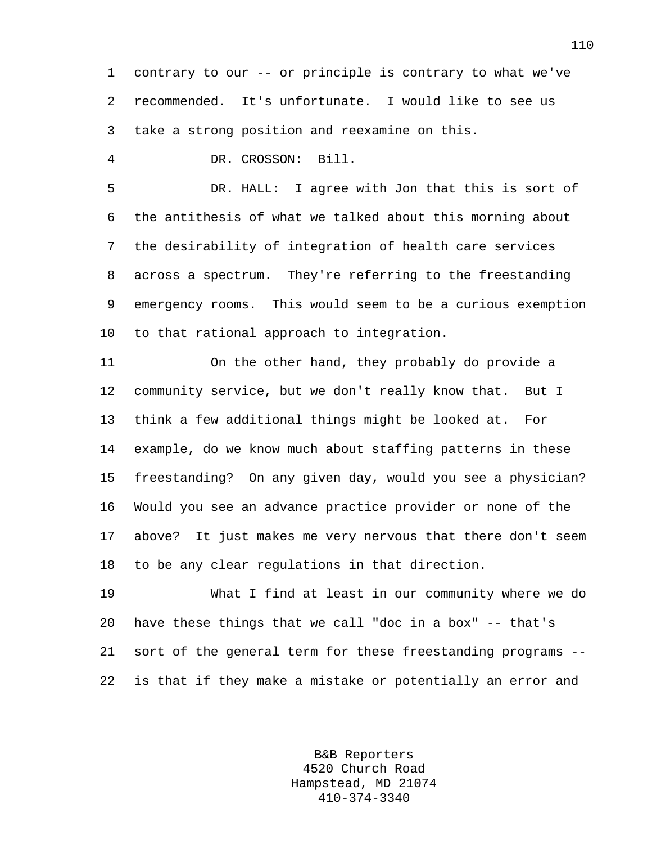1 contrary to our -- or principle is contrary to what we've 2 recommended. It's unfortunate. I would like to see us 3 take a strong position and reexamine on this.

4 DR. CROSSON: Bill.

5 DR. HALL: I agree with Jon that this is sort of 6 the antithesis of what we talked about this morning about 7 the desirability of integration of health care services 8 across a spectrum. They're referring to the freestanding 9 emergency rooms. This would seem to be a curious exemption 10 to that rational approach to integration.

11 On the other hand, they probably do provide a 12 community service, but we don't really know that. But I 13 think a few additional things might be looked at. For 14 example, do we know much about staffing patterns in these 15 freestanding? On any given day, would you see a physician? 16 Would you see an advance practice provider or none of the 17 above? It just makes me very nervous that there don't seem 18 to be any clear regulations in that direction.

19 What I find at least in our community where we do 20 have these things that we call "doc in a box" -- that's 21 sort of the general term for these freestanding programs -- 22 is that if they make a mistake or potentially an error and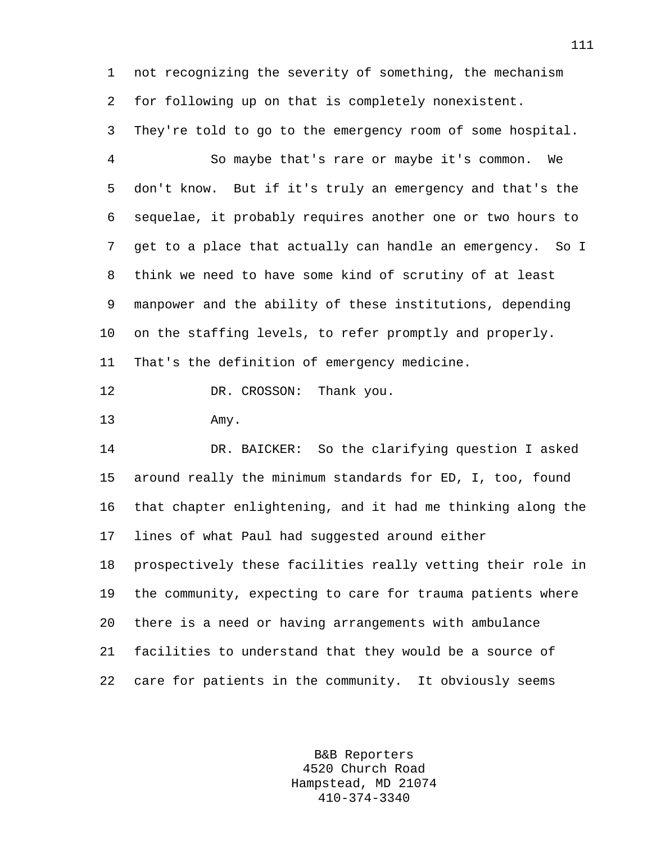1 not recognizing the severity of something, the mechanism 2 for following up on that is completely nonexistent.

3 They're told to go to the emergency room of some hospital. 4 So maybe that's rare or maybe it's common. We 5 don't know. But if it's truly an emergency and that's the 6 sequelae, it probably requires another one or two hours to 7 get to a place that actually can handle an emergency. So I 8 think we need to have some kind of scrutiny of at least 9 manpower and the ability of these institutions, depending 10 on the staffing levels, to refer promptly and properly. 11 That's the definition of emergency medicine.

12 DR. CROSSON: Thank you.

13 Amy.

14 DR. BAICKER: So the clarifying question I asked 15 around really the minimum standards for ED, I, too, found 16 that chapter enlightening, and it had me thinking along the 17 lines of what Paul had suggested around either 18 prospectively these facilities really vetting their role in 19 the community, expecting to care for trauma patients where 20 there is a need or having arrangements with ambulance 21 facilities to understand that they would be a source of 22 care for patients in the community. It obviously seems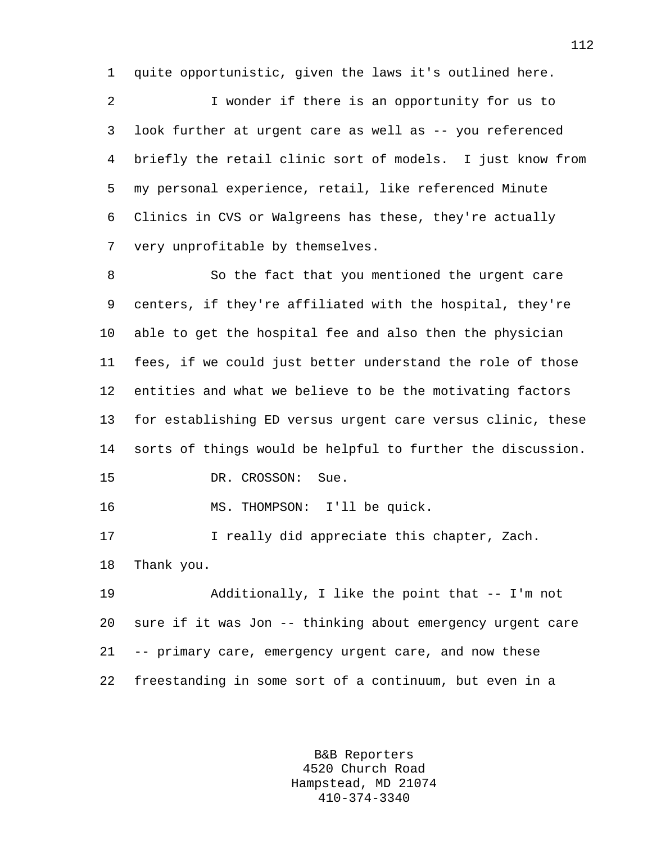1 quite opportunistic, given the laws it's outlined here.

2 I wonder if there is an opportunity for us to 3 look further at urgent care as well as -- you referenced 4 briefly the retail clinic sort of models. I just know from 5 my personal experience, retail, like referenced Minute 6 Clinics in CVS or Walgreens has these, they're actually 7 very unprofitable by themselves.

8 So the fact that you mentioned the urgent care 9 centers, if they're affiliated with the hospital, they're 10 able to get the hospital fee and also then the physician 11 fees, if we could just better understand the role of those 12 entities and what we believe to be the motivating factors 13 for establishing ED versus urgent care versus clinic, these 14 sorts of things would be helpful to further the discussion. 15 DR. CROSSON: Sue.

16 MS. THOMPSON: I'll be quick.

17 1 I really did appreciate this chapter, Zach. 18 Thank you.

19 Additionally, I like the point that -- I'm not 20 sure if it was Jon -- thinking about emergency urgent care 21 -- primary care, emergency urgent care, and now these 22 freestanding in some sort of a continuum, but even in a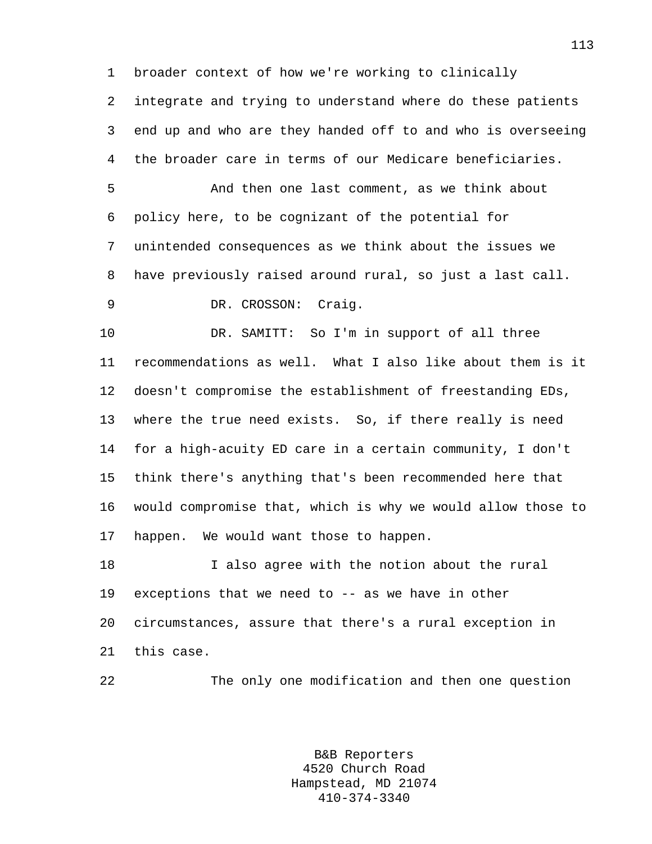1 broader context of how we're working to clinically

2 integrate and trying to understand where do these patients 3 end up and who are they handed off to and who is overseeing 4 the broader care in terms of our Medicare beneficiaries.

5 And then one last comment, as we think about 6 policy here, to be cognizant of the potential for 7 unintended consequences as we think about the issues we 8 have previously raised around rural, so just a last call.

9 DR. CROSSON: Craig.

10 DR. SAMITT: So I'm in support of all three 11 recommendations as well. What I also like about them is it 12 doesn't compromise the establishment of freestanding EDs, 13 where the true need exists. So, if there really is need 14 for a high-acuity ED care in a certain community, I don't 15 think there's anything that's been recommended here that 16 would compromise that, which is why we would allow those to 17 happen. We would want those to happen.

18 I also agree with the notion about the rural 19 exceptions that we need to -- as we have in other 20 circumstances, assure that there's a rural exception in 21 this case.

22 The only one modification and then one question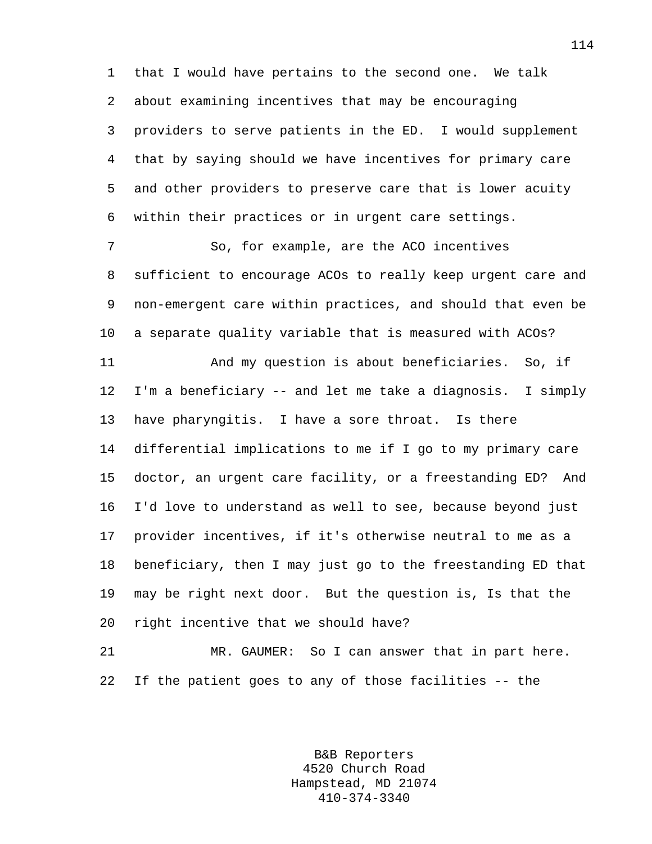1 that I would have pertains to the second one. We talk 2 about examining incentives that may be encouraging 3 providers to serve patients in the ED. I would supplement 4 that by saying should we have incentives for primary care 5 and other providers to preserve care that is lower acuity 6 within their practices or in urgent care settings.

7 So, for example, are the ACO incentives 8 sufficient to encourage ACOs to really keep urgent care and 9 non-emergent care within practices, and should that even be 10 a separate quality variable that is measured with ACOs?

11 And my question is about beneficiaries. So, if 12 I'm a beneficiary -- and let me take a diagnosis. I simply 13 have pharyngitis. I have a sore throat. Is there 14 differential implications to me if I go to my primary care 15 doctor, an urgent care facility, or a freestanding ED? And 16 I'd love to understand as well to see, because beyond just 17 provider incentives, if it's otherwise neutral to me as a 18 beneficiary, then I may just go to the freestanding ED that 19 may be right next door. But the question is, Is that the 20 right incentive that we should have?

21 MR. GAUMER: So I can answer that in part here. 22 If the patient goes to any of those facilities -- the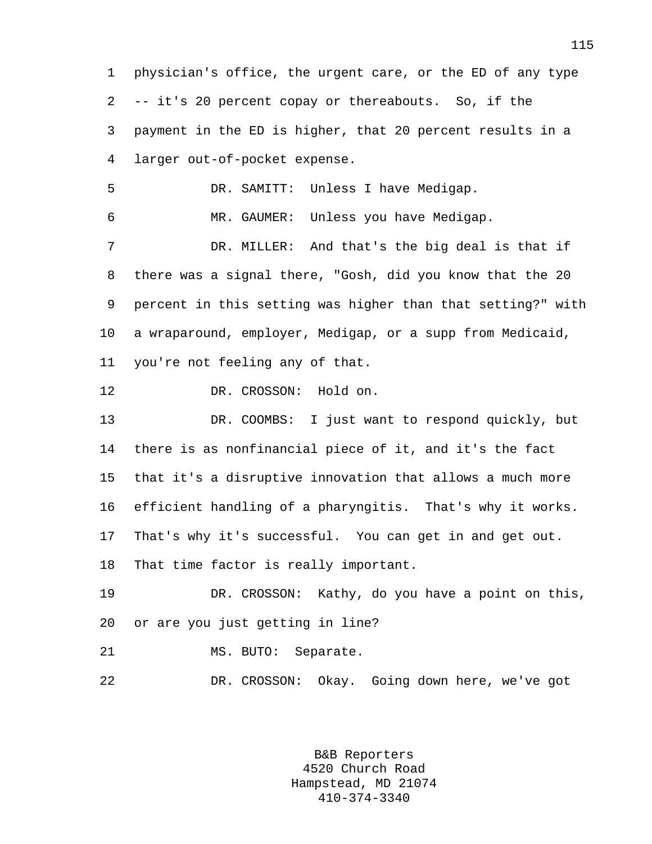1 physician's office, the urgent care, or the ED of any type 2 -- it's 20 percent copay or thereabouts. So, if the 3 payment in the ED is higher, that 20 percent results in a 4 larger out-of-pocket expense. 5 DR. SAMITT: Unless I have Medigap. 6 MR. GAUMER: Unless you have Medigap. 7 DR. MILLER: And that's the big deal is that if 8 there was a signal there, "Gosh, did you know that the 20 9 percent in this setting was higher than that setting?" with 10 a wraparound, employer, Medigap, or a supp from Medicaid, 11 you're not feeling any of that. 12 DR. CROSSON: Hold on. 13 DR. COOMBS: I just want to respond quickly, but 14 there is as nonfinancial piece of it, and it's the fact 15 that it's a disruptive innovation that allows a much more 16 efficient handling of a pharyngitis. That's why it works. 17 That's why it's successful. You can get in and get out. 18 That time factor is really important. 19 DR. CROSSON: Kathy, do you have a point on this, 20 or are you just getting in line? 21 MS. BUTO: Separate. 22 DR. CROSSON: Okay. Going down here, we've got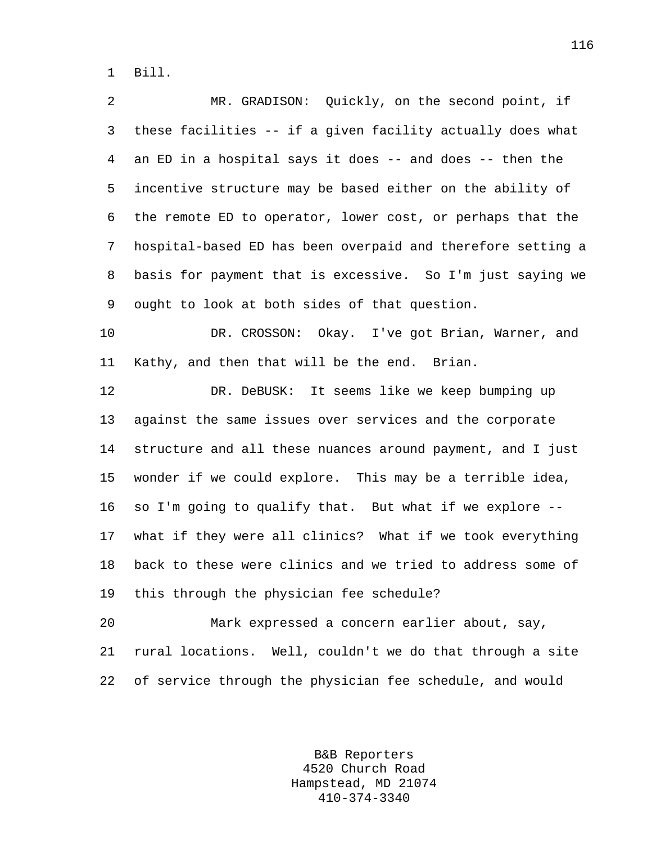1 Bill.

2 MR. GRADISON: Quickly, on the second point, if 3 these facilities -- if a given facility actually does what 4 an ED in a hospital says it does -- and does -- then the 5 incentive structure may be based either on the ability of 6 the remote ED to operator, lower cost, or perhaps that the 7 hospital-based ED has been overpaid and therefore setting a 8 basis for payment that is excessive. So I'm just saying we 9 ought to look at both sides of that question.

10 DR. CROSSON: Okay. I've got Brian, Warner, and 11 Kathy, and then that will be the end. Brian.

12 DR. DeBUSK: It seems like we keep bumping up 13 against the same issues over services and the corporate 14 structure and all these nuances around payment, and I just 15 wonder if we could explore. This may be a terrible idea, 16 so I'm going to qualify that. But what if we explore -- 17 what if they were all clinics? What if we took everything 18 back to these were clinics and we tried to address some of 19 this through the physician fee schedule?

20 Mark expressed a concern earlier about, say, 21 rural locations. Well, couldn't we do that through a site 22 of service through the physician fee schedule, and would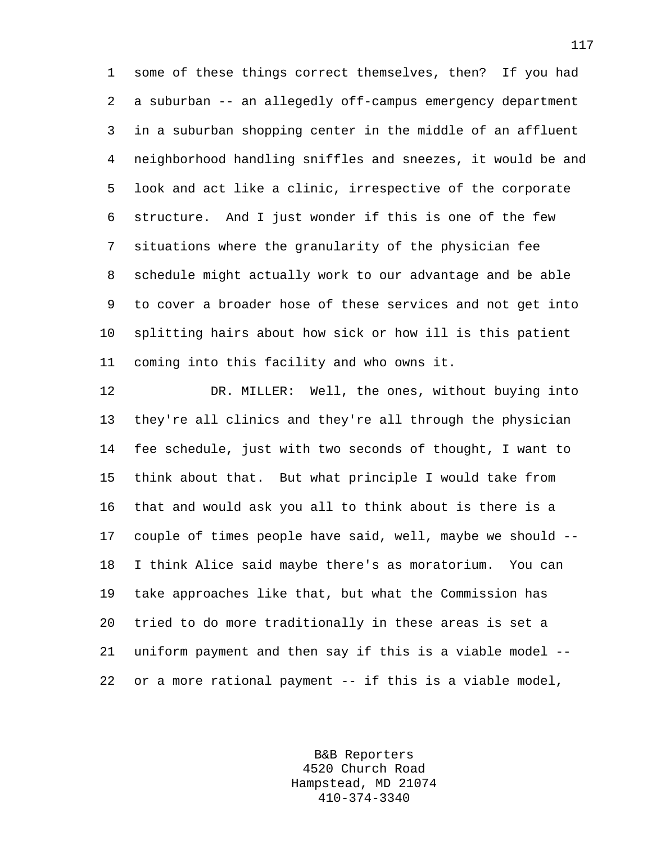1 some of these things correct themselves, then? If you had 2 a suburban -- an allegedly off-campus emergency department 3 in a suburban shopping center in the middle of an affluent 4 neighborhood handling sniffles and sneezes, it would be and 5 look and act like a clinic, irrespective of the corporate 6 structure. And I just wonder if this is one of the few 7 situations where the granularity of the physician fee 8 schedule might actually work to our advantage and be able 9 to cover a broader hose of these services and not get into 10 splitting hairs about how sick or how ill is this patient 11 coming into this facility and who owns it.

12 DR. MILLER: Well, the ones, without buying into 13 they're all clinics and they're all through the physician 14 fee schedule, just with two seconds of thought, I want to 15 think about that. But what principle I would take from 16 that and would ask you all to think about is there is a 17 couple of times people have said, well, maybe we should -- 18 I think Alice said maybe there's as moratorium. You can 19 take approaches like that, but what the Commission has 20 tried to do more traditionally in these areas is set a 21 uniform payment and then say if this is a viable model -- 22 or a more rational payment -- if this is a viable model,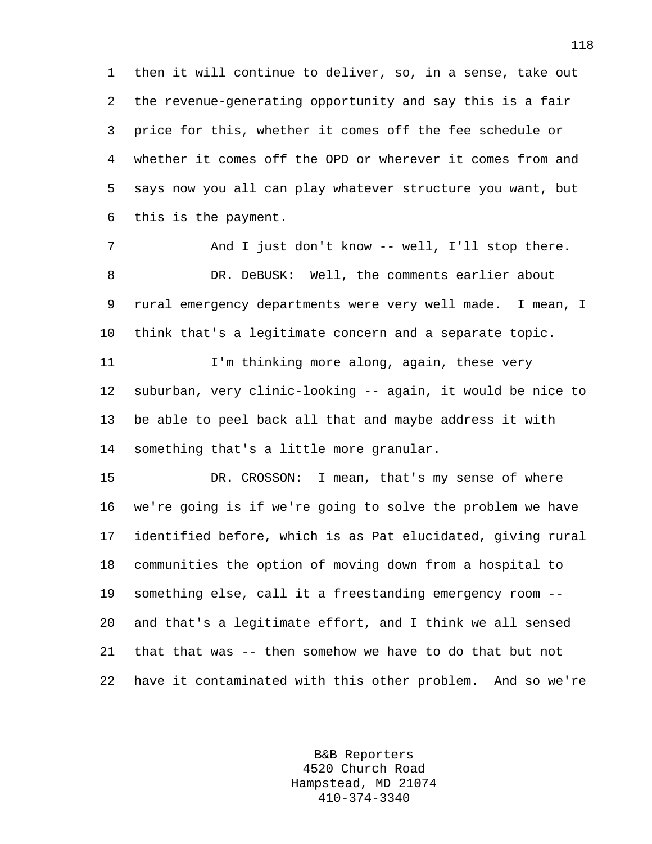1 then it will continue to deliver, so, in a sense, take out 2 the revenue-generating opportunity and say this is a fair 3 price for this, whether it comes off the fee schedule or 4 whether it comes off the OPD or wherever it comes from and 5 says now you all can play whatever structure you want, but 6 this is the payment.

7 And I just don't know -- well, I'll stop there. 8 DR. DeBUSK: Well, the comments earlier about 9 rural emergency departments were very well made. I mean, I 10 think that's a legitimate concern and a separate topic.

11 I'm thinking more along, again, these very 12 suburban, very clinic-looking -- again, it would be nice to 13 be able to peel back all that and maybe address it with 14 something that's a little more granular.

15 DR. CROSSON: I mean, that's my sense of where 16 we're going is if we're going to solve the problem we have 17 identified before, which is as Pat elucidated, giving rural 18 communities the option of moving down from a hospital to 19 something else, call it a freestanding emergency room -- 20 and that's a legitimate effort, and I think we all sensed 21 that that was -- then somehow we have to do that but not 22 have it contaminated with this other problem. And so we're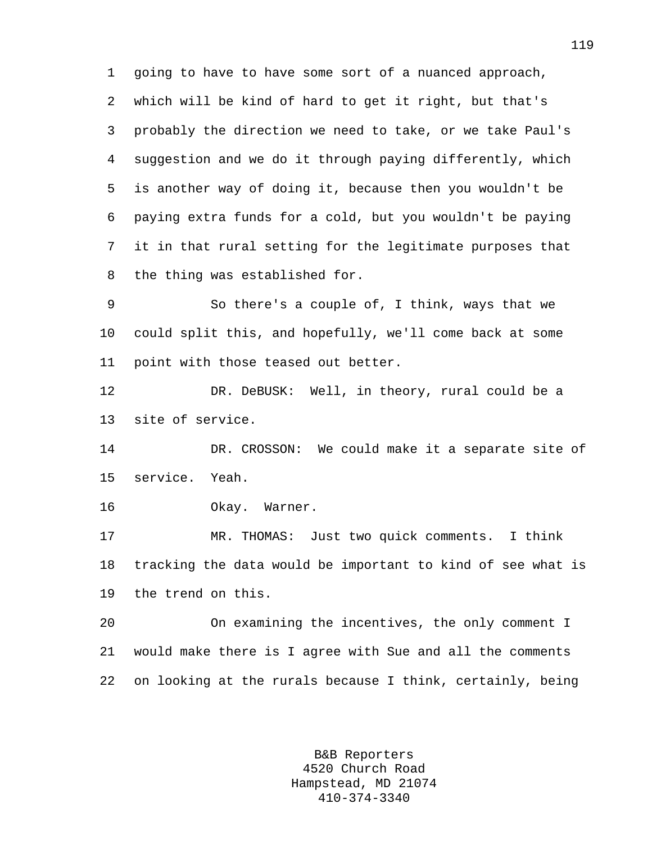1 going to have to have some sort of a nuanced approach, 2 which will be kind of hard to get it right, but that's 3 probably the direction we need to take, or we take Paul's 4 suggestion and we do it through paying differently, which 5 is another way of doing it, because then you wouldn't be 6 paying extra funds for a cold, but you wouldn't be paying 7 it in that rural setting for the legitimate purposes that 8 the thing was established for.

9 So there's a couple of, I think, ways that we 10 could split this, and hopefully, we'll come back at some 11 point with those teased out better.

12 DR. DeBUSK: Well, in theory, rural could be a 13 site of service.

14 DR. CROSSON: We could make it a separate site of 15 service. Yeah.

16 Okay. Warner.

17 MR. THOMAS: Just two quick comments. I think 18 tracking the data would be important to kind of see what is 19 the trend on this.

20 On examining the incentives, the only comment I 21 would make there is I agree with Sue and all the comments 22 on looking at the rurals because I think, certainly, being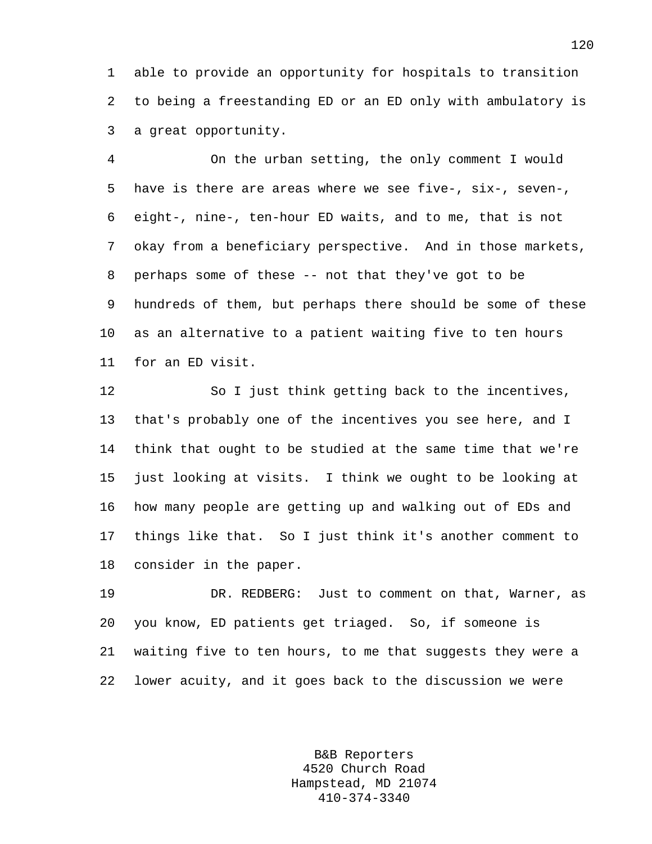1 able to provide an opportunity for hospitals to transition 2 to being a freestanding ED or an ED only with ambulatory is 3 a great opportunity.

4 On the urban setting, the only comment I would 5 have is there are areas where we see five-, six-, seven-, 6 eight-, nine-, ten-hour ED waits, and to me, that is not 7 okay from a beneficiary perspective. And in those markets, 8 perhaps some of these -- not that they've got to be 9 hundreds of them, but perhaps there should be some of these 10 as an alternative to a patient waiting five to ten hours 11 for an ED visit.

12 So I just think getting back to the incentives, 13 that's probably one of the incentives you see here, and I 14 think that ought to be studied at the same time that we're 15 just looking at visits. I think we ought to be looking at 16 how many people are getting up and walking out of EDs and 17 things like that. So I just think it's another comment to 18 consider in the paper.

19 DR. REDBERG: Just to comment on that, Warner, as 20 you know, ED patients get triaged. So, if someone is 21 waiting five to ten hours, to me that suggests they were a 22 lower acuity, and it goes back to the discussion we were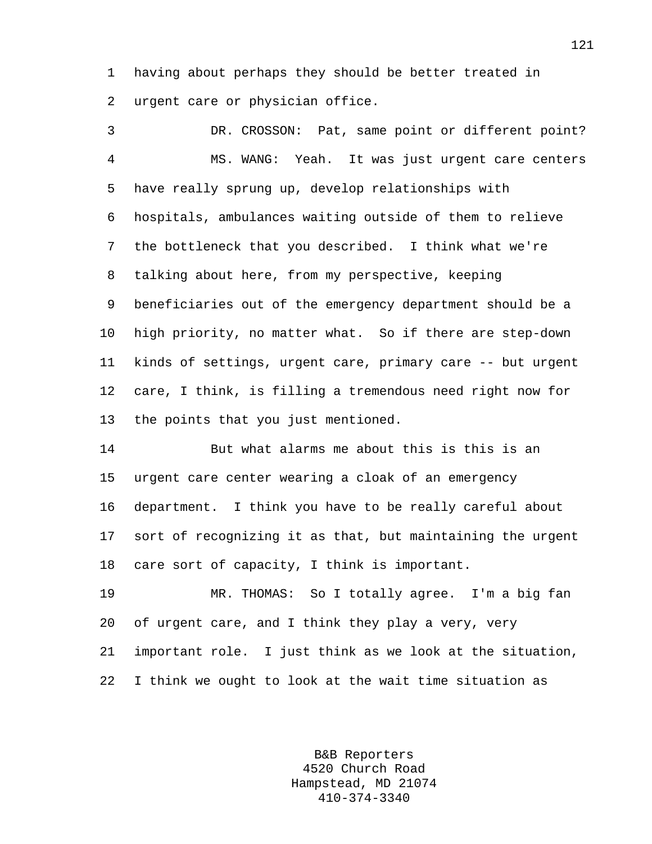1 having about perhaps they should be better treated in 2 urgent care or physician office.

3 DR. CROSSON: Pat, same point or different point? 4 MS. WANG: Yeah. It was just urgent care centers 5 have really sprung up, develop relationships with 6 hospitals, ambulances waiting outside of them to relieve 7 the bottleneck that you described. I think what we're 8 talking about here, from my perspective, keeping 9 beneficiaries out of the emergency department should be a 10 high priority, no matter what. So if there are step-down 11 kinds of settings, urgent care, primary care -- but urgent 12 care, I think, is filling a tremendous need right now for 13 the points that you just mentioned.

14 But what alarms me about this is this is an 15 urgent care center wearing a cloak of an emergency 16 department. I think you have to be really careful about 17 sort of recognizing it as that, but maintaining the urgent 18 care sort of capacity, I think is important.

19 MR. THOMAS: So I totally agree. I'm a big fan 20 of urgent care, and I think they play a very, very 21 important role. I just think as we look at the situation, 22 I think we ought to look at the wait time situation as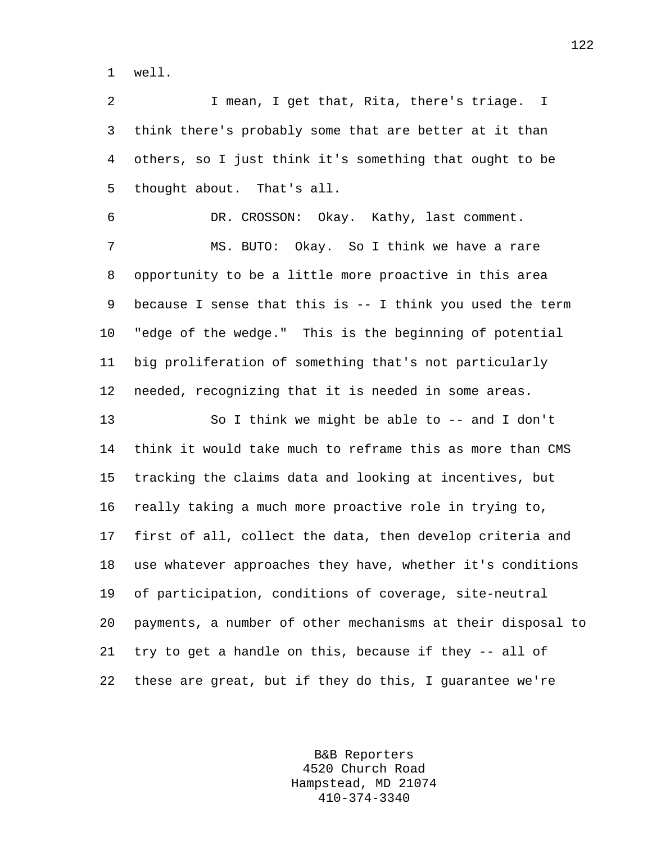1 well.

2 I mean, I get that, Rita, there's triage. I 3 think there's probably some that are better at it than 4 others, so I just think it's something that ought to be 5 thought about. That's all.

6 DR. CROSSON: Okay. Kathy, last comment. 7 MS. BUTO: Okay. So I think we have a rare 8 opportunity to be a little more proactive in this area 9 because I sense that this is -- I think you used the term 10 "edge of the wedge." This is the beginning of potential 11 big proliferation of something that's not particularly 12 needed, recognizing that it is needed in some areas.

13 So I think we might be able to -- and I don't 14 think it would take much to reframe this as more than CMS 15 tracking the claims data and looking at incentives, but 16 really taking a much more proactive role in trying to, 17 first of all, collect the data, then develop criteria and 18 use whatever approaches they have, whether it's conditions 19 of participation, conditions of coverage, site-neutral 20 payments, a number of other mechanisms at their disposal to 21 try to get a handle on this, because if they -- all of 22 these are great, but if they do this, I guarantee we're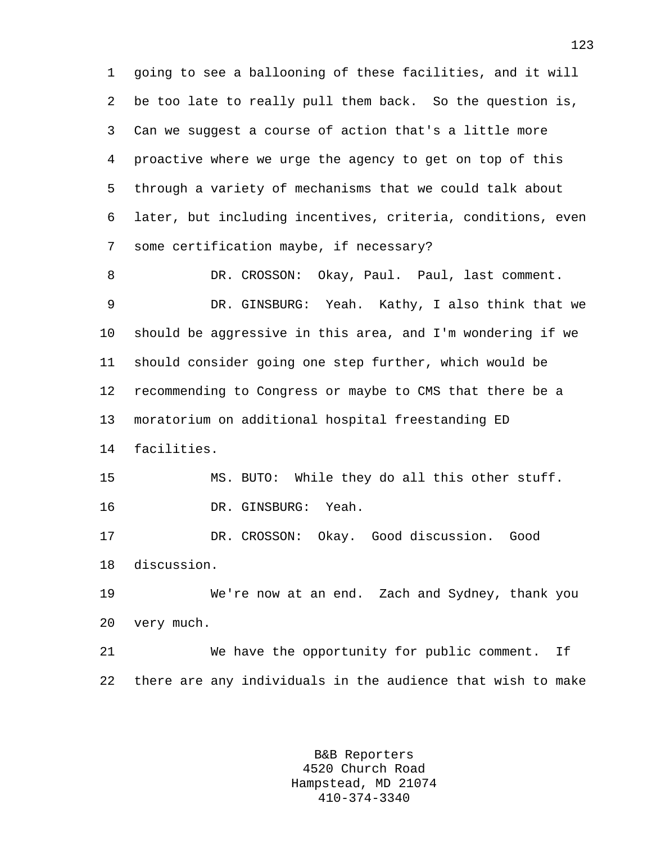1 going to see a ballooning of these facilities, and it will 2 be too late to really pull them back. So the question is, 3 Can we suggest a course of action that's a little more 4 proactive where we urge the agency to get on top of this 5 through a variety of mechanisms that we could talk about 6 later, but including incentives, criteria, conditions, even 7 some certification maybe, if necessary?

8 DR. CROSSON: Okay, Paul. Paul, last comment. 9 DR. GINSBURG: Yeah. Kathy, I also think that we 10 should be aggressive in this area, and I'm wondering if we 11 should consider going one step further, which would be 12 recommending to Congress or maybe to CMS that there be a 13 moratorium on additional hospital freestanding ED 14 facilities.

15 MS. BUTO: While they do all this other stuff. 16 DR. GINSBURG: Yeah.

17 DR. CROSSON: Okay. Good discussion. Good 18 discussion.

19 We're now at an end. Zach and Sydney, thank you 20 very much.

21 We have the opportunity for public comment. If 22 there are any individuals in the audience that wish to make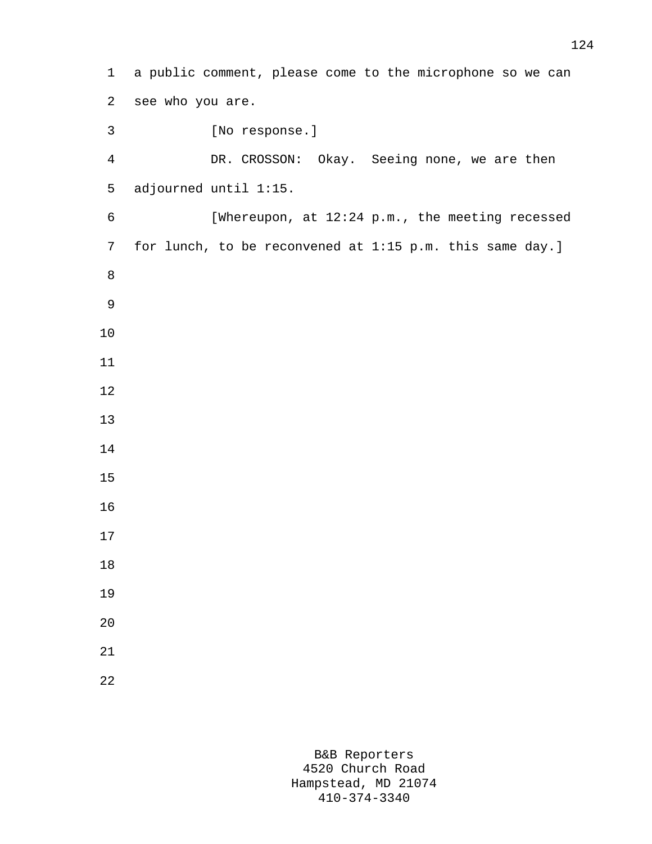1 a public comment, please come to the microphone so we can 2 see who you are. 3 [No response.] 4 DR. CROSSON: Okay. Seeing none, we are then 5 adjourned until 1:15. 6 [Whereupon, at 12:24 p.m., the meeting recessed 7 for lunch, to be reconvened at 1:15 p.m. this same day.] 8 9 10 11 12 13 14 15 16 17 18 19 20 21 22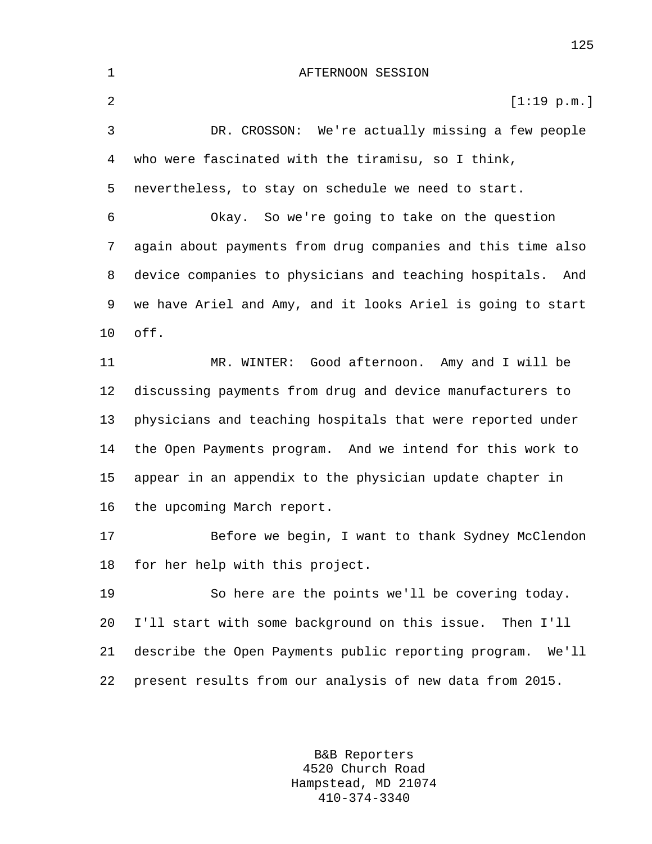1 AFTERNOON SESSION 2  $[1:19 \text{ p.m.}]$ 3 DR. CROSSON: We're actually missing a few people 4 who were fascinated with the tiramisu, so I think, 5 nevertheless, to stay on schedule we need to start. 6 Okay. So we're going to take on the question 7 again about payments from drug companies and this time also 8 device companies to physicians and teaching hospitals. And 9 we have Ariel and Amy, and it looks Ariel is going to start 10 off. 11 MR. WINTER: Good afternoon. Amy and I will be 12 discussing payments from drug and device manufacturers to 13 physicians and teaching hospitals that were reported under 14 the Open Payments program. And we intend for this work to 15 appear in an appendix to the physician update chapter in 16 the upcoming March report. 17 Before we begin, I want to thank Sydney McClendon 18 for her help with this project. 19 So here are the points we'll be covering today. 20 I'll start with some background on this issue. Then I'll 21 describe the Open Payments public reporting program. We'll 22 present results from our analysis of new data from 2015.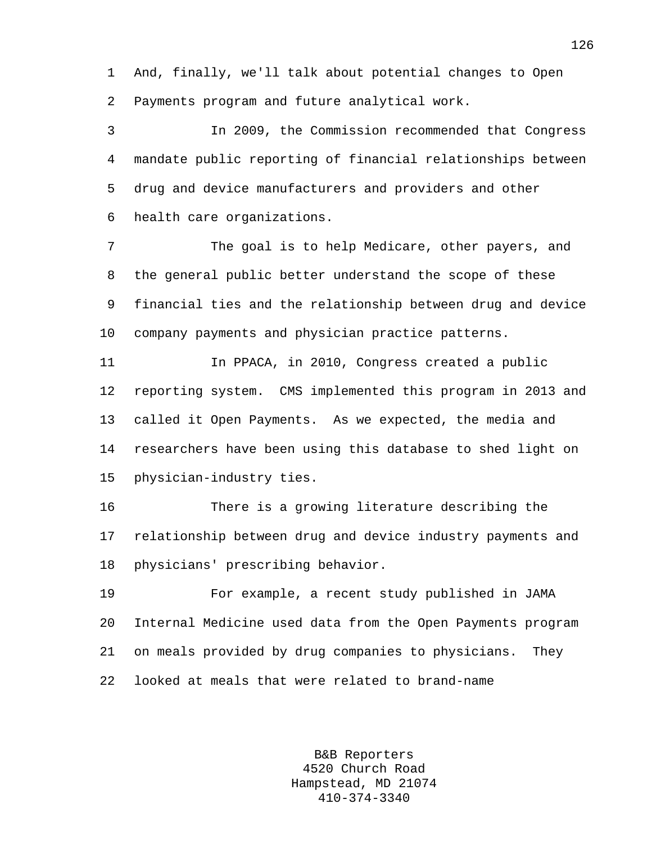1 And, finally, we'll talk about potential changes to Open 2 Payments program and future analytical work.

3 In 2009, the Commission recommended that Congress 4 mandate public reporting of financial relationships between 5 drug and device manufacturers and providers and other 6 health care organizations.

7 The goal is to help Medicare, other payers, and 8 the general public better understand the scope of these 9 financial ties and the relationship between drug and device 10 company payments and physician practice patterns.

11 In PPACA, in 2010, Congress created a public 12 reporting system. CMS implemented this program in 2013 and 13 called it Open Payments. As we expected, the media and 14 researchers have been using this database to shed light on 15 physician-industry ties.

16 There is a growing literature describing the 17 relationship between drug and device industry payments and 18 physicians' prescribing behavior.

19 For example, a recent study published in JAMA 20 Internal Medicine used data from the Open Payments program 21 on meals provided by drug companies to physicians. They 22 looked at meals that were related to brand-name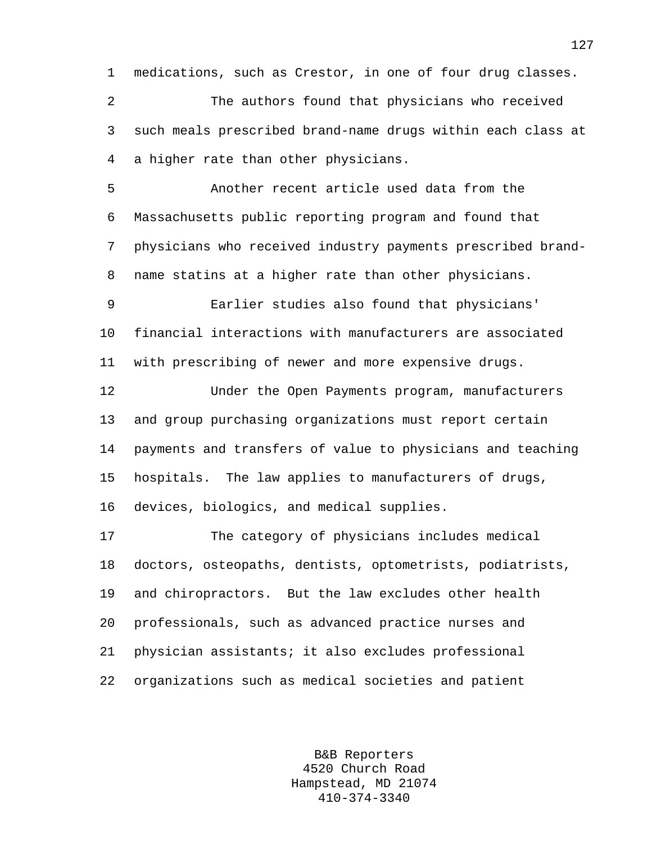1 medications, such as Crestor, in one of four drug classes.

2 The authors found that physicians who received 3 such meals prescribed brand-name drugs within each class at 4 a higher rate than other physicians.

5 Another recent article used data from the 6 Massachusetts public reporting program and found that 7 physicians who received industry payments prescribed brand-8 name statins at a higher rate than other physicians.

9 Earlier studies also found that physicians' 10 financial interactions with manufacturers are associated 11 with prescribing of newer and more expensive drugs.

12 Under the Open Payments program, manufacturers 13 and group purchasing organizations must report certain 14 payments and transfers of value to physicians and teaching 15 hospitals. The law applies to manufacturers of drugs, 16 devices, biologics, and medical supplies.

17 The category of physicians includes medical 18 doctors, osteopaths, dentists, optometrists, podiatrists, 19 and chiropractors. But the law excludes other health 20 professionals, such as advanced practice nurses and 21 physician assistants; it also excludes professional 22 organizations such as medical societies and patient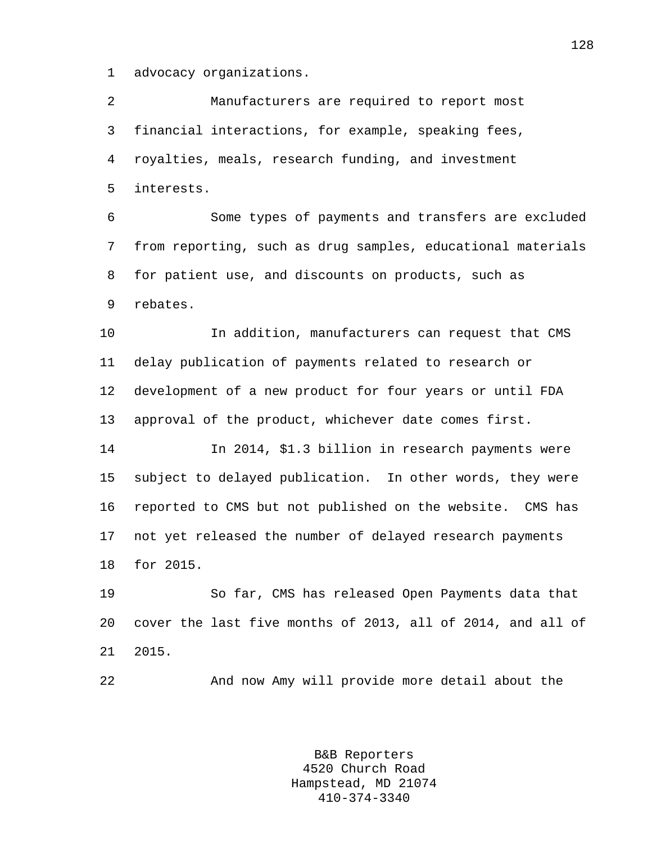1 advocacy organizations.

2 Manufacturers are required to report most 3 financial interactions, for example, speaking fees, 4 royalties, meals, research funding, and investment 5 interests.

6 Some types of payments and transfers are excluded 7 from reporting, such as drug samples, educational materials 8 for patient use, and discounts on products, such as 9 rebates.

10 In addition, manufacturers can request that CMS 11 delay publication of payments related to research or 12 development of a new product for four years or until FDA 13 approval of the product, whichever date comes first.

14 In 2014, \$1.3 billion in research payments were 15 subject to delayed publication. In other words, they were 16 reported to CMS but not published on the website. CMS has 17 not yet released the number of delayed research payments 18 for 2015.

19 So far, CMS has released Open Payments data that 20 cover the last five months of 2013, all of 2014, and all of 21 2015.

22 And now Amy will provide more detail about the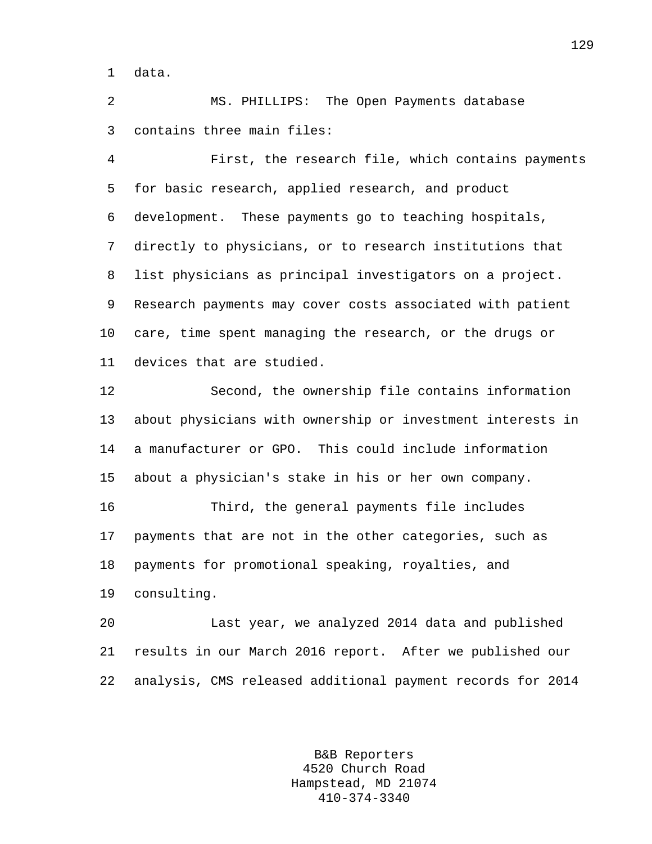1 data.

2 MS. PHILLIPS: The Open Payments database 3 contains three main files:

4 First, the research file, which contains payments 5 for basic research, applied research, and product 6 development. These payments go to teaching hospitals, 7 directly to physicians, or to research institutions that 8 list physicians as principal investigators on a project. 9 Research payments may cover costs associated with patient 10 care, time spent managing the research, or the drugs or 11 devices that are studied.

12 Second, the ownership file contains information 13 about physicians with ownership or investment interests in 14 a manufacturer or GPO. This could include information 15 about a physician's stake in his or her own company.

16 Third, the general payments file includes 17 payments that are not in the other categories, such as 18 payments for promotional speaking, royalties, and 19 consulting.

20 Last year, we analyzed 2014 data and published 21 results in our March 2016 report. After we published our 22 analysis, CMS released additional payment records for 2014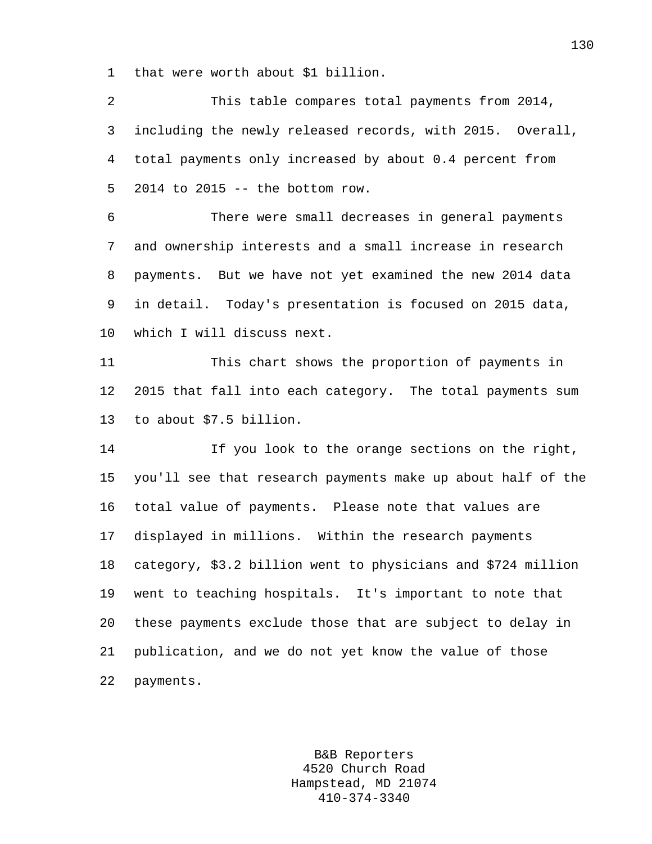1 that were worth about \$1 billion.

2 This table compares total payments from 2014, 3 including the newly released records, with 2015. Overall, 4 total payments only increased by about 0.4 percent from 5 2014 to 2015 -- the bottom row.

6 There were small decreases in general payments 7 and ownership interests and a small increase in research 8 payments. But we have not yet examined the new 2014 data 9 in detail. Today's presentation is focused on 2015 data, 10 which I will discuss next.

11 This chart shows the proportion of payments in 12 2015 that fall into each category. The total payments sum 13 to about \$7.5 billion.

14 If you look to the orange sections on the right, 15 you'll see that research payments make up about half of the 16 total value of payments. Please note that values are 17 displayed in millions. Within the research payments 18 category, \$3.2 billion went to physicians and \$724 million 19 went to teaching hospitals. It's important to note that 20 these payments exclude those that are subject to delay in 21 publication, and we do not yet know the value of those 22 payments.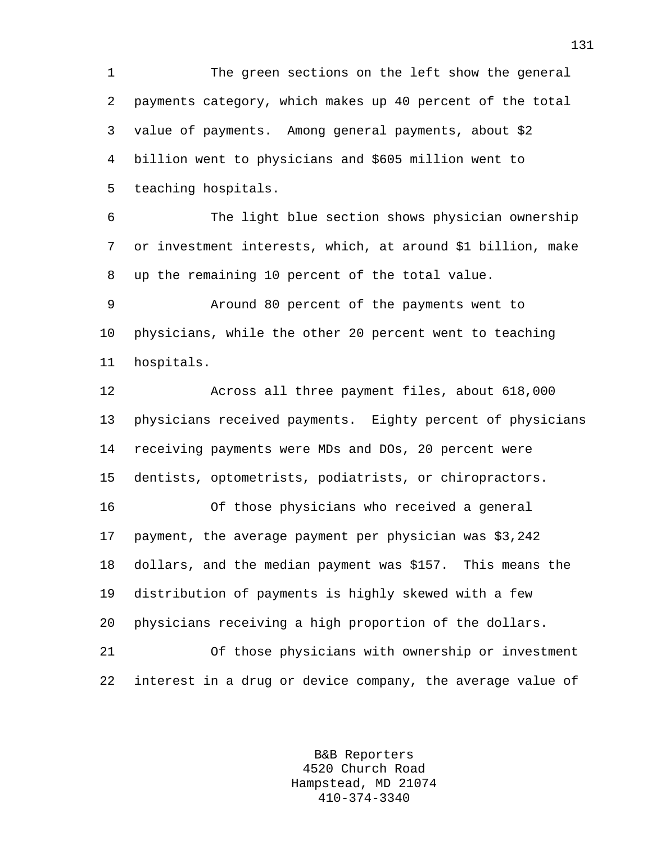1 The green sections on the left show the general 2 payments category, which makes up 40 percent of the total 3 value of payments. Among general payments, about \$2 4 billion went to physicians and \$605 million went to 5 teaching hospitals.

6 The light blue section shows physician ownership 7 or investment interests, which, at around \$1 billion, make 8 up the remaining 10 percent of the total value.

9 Around 80 percent of the payments went to 10 physicians, while the other 20 percent went to teaching 11 hospitals.

12 Across all three payment files, about 618,000 13 physicians received payments. Eighty percent of physicians 14 receiving payments were MDs and DOs, 20 percent were 15 dentists, optometrists, podiatrists, or chiropractors.

16 Of those physicians who received a general 17 payment, the average payment per physician was \$3,242 18 dollars, and the median payment was \$157. This means the 19 distribution of payments is highly skewed with a few 20 physicians receiving a high proportion of the dollars. 21 Of those physicians with ownership or investment 22 interest in a drug or device company, the average value of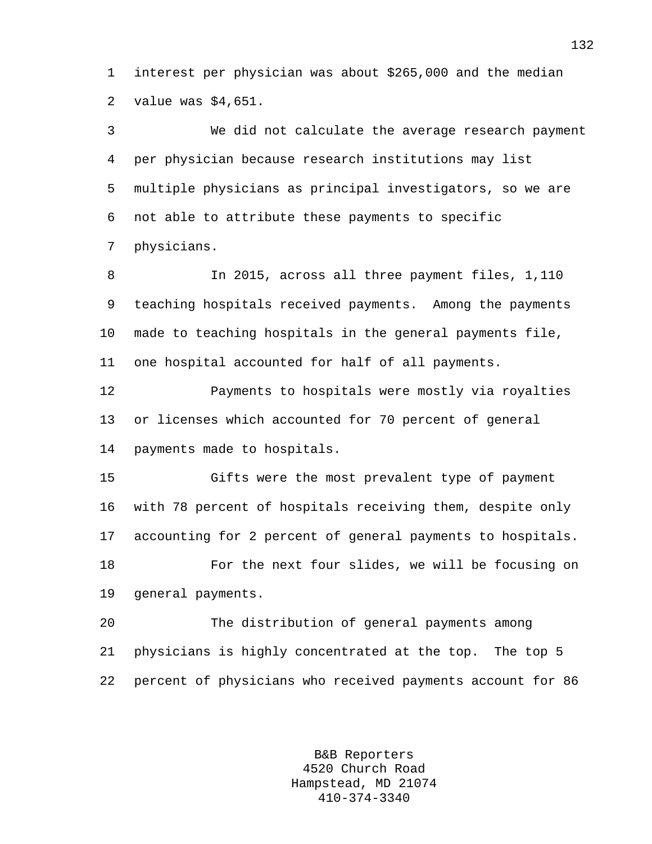1 interest per physician was about \$265,000 and the median 2 value was \$4,651.

3 We did not calculate the average research payment 4 per physician because research institutions may list 5 multiple physicians as principal investigators, so we are 6 not able to attribute these payments to specific 7 physicians.

8 In 2015, across all three payment files, 1,110 9 teaching hospitals received payments. Among the payments 10 made to teaching hospitals in the general payments file, 11 one hospital accounted for half of all payments.

12 Payments to hospitals were mostly via royalties 13 or licenses which accounted for 70 percent of general 14 payments made to hospitals.

15 Gifts were the most prevalent type of payment 16 with 78 percent of hospitals receiving them, despite only 17 accounting for 2 percent of general payments to hospitals. 18 For the next four slides, we will be focusing on 19 general payments.

20 The distribution of general payments among 21 physicians is highly concentrated at the top. The top 5 22 percent of physicians who received payments account for 86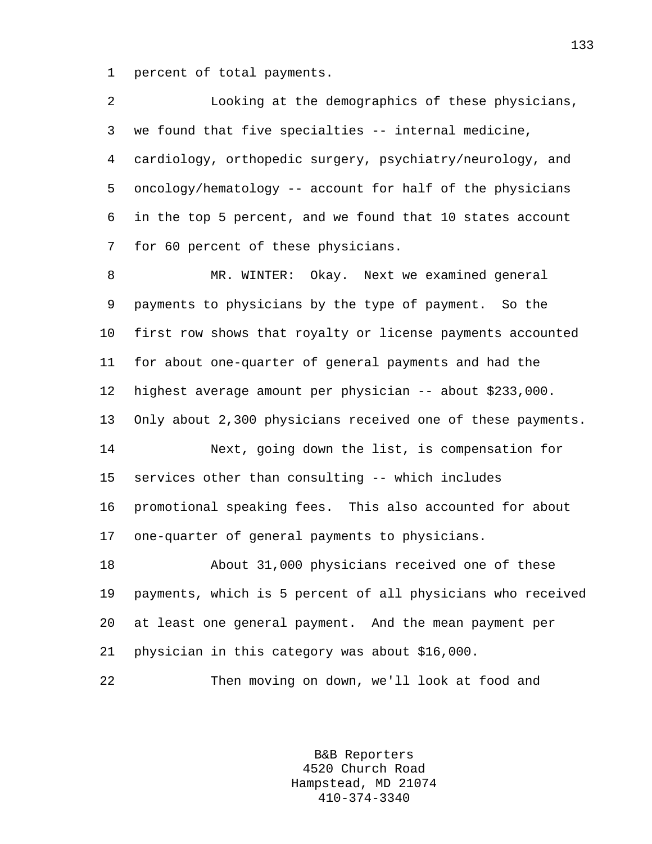1 percent of total payments.

2 Looking at the demographics of these physicians, 3 we found that five specialties -- internal medicine, 4 cardiology, orthopedic surgery, psychiatry/neurology, and 5 oncology/hematology -- account for half of the physicians 6 in the top 5 percent, and we found that 10 states account 7 for 60 percent of these physicians.

8 MR. WINTER: Okay. Next we examined general 9 payments to physicians by the type of payment. So the 10 first row shows that royalty or license payments accounted 11 for about one-quarter of general payments and had the 12 highest average amount per physician -- about \$233,000. 13 Only about 2,300 physicians received one of these payments. 14 Next, going down the list, is compensation for 15 services other than consulting -- which includes 16 promotional speaking fees. This also accounted for about 17 one-quarter of general payments to physicians.

18 About 31,000 physicians received one of these 19 payments, which is 5 percent of all physicians who received 20 at least one general payment. And the mean payment per 21 physician in this category was about \$16,000.

22 Then moving on down, we'll look at food and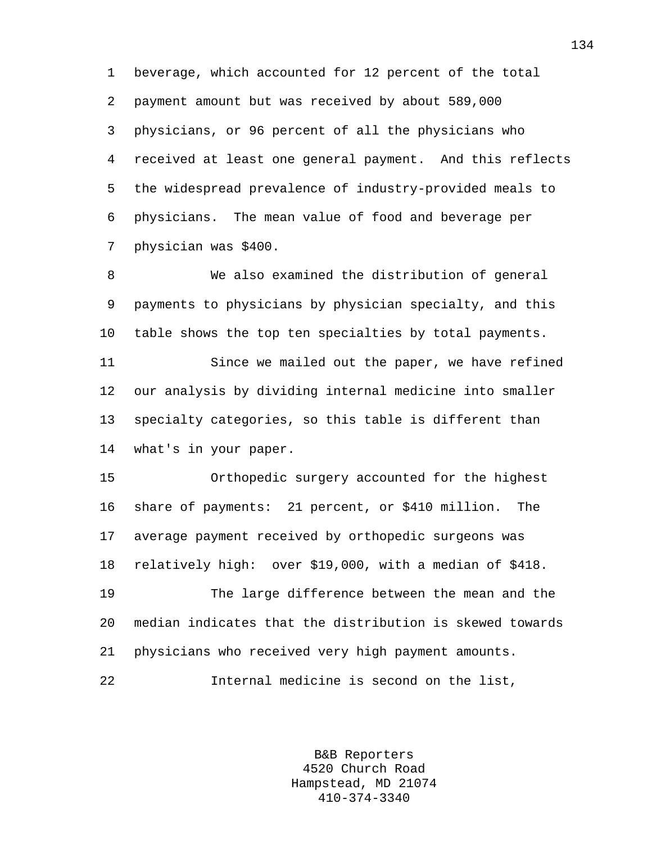1 beverage, which accounted for 12 percent of the total 2 payment amount but was received by about 589,000 3 physicians, or 96 percent of all the physicians who 4 received at least one general payment. And this reflects 5 the widespread prevalence of industry-provided meals to 6 physicians. The mean value of food and beverage per 7 physician was \$400.

8 We also examined the distribution of general 9 payments to physicians by physician specialty, and this 10 table shows the top ten specialties by total payments. 11 Since we mailed out the paper, we have refined 12 our analysis by dividing internal medicine into smaller 13 specialty categories, so this table is different than 14 what's in your paper.

15 Orthopedic surgery accounted for the highest 16 share of payments: 21 percent, or \$410 million. The 17 average payment received by orthopedic surgeons was 18 relatively high: over \$19,000, with a median of \$418.

19 The large difference between the mean and the 20 median indicates that the distribution is skewed towards 21 physicians who received very high payment amounts. 22 Internal medicine is second on the list,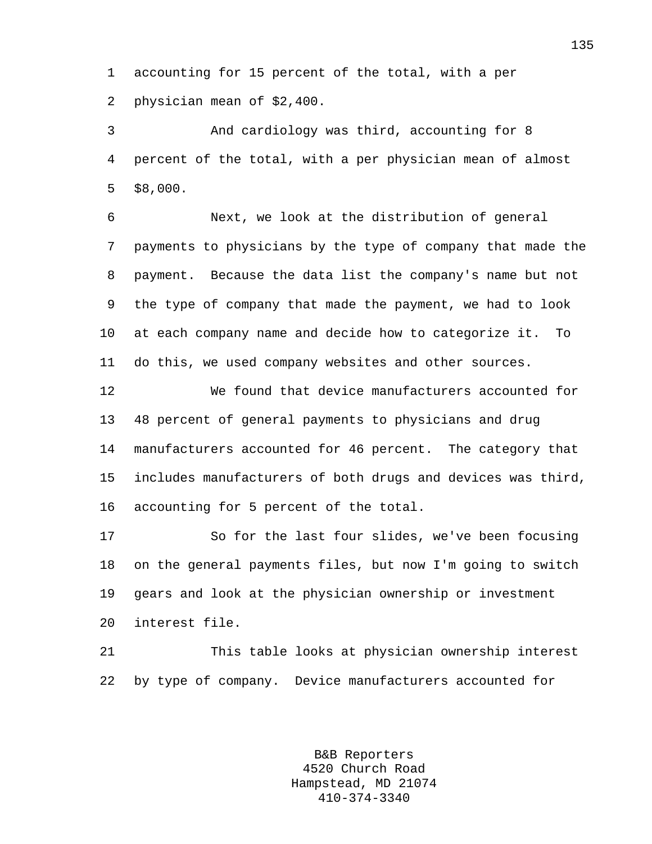1 accounting for 15 percent of the total, with a per 2 physician mean of \$2,400.

3 And cardiology was third, accounting for 8 4 percent of the total, with a per physician mean of almost 5 \$8,000.

6 Next, we look at the distribution of general 7 payments to physicians by the type of company that made the 8 payment. Because the data list the company's name but not 9 the type of company that made the payment, we had to look 10 at each company name and decide how to categorize it. To 11 do this, we used company websites and other sources.

12 We found that device manufacturers accounted for 13 48 percent of general payments to physicians and drug 14 manufacturers accounted for 46 percent. The category that 15 includes manufacturers of both drugs and devices was third, 16 accounting for 5 percent of the total.

17 So for the last four slides, we've been focusing 18 on the general payments files, but now I'm going to switch 19 gears and look at the physician ownership or investment 20 interest file.

21 This table looks at physician ownership interest 22 by type of company. Device manufacturers accounted for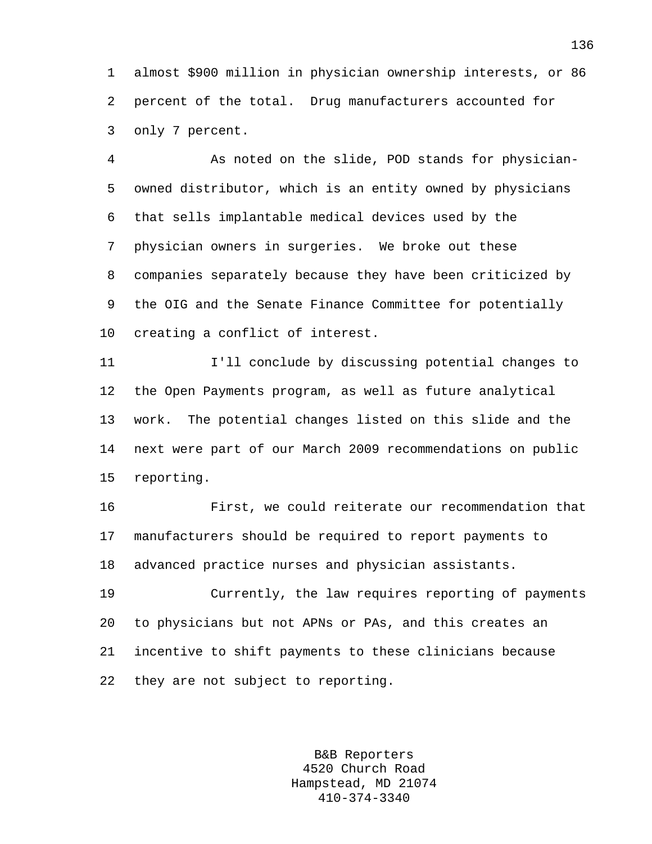1 almost \$900 million in physician ownership interests, or 86 2 percent of the total. Drug manufacturers accounted for 3 only 7 percent.

4 As noted on the slide, POD stands for physician-5 owned distributor, which is an entity owned by physicians 6 that sells implantable medical devices used by the 7 physician owners in surgeries. We broke out these 8 companies separately because they have been criticized by 9 the OIG and the Senate Finance Committee for potentially 10 creating a conflict of interest.

11 I'll conclude by discussing potential changes to 12 the Open Payments program, as well as future analytical 13 work. The potential changes listed on this slide and the 14 next were part of our March 2009 recommendations on public 15 reporting.

16 First, we could reiterate our recommendation that 17 manufacturers should be required to report payments to 18 advanced practice nurses and physician assistants.

19 Currently, the law requires reporting of payments 20 to physicians but not APNs or PAs, and this creates an 21 incentive to shift payments to these clinicians because 22 they are not subject to reporting.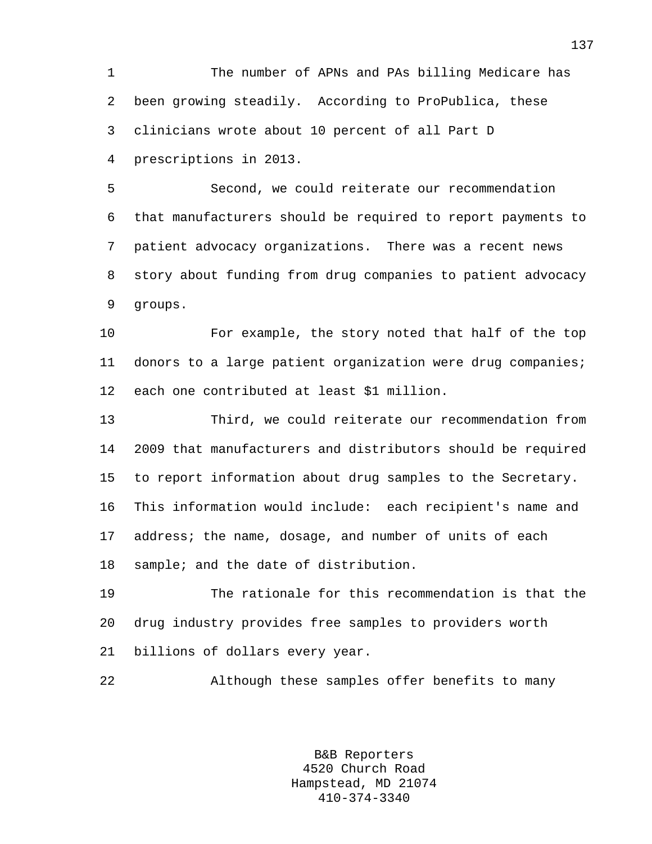1 The number of APNs and PAs billing Medicare has 2 been growing steadily. According to ProPublica, these 3 clinicians wrote about 10 percent of all Part D 4 prescriptions in 2013.

5 Second, we could reiterate our recommendation 6 that manufacturers should be required to report payments to 7 patient advocacy organizations. There was a recent news 8 story about funding from drug companies to patient advocacy 9 groups.

10 For example, the story noted that half of the top 11 donors to a large patient organization were drug companies; 12 each one contributed at least \$1 million.

13 Third, we could reiterate our recommendation from 14 2009 that manufacturers and distributors should be required 15 to report information about drug samples to the Secretary. 16 This information would include: each recipient's name and 17 address; the name, dosage, and number of units of each 18 sample; and the date of distribution.

19 The rationale for this recommendation is that the 20 drug industry provides free samples to providers worth 21 billions of dollars every year.

22 Although these samples offer benefits to many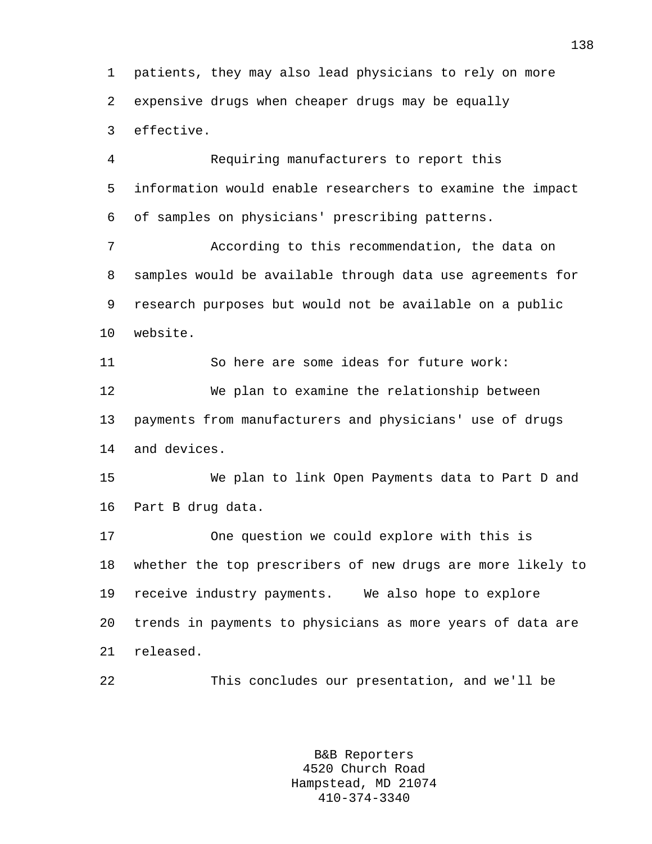1 patients, they may also lead physicians to rely on more 2 expensive drugs when cheaper drugs may be equally 3 effective.

4 Requiring manufacturers to report this 5 information would enable researchers to examine the impact 6 of samples on physicians' prescribing patterns.

7 According to this recommendation, the data on 8 samples would be available through data use agreements for 9 research purposes but would not be available on a public 10 website.

11 So here are some ideas for future work: 12 We plan to examine the relationship between 13 payments from manufacturers and physicians' use of drugs 14 and devices.

15 We plan to link Open Payments data to Part D and 16 Part B drug data.

17 One question we could explore with this is 18 whether the top prescribers of new drugs are more likely to 19 receive industry payments. We also hope to explore 20 trends in payments to physicians as more years of data are 21 released.

22 This concludes our presentation, and we'll be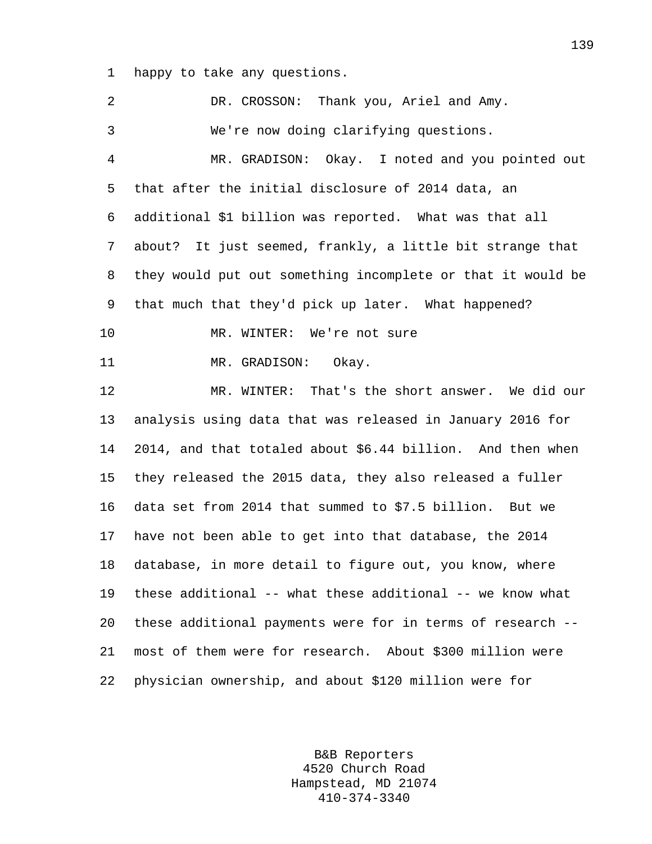1 happy to take any questions.

2 DR. CROSSON: Thank you, Ariel and Amy. 3 We're now doing clarifying questions. 4 MR. GRADISON: Okay. I noted and you pointed out 5 that after the initial disclosure of 2014 data, an 6 additional \$1 billion was reported. What was that all 7 about? It just seemed, frankly, a little bit strange that 8 they would put out something incomplete or that it would be 9 that much that they'd pick up later. What happened? 10 MR. WINTER: We're not sure 11 MR. GRADISON: Okay. 12 MR. WINTER: That's the short answer. We did our 13 analysis using data that was released in January 2016 for 14 2014, and that totaled about \$6.44 billion. And then when 15 they released the 2015 data, they also released a fuller 16 data set from 2014 that summed to \$7.5 billion. But we 17 have not been able to get into that database, the 2014 18 database, in more detail to figure out, you know, where 19 these additional -- what these additional -- we know what 20 these additional payments were for in terms of research -- 21 most of them were for research. About \$300 million were 22 physician ownership, and about \$120 million were for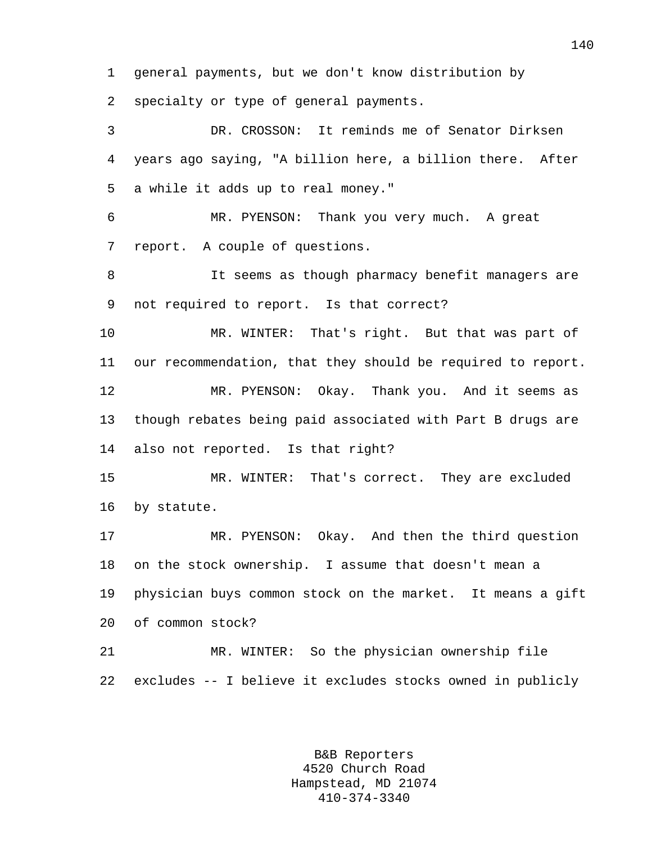1 general payments, but we don't know distribution by

2 specialty or type of general payments.

3 DR. CROSSON: It reminds me of Senator Dirksen 4 years ago saying, "A billion here, a billion there. After 5 a while it adds up to real money."

6 MR. PYENSON: Thank you very much. A great 7 report. A couple of questions.

8 It seems as though pharmacy benefit managers are 9 not required to report. Is that correct?

10 MR. WINTER: That's right. But that was part of 11 our recommendation, that they should be required to report. 12 MR. PYENSON: Okay. Thank you. And it seems as 13 though rebates being paid associated with Part B drugs are 14 also not reported. Is that right?

15 MR. WINTER: That's correct. They are excluded 16 by statute.

17 MR. PYENSON: Okay. And then the third question 18 on the stock ownership. I assume that doesn't mean a 19 physician buys common stock on the market. It means a gift 20 of common stock? 21 MR. WINTER: So the physician ownership file

22 excludes -- I believe it excludes stocks owned in publicly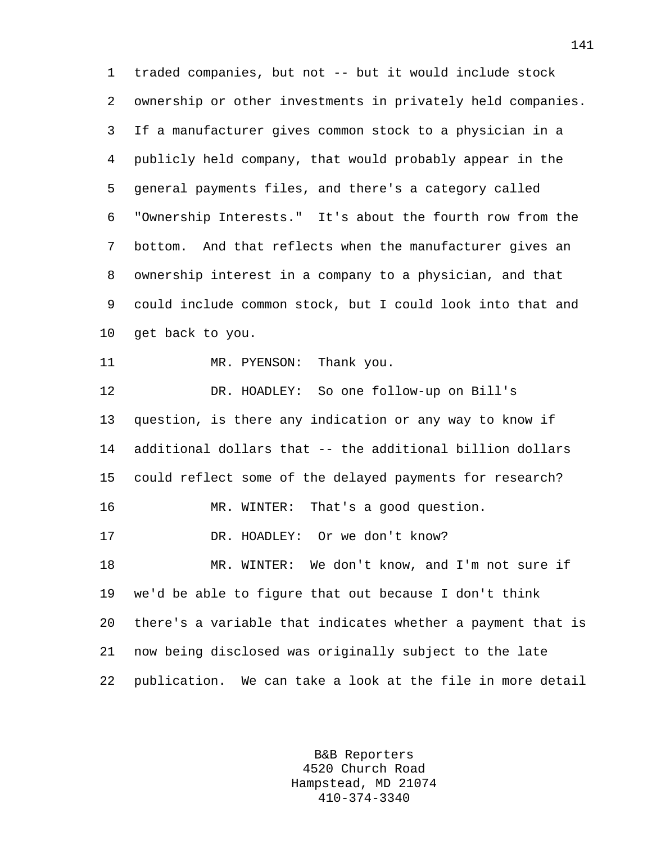1 traded companies, but not -- but it would include stock 2 ownership or other investments in privately held companies. 3 If a manufacturer gives common stock to a physician in a 4 publicly held company, that would probably appear in the 5 general payments files, and there's a category called 6 "Ownership Interests." It's about the fourth row from the 7 bottom. And that reflects when the manufacturer gives an 8 ownership interest in a company to a physician, and that 9 could include common stock, but I could look into that and 10 get back to you. 11 MR. PYENSON: Thank you. 12 DR. HOADLEY: So one follow-up on Bill's 13 question, is there any indication or any way to know if 14 additional dollars that -- the additional billion dollars 15 could reflect some of the delayed payments for research? 16 MR. WINTER: That's a good question. 17 DR. HOADLEY: Or we don't know? 18 MR. WINTER: We don't know, and I'm not sure if 19 we'd be able to figure that out because I don't think

20 there's a variable that indicates whether a payment that is 21 now being disclosed was originally subject to the late 22 publication. We can take a look at the file in more detail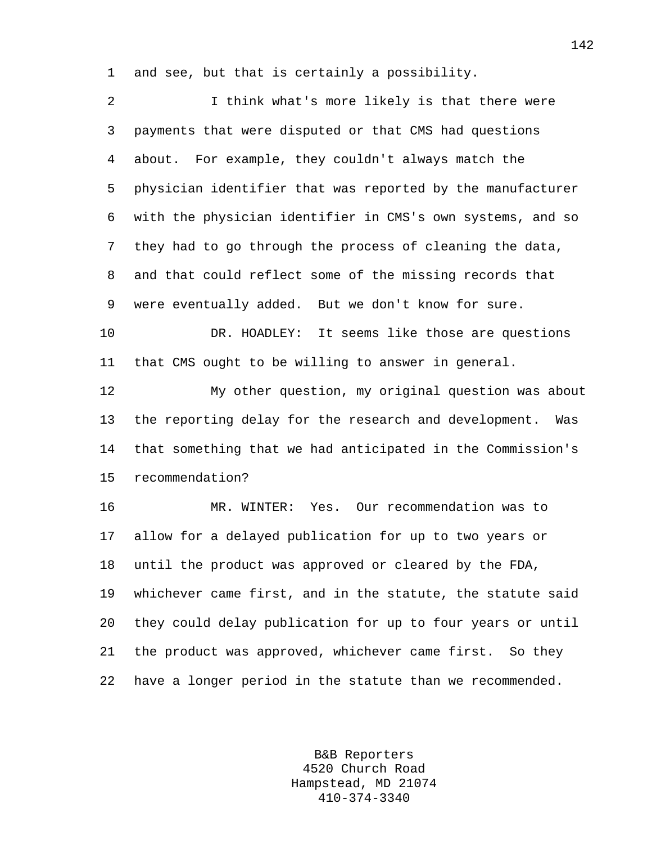1 and see, but that is certainly a possibility.

| 2  | I think what's more likely is that there were                |
|----|--------------------------------------------------------------|
| 3  | payments that were disputed or that CMS had questions        |
| 4  | about. For example, they couldn't always match the           |
| 5  | physician identifier that was reported by the manufacturer   |
| 6  | with the physician identifier in CMS's own systems, and so   |
| 7  | they had to go through the process of cleaning the data,     |
| 8  | and that could reflect some of the missing records that      |
| 9  | were eventually added. But we don't know for sure.           |
| 10 | DR. HOADLEY: It seems like those are questions               |
| 11 | that CMS ought to be willing to answer in general.           |
| 12 | My other question, my original question was about            |
| 13 | the reporting delay for the research and development.<br>Was |
| 14 | that something that we had anticipated in the Commission's   |
| 15 | recommendation?                                              |
| 16 | MR. WINTER: Yes. Our recommendation was to                   |
| 17 | allow for a delayed publication for up to two years or       |
| 18 | until the product was approved or cleared by the FDA,        |
| 19 | whichever came first, and in the statute, the statute said   |
| 20 | they could delay publication for up to four years or until   |
| 21 | the product was approved, whichever came first. So they      |
| 22 | have a longer period in the statute than we recommended.     |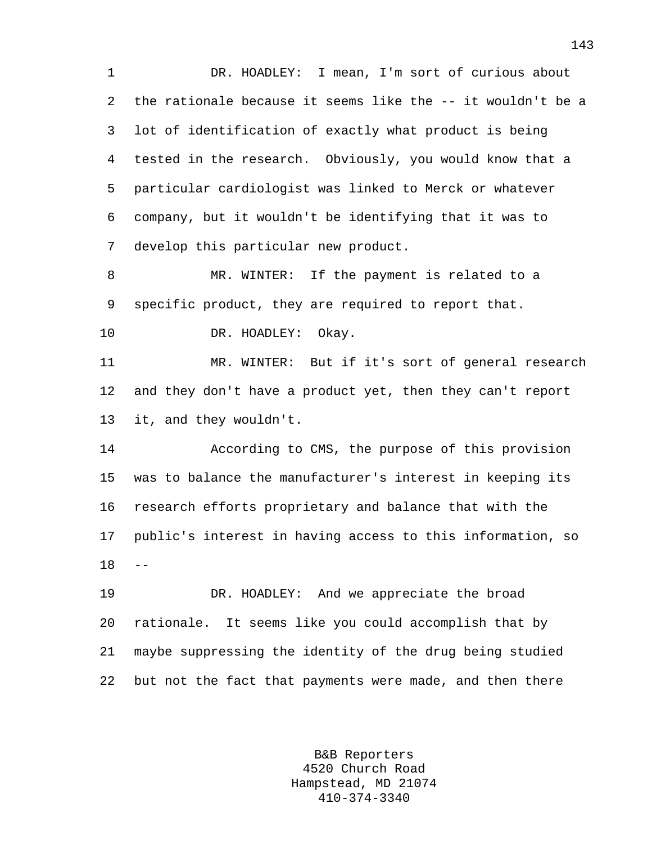1 DR. HOADLEY: I mean, I'm sort of curious about 2 the rationale because it seems like the -- it wouldn't be a 3 lot of identification of exactly what product is being 4 tested in the research. Obviously, you would know that a 5 particular cardiologist was linked to Merck or whatever 6 company, but it wouldn't be identifying that it was to 7 develop this particular new product.

8 MR. WINTER: If the payment is related to a 9 specific product, they are required to report that.

10 DR. HOADLEY: Okay.

11 MR. WINTER: But if it's sort of general research 12 and they don't have a product yet, then they can't report 13 it, and they wouldn't.

14 According to CMS, the purpose of this provision 15 was to balance the manufacturer's interest in keeping its 16 research efforts proprietary and balance that with the 17 public's interest in having access to this information, so  $18 - -$ 

19 DR. HOADLEY: And we appreciate the broad 20 rationale. It seems like you could accomplish that by 21 maybe suppressing the identity of the drug being studied 22 but not the fact that payments were made, and then there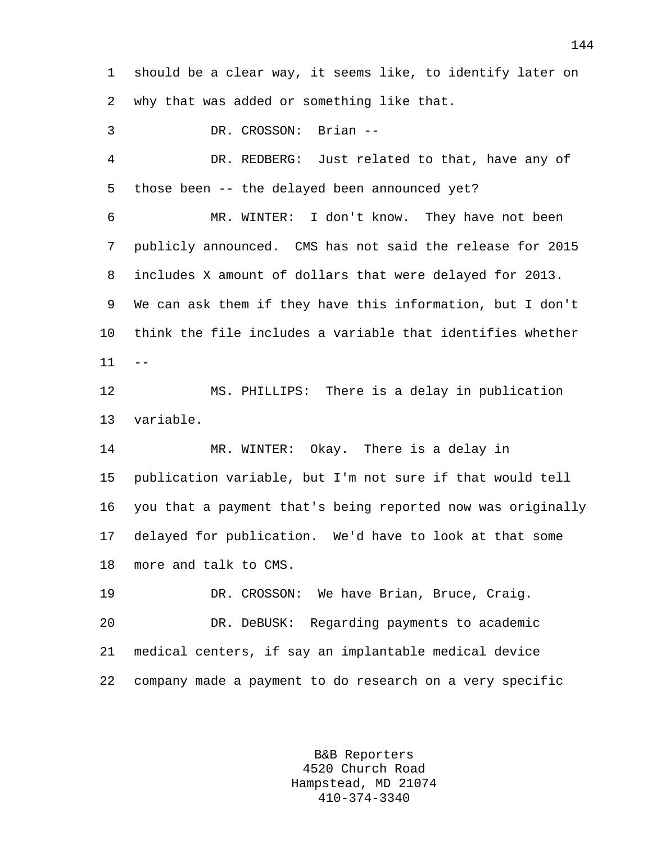1 should be a clear way, it seems like, to identify later on 2 why that was added or something like that.

3 DR. CROSSON: Brian -- 4 DR. REDBERG: Just related to that, have any of 5 those been -- the delayed been announced yet? 6 MR. WINTER: I don't know. They have not been 7 publicly announced. CMS has not said the release for 2015 8 includes X amount of dollars that were delayed for 2013. 9 We can ask them if they have this information, but I don't 10 think the file includes a variable that identifies whether  $11 - -$ 12 MS. PHILLIPS: There is a delay in publication 13 variable. 14 MR. WINTER: Okay. There is a delay in 15 publication variable, but I'm not sure if that would tell 16 you that a payment that's being reported now was originally 17 delayed for publication. We'd have to look at that some 18 more and talk to CMS. 19 DR. CROSSON: We have Brian, Bruce, Craig.

20 DR. DeBUSK: Regarding payments to academic 21 medical centers, if say an implantable medical device 22 company made a payment to do research on a very specific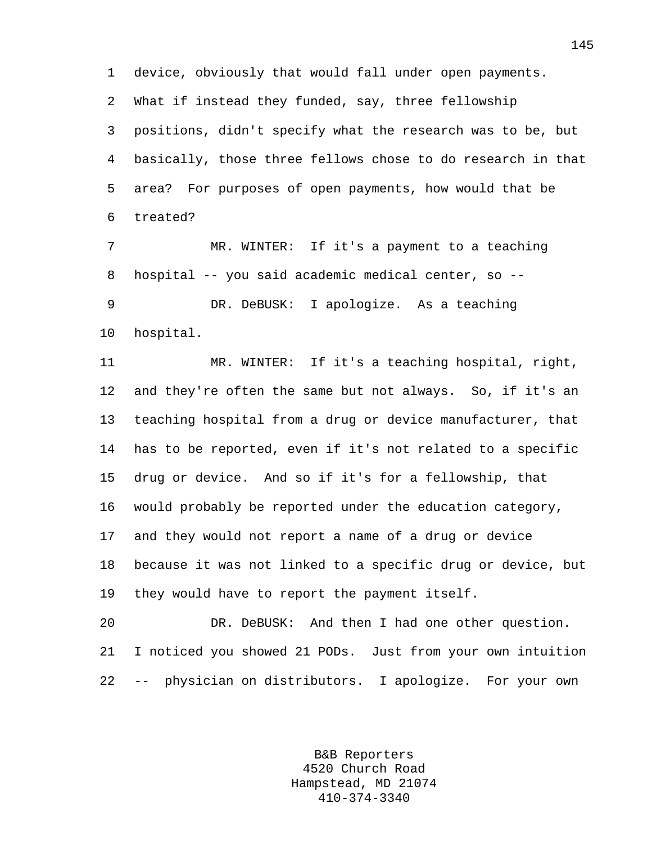1 device, obviously that would fall under open payments. 2 What if instead they funded, say, three fellowship 3 positions, didn't specify what the research was to be, but 4 basically, those three fellows chose to do research in that 5 area? For purposes of open payments, how would that be 6 treated?

7 MR. WINTER: If it's a payment to a teaching 8 hospital -- you said academic medical center, so -- 9 DR. DeBUSK: I apologize. As a teaching 10 hospital.

11 MR. WINTER: If it's a teaching hospital, right, 12 and they're often the same but not always. So, if it's an 13 teaching hospital from a drug or device manufacturer, that 14 has to be reported, even if it's not related to a specific 15 drug or device. And so if it's for a fellowship, that 16 would probably be reported under the education category, 17 and they would not report a name of a drug or device 18 because it was not linked to a specific drug or device, but 19 they would have to report the payment itself.

20 DR. DeBUSK: And then I had one other question. 21 I noticed you showed 21 PODs. Just from your own intuition 22 -- physician on distributors. I apologize. For your own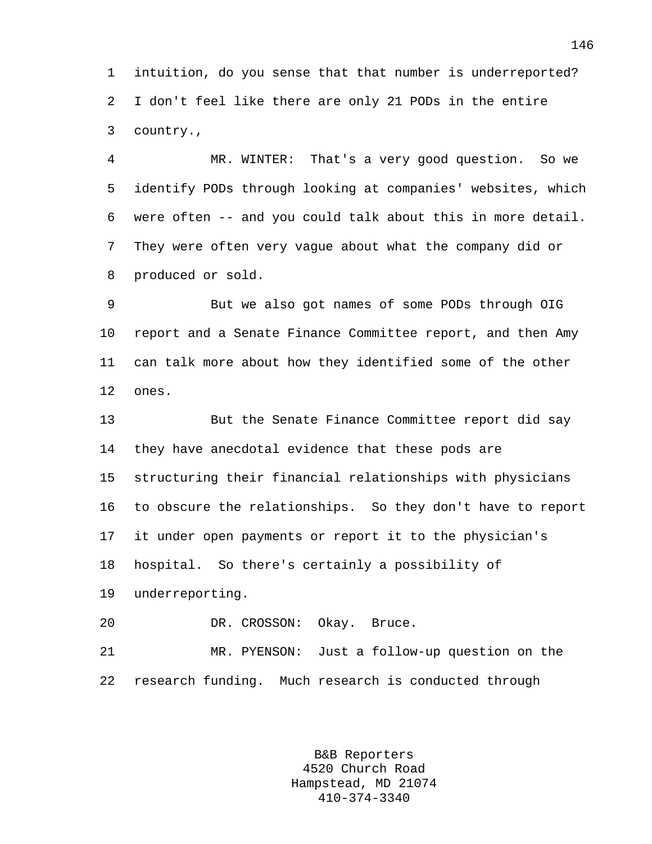1 intuition, do you sense that that number is underreported? 2 I don't feel like there are only 21 PODs in the entire 3 country.,

4 MR. WINTER: That's a very good question. So we 5 identify PODs through looking at companies' websites, which 6 were often -- and you could talk about this in more detail. 7 They were often very vague about what the company did or 8 produced or sold.

9 But we also got names of some PODs through OIG 10 report and a Senate Finance Committee report, and then Amy 11 can talk more about how they identified some of the other 12 ones.

13 But the Senate Finance Committee report did say 14 they have anecdotal evidence that these pods are 15 structuring their financial relationships with physicians 16 to obscure the relationships. So they don't have to report 17 it under open payments or report it to the physician's 18 hospital. So there's certainly a possibility of 19 underreporting.

20 DR. CROSSON: Okay. Bruce.

21 MR. PYENSON: Just a follow-up question on the 22 research funding. Much research is conducted through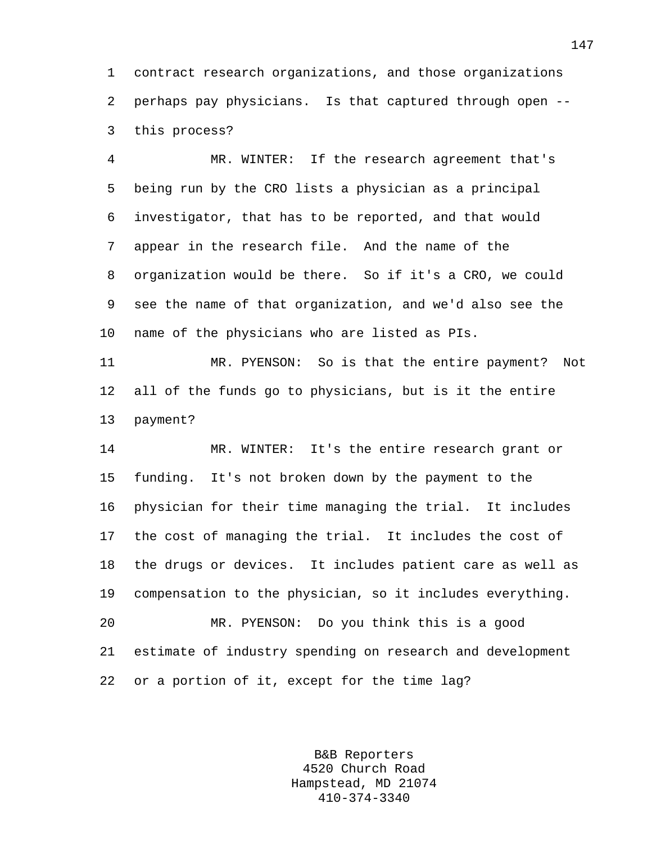1 contract research organizations, and those organizations 2 perhaps pay physicians. Is that captured through open -- 3 this process?

4 MR. WINTER: If the research agreement that's 5 being run by the CRO lists a physician as a principal 6 investigator, that has to be reported, and that would 7 appear in the research file. And the name of the 8 organization would be there. So if it's a CRO, we could 9 see the name of that organization, and we'd also see the 10 name of the physicians who are listed as PIs.

11 MR. PYENSON: So is that the entire payment? Not 12 all of the funds go to physicians, but is it the entire 13 payment?

14 MR. WINTER: It's the entire research grant or 15 funding. It's not broken down by the payment to the 16 physician for their time managing the trial. It includes 17 the cost of managing the trial. It includes the cost of 18 the drugs or devices. It includes patient care as well as 19 compensation to the physician, so it includes everything. 20 MR. PYENSON: Do you think this is a good 21 estimate of industry spending on research and development

22 or a portion of it, except for the time lag?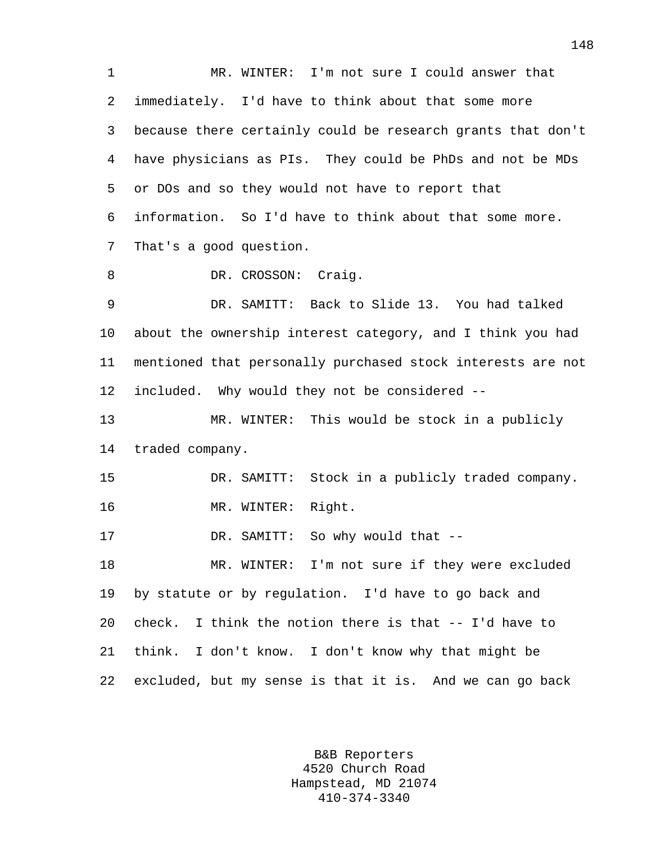1 MR. WINTER: I'm not sure I could answer that 2 immediately. I'd have to think about that some more 3 because there certainly could be research grants that don't 4 have physicians as PIs. They could be PhDs and not be MDs 5 or DOs and so they would not have to report that 6 information. So I'd have to think about that some more. 7 That's a good question. 8 DR. CROSSON: Craig. 9 DR. SAMITT: Back to Slide 13. You had talked 10 about the ownership interest category, and I think you had 11 mentioned that personally purchased stock interests are not 12 included. Why would they not be considered -- 13 MR. WINTER: This would be stock in a publicly 14 traded company. 15 DR. SAMITT: Stock in a publicly traded company. 16 MR. WINTER: Right. 17 DR. SAMITT: So why would that -- 18 MR. WINTER: I'm not sure if they were excluded 19 by statute or by regulation. I'd have to go back and 20 check. I think the notion there is that -- I'd have to 21 think. I don't know. I don't know why that might be 22 excluded, but my sense is that it is. And we can go back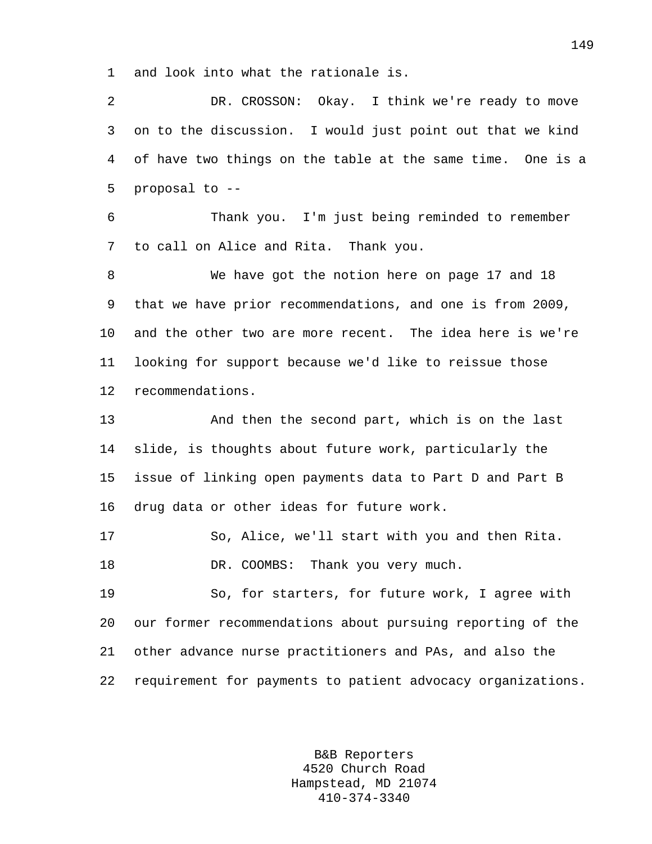1 and look into what the rationale is.

2 DR. CROSSON: Okay. I think we're ready to move 3 on to the discussion. I would just point out that we kind 4 of have two things on the table at the same time. One is a 5 proposal to --

6 Thank you. I'm just being reminded to remember 7 to call on Alice and Rita. Thank you.

8 We have got the notion here on page 17 and 18 9 that we have prior recommendations, and one is from 2009, 10 and the other two are more recent. The idea here is we're 11 looking for support because we'd like to reissue those 12 recommendations.

13 And then the second part, which is on the last 14 slide, is thoughts about future work, particularly the 15 issue of linking open payments data to Part D and Part B 16 drug data or other ideas for future work.

```
17 So, Alice, we'll start with you and then Rita. 
18 DR. COOMBS: Thank you very much.
```
19 So, for starters, for future work, I agree with 20 our former recommendations about pursuing reporting of the 21 other advance nurse practitioners and PAs, and also the 22 requirement for payments to patient advocacy organizations.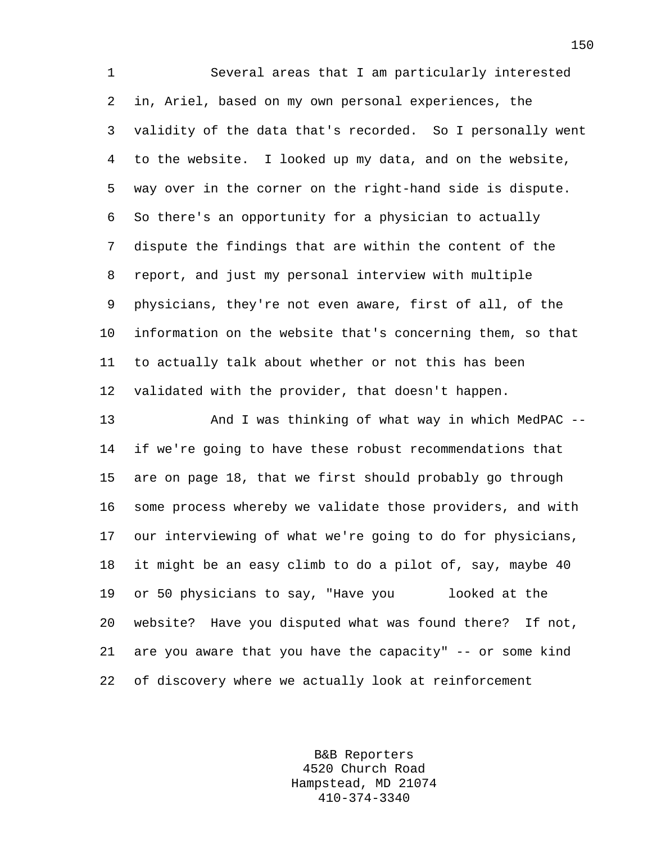1 Several areas that I am particularly interested 2 in, Ariel, based on my own personal experiences, the 3 validity of the data that's recorded. So I personally went 4 to the website. I looked up my data, and on the website, 5 way over in the corner on the right-hand side is dispute. 6 So there's an opportunity for a physician to actually 7 dispute the findings that are within the content of the 8 report, and just my personal interview with multiple 9 physicians, they're not even aware, first of all, of the 10 information on the website that's concerning them, so that 11 to actually talk about whether or not this has been 12 validated with the provider, that doesn't happen.

13 And I was thinking of what way in which MedPAC -- 14 if we're going to have these robust recommendations that 15 are on page 18, that we first should probably go through 16 some process whereby we validate those providers, and with 17 our interviewing of what we're going to do for physicians, 18 it might be an easy climb to do a pilot of, say, maybe 40 19 or 50 physicians to say, "Have you looked at the 20 website? Have you disputed what was found there? If not, 21 are you aware that you have the capacity" -- or some kind 22 of discovery where we actually look at reinforcement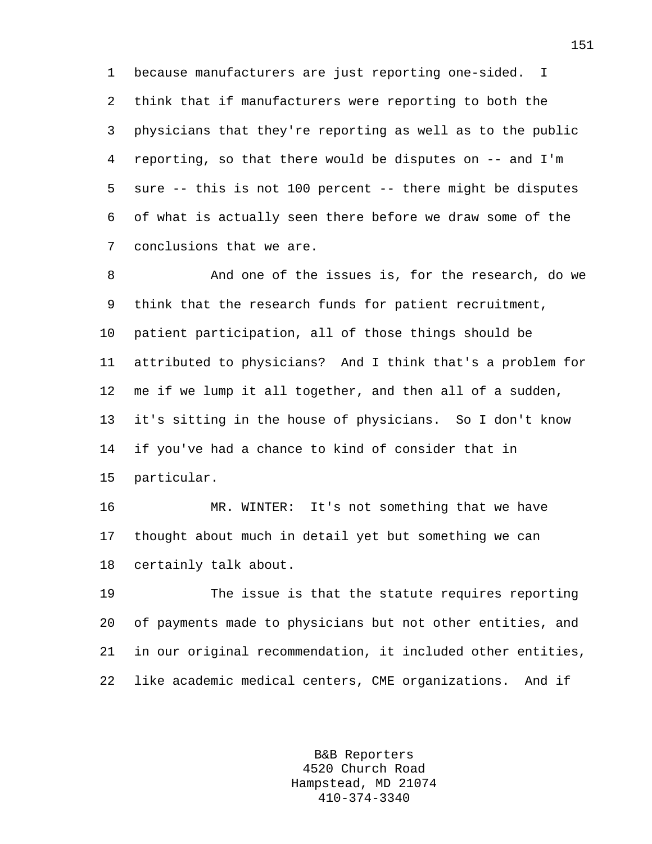1 because manufacturers are just reporting one-sided. I 2 think that if manufacturers were reporting to both the 3 physicians that they're reporting as well as to the public 4 reporting, so that there would be disputes on -- and I'm 5 sure -- this is not 100 percent -- there might be disputes 6 of what is actually seen there before we draw some of the 7 conclusions that we are.

8 And one of the issues is, for the research, do we 9 think that the research funds for patient recruitment, 10 patient participation, all of those things should be 11 attributed to physicians? And I think that's a problem for 12 me if we lump it all together, and then all of a sudden, 13 it's sitting in the house of physicians. So I don't know 14 if you've had a chance to kind of consider that in 15 particular.

16 MR. WINTER: It's not something that we have 17 thought about much in detail yet but something we can 18 certainly talk about.

19 The issue is that the statute requires reporting 20 of payments made to physicians but not other entities, and 21 in our original recommendation, it included other entities, 22 like academic medical centers, CME organizations. And if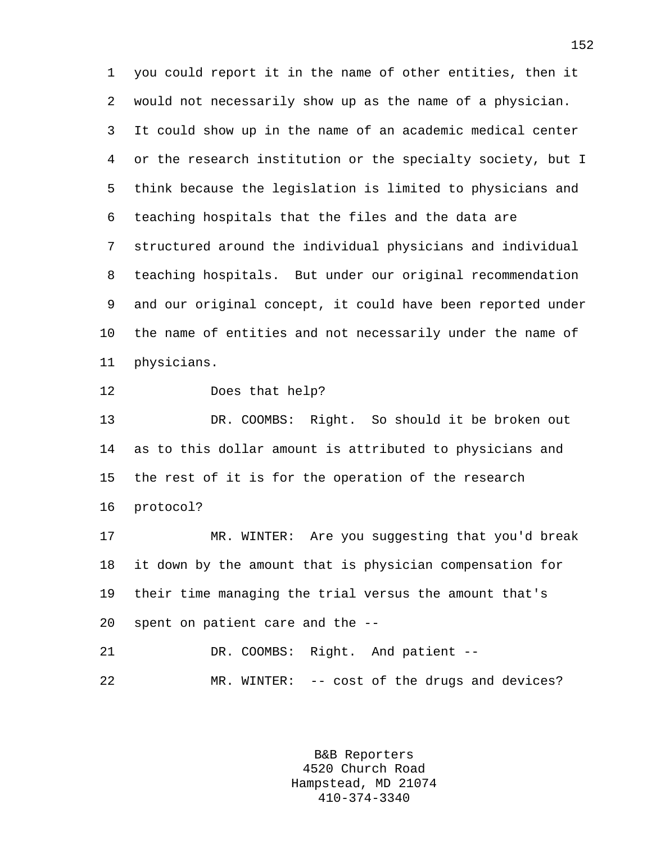1 you could report it in the name of other entities, then it 2 would not necessarily show up as the name of a physician. 3 It could show up in the name of an academic medical center 4 or the research institution or the specialty society, but I 5 think because the legislation is limited to physicians and 6 teaching hospitals that the files and the data are 7 structured around the individual physicians and individual 8 teaching hospitals. But under our original recommendation 9 and our original concept, it could have been reported under 10 the name of entities and not necessarily under the name of 11 physicians.

12 Does that help?

13 DR. COOMBS: Right. So should it be broken out 14 as to this dollar amount is attributed to physicians and 15 the rest of it is for the operation of the research 16 protocol?

17 MR. WINTER: Are you suggesting that you'd break 18 it down by the amount that is physician compensation for 19 their time managing the trial versus the amount that's 20 spent on patient care and the --

21 DR. COOMBS: Right. And patient -- 22 MR. WINTER: -- cost of the drugs and devices?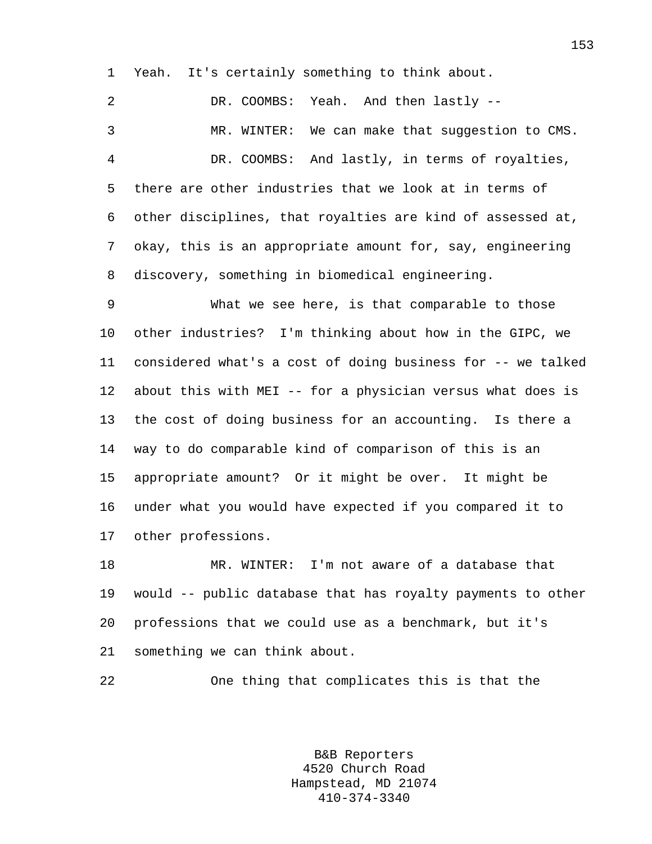1 Yeah. It's certainly something to think about.

2 DR. COOMBS: Yeah. And then lastly -- 3 MR. WINTER: We can make that suggestion to CMS. 4 DR. COOMBS: And lastly, in terms of royalties, 5 there are other industries that we look at in terms of 6 other disciplines, that royalties are kind of assessed at, 7 okay, this is an appropriate amount for, say, engineering 8 discovery, something in biomedical engineering.

9 What we see here, is that comparable to those 10 other industries? I'm thinking about how in the GIPC, we 11 considered what's a cost of doing business for -- we talked 12 about this with MEI -- for a physician versus what does is 13 the cost of doing business for an accounting. Is there a 14 way to do comparable kind of comparison of this is an 15 appropriate amount? Or it might be over. It might be 16 under what you would have expected if you compared it to 17 other professions.

18 MR. WINTER: I'm not aware of a database that 19 would -- public database that has royalty payments to other 20 professions that we could use as a benchmark, but it's 21 something we can think about.

22 One thing that complicates this is that the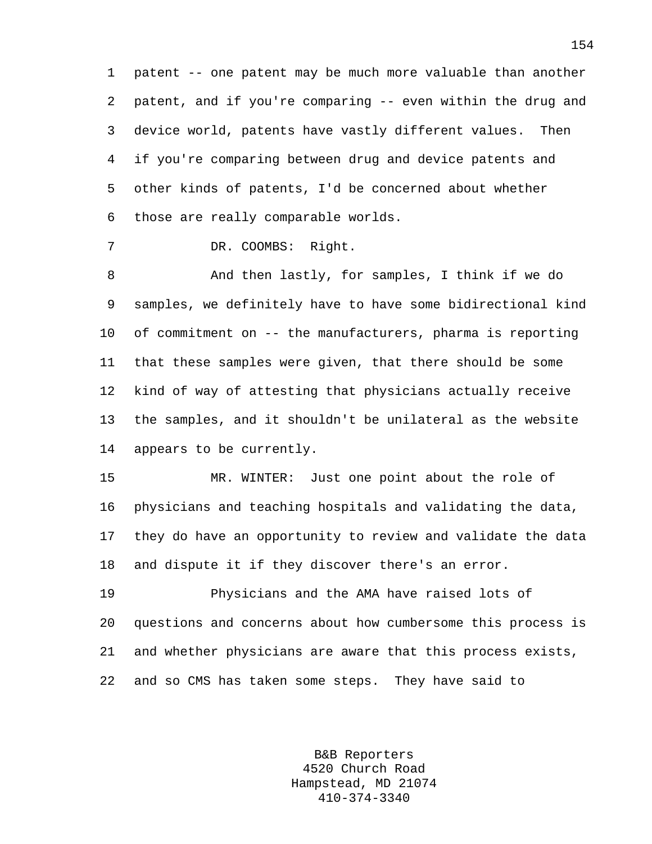1 patent -- one patent may be much more valuable than another 2 patent, and if you're comparing -- even within the drug and 3 device world, patents have vastly different values. Then 4 if you're comparing between drug and device patents and 5 other kinds of patents, I'd be concerned about whether 6 those are really comparable worlds.

7 DR. COOMBS: Right.

8 And then lastly, for samples, I think if we do 9 samples, we definitely have to have some bidirectional kind 10 of commitment on -- the manufacturers, pharma is reporting 11 that these samples were given, that there should be some 12 kind of way of attesting that physicians actually receive 13 the samples, and it shouldn't be unilateral as the website 14 appears to be currently.

15 MR. WINTER: Just one point about the role of 16 physicians and teaching hospitals and validating the data, 17 they do have an opportunity to review and validate the data 18 and dispute it if they discover there's an error.

19 Physicians and the AMA have raised lots of 20 questions and concerns about how cumbersome this process is 21 and whether physicians are aware that this process exists, 22 and so CMS has taken some steps. They have said to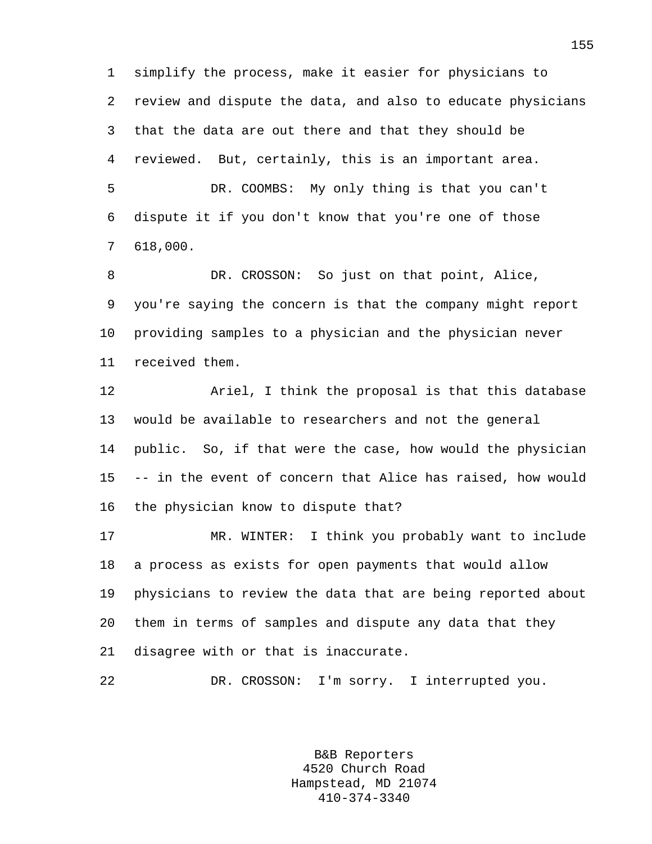1 simplify the process, make it easier for physicians to 2 review and dispute the data, and also to educate physicians 3 that the data are out there and that they should be 4 reviewed. But, certainly, this is an important area. 5 DR. COOMBS: My only thing is that you can't 6 dispute it if you don't know that you're one of those 7 618,000.

8 DR. CROSSON: So just on that point, Alice, 9 you're saying the concern is that the company might report 10 providing samples to a physician and the physician never 11 received them.

12 Ariel, I think the proposal is that this database 13 would be available to researchers and not the general 14 public. So, if that were the case, how would the physician 15 -- in the event of concern that Alice has raised, how would 16 the physician know to dispute that?

17 MR. WINTER: I think you probably want to include 18 a process as exists for open payments that would allow 19 physicians to review the data that are being reported about 20 them in terms of samples and dispute any data that they 21 disagree with or that is inaccurate.

22 DR. CROSSON: I'm sorry. I interrupted you.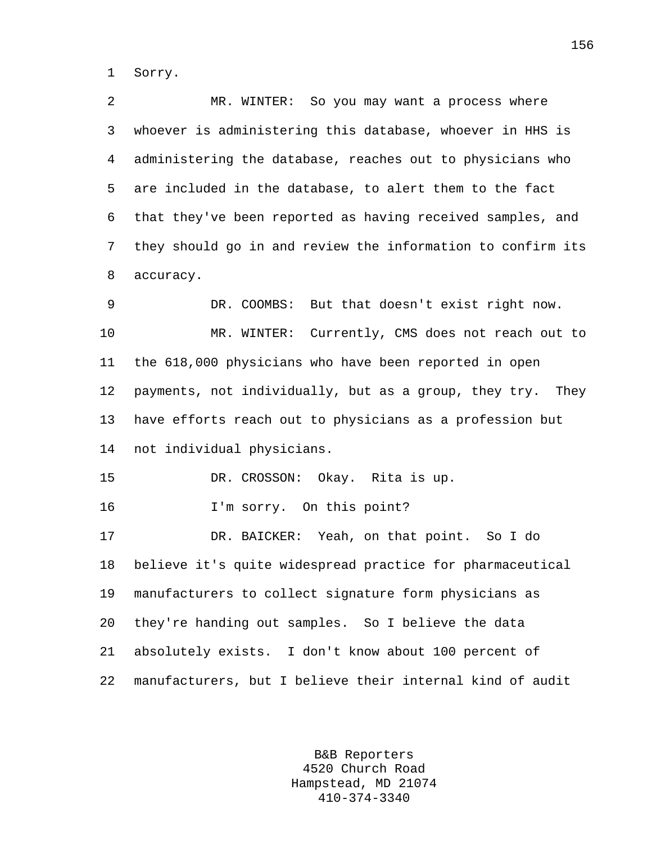1 Sorry.

2 MR. WINTER: So you may want a process where 3 whoever is administering this database, whoever in HHS is 4 administering the database, reaches out to physicians who 5 are included in the database, to alert them to the fact 6 that they've been reported as having received samples, and 7 they should go in and review the information to confirm its 8 accuracy. 9 DR. COOMBS: But that doesn't exist right now. 10 MR. WINTER: Currently, CMS does not reach out to 11 the 618,000 physicians who have been reported in open 12 payments, not individually, but as a group, they try. They 13 have efforts reach out to physicians as a profession but 14 not individual physicians. 15 DR. CROSSON: Okay. Rita is up. 16 I'm sorry. On this point? 17 DR. BAICKER: Yeah, on that point. So I do 18 believe it's quite widespread practice for pharmaceutical 19 manufacturers to collect signature form physicians as 20 they're handing out samples. So I believe the data 21 absolutely exists. I don't know about 100 percent of 22 manufacturers, but I believe their internal kind of audit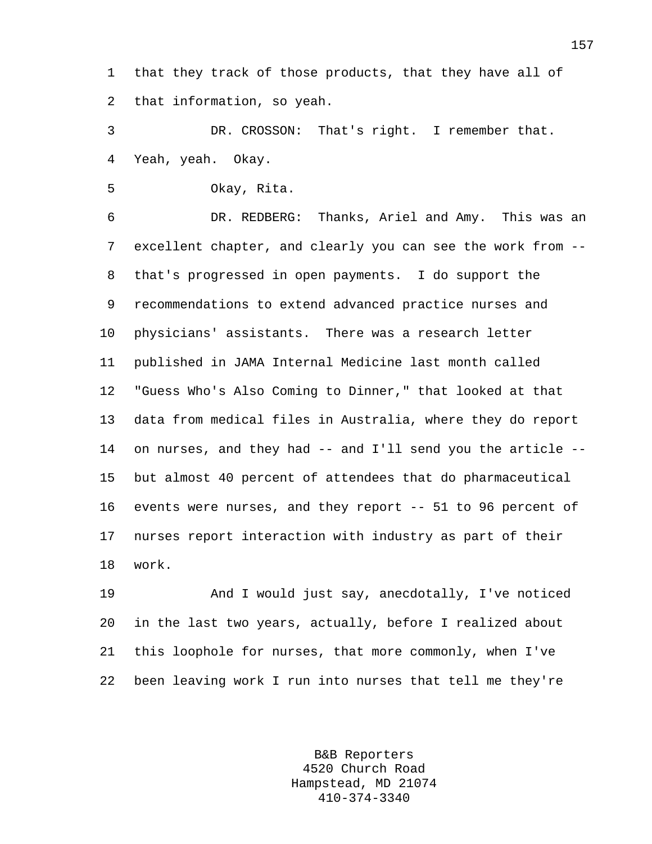1 that they track of those products, that they have all of 2 that information, so yeah.

3 DR. CROSSON: That's right. I remember that. 4 Yeah, yeah. Okay.

5 Okay, Rita.

6 DR. REDBERG: Thanks, Ariel and Amy. This was an 7 excellent chapter, and clearly you can see the work from -- 8 that's progressed in open payments. I do support the 9 recommendations to extend advanced practice nurses and 10 physicians' assistants. There was a research letter 11 published in JAMA Internal Medicine last month called 12 "Guess Who's Also Coming to Dinner," that looked at that 13 data from medical files in Australia, where they do report 14 on nurses, and they had -- and I'll send you the article -- 15 but almost 40 percent of attendees that do pharmaceutical 16 events were nurses, and they report -- 51 to 96 percent of 17 nurses report interaction with industry as part of their 18 work.

19 And I would just say, anecdotally, I've noticed 20 in the last two years, actually, before I realized about 21 this loophole for nurses, that more commonly, when I've 22 been leaving work I run into nurses that tell me they're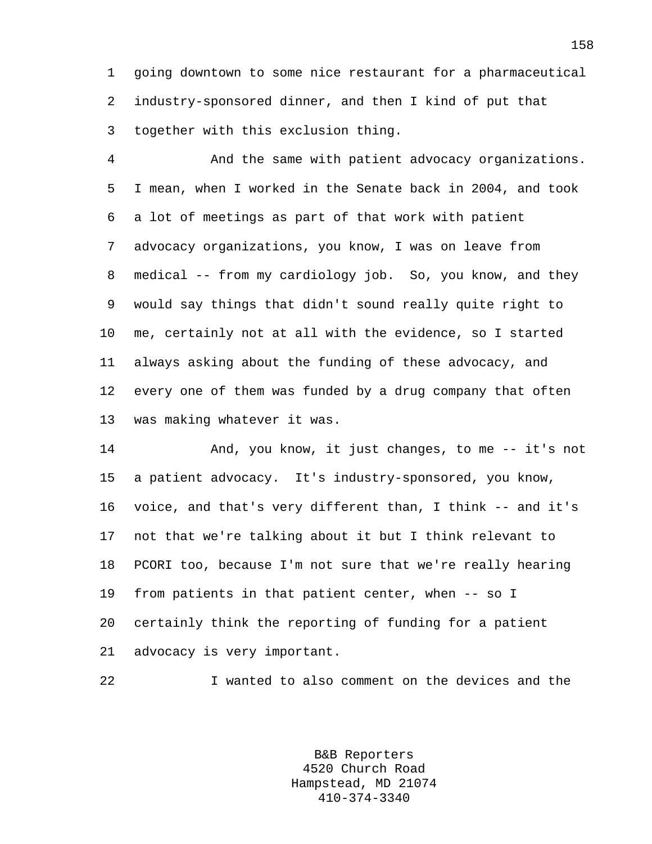1 going downtown to some nice restaurant for a pharmaceutical 2 industry-sponsored dinner, and then I kind of put that 3 together with this exclusion thing.

4 And the same with patient advocacy organizations. 5 I mean, when I worked in the Senate back in 2004, and took 6 a lot of meetings as part of that work with patient 7 advocacy organizations, you know, I was on leave from 8 medical -- from my cardiology job. So, you know, and they 9 would say things that didn't sound really quite right to 10 me, certainly not at all with the evidence, so I started 11 always asking about the funding of these advocacy, and 12 every one of them was funded by a drug company that often 13 was making whatever it was.

14 And, you know, it just changes, to me -- it's not 15 a patient advocacy. It's industry-sponsored, you know, 16 voice, and that's very different than, I think -- and it's 17 not that we're talking about it but I think relevant to 18 PCORI too, because I'm not sure that we're really hearing 19 from patients in that patient center, when -- so I 20 certainly think the reporting of funding for a patient 21 advocacy is very important.

22 I wanted to also comment on the devices and the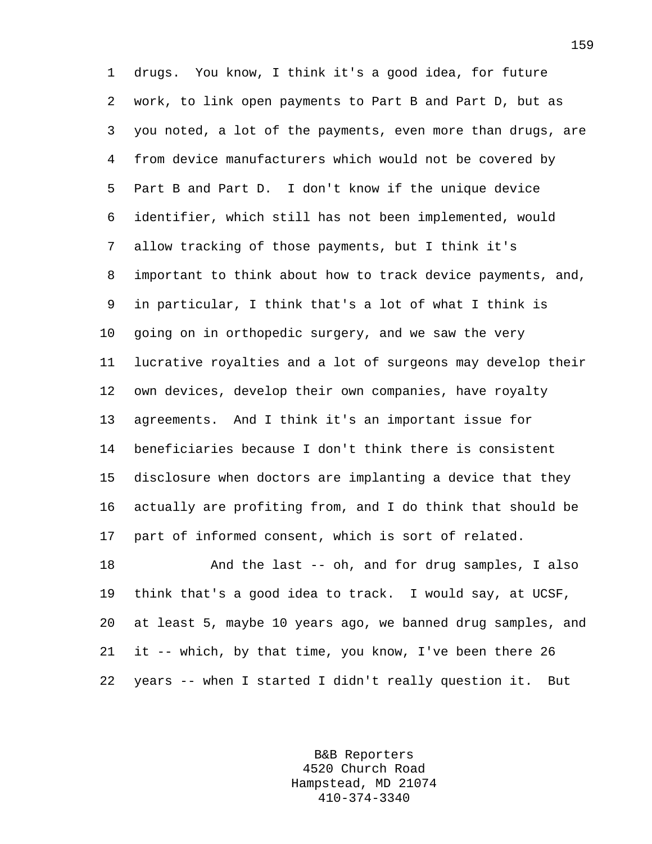1 drugs. You know, I think it's a good idea, for future 2 work, to link open payments to Part B and Part D, but as 3 you noted, a lot of the payments, even more than drugs, are 4 from device manufacturers which would not be covered by 5 Part B and Part D. I don't know if the unique device 6 identifier, which still has not been implemented, would 7 allow tracking of those payments, but I think it's 8 important to think about how to track device payments, and, 9 in particular, I think that's a lot of what I think is 10 going on in orthopedic surgery, and we saw the very 11 lucrative royalties and a lot of surgeons may develop their 12 own devices, develop their own companies, have royalty 13 agreements. And I think it's an important issue for 14 beneficiaries because I don't think there is consistent 15 disclosure when doctors are implanting a device that they 16 actually are profiting from, and I do think that should be 17 part of informed consent, which is sort of related. 18 And the last -- oh, and for drug samples, I also

19 think that's a good idea to track. I would say, at UCSF, 20 at least 5, maybe 10 years ago, we banned drug samples, and 21 it -- which, by that time, you know, I've been there 26 22 years -- when I started I didn't really question it. But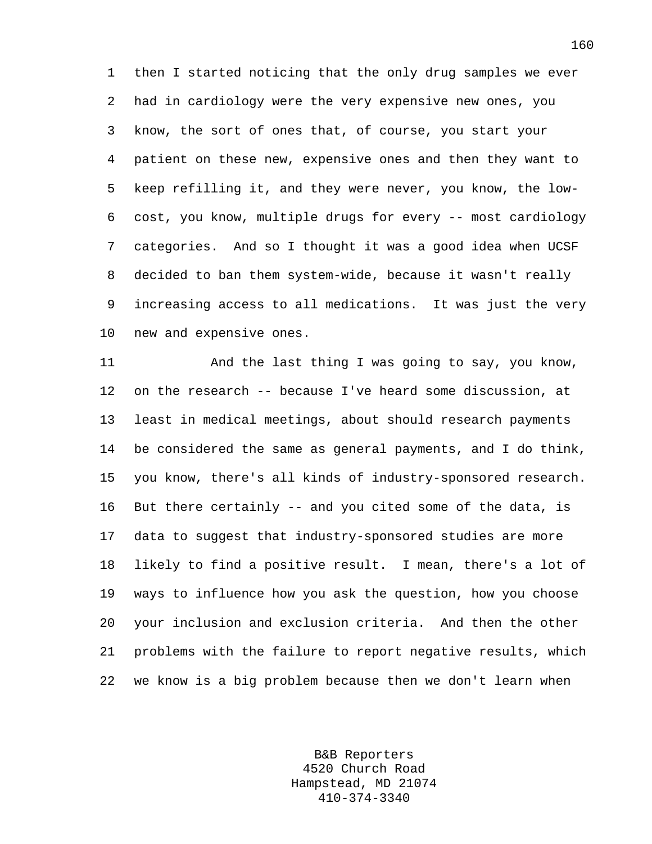1 then I started noticing that the only drug samples we ever 2 had in cardiology were the very expensive new ones, you 3 know, the sort of ones that, of course, you start your 4 patient on these new, expensive ones and then they want to 5 keep refilling it, and they were never, you know, the low-6 cost, you know, multiple drugs for every -- most cardiology 7 categories. And so I thought it was a good idea when UCSF 8 decided to ban them system-wide, because it wasn't really 9 increasing access to all medications. It was just the very 10 new and expensive ones.

11 And the last thing I was going to say, you know, 12 on the research -- because I've heard some discussion, at 13 least in medical meetings, about should research payments 14 be considered the same as general payments, and I do think, 15 you know, there's all kinds of industry-sponsored research. 16 But there certainly -- and you cited some of the data, is 17 data to suggest that industry-sponsored studies are more 18 likely to find a positive result. I mean, there's a lot of 19 ways to influence how you ask the question, how you choose 20 your inclusion and exclusion criteria. And then the other 21 problems with the failure to report negative results, which 22 we know is a big problem because then we don't learn when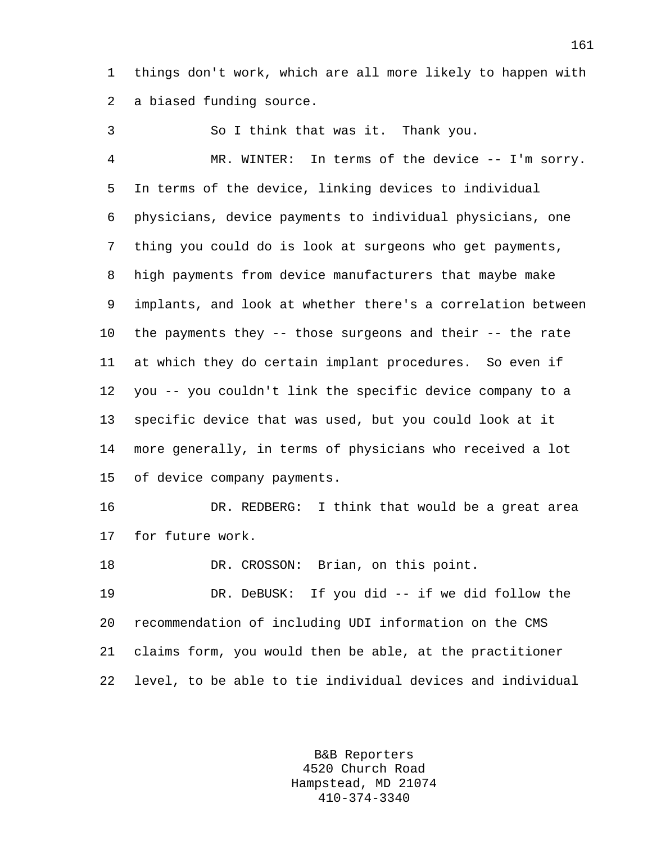1 things don't work, which are all more likely to happen with 2 a biased funding source.

3 So I think that was it. Thank you. 4 MR. WINTER: In terms of the device -- I'm sorry. 5 In terms of the device, linking devices to individual 6 physicians, device payments to individual physicians, one 7 thing you could do is look at surgeons who get payments, 8 high payments from device manufacturers that maybe make 9 implants, and look at whether there's a correlation between 10 the payments they -- those surgeons and their -- the rate 11 at which they do certain implant procedures. So even if 12 you -- you couldn't link the specific device company to a 13 specific device that was used, but you could look at it 14 more generally, in terms of physicians who received a lot 15 of device company payments.

16 DR. REDBERG: I think that would be a great area 17 for future work.

18 DR. CROSSON: Brian, on this point.

19 DR. DeBUSK: If you did -- if we did follow the 20 recommendation of including UDI information on the CMS 21 claims form, you would then be able, at the practitioner 22 level, to be able to tie individual devices and individual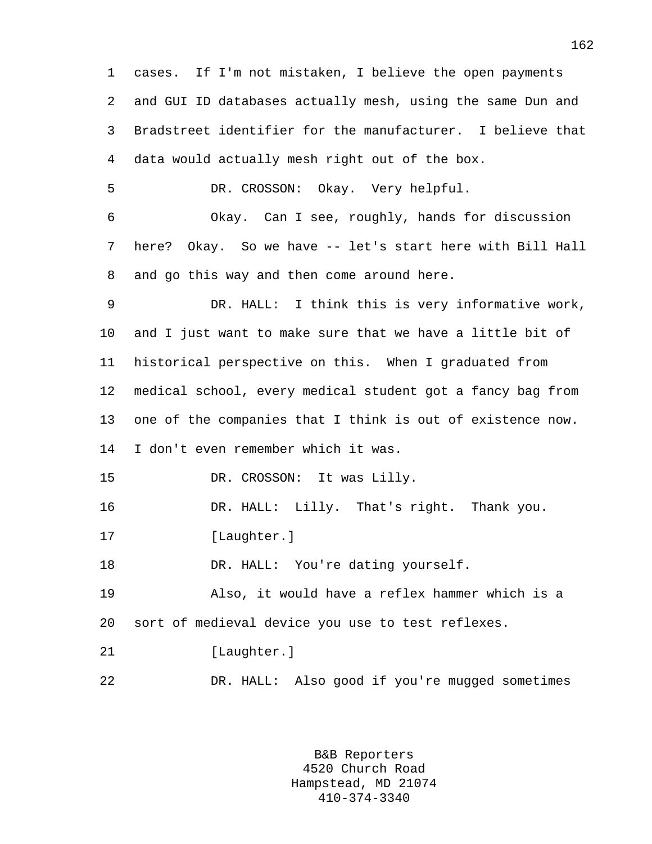1 cases. If I'm not mistaken, I believe the open payments 2 and GUI ID databases actually mesh, using the same Dun and 3 Bradstreet identifier for the manufacturer. I believe that 4 data would actually mesh right out of the box. 5 DR. CROSSON: Okay. Very helpful. 6 Okay. Can I see, roughly, hands for discussion 7 here? Okay. So we have -- let's start here with Bill Hall 8 and go this way and then come around here. 9 DR. HALL: I think this is very informative work, 10 and I just want to make sure that we have a little bit of 11 historical perspective on this. When I graduated from 12 medical school, every medical student got a fancy bag from 13 one of the companies that I think is out of existence now. 14 I don't even remember which it was. 15 DR. CROSSON: It was Lilly. 16 DR. HALL: Lilly. That's right. Thank you. 17 [Laughter.] 18 DR. HALL: You're dating yourself. 19 Also, it would have a reflex hammer which is a 20 sort of medieval device you use to test reflexes. 21 [Laughter.] 22 DR. HALL: Also good if you're mugged sometimes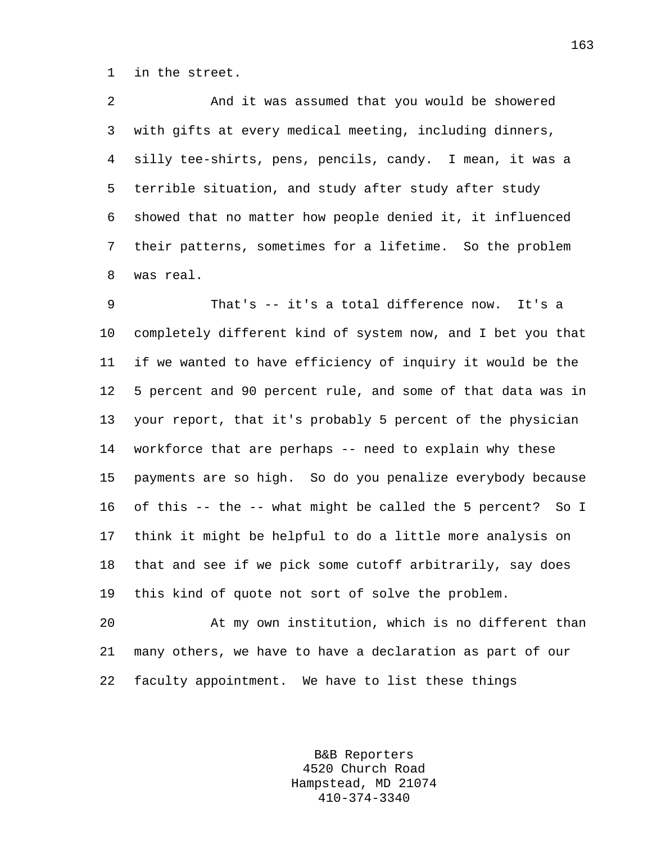1 in the street.

2 And it was assumed that you would be showered 3 with gifts at every medical meeting, including dinners, 4 silly tee-shirts, pens, pencils, candy. I mean, it was a 5 terrible situation, and study after study after study 6 showed that no matter how people denied it, it influenced 7 their patterns, sometimes for a lifetime. So the problem 8 was real.

9 That's -- it's a total difference now. It's a 10 completely different kind of system now, and I bet you that 11 if we wanted to have efficiency of inquiry it would be the 12 5 percent and 90 percent rule, and some of that data was in 13 your report, that it's probably 5 percent of the physician 14 workforce that are perhaps -- need to explain why these 15 payments are so high. So do you penalize everybody because 16 of this -- the -- what might be called the 5 percent? So I 17 think it might be helpful to do a little more analysis on 18 that and see if we pick some cutoff arbitrarily, say does 19 this kind of quote not sort of solve the problem.

20 At my own institution, which is no different than 21 many others, we have to have a declaration as part of our 22 faculty appointment. We have to list these things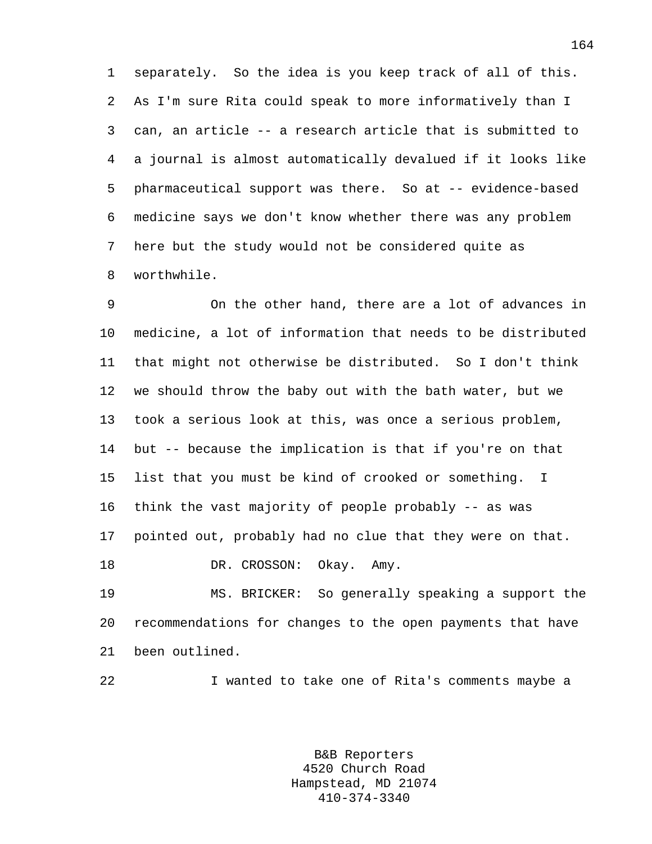1 separately. So the idea is you keep track of all of this. 2 As I'm sure Rita could speak to more informatively than I 3 can, an article -- a research article that is submitted to 4 a journal is almost automatically devalued if it looks like 5 pharmaceutical support was there. So at -- evidence-based 6 medicine says we don't know whether there was any problem 7 here but the study would not be considered quite as 8 worthwhile.

9 On the other hand, there are a lot of advances in 10 medicine, a lot of information that needs to be distributed 11 that might not otherwise be distributed. So I don't think 12 we should throw the baby out with the bath water, but we 13 took a serious look at this, was once a serious problem, 14 but -- because the implication is that if you're on that 15 list that you must be kind of crooked or something. I 16 think the vast majority of people probably -- as was 17 pointed out, probably had no clue that they were on that. 18 DR. CROSSON: Okay. Amy.

19 MS. BRICKER: So generally speaking a support the 20 recommendations for changes to the open payments that have 21 been outlined.

22 I wanted to take one of Rita's comments maybe a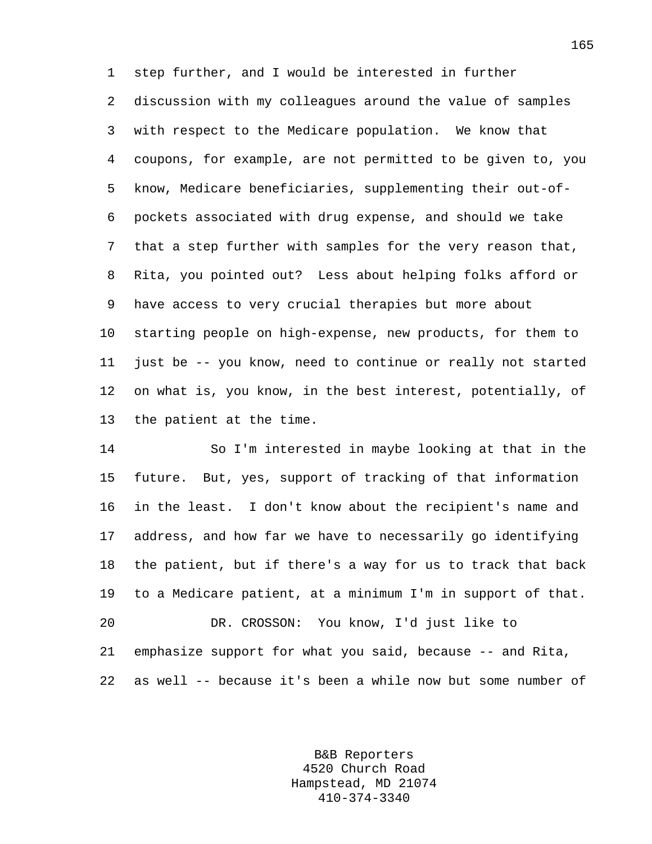1 step further, and I would be interested in further 2 discussion with my colleagues around the value of samples 3 with respect to the Medicare population. We know that 4 coupons, for example, are not permitted to be given to, you 5 know, Medicare beneficiaries, supplementing their out-of-6 pockets associated with drug expense, and should we take 7 that a step further with samples for the very reason that, 8 Rita, you pointed out? Less about helping folks afford or 9 have access to very crucial therapies but more about 10 starting people on high-expense, new products, for them to 11 just be -- you know, need to continue or really not started 12 on what is, you know, in the best interest, potentially, of 13 the patient at the time.

14 So I'm interested in maybe looking at that in the 15 future. But, yes, support of tracking of that information 16 in the least. I don't know about the recipient's name and 17 address, and how far we have to necessarily go identifying 18 the patient, but if there's a way for us to track that back 19 to a Medicare patient, at a minimum I'm in support of that. 20 DR. CROSSON: You know, I'd just like to 21 emphasize support for what you said, because -- and Rita, 22 as well -- because it's been a while now but some number of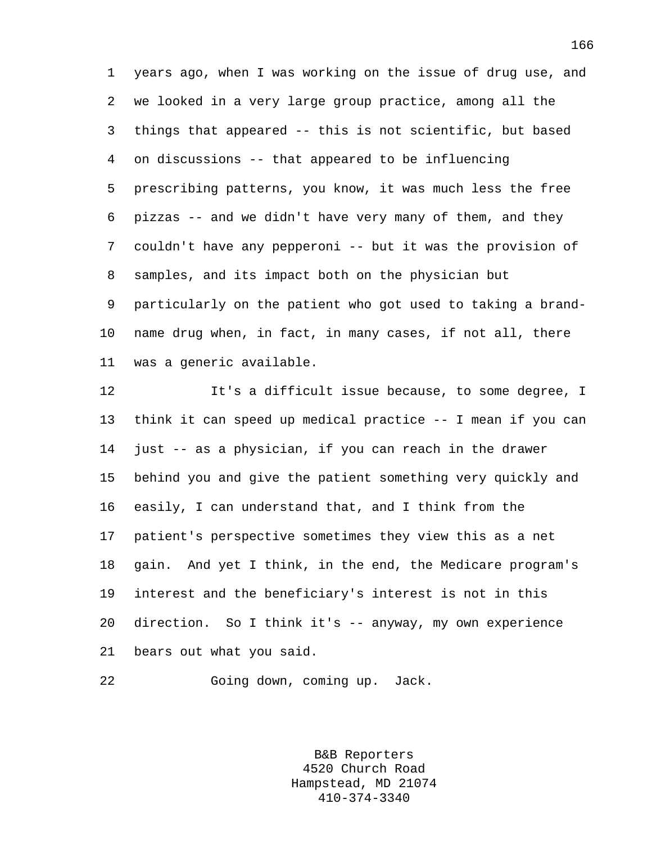1 years ago, when I was working on the issue of drug use, and 2 we looked in a very large group practice, among all the 3 things that appeared -- this is not scientific, but based 4 on discussions -- that appeared to be influencing 5 prescribing patterns, you know, it was much less the free 6 pizzas -- and we didn't have very many of them, and they 7 couldn't have any pepperoni -- but it was the provision of 8 samples, and its impact both on the physician but 9 particularly on the patient who got used to taking a brand-10 name drug when, in fact, in many cases, if not all, there 11 was a generic available.

12 It's a difficult issue because, to some degree, I 13 think it can speed up medical practice -- I mean if you can 14 just -- as a physician, if you can reach in the drawer 15 behind you and give the patient something very quickly and 16 easily, I can understand that, and I think from the 17 patient's perspective sometimes they view this as a net 18 gain. And yet I think, in the end, the Medicare program's 19 interest and the beneficiary's interest is not in this 20 direction. So I think it's -- anyway, my own experience 21 bears out what you said.

22 Going down, coming up. Jack.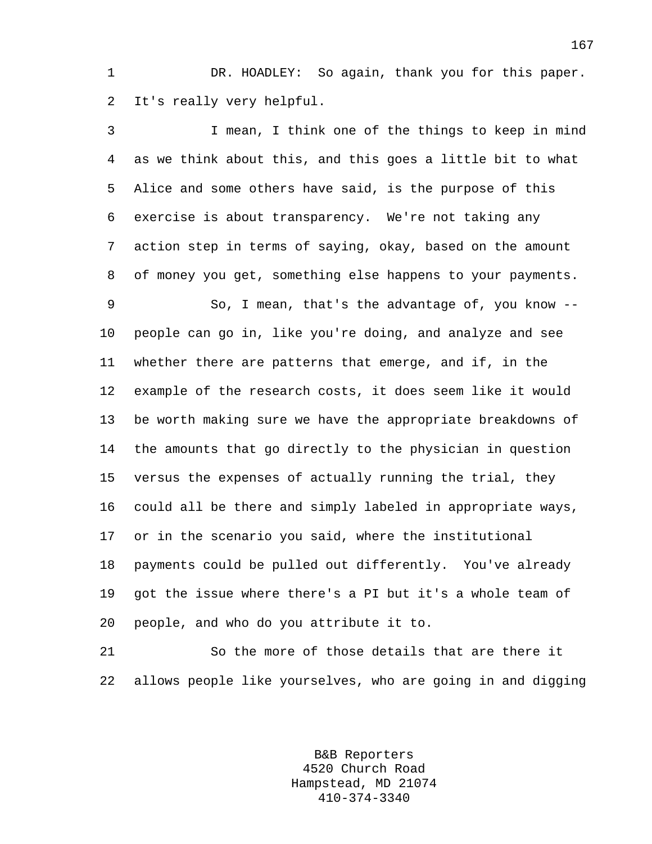1 DR. HOADLEY: So again, thank you for this paper. 2 It's really very helpful.

3 I mean, I think one of the things to keep in mind 4 as we think about this, and this goes a little bit to what 5 Alice and some others have said, is the purpose of this 6 exercise is about transparency. We're not taking any 7 action step in terms of saying, okay, based on the amount 8 of money you get, something else happens to your payments. 9 So, I mean, that's the advantage of, you know -- 10 people can go in, like you're doing, and analyze and see 11 whether there are patterns that emerge, and if, in the 12 example of the research costs, it does seem like it would 13 be worth making sure we have the appropriate breakdowns of 14 the amounts that go directly to the physician in question 15 versus the expenses of actually running the trial, they 16 could all be there and simply labeled in appropriate ways, 17 or in the scenario you said, where the institutional 18 payments could be pulled out differently. You've already 19 got the issue where there's a PI but it's a whole team of 20 people, and who do you attribute it to.

21 So the more of those details that are there it 22 allows people like yourselves, who are going in and digging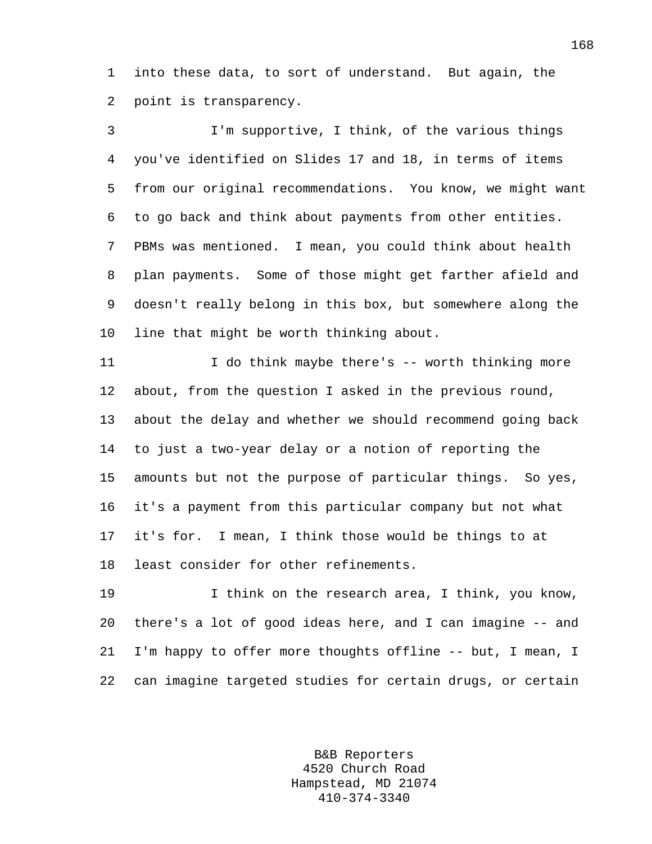1 into these data, to sort of understand. But again, the 2 point is transparency.

3 I'm supportive, I think, of the various things 4 you've identified on Slides 17 and 18, in terms of items 5 from our original recommendations. You know, we might want 6 to go back and think about payments from other entities. 7 PBMs was mentioned. I mean, you could think about health 8 plan payments. Some of those might get farther afield and 9 doesn't really belong in this box, but somewhere along the 10 line that might be worth thinking about.

11 I do think maybe there's -- worth thinking more 12 about, from the question I asked in the previous round, 13 about the delay and whether we should recommend going back 14 to just a two-year delay or a notion of reporting the 15 amounts but not the purpose of particular things. So yes, 16 it's a payment from this particular company but not what 17 it's for. I mean, I think those would be things to at 18 least consider for other refinements.

19 I think on the research area, I think, you know, 20 there's a lot of good ideas here, and I can imagine -- and 21 I'm happy to offer more thoughts offline -- but, I mean, I 22 can imagine targeted studies for certain drugs, or certain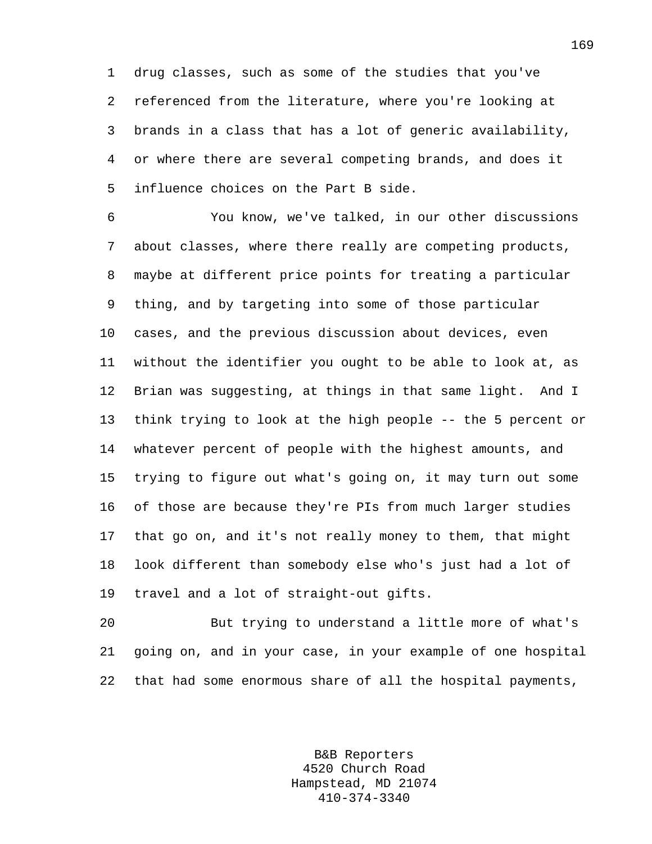1 drug classes, such as some of the studies that you've 2 referenced from the literature, where you're looking at 3 brands in a class that has a lot of generic availability, 4 or where there are several competing brands, and does it 5 influence choices on the Part B side.

6 You know, we've talked, in our other discussions 7 about classes, where there really are competing products, 8 maybe at different price points for treating a particular 9 thing, and by targeting into some of those particular 10 cases, and the previous discussion about devices, even 11 without the identifier you ought to be able to look at, as 12 Brian was suggesting, at things in that same light. And I 13 think trying to look at the high people -- the 5 percent or 14 whatever percent of people with the highest amounts, and 15 trying to figure out what's going on, it may turn out some 16 of those are because they're PIs from much larger studies 17 that go on, and it's not really money to them, that might 18 look different than somebody else who's just had a lot of 19 travel and a lot of straight-out gifts.

20 But trying to understand a little more of what's 21 going on, and in your case, in your example of one hospital 22 that had some enormous share of all the hospital payments,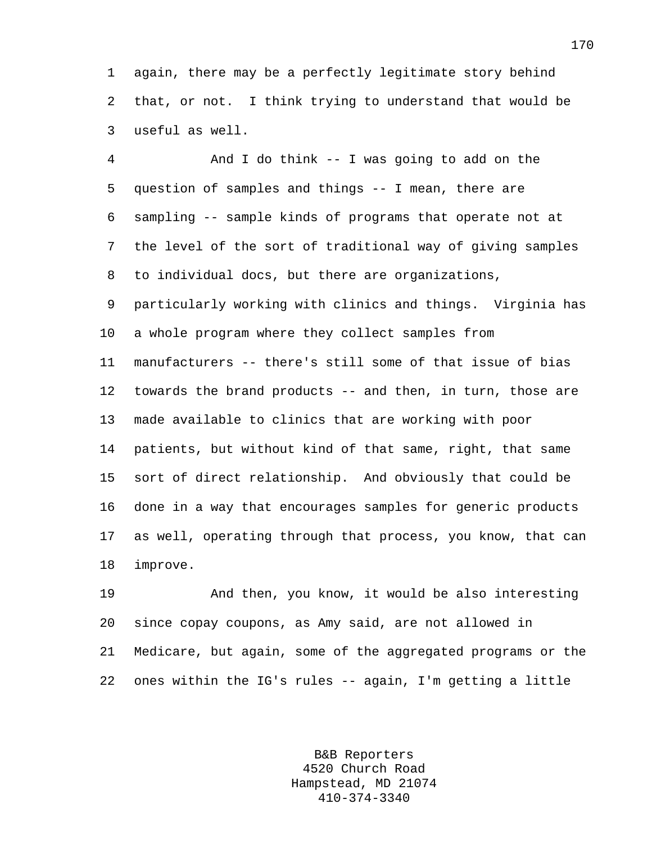1 again, there may be a perfectly legitimate story behind 2 that, or not. I think trying to understand that would be 3 useful as well.

4 And I do think -- I was going to add on the 5 question of samples and things -- I mean, there are 6 sampling -- sample kinds of programs that operate not at 7 the level of the sort of traditional way of giving samples 8 to individual docs, but there are organizations, 9 particularly working with clinics and things. Virginia has 10 a whole program where they collect samples from 11 manufacturers -- there's still some of that issue of bias 12 towards the brand products -- and then, in turn, those are 13 made available to clinics that are working with poor 14 patients, but without kind of that same, right, that same 15 sort of direct relationship. And obviously that could be 16 done in a way that encourages samples for generic products 17 as well, operating through that process, you know, that can 18 improve.

19 And then, you know, it would be also interesting 20 since copay coupons, as Amy said, are not allowed in 21 Medicare, but again, some of the aggregated programs or the 22 ones within the IG's rules -- again, I'm getting a little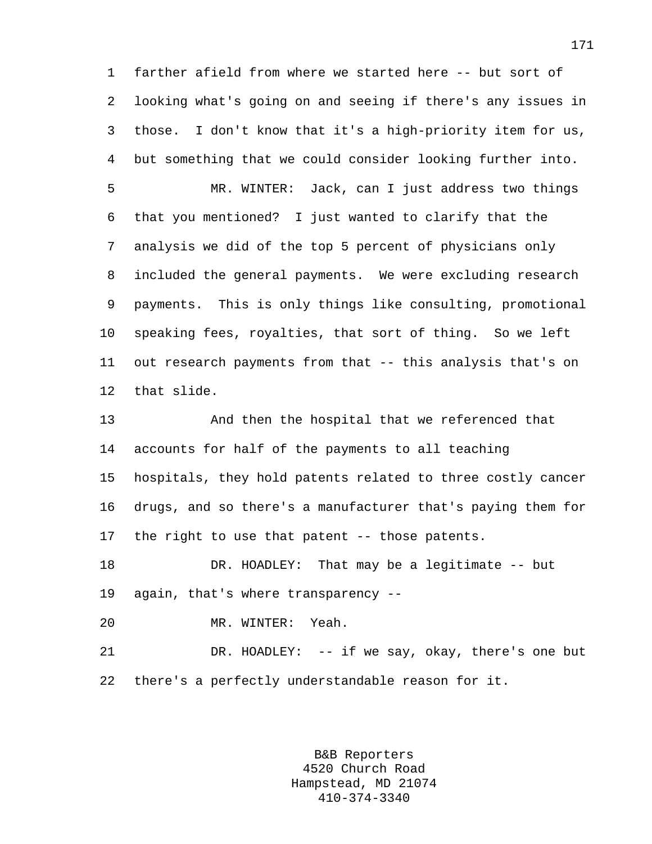1 farther afield from where we started here -- but sort of 2 looking what's going on and seeing if there's any issues in 3 those. I don't know that it's a high-priority item for us, 4 but something that we could consider looking further into.

5 MR. WINTER: Jack, can I just address two things 6 that you mentioned? I just wanted to clarify that the 7 analysis we did of the top 5 percent of physicians only 8 included the general payments. We were excluding research 9 payments. This is only things like consulting, promotional 10 speaking fees, royalties, that sort of thing. So we left 11 out research payments from that -- this analysis that's on 12 that slide.

13 And then the hospital that we referenced that 14 accounts for half of the payments to all teaching 15 hospitals, they hold patents related to three costly cancer 16 drugs, and so there's a manufacturer that's paying them for 17 the right to use that patent -- those patents.

18 DR. HOADLEY: That may be a legitimate -- but 19 again, that's where transparency --

20 MR. WINTER: Yeah.

21 DR. HOADLEY: -- if we say, okay, there's one but 22 there's a perfectly understandable reason for it.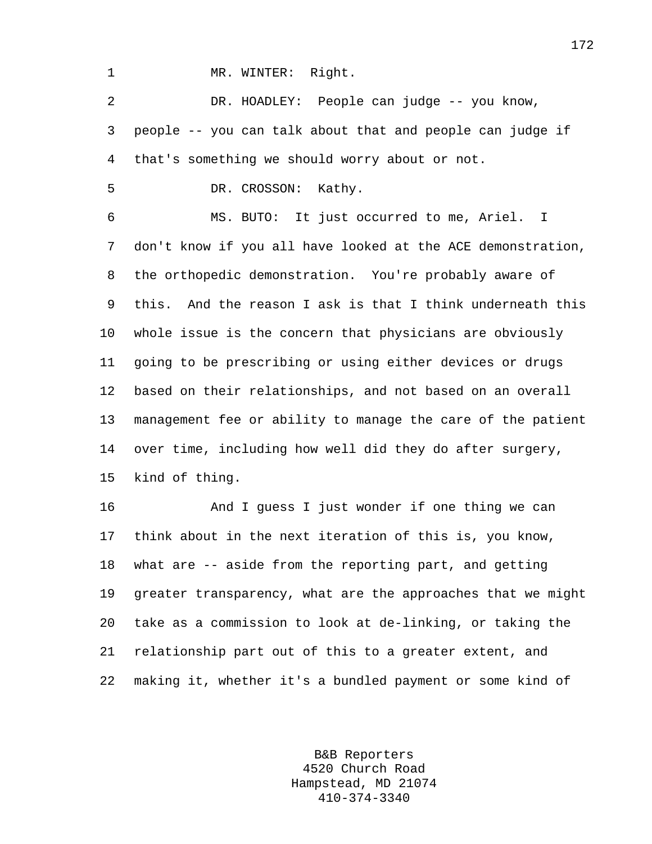1 MR. WINTER: Right.

2 DR. HOADLEY: People can judge -- you know, 3 people -- you can talk about that and people can judge if 4 that's something we should worry about or not.

5 DR. CROSSON: Kathy.

6 MS. BUTO: It just occurred to me, Ariel. I 7 don't know if you all have looked at the ACE demonstration, 8 the orthopedic demonstration. You're probably aware of 9 this. And the reason I ask is that I think underneath this 10 whole issue is the concern that physicians are obviously 11 going to be prescribing or using either devices or drugs 12 based on their relationships, and not based on an overall 13 management fee or ability to manage the care of the patient 14 over time, including how well did they do after surgery, 15 kind of thing.

16 And I guess I just wonder if one thing we can 17 think about in the next iteration of this is, you know, 18 what are -- aside from the reporting part, and getting 19 greater transparency, what are the approaches that we might 20 take as a commission to look at de-linking, or taking the 21 relationship part out of this to a greater extent, and 22 making it, whether it's a bundled payment or some kind of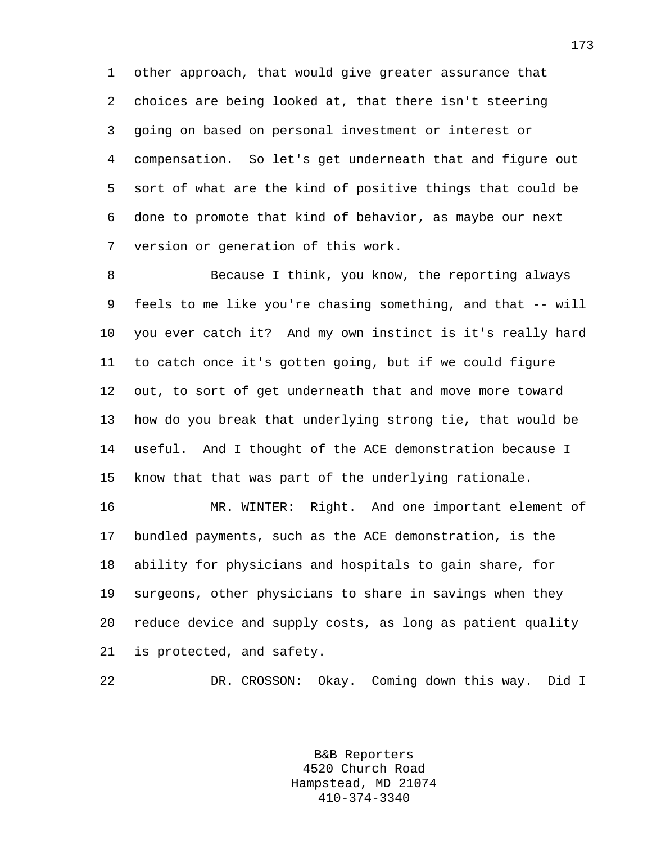1 other approach, that would give greater assurance that 2 choices are being looked at, that there isn't steering 3 going on based on personal investment or interest or 4 compensation. So let's get underneath that and figure out 5 sort of what are the kind of positive things that could be 6 done to promote that kind of behavior, as maybe our next 7 version or generation of this work.

8 Because I think, you know, the reporting always 9 feels to me like you're chasing something, and that -- will 10 you ever catch it? And my own instinct is it's really hard 11 to catch once it's gotten going, but if we could figure 12 out, to sort of get underneath that and move more toward 13 how do you break that underlying strong tie, that would be 14 useful. And I thought of the ACE demonstration because I 15 know that that was part of the underlying rationale.

16 MR. WINTER: Right. And one important element of 17 bundled payments, such as the ACE demonstration, is the 18 ability for physicians and hospitals to gain share, for 19 surgeons, other physicians to share in savings when they 20 reduce device and supply costs, as long as patient quality 21 is protected, and safety.

22 DR. CROSSON: Okay. Coming down this way. Did I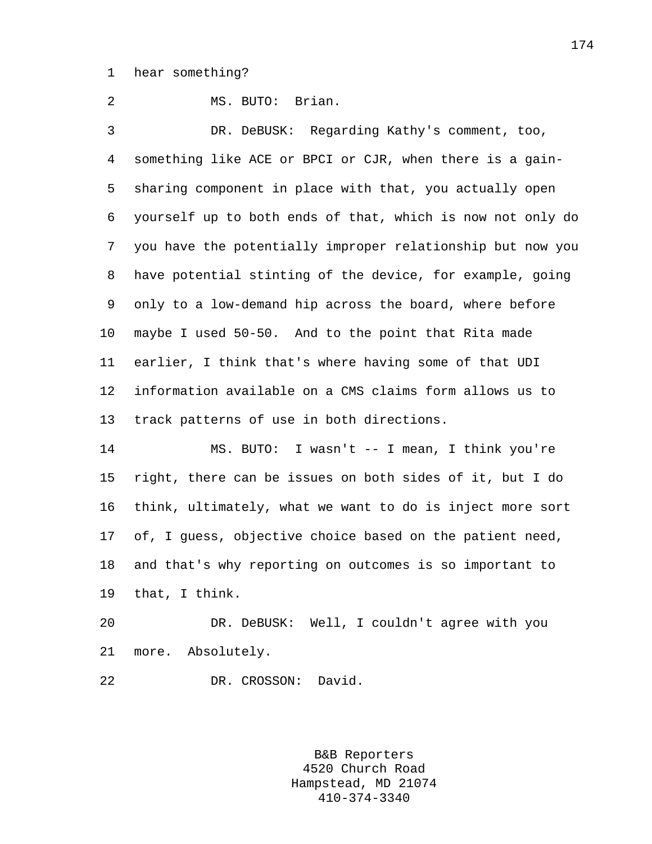1 hear something?

2 MS. BUTO: Brian. 3 DR. DeBUSK: Regarding Kathy's comment, too, 4 something like ACE or BPCI or CJR, when there is a gain-5 sharing component in place with that, you actually open 6 yourself up to both ends of that, which is now not only do 7 you have the potentially improper relationship but now you 8 have potential stinting of the device, for example, going 9 only to a low-demand hip across the board, where before 10 maybe I used 50-50. And to the point that Rita made 11 earlier, I think that's where having some of that UDI 12 information available on a CMS claims form allows us to 13 track patterns of use in both directions.

14 MS. BUTO: I wasn't -- I mean, I think you're 15 right, there can be issues on both sides of it, but I do 16 think, ultimately, what we want to do is inject more sort 17 of, I guess, objective choice based on the patient need, 18 and that's why reporting on outcomes is so important to 19 that, I think.

20 DR. DeBUSK: Well, I couldn't agree with you 21 more. Absolutely.

22 DR. CROSSON: David.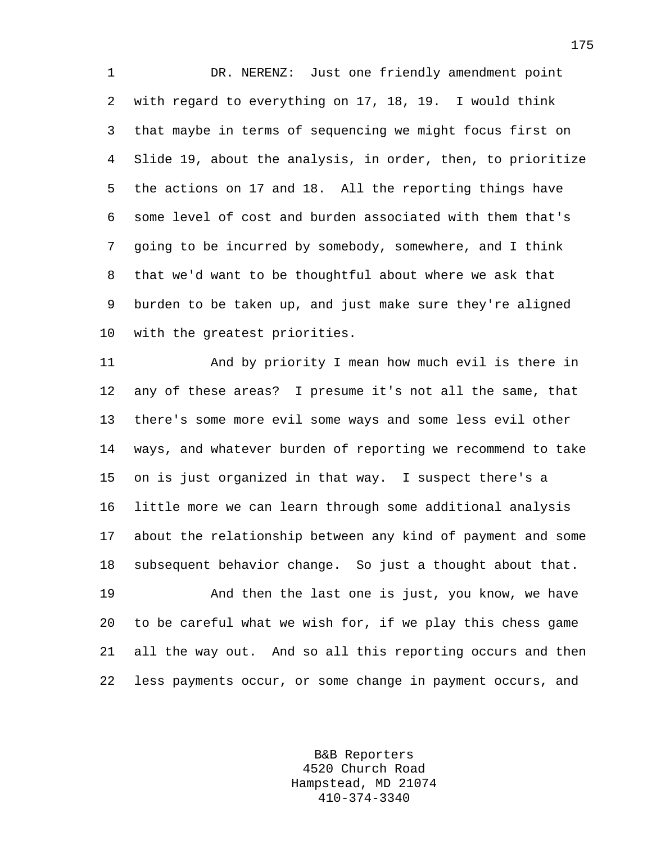1 DR. NERENZ: Just one friendly amendment point 2 with regard to everything on 17, 18, 19. I would think 3 that maybe in terms of sequencing we might focus first on 4 Slide 19, about the analysis, in order, then, to prioritize 5 the actions on 17 and 18. All the reporting things have 6 some level of cost and burden associated with them that's 7 going to be incurred by somebody, somewhere, and I think 8 that we'd want to be thoughtful about where we ask that 9 burden to be taken up, and just make sure they're aligned 10 with the greatest priorities.

11 And by priority I mean how much evil is there in 12 any of these areas? I presume it's not all the same, that 13 there's some more evil some ways and some less evil other 14 ways, and whatever burden of reporting we recommend to take 15 on is just organized in that way. I suspect there's a 16 little more we can learn through some additional analysis 17 about the relationship between any kind of payment and some 18 subsequent behavior change. So just a thought about that.

19 And then the last one is just, you know, we have 20 to be careful what we wish for, if we play this chess game 21 all the way out. And so all this reporting occurs and then 22 less payments occur, or some change in payment occurs, and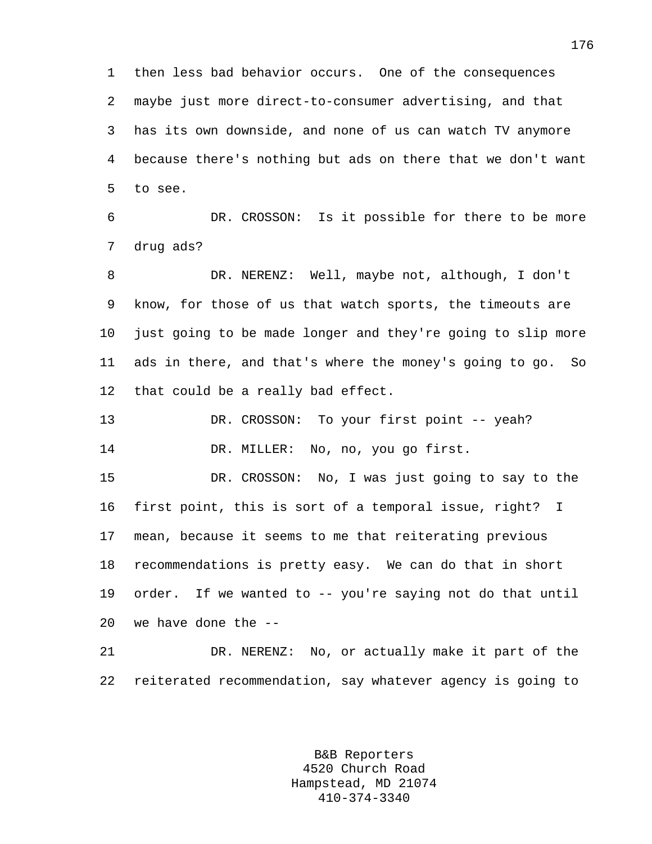1 then less bad behavior occurs. One of the consequences 2 maybe just more direct-to-consumer advertising, and that 3 has its own downside, and none of us can watch TV anymore 4 because there's nothing but ads on there that we don't want 5 to see.

6 DR. CROSSON: Is it possible for there to be more 7 drug ads?

8 DR. NERENZ: Well, maybe not, although, I don't 9 know, for those of us that watch sports, the timeouts are 10 just going to be made longer and they're going to slip more 11 ads in there, and that's where the money's going to go. So 12 that could be a really bad effect.

13 DR. CROSSON: To your first point -- yeah? 14 DR. MILLER: No, no, you go first.

15 DR. CROSSON: No, I was just going to say to the 16 first point, this is sort of a temporal issue, right? I 17 mean, because it seems to me that reiterating previous 18 recommendations is pretty easy. We can do that in short 19 order. If we wanted to -- you're saying not do that until 20 we have done the --

21 DR. NERENZ: No, or actually make it part of the 22 reiterated recommendation, say whatever agency is going to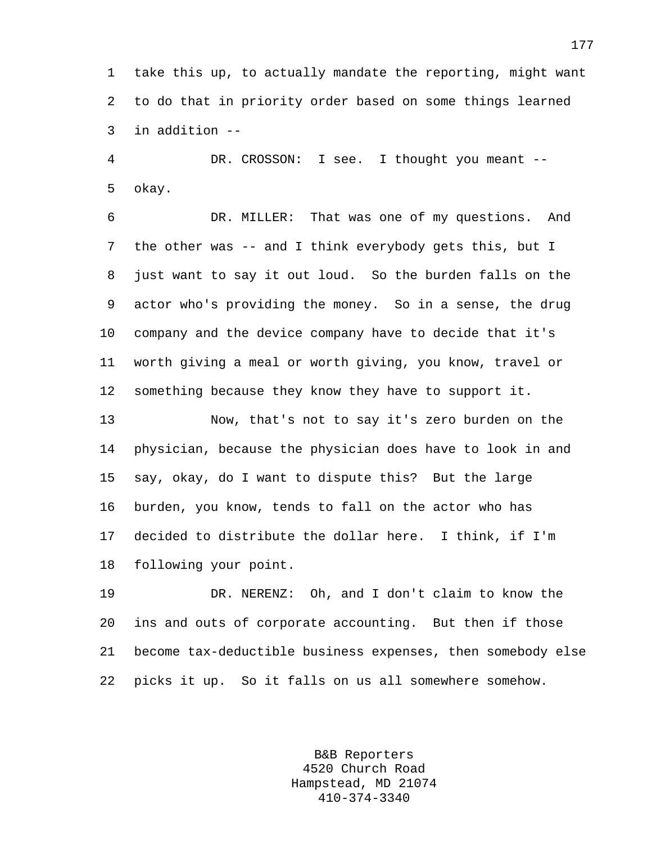1 take this up, to actually mandate the reporting, might want 2 to do that in priority order based on some things learned 3 in addition --

4 DR. CROSSON: I see. I thought you meant -- 5 okay.

6 DR. MILLER: That was one of my questions. And 7 the other was -- and I think everybody gets this, but I 8 just want to say it out loud. So the burden falls on the 9 actor who's providing the money. So in a sense, the drug 10 company and the device company have to decide that it's 11 worth giving a meal or worth giving, you know, travel or 12 something because they know they have to support it.

13 Now, that's not to say it's zero burden on the 14 physician, because the physician does have to look in and 15 say, okay, do I want to dispute this? But the large 16 burden, you know, tends to fall on the actor who has 17 decided to distribute the dollar here. I think, if I'm 18 following your point.

19 DR. NERENZ: Oh, and I don't claim to know the 20 ins and outs of corporate accounting. But then if those 21 become tax-deductible business expenses, then somebody else 22 picks it up. So it falls on us all somewhere somehow.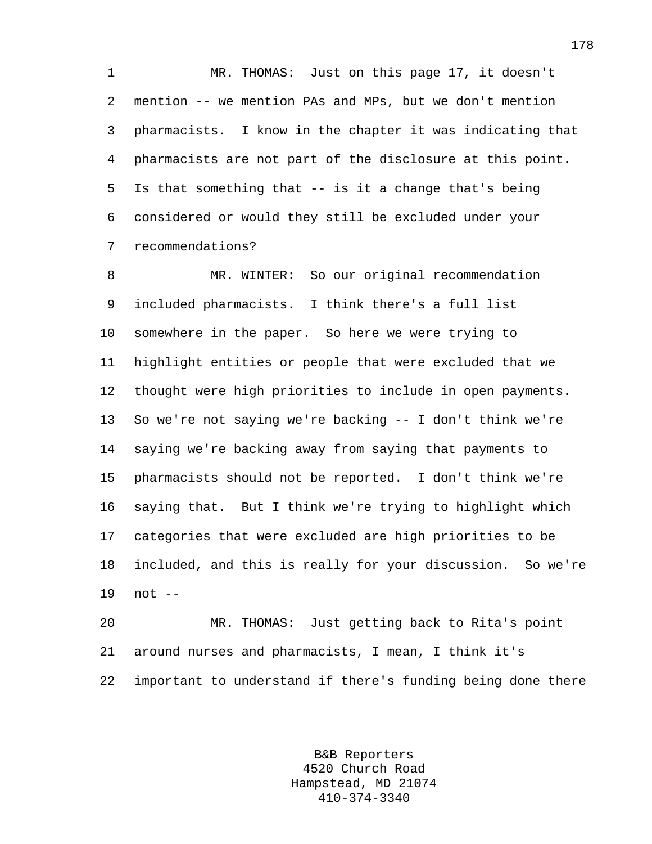1 MR. THOMAS: Just on this page 17, it doesn't 2 mention -- we mention PAs and MPs, but we don't mention 3 pharmacists. I know in the chapter it was indicating that 4 pharmacists are not part of the disclosure at this point. 5 Is that something that -- is it a change that's being 6 considered or would they still be excluded under your 7 recommendations?

8 MR. WINTER: So our original recommendation 9 included pharmacists. I think there's a full list 10 somewhere in the paper. So here we were trying to 11 highlight entities or people that were excluded that we 12 thought were high priorities to include in open payments. 13 So we're not saying we're backing -- I don't think we're 14 saying we're backing away from saying that payments to 15 pharmacists should not be reported. I don't think we're 16 saying that. But I think we're trying to highlight which 17 categories that were excluded are high priorities to be 18 included, and this is really for your discussion. So we're 19 not --

20 MR. THOMAS: Just getting back to Rita's point 21 around nurses and pharmacists, I mean, I think it's 22 important to understand if there's funding being done there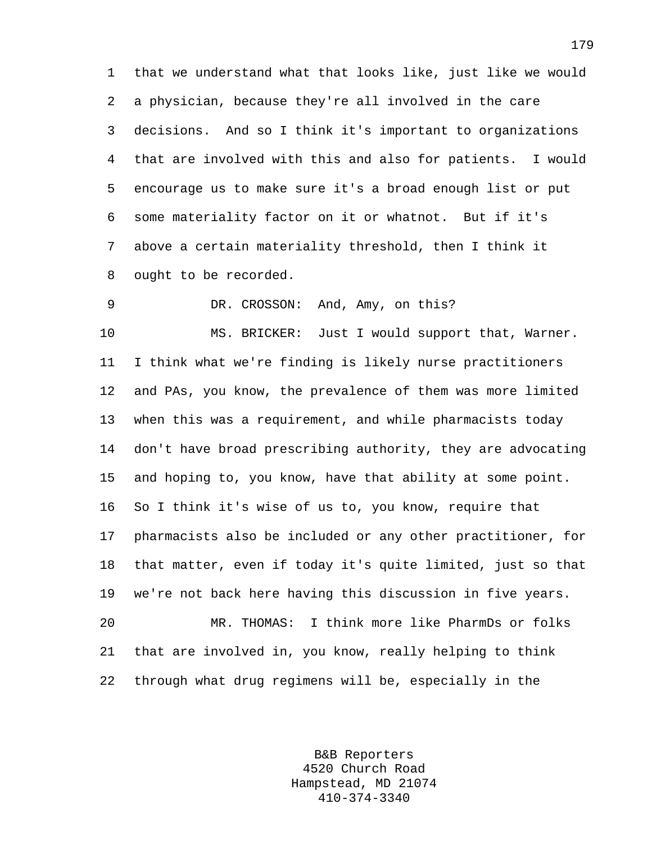1 that we understand what that looks like, just like we would 2 a physician, because they're all involved in the care 3 decisions. And so I think it's important to organizations 4 that are involved with this and also for patients. I would 5 encourage us to make sure it's a broad enough list or put 6 some materiality factor on it or whatnot. But if it's 7 above a certain materiality threshold, then I think it 8 ought to be recorded.

9 DR. CROSSON: And, Amy, on this?

10 MS. BRICKER: Just I would support that, Warner. 11 I think what we're finding is likely nurse practitioners 12 and PAs, you know, the prevalence of them was more limited 13 when this was a requirement, and while pharmacists today 14 don't have broad prescribing authority, they are advocating 15 and hoping to, you know, have that ability at some point. 16 So I think it's wise of us to, you know, require that 17 pharmacists also be included or any other practitioner, for 18 that matter, even if today it's quite limited, just so that 19 we're not back here having this discussion in five years. 20 MR. THOMAS: I think more like PharmDs or folks 21 that are involved in, you know, really helping to think 22 through what drug regimens will be, especially in the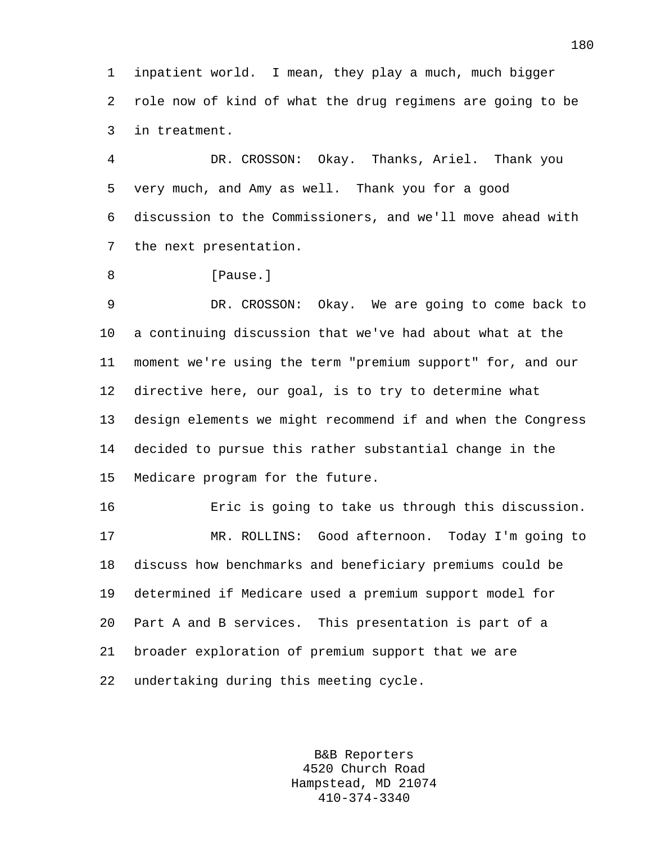1 inpatient world. I mean, they play a much, much bigger 2 role now of kind of what the drug regimens are going to be 3 in treatment.

4 DR. CROSSON: Okay. Thanks, Ariel. Thank you 5 very much, and Amy as well. Thank you for a good 6 discussion to the Commissioners, and we'll move ahead with 7 the next presentation.

8 [Pause.]

9 DR. CROSSON: Okay. We are going to come back to 10 a continuing discussion that we've had about what at the 11 moment we're using the term "premium support" for, and our 12 directive here, our goal, is to try to determine what 13 design elements we might recommend if and when the Congress 14 decided to pursue this rather substantial change in the 15 Medicare program for the future.

16 Eric is going to take us through this discussion. 17 MR. ROLLINS: Good afternoon. Today I'm going to 18 discuss how benchmarks and beneficiary premiums could be 19 determined if Medicare used a premium support model for 20 Part A and B services. This presentation is part of a 21 broader exploration of premium support that we are 22 undertaking during this meeting cycle.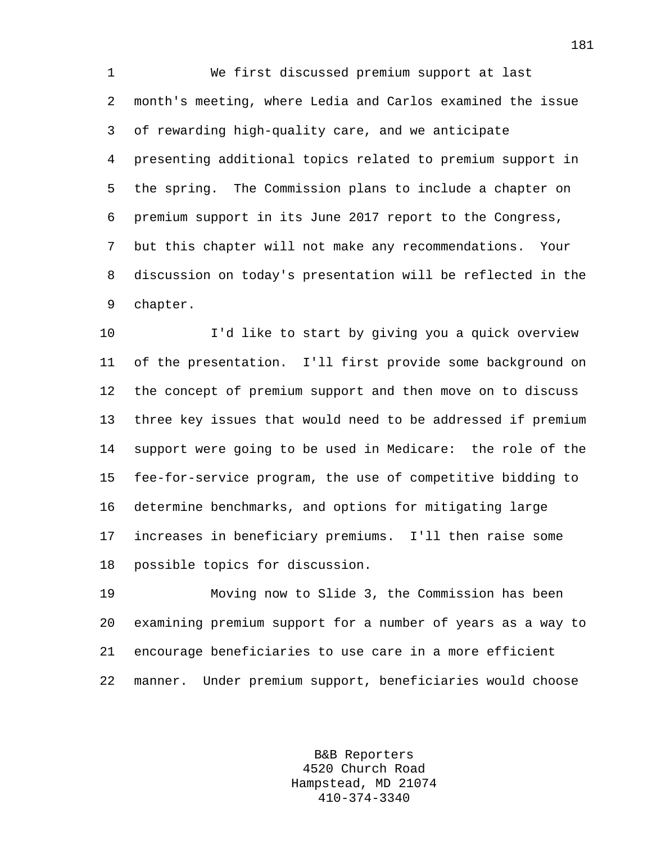1 We first discussed premium support at last 2 month's meeting, where Ledia and Carlos examined the issue 3 of rewarding high-quality care, and we anticipate 4 presenting additional topics related to premium support in 5 the spring. The Commission plans to include a chapter on 6 premium support in its June 2017 report to the Congress, 7 but this chapter will not make any recommendations. Your 8 discussion on today's presentation will be reflected in the 9 chapter.

10 I'd like to start by giving you a quick overview 11 of the presentation. I'll first provide some background on 12 the concept of premium support and then move on to discuss 13 three key issues that would need to be addressed if premium 14 support were going to be used in Medicare: the role of the 15 fee-for-service program, the use of competitive bidding to 16 determine benchmarks, and options for mitigating large 17 increases in beneficiary premiums. I'll then raise some 18 possible topics for discussion.

19 Moving now to Slide 3, the Commission has been 20 examining premium support for a number of years as a way to 21 encourage beneficiaries to use care in a more efficient 22 manner. Under premium support, beneficiaries would choose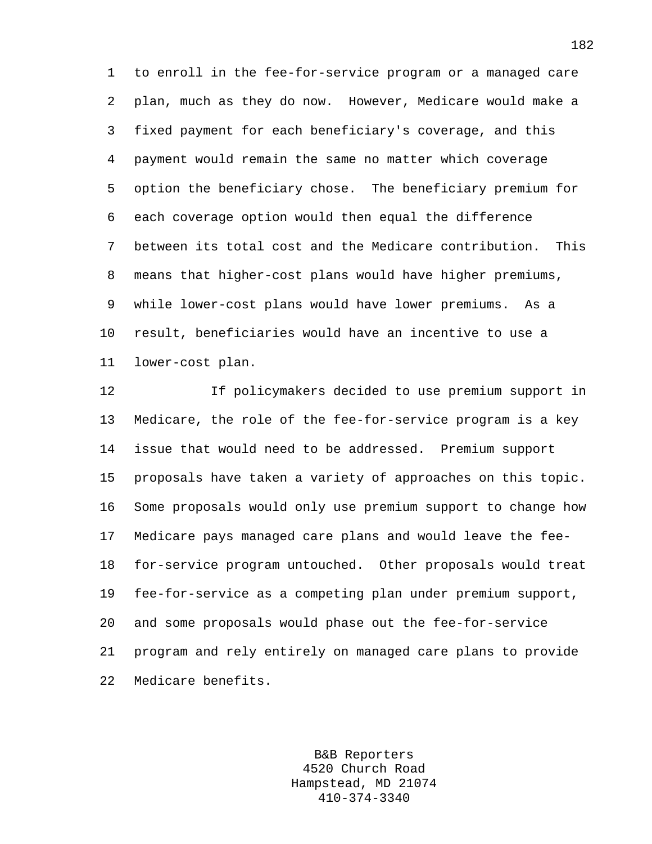1 to enroll in the fee-for-service program or a managed care 2 plan, much as they do now. However, Medicare would make a 3 fixed payment for each beneficiary's coverage, and this 4 payment would remain the same no matter which coverage 5 option the beneficiary chose. The beneficiary premium for 6 each coverage option would then equal the difference 7 between its total cost and the Medicare contribution. This 8 means that higher-cost plans would have higher premiums, 9 while lower-cost plans would have lower premiums. As a 10 result, beneficiaries would have an incentive to use a 11 lower-cost plan.

12 If policymakers decided to use premium support in 13 Medicare, the role of the fee-for-service program is a key 14 issue that would need to be addressed. Premium support 15 proposals have taken a variety of approaches on this topic. 16 Some proposals would only use premium support to change how 17 Medicare pays managed care plans and would leave the fee-18 for-service program untouched. Other proposals would treat 19 fee-for-service as a competing plan under premium support, 20 and some proposals would phase out the fee-for-service 21 program and rely entirely on managed care plans to provide 22 Medicare benefits.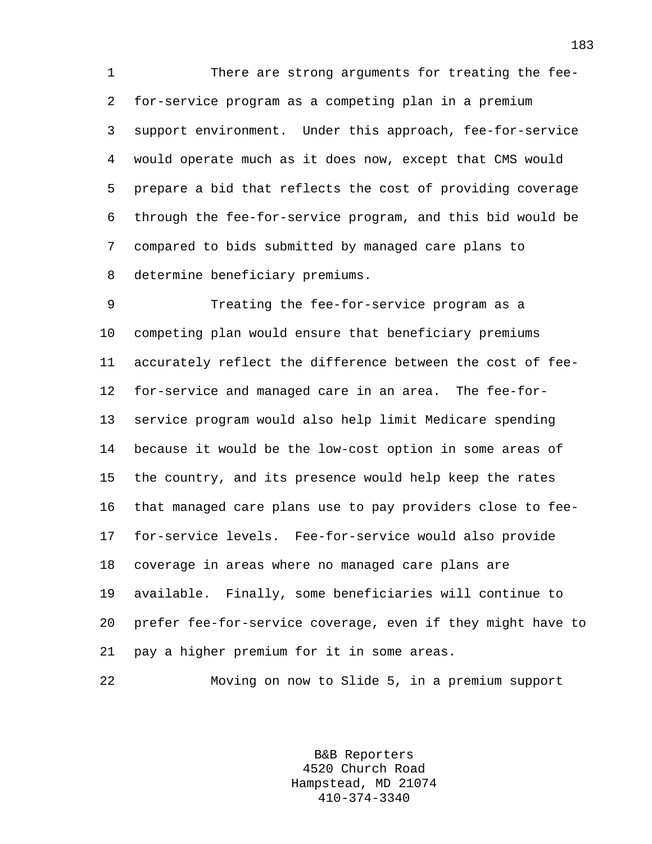1 There are strong arguments for treating the fee-2 for-service program as a competing plan in a premium 3 support environment. Under this approach, fee-for-service 4 would operate much as it does now, except that CMS would 5 prepare a bid that reflects the cost of providing coverage 6 through the fee-for-service program, and this bid would be 7 compared to bids submitted by managed care plans to 8 determine beneficiary premiums.

9 Treating the fee-for-service program as a 10 competing plan would ensure that beneficiary premiums 11 accurately reflect the difference between the cost of fee-12 for-service and managed care in an area. The fee-for-13 service program would also help limit Medicare spending 14 because it would be the low-cost option in some areas of 15 the country, and its presence would help keep the rates 16 that managed care plans use to pay providers close to fee-17 for-service levels. Fee-for-service would also provide 18 coverage in areas where no managed care plans are 19 available. Finally, some beneficiaries will continue to 20 prefer fee-for-service coverage, even if they might have to 21 pay a higher premium for it in some areas.

22 Moving on now to Slide 5, in a premium support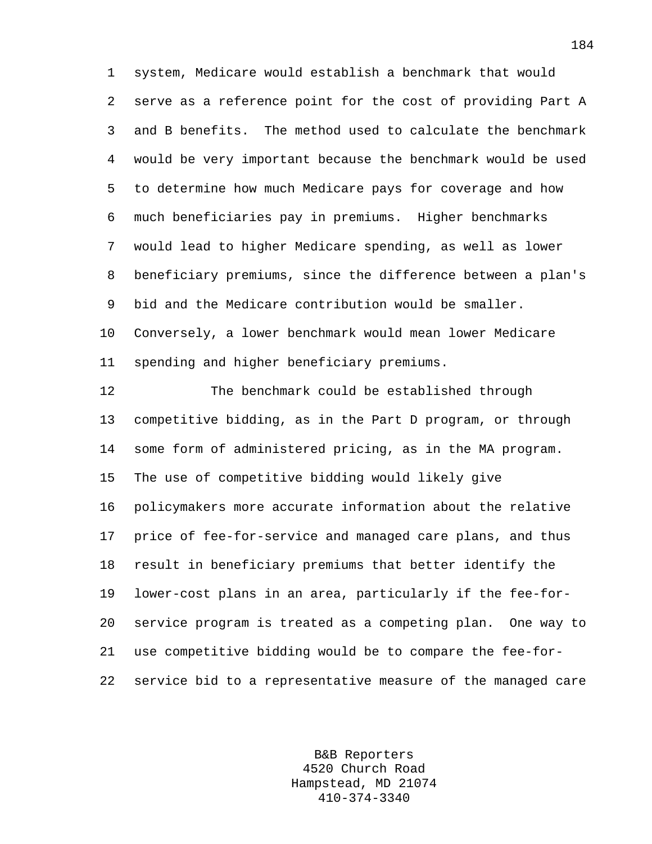1 system, Medicare would establish a benchmark that would 2 serve as a reference point for the cost of providing Part A 3 and B benefits. The method used to calculate the benchmark 4 would be very important because the benchmark would be used 5 to determine how much Medicare pays for coverage and how 6 much beneficiaries pay in premiums. Higher benchmarks 7 would lead to higher Medicare spending, as well as lower 8 beneficiary premiums, since the difference between a plan's 9 bid and the Medicare contribution would be smaller. 10 Conversely, a lower benchmark would mean lower Medicare 11 spending and higher beneficiary premiums.

12 The benchmark could be established through 13 competitive bidding, as in the Part D program, or through 14 some form of administered pricing, as in the MA program. 15 The use of competitive bidding would likely give 16 policymakers more accurate information about the relative 17 price of fee-for-service and managed care plans, and thus 18 result in beneficiary premiums that better identify the 19 lower-cost plans in an area, particularly if the fee-for-20 service program is treated as a competing plan. One way to 21 use competitive bidding would be to compare the fee-for-22 service bid to a representative measure of the managed care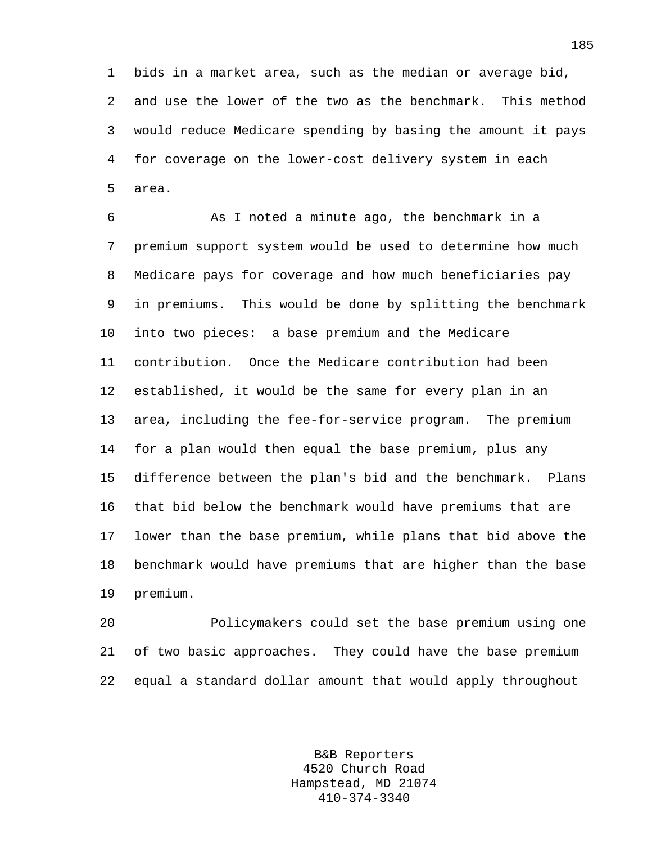1 bids in a market area, such as the median or average bid, 2 and use the lower of the two as the benchmark. This method 3 would reduce Medicare spending by basing the amount it pays 4 for coverage on the lower-cost delivery system in each 5 area.

6 As I noted a minute ago, the benchmark in a 7 premium support system would be used to determine how much 8 Medicare pays for coverage and how much beneficiaries pay 9 in premiums. This would be done by splitting the benchmark 10 into two pieces: a base premium and the Medicare 11 contribution. Once the Medicare contribution had been 12 established, it would be the same for every plan in an 13 area, including the fee-for-service program. The premium 14 for a plan would then equal the base premium, plus any 15 difference between the plan's bid and the benchmark. Plans 16 that bid below the benchmark would have premiums that are 17 lower than the base premium, while plans that bid above the 18 benchmark would have premiums that are higher than the base 19 premium.

20 Policymakers could set the base premium using one 21 of two basic approaches. They could have the base premium 22 equal a standard dollar amount that would apply throughout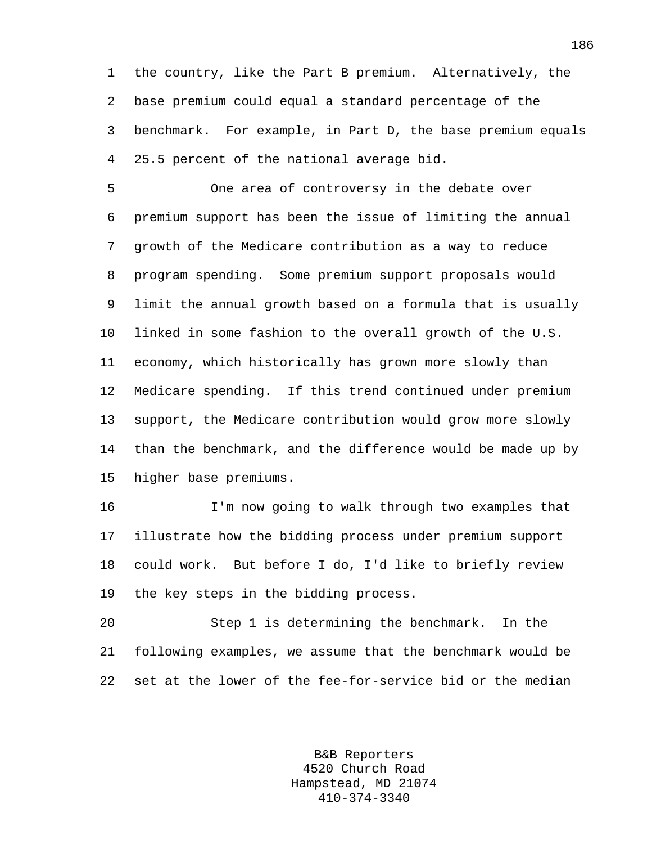1 the country, like the Part B premium. Alternatively, the 2 base premium could equal a standard percentage of the 3 benchmark. For example, in Part D, the base premium equals 4 25.5 percent of the national average bid.

5 One area of controversy in the debate over 6 premium support has been the issue of limiting the annual 7 growth of the Medicare contribution as a way to reduce 8 program spending. Some premium support proposals would 9 limit the annual growth based on a formula that is usually 10 linked in some fashion to the overall growth of the U.S. 11 economy, which historically has grown more slowly than 12 Medicare spending. If this trend continued under premium 13 support, the Medicare contribution would grow more slowly 14 than the benchmark, and the difference would be made up by 15 higher base premiums.

16 I'm now going to walk through two examples that 17 illustrate how the bidding process under premium support 18 could work. But before I do, I'd like to briefly review 19 the key steps in the bidding process.

20 Step 1 is determining the benchmark. In the 21 following examples, we assume that the benchmark would be 22 set at the lower of the fee-for-service bid or the median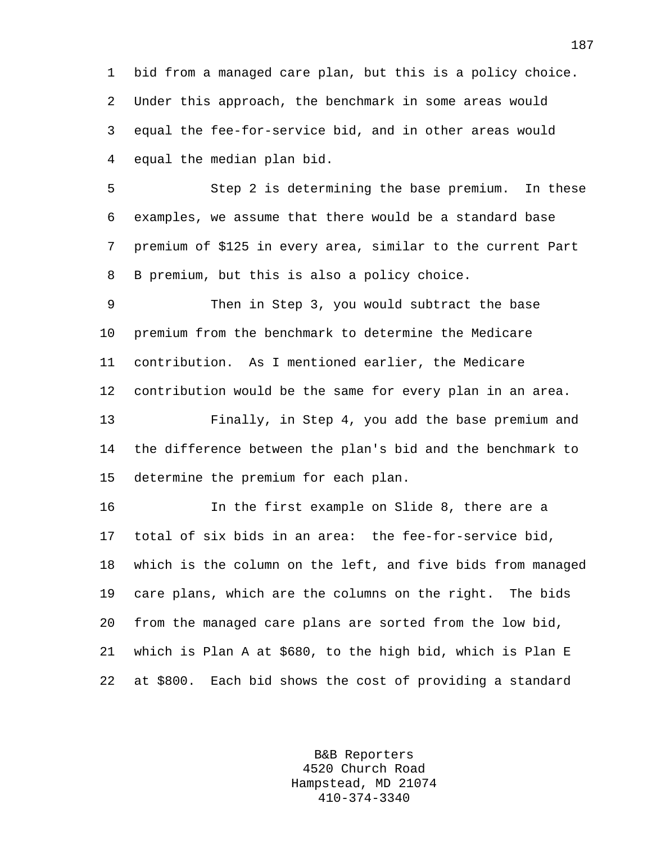1 bid from a managed care plan, but this is a policy choice. 2 Under this approach, the benchmark in some areas would 3 equal the fee-for-service bid, and in other areas would 4 equal the median plan bid.

5 Step 2 is determining the base premium. In these 6 examples, we assume that there would be a standard base 7 premium of \$125 in every area, similar to the current Part 8 B premium, but this is also a policy choice.

9 Then in Step 3, you would subtract the base 10 premium from the benchmark to determine the Medicare 11 contribution. As I mentioned earlier, the Medicare 12 contribution would be the same for every plan in an area. 13 Finally, in Step 4, you add the base premium and 14 the difference between the plan's bid and the benchmark to 15 determine the premium for each plan.

16 In the first example on Slide 8, there are a 17 total of six bids in an area: the fee-for-service bid, 18 which is the column on the left, and five bids from managed 19 care plans, which are the columns on the right. The bids 20 from the managed care plans are sorted from the low bid, 21 which is Plan A at \$680, to the high bid, which is Plan E 22 at \$800. Each bid shows the cost of providing a standard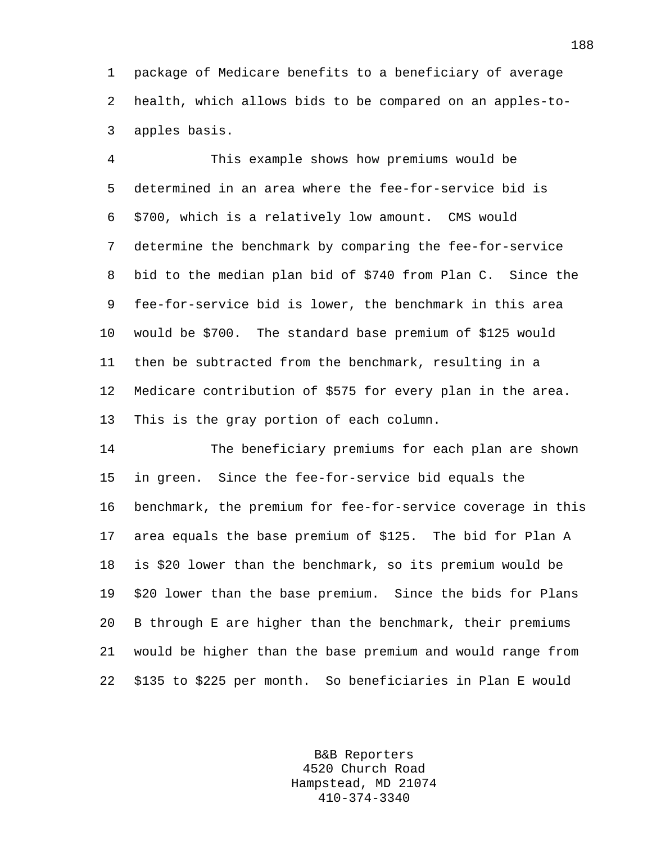1 package of Medicare benefits to a beneficiary of average 2 health, which allows bids to be compared on an apples-to-3 apples basis.

4 This example shows how premiums would be 5 determined in an area where the fee-for-service bid is 6 \$700, which is a relatively low amount. CMS would 7 determine the benchmark by comparing the fee-for-service 8 bid to the median plan bid of \$740 from Plan C. Since the 9 fee-for-service bid is lower, the benchmark in this area 10 would be \$700. The standard base premium of \$125 would 11 then be subtracted from the benchmark, resulting in a 12 Medicare contribution of \$575 for every plan in the area. 13 This is the gray portion of each column.

14 The beneficiary premiums for each plan are shown 15 in green. Since the fee-for-service bid equals the 16 benchmark, the premium for fee-for-service coverage in this 17 area equals the base premium of \$125. The bid for Plan A 18 is \$20 lower than the benchmark, so its premium would be 19 \$20 lower than the base premium. Since the bids for Plans 20 B through E are higher than the benchmark, their premiums 21 would be higher than the base premium and would range from 22 \$135 to \$225 per month. So beneficiaries in Plan E would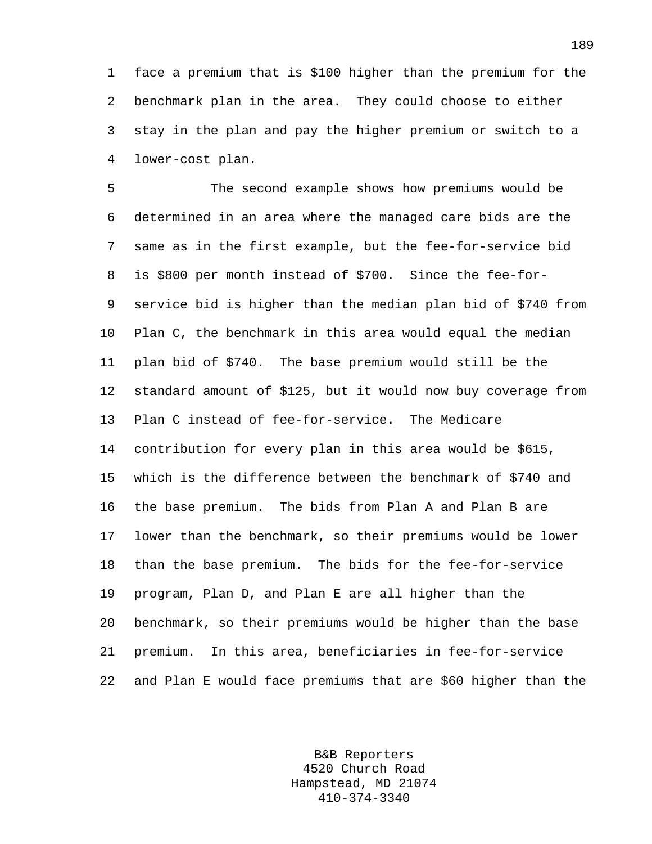1 face a premium that is \$100 higher than the premium for the 2 benchmark plan in the area. They could choose to either 3 stay in the plan and pay the higher premium or switch to a 4 lower-cost plan.

5 The second example shows how premiums would be 6 determined in an area where the managed care bids are the 7 same as in the first example, but the fee-for-service bid 8 is \$800 per month instead of \$700. Since the fee-for-9 service bid is higher than the median plan bid of \$740 from 10 Plan C, the benchmark in this area would equal the median 11 plan bid of \$740. The base premium would still be the 12 standard amount of \$125, but it would now buy coverage from 13 Plan C instead of fee-for-service. The Medicare 14 contribution for every plan in this area would be \$615, 15 which is the difference between the benchmark of \$740 and 16 the base premium. The bids from Plan A and Plan B are 17 lower than the benchmark, so their premiums would be lower 18 than the base premium. The bids for the fee-for-service 19 program, Plan D, and Plan E are all higher than the 20 benchmark, so their premiums would be higher than the base 21 premium. In this area, beneficiaries in fee-for-service 22 and Plan E would face premiums that are \$60 higher than the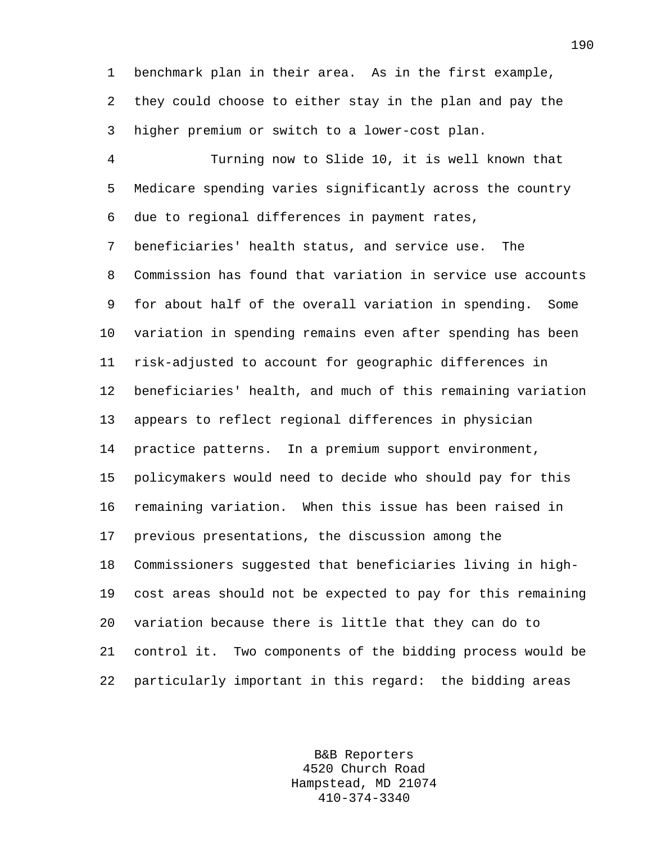1 benchmark plan in their area. As in the first example, 2 they could choose to either stay in the plan and pay the 3 higher premium or switch to a lower-cost plan.

4 Turning now to Slide 10, it is well known that 5 Medicare spending varies significantly across the country 6 due to regional differences in payment rates, 7 beneficiaries' health status, and service use. The 8 Commission has found that variation in service use accounts 9 for about half of the overall variation in spending. Some 10 variation in spending remains even after spending has been 11 risk-adjusted to account for geographic differences in 12 beneficiaries' health, and much of this remaining variation 13 appears to reflect regional differences in physician 14 practice patterns. In a premium support environment, 15 policymakers would need to decide who should pay for this 16 remaining variation. When this issue has been raised in 17 previous presentations, the discussion among the 18 Commissioners suggested that beneficiaries living in high-19 cost areas should not be expected to pay for this remaining 20 variation because there is little that they can do to 21 control it. Two components of the bidding process would be 22 particularly important in this regard: the bidding areas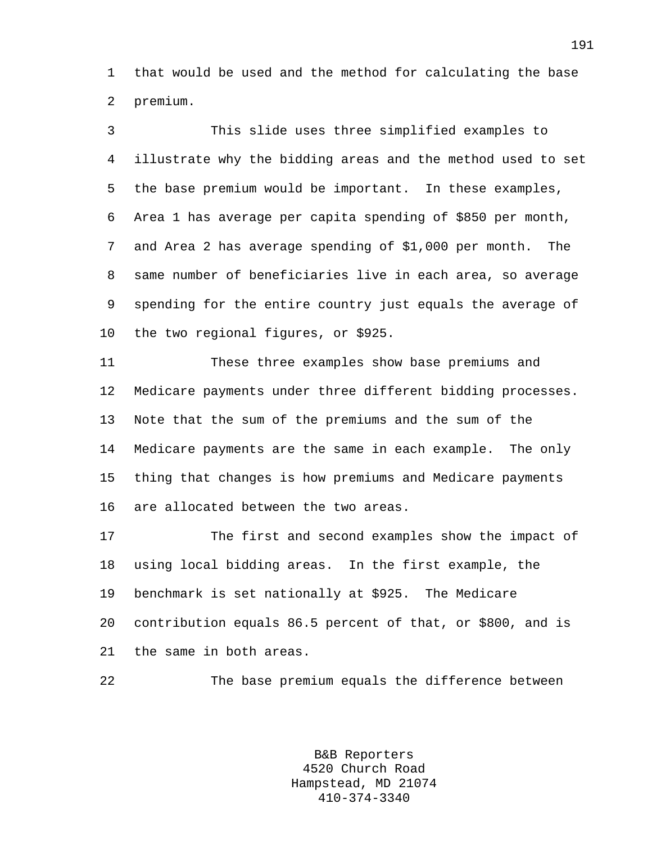1 that would be used and the method for calculating the base 2 premium.

3 This slide uses three simplified examples to 4 illustrate why the bidding areas and the method used to set 5 the base premium would be important. In these examples, 6 Area 1 has average per capita spending of \$850 per month, 7 and Area 2 has average spending of \$1,000 per month. The 8 same number of beneficiaries live in each area, so average 9 spending for the entire country just equals the average of 10 the two regional figures, or \$925. 11 These three examples show base premiums and 12 Medicare payments under three different bidding processes.

14 Medicare payments are the same in each example. The only 15 thing that changes is how premiums and Medicare payments 16 are allocated between the two areas. 17 The first and second examples show the impact of

13 Note that the sum of the premiums and the sum of the

18 using local bidding areas. In the first example, the 19 benchmark is set nationally at \$925. The Medicare 20 contribution equals 86.5 percent of that, or \$800, and is 21 the same in both areas.

22 The base premium equals the difference between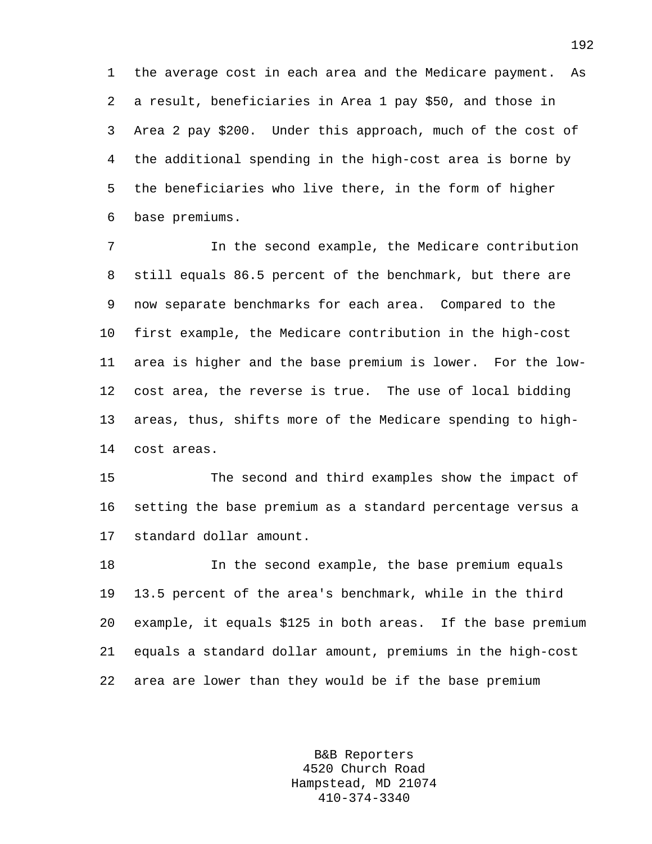1 the average cost in each area and the Medicare payment. As 2 a result, beneficiaries in Area 1 pay \$50, and those in 3 Area 2 pay \$200. Under this approach, much of the cost of 4 the additional spending in the high-cost area is borne by 5 the beneficiaries who live there, in the form of higher 6 base premiums.

7 In the second example, the Medicare contribution 8 still equals 86.5 percent of the benchmark, but there are 9 now separate benchmarks for each area. Compared to the 10 first example, the Medicare contribution in the high-cost 11 area is higher and the base premium is lower. For the low-12 cost area, the reverse is true. The use of local bidding 13 areas, thus, shifts more of the Medicare spending to high-14 cost areas.

15 The second and third examples show the impact of 16 setting the base premium as a standard percentage versus a 17 standard dollar amount.

18 In the second example, the base premium equals 19 13.5 percent of the area's benchmark, while in the third 20 example, it equals \$125 in both areas. If the base premium 21 equals a standard dollar amount, premiums in the high-cost 22 area are lower than they would be if the base premium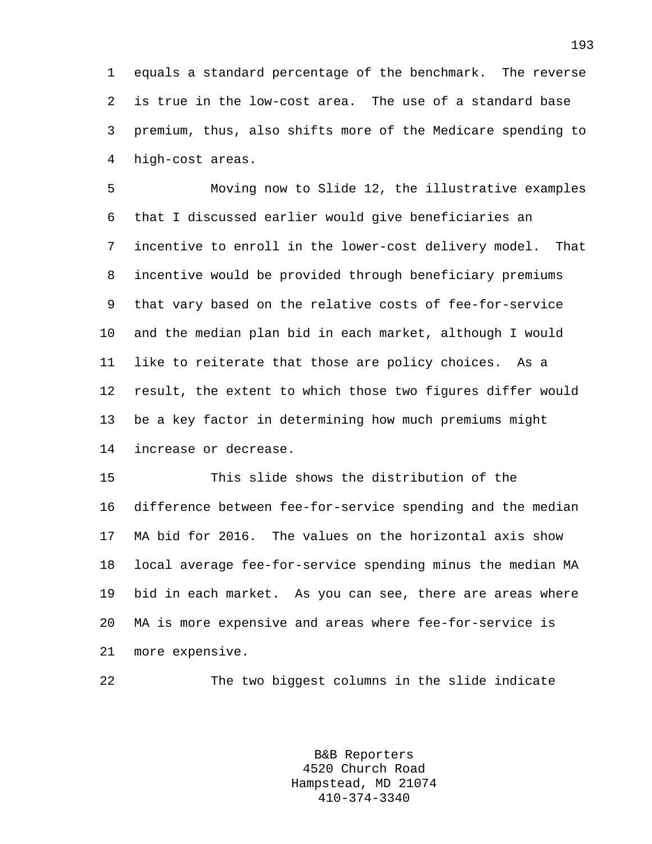1 equals a standard percentage of the benchmark. The reverse 2 is true in the low-cost area. The use of a standard base 3 premium, thus, also shifts more of the Medicare spending to 4 high-cost areas.

5 Moving now to Slide 12, the illustrative examples 6 that I discussed earlier would give beneficiaries an 7 incentive to enroll in the lower-cost delivery model. That 8 incentive would be provided through beneficiary premiums 9 that vary based on the relative costs of fee-for-service 10 and the median plan bid in each market, although I would 11 like to reiterate that those are policy choices. As a 12 result, the extent to which those two figures differ would 13 be a key factor in determining how much premiums might 14 increase or decrease.

15 This slide shows the distribution of the 16 difference between fee-for-service spending and the median 17 MA bid for 2016. The values on the horizontal axis show 18 local average fee-for-service spending minus the median MA 19 bid in each market. As you can see, there are areas where 20 MA is more expensive and areas where fee-for-service is 21 more expensive.

22 The two biggest columns in the slide indicate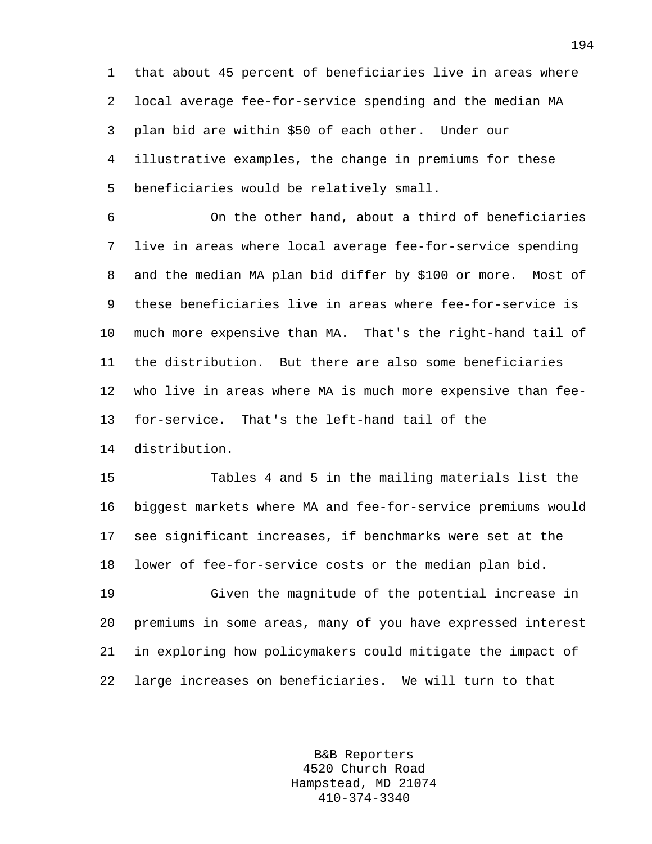1 that about 45 percent of beneficiaries live in areas where 2 local average fee-for-service spending and the median MA 3 plan bid are within \$50 of each other. Under our 4 illustrative examples, the change in premiums for these 5 beneficiaries would be relatively small.

6 On the other hand, about a third of beneficiaries 7 live in areas where local average fee-for-service spending 8 and the median MA plan bid differ by \$100 or more. Most of 9 these beneficiaries live in areas where fee-for-service is 10 much more expensive than MA. That's the right-hand tail of 11 the distribution. But there are also some beneficiaries 12 who live in areas where MA is much more expensive than fee-13 for-service. That's the left-hand tail of the 14 distribution.

15 Tables 4 and 5 in the mailing materials list the 16 biggest markets where MA and fee-for-service premiums would 17 see significant increases, if benchmarks were set at the 18 lower of fee-for-service costs or the median plan bid.

19 Given the magnitude of the potential increase in 20 premiums in some areas, many of you have expressed interest 21 in exploring how policymakers could mitigate the impact of 22 large increases on beneficiaries. We will turn to that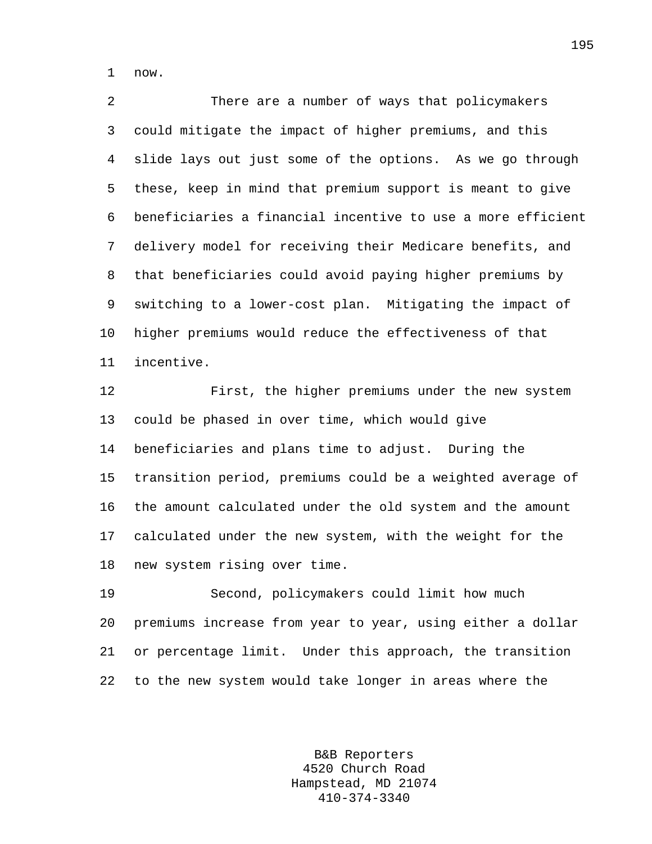1 now.

2 There are a number of ways that policymakers 3 could mitigate the impact of higher premiums, and this 4 slide lays out just some of the options. As we go through 5 these, keep in mind that premium support is meant to give 6 beneficiaries a financial incentive to use a more efficient 7 delivery model for receiving their Medicare benefits, and 8 that beneficiaries could avoid paying higher premiums by 9 switching to a lower-cost plan. Mitigating the impact of 10 higher premiums would reduce the effectiveness of that 11 incentive.

12 First, the higher premiums under the new system 13 could be phased in over time, which would give 14 beneficiaries and plans time to adjust. During the 15 transition period, premiums could be a weighted average of 16 the amount calculated under the old system and the amount 17 calculated under the new system, with the weight for the 18 new system rising over time.

19 Second, policymakers could limit how much 20 premiums increase from year to year, using either a dollar 21 or percentage limit. Under this approach, the transition 22 to the new system would take longer in areas where the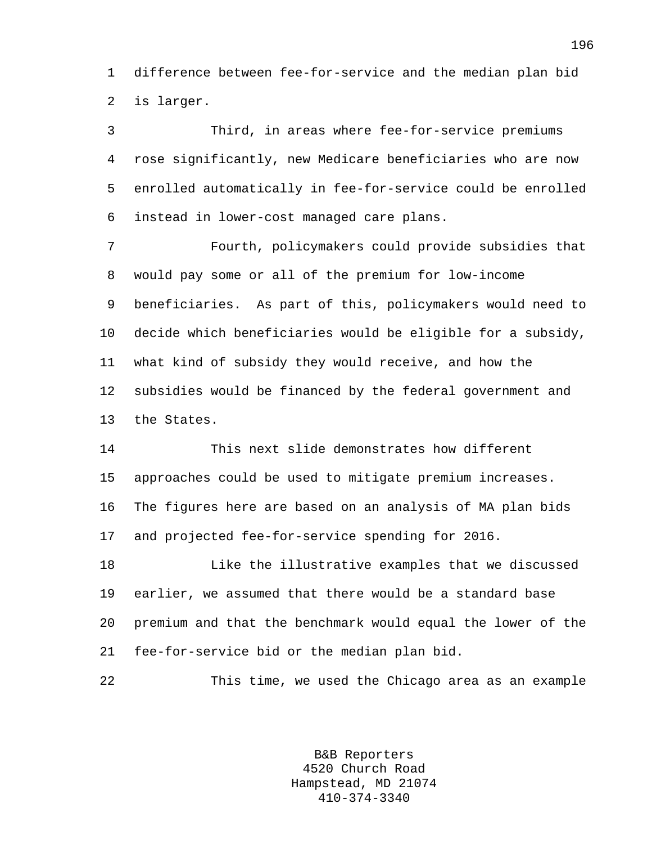1 difference between fee-for-service and the median plan bid 2 is larger.

3 Third, in areas where fee-for-service premiums 4 rose significantly, new Medicare beneficiaries who are now 5 enrolled automatically in fee-for-service could be enrolled 6 instead in lower-cost managed care plans.

7 Fourth, policymakers could provide subsidies that 8 would pay some or all of the premium for low-income 9 beneficiaries. As part of this, policymakers would need to 10 decide which beneficiaries would be eligible for a subsidy, 11 what kind of subsidy they would receive, and how the 12 subsidies would be financed by the federal government and 13 the States.

14 This next slide demonstrates how different 15 approaches could be used to mitigate premium increases. 16 The figures here are based on an analysis of MA plan bids 17 and projected fee-for-service spending for 2016.

18 Like the illustrative examples that we discussed 19 earlier, we assumed that there would be a standard base 20 premium and that the benchmark would equal the lower of the 21 fee-for-service bid or the median plan bid.

22 This time, we used the Chicago area as an example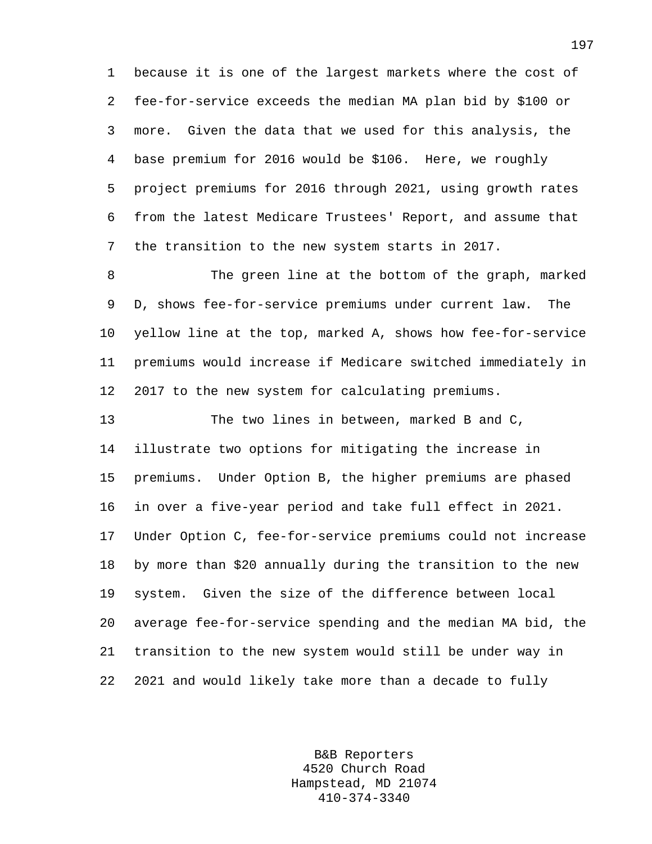1 because it is one of the largest markets where the cost of 2 fee-for-service exceeds the median MA plan bid by \$100 or 3 more. Given the data that we used for this analysis, the 4 base premium for 2016 would be \$106. Here, we roughly 5 project premiums for 2016 through 2021, using growth rates 6 from the latest Medicare Trustees' Report, and assume that 7 the transition to the new system starts in 2017.

8 The green line at the bottom of the graph, marked 9 D, shows fee-for-service premiums under current law. The 10 yellow line at the top, marked A, shows how fee-for-service 11 premiums would increase if Medicare switched immediately in 12 2017 to the new system for calculating premiums.

13 The two lines in between, marked B and C, 14 illustrate two options for mitigating the increase in 15 premiums. Under Option B, the higher premiums are phased 16 in over a five-year period and take full effect in 2021. 17 Under Option C, fee-for-service premiums could not increase 18 by more than \$20 annually during the transition to the new 19 system. Given the size of the difference between local 20 average fee-for-service spending and the median MA bid, the 21 transition to the new system would still be under way in 22 2021 and would likely take more than a decade to fully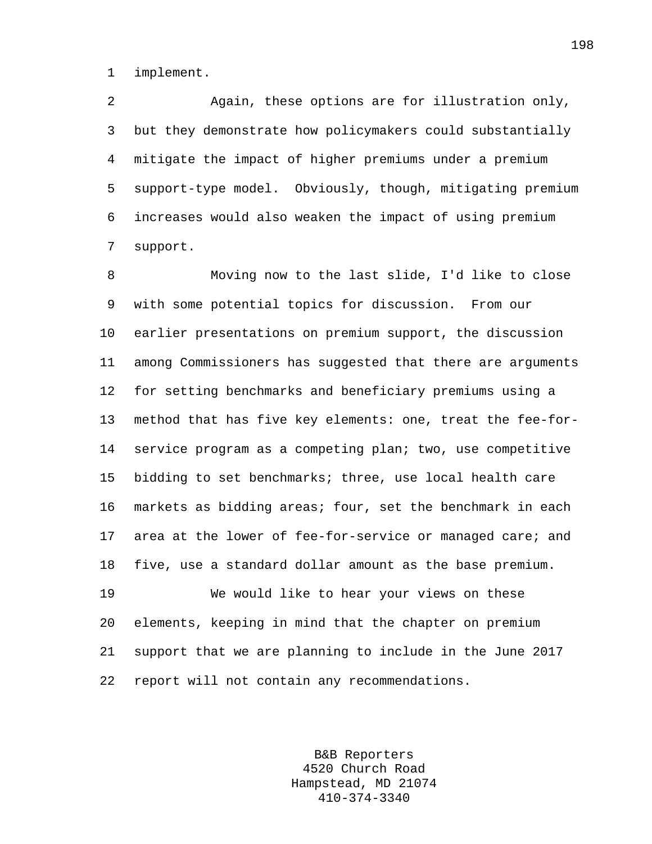1 implement.

2 Again, these options are for illustration only, 3 but they demonstrate how policymakers could substantially 4 mitigate the impact of higher premiums under a premium 5 support-type model. Obviously, though, mitigating premium 6 increases would also weaken the impact of using premium 7 support.

8 Moving now to the last slide, I'd like to close 9 with some potential topics for discussion. From our 10 earlier presentations on premium support, the discussion 11 among Commissioners has suggested that there are arguments 12 for setting benchmarks and beneficiary premiums using a 13 method that has five key elements: one, treat the fee-for-14 service program as a competing plan; two, use competitive 15 bidding to set benchmarks; three, use local health care 16 markets as bidding areas; four, set the benchmark in each 17 area at the lower of fee-for-service or managed care; and 18 five, use a standard dollar amount as the base premium. 19 We would like to hear your views on these

20 elements, keeping in mind that the chapter on premium 21 support that we are planning to include in the June 2017 22 report will not contain any recommendations.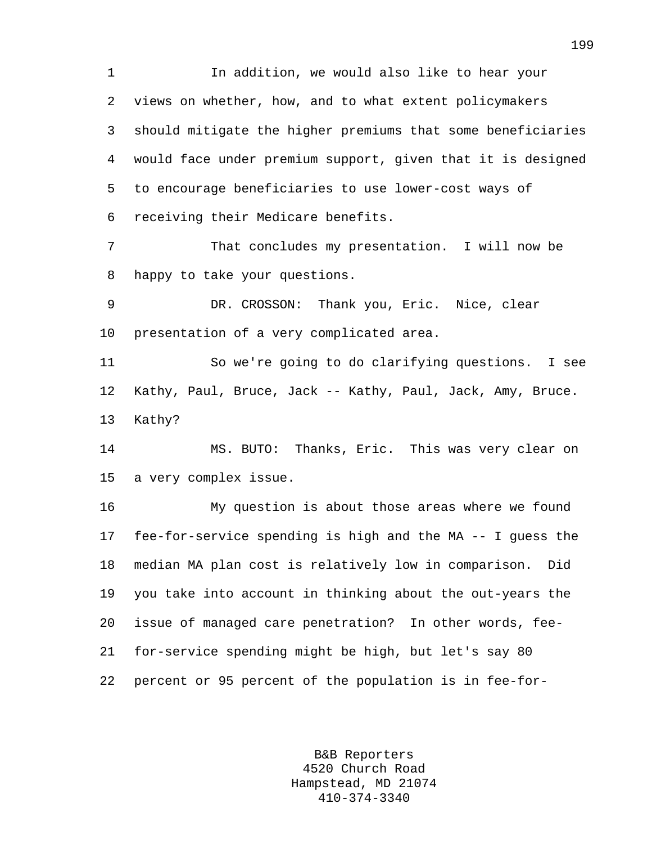1 In addition, we would also like to hear your 2 views on whether, how, and to what extent policymakers 3 should mitigate the higher premiums that some beneficiaries 4 would face under premium support, given that it is designed 5 to encourage beneficiaries to use lower-cost ways of 6 receiving their Medicare benefits.

7 That concludes my presentation. I will now be 8 happy to take your questions.

9 DR. CROSSON: Thank you, Eric. Nice, clear 10 presentation of a very complicated area.

11 So we're going to do clarifying questions. I see 12 Kathy, Paul, Bruce, Jack -- Kathy, Paul, Jack, Amy, Bruce. 13 Kathy?

14 MS. BUTO: Thanks, Eric. This was very clear on 15 a very complex issue.

16 My question is about those areas where we found 17 fee-for-service spending is high and the MA -- I guess the 18 median MA plan cost is relatively low in comparison. Did 19 you take into account in thinking about the out-years the 20 issue of managed care penetration? In other words, fee-21 for-service spending might be high, but let's say 80 22 percent or 95 percent of the population is in fee-for-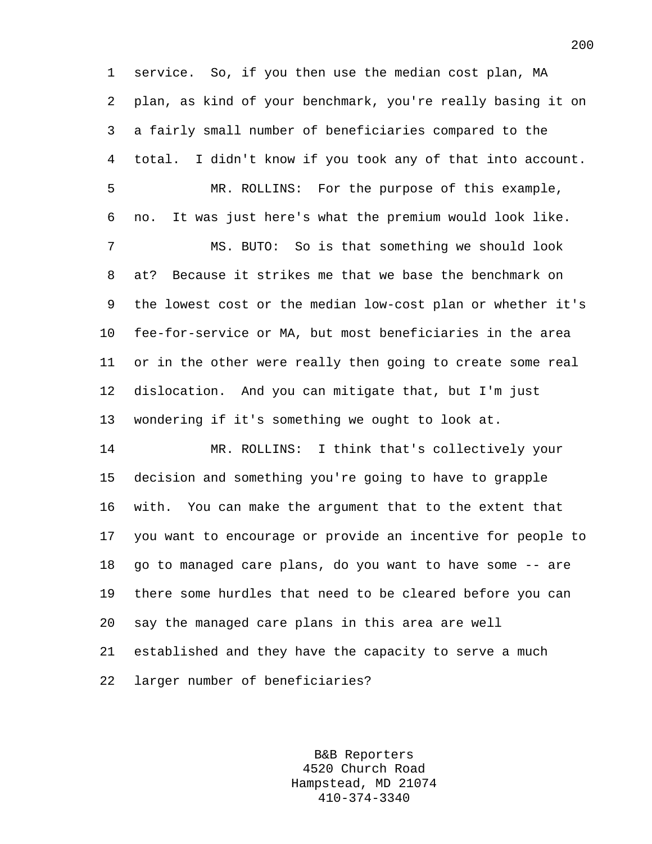1 service. So, if you then use the median cost plan, MA 2 plan, as kind of your benchmark, you're really basing it on 3 a fairly small number of beneficiaries compared to the 4 total. I didn't know if you took any of that into account. 5 MR. ROLLINS: For the purpose of this example, 6 no. It was just here's what the premium would look like. 7 MS. BUTO: So is that something we should look 8 at? Because it strikes me that we base the benchmark on 9 the lowest cost or the median low-cost plan or whether it's 10 fee-for-service or MA, but most beneficiaries in the area 11 or in the other were really then going to create some real 12 dislocation. And you can mitigate that, but I'm just 13 wondering if it's something we ought to look at. 14 MR. ROLLINS: I think that's collectively your 15 decision and something you're going to have to grapple 16 with. You can make the argument that to the extent that 17 you want to encourage or provide an incentive for people to 18 go to managed care plans, do you want to have some -- are 19 there some hurdles that need to be cleared before you can 20 say the managed care plans in this area are well 21 established and they have the capacity to serve a much 22 larger number of beneficiaries?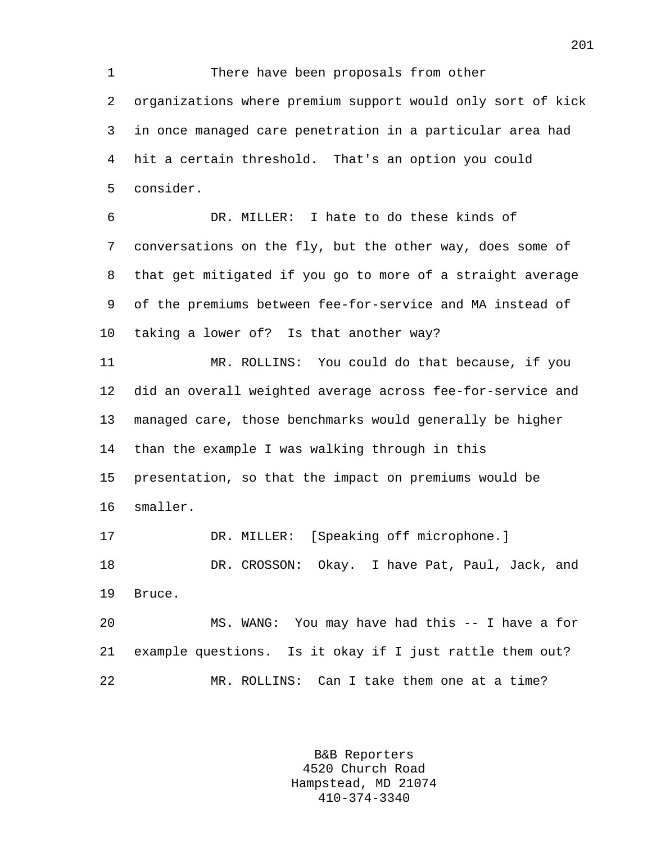1 There have been proposals from other 2 organizations where premium support would only sort of kick 3 in once managed care penetration in a particular area had 4 hit a certain threshold. That's an option you could 5 consider.

6 DR. MILLER: I hate to do these kinds of 7 conversations on the fly, but the other way, does some of 8 that get mitigated if you go to more of a straight average 9 of the premiums between fee-for-service and MA instead of 10 taking a lower of? Is that another way?

11 MR. ROLLINS: You could do that because, if you 12 did an overall weighted average across fee-for-service and 13 managed care, those benchmarks would generally be higher 14 than the example I was walking through in this 15 presentation, so that the impact on premiums would be 16 smaller.

17 DR. MILLER: [Speaking off microphone.] 18 DR. CROSSON: Okay. I have Pat, Paul, Jack, and 19 Bruce.

20 MS. WANG: You may have had this -- I have a for 21 example questions. Is it okay if I just rattle them out? 22 MR. ROLLINS: Can I take them one at a time?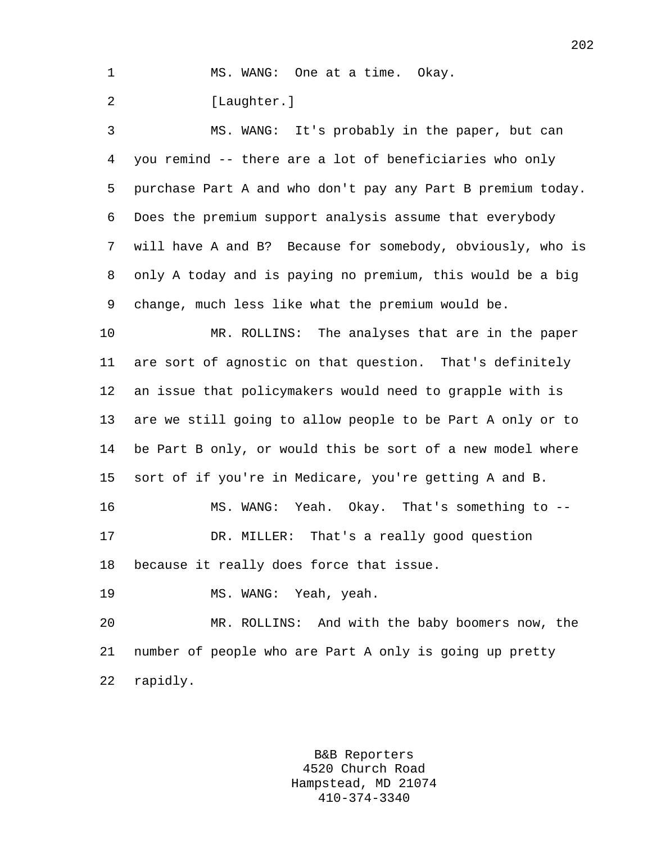|  |  | MS. WANG: One at a time. Okay. |  |  |  |
|--|--|--------------------------------|--|--|--|
|--|--|--------------------------------|--|--|--|

2 [Laughter.]

3 MS. WANG: It's probably in the paper, but can 4 you remind -- there are a lot of beneficiaries who only 5 purchase Part A and who don't pay any Part B premium today. 6 Does the premium support analysis assume that everybody 7 will have A and B? Because for somebody, obviously, who is 8 only A today and is paying no premium, this would be a big 9 change, much less like what the premium would be.

10 MR. ROLLINS: The analyses that are in the paper 11 are sort of agnostic on that question. That's definitely 12 an issue that policymakers would need to grapple with is 13 are we still going to allow people to be Part A only or to 14 be Part B only, or would this be sort of a new model where 15 sort of if you're in Medicare, you're getting A and B. 16 MS. WANG: Yeah. Okay. That's something to -- 17 DR. MILLER: That's a really good question

18 because it really does force that issue.

19 MS. WANG: Yeah, yeah.

20 MR. ROLLINS: And with the baby boomers now, the 21 number of people who are Part A only is going up pretty 22 rapidly.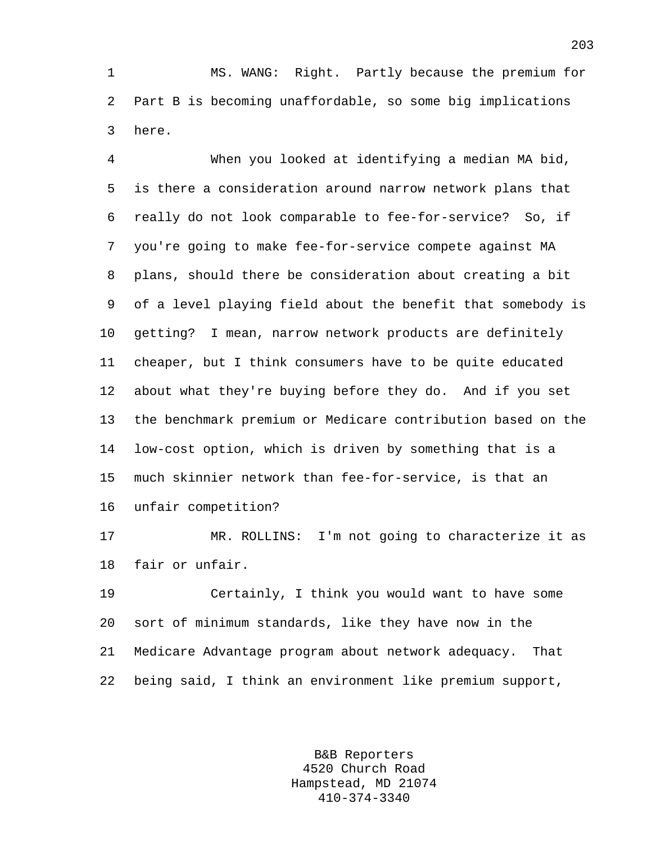1 MS. WANG: Right. Partly because the premium for 2 Part B is becoming unaffordable, so some big implications 3 here.

4 When you looked at identifying a median MA bid, 5 is there a consideration around narrow network plans that 6 really do not look comparable to fee-for-service? So, if 7 you're going to make fee-for-service compete against MA 8 plans, should there be consideration about creating a bit 9 of a level playing field about the benefit that somebody is 10 getting? I mean, narrow network products are definitely 11 cheaper, but I think consumers have to be quite educated 12 about what they're buying before they do. And if you set 13 the benchmark premium or Medicare contribution based on the 14 low-cost option, which is driven by something that is a 15 much skinnier network than fee-for-service, is that an 16 unfair competition?

17 MR. ROLLINS: I'm not going to characterize it as 18 fair or unfair.

19 Certainly, I think you would want to have some 20 sort of minimum standards, like they have now in the 21 Medicare Advantage program about network adequacy. That 22 being said, I think an environment like premium support,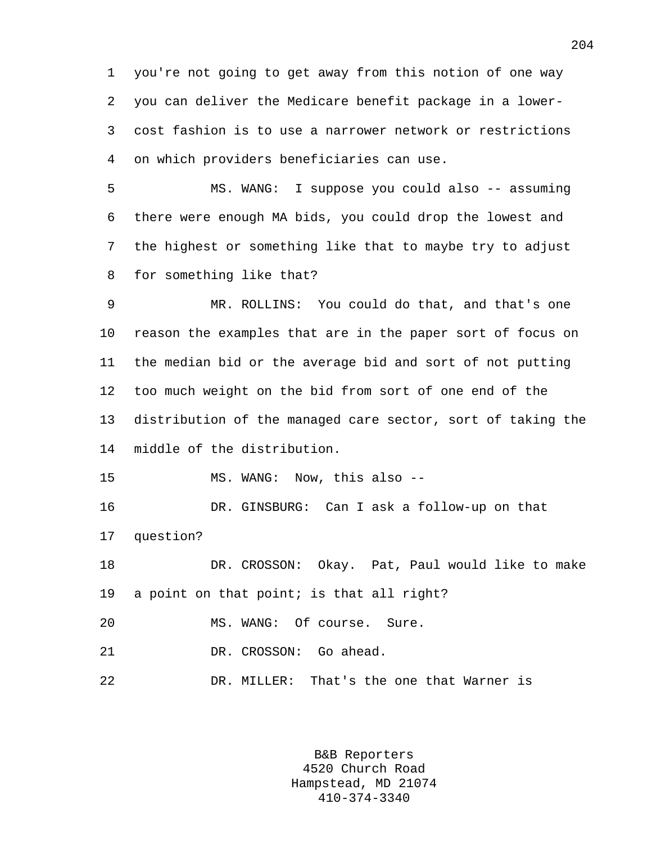1 you're not going to get away from this notion of one way 2 you can deliver the Medicare benefit package in a lower-3 cost fashion is to use a narrower network or restrictions 4 on which providers beneficiaries can use.

5 MS. WANG: I suppose you could also -- assuming 6 there were enough MA bids, you could drop the lowest and 7 the highest or something like that to maybe try to adjust 8 for something like that?

9 MR. ROLLINS: You could do that, and that's one 10 reason the examples that are in the paper sort of focus on 11 the median bid or the average bid and sort of not putting 12 too much weight on the bid from sort of one end of the 13 distribution of the managed care sector, sort of taking the 14 middle of the distribution.

15 MS. WANG: Now, this also --

16 DR. GINSBURG: Can I ask a follow-up on that 17 question?

18 DR. CROSSON: Okay. Pat, Paul would like to make 19 a point on that point; is that all right?

20 MS. WANG: Of course. Sure.

21 DR. CROSSON: Go ahead.

22 DR. MILLER: That's the one that Warner is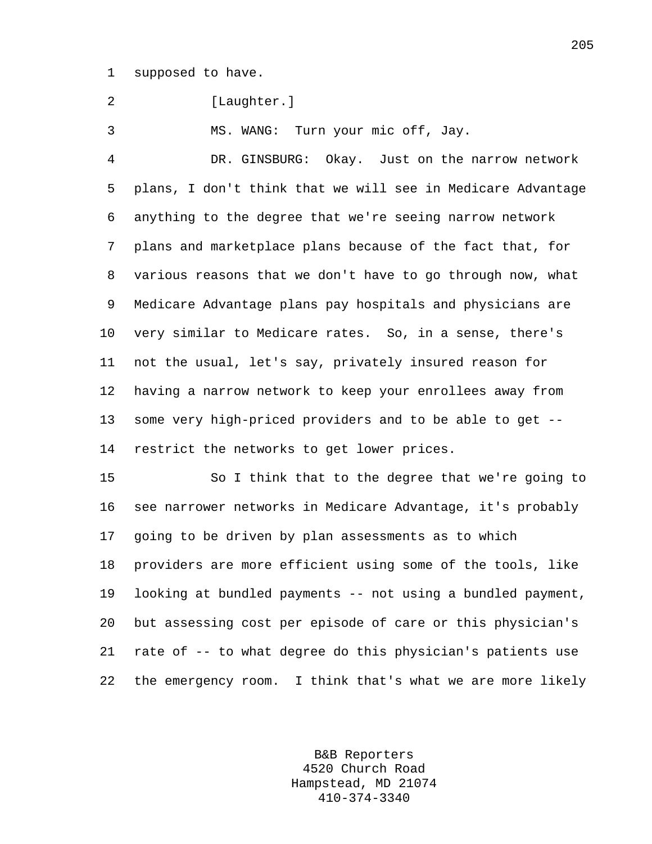1 supposed to have.

2 [Laughter.]

3 MS. WANG: Turn your mic off, Jay.

4 DR. GINSBURG: Okay. Just on the narrow network 5 plans, I don't think that we will see in Medicare Advantage 6 anything to the degree that we're seeing narrow network 7 plans and marketplace plans because of the fact that, for 8 various reasons that we don't have to go through now, what 9 Medicare Advantage plans pay hospitals and physicians are 10 very similar to Medicare rates. So, in a sense, there's 11 not the usual, let's say, privately insured reason for 12 having a narrow network to keep your enrollees away from 13 some very high-priced providers and to be able to get -- 14 restrict the networks to get lower prices.

15 So I think that to the degree that we're going to 16 see narrower networks in Medicare Advantage, it's probably 17 going to be driven by plan assessments as to which 18 providers are more efficient using some of the tools, like 19 looking at bundled payments -- not using a bundled payment, 20 but assessing cost per episode of care or this physician's 21 rate of -- to what degree do this physician's patients use 22 the emergency room. I think that's what we are more likely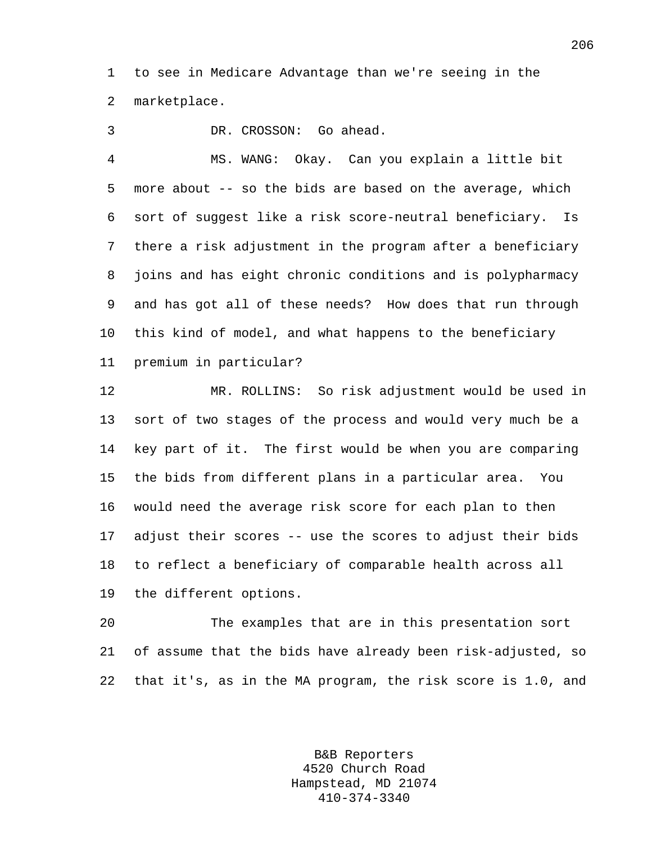1 to see in Medicare Advantage than we're seeing in the 2 marketplace.

3 DR. CROSSON: Go ahead.

4 MS. WANG: Okay. Can you explain a little bit 5 more about -- so the bids are based on the average, which 6 sort of suggest like a risk score-neutral beneficiary. Is 7 there a risk adjustment in the program after a beneficiary 8 joins and has eight chronic conditions and is polypharmacy 9 and has got all of these needs? How does that run through 10 this kind of model, and what happens to the beneficiary 11 premium in particular?

12 MR. ROLLINS: So risk adjustment would be used in 13 sort of two stages of the process and would very much be a 14 key part of it. The first would be when you are comparing 15 the bids from different plans in a particular area. You 16 would need the average risk score for each plan to then 17 adjust their scores -- use the scores to adjust their bids 18 to reflect a beneficiary of comparable health across all 19 the different options.

20 The examples that are in this presentation sort 21 of assume that the bids have already been risk-adjusted, so 22 that it's, as in the MA program, the risk score is 1.0, and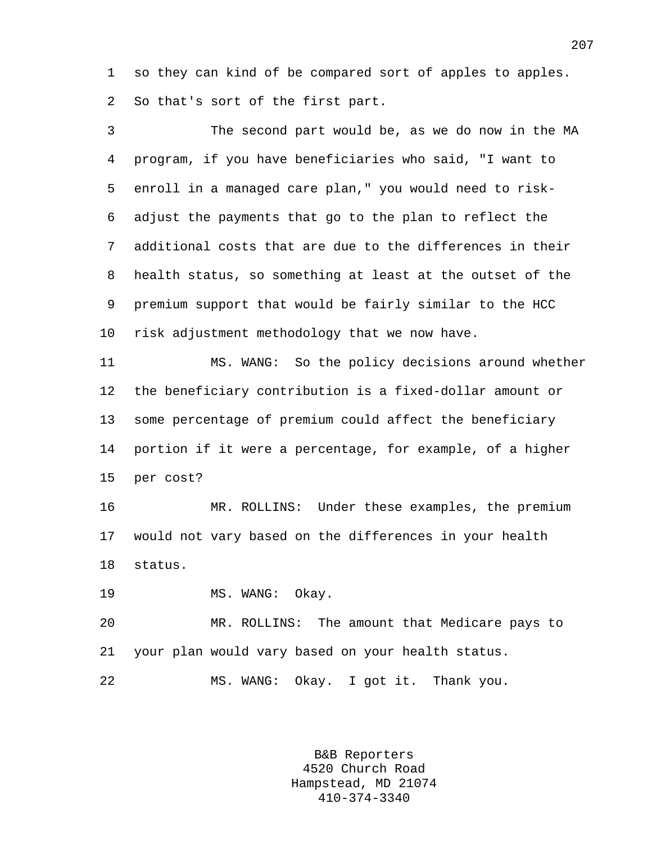1 so they can kind of be compared sort of apples to apples. 2 So that's sort of the first part.

3 The second part would be, as we do now in the MA 4 program, if you have beneficiaries who said, "I want to 5 enroll in a managed care plan," you would need to risk-6 adjust the payments that go to the plan to reflect the 7 additional costs that are due to the differences in their 8 health status, so something at least at the outset of the 9 premium support that would be fairly similar to the HCC 10 risk adjustment methodology that we now have. 11 MS. WANG: So the policy decisions around whether 12 the beneficiary contribution is a fixed-dollar amount or 13 some percentage of premium could affect the beneficiary 14 portion if it were a percentage, for example, of a higher 15 per cost?

16 MR. ROLLINS: Under these examples, the premium 17 would not vary based on the differences in your health 18 status.

19 MS. WANG: Okay.

20 MR. ROLLINS: The amount that Medicare pays to 21 your plan would vary based on your health status.

22 MS. WANG: Okay. I got it. Thank you.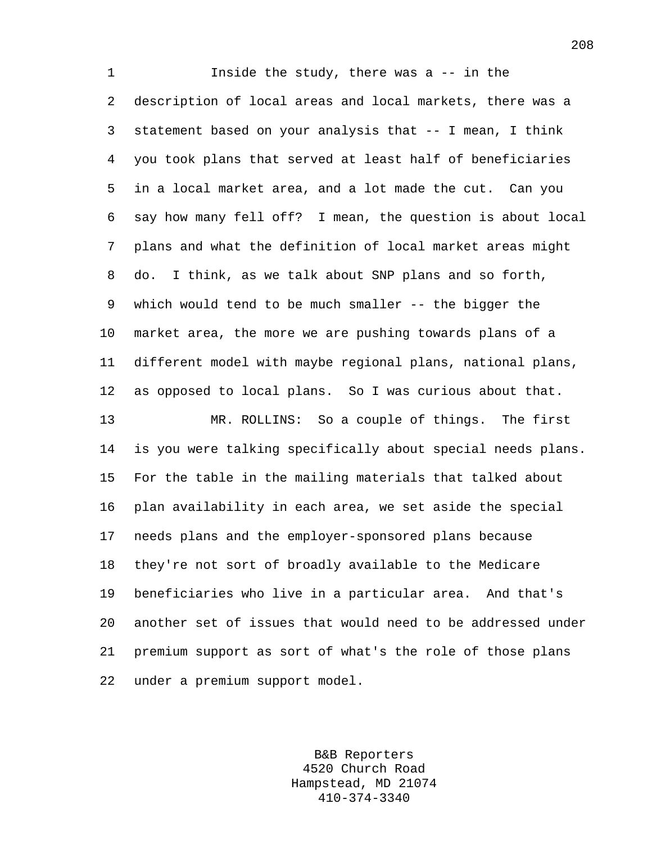1 Inside the study, there was a -- in the 2 description of local areas and local markets, there was a 3 statement based on your analysis that -- I mean, I think 4 you took plans that served at least half of beneficiaries 5 in a local market area, and a lot made the cut. Can you 6 say how many fell off? I mean, the question is about local 7 plans and what the definition of local market areas might 8 do. I think, as we talk about SNP plans and so forth, 9 which would tend to be much smaller -- the bigger the 10 market area, the more we are pushing towards plans of a 11 different model with maybe regional plans, national plans, 12 as opposed to local plans. So I was curious about that. 13 MR. ROLLINS: So a couple of things. The first 14 is you were talking specifically about special needs plans. 15 For the table in the mailing materials that talked about 16 plan availability in each area, we set aside the special 17 needs plans and the employer-sponsored plans because 18 they're not sort of broadly available to the Medicare 19 beneficiaries who live in a particular area. And that's 20 another set of issues that would need to be addressed under 21 premium support as sort of what's the role of those plans 22 under a premium support model.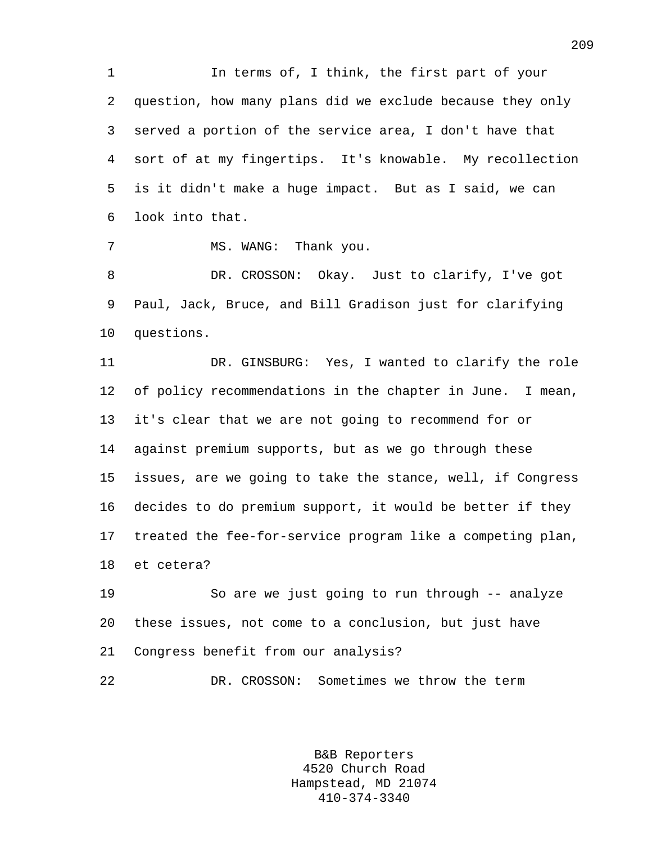1 In terms of, I think, the first part of your 2 question, how many plans did we exclude because they only 3 served a portion of the service area, I don't have that 4 sort of at my fingertips. It's knowable. My recollection 5 is it didn't make a huge impact. But as I said, we can 6 look into that.

7 MS. WANG: Thank you.

8 DR. CROSSON: Okay. Just to clarify, I've got 9 Paul, Jack, Bruce, and Bill Gradison just for clarifying 10 questions.

11 DR. GINSBURG: Yes, I wanted to clarify the role 12 of policy recommendations in the chapter in June. I mean, 13 it's clear that we are not going to recommend for or 14 against premium supports, but as we go through these 15 issues, are we going to take the stance, well, if Congress 16 decides to do premium support, it would be better if they 17 treated the fee-for-service program like a competing plan, 18 et cetera?

19 So are we just going to run through -- analyze 20 these issues, not come to a conclusion, but just have 21 Congress benefit from our analysis?

22 DR. CROSSON: Sometimes we throw the term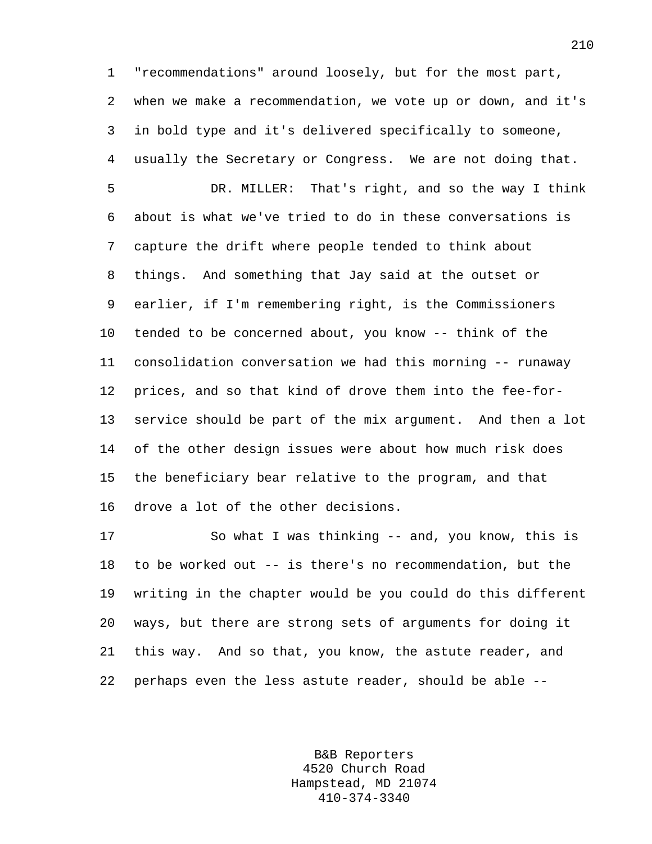1 "recommendations" around loosely, but for the most part, 2 when we make a recommendation, we vote up or down, and it's 3 in bold type and it's delivered specifically to someone, 4 usually the Secretary or Congress. We are not doing that.

5 DR. MILLER: That's right, and so the way I think 6 about is what we've tried to do in these conversations is 7 capture the drift where people tended to think about 8 things. And something that Jay said at the outset or 9 earlier, if I'm remembering right, is the Commissioners 10 tended to be concerned about, you know -- think of the 11 consolidation conversation we had this morning -- runaway 12 prices, and so that kind of drove them into the fee-for-13 service should be part of the mix argument. And then a lot 14 of the other design issues were about how much risk does 15 the beneficiary bear relative to the program, and that 16 drove a lot of the other decisions.

17 So what I was thinking -- and, you know, this is 18 to be worked out -- is there's no recommendation, but the 19 writing in the chapter would be you could do this different 20 ways, but there are strong sets of arguments for doing it 21 this way. And so that, you know, the astute reader, and 22 perhaps even the less astute reader, should be able --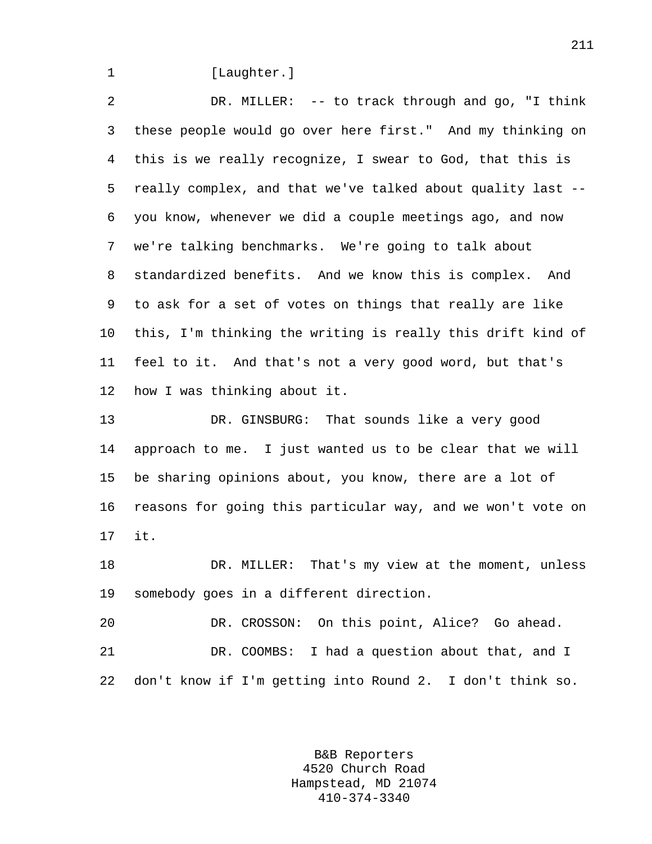1 [Laughter.]

2 DR. MILLER: -- to track through and go, "I think 3 these people would go over here first." And my thinking on 4 this is we really recognize, I swear to God, that this is 5 really complex, and that we've talked about quality last -- 6 you know, whenever we did a couple meetings ago, and now 7 we're talking benchmarks. We're going to talk about 8 standardized benefits. And we know this is complex. And 9 to ask for a set of votes on things that really are like 10 this, I'm thinking the writing is really this drift kind of 11 feel to it. And that's not a very good word, but that's 12 how I was thinking about it.

13 DR. GINSBURG: That sounds like a very good 14 approach to me. I just wanted us to be clear that we will 15 be sharing opinions about, you know, there are a lot of 16 reasons for going this particular way, and we won't vote on 17 it.

18 DR. MILLER: That's my view at the moment, unless 19 somebody goes in a different direction.

20 DR. CROSSON: On this point, Alice? Go ahead. 21 DR. COOMBS: I had a question about that, and I 22 don't know if I'm getting into Round 2. I don't think so.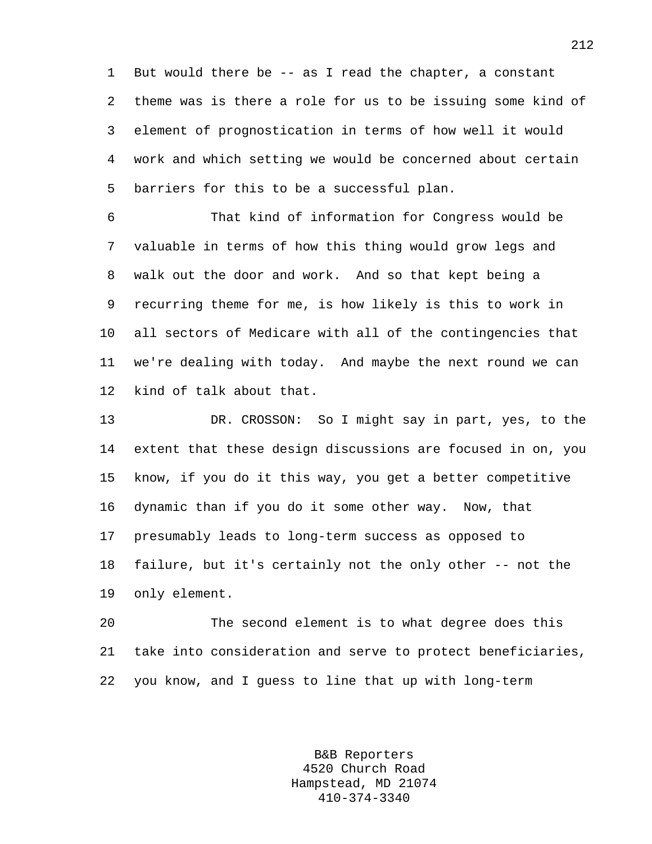1 But would there be -- as I read the chapter, a constant 2 theme was is there a role for us to be issuing some kind of 3 element of prognostication in terms of how well it would 4 work and which setting we would be concerned about certain 5 barriers for this to be a successful plan.

6 That kind of information for Congress would be 7 valuable in terms of how this thing would grow legs and 8 walk out the door and work. And so that kept being a 9 recurring theme for me, is how likely is this to work in 10 all sectors of Medicare with all of the contingencies that 11 we're dealing with today. And maybe the next round we can 12 kind of talk about that.

13 DR. CROSSON: So I might say in part, yes, to the 14 extent that these design discussions are focused in on, you 15 know, if you do it this way, you get a better competitive 16 dynamic than if you do it some other way. Now, that 17 presumably leads to long-term success as opposed to 18 failure, but it's certainly not the only other -- not the 19 only element.

20 The second element is to what degree does this 21 take into consideration and serve to protect beneficiaries, 22 you know, and I guess to line that up with long-term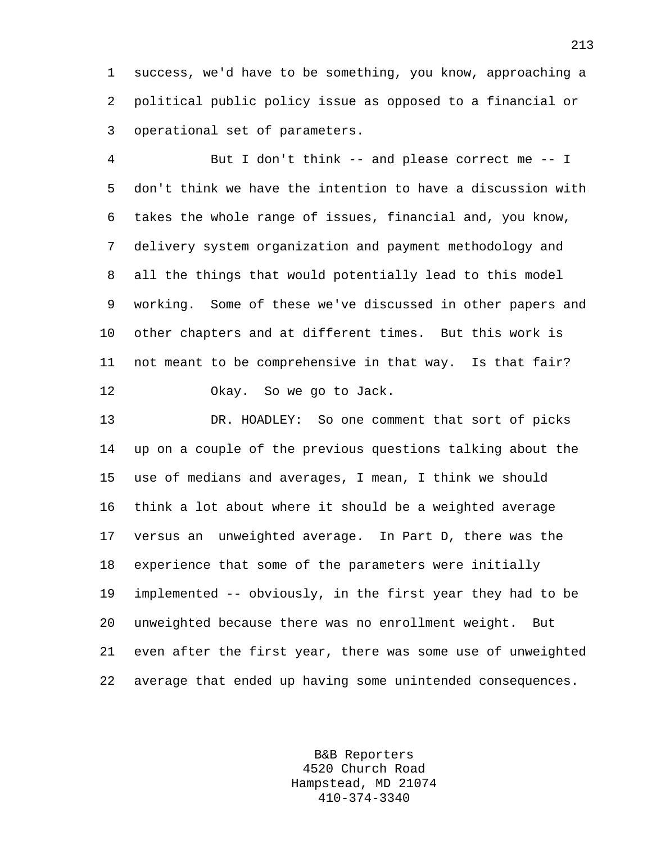1 success, we'd have to be something, you know, approaching a 2 political public policy issue as opposed to a financial or 3 operational set of parameters.

4 But I don't think -- and please correct me -- I 5 don't think we have the intention to have a discussion with 6 takes the whole range of issues, financial and, you know, 7 delivery system organization and payment methodology and 8 all the things that would potentially lead to this model 9 working. Some of these we've discussed in other papers and 10 other chapters and at different times. But this work is 11 not meant to be comprehensive in that way. Is that fair? 12 Okay. So we go to Jack.

13 DR. HOADLEY: So one comment that sort of picks 14 up on a couple of the previous questions talking about the 15 use of medians and averages, I mean, I think we should 16 think a lot about where it should be a weighted average 17 versus an unweighted average. In Part D, there was the 18 experience that some of the parameters were initially 19 implemented -- obviously, in the first year they had to be 20 unweighted because there was no enrollment weight. But 21 even after the first year, there was some use of unweighted 22 average that ended up having some unintended consequences.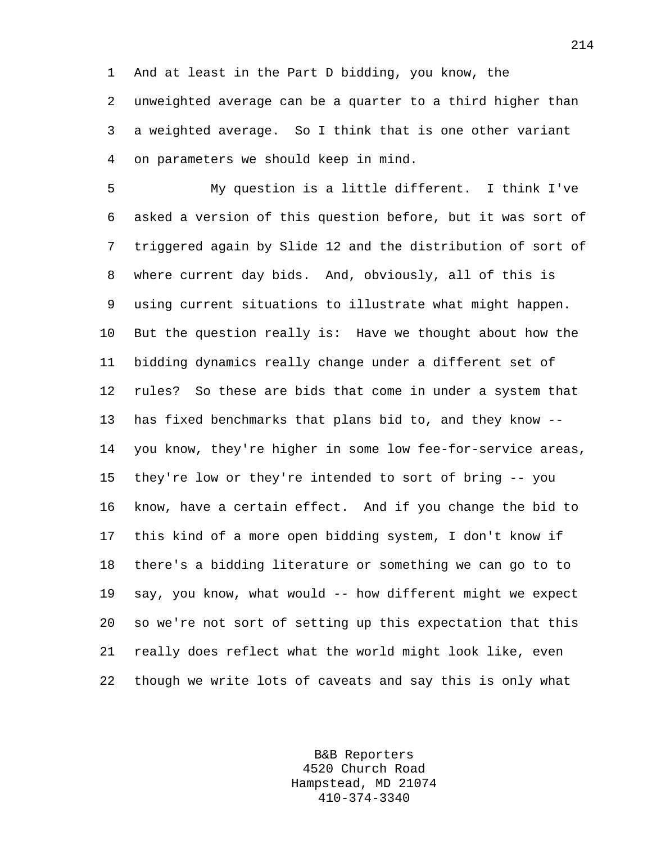1 And at least in the Part D bidding, you know, the 2 unweighted average can be a quarter to a third higher than 3 a weighted average. So I think that is one other variant 4 on parameters we should keep in mind.

5 My question is a little different. I think I've 6 asked a version of this question before, but it was sort of 7 triggered again by Slide 12 and the distribution of sort of 8 where current day bids. And, obviously, all of this is 9 using current situations to illustrate what might happen. 10 But the question really is: Have we thought about how the 11 bidding dynamics really change under a different set of 12 rules? So these are bids that come in under a system that 13 has fixed benchmarks that plans bid to, and they know -- 14 you know, they're higher in some low fee-for-service areas, 15 they're low or they're intended to sort of bring -- you 16 know, have a certain effect. And if you change the bid to 17 this kind of a more open bidding system, I don't know if 18 there's a bidding literature or something we can go to to 19 say, you know, what would -- how different might we expect 20 so we're not sort of setting up this expectation that this 21 really does reflect what the world might look like, even 22 though we write lots of caveats and say this is only what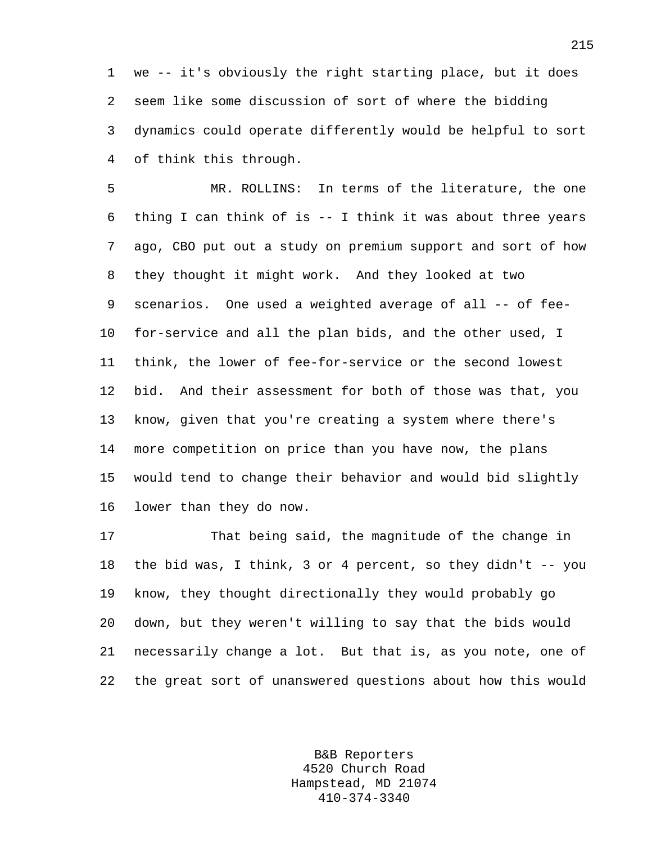1 we -- it's obviously the right starting place, but it does 2 seem like some discussion of sort of where the bidding 3 dynamics could operate differently would be helpful to sort 4 of think this through.

5 MR. ROLLINS: In terms of the literature, the one 6 thing I can think of is -- I think it was about three years 7 ago, CBO put out a study on premium support and sort of how 8 they thought it might work. And they looked at two 9 scenarios. One used a weighted average of all -- of fee-10 for-service and all the plan bids, and the other used, I 11 think, the lower of fee-for-service or the second lowest 12 bid. And their assessment for both of those was that, you 13 know, given that you're creating a system where there's 14 more competition on price than you have now, the plans 15 would tend to change their behavior and would bid slightly 16 lower than they do now.

17 That being said, the magnitude of the change in 18 the bid was, I think, 3 or 4 percent, so they didn't -- you 19 know, they thought directionally they would probably go 20 down, but they weren't willing to say that the bids would 21 necessarily change a lot. But that is, as you note, one of 22 the great sort of unanswered questions about how this would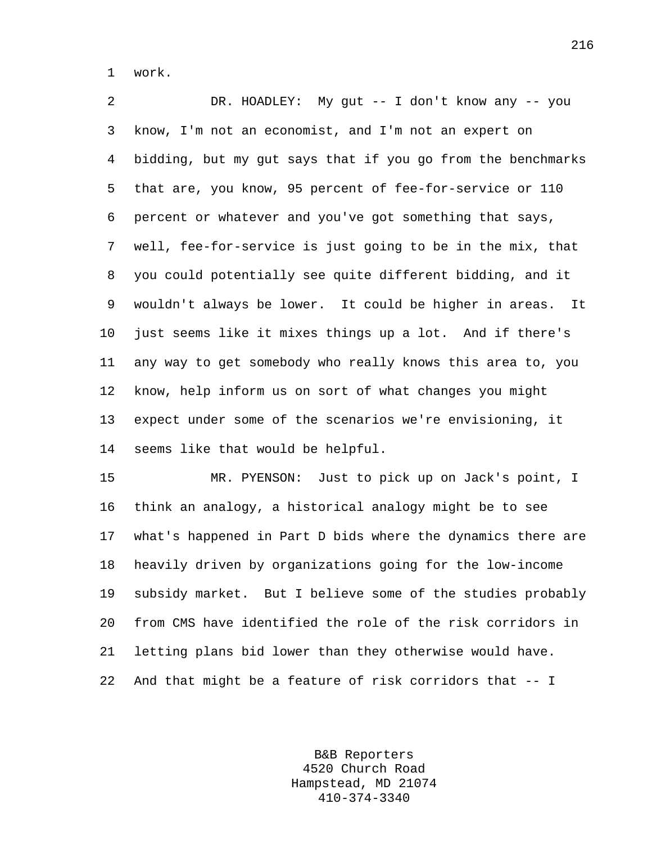1 work.

2 DR. HOADLEY: My gut -- I don't know any -- you 3 know, I'm not an economist, and I'm not an expert on 4 bidding, but my gut says that if you go from the benchmarks 5 that are, you know, 95 percent of fee-for-service or 110 6 percent or whatever and you've got something that says, 7 well, fee-for-service is just going to be in the mix, that 8 you could potentially see quite different bidding, and it 9 wouldn't always be lower. It could be higher in areas. It 10 just seems like it mixes things up a lot. And if there's 11 any way to get somebody who really knows this area to, you 12 know, help inform us on sort of what changes you might 13 expect under some of the scenarios we're envisioning, it 14 seems like that would be helpful.

15 MR. PYENSON: Just to pick up on Jack's point, I 16 think an analogy, a historical analogy might be to see 17 what's happened in Part D bids where the dynamics there are 18 heavily driven by organizations going for the low-income 19 subsidy market. But I believe some of the studies probably 20 from CMS have identified the role of the risk corridors in 21 letting plans bid lower than they otherwise would have. 22 And that might be a feature of risk corridors that -- I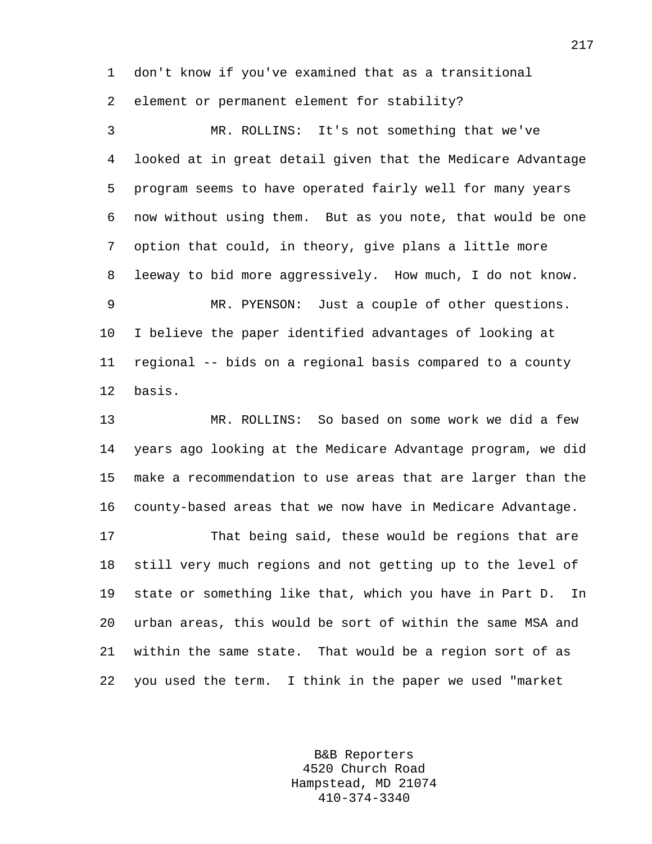1 don't know if you've examined that as a transitional 2 element or permanent element for stability?

3 MR. ROLLINS: It's not something that we've 4 looked at in great detail given that the Medicare Advantage 5 program seems to have operated fairly well for many years 6 now without using them. But as you note, that would be one 7 option that could, in theory, give plans a little more 8 leeway to bid more aggressively. How much, I do not know. 9 MR. PYENSON: Just a couple of other questions. 10 I believe the paper identified advantages of looking at 11 regional -- bids on a regional basis compared to a county 12 basis. 13 MR. ROLLINS: So based on some work we did a few 14 years ago looking at the Medicare Advantage program, we did

15 make a recommendation to use areas that are larger than the 16 county-based areas that we now have in Medicare Advantage.

17 That being said, these would be regions that are 18 still very much regions and not getting up to the level of 19 state or something like that, which you have in Part D. In 20 urban areas, this would be sort of within the same MSA and 21 within the same state. That would be a region sort of as 22 you used the term. I think in the paper we used "market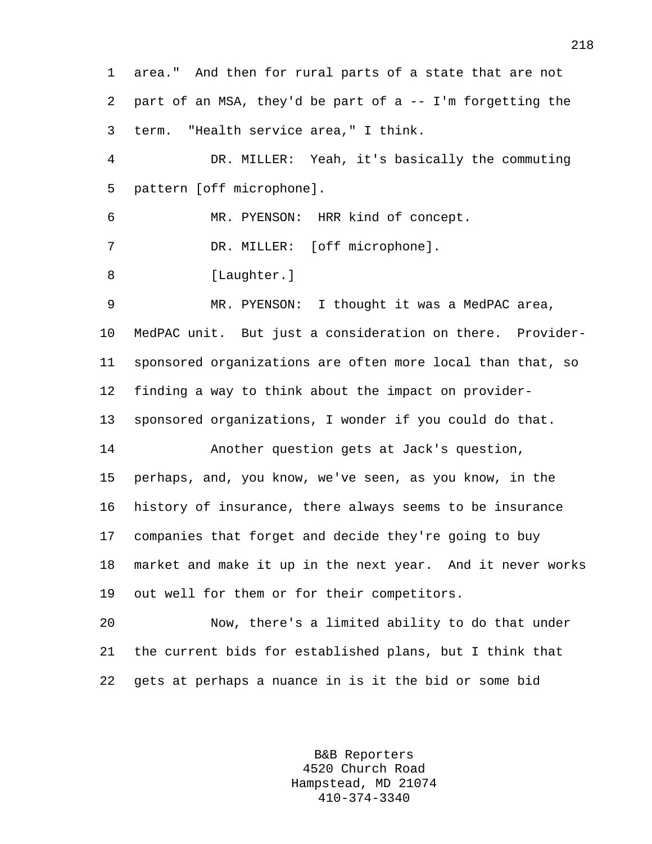1 area." And then for rural parts of a state that are not 2 part of an MSA, they'd be part of a -- I'm forgetting the 3 term. "Health service area," I think. 4 DR. MILLER: Yeah, it's basically the commuting 5 pattern [off microphone]. 6 MR. PYENSON: HRR kind of concept. 7 DR. MILLER: [off microphone]. 8 [Laughter.] 9 MR. PYENSON: I thought it was a MedPAC area, 10 MedPAC unit. But just a consideration on there. Provider-11 sponsored organizations are often more local than that, so 12 finding a way to think about the impact on provider-13 sponsored organizations, I wonder if you could do that. 14 Another question gets at Jack's question, 15 perhaps, and, you know, we've seen, as you know, in the 16 history of insurance, there always seems to be insurance 17 companies that forget and decide they're going to buy 18 market and make it up in the next year. And it never works 19 out well for them or for their competitors. 20 Now, there's a limited ability to do that under 21 the current bids for established plans, but I think that

> B&B Reporters 4520 Church Road Hampstead, MD 21074 410-374-3340

22 gets at perhaps a nuance in is it the bid or some bid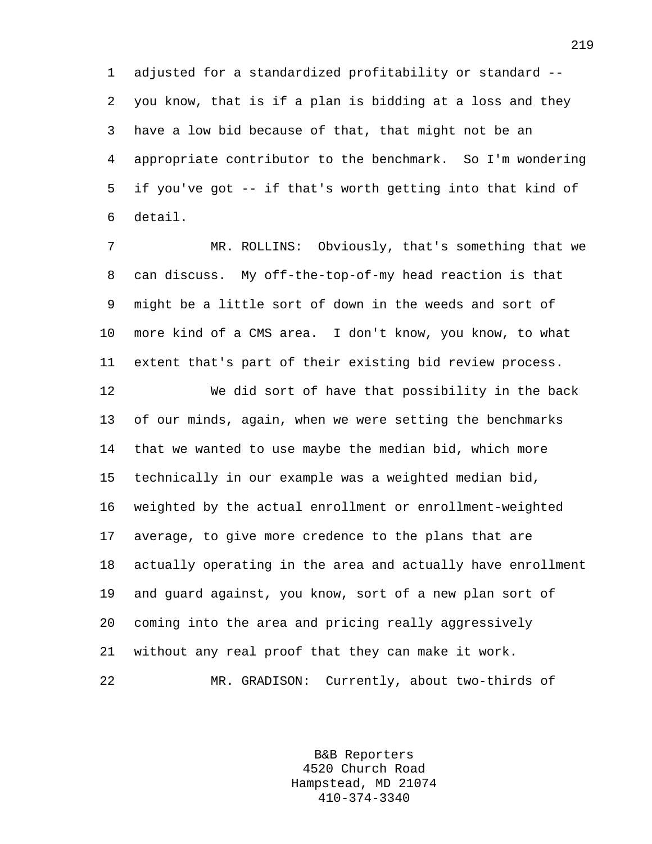1 adjusted for a standardized profitability or standard -- 2 you know, that is if a plan is bidding at a loss and they 3 have a low bid because of that, that might not be an 4 appropriate contributor to the benchmark. So I'm wondering 5 if you've got -- if that's worth getting into that kind of 6 detail.

7 MR. ROLLINS: Obviously, that's something that we 8 can discuss. My off-the-top-of-my head reaction is that 9 might be a little sort of down in the weeds and sort of 10 more kind of a CMS area. I don't know, you know, to what 11 extent that's part of their existing bid review process.

12 We did sort of have that possibility in the back 13 of our minds, again, when we were setting the benchmarks 14 that we wanted to use maybe the median bid, which more 15 technically in our example was a weighted median bid, 16 weighted by the actual enrollment or enrollment-weighted 17 average, to give more credence to the plans that are 18 actually operating in the area and actually have enrollment 19 and guard against, you know, sort of a new plan sort of 20 coming into the area and pricing really aggressively 21 without any real proof that they can make it work. 22 MR. GRADISON: Currently, about two-thirds of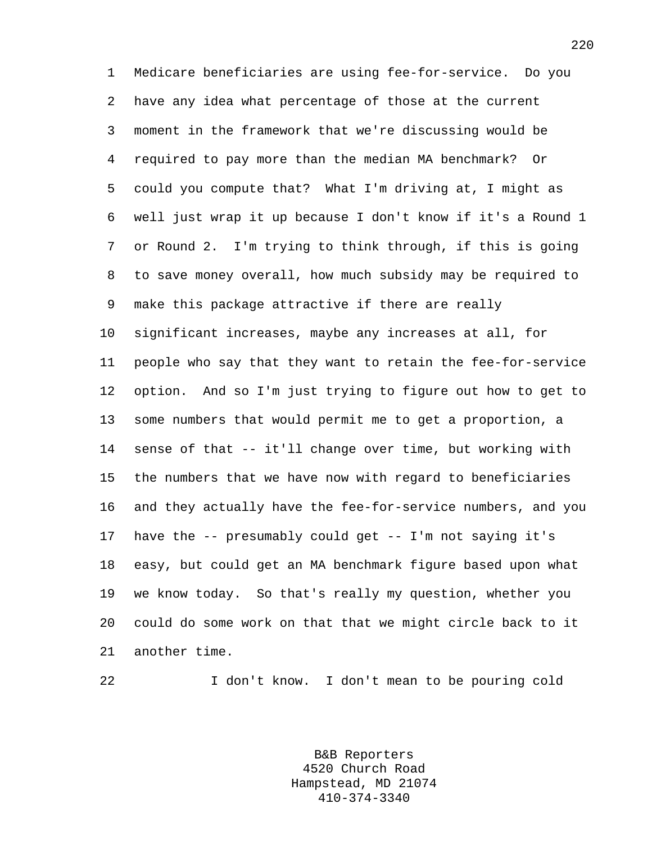1 Medicare beneficiaries are using fee-for-service. Do you 2 have any idea what percentage of those at the current 3 moment in the framework that we're discussing would be 4 required to pay more than the median MA benchmark? Or 5 could you compute that? What I'm driving at, I might as 6 well just wrap it up because I don't know if it's a Round 1 7 or Round 2. I'm trying to think through, if this is going 8 to save money overall, how much subsidy may be required to 9 make this package attractive if there are really 10 significant increases, maybe any increases at all, for 11 people who say that they want to retain the fee-for-service 12 option. And so I'm just trying to figure out how to get to 13 some numbers that would permit me to get a proportion, a 14 sense of that -- it'll change over time, but working with 15 the numbers that we have now with regard to beneficiaries 16 and they actually have the fee-for-service numbers, and you 17 have the -- presumably could get -- I'm not saying it's 18 easy, but could get an MA benchmark figure based upon what 19 we know today. So that's really my question, whether you 20 could do some work on that that we might circle back to it 21 another time.

22 I don't know. I don't mean to be pouring cold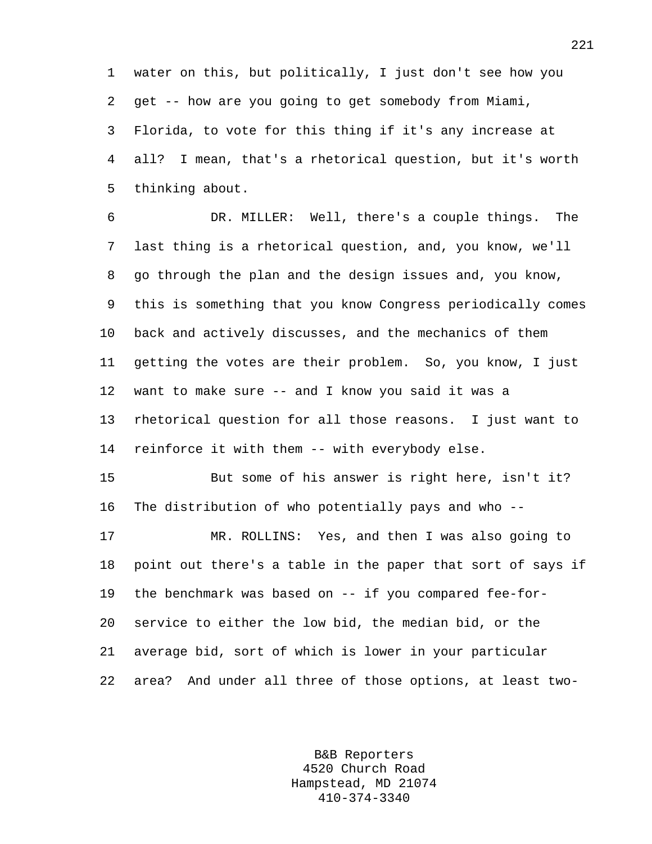1 water on this, but politically, I just don't see how you 2 get -- how are you going to get somebody from Miami, 3 Florida, to vote for this thing if it's any increase at 4 all? I mean, that's a rhetorical question, but it's worth 5 thinking about.

6 DR. MILLER: Well, there's a couple things. The 7 last thing is a rhetorical question, and, you know, we'll 8 go through the plan and the design issues and, you know, 9 this is something that you know Congress periodically comes 10 back and actively discusses, and the mechanics of them 11 getting the votes are their problem. So, you know, I just 12 want to make sure -- and I know you said it was a 13 rhetorical question for all those reasons. I just want to 14 reinforce it with them -- with everybody else.

15 But some of his answer is right here, isn't it? 16 The distribution of who potentially pays and who --

17 MR. ROLLINS: Yes, and then I was also going to 18 point out there's a table in the paper that sort of says if 19 the benchmark was based on -- if you compared fee-for-20 service to either the low bid, the median bid, or the 21 average bid, sort of which is lower in your particular 22 area? And under all three of those options, at least two-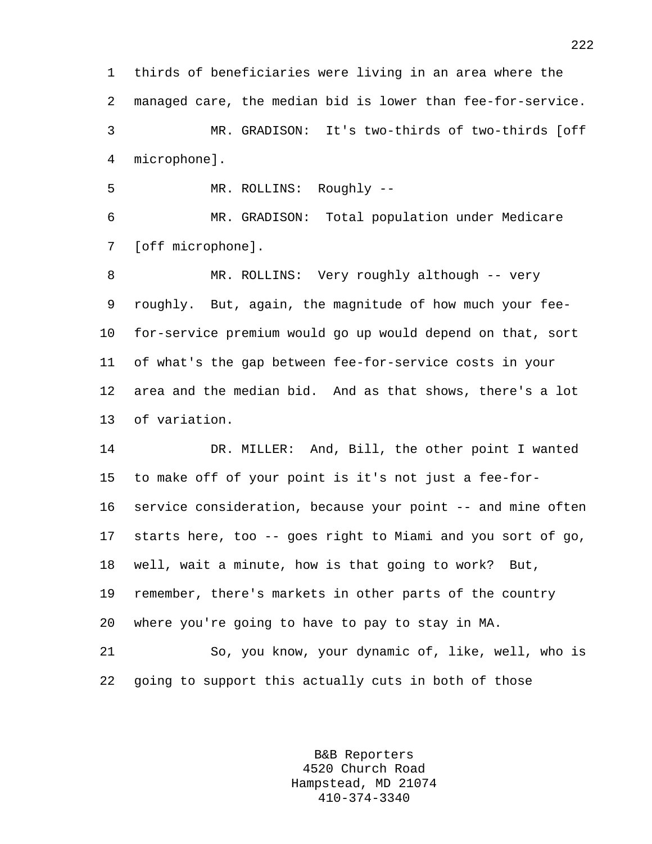1 thirds of beneficiaries were living in an area where the 2 managed care, the median bid is lower than fee-for-service. 3 MR. GRADISON: It's two-thirds of two-thirds [off 4 microphone].

5 MR. ROLLINS: Roughly --

6 MR. GRADISON: Total population under Medicare 7 [off microphone].

8 MR. ROLLINS: Very roughly although -- very 9 roughly. But, again, the magnitude of how much your fee-10 for-service premium would go up would depend on that, sort 11 of what's the gap between fee-for-service costs in your 12 area and the median bid. And as that shows, there's a lot 13 of variation.

14 DR. MILLER: And, Bill, the other point I wanted 15 to make off of your point is it's not just a fee-for-16 service consideration, because your point -- and mine often 17 starts here, too -- goes right to Miami and you sort of go, 18 well, wait a minute, how is that going to work? But, 19 remember, there's markets in other parts of the country 20 where you're going to have to pay to stay in MA.

21 So, you know, your dynamic of, like, well, who is 22 going to support this actually cuts in both of those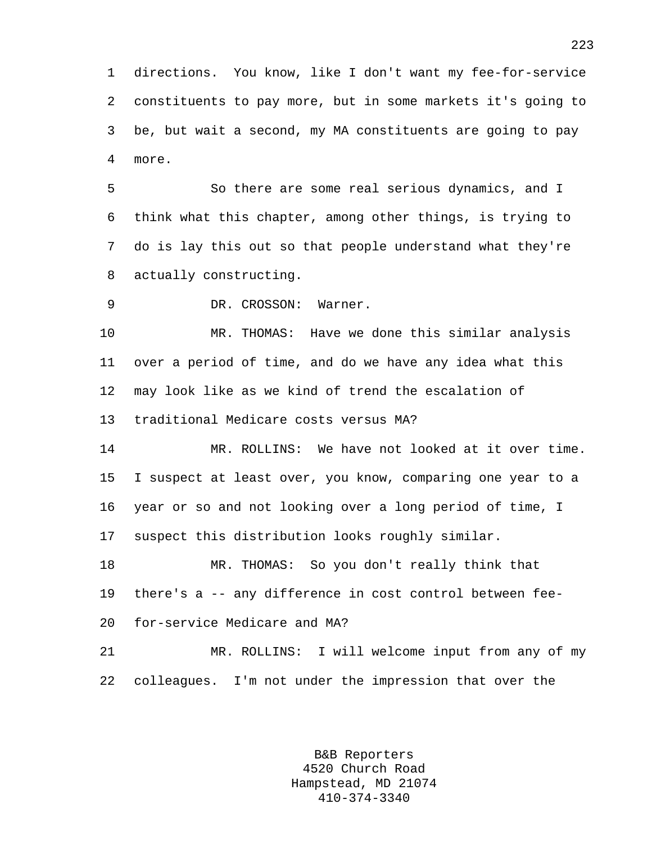1 directions. You know, like I don't want my fee-for-service 2 constituents to pay more, but in some markets it's going to 3 be, but wait a second, my MA constituents are going to pay 4 more.

5 So there are some real serious dynamics, and I 6 think what this chapter, among other things, is trying to 7 do is lay this out so that people understand what they're 8 actually constructing.

9 DR. CROSSON: Warner.

10 MR. THOMAS: Have we done this similar analysis 11 over a period of time, and do we have any idea what this 12 may look like as we kind of trend the escalation of 13 traditional Medicare costs versus MA?

14 MR. ROLLINS: We have not looked at it over time. 15 I suspect at least over, you know, comparing one year to a 16 year or so and not looking over a long period of time, I 17 suspect this distribution looks roughly similar.

18 MR. THOMAS: So you don't really think that 19 there's a -- any difference in cost control between fee-20 for-service Medicare and MA?

21 MR. ROLLINS: I will welcome input from any of my 22 colleagues. I'm not under the impression that over the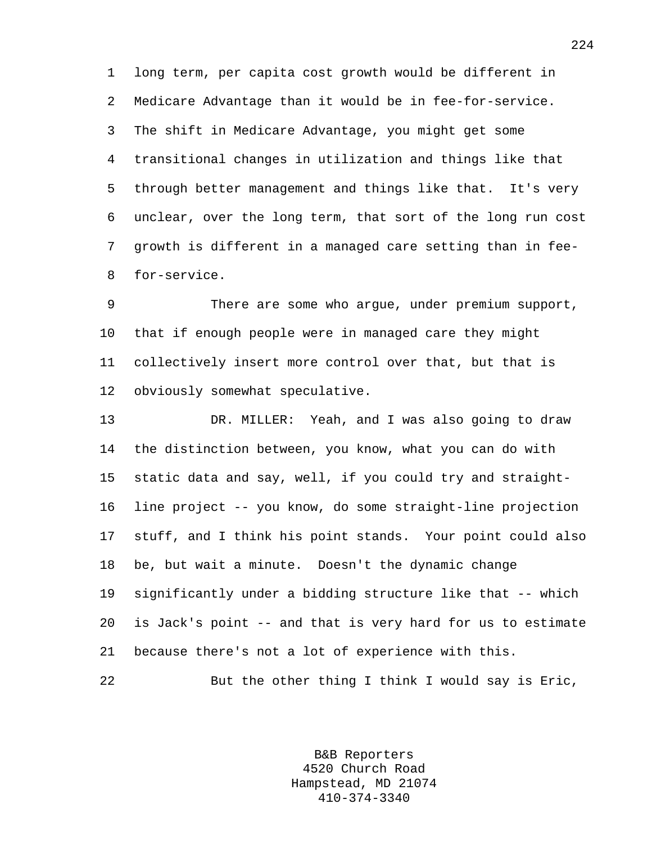1 long term, per capita cost growth would be different in 2 Medicare Advantage than it would be in fee-for-service. 3 The shift in Medicare Advantage, you might get some 4 transitional changes in utilization and things like that 5 through better management and things like that. It's very 6 unclear, over the long term, that sort of the long run cost 7 growth is different in a managed care setting than in fee-8 for-service.

9 There are some who argue, under premium support, 10 that if enough people were in managed care they might 11 collectively insert more control over that, but that is 12 obviously somewhat speculative.

13 DR. MILLER: Yeah, and I was also going to draw 14 the distinction between, you know, what you can do with 15 static data and say, well, if you could try and straight-16 line project -- you know, do some straight-line projection 17 stuff, and I think his point stands. Your point could also 18 be, but wait a minute. Doesn't the dynamic change 19 significantly under a bidding structure like that -- which 20 is Jack's point -- and that is very hard for us to estimate 21 because there's not a lot of experience with this. 22 But the other thing I think I would say is Eric,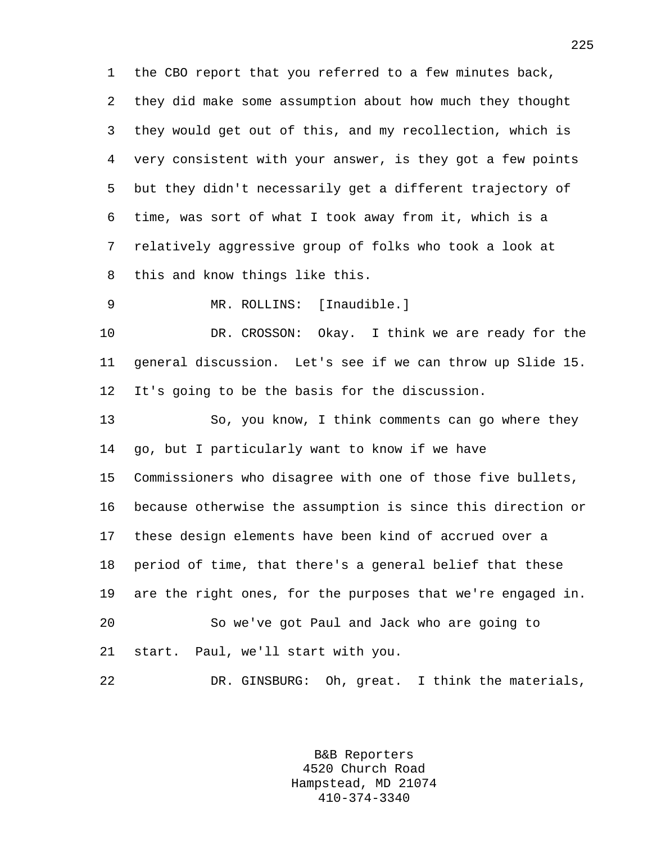1 the CBO report that you referred to a few minutes back, 2 they did make some assumption about how much they thought 3 they would get out of this, and my recollection, which is 4 very consistent with your answer, is they got a few points 5 but they didn't necessarily get a different trajectory of 6 time, was sort of what I took away from it, which is a 7 relatively aggressive group of folks who took a look at 8 this and know things like this.

9 MR. ROLLINS: [Inaudible.]

10 DR. CROSSON: Okay. I think we are ready for the 11 general discussion. Let's see if we can throw up Slide 15. 12 It's going to be the basis for the discussion.

13 So, you know, I think comments can go where they 14 go, but I particularly want to know if we have 15 Commissioners who disagree with one of those five bullets, 16 because otherwise the assumption is since this direction or 17 these design elements have been kind of accrued over a 18 period of time, that there's a general belief that these 19 are the right ones, for the purposes that we're engaged in. 20 So we've got Paul and Jack who are going to 21 start. Paul, we'll start with you.

22 DR. GINSBURG: Oh, great. I think the materials,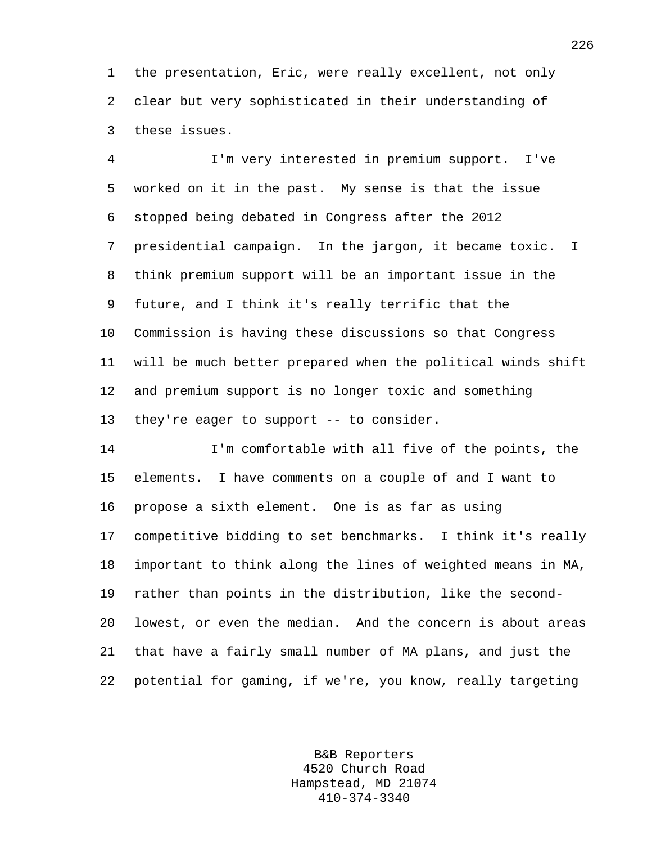1 the presentation, Eric, were really excellent, not only 2 clear but very sophisticated in their understanding of 3 these issues.

4 I'm very interested in premium support. I've 5 worked on it in the past. My sense is that the issue 6 stopped being debated in Congress after the 2012 7 presidential campaign. In the jargon, it became toxic. I 8 think premium support will be an important issue in the 9 future, and I think it's really terrific that the 10 Commission is having these discussions so that Congress 11 will be much better prepared when the political winds shift 12 and premium support is no longer toxic and something 13 they're eager to support -- to consider.

14 I'm comfortable with all five of the points, the 15 elements. I have comments on a couple of and I want to 16 propose a sixth element. One is as far as using 17 competitive bidding to set benchmarks. I think it's really 18 important to think along the lines of weighted means in MA, 19 rather than points in the distribution, like the second-20 lowest, or even the median. And the concern is about areas 21 that have a fairly small number of MA plans, and just the 22 potential for gaming, if we're, you know, really targeting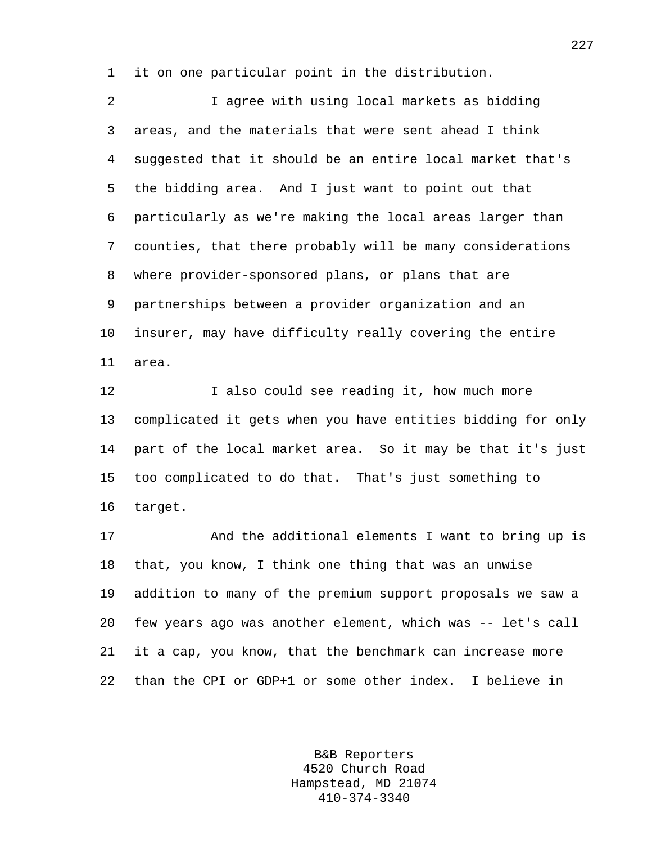1 it on one particular point in the distribution.

2 I agree with using local markets as bidding 3 areas, and the materials that were sent ahead I think 4 suggested that it should be an entire local market that's 5 the bidding area. And I just want to point out that 6 particularly as we're making the local areas larger than 7 counties, that there probably will be many considerations 8 where provider-sponsored plans, or plans that are 9 partnerships between a provider organization and an 10 insurer, may have difficulty really covering the entire 11 area.

12 I also could see reading it, how much more 13 complicated it gets when you have entities bidding for only 14 part of the local market area. So it may be that it's just 15 too complicated to do that. That's just something to 16 target.

17 And the additional elements I want to bring up is 18 that, you know, I think one thing that was an unwise 19 addition to many of the premium support proposals we saw a 20 few years ago was another element, which was -- let's call 21 it a cap, you know, that the benchmark can increase more 22 than the CPI or GDP+1 or some other index. I believe in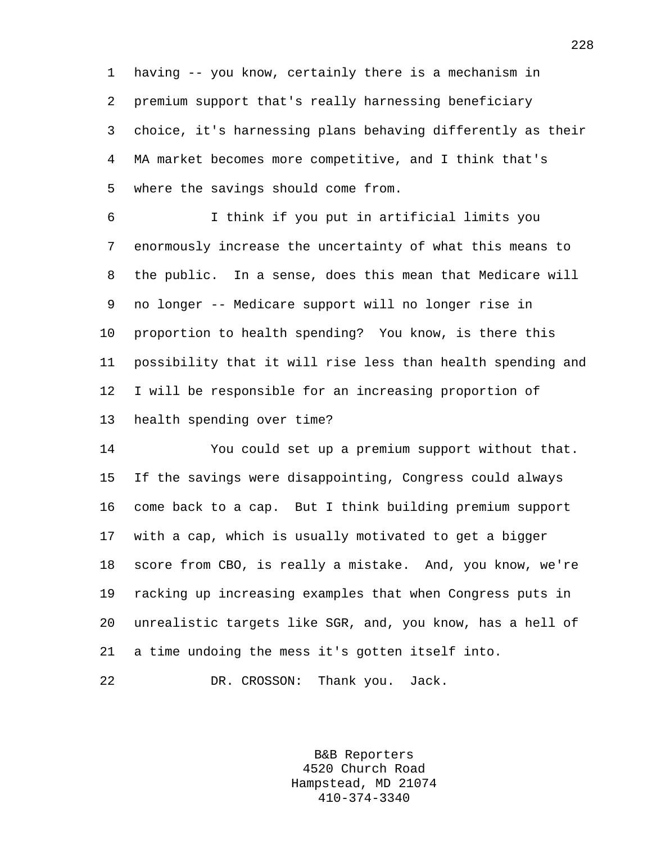1 having -- you know, certainly there is a mechanism in 2 premium support that's really harnessing beneficiary 3 choice, it's harnessing plans behaving differently as their 4 MA market becomes more competitive, and I think that's 5 where the savings should come from.

6 I think if you put in artificial limits you 7 enormously increase the uncertainty of what this means to 8 the public. In a sense, does this mean that Medicare will 9 no longer -- Medicare support will no longer rise in 10 proportion to health spending? You know, is there this 11 possibility that it will rise less than health spending and 12 I will be responsible for an increasing proportion of 13 health spending over time?

14 You could set up a premium support without that. 15 If the savings were disappointing, Congress could always 16 come back to a cap. But I think building premium support 17 with a cap, which is usually motivated to get a bigger 18 score from CBO, is really a mistake. And, you know, we're 19 racking up increasing examples that when Congress puts in 20 unrealistic targets like SGR, and, you know, has a hell of 21 a time undoing the mess it's gotten itself into.

22 DR. CROSSON: Thank you. Jack.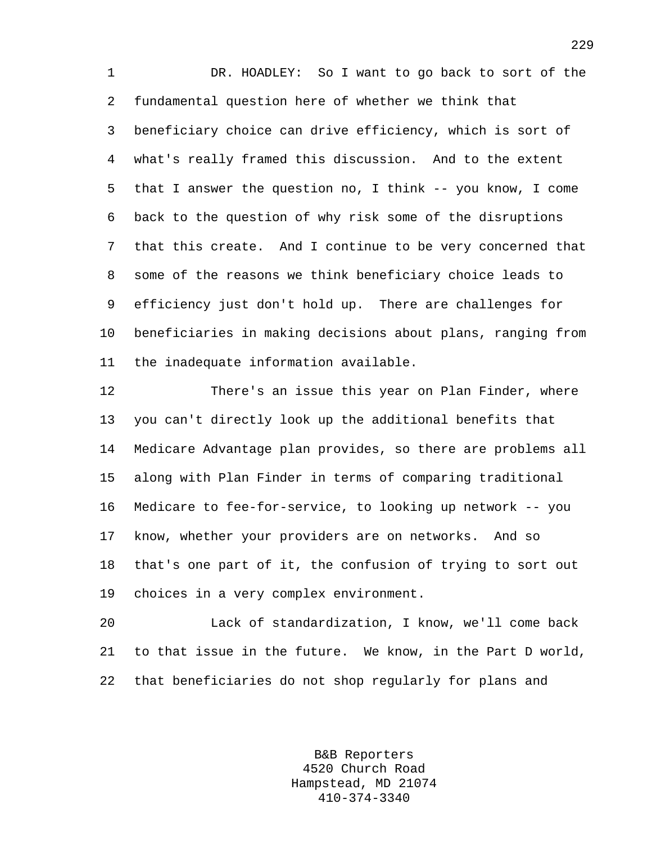1 DR. HOADLEY: So I want to go back to sort of the 2 fundamental question here of whether we think that 3 beneficiary choice can drive efficiency, which is sort of 4 what's really framed this discussion. And to the extent 5 that I answer the question no, I think -- you know, I come 6 back to the question of why risk some of the disruptions 7 that this create. And I continue to be very concerned that 8 some of the reasons we think beneficiary choice leads to 9 efficiency just don't hold up. There are challenges for 10 beneficiaries in making decisions about plans, ranging from 11 the inadequate information available.

12 There's an issue this year on Plan Finder, where 13 you can't directly look up the additional benefits that 14 Medicare Advantage plan provides, so there are problems all 15 along with Plan Finder in terms of comparing traditional 16 Medicare to fee-for-service, to looking up network -- you 17 know, whether your providers are on networks. And so 18 that's one part of it, the confusion of trying to sort out 19 choices in a very complex environment.

20 Lack of standardization, I know, we'll come back 21 to that issue in the future. We know, in the Part D world, 22 that beneficiaries do not shop regularly for plans and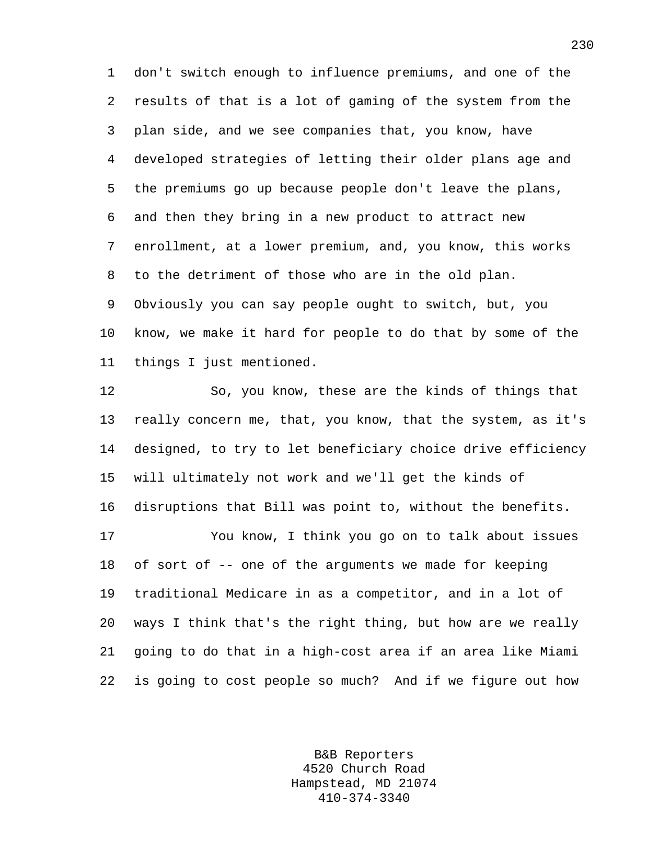1 don't switch enough to influence premiums, and one of the 2 results of that is a lot of gaming of the system from the 3 plan side, and we see companies that, you know, have 4 developed strategies of letting their older plans age and 5 the premiums go up because people don't leave the plans, 6 and then they bring in a new product to attract new 7 enrollment, at a lower premium, and, you know, this works 8 to the detriment of those who are in the old plan. 9 Obviously you can say people ought to switch, but, you 10 know, we make it hard for people to do that by some of the 11 things I just mentioned.

12 So, you know, these are the kinds of things that 13 really concern me, that, you know, that the system, as it's 14 designed, to try to let beneficiary choice drive efficiency 15 will ultimately not work and we'll get the kinds of 16 disruptions that Bill was point to, without the benefits. 17 You know, I think you go on to talk about issues 18 of sort of -- one of the arguments we made for keeping 19 traditional Medicare in as a competitor, and in a lot of 20 ways I think that's the right thing, but how are we really 21 going to do that in a high-cost area if an area like Miami 22 is going to cost people so much? And if we figure out how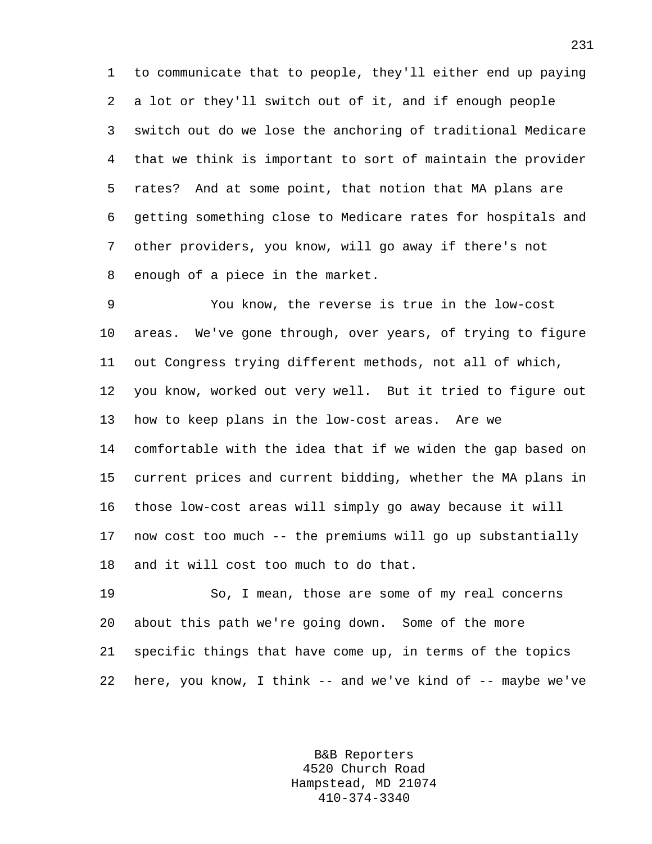1 to communicate that to people, they'll either end up paying 2 a lot or they'll switch out of it, and if enough people 3 switch out do we lose the anchoring of traditional Medicare 4 that we think is important to sort of maintain the provider 5 rates? And at some point, that notion that MA plans are 6 getting something close to Medicare rates for hospitals and 7 other providers, you know, will go away if there's not 8 enough of a piece in the market.

9 You know, the reverse is true in the low-cost 10 areas. We've gone through, over years, of trying to figure 11 out Congress trying different methods, not all of which, 12 you know, worked out very well. But it tried to figure out 13 how to keep plans in the low-cost areas. Are we 14 comfortable with the idea that if we widen the gap based on 15 current prices and current bidding, whether the MA plans in 16 those low-cost areas will simply go away because it will 17 now cost too much -- the premiums will go up substantially 18 and it will cost too much to do that.

19 So, I mean, those are some of my real concerns 20 about this path we're going down. Some of the more 21 specific things that have come up, in terms of the topics 22 here, you know, I think -- and we've kind of -- maybe we've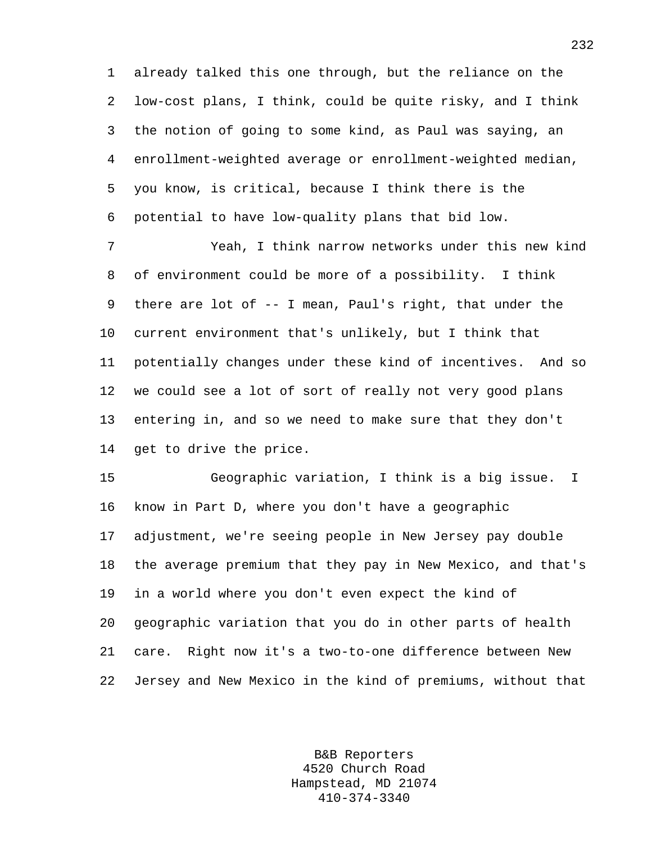1 already talked this one through, but the reliance on the 2 low-cost plans, I think, could be quite risky, and I think 3 the notion of going to some kind, as Paul was saying, an 4 enrollment-weighted average or enrollment-weighted median, 5 you know, is critical, because I think there is the 6 potential to have low-quality plans that bid low.

7 Yeah, I think narrow networks under this new kind 8 of environment could be more of a possibility. I think 9 there are lot of -- I mean, Paul's right, that under the 10 current environment that's unlikely, but I think that 11 potentially changes under these kind of incentives. And so 12 we could see a lot of sort of really not very good plans 13 entering in, and so we need to make sure that they don't 14 get to drive the price.

15 Geographic variation, I think is a big issue. I 16 know in Part D, where you don't have a geographic 17 adjustment, we're seeing people in New Jersey pay double 18 the average premium that they pay in New Mexico, and that's 19 in a world where you don't even expect the kind of 20 geographic variation that you do in other parts of health 21 care. Right now it's a two-to-one difference between New 22 Jersey and New Mexico in the kind of premiums, without that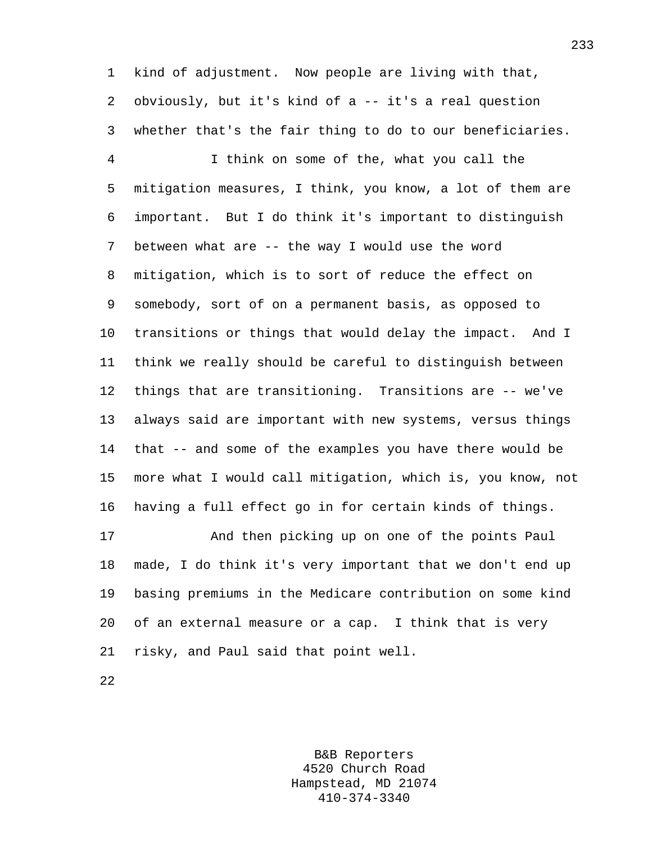1 kind of adjustment. Now people are living with that, 2 obviously, but it's kind of a -- it's a real question 3 whether that's the fair thing to do to our beneficiaries.

4 I think on some of the, what you call the 5 mitigation measures, I think, you know, a lot of them are 6 important. But I do think it's important to distinguish 7 between what are -- the way I would use the word 8 mitigation, which is to sort of reduce the effect on 9 somebody, sort of on a permanent basis, as opposed to 10 transitions or things that would delay the impact. And I 11 think we really should be careful to distinguish between 12 things that are transitioning. Transitions are -- we've 13 always said are important with new systems, versus things 14 that -- and some of the examples you have there would be 15 more what I would call mitigation, which is, you know, not 16 having a full effect go in for certain kinds of things.

17 And then picking up on one of the points Paul 18 made, I do think it's very important that we don't end up 19 basing premiums in the Medicare contribution on some kind 20 of an external measure or a cap. I think that is very 21 risky, and Paul said that point well.

22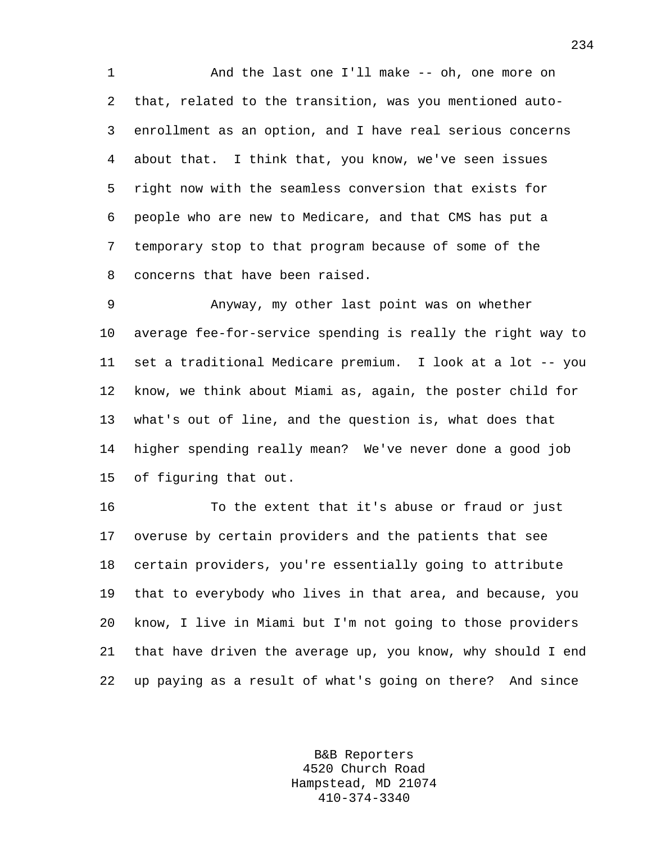1 And the last one I'll make -- oh, one more on 2 that, related to the transition, was you mentioned auto-3 enrollment as an option, and I have real serious concerns 4 about that. I think that, you know, we've seen issues 5 right now with the seamless conversion that exists for 6 people who are new to Medicare, and that CMS has put a 7 temporary stop to that program because of some of the 8 concerns that have been raised.

9 Anyway, my other last point was on whether 10 average fee-for-service spending is really the right way to 11 set a traditional Medicare premium. I look at a lot -- you 12 know, we think about Miami as, again, the poster child for 13 what's out of line, and the question is, what does that 14 higher spending really mean? We've never done a good job 15 of figuring that out.

16 To the extent that it's abuse or fraud or just 17 overuse by certain providers and the patients that see 18 certain providers, you're essentially going to attribute 19 that to everybody who lives in that area, and because, you 20 know, I live in Miami but I'm not going to those providers 21 that have driven the average up, you know, why should I end 22 up paying as a result of what's going on there? And since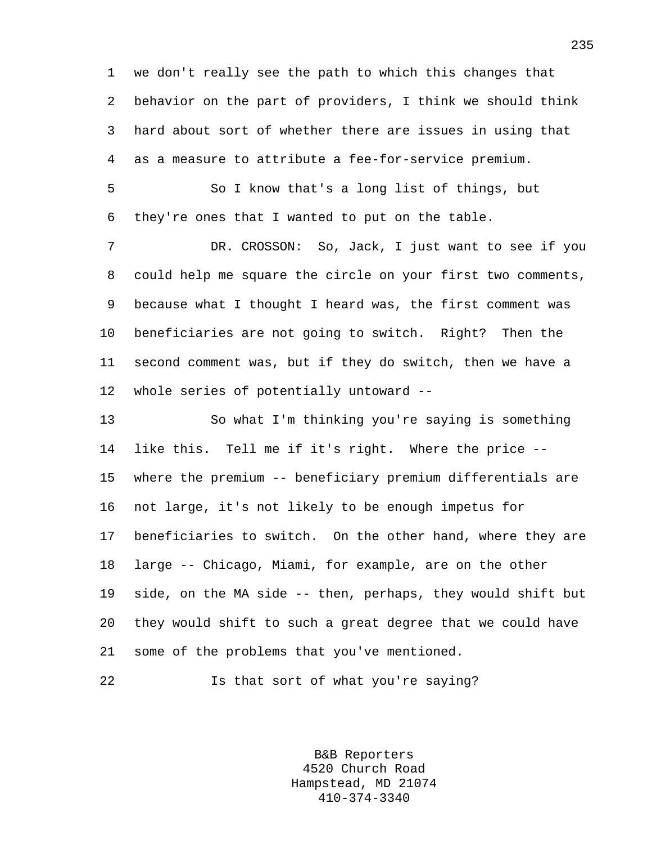1 we don't really see the path to which this changes that 2 behavior on the part of providers, I think we should think 3 hard about sort of whether there are issues in using that 4 as a measure to attribute a fee-for-service premium.

5 So I know that's a long list of things, but 6 they're ones that I wanted to put on the table.

7 DR. CROSSON: So, Jack, I just want to see if you 8 could help me square the circle on your first two comments, 9 because what I thought I heard was, the first comment was 10 beneficiaries are not going to switch. Right? Then the 11 second comment was, but if they do switch, then we have a 12 whole series of potentially untoward --

13 So what I'm thinking you're saying is something 14 like this. Tell me if it's right. Where the price -- 15 where the premium -- beneficiary premium differentials are 16 not large, it's not likely to be enough impetus for 17 beneficiaries to switch. On the other hand, where they are 18 large -- Chicago, Miami, for example, are on the other 19 side, on the MA side -- then, perhaps, they would shift but 20 they would shift to such a great degree that we could have 21 some of the problems that you've mentioned.

```
22 Is that sort of what you're saying?
```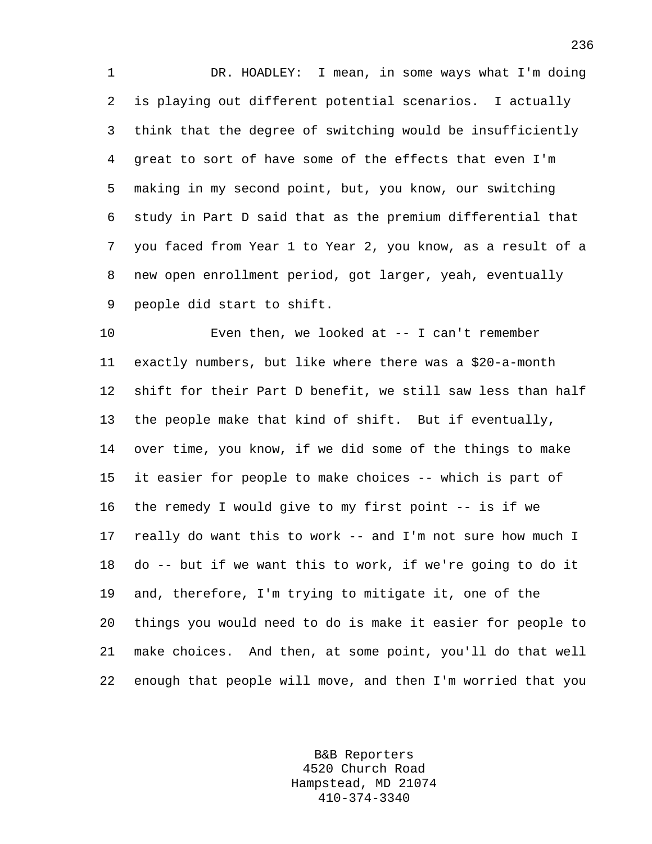1 DR. HOADLEY: I mean, in some ways what I'm doing 2 is playing out different potential scenarios. I actually 3 think that the degree of switching would be insufficiently 4 great to sort of have some of the effects that even I'm 5 making in my second point, but, you know, our switching 6 study in Part D said that as the premium differential that 7 you faced from Year 1 to Year 2, you know, as a result of a 8 new open enrollment period, got larger, yeah, eventually 9 people did start to shift.

10 Even then, we looked at -- I can't remember 11 exactly numbers, but like where there was a \$20-a-month 12 shift for their Part D benefit, we still saw less than half 13 the people make that kind of shift. But if eventually, 14 over time, you know, if we did some of the things to make 15 it easier for people to make choices -- which is part of 16 the remedy I would give to my first point -- is if we 17 really do want this to work -- and I'm not sure how much I 18 do -- but if we want this to work, if we're going to do it 19 and, therefore, I'm trying to mitigate it, one of the 20 things you would need to do is make it easier for people to 21 make choices. And then, at some point, you'll do that well 22 enough that people will move, and then I'm worried that you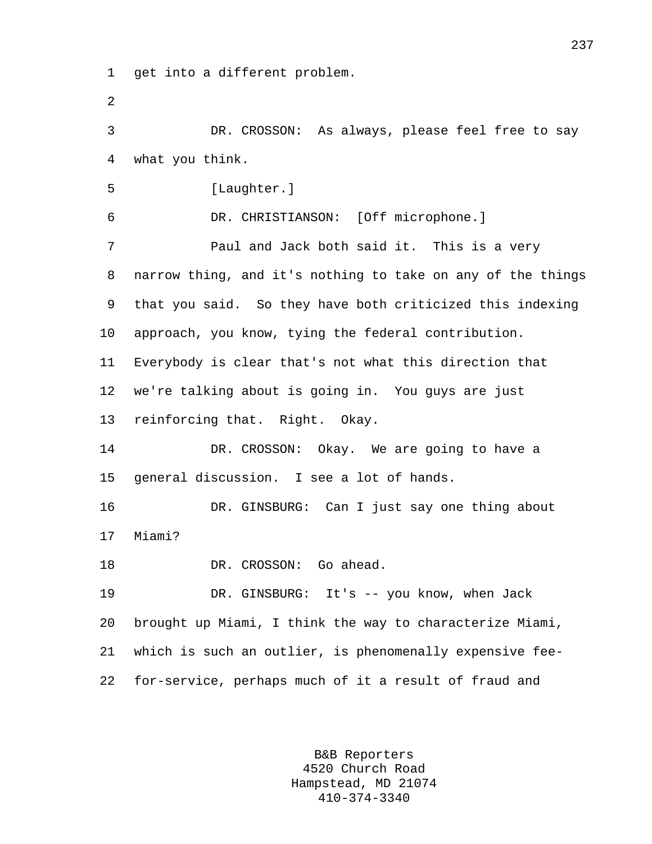1 get into a different problem.

2

4 what you think. 5 [Laughter.] 6 DR. CHRISTIANSON: [Off microphone.] 7 Paul and Jack both said it. This is a very 8 narrow thing, and it's nothing to take on any of the things 9 that you said. So they have both criticized this indexing 10 approach, you know, tying the federal contribution. 11 Everybody is clear that's not what this direction that 12 we're talking about is going in. You guys are just

3 DR. CROSSON: As always, please feel free to say

13 reinforcing that. Right. Okay.

14 DR. CROSSON: Okay. We are going to have a 15 general discussion. I see a lot of hands.

16 DR. GINSBURG: Can I just say one thing about 17 Miami?

18 DR. CROSSON: Go ahead.

19 DR. GINSBURG: It's -- you know, when Jack 20 brought up Miami, I think the way to characterize Miami, 21 which is such an outlier, is phenomenally expensive fee-22 for-service, perhaps much of it a result of fraud and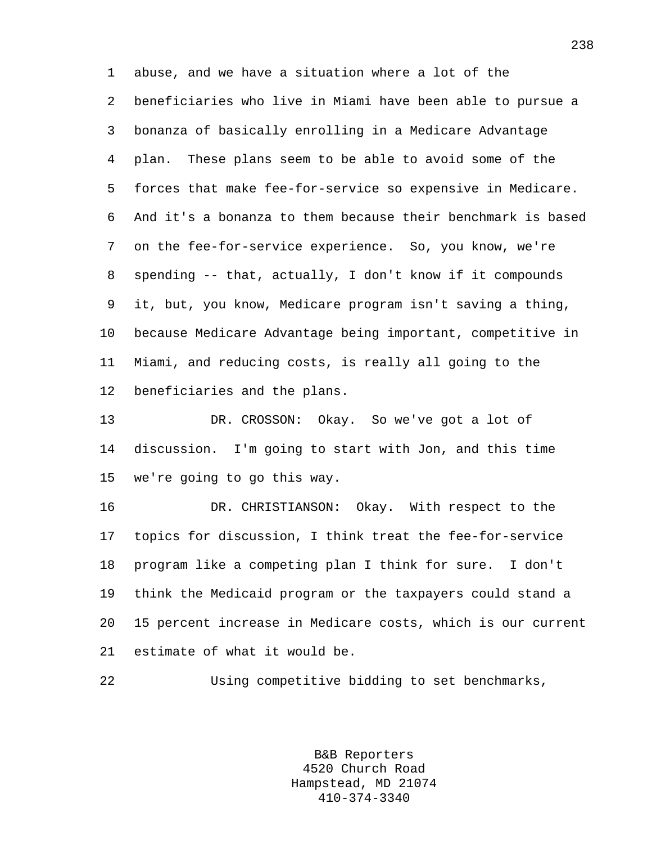1 abuse, and we have a situation where a lot of the 2 beneficiaries who live in Miami have been able to pursue a 3 bonanza of basically enrolling in a Medicare Advantage 4 plan. These plans seem to be able to avoid some of the 5 forces that make fee-for-service so expensive in Medicare. 6 And it's a bonanza to them because their benchmark is based 7 on the fee-for-service experience. So, you know, we're 8 spending -- that, actually, I don't know if it compounds 9 it, but, you know, Medicare program isn't saving a thing, 10 because Medicare Advantage being important, competitive in 11 Miami, and reducing costs, is really all going to the 12 beneficiaries and the plans.

13 DR. CROSSON: Okay. So we've got a lot of 14 discussion. I'm going to start with Jon, and this time 15 we're going to go this way.

16 DR. CHRISTIANSON: Okay. With respect to the 17 topics for discussion, I think treat the fee-for-service 18 program like a competing plan I think for sure. I don't 19 think the Medicaid program or the taxpayers could stand a 20 15 percent increase in Medicare costs, which is our current 21 estimate of what it would be.

22 Using competitive bidding to set benchmarks,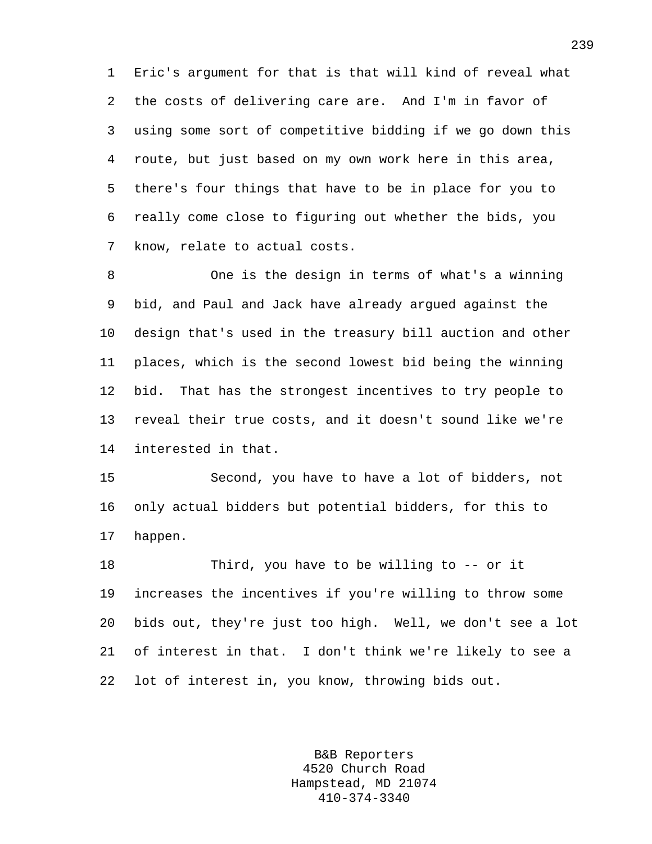1 Eric's argument for that is that will kind of reveal what 2 the costs of delivering care are. And I'm in favor of 3 using some sort of competitive bidding if we go down this 4 route, but just based on my own work here in this area, 5 there's four things that have to be in place for you to 6 really come close to figuring out whether the bids, you 7 know, relate to actual costs.

8 One is the design in terms of what's a winning 9 bid, and Paul and Jack have already argued against the 10 design that's used in the treasury bill auction and other 11 places, which is the second lowest bid being the winning 12 bid. That has the strongest incentives to try people to 13 reveal their true costs, and it doesn't sound like we're 14 interested in that.

15 Second, you have to have a lot of bidders, not 16 only actual bidders but potential bidders, for this to 17 happen.

18 Third, you have to be willing to -- or it 19 increases the incentives if you're willing to throw some 20 bids out, they're just too high. Well, we don't see a lot 21 of interest in that. I don't think we're likely to see a 22 lot of interest in, you know, throwing bids out.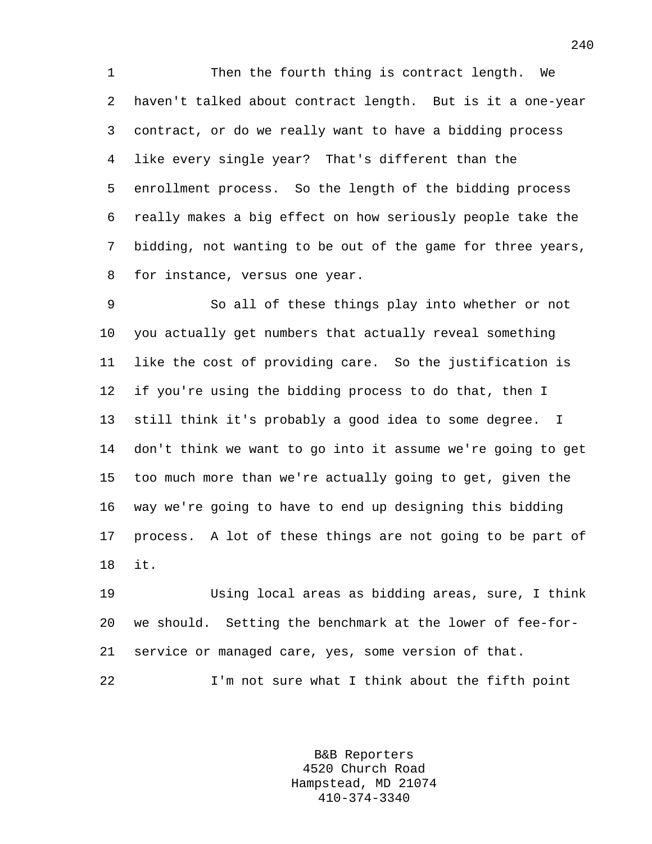1 Then the fourth thing is contract length. We 2 haven't talked about contract length. But is it a one-year 3 contract, or do we really want to have a bidding process 4 like every single year? That's different than the 5 enrollment process. So the length of the bidding process 6 really makes a big effect on how seriously people take the 7 bidding, not wanting to be out of the game for three years, 8 for instance, versus one year.

9 So all of these things play into whether or not 10 you actually get numbers that actually reveal something 11 like the cost of providing care. So the justification is 12 if you're using the bidding process to do that, then I 13 still think it's probably a good idea to some degree. I 14 don't think we want to go into it assume we're going to get 15 too much more than we're actually going to get, given the 16 way we're going to have to end up designing this bidding 17 process. A lot of these things are not going to be part of 18 it.

19 Using local areas as bidding areas, sure, I think 20 we should. Setting the benchmark at the lower of fee-for-21 service or managed care, yes, some version of that. 22 I'm not sure what I think about the fifth point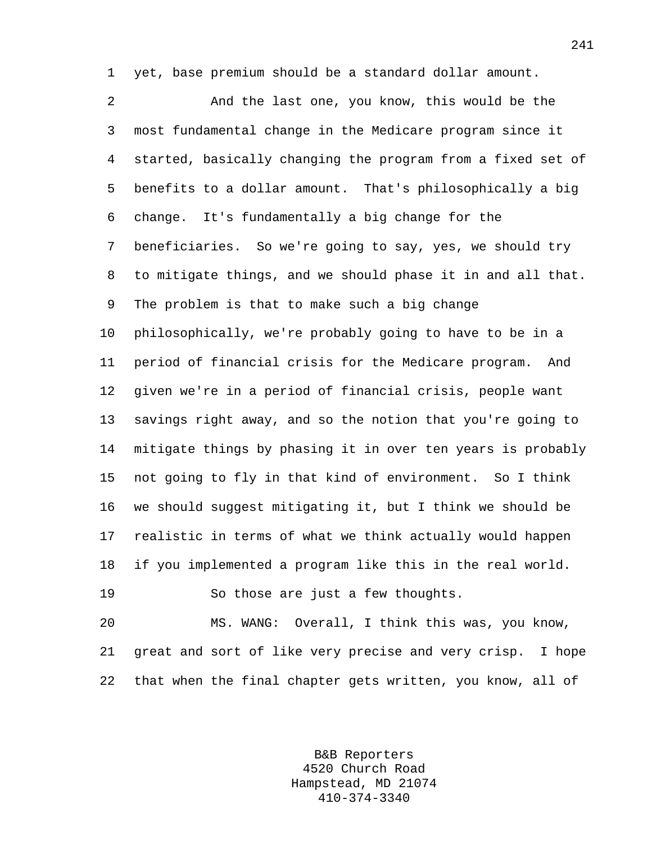1 yet, base premium should be a standard dollar amount.

2 And the last one, you know, this would be the 3 most fundamental change in the Medicare program since it 4 started, basically changing the program from a fixed set of 5 benefits to a dollar amount. That's philosophically a big 6 change. It's fundamentally a big change for the 7 beneficiaries. So we're going to say, yes, we should try 8 to mitigate things, and we should phase it in and all that. 9 The problem is that to make such a big change 10 philosophically, we're probably going to have to be in a 11 period of financial crisis for the Medicare program. And 12 given we're in a period of financial crisis, people want 13 savings right away, and so the notion that you're going to 14 mitigate things by phasing it in over ten years is probably 15 not going to fly in that kind of environment. So I think 16 we should suggest mitigating it, but I think we should be 17 realistic in terms of what we think actually would happen 18 if you implemented a program like this in the real world. 19 So those are just a few thoughts.

20 MS. WANG: Overall, I think this was, you know, 21 great and sort of like very precise and very crisp. I hope 22 that when the final chapter gets written, you know, all of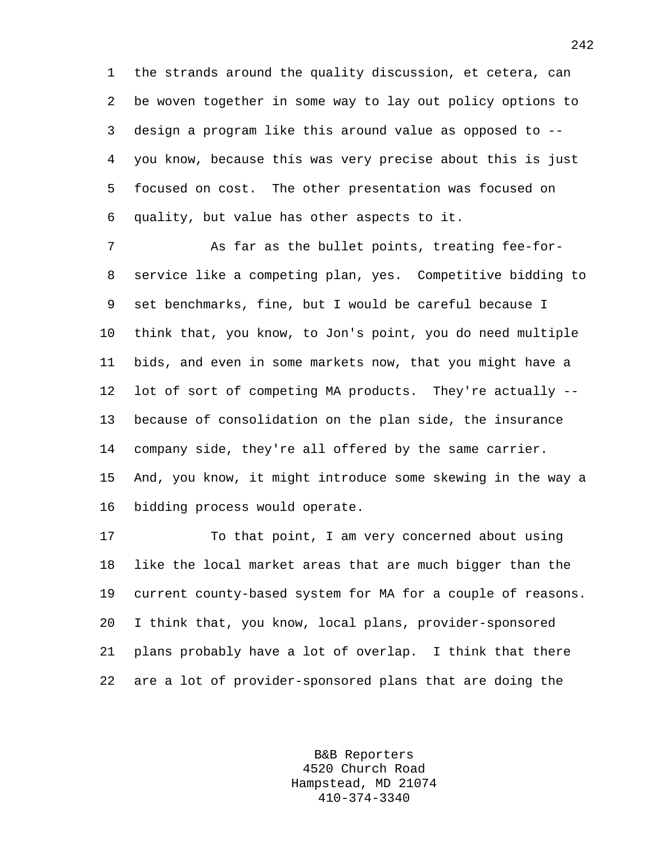1 the strands around the quality discussion, et cetera, can 2 be woven together in some way to lay out policy options to 3 design a program like this around value as opposed to -- 4 you know, because this was very precise about this is just 5 focused on cost. The other presentation was focused on 6 quality, but value has other aspects to it.

7 As far as the bullet points, treating fee-for-8 service like a competing plan, yes. Competitive bidding to 9 set benchmarks, fine, but I would be careful because I 10 think that, you know, to Jon's point, you do need multiple 11 bids, and even in some markets now, that you might have a 12 lot of sort of competing MA products. They're actually -- 13 because of consolidation on the plan side, the insurance 14 company side, they're all offered by the same carrier. 15 And, you know, it might introduce some skewing in the way a 16 bidding process would operate.

17 To that point, I am very concerned about using 18 like the local market areas that are much bigger than the 19 current county-based system for MA for a couple of reasons. 20 I think that, you know, local plans, provider-sponsored 21 plans probably have a lot of overlap. I think that there 22 are a lot of provider-sponsored plans that are doing the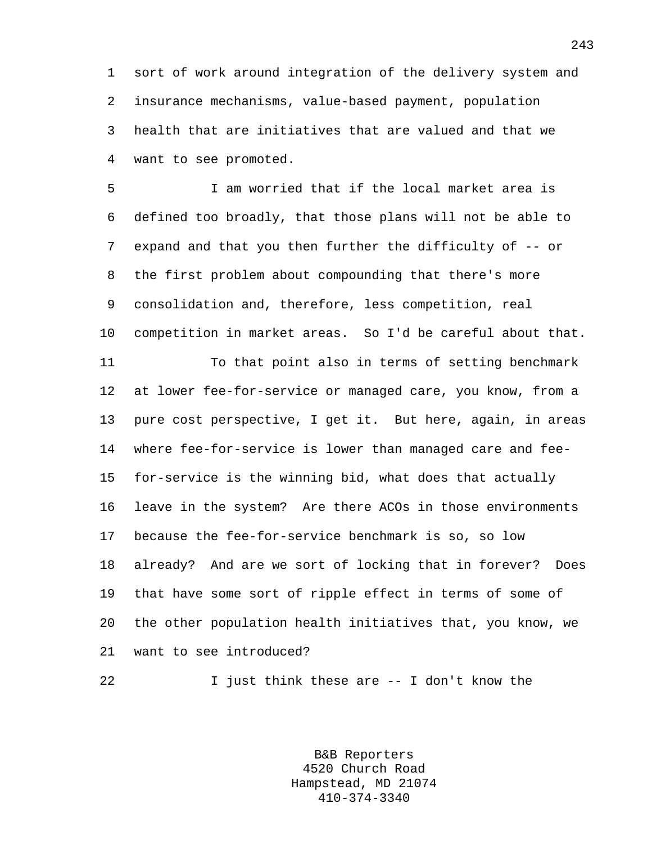1 sort of work around integration of the delivery system and 2 insurance mechanisms, value-based payment, population 3 health that are initiatives that are valued and that we 4 want to see promoted.

5 I am worried that if the local market area is 6 defined too broadly, that those plans will not be able to 7 expand and that you then further the difficulty of -- or 8 the first problem about compounding that there's more 9 consolidation and, therefore, less competition, real 10 competition in market areas. So I'd be careful about that. 11 To that point also in terms of setting benchmark 12 at lower fee-for-service or managed care, you know, from a 13 pure cost perspective, I get it. But here, again, in areas 14 where fee-for-service is lower than managed care and fee-15 for-service is the winning bid, what does that actually 16 leave in the system? Are there ACOs in those environments 17 because the fee-for-service benchmark is so, so low 18 already? And are we sort of locking that in forever? Does 19 that have some sort of ripple effect in terms of some of 20 the other population health initiatives that, you know, we 21 want to see introduced?

22 I just think these are -- I don't know the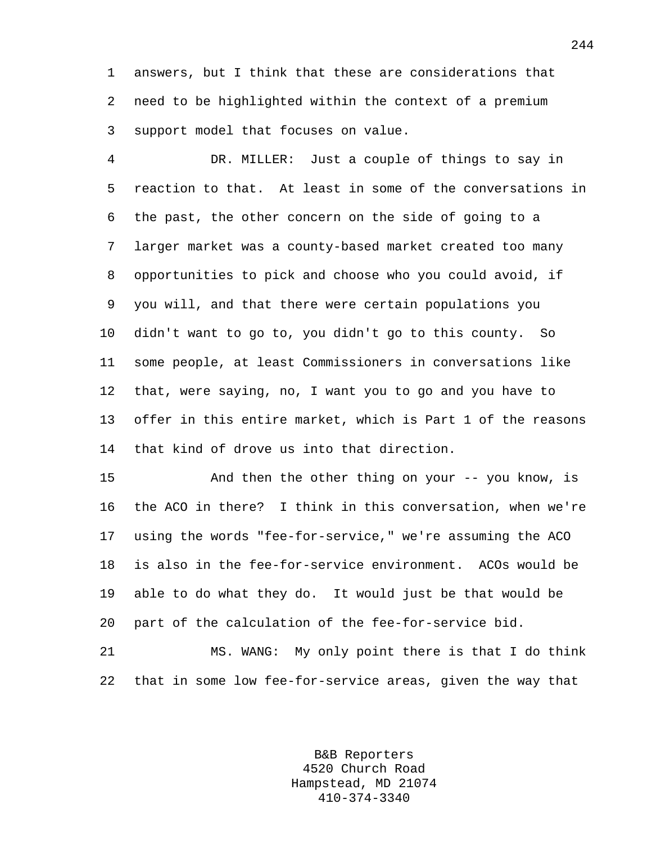1 answers, but I think that these are considerations that 2 need to be highlighted within the context of a premium 3 support model that focuses on value.

4 DR. MILLER: Just a couple of things to say in 5 reaction to that. At least in some of the conversations in 6 the past, the other concern on the side of going to a 7 larger market was a county-based market created too many 8 opportunities to pick and choose who you could avoid, if 9 you will, and that there were certain populations you 10 didn't want to go to, you didn't go to this county. So 11 some people, at least Commissioners in conversations like 12 that, were saying, no, I want you to go and you have to 13 offer in this entire market, which is Part 1 of the reasons 14 that kind of drove us into that direction.

15 And then the other thing on your -- you know, is 16 the ACO in there? I think in this conversation, when we're 17 using the words "fee-for-service," we're assuming the ACO 18 is also in the fee-for-service environment. ACOs would be 19 able to do what they do. It would just be that would be 20 part of the calculation of the fee-for-service bid.

21 MS. WANG: My only point there is that I do think 22 that in some low fee-for-service areas, given the way that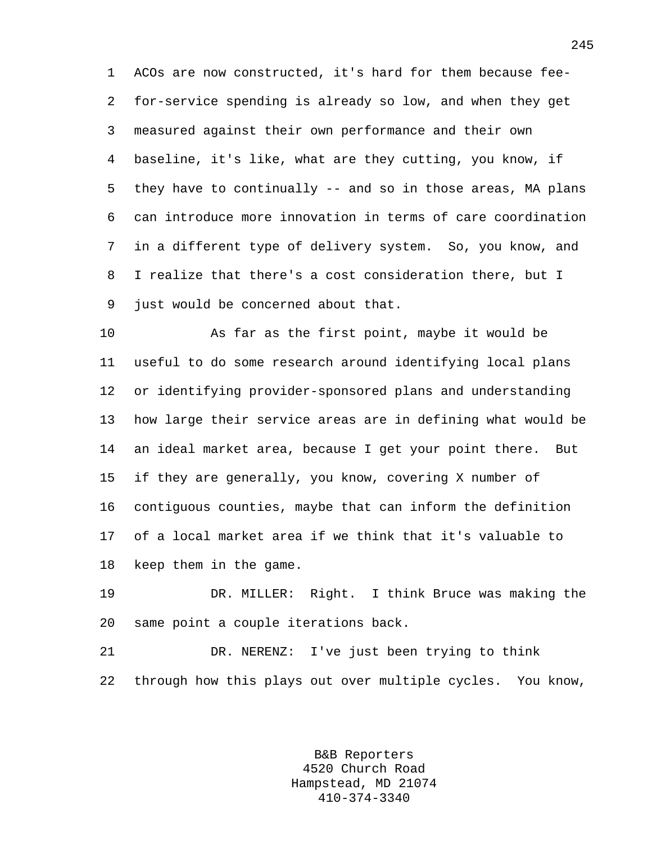1 ACOs are now constructed, it's hard for them because fee-2 for-service spending is already so low, and when they get 3 measured against their own performance and their own 4 baseline, it's like, what are they cutting, you know, if 5 they have to continually -- and so in those areas, MA plans 6 can introduce more innovation in terms of care coordination 7 in a different type of delivery system. So, you know, and 8 I realize that there's a cost consideration there, but I 9 just would be concerned about that.

10 As far as the first point, maybe it would be 11 useful to do some research around identifying local plans 12 or identifying provider-sponsored plans and understanding 13 how large their service areas are in defining what would be 14 an ideal market area, because I get your point there. But 15 if they are generally, you know, covering X number of 16 contiguous counties, maybe that can inform the definition 17 of a local market area if we think that it's valuable to 18 keep them in the game.

19 DR. MILLER: Right. I think Bruce was making the 20 same point a couple iterations back.

21 DR. NERENZ: I've just been trying to think 22 through how this plays out over multiple cycles. You know,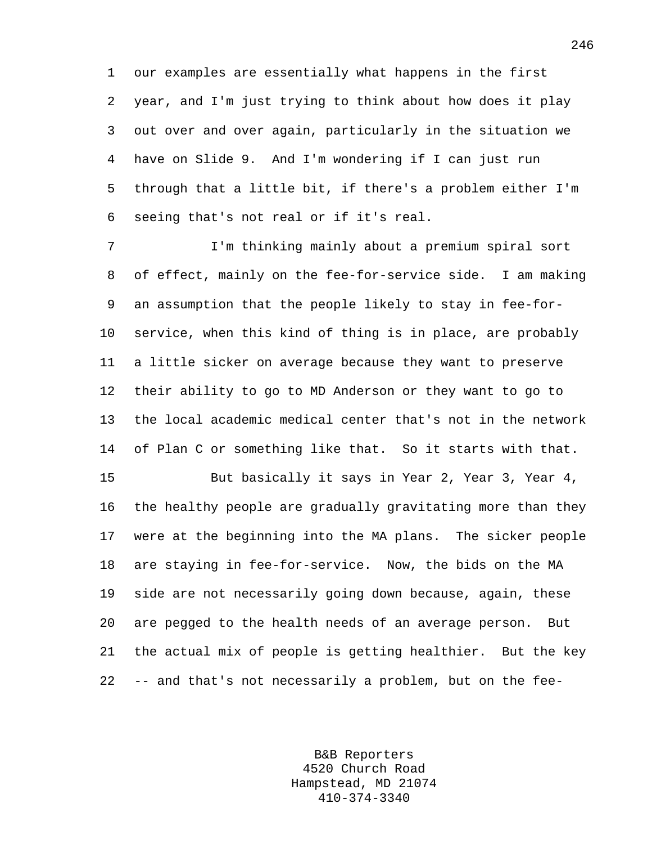1 our examples are essentially what happens in the first 2 year, and I'm just trying to think about how does it play 3 out over and over again, particularly in the situation we 4 have on Slide 9. And I'm wondering if I can just run 5 through that a little bit, if there's a problem either I'm 6 seeing that's not real or if it's real.

7 I'm thinking mainly about a premium spiral sort 8 of effect, mainly on the fee-for-service side. I am making 9 an assumption that the people likely to stay in fee-for-10 service, when this kind of thing is in place, are probably 11 a little sicker on average because they want to preserve 12 their ability to go to MD Anderson or they want to go to 13 the local academic medical center that's not in the network 14 of Plan C or something like that. So it starts with that.

15 But basically it says in Year 2, Year 3, Year 4, 16 the healthy people are gradually gravitating more than they 17 were at the beginning into the MA plans. The sicker people 18 are staying in fee-for-service. Now, the bids on the MA 19 side are not necessarily going down because, again, these 20 are pegged to the health needs of an average person. But 21 the actual mix of people is getting healthier. But the key 22 -- and that's not necessarily a problem, but on the fee-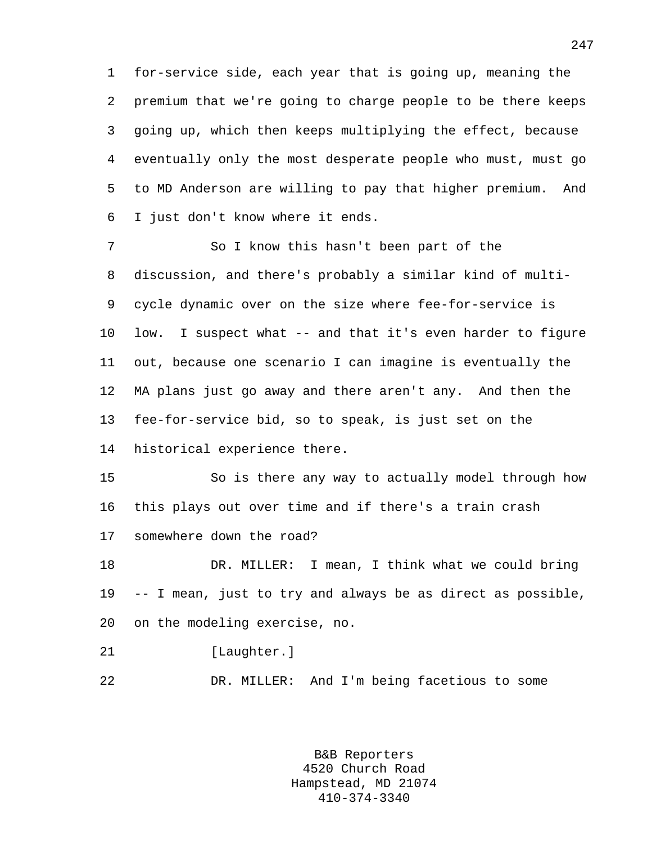1 for-service side, each year that is going up, meaning the 2 premium that we're going to charge people to be there keeps 3 going up, which then keeps multiplying the effect, because 4 eventually only the most desperate people who must, must go 5 to MD Anderson are willing to pay that higher premium. And 6 I just don't know where it ends.

7 So I know this hasn't been part of the 8 discussion, and there's probably a similar kind of multi-9 cycle dynamic over on the size where fee-for-service is 10 low. I suspect what -- and that it's even harder to figure 11 out, because one scenario I can imagine is eventually the 12 MA plans just go away and there aren't any. And then the 13 fee-for-service bid, so to speak, is just set on the 14 historical experience there.

15 So is there any way to actually model through how 16 this plays out over time and if there's a train crash 17 somewhere down the road?

18 DR. MILLER: I mean, I think what we could bring 19 -- I mean, just to try and always be as direct as possible, 20 on the modeling exercise, no.

21 [Laughter.]

22 DR. MILLER: And I'm being facetious to some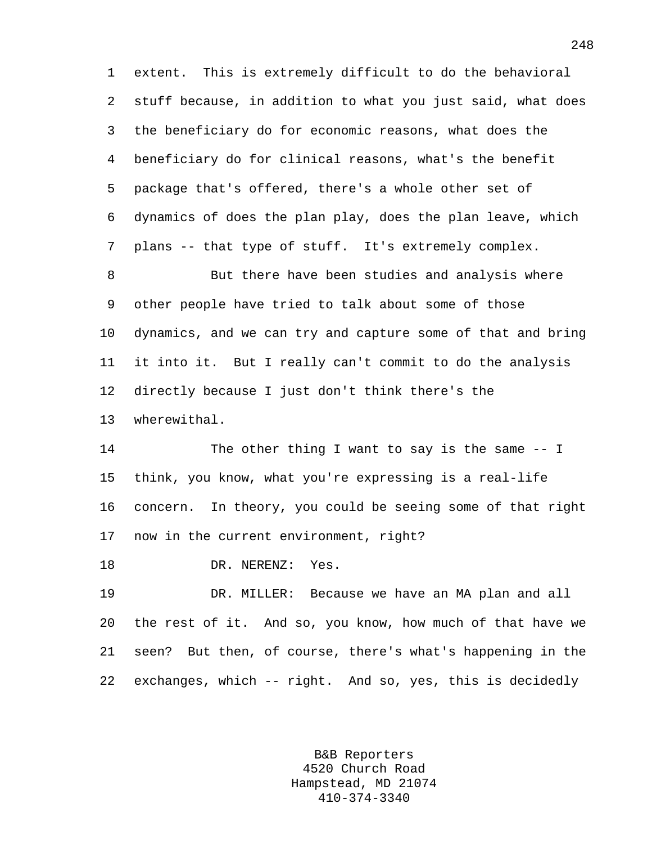1 extent. This is extremely difficult to do the behavioral 2 stuff because, in addition to what you just said, what does 3 the beneficiary do for economic reasons, what does the 4 beneficiary do for clinical reasons, what's the benefit 5 package that's offered, there's a whole other set of 6 dynamics of does the plan play, does the plan leave, which 7 plans -- that type of stuff. It's extremely complex.

8 But there have been studies and analysis where 9 other people have tried to talk about some of those 10 dynamics, and we can try and capture some of that and bring 11 it into it. But I really can't commit to do the analysis 12 directly because I just don't think there's the 13 wherewithal.

14 The other thing I want to say is the same -- I 15 think, you know, what you're expressing is a real-life 16 concern. In theory, you could be seeing some of that right 17 now in the current environment, right?

18 DR. NERENZ: Yes.

19 DR. MILLER: Because we have an MA plan and all 20 the rest of it. And so, you know, how much of that have we 21 seen? But then, of course, there's what's happening in the 22 exchanges, which -- right. And so, yes, this is decidedly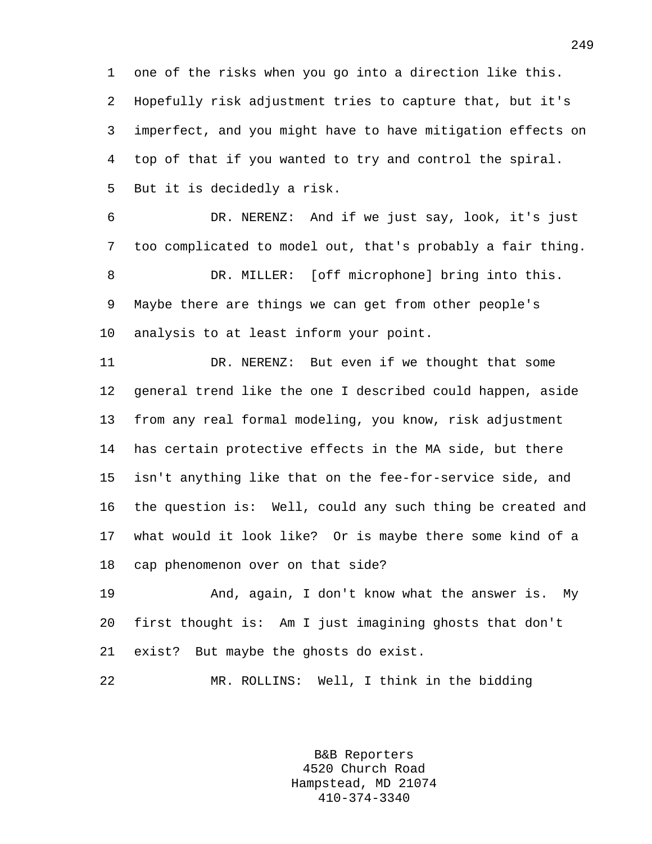1 one of the risks when you go into a direction like this. 2 Hopefully risk adjustment tries to capture that, but it's 3 imperfect, and you might have to have mitigation effects on 4 top of that if you wanted to try and control the spiral. 5 But it is decidedly a risk.

6 DR. NERENZ: And if we just say, look, it's just 7 too complicated to model out, that's probably a fair thing. 8 DR. MILLER: [off microphone] bring into this. 9 Maybe there are things we can get from other people's 10 analysis to at least inform your point.

11 DR. NERENZ: But even if we thought that some 12 general trend like the one I described could happen, aside 13 from any real formal modeling, you know, risk adjustment 14 has certain protective effects in the MA side, but there 15 isn't anything like that on the fee-for-service side, and 16 the question is: Well, could any such thing be created and 17 what would it look like? Or is maybe there some kind of a 18 cap phenomenon over on that side?

19 And, again, I don't know what the answer is. My 20 first thought is: Am I just imagining ghosts that don't 21 exist? But maybe the ghosts do exist.

22 MR. ROLLINS: Well, I think in the bidding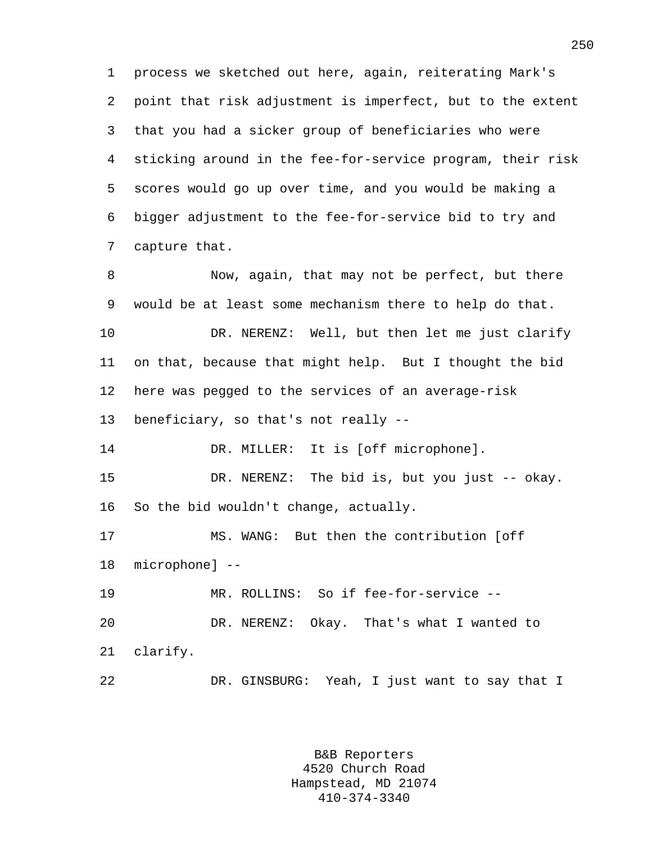1 process we sketched out here, again, reiterating Mark's 2 point that risk adjustment is imperfect, but to the extent 3 that you had a sicker group of beneficiaries who were 4 sticking around in the fee-for-service program, their risk 5 scores would go up over time, and you would be making a 6 bigger adjustment to the fee-for-service bid to try and 7 capture that.

8 Now, again, that may not be perfect, but there 9 would be at least some mechanism there to help do that. 10 DR. NERENZ: Well, but then let me just clarify 11 on that, because that might help. But I thought the bid 12 here was pegged to the services of an average-risk 13 beneficiary, so that's not really -- 14 DR. MILLER: It is [off microphone]. 15 DR. NERENZ: The bid is, but you just -- okay. 16 So the bid wouldn't change, actually. 17 MS. WANG: But then the contribution [off 18 microphone] -- 19 MR. ROLLINS: So if fee-for-service -- 20 DR. NERENZ: Okay. That's what I wanted to 21 clarify. 22 DR. GINSBURG: Yeah, I just want to say that I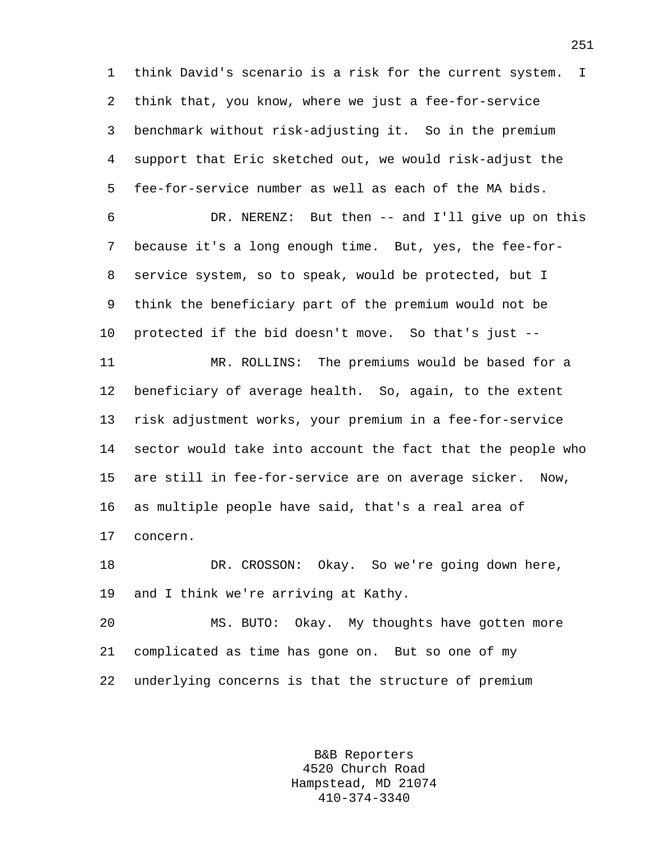1 think David's scenario is a risk for the current system. I 2 think that, you know, where we just a fee-for-service 3 benchmark without risk-adjusting it. So in the premium 4 support that Eric sketched out, we would risk-adjust the 5 fee-for-service number as well as each of the MA bids. 6 DR. NERENZ: But then -- and I'll give up on this 7 because it's a long enough time. But, yes, the fee-for-8 service system, so to speak, would be protected, but I

9 think the beneficiary part of the premium would not be 10 protected if the bid doesn't move. So that's just --

11 MR. ROLLINS: The premiums would be based for a 12 beneficiary of average health. So, again, to the extent 13 risk adjustment works, your premium in a fee-for-service 14 sector would take into account the fact that the people who 15 are still in fee-for-service are on average sicker. Now, 16 as multiple people have said, that's a real area of 17 concern.

18 DR. CROSSON: Okay. So we're going down here, 19 and I think we're arriving at Kathy.

20 MS. BUTO: Okay. My thoughts have gotten more 21 complicated as time has gone on. But so one of my 22 underlying concerns is that the structure of premium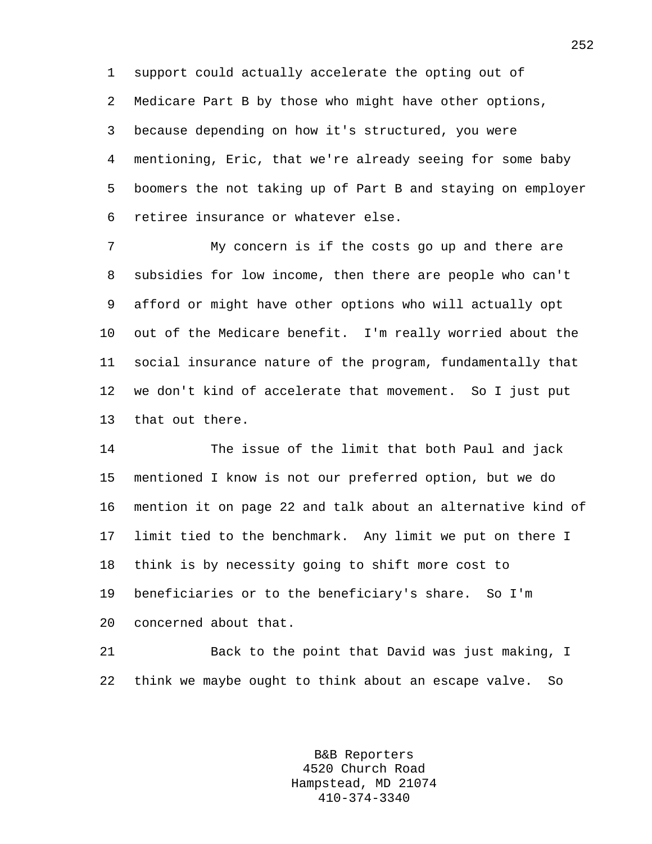1 support could actually accelerate the opting out of 2 Medicare Part B by those who might have other options, 3 because depending on how it's structured, you were 4 mentioning, Eric, that we're already seeing for some baby 5 boomers the not taking up of Part B and staying on employer 6 retiree insurance or whatever else.

7 My concern is if the costs go up and there are 8 subsidies for low income, then there are people who can't 9 afford or might have other options who will actually opt 10 out of the Medicare benefit. I'm really worried about the 11 social insurance nature of the program, fundamentally that 12 we don't kind of accelerate that movement. So I just put 13 that out there.

14 The issue of the limit that both Paul and jack 15 mentioned I know is not our preferred option, but we do 16 mention it on page 22 and talk about an alternative kind of 17 limit tied to the benchmark. Any limit we put on there I 18 think is by necessity going to shift more cost to 19 beneficiaries or to the beneficiary's share. So I'm 20 concerned about that.

21 Back to the point that David was just making, I 22 think we maybe ought to think about an escape valve. So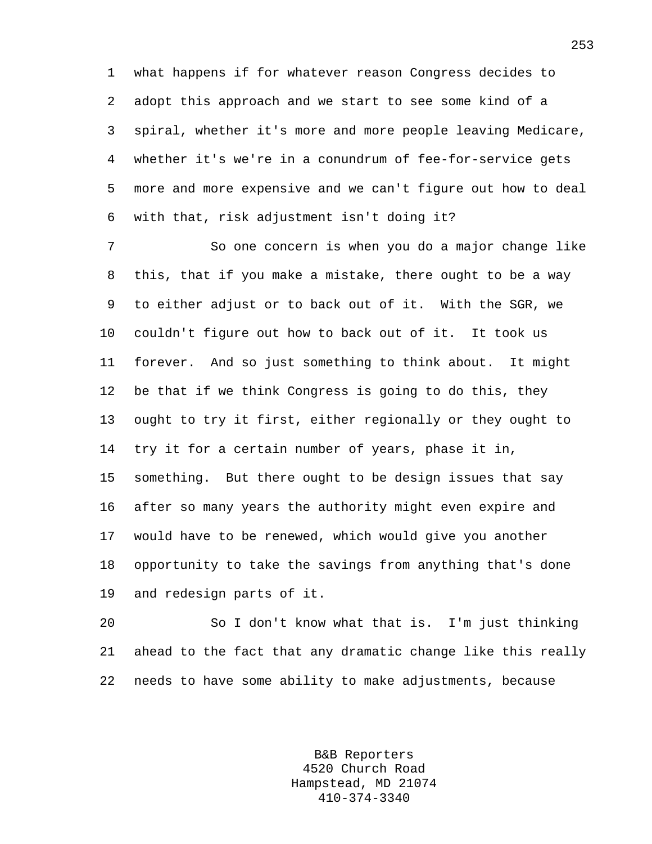1 what happens if for whatever reason Congress decides to 2 adopt this approach and we start to see some kind of a 3 spiral, whether it's more and more people leaving Medicare, 4 whether it's we're in a conundrum of fee-for-service gets 5 more and more expensive and we can't figure out how to deal 6 with that, risk adjustment isn't doing it?

7 So one concern is when you do a major change like 8 this, that if you make a mistake, there ought to be a way 9 to either adjust or to back out of it. With the SGR, we 10 couldn't figure out how to back out of it. It took us 11 forever. And so just something to think about. It might 12 be that if we think Congress is going to do this, they 13 ought to try it first, either regionally or they ought to 14 try it for a certain number of years, phase it in, 15 something. But there ought to be design issues that say 16 after so many years the authority might even expire and 17 would have to be renewed, which would give you another 18 opportunity to take the savings from anything that's done 19 and redesign parts of it.

20 So I don't know what that is. I'm just thinking 21 ahead to the fact that any dramatic change like this really 22 needs to have some ability to make adjustments, because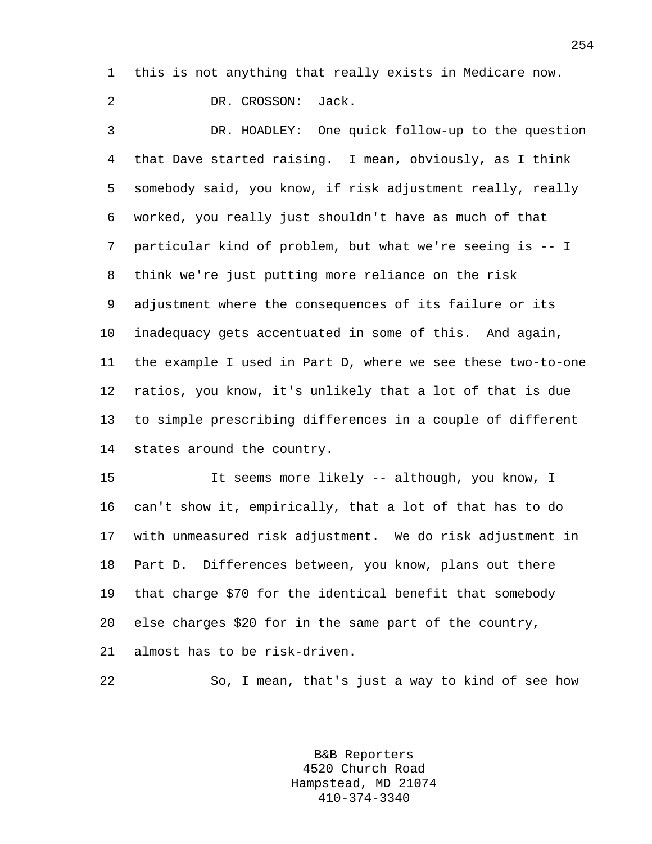1 this is not anything that really exists in Medicare now.

2 DR. CROSSON: Jack.

3 DR. HOADLEY: One quick follow-up to the question 4 that Dave started raising. I mean, obviously, as I think 5 somebody said, you know, if risk adjustment really, really 6 worked, you really just shouldn't have as much of that 7 particular kind of problem, but what we're seeing is -- I 8 think we're just putting more reliance on the risk 9 adjustment where the consequences of its failure or its 10 inadequacy gets accentuated in some of this. And again, 11 the example I used in Part D, where we see these two-to-one 12 ratios, you know, it's unlikely that a lot of that is due 13 to simple prescribing differences in a couple of different 14 states around the country.

15 It seems more likely -- although, you know, I 16 can't show it, empirically, that a lot of that has to do 17 with unmeasured risk adjustment. We do risk adjustment in 18 Part D. Differences between, you know, plans out there 19 that charge \$70 for the identical benefit that somebody 20 else charges \$20 for in the same part of the country, 21 almost has to be risk-driven.

22 So, I mean, that's just a way to kind of see how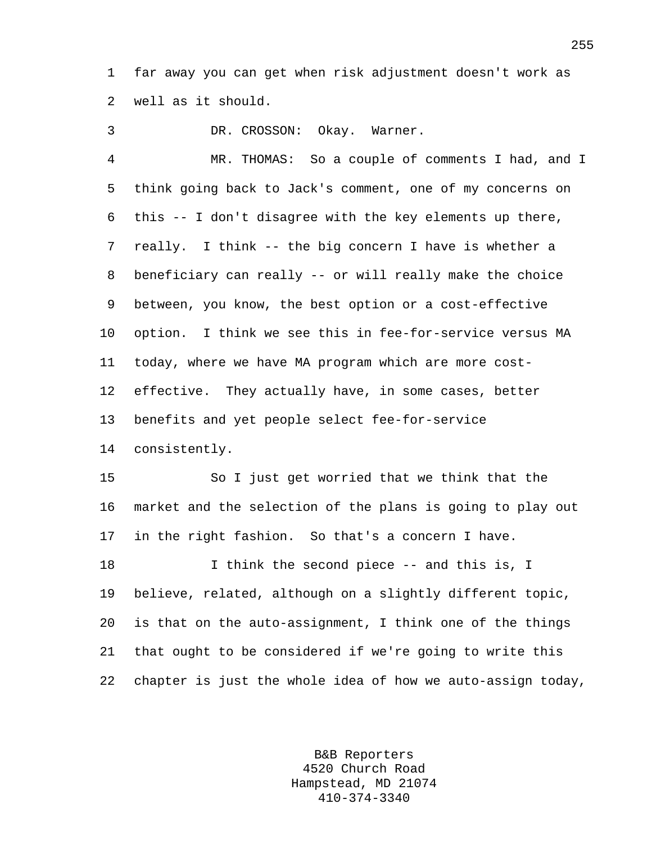1 far away you can get when risk adjustment doesn't work as 2 well as it should.

3 DR. CROSSON: Okay. Warner. 4 MR. THOMAS: So a couple of comments I had, and I 5 think going back to Jack's comment, one of my concerns on 6 this -- I don't disagree with the key elements up there, 7 really. I think -- the big concern I have is whether a 8 beneficiary can really -- or will really make the choice 9 between, you know, the best option or a cost-effective 10 option. I think we see this in fee-for-service versus MA 11 today, where we have MA program which are more cost-12 effective. They actually have, in some cases, better 13 benefits and yet people select fee-for-service 14 consistently.

15 So I just get worried that we think that the 16 market and the selection of the plans is going to play out 17 in the right fashion. So that's a concern I have. 18 I think the second piece -- and this is, I 19 believe, related, although on a slightly different topic, 20 is that on the auto-assignment, I think one of the things 21 that ought to be considered if we're going to write this

22 chapter is just the whole idea of how we auto-assign today,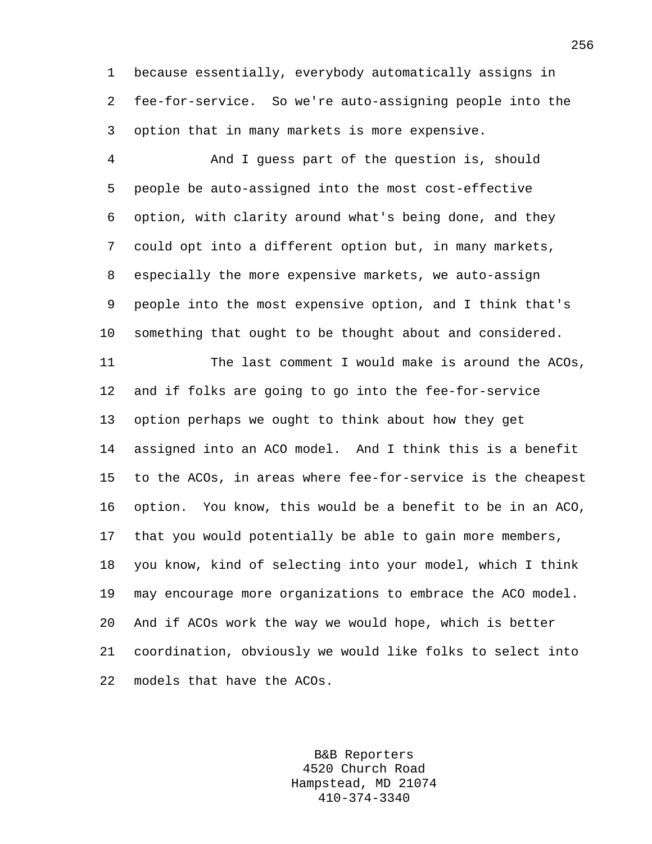1 because essentially, everybody automatically assigns in 2 fee-for-service. So we're auto-assigning people into the 3 option that in many markets is more expensive.

4 And I guess part of the question is, should 5 people be auto-assigned into the most cost-effective 6 option, with clarity around what's being done, and they 7 could opt into a different option but, in many markets, 8 especially the more expensive markets, we auto-assign 9 people into the most expensive option, and I think that's 10 something that ought to be thought about and considered.

11 The last comment I would make is around the ACOs, 12 and if folks are going to go into the fee-for-service 13 option perhaps we ought to think about how they get 14 assigned into an ACO model. And I think this is a benefit 15 to the ACOs, in areas where fee-for-service is the cheapest 16 option. You know, this would be a benefit to be in an ACO, 17 that you would potentially be able to gain more members, 18 you know, kind of selecting into your model, which I think 19 may encourage more organizations to embrace the ACO model. 20 And if ACOs work the way we would hope, which is better 21 coordination, obviously we would like folks to select into 22 models that have the ACOs.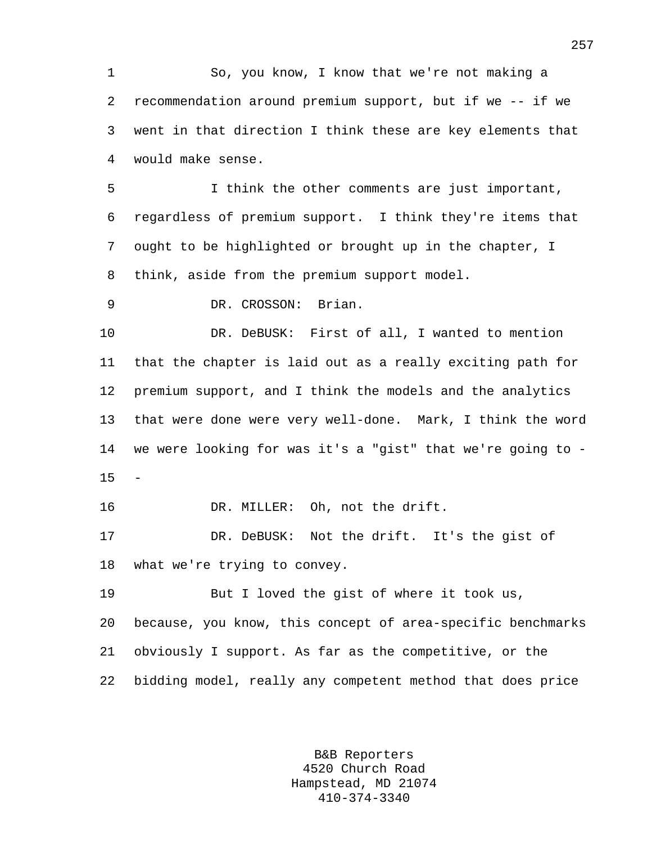1 So, you know, I know that we're not making a 2 recommendation around premium support, but if we -- if we 3 went in that direction I think these are key elements that 4 would make sense.

5 I think the other comments are just important, 6 regardless of premium support. I think they're items that 7 ought to be highlighted or brought up in the chapter, I 8 think, aside from the premium support model.

9 DR. CROSSON: Brian.

10 DR. DeBUSK: First of all, I wanted to mention 11 that the chapter is laid out as a really exciting path for 12 premium support, and I think the models and the analytics 13 that were done were very well-done. Mark, I think the word 14 we were looking for was it's a "gist" that we're going to -  $15$ 

16 DR. MILLER: Oh, not the drift.

17 DR. DeBUSK: Not the drift. It's the gist of 18 what we're trying to convey.

19 But I loved the gist of where it took us, 20 because, you know, this concept of area-specific benchmarks 21 obviously I support. As far as the competitive, or the 22 bidding model, really any competent method that does price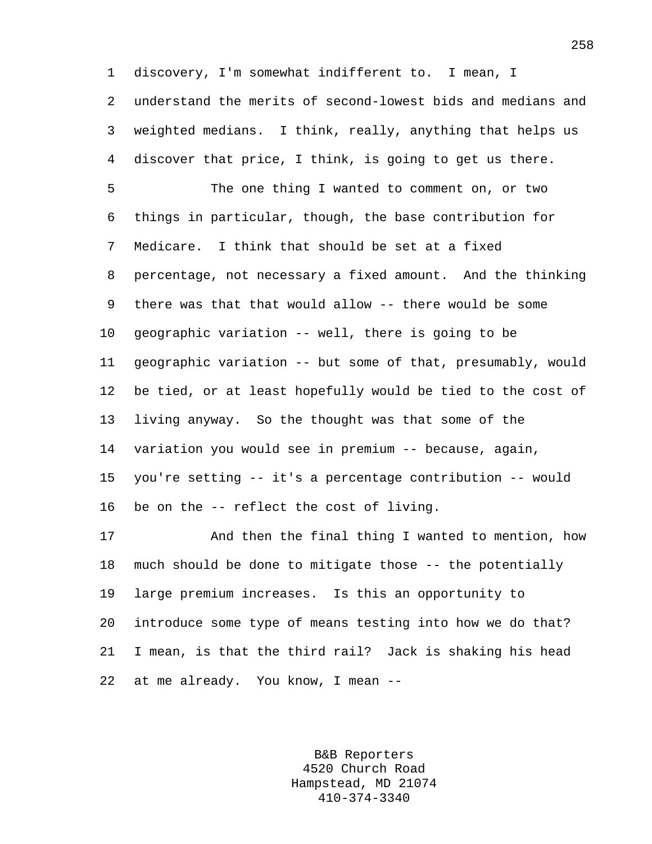1 discovery, I'm somewhat indifferent to. I mean, I 2 understand the merits of second-lowest bids and medians and 3 weighted medians. I think, really, anything that helps us 4 discover that price, I think, is going to get us there. 5 The one thing I wanted to comment on, or two 6 things in particular, though, the base contribution for 7 Medicare. I think that should be set at a fixed 8 percentage, not necessary a fixed amount. And the thinking 9 there was that that would allow -- there would be some 10 geographic variation -- well, there is going to be 11 geographic variation -- but some of that, presumably, would 12 be tied, or at least hopefully would be tied to the cost of 13 living anyway. So the thought was that some of the 14 variation you would see in premium -- because, again, 15 you're setting -- it's a percentage contribution -- would 16 be on the -- reflect the cost of living. 17 And then the final thing I wanted to mention, how

18 much should be done to mitigate those -- the potentially 19 large premium increases. Is this an opportunity to 20 introduce some type of means testing into how we do that? 21 I mean, is that the third rail? Jack is shaking his head 22 at me already. You know, I mean --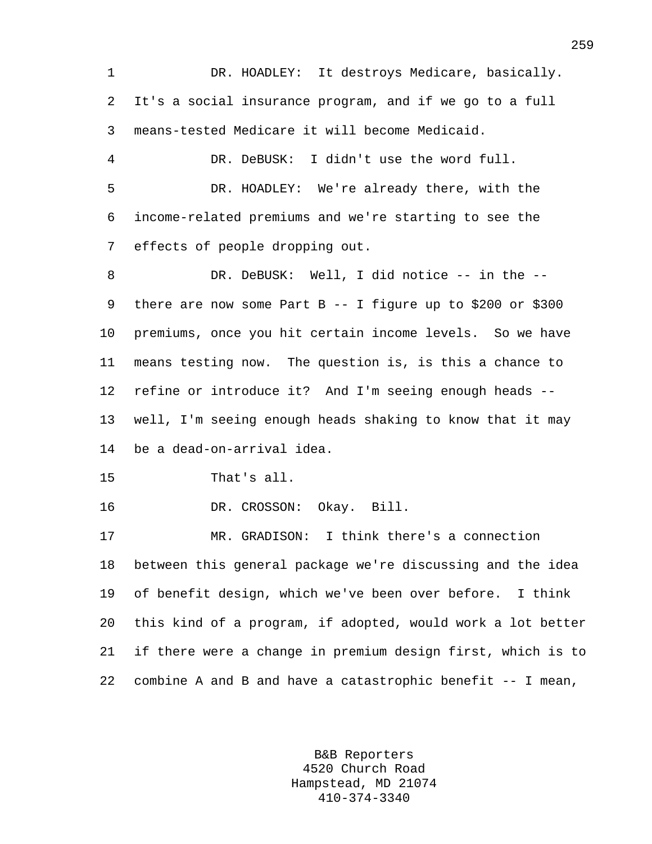1 DR. HOADLEY: It destroys Medicare, basically. 2 It's a social insurance program, and if we go to a full 3 means-tested Medicare it will become Medicaid.

4 DR. DeBUSK: I didn't use the word full. 5 DR. HOADLEY: We're already there, with the 6 income-related premiums and we're starting to see the 7 effects of people dropping out.

8 DR. DeBUSK: Well, I did notice -- in the --9 there are now some Part B -- I figure up to \$200 or \$300 10 premiums, once you hit certain income levels. So we have 11 means testing now. The question is, is this a chance to 12 refine or introduce it? And I'm seeing enough heads -- 13 well, I'm seeing enough heads shaking to know that it may 14 be a dead-on-arrival idea.

15 That's all.

16 DR. CROSSON: Okay. Bill.

17 MR. GRADISON: I think there's a connection 18 between this general package we're discussing and the idea 19 of benefit design, which we've been over before. I think 20 this kind of a program, if adopted, would work a lot better 21 if there were a change in premium design first, which is to 22 combine A and B and have a catastrophic benefit -- I mean,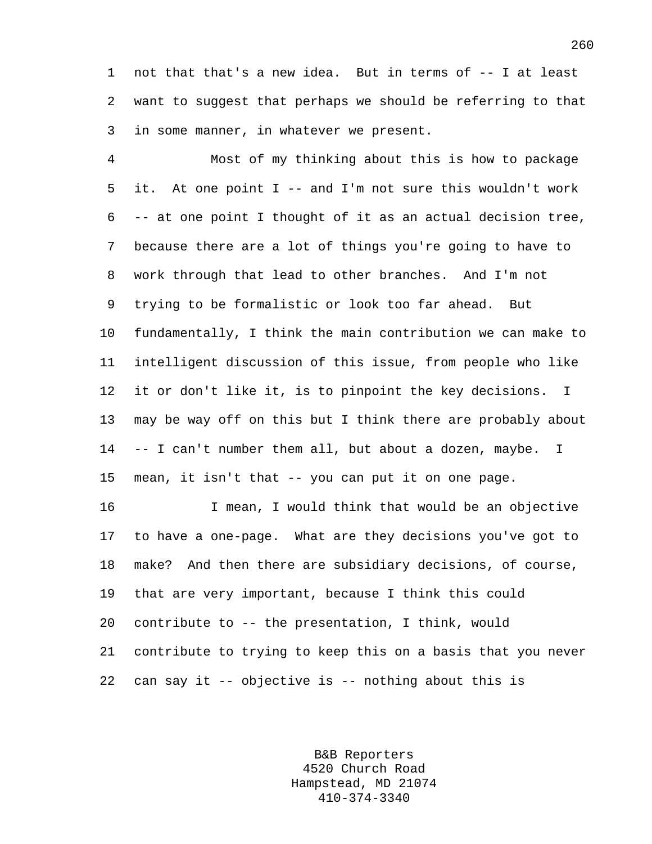1 not that that's a new idea. But in terms of -- I at least 2 want to suggest that perhaps we should be referring to that 3 in some manner, in whatever we present.

4 Most of my thinking about this is how to package 5 it. At one point I -- and I'm not sure this wouldn't work 6 -- at one point I thought of it as an actual decision tree, 7 because there are a lot of things you're going to have to 8 work through that lead to other branches. And I'm not 9 trying to be formalistic or look too far ahead. But 10 fundamentally, I think the main contribution we can make to 11 intelligent discussion of this issue, from people who like 12 it or don't like it, is to pinpoint the key decisions. I 13 may be way off on this but I think there are probably about 14 -- I can't number them all, but about a dozen, maybe. I 15 mean, it isn't that -- you can put it on one page.

16 I mean, I would think that would be an objective 17 to have a one-page. What are they decisions you've got to 18 make? And then there are subsidiary decisions, of course, 19 that are very important, because I think this could 20 contribute to -- the presentation, I think, would 21 contribute to trying to keep this on a basis that you never 22 can say it -- objective is -- nothing about this is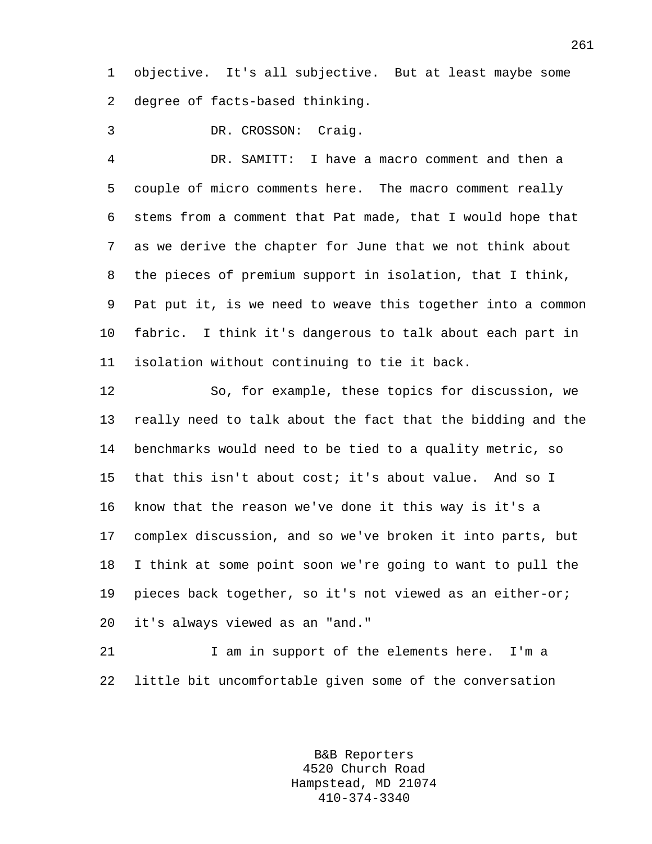1 objective. It's all subjective. But at least maybe some 2 degree of facts-based thinking.

3 DR. CROSSON: Craig.

4 DR. SAMITT: I have a macro comment and then a 5 couple of micro comments here. The macro comment really 6 stems from a comment that Pat made, that I would hope that 7 as we derive the chapter for June that we not think about 8 the pieces of premium support in isolation, that I think, 9 Pat put it, is we need to weave this together into a common 10 fabric. I think it's dangerous to talk about each part in 11 isolation without continuing to tie it back.

12 So, for example, these topics for discussion, we 13 really need to talk about the fact that the bidding and the 14 benchmarks would need to be tied to a quality metric, so 15 that this isn't about cost; it's about value. And so I 16 know that the reason we've done it this way is it's a 17 complex discussion, and so we've broken it into parts, but 18 I think at some point soon we're going to want to pull the 19 pieces back together, so it's not viewed as an either-or; 20 it's always viewed as an "and."

21 I am in support of the elements here. I'm a 22 little bit uncomfortable given some of the conversation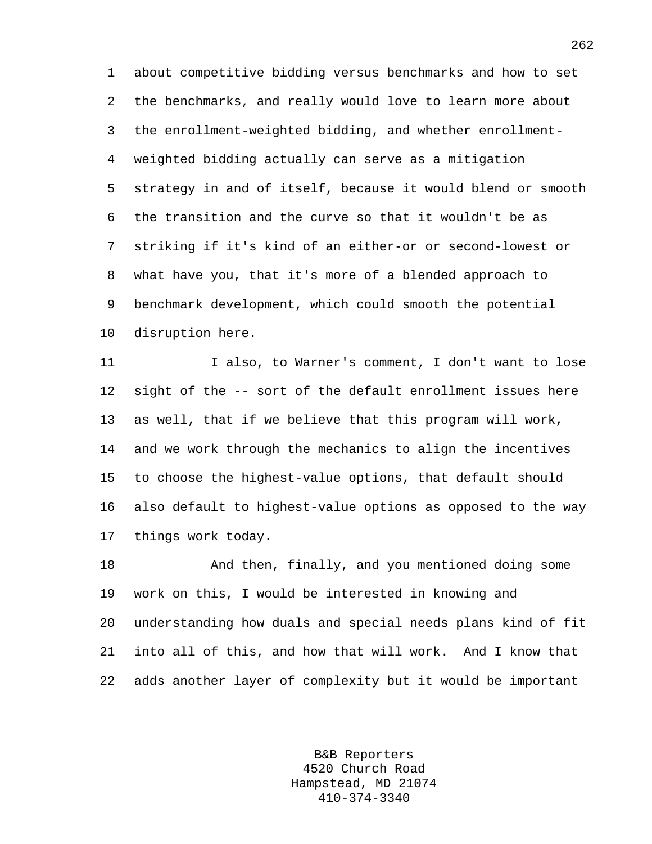1 about competitive bidding versus benchmarks and how to set 2 the benchmarks, and really would love to learn more about 3 the enrollment-weighted bidding, and whether enrollment-4 weighted bidding actually can serve as a mitigation 5 strategy in and of itself, because it would blend or smooth 6 the transition and the curve so that it wouldn't be as 7 striking if it's kind of an either-or or second-lowest or 8 what have you, that it's more of a blended approach to 9 benchmark development, which could smooth the potential 10 disruption here.

11 I also, to Warner's comment, I don't want to lose 12 sight of the -- sort of the default enrollment issues here 13 as well, that if we believe that this program will work, 14 and we work through the mechanics to align the incentives 15 to choose the highest-value options, that default should 16 also default to highest-value options as opposed to the way 17 things work today.

18 And then, finally, and you mentioned doing some 19 work on this, I would be interested in knowing and 20 understanding how duals and special needs plans kind of fit 21 into all of this, and how that will work. And I know that 22 adds another layer of complexity but it would be important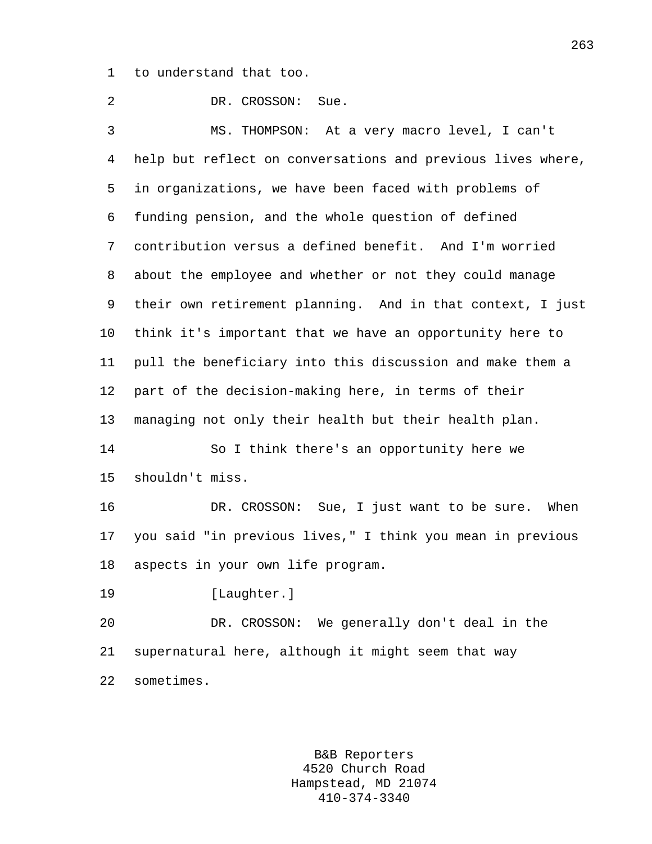1 to understand that too.

2 DR. CROSSON: Sue. 3 MS. THOMPSON: At a very macro level, I can't 4 help but reflect on conversations and previous lives where, 5 in organizations, we have been faced with problems of 6 funding pension, and the whole question of defined 7 contribution versus a defined benefit. And I'm worried 8 about the employee and whether or not they could manage 9 their own retirement planning. And in that context, I just 10 think it's important that we have an opportunity here to 11 pull the beneficiary into this discussion and make them a 12 part of the decision-making here, in terms of their 13 managing not only their health but their health plan. 14 So I think there's an opportunity here we 15 shouldn't miss. 16 DR. CROSSON: Sue, I just want to be sure. When 17 you said "in previous lives," I think you mean in previous 18 aspects in your own life program. 19 [Laughter.] 20 DR. CROSSON: We generally don't deal in the 21 supernatural here, although it might seem that way 22 sometimes.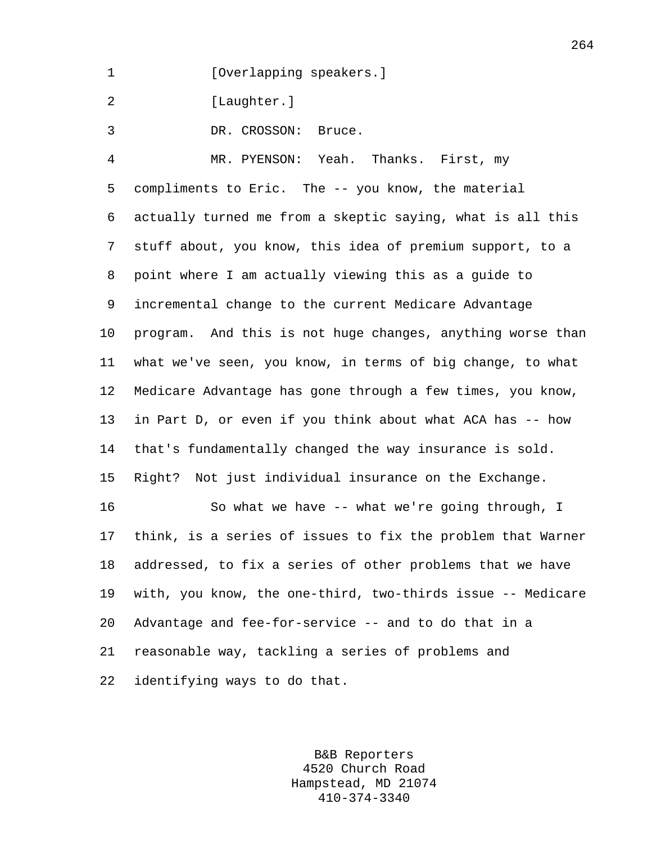1 [Overlapping speakers.]

2 [Laughter.]

3 DR. CROSSON: Bruce.

4 MR. PYENSON: Yeah. Thanks. First, my 5 compliments to Eric. The -- you know, the material 6 actually turned me from a skeptic saying, what is all this 7 stuff about, you know, this idea of premium support, to a 8 point where I am actually viewing this as a guide to 9 incremental change to the current Medicare Advantage 10 program. And this is not huge changes, anything worse than 11 what we've seen, you know, in terms of big change, to what 12 Medicare Advantage has gone through a few times, you know, 13 in Part D, or even if you think about what ACA has -- how 14 that's fundamentally changed the way insurance is sold. 15 Right? Not just individual insurance on the Exchange. 16 So what we have -- what we're going through, I 17 think, is a series of issues to fix the problem that Warner 18 addressed, to fix a series of other problems that we have 19 with, you know, the one-third, two-thirds issue -- Medicare 20 Advantage and fee-for-service -- and to do that in a

21 reasonable way, tackling a series of problems and

22 identifying ways to do that.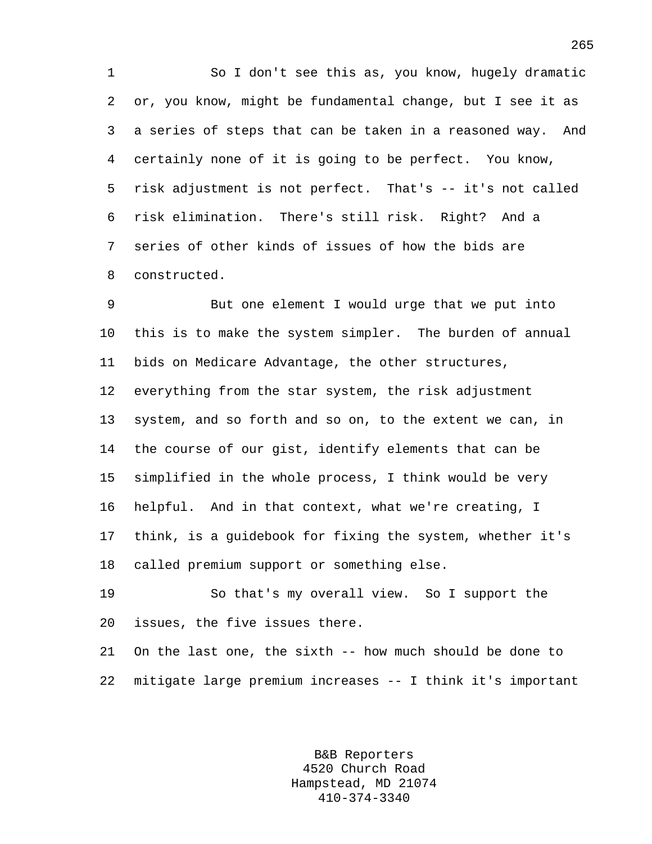1 So I don't see this as, you know, hugely dramatic 2 or, you know, might be fundamental change, but I see it as 3 a series of steps that can be taken in a reasoned way. And 4 certainly none of it is going to be perfect. You know, 5 risk adjustment is not perfect. That's -- it's not called 6 risk elimination. There's still risk. Right? And a 7 series of other kinds of issues of how the bids are 8 constructed.

9 But one element I would urge that we put into 10 this is to make the system simpler. The burden of annual 11 bids on Medicare Advantage, the other structures, 12 everything from the star system, the risk adjustment 13 system, and so forth and so on, to the extent we can, in 14 the course of our gist, identify elements that can be 15 simplified in the whole process, I think would be very 16 helpful. And in that context, what we're creating, I 17 think, is a guidebook for fixing the system, whether it's 18 called premium support or something else.

19 So that's my overall view. So I support the 20 issues, the five issues there.

21 On the last one, the sixth -- how much should be done to 22 mitigate large premium increases -- I think it's important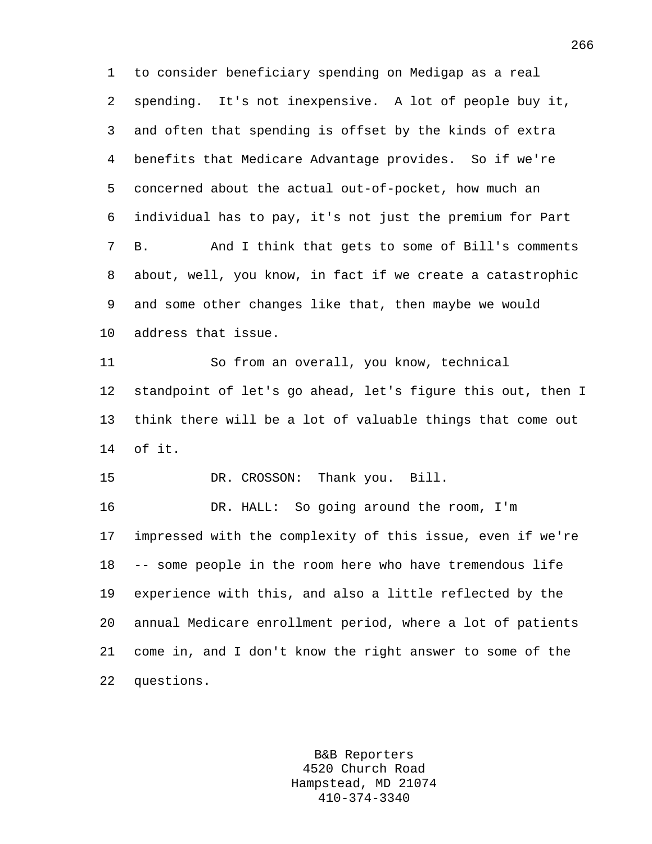1 to consider beneficiary spending on Medigap as a real 2 spending. It's not inexpensive. A lot of people buy it, 3 and often that spending is offset by the kinds of extra 4 benefits that Medicare Advantage provides. So if we're 5 concerned about the actual out-of-pocket, how much an 6 individual has to pay, it's not just the premium for Part 7 B. And I think that gets to some of Bill's comments 8 about, well, you know, in fact if we create a catastrophic 9 and some other changes like that, then maybe we would 10 address that issue. 11 So from an overall, you know, technical 12 standpoint of let's go ahead, let's figure this out, then I 13 think there will be a lot of valuable things that come out 14 of it. 15 DR. CROSSON: Thank you. Bill. 16 DR. HALL: So going around the room, I'm 17 impressed with the complexity of this issue, even if we're 18 -- some people in the room here who have tremendous life 19 experience with this, and also a little reflected by the 20 annual Medicare enrollment period, where a lot of patients 21 come in, and I don't know the right answer to some of the 22 questions.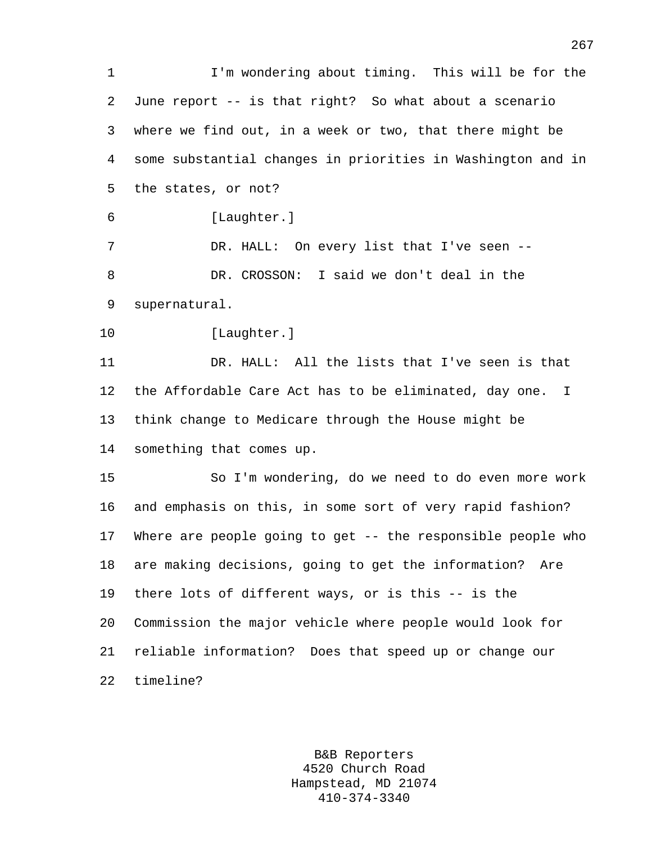1 I'm wondering about timing. This will be for the 2 June report -- is that right? So what about a scenario 3 where we find out, in a week or two, that there might be 4 some substantial changes in priorities in Washington and in 5 the states, or not? 6 [Laughter.] 7 DR. HALL: On every list that I've seen --8 DR. CROSSON: I said we don't deal in the 9 supernatural. 10 [Laughter.] 11 DR. HALL: All the lists that I've seen is that 12 the Affordable Care Act has to be eliminated, day one. I 13 think change to Medicare through the House might be 14 something that comes up. 15 So I'm wondering, do we need to do even more work 16 and emphasis on this, in some sort of very rapid fashion? 17 Where are people going to get -- the responsible people who 18 are making decisions, going to get the information? Are 19 there lots of different ways, or is this -- is the 20 Commission the major vehicle where people would look for 21 reliable information? Does that speed up or change our 22 timeline?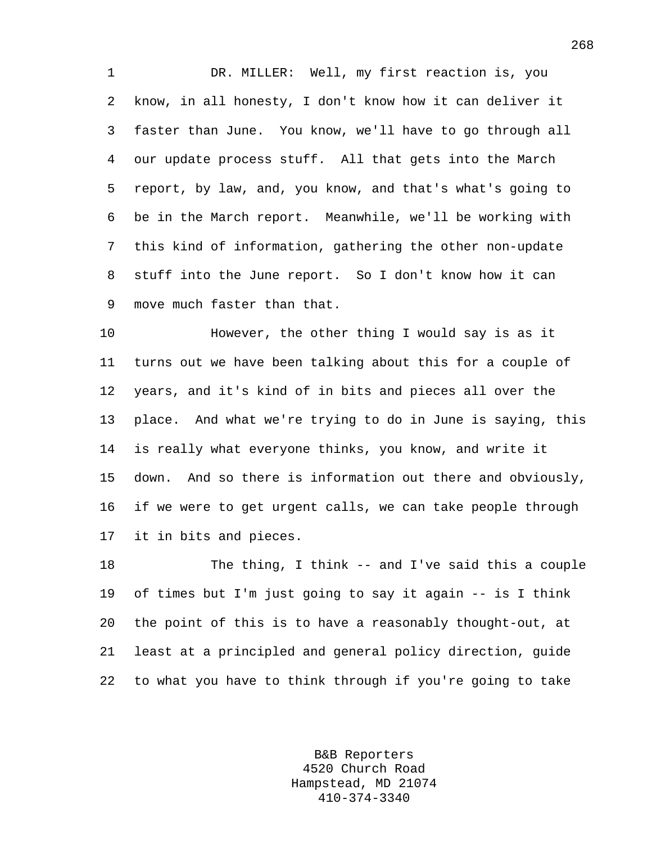1 DR. MILLER: Well, my first reaction is, you 2 know, in all honesty, I don't know how it can deliver it 3 faster than June. You know, we'll have to go through all 4 our update process stuff. All that gets into the March 5 report, by law, and, you know, and that's what's going to 6 be in the March report. Meanwhile, we'll be working with 7 this kind of information, gathering the other non-update 8 stuff into the June report. So I don't know how it can 9 move much faster than that.

10 However, the other thing I would say is as it 11 turns out we have been talking about this for a couple of 12 years, and it's kind of in bits and pieces all over the 13 place. And what we're trying to do in June is saying, this 14 is really what everyone thinks, you know, and write it 15 down. And so there is information out there and obviously, 16 if we were to get urgent calls, we can take people through 17 it in bits and pieces.

18 The thing, I think -- and I've said this a couple 19 of times but I'm just going to say it again -- is I think 20 the point of this is to have a reasonably thought-out, at 21 least at a principled and general policy direction, guide 22 to what you have to think through if you're going to take

> B&B Reporters 4520 Church Road Hampstead, MD 21074 410-374-3340

268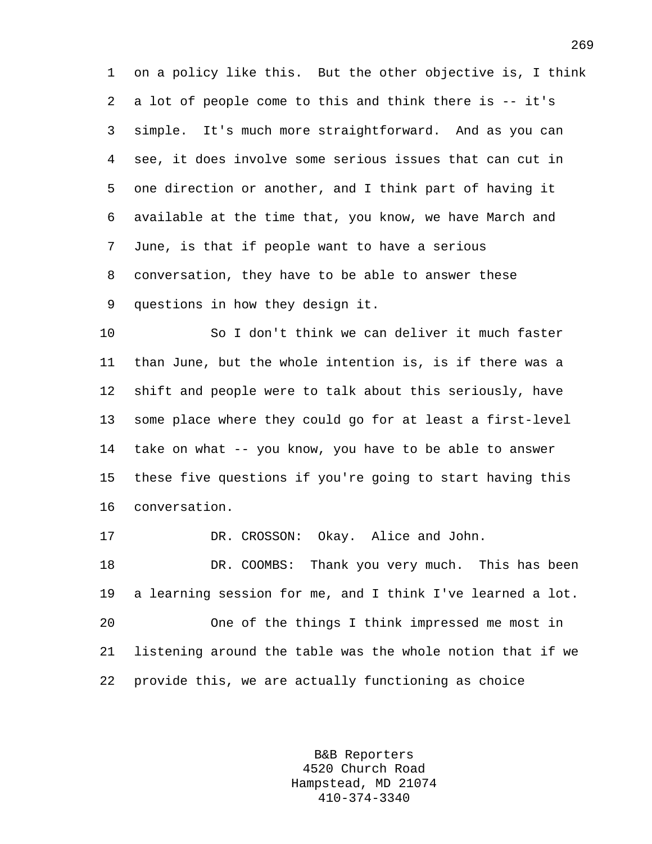1 on a policy like this. But the other objective is, I think 2 a lot of people come to this and think there is -- it's 3 simple. It's much more straightforward. And as you can 4 see, it does involve some serious issues that can cut in 5 one direction or another, and I think part of having it 6 available at the time that, you know, we have March and 7 June, is that if people want to have a serious 8 conversation, they have to be able to answer these 9 questions in how they design it.

10 So I don't think we can deliver it much faster 11 than June, but the whole intention is, is if there was a 12 shift and people were to talk about this seriously, have 13 some place where they could go for at least a first-level 14 take on what -- you know, you have to be able to answer 15 these five questions if you're going to start having this 16 conversation.

17 DR. CROSSON: Okay. Alice and John.

18 DR. COOMBS: Thank you very much. This has been 19 a learning session for me, and I think I've learned a lot. 20 One of the things I think impressed me most in 21 listening around the table was the whole notion that if we 22 provide this, we are actually functioning as choice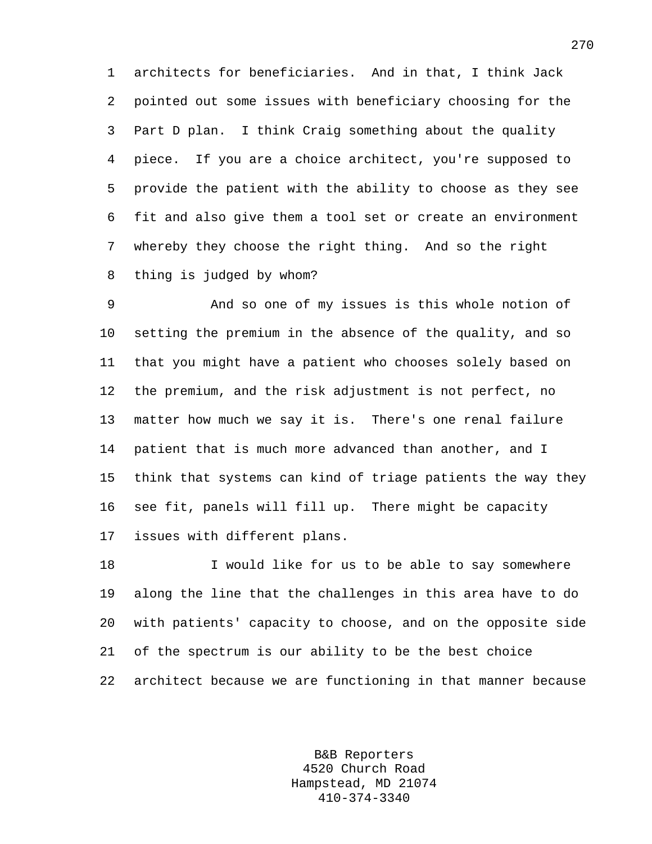1 architects for beneficiaries. And in that, I think Jack 2 pointed out some issues with beneficiary choosing for the 3 Part D plan. I think Craig something about the quality 4 piece. If you are a choice architect, you're supposed to 5 provide the patient with the ability to choose as they see 6 fit and also give them a tool set or create an environment 7 whereby they choose the right thing. And so the right 8 thing is judged by whom?

9 And so one of my issues is this whole notion of 10 setting the premium in the absence of the quality, and so 11 that you might have a patient who chooses solely based on 12 the premium, and the risk adjustment is not perfect, no 13 matter how much we say it is. There's one renal failure 14 patient that is much more advanced than another, and I 15 think that systems can kind of triage patients the way they 16 see fit, panels will fill up. There might be capacity 17 issues with different plans.

18 I would like for us to be able to say somewhere 19 along the line that the challenges in this area have to do 20 with patients' capacity to choose, and on the opposite side 21 of the spectrum is our ability to be the best choice 22 architect because we are functioning in that manner because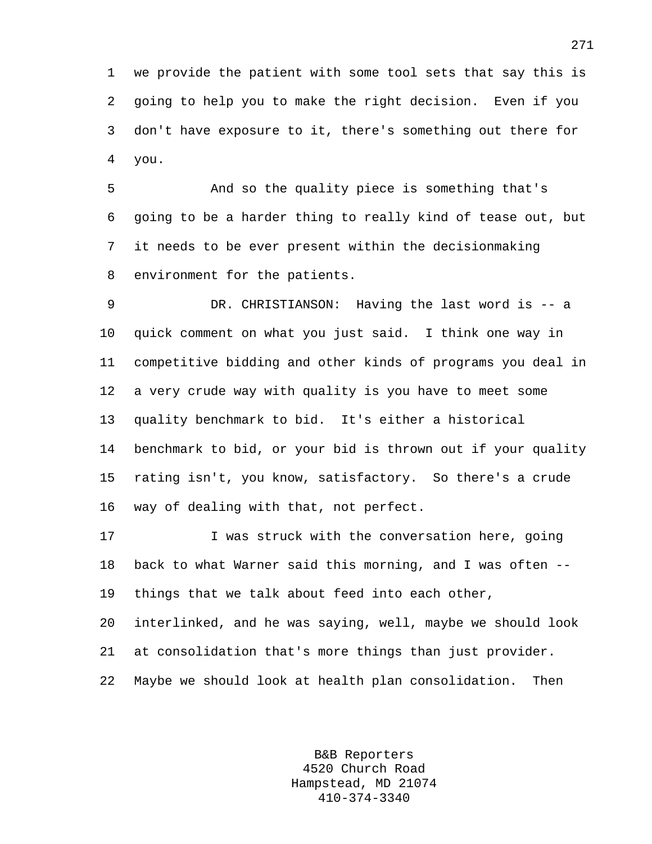1 we provide the patient with some tool sets that say this is 2 going to help you to make the right decision. Even if you 3 don't have exposure to it, there's something out there for 4 you.

5 And so the quality piece is something that's 6 going to be a harder thing to really kind of tease out, but 7 it needs to be ever present within the decisionmaking 8 environment for the patients.

9 DR. CHRISTIANSON: Having the last word is -- a 10 quick comment on what you just said. I think one way in 11 competitive bidding and other kinds of programs you deal in 12 a very crude way with quality is you have to meet some 13 quality benchmark to bid. It's either a historical 14 benchmark to bid, or your bid is thrown out if your quality 15 rating isn't, you know, satisfactory. So there's a crude 16 way of dealing with that, not perfect.

17 I was struck with the conversation here, going 18 back to what Warner said this morning, and I was often -- 19 things that we talk about feed into each other,

20 interlinked, and he was saying, well, maybe we should look 21 at consolidation that's more things than just provider. 22 Maybe we should look at health plan consolidation. Then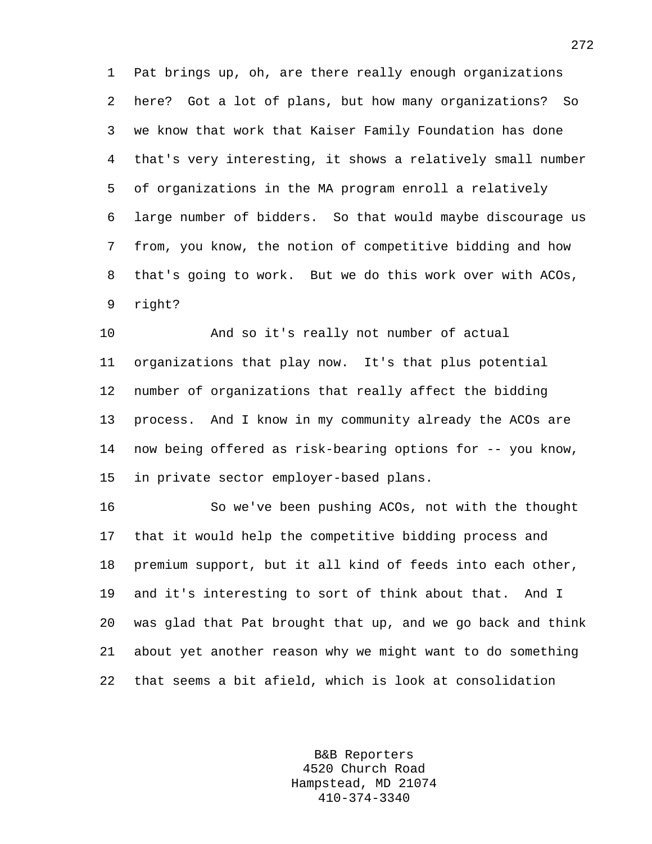1 Pat brings up, oh, are there really enough organizations 2 here? Got a lot of plans, but how many organizations? So 3 we know that work that Kaiser Family Foundation has done 4 that's very interesting, it shows a relatively small number 5 of organizations in the MA program enroll a relatively 6 large number of bidders. So that would maybe discourage us 7 from, you know, the notion of competitive bidding and how 8 that's going to work. But we do this work over with ACOs, 9 right?

10 And so it's really not number of actual 11 organizations that play now. It's that plus potential 12 number of organizations that really affect the bidding 13 process. And I know in my community already the ACOs are 14 now being offered as risk-bearing options for -- you know, 15 in private sector employer-based plans.

16 So we've been pushing ACOs, not with the thought 17 that it would help the competitive bidding process and 18 premium support, but it all kind of feeds into each other, 19 and it's interesting to sort of think about that. And I 20 was glad that Pat brought that up, and we go back and think 21 about yet another reason why we might want to do something 22 that seems a bit afield, which is look at consolidation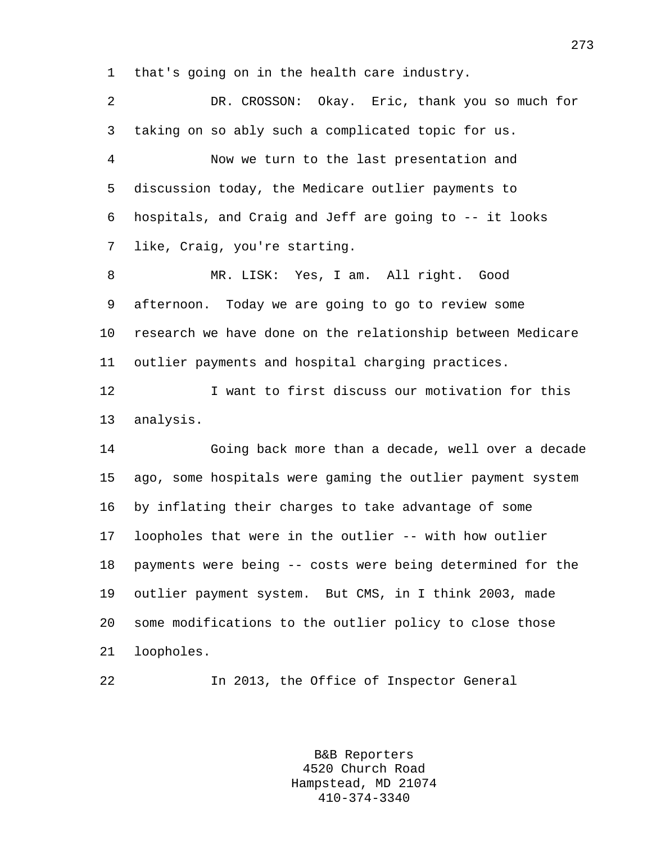1 that's going on in the health care industry.

2 DR. CROSSON: Okay. Eric, thank you so much for 3 taking on so ably such a complicated topic for us. 4 Now we turn to the last presentation and 5 discussion today, the Medicare outlier payments to 6 hospitals, and Craig and Jeff are going to -- it looks 7 like, Craig, you're starting. 8 MR. LISK: Yes, I am. All right. Good 9 afternoon. Today we are going to go to review some 10 research we have done on the relationship between Medicare 11 outlier payments and hospital charging practices. 12 I want to first discuss our motivation for this 13 analysis. 14 Going back more than a decade, well over a decade 15 ago, some hospitals were gaming the outlier payment system 16 by inflating their charges to take advantage of some 17 loopholes that were in the outlier -- with how outlier 18 payments were being -- costs were being determined for the 19 outlier payment system. But CMS, in I think 2003, made 20 some modifications to the outlier policy to close those 21 loopholes.

22 In 2013, the Office of Inspector General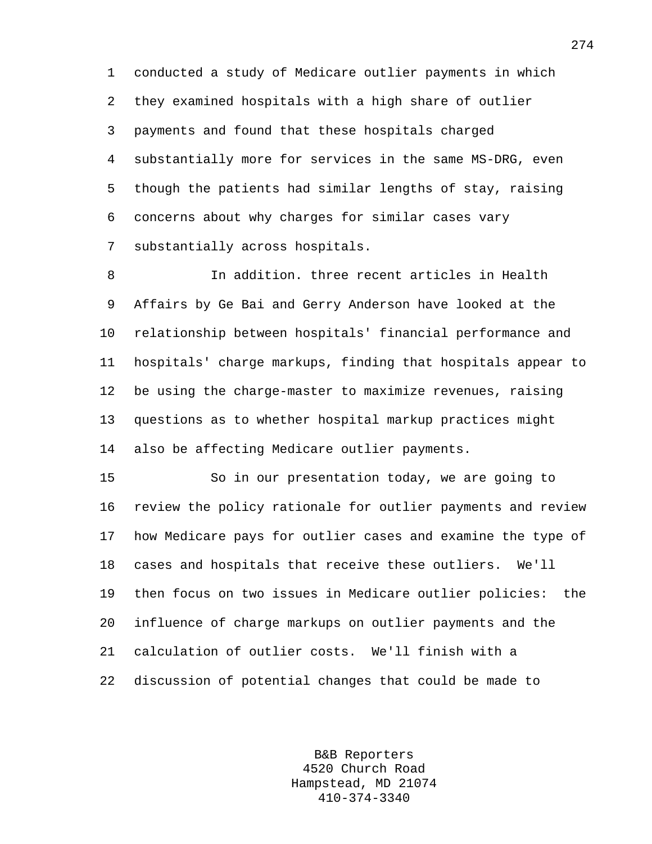1 conducted a study of Medicare outlier payments in which 2 they examined hospitals with a high share of outlier 3 payments and found that these hospitals charged 4 substantially more for services in the same MS-DRG, even 5 though the patients had similar lengths of stay, raising 6 concerns about why charges for similar cases vary 7 substantially across hospitals.

8 In addition. three recent articles in Health 9 Affairs by Ge Bai and Gerry Anderson have looked at the 10 relationship between hospitals' financial performance and 11 hospitals' charge markups, finding that hospitals appear to 12 be using the charge-master to maximize revenues, raising 13 questions as to whether hospital markup practices might 14 also be affecting Medicare outlier payments.

15 So in our presentation today, we are going to 16 review the policy rationale for outlier payments and review 17 how Medicare pays for outlier cases and examine the type of 18 cases and hospitals that receive these outliers. We'll 19 then focus on two issues in Medicare outlier policies: the 20 influence of charge markups on outlier payments and the 21 calculation of outlier costs. We'll finish with a 22 discussion of potential changes that could be made to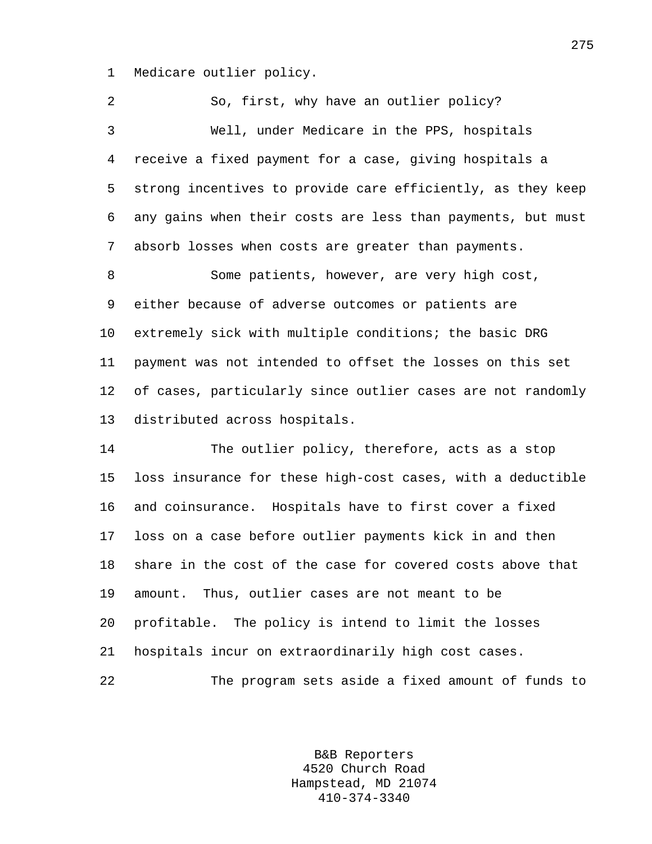1 Medicare outlier policy.

2 So, first, why have an outlier policy? 3 Well, under Medicare in the PPS, hospitals 4 receive a fixed payment for a case, giving hospitals a 5 strong incentives to provide care efficiently, as they keep 6 any gains when their costs are less than payments, but must 7 absorb losses when costs are greater than payments. 8 Some patients, however, are very high cost, 9 either because of adverse outcomes or patients are 10 extremely sick with multiple conditions; the basic DRG 11 payment was not intended to offset the losses on this set 12 of cases, particularly since outlier cases are not randomly 13 distributed across hospitals.

14 The outlier policy, therefore, acts as a stop 15 loss insurance for these high-cost cases, with a deductible 16 and coinsurance. Hospitals have to first cover a fixed 17 loss on a case before outlier payments kick in and then 18 share in the cost of the case for covered costs above that 19 amount. Thus, outlier cases are not meant to be 20 profitable. The policy is intend to limit the losses 21 hospitals incur on extraordinarily high cost cases. 22 The program sets aside a fixed amount of funds to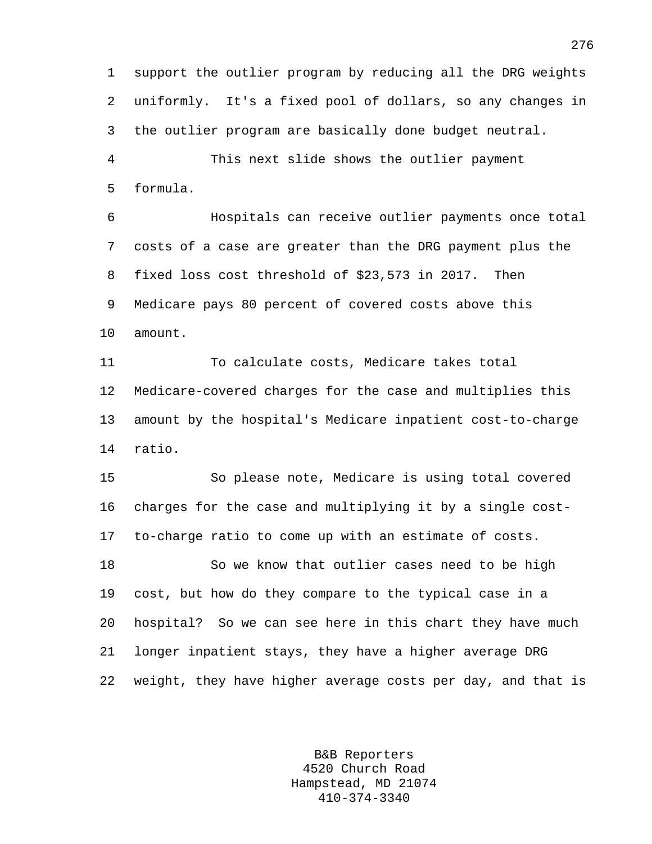1 support the outlier program by reducing all the DRG weights 2 uniformly. It's a fixed pool of dollars, so any changes in 3 the outlier program are basically done budget neutral. 4 This next slide shows the outlier payment

5 formula.

6 Hospitals can receive outlier payments once total 7 costs of a case are greater than the DRG payment plus the 8 fixed loss cost threshold of \$23,573 in 2017. Then 9 Medicare pays 80 percent of covered costs above this 10 amount.

11 To calculate costs, Medicare takes total 12 Medicare-covered charges for the case and multiplies this 13 amount by the hospital's Medicare inpatient cost-to-charge 14 ratio.

15 So please note, Medicare is using total covered 16 charges for the case and multiplying it by a single cost-17 to-charge ratio to come up with an estimate of costs.

18 So we know that outlier cases need to be high 19 cost, but how do they compare to the typical case in a 20 hospital? So we can see here in this chart they have much 21 longer inpatient stays, they have a higher average DRG 22 weight, they have higher average costs per day, and that is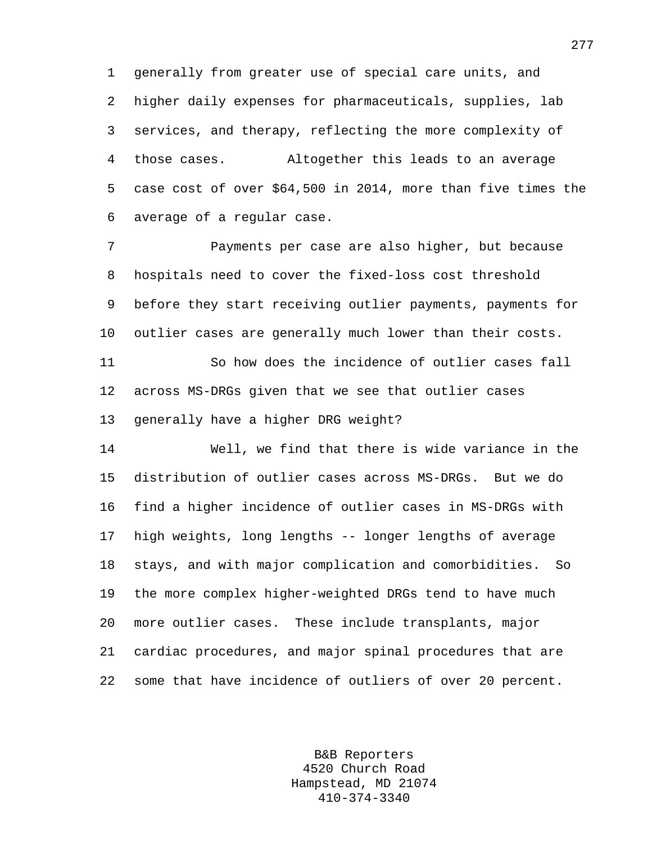1 generally from greater use of special care units, and 2 higher daily expenses for pharmaceuticals, supplies, lab 3 services, and therapy, reflecting the more complexity of 4 those cases. Altogether this leads to an average 5 case cost of over \$64,500 in 2014, more than five times the 6 average of a regular case.

7 Payments per case are also higher, but because 8 hospitals need to cover the fixed-loss cost threshold 9 before they start receiving outlier payments, payments for 10 outlier cases are generally much lower than their costs. 11 So how does the incidence of outlier cases fall

12 across MS-DRGs given that we see that outlier cases 13 generally have a higher DRG weight?

14 Well, we find that there is wide variance in the 15 distribution of outlier cases across MS-DRGs. But we do 16 find a higher incidence of outlier cases in MS-DRGs with 17 high weights, long lengths -- longer lengths of average 18 stays, and with major complication and comorbidities. So 19 the more complex higher-weighted DRGs tend to have much 20 more outlier cases. These include transplants, major 21 cardiac procedures, and major spinal procedures that are 22 some that have incidence of outliers of over 20 percent.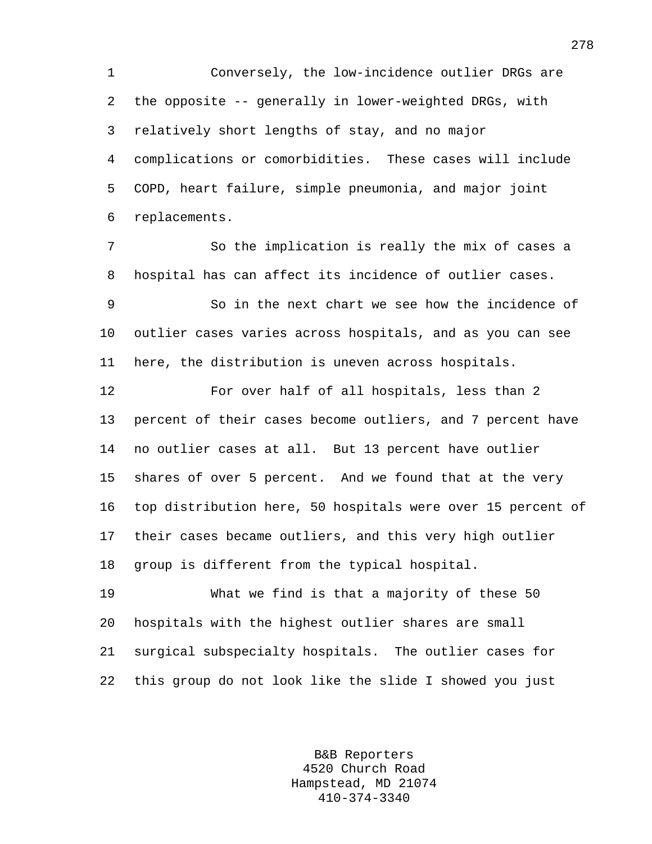1 Conversely, the low-incidence outlier DRGs are 2 the opposite -- generally in lower-weighted DRGs, with 3 relatively short lengths of stay, and no major 4 complications or comorbidities. These cases will include 5 COPD, heart failure, simple pneumonia, and major joint 6 replacements.

7 So the implication is really the mix of cases a 8 hospital has can affect its incidence of outlier cases.

9 So in the next chart we see how the incidence of 10 outlier cases varies across hospitals, and as you can see 11 here, the distribution is uneven across hospitals.

12 For over half of all hospitals, less than 2 13 percent of their cases become outliers, and 7 percent have 14 no outlier cases at all. But 13 percent have outlier 15 shares of over 5 percent. And we found that at the very 16 top distribution here, 50 hospitals were over 15 percent of 17 their cases became outliers, and this very high outlier 18 group is different from the typical hospital.

19 What we find is that a majority of these 50 20 hospitals with the highest outlier shares are small 21 surgical subspecialty hospitals. The outlier cases for 22 this group do not look like the slide I showed you just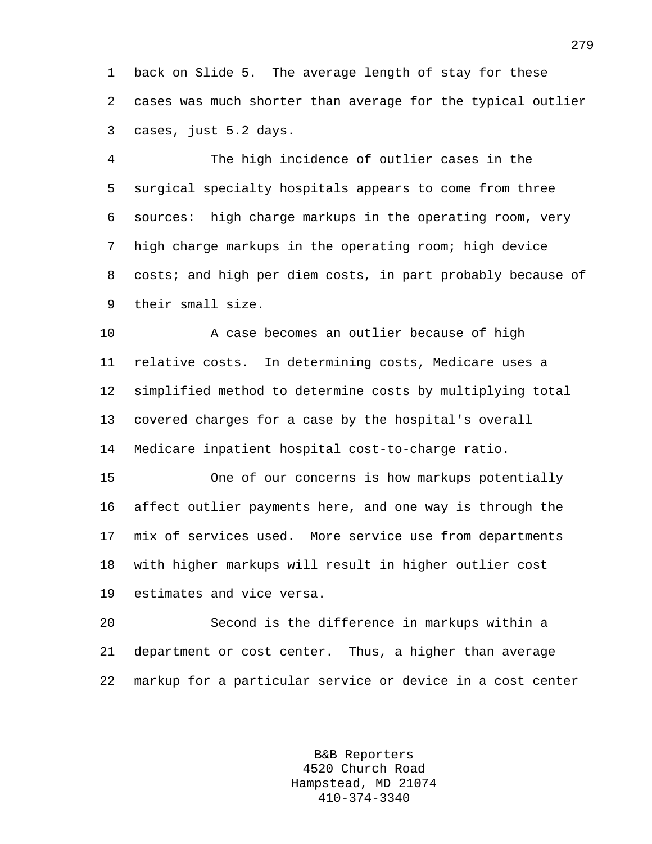1 back on Slide 5. The average length of stay for these 2 cases was much shorter than average for the typical outlier 3 cases, just 5.2 days.

4 The high incidence of outlier cases in the 5 surgical specialty hospitals appears to come from three 6 sources: high charge markups in the operating room, very 7 high charge markups in the operating room; high device 8 costs; and high per diem costs, in part probably because of 9 their small size.

10 A case becomes an outlier because of high 11 relative costs. In determining costs, Medicare uses a 12 simplified method to determine costs by multiplying total 13 covered charges for a case by the hospital's overall 14 Medicare inpatient hospital cost-to-charge ratio.

15 One of our concerns is how markups potentially 16 affect outlier payments here, and one way is through the 17 mix of services used. More service use from departments 18 with higher markups will result in higher outlier cost 19 estimates and vice versa.

20 Second is the difference in markups within a 21 department or cost center. Thus, a higher than average 22 markup for a particular service or device in a cost center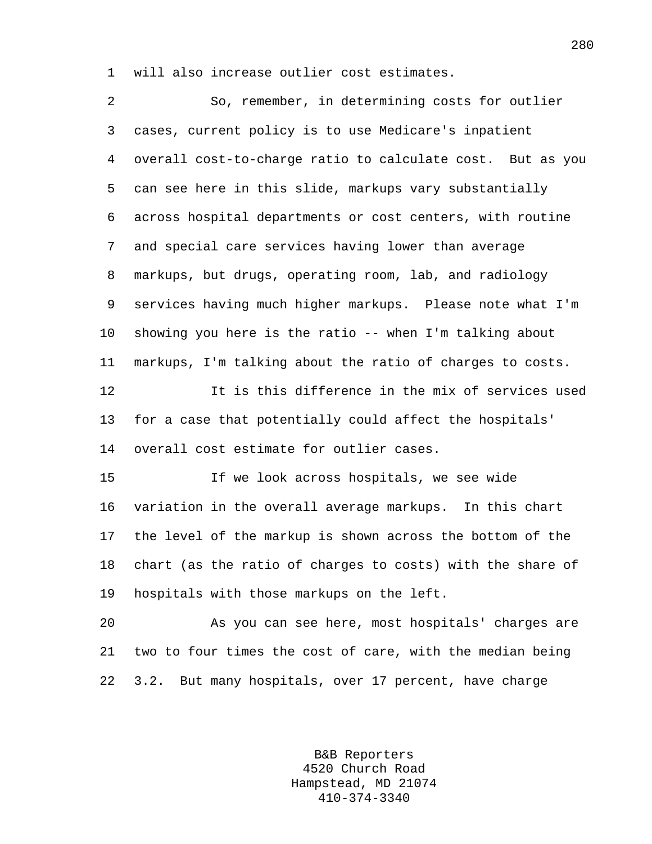1 will also increase outlier cost estimates.

2 So, remember, in determining costs for outlier 3 cases, current policy is to use Medicare's inpatient 4 overall cost-to-charge ratio to calculate cost. But as you 5 can see here in this slide, markups vary substantially 6 across hospital departments or cost centers, with routine 7 and special care services having lower than average 8 markups, but drugs, operating room, lab, and radiology 9 services having much higher markups. Please note what I'm 10 showing you here is the ratio -- when I'm talking about 11 markups, I'm talking about the ratio of charges to costs. 12 It is this difference in the mix of services used 13 for a case that potentially could affect the hospitals' 14 overall cost estimate for outlier cases. 15 If we look across hospitals, we see wide 16 variation in the overall average markups. In this chart 17 the level of the markup is shown across the bottom of the 18 chart (as the ratio of charges to costs) with the share of 19 hospitals with those markups on the left. 20 As you can see here, most hospitals' charges are 21 two to four times the cost of care, with the median being 22 3.2. But many hospitals, over 17 percent, have charge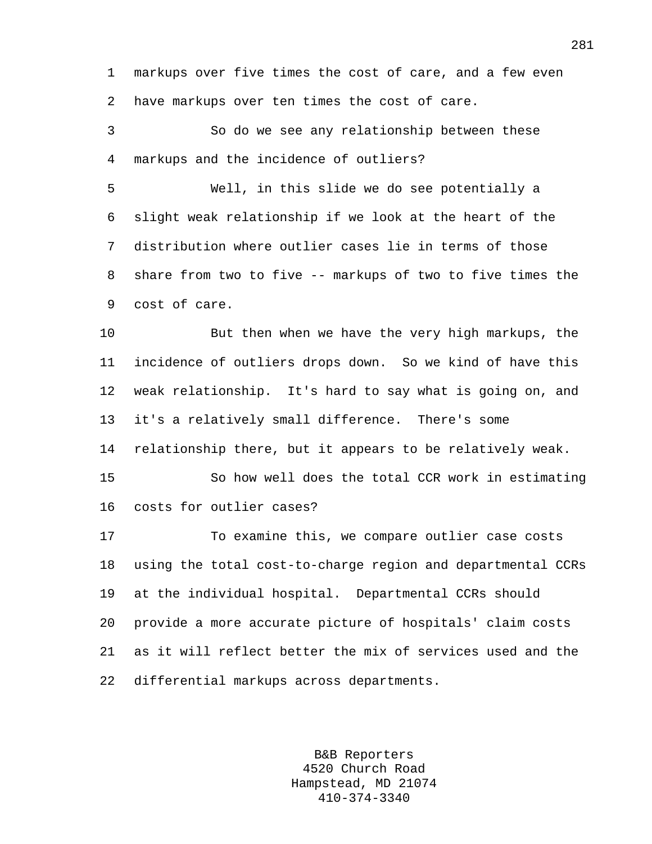1 markups over five times the cost of care, and a few even 2 have markups over ten times the cost of care.

3 So do we see any relationship between these 4 markups and the incidence of outliers?

5 Well, in this slide we do see potentially a 6 slight weak relationship if we look at the heart of the 7 distribution where outlier cases lie in terms of those 8 share from two to five -- markups of two to five times the 9 cost of care.

10 But then when we have the very high markups, the 11 incidence of outliers drops down. So we kind of have this 12 weak relationship. It's hard to say what is going on, and 13 it's a relatively small difference. There's some 14 relationship there, but it appears to be relatively weak.

15 So how well does the total CCR work in estimating

16 costs for outlier cases?

17 To examine this, we compare outlier case costs 18 using the total cost-to-charge region and departmental CCRs 19 at the individual hospital. Departmental CCRs should 20 provide a more accurate picture of hospitals' claim costs 21 as it will reflect better the mix of services used and the 22 differential markups across departments.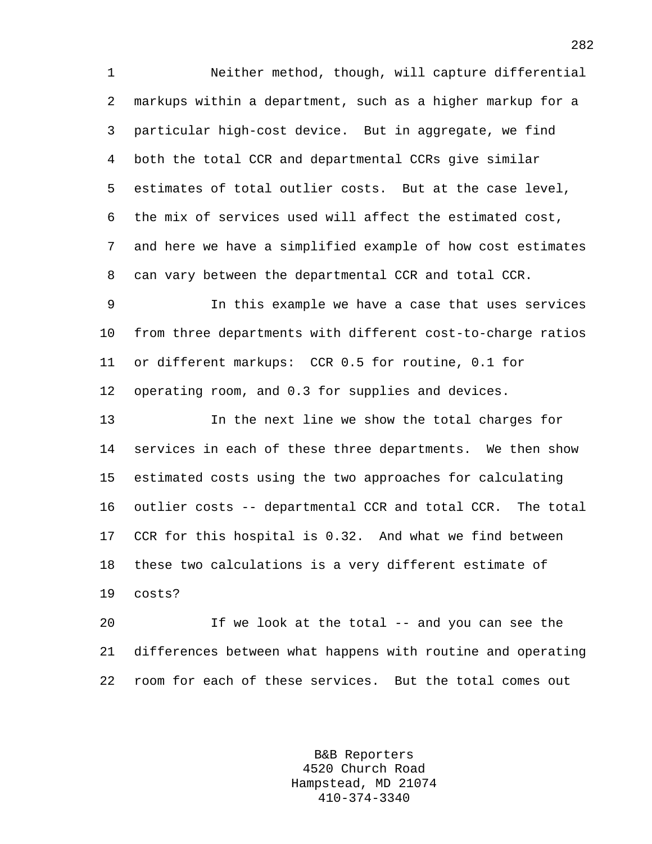1 Neither method, though, will capture differential 2 markups within a department, such as a higher markup for a 3 particular high-cost device. But in aggregate, we find 4 both the total CCR and departmental CCRs give similar 5 estimates of total outlier costs. But at the case level, 6 the mix of services used will affect the estimated cost, 7 and here we have a simplified example of how cost estimates 8 can vary between the departmental CCR and total CCR.

9 In this example we have a case that uses services 10 from three departments with different cost-to-charge ratios 11 or different markups: CCR 0.5 for routine, 0.1 for 12 operating room, and 0.3 for supplies and devices.

13 In the next line we show the total charges for 14 services in each of these three departments. We then show 15 estimated costs using the two approaches for calculating 16 outlier costs -- departmental CCR and total CCR. The total 17 CCR for this hospital is 0.32. And what we find between 18 these two calculations is a very different estimate of 19 costs?

20 If we look at the total -- and you can see the 21 differences between what happens with routine and operating 22 room for each of these services. But the total comes out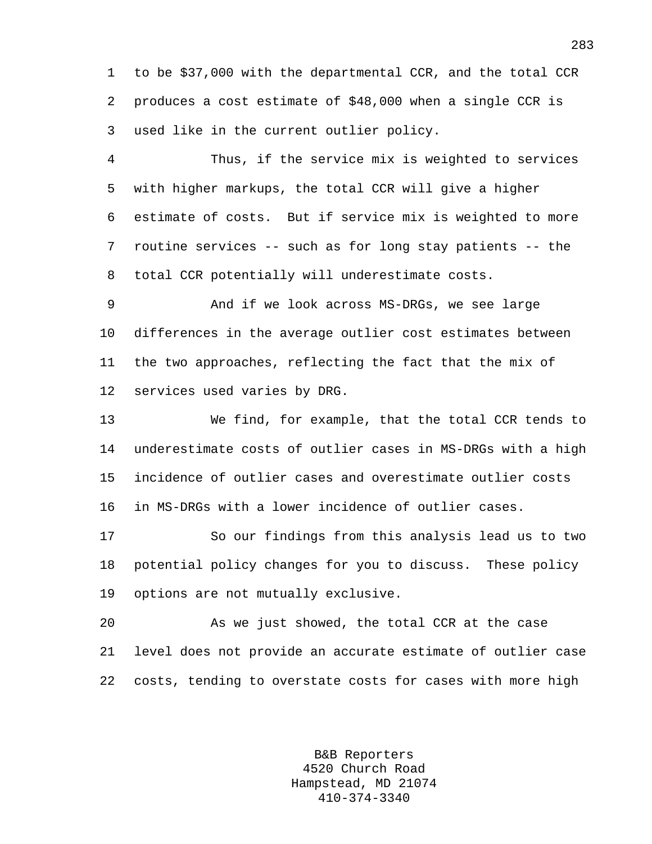1 to be \$37,000 with the departmental CCR, and the total CCR 2 produces a cost estimate of \$48,000 when a single CCR is 3 used like in the current outlier policy.

4 Thus, if the service mix is weighted to services 5 with higher markups, the total CCR will give a higher 6 estimate of costs. But if service mix is weighted to more 7 routine services -- such as for long stay patients -- the 8 total CCR potentially will underestimate costs.

9 And if we look across MS-DRGs, we see large 10 differences in the average outlier cost estimates between 11 the two approaches, reflecting the fact that the mix of 12 services used varies by DRG.

13 We find, for example, that the total CCR tends to 14 underestimate costs of outlier cases in MS-DRGs with a high 15 incidence of outlier cases and overestimate outlier costs 16 in MS-DRGs with a lower incidence of outlier cases.

17 So our findings from this analysis lead us to two 18 potential policy changes for you to discuss. These policy 19 options are not mutually exclusive.

20 As we just showed, the total CCR at the case 21 level does not provide an accurate estimate of outlier case 22 costs, tending to overstate costs for cases with more high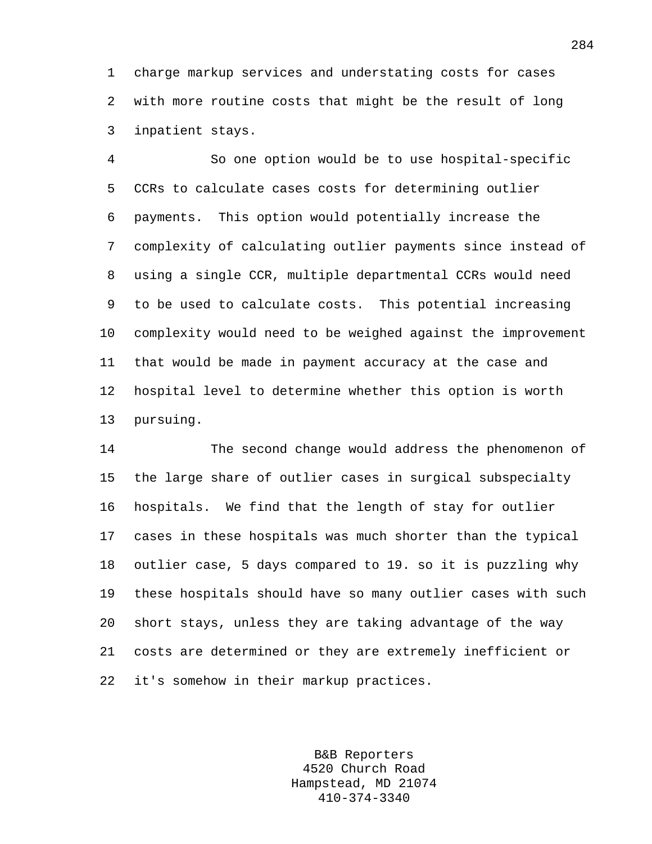1 charge markup services and understating costs for cases 2 with more routine costs that might be the result of long 3 inpatient stays.

4 So one option would be to use hospital-specific 5 CCRs to calculate cases costs for determining outlier 6 payments. This option would potentially increase the 7 complexity of calculating outlier payments since instead of 8 using a single CCR, multiple departmental CCRs would need 9 to be used to calculate costs. This potential increasing 10 complexity would need to be weighed against the improvement 11 that would be made in payment accuracy at the case and 12 hospital level to determine whether this option is worth 13 pursuing.

14 The second change would address the phenomenon of 15 the large share of outlier cases in surgical subspecialty 16 hospitals. We find that the length of stay for outlier 17 cases in these hospitals was much shorter than the typical 18 outlier case, 5 days compared to 19. so it is puzzling why 19 these hospitals should have so many outlier cases with such 20 short stays, unless they are taking advantage of the way 21 costs are determined or they are extremely inefficient or 22 it's somehow in their markup practices.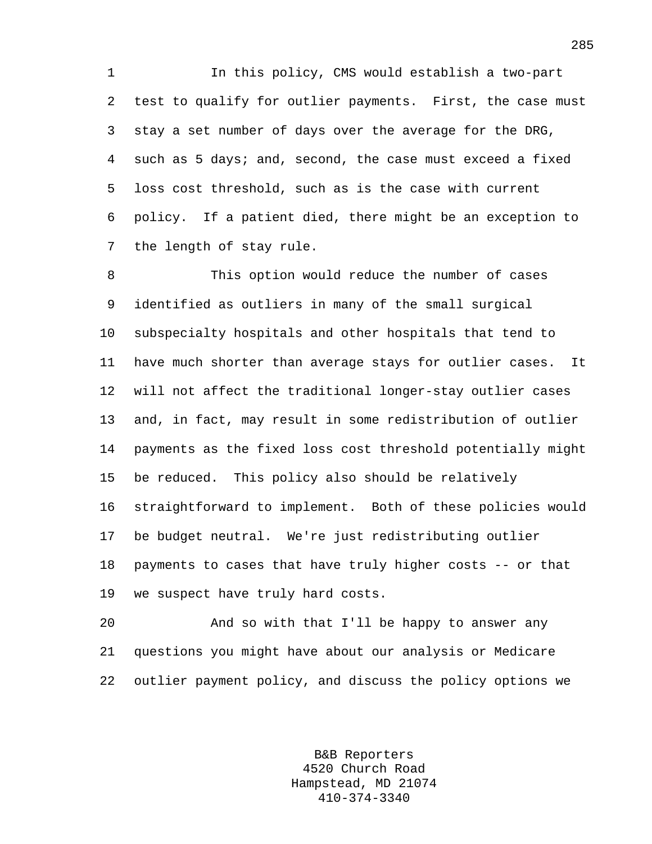1 In this policy, CMS would establish a two-part 2 test to qualify for outlier payments. First, the case must 3 stay a set number of days over the average for the DRG, 4 such as 5 days; and, second, the case must exceed a fixed 5 loss cost threshold, such as is the case with current 6 policy. If a patient died, there might be an exception to 7 the length of stay rule.

8 This option would reduce the number of cases 9 identified as outliers in many of the small surgical 10 subspecialty hospitals and other hospitals that tend to 11 have much shorter than average stays for outlier cases. It 12 will not affect the traditional longer-stay outlier cases 13 and, in fact, may result in some redistribution of outlier 14 payments as the fixed loss cost threshold potentially might 15 be reduced. This policy also should be relatively 16 straightforward to implement. Both of these policies would 17 be budget neutral. We're just redistributing outlier 18 payments to cases that have truly higher costs -- or that 19 we suspect have truly hard costs.

20 And so with that I'll be happy to answer any 21 questions you might have about our analysis or Medicare 22 outlier payment policy, and discuss the policy options we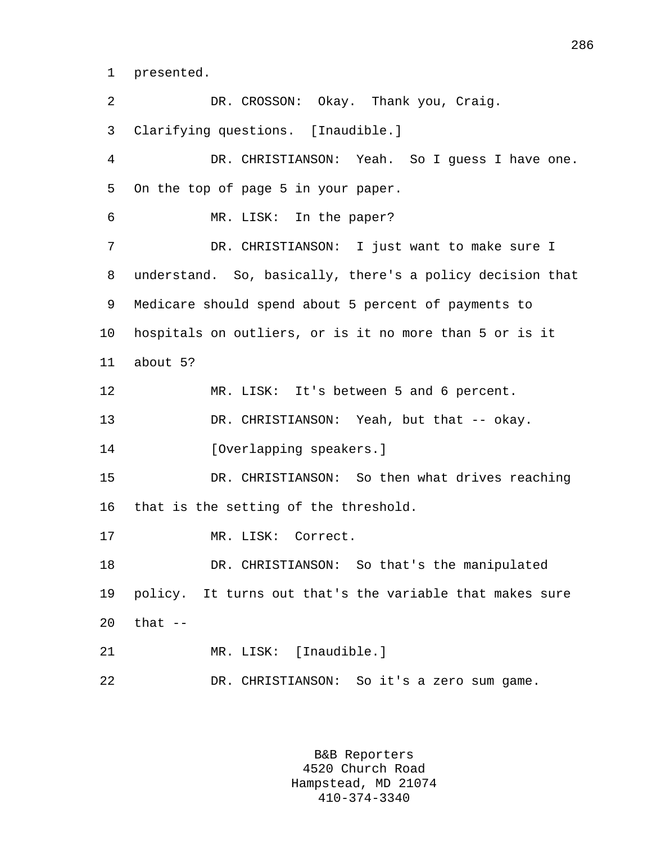1 presented.

2 DR. CROSSON: Okay. Thank you, Craig. 3 Clarifying questions. [Inaudible.] 4 DR. CHRISTIANSON: Yeah. So I guess I have one. 5 On the top of page 5 in your paper. 6 MR. LISK: In the paper? 7 DR. CHRISTIANSON: I just want to make sure I 8 understand. So, basically, there's a policy decision that 9 Medicare should spend about 5 percent of payments to 10 hospitals on outliers, or is it no more than 5 or is it 11 about 5? 12 MR. LISK: It's between 5 and 6 percent. 13 DR. CHRISTIANSON: Yeah, but that -- okay. 14 [Overlapping speakers.] 15 DR. CHRISTIANSON: So then what drives reaching 16 that is the setting of the threshold. 17 MR. LISK: Correct. 18 DR. CHRISTIANSON: So that's the manipulated 19 policy. It turns out that's the variable that makes sure  $20$  that  $-$ 21 MR. LISK: [Inaudible.] 22 DR. CHRISTIANSON: So it's a zero sum game.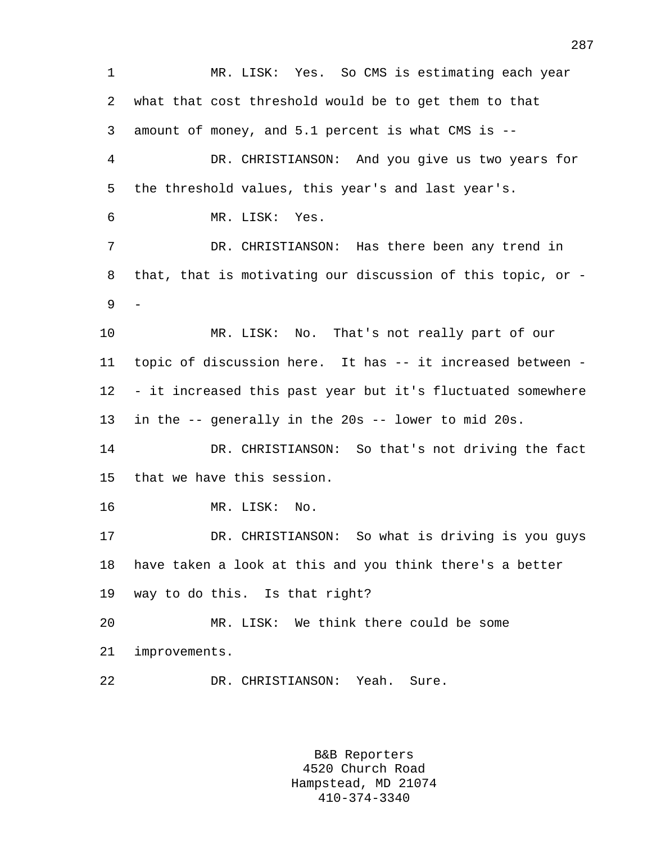1 MR. LISK: Yes. So CMS is estimating each year 2 what that cost threshold would be to get them to that 3 amount of money, and 5.1 percent is what CMS is -- 4 DR. CHRISTIANSON: And you give us two years for 5 the threshold values, this year's and last year's. 6 MR. LISK: Yes. 7 DR. CHRISTIANSON: Has there been any trend in 8 that, that is motivating our discussion of this topic, or - 9 10 MR. LISK: No. That's not really part of our 11 topic of discussion here. It has -- it increased between - 12 - it increased this past year but it's fluctuated somewhere 13 in the -- generally in the 20s -- lower to mid 20s. 14 DR. CHRISTIANSON: So that's not driving the fact 15 that we have this session. 16 MR. LISK: No. 17 DR. CHRISTIANSON: So what is driving is you guys 18 have taken a look at this and you think there's a better 19 way to do this. Is that right? 20 MR. LISK: We think there could be some 21 improvements. 22 DR. CHRISTIANSON: Yeah. Sure.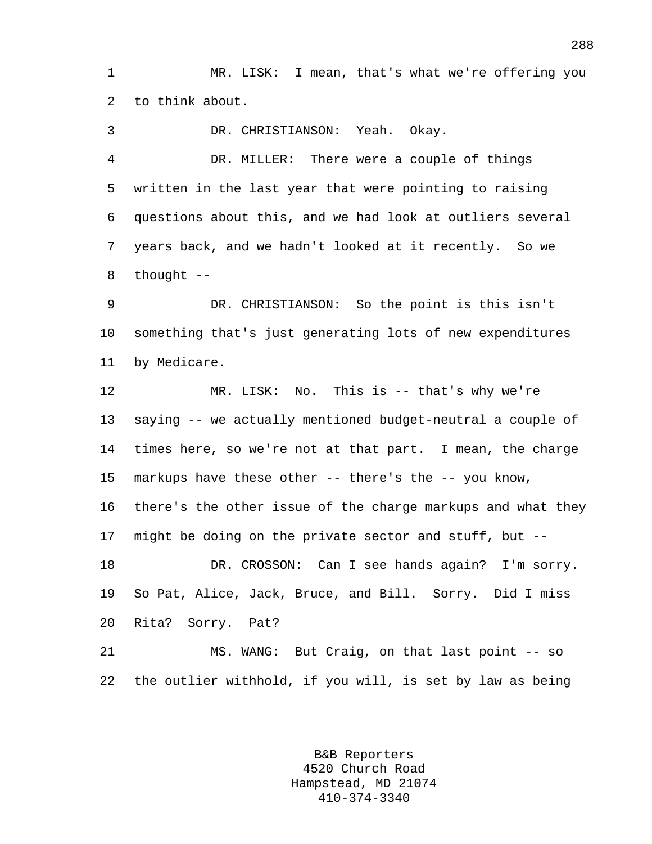1 MR. LISK: I mean, that's what we're offering you 2 to think about.

3 DR. CHRISTIANSON: Yeah. Okay. 4 DR. MILLER: There were a couple of things 5 written in the last year that were pointing to raising 6 questions about this, and we had look at outliers several 7 years back, and we hadn't looked at it recently. So we 8 thought --

9 DR. CHRISTIANSON: So the point is this isn't 10 something that's just generating lots of new expenditures 11 by Medicare.

12 MR. LISK: No. This is -- that's why we're 13 saying -- we actually mentioned budget-neutral a couple of 14 times here, so we're not at that part. I mean, the charge 15 markups have these other -- there's the -- you know, 16 there's the other issue of the charge markups and what they 17 might be doing on the private sector and stuff, but -- 18 DR. CROSSON: Can I see hands again? I'm sorry. 19 So Pat, Alice, Jack, Bruce, and Bill. Sorry. Did I miss 20 Rita? Sorry. Pat? 21 MS. WANG: But Craig, on that last point -- so

22 the outlier withhold, if you will, is set by law as being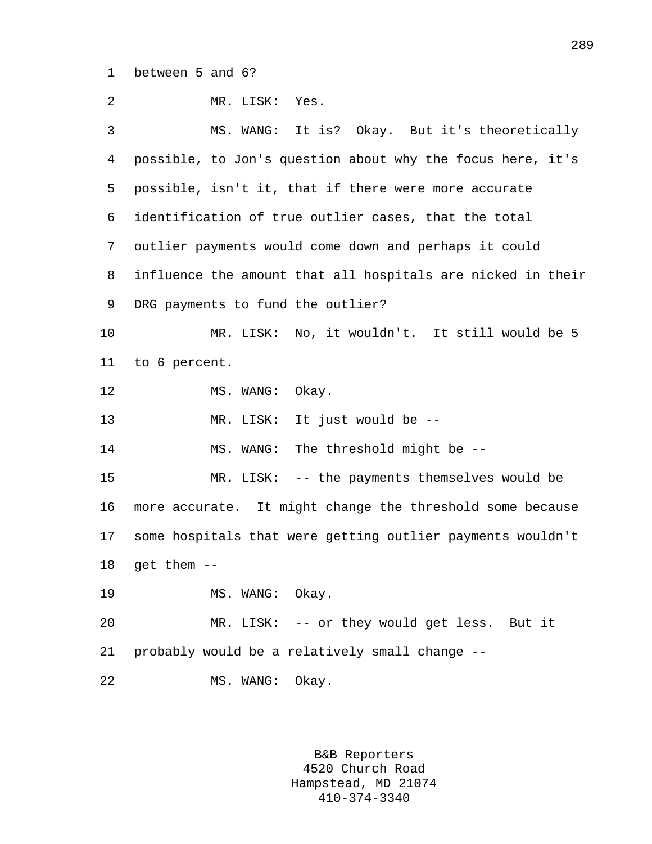1 between 5 and 6?

2 MR. LISK: Yes. 3 MS. WANG: It is? Okay. But it's theoretically 4 possible, to Jon's question about why the focus here, it's 5 possible, isn't it, that if there were more accurate 6 identification of true outlier cases, that the total 7 outlier payments would come down and perhaps it could 8 influence the amount that all hospitals are nicked in their 9 DRG payments to fund the outlier? 10 MR. LISK: No, it wouldn't. It still would be 5 11 to 6 percent. 12 MS. WANG: Okay. 13 MR. LISK: It just would be -- 14 MS. WANG: The threshold might be -- 15 MR. LISK: -- the payments themselves would be 16 more accurate. It might change the threshold some because 17 some hospitals that were getting outlier payments wouldn't 18 get them -- 19 MS. WANG: Okay. 20 MR. LISK: -- or they would get less. But it 21 probably would be a relatively small change -- 22 MS. WANG: Okay.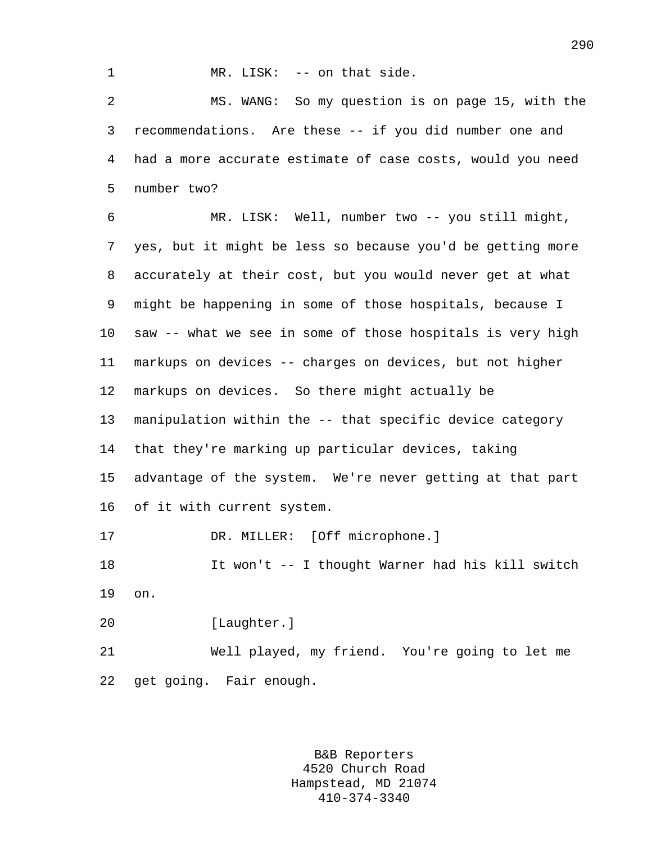1 MR. LISK: -- on that side.

2 MS. WANG: So my question is on page 15, with the 3 recommendations. Are these -- if you did number one and 4 had a more accurate estimate of case costs, would you need 5 number two?

6 MR. LISK: Well, number two -- you still might, 7 yes, but it might be less so because you'd be getting more 8 accurately at their cost, but you would never get at what 9 might be happening in some of those hospitals, because I 10 saw -- what we see in some of those hospitals is very high 11 markups on devices -- charges on devices, but not higher 12 markups on devices. So there might actually be 13 manipulation within the -- that specific device category 14 that they're marking up particular devices, taking 15 advantage of the system. We're never getting at that part 16 of it with current system. 17 DR. MILLER: [Off microphone.] 18 It won't -- I thought Warner had his kill switch 19 on.

20 [Laughter.]

21 Well played, my friend. You're going to let me 22 get going. Fair enough.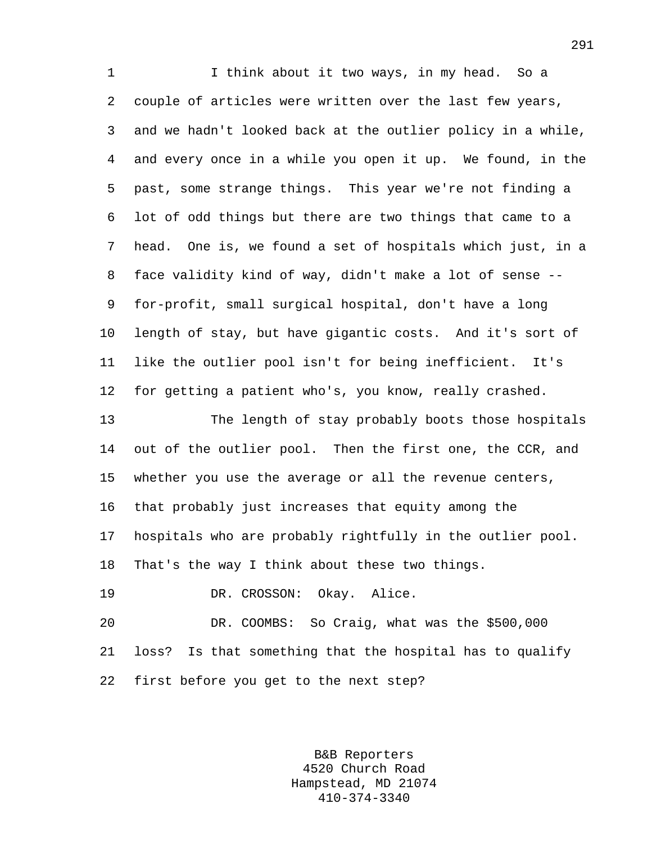1 1 I think about it two ways, in my head. So a 2 couple of articles were written over the last few years, 3 and we hadn't looked back at the outlier policy in a while, 4 and every once in a while you open it up. We found, in the 5 past, some strange things. This year we're not finding a 6 lot of odd things but there are two things that came to a 7 head. One is, we found a set of hospitals which just, in a 8 face validity kind of way, didn't make a lot of sense -- 9 for-profit, small surgical hospital, don't have a long 10 length of stay, but have gigantic costs. And it's sort of 11 like the outlier pool isn't for being inefficient. It's 12 for getting a patient who's, you know, really crashed. 13 The length of stay probably boots those hospitals 14 out of the outlier pool. Then the first one, the CCR, and 15 whether you use the average or all the revenue centers, 16 that probably just increases that equity among the

17 hospitals who are probably rightfully in the outlier pool.

18 That's the way I think about these two things.

19 DR. CROSSON: Okay. Alice.

20 DR. COOMBS: So Craig, what was the \$500,000 21 loss? Is that something that the hospital has to qualify 22 first before you get to the next step?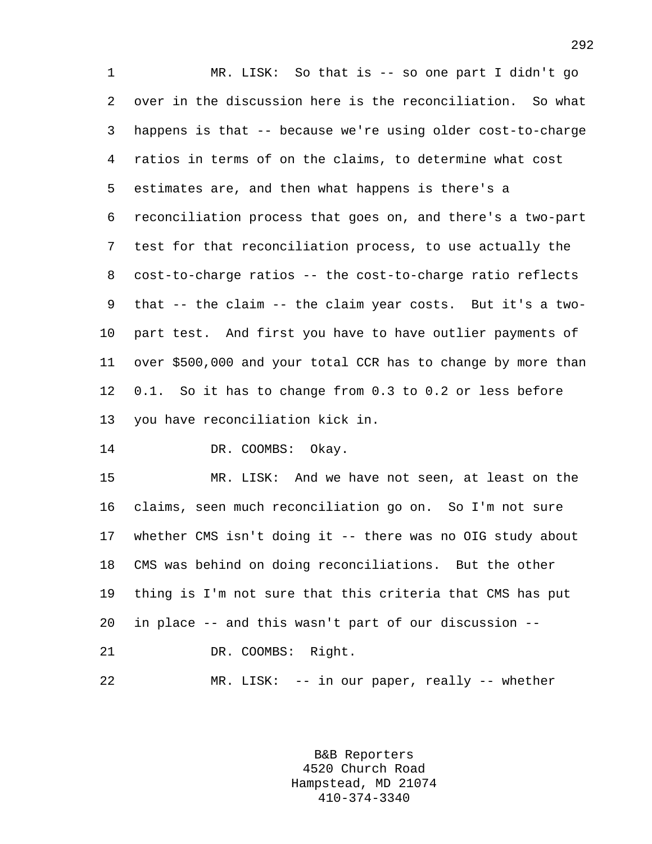1 MR. LISK: So that is -- so one part I didn't go 2 over in the discussion here is the reconciliation. So what 3 happens is that -- because we're using older cost-to-charge 4 ratios in terms of on the claims, to determine what cost 5 estimates are, and then what happens is there's a 6 reconciliation process that goes on, and there's a two-part 7 test for that reconciliation process, to use actually the 8 cost-to-charge ratios -- the cost-to-charge ratio reflects 9 that -- the claim -- the claim year costs. But it's a two-10 part test. And first you have to have outlier payments of 11 over \$500,000 and your total CCR has to change by more than 12 0.1. So it has to change from 0.3 to 0.2 or less before 13 you have reconciliation kick in.

14 DR. COOMBS: Okay.

15 MR. LISK: And we have not seen, at least on the 16 claims, seen much reconciliation go on. So I'm not sure 17 whether CMS isn't doing it -- there was no OIG study about 18 CMS was behind on doing reconciliations. But the other 19 thing is I'm not sure that this criteria that CMS has put 20 in place -- and this wasn't part of our discussion -- 21 DR. COOMBS: Right.

22 MR. LISK: -- in our paper, really -- whether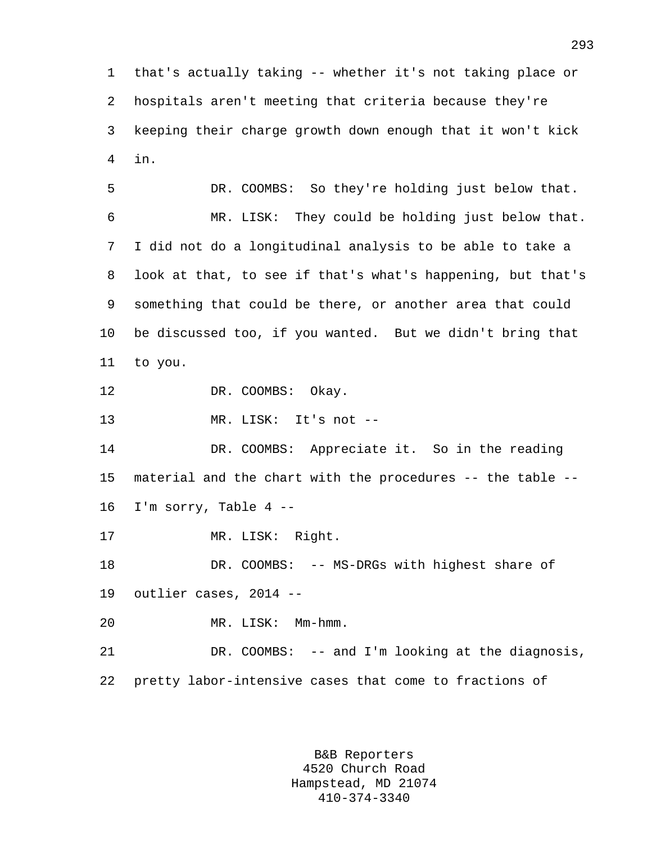1 that's actually taking -- whether it's not taking place or 2 hospitals aren't meeting that criteria because they're 3 keeping their charge growth down enough that it won't kick 4 in.

5 DR. COOMBS: So they're holding just below that. 6 MR. LISK: They could be holding just below that. 7 I did not do a longitudinal analysis to be able to take a 8 look at that, to see if that's what's happening, but that's 9 something that could be there, or another area that could 10 be discussed too, if you wanted. But we didn't bring that 11 to you.

12 DR. COOMBS: Okay.

13 MR. LISK: It's not --

14 DR. COOMBS: Appreciate it. So in the reading 15 material and the chart with the procedures -- the table -- 16 I'm sorry, Table 4 --

17 MR. LISK: Right.

18 DR. COOMBS: -- MS-DRGs with highest share of 19 outlier cases, 2014 --

20 MR. LISK: Mm-hmm.

21 DR. COOMBS: -- and I'm looking at the diagnosis, 22 pretty labor-intensive cases that come to fractions of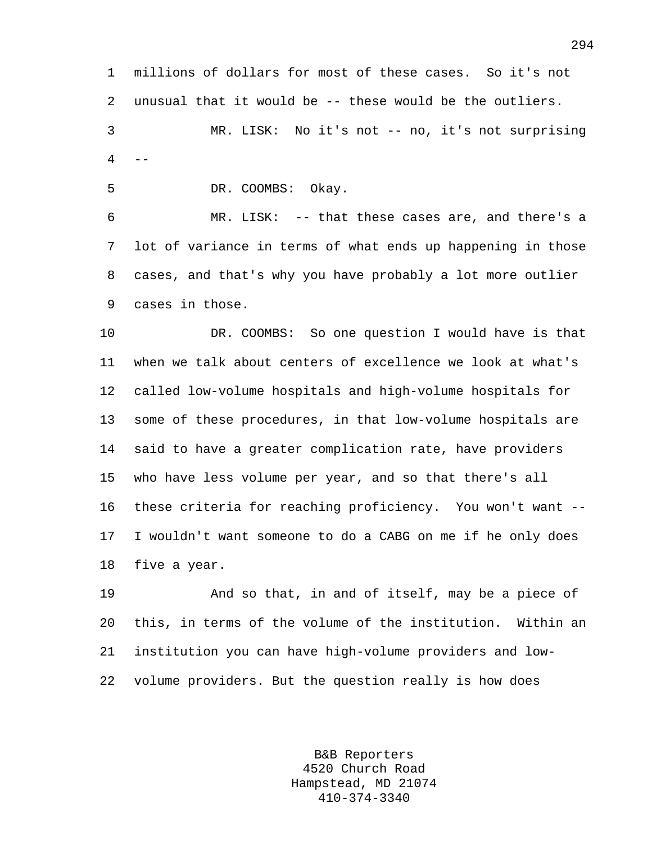1 millions of dollars for most of these cases. So it's not 2 unusual that it would be -- these would be the outliers. 3 MR. LISK: No it's not -- no, it's not surprising

 $4 - -$ 

5 DR. COOMBS: Okay.

6 MR. LISK: -- that these cases are, and there's a 7 lot of variance in terms of what ends up happening in those 8 cases, and that's why you have probably a lot more outlier 9 cases in those.

10 DR. COOMBS: So one question I would have is that 11 when we talk about centers of excellence we look at what's 12 called low-volume hospitals and high-volume hospitals for 13 some of these procedures, in that low-volume hospitals are 14 said to have a greater complication rate, have providers 15 who have less volume per year, and so that there's all 16 these criteria for reaching proficiency. You won't want -- 17 I wouldn't want someone to do a CABG on me if he only does 18 five a year.

19 And so that, in and of itself, may be a piece of 20 this, in terms of the volume of the institution. Within an 21 institution you can have high-volume providers and low-22 volume providers. But the question really is how does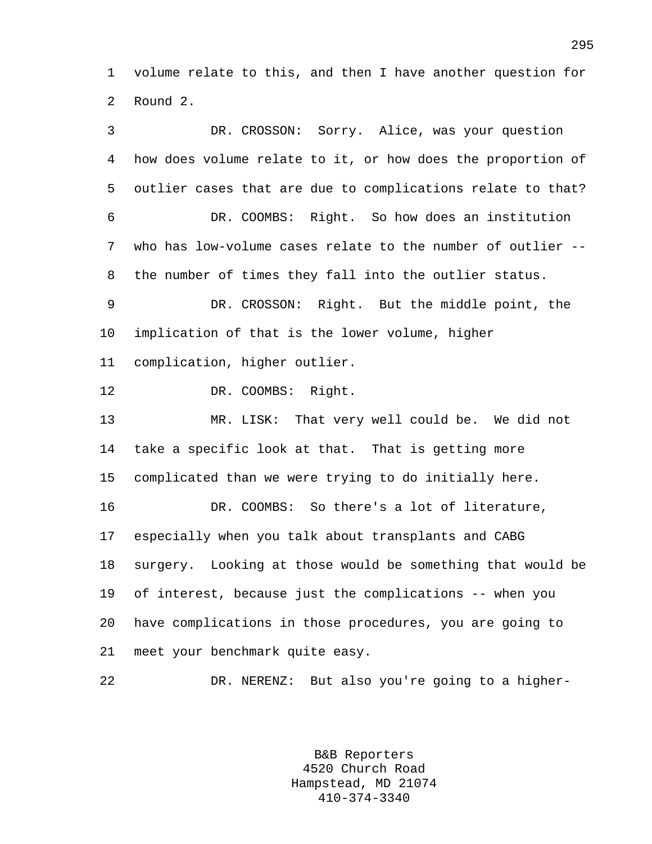1 volume relate to this, and then I have another question for 2 Round 2.

3 DR. CROSSON: Sorry. Alice, was your question 4 how does volume relate to it, or how does the proportion of 5 outlier cases that are due to complications relate to that? 6 DR. COOMBS: Right. So how does an institution 7 who has low-volume cases relate to the number of outlier -- 8 the number of times they fall into the outlier status. 9 DR. CROSSON: Right. But the middle point, the 10 implication of that is the lower volume, higher 11 complication, higher outlier. 12 DR. COOMBS: Right. 13 MR. LISK: That very well could be. We did not 14 take a specific look at that. That is getting more 15 complicated than we were trying to do initially here. 16 DR. COOMBS: So there's a lot of literature, 17 especially when you talk about transplants and CABG 18 surgery. Looking at those would be something that would be 19 of interest, because just the complications -- when you 20 have complications in those procedures, you are going to 21 meet your benchmark quite easy. 22 DR. NERENZ: But also you're going to a higher-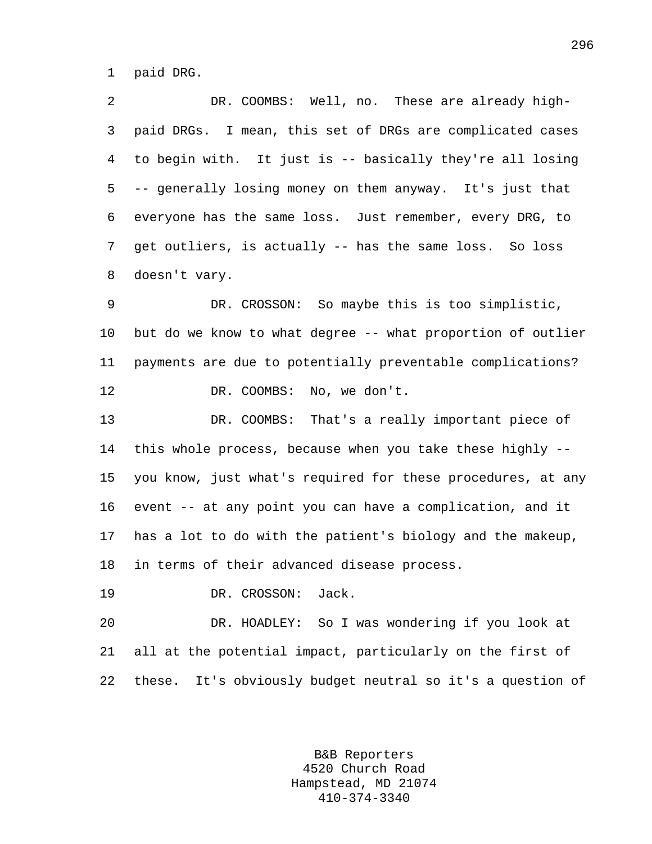1 paid DRG.

2 DR. COOMBS: Well, no. These are already high-3 paid DRGs. I mean, this set of DRGs are complicated cases 4 to begin with. It just is -- basically they're all losing 5 -- generally losing money on them anyway. It's just that 6 everyone has the same loss. Just remember, every DRG, to 7 get outliers, is actually -- has the same loss. So loss 8 doesn't vary.

9 DR. CROSSON: So maybe this is too simplistic, 10 but do we know to what degree -- what proportion of outlier 11 payments are due to potentially preventable complications? 12 DR. COOMBS: No, we don't.

13 DR. COOMBS: That's a really important piece of 14 this whole process, because when you take these highly -- 15 you know, just what's required for these procedures, at any 16 event -- at any point you can have a complication, and it 17 has a lot to do with the patient's biology and the makeup, 18 in terms of their advanced disease process.

19 DR. CROSSON: Jack.

20 DR. HOADLEY: So I was wondering if you look at 21 all at the potential impact, particularly on the first of 22 these. It's obviously budget neutral so it's a question of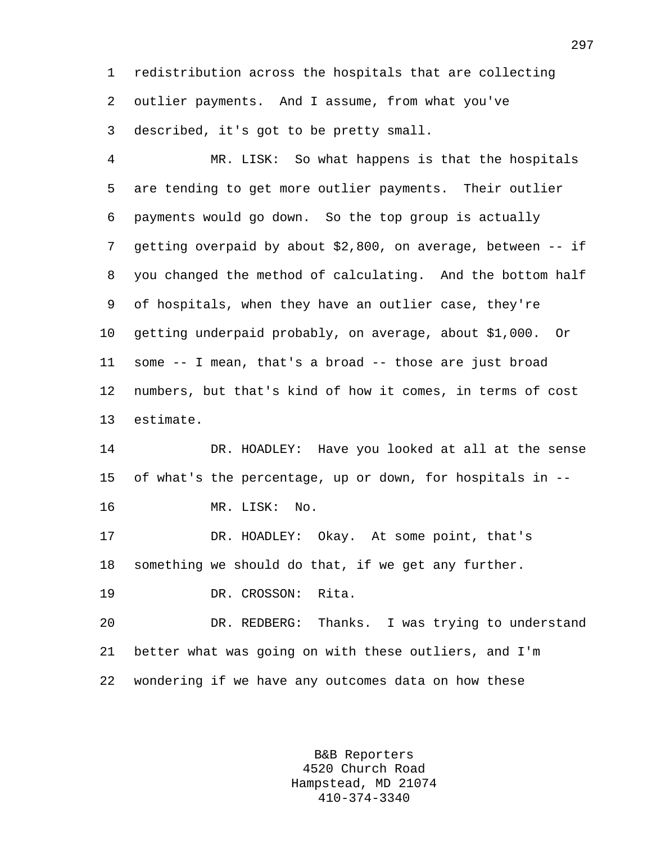1 redistribution across the hospitals that are collecting 2 outlier payments. And I assume, from what you've 3 described, it's got to be pretty small.

4 MR. LISK: So what happens is that the hospitals 5 are tending to get more outlier payments. Their outlier 6 payments would go down. So the top group is actually 7 getting overpaid by about \$2,800, on average, between -- if 8 you changed the method of calculating. And the bottom half 9 of hospitals, when they have an outlier case, they're 10 getting underpaid probably, on average, about \$1,000. Or 11 some -- I mean, that's a broad -- those are just broad 12 numbers, but that's kind of how it comes, in terms of cost 13 estimate.

14 DR. HOADLEY: Have you looked at all at the sense 15 of what's the percentage, up or down, for hospitals in --

16 MR. LISK: No.

17 DR. HOADLEY: Okay. At some point, that's 18 something we should do that, if we get any further.

19 DR. CROSSON: Rita.

20 DR. REDBERG: Thanks. I was trying to understand 21 better what was going on with these outliers, and I'm 22 wondering if we have any outcomes data on how these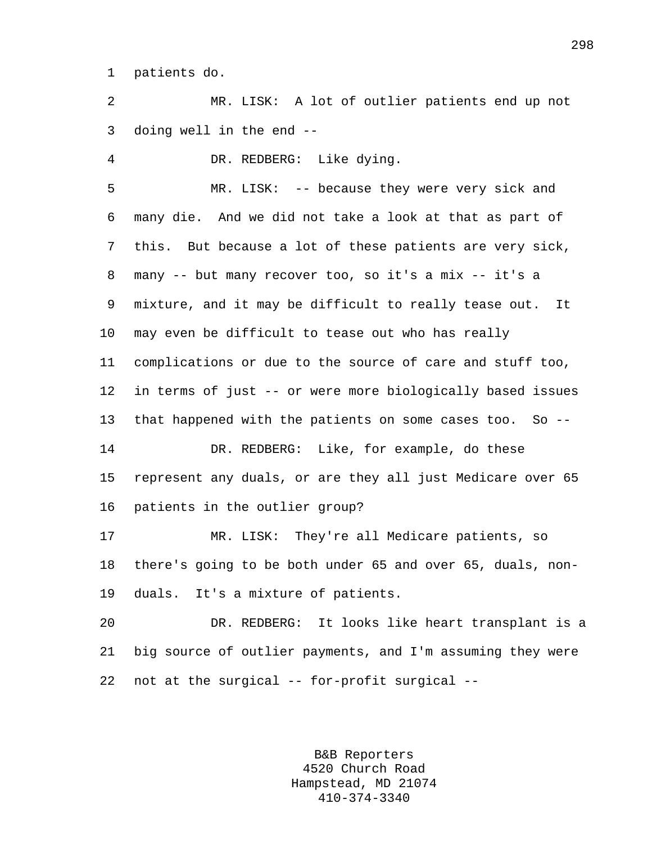1 patients do.

2 MR. LISK: A lot of outlier patients end up not 3 doing well in the end --

4 DR. REDBERG: Like dying.

5 MR. LISK: -- because they were very sick and 6 many die. And we did not take a look at that as part of 7 this. But because a lot of these patients are very sick, 8 many -- but many recover too, so it's a mix -- it's a 9 mixture, and it may be difficult to really tease out. It 10 may even be difficult to tease out who has really 11 complications or due to the source of care and stuff too, 12 in terms of just -- or were more biologically based issues 13 that happened with the patients on some cases too. So -- 14 DR. REDBERG: Like, for example, do these 15 represent any duals, or are they all just Medicare over 65 16 patients in the outlier group? 17 MR. LISK: They're all Medicare patients, so

18 there's going to be both under 65 and over 65, duals, non-19 duals. It's a mixture of patients.

20 DR. REDBERG: It looks like heart transplant is a 21 big source of outlier payments, and I'm assuming they were 22 not at the surgical -- for-profit surgical --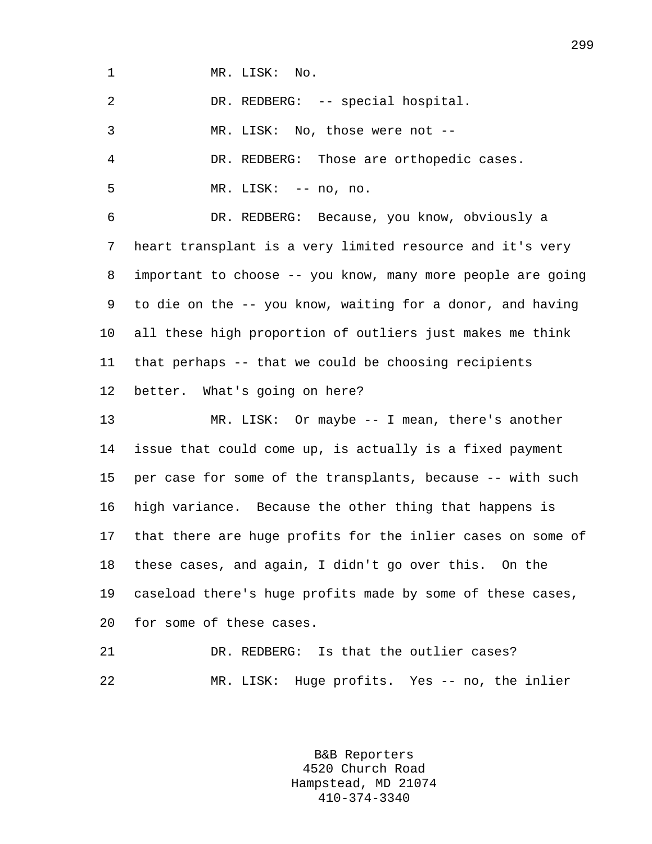1 MR. LISK: No.

2 DR. REDBERG: -- special hospital.

3 MR. LISK: No, those were not --

4 DR. REDBERG: Those are orthopedic cases.

5 MR. LISK: -- no, no.

6 DR. REDBERG: Because, you know, obviously a 7 heart transplant is a very limited resource and it's very 8 important to choose -- you know, many more people are going 9 to die on the -- you know, waiting for a donor, and having 10 all these high proportion of outliers just makes me think 11 that perhaps -- that we could be choosing recipients 12 better. What's going on here?

13 MR. LISK: Or maybe -- I mean, there's another 14 issue that could come up, is actually is a fixed payment 15 per case for some of the transplants, because -- with such 16 high variance. Because the other thing that happens is 17 that there are huge profits for the inlier cases on some of 18 these cases, and again, I didn't go over this. On the 19 caseload there's huge profits made by some of these cases, 20 for some of these cases.

21 DR. REDBERG: Is that the outlier cases? 22 MR. LISK: Huge profits. Yes -- no, the inlier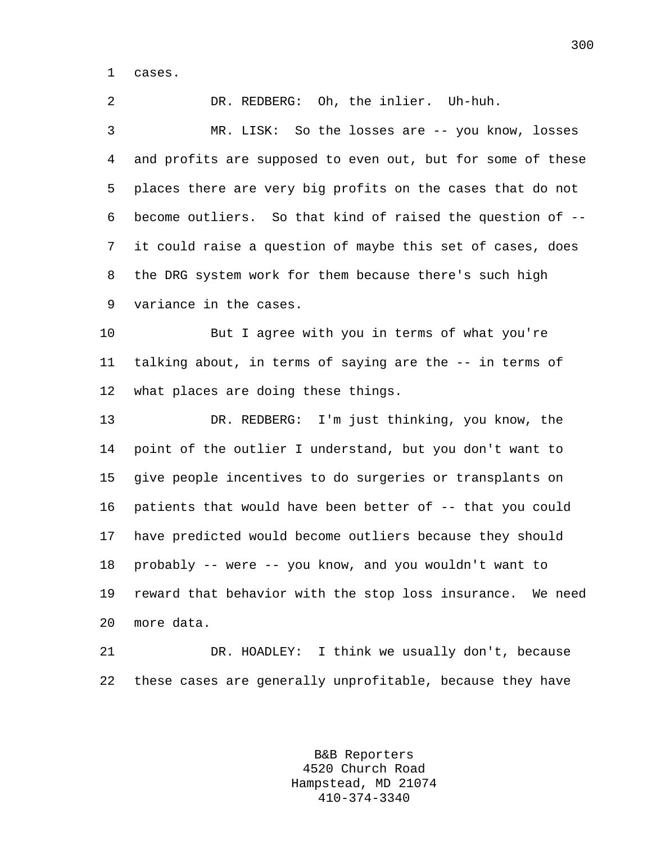1 cases.

2 DR. REDBERG: Oh, the inlier. Uh-huh. 3 MR. LISK: So the losses are -- you know, losses

4 and profits are supposed to even out, but for some of these 5 places there are very big profits on the cases that do not 6 become outliers. So that kind of raised the question of -- 7 it could raise a question of maybe this set of cases, does 8 the DRG system work for them because there's such high 9 variance in the cases.

10 But I agree with you in terms of what you're 11 talking about, in terms of saying are the -- in terms of 12 what places are doing these things.

13 DR. REDBERG: I'm just thinking, you know, the 14 point of the outlier I understand, but you don't want to 15 give people incentives to do surgeries or transplants on 16 patients that would have been better of -- that you could 17 have predicted would become outliers because they should 18 probably -- were -- you know, and you wouldn't want to 19 reward that behavior with the stop loss insurance. We need 20 more data.

21 DR. HOADLEY: I think we usually don't, because 22 these cases are generally unprofitable, because they have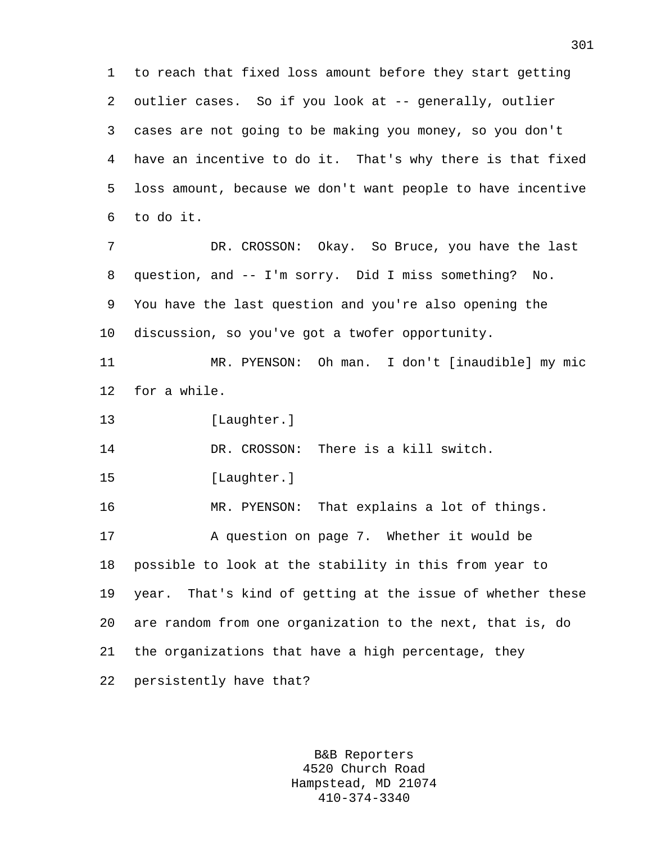1 to reach that fixed loss amount before they start getting 2 outlier cases. So if you look at -- generally, outlier 3 cases are not going to be making you money, so you don't 4 have an incentive to do it. That's why there is that fixed 5 loss amount, because we don't want people to have incentive 6 to do it. 7 DR. CROSSON: Okay. So Bruce, you have the last 8 question, and -- I'm sorry. Did I miss something? No. 9 You have the last question and you're also opening the

11 MR. PYENSON: Oh man. I don't [inaudible] my mic 12 for a while.

13 [Laughter.]

14 DR. CROSSON: There is a kill switch.

10 discussion, so you've got a twofer opportunity.

15 [Laughter.]

16 MR. PYENSON: That explains a lot of things. 17 A question on page 7. Whether it would be 18 possible to look at the stability in this from year to 19 year. That's kind of getting at the issue of whether these 20 are random from one organization to the next, that is, do 21 the organizations that have a high percentage, they 22 persistently have that?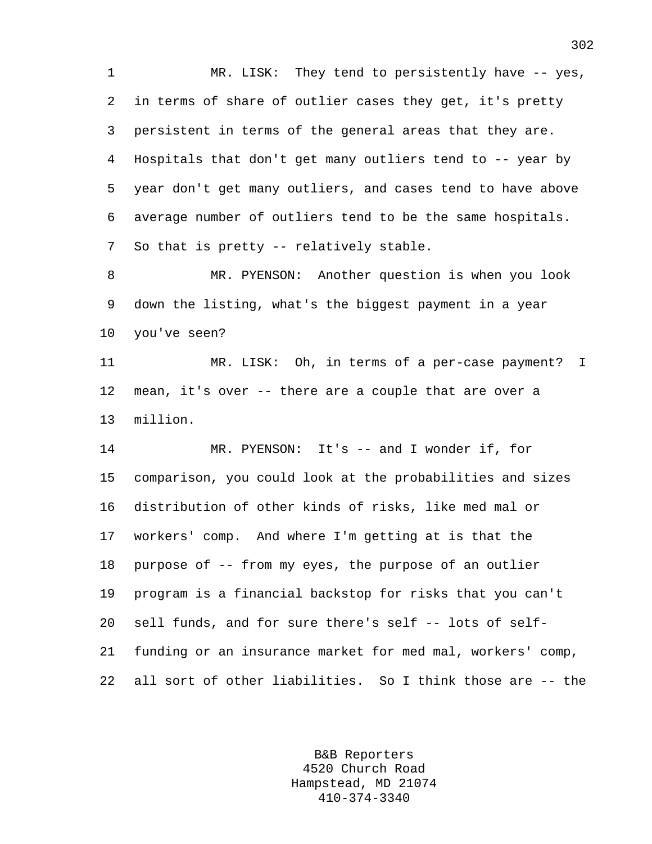1 MR. LISK: They tend to persistently have -- yes, 2 in terms of share of outlier cases they get, it's pretty 3 persistent in terms of the general areas that they are. 4 Hospitals that don't get many outliers tend to -- year by 5 year don't get many outliers, and cases tend to have above 6 average number of outliers tend to be the same hospitals. 7 So that is pretty -- relatively stable.

8 MR. PYENSON: Another question is when you look 9 down the listing, what's the biggest payment in a year 10 you've seen?

11 MR. LISK: Oh, in terms of a per-case payment? I 12 mean, it's over -- there are a couple that are over a 13 million.

14 MR. PYENSON: It's -- and I wonder if, for 15 comparison, you could look at the probabilities and sizes 16 distribution of other kinds of risks, like med mal or 17 workers' comp. And where I'm getting at is that the 18 purpose of -- from my eyes, the purpose of an outlier 19 program is a financial backstop for risks that you can't 20 sell funds, and for sure there's self -- lots of self-21 funding or an insurance market for med mal, workers' comp, 22 all sort of other liabilities. So I think those are -- the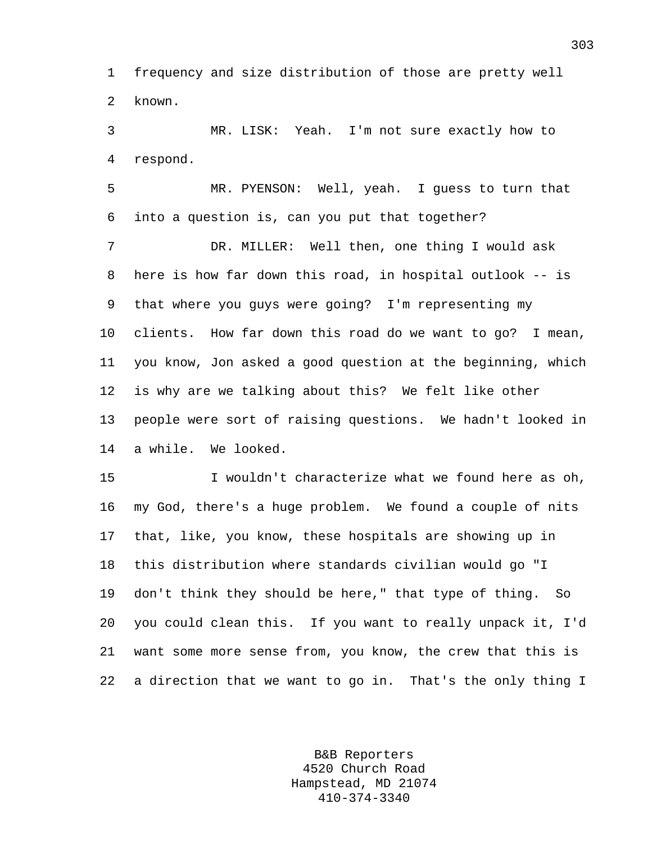1 frequency and size distribution of those are pretty well 2 known.

3 MR. LISK: Yeah. I'm not sure exactly how to 4 respond.

5 MR. PYENSON: Well, yeah. I guess to turn that 6 into a question is, can you put that together?

7 DR. MILLER: Well then, one thing I would ask 8 here is how far down this road, in hospital outlook -- is 9 that where you guys were going? I'm representing my 10 clients. How far down this road do we want to go? I mean, 11 you know, Jon asked a good question at the beginning, which 12 is why are we talking about this? We felt like other 13 people were sort of raising questions. We hadn't looked in 14 a while. We looked.

15 I wouldn't characterize what we found here as oh, 16 my God, there's a huge problem. We found a couple of nits 17 that, like, you know, these hospitals are showing up in 18 this distribution where standards civilian would go "I 19 don't think they should be here," that type of thing. So 20 you could clean this. If you want to really unpack it, I'd 21 want some more sense from, you know, the crew that this is 22 a direction that we want to go in. That's the only thing I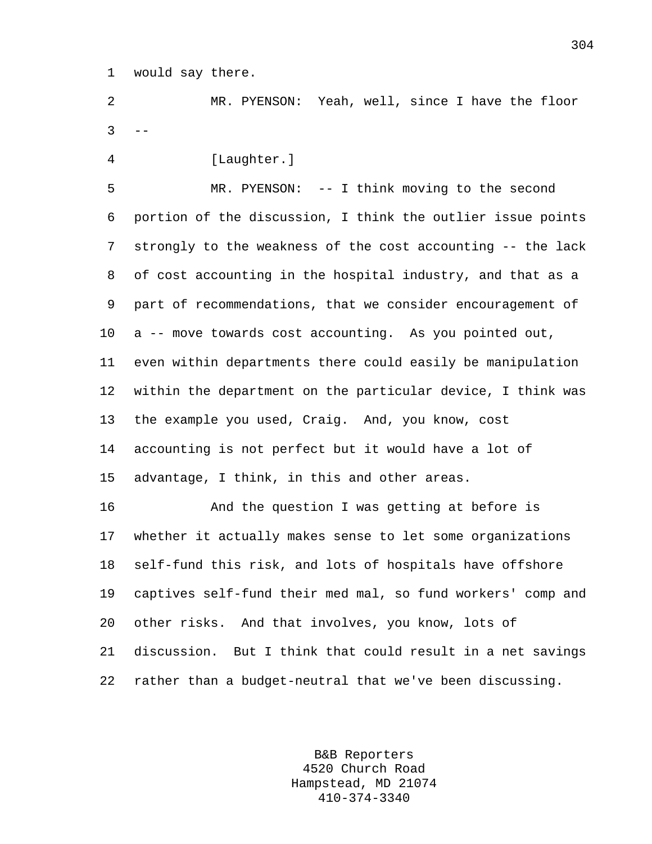1 would say there.

2 MR. PYENSON: Yeah, well, since I have the floor  $3 - -$ 

4 [Laughter.]

5 MR. PYENSON: -- I think moving to the second 6 portion of the discussion, I think the outlier issue points 7 strongly to the weakness of the cost accounting -- the lack 8 of cost accounting in the hospital industry, and that as a 9 part of recommendations, that we consider encouragement of 10 a -- move towards cost accounting. As you pointed out, 11 even within departments there could easily be manipulation 12 within the department on the particular device, I think was 13 the example you used, Craig. And, you know, cost 14 accounting is not perfect but it would have a lot of 15 advantage, I think, in this and other areas.

16 And the question I was getting at before is 17 whether it actually makes sense to let some organizations 18 self-fund this risk, and lots of hospitals have offshore 19 captives self-fund their med mal, so fund workers' comp and 20 other risks. And that involves, you know, lots of 21 discussion. But I think that could result in a net savings 22 rather than a budget-neutral that we've been discussing.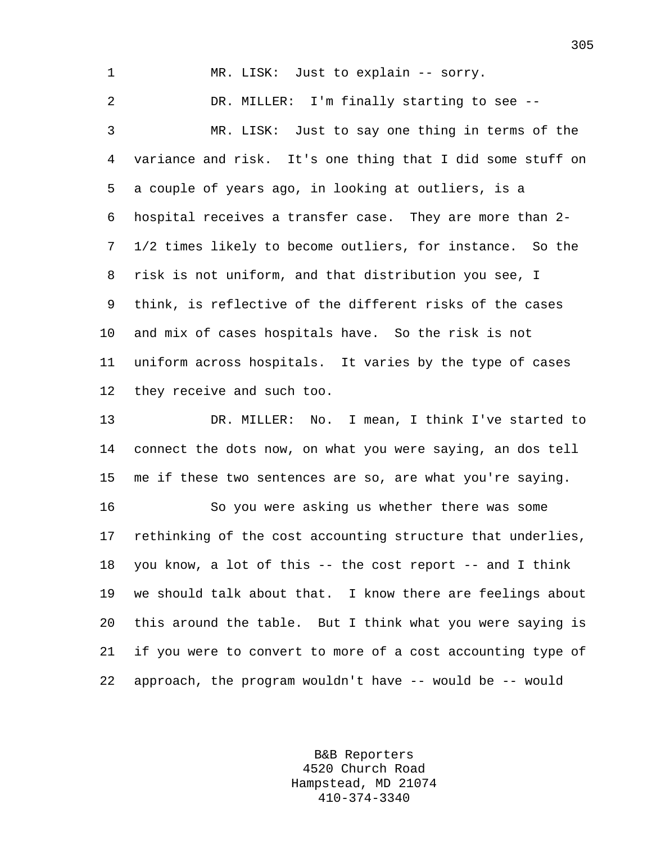1 MR. LISK: Just to explain -- sorry. 2 DR. MILLER: I'm finally starting to see -- 3 MR. LISK: Just to say one thing in terms of the 4 variance and risk. It's one thing that I did some stuff on 5 a couple of years ago, in looking at outliers, is a 6 hospital receives a transfer case. They are more than 2- 7 1/2 times likely to become outliers, for instance. So the 8 risk is not uniform, and that distribution you see, I 9 think, is reflective of the different risks of the cases 10 and mix of cases hospitals have. So the risk is not 11 uniform across hospitals. It varies by the type of cases 12 they receive and such too. 13 DR. MILLER: No. I mean, I think I've started to

14 connect the dots now, on what you were saying, an dos tell 15 me if these two sentences are so, are what you're saying.

16 So you were asking us whether there was some 17 rethinking of the cost accounting structure that underlies, 18 you know, a lot of this -- the cost report -- and I think 19 we should talk about that. I know there are feelings about 20 this around the table. But I think what you were saying is 21 if you were to convert to more of a cost accounting type of 22 approach, the program wouldn't have -- would be -- would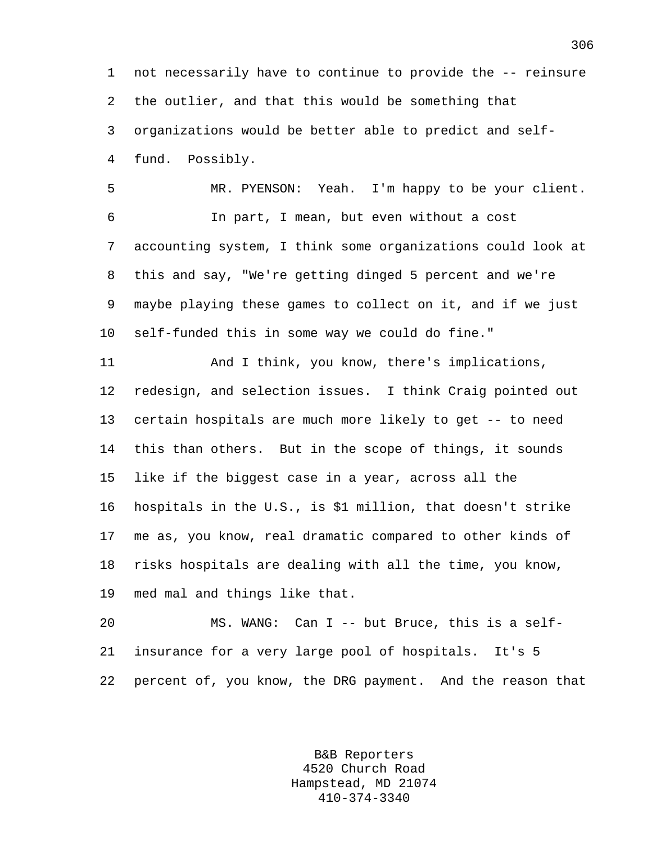1 not necessarily have to continue to provide the -- reinsure 2 the outlier, and that this would be something that 3 organizations would be better able to predict and self-4 fund. Possibly.

5 MR. PYENSON: Yeah. I'm happy to be your client. 6 In part, I mean, but even without a cost 7 accounting system, I think some organizations could look at 8 this and say, "We're getting dinged 5 percent and we're 9 maybe playing these games to collect on it, and if we just 10 self-funded this in some way we could do fine."

11 And I think, you know, there's implications, 12 redesign, and selection issues. I think Craig pointed out 13 certain hospitals are much more likely to get -- to need 14 this than others. But in the scope of things, it sounds 15 like if the biggest case in a year, across all the 16 hospitals in the U.S., is \$1 million, that doesn't strike 17 me as, you know, real dramatic compared to other kinds of 18 risks hospitals are dealing with all the time, you know, 19 med mal and things like that.

20 MS. WANG: Can I -- but Bruce, this is a self-21 insurance for a very large pool of hospitals. It's 5 22 percent of, you know, the DRG payment. And the reason that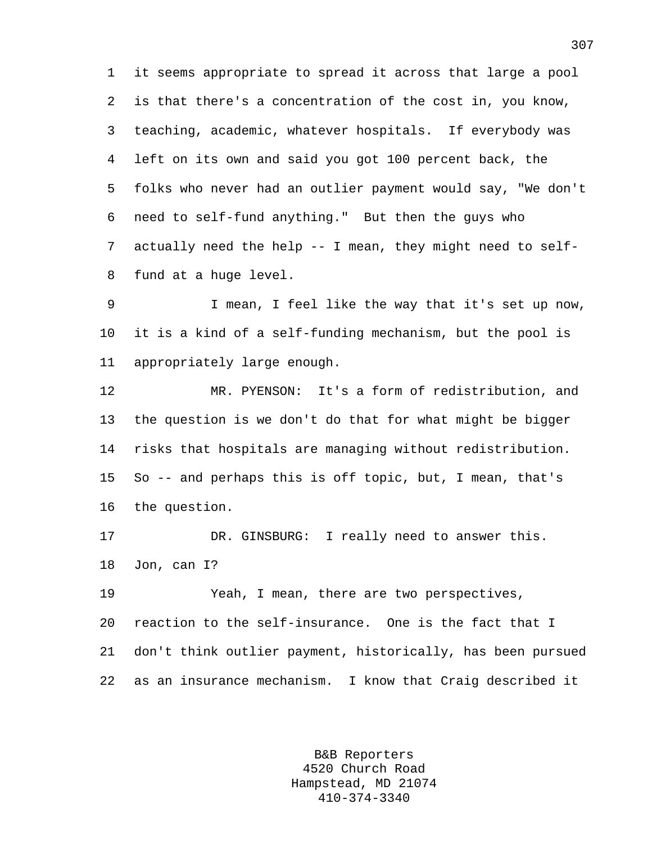1 it seems appropriate to spread it across that large a pool 2 is that there's a concentration of the cost in, you know, 3 teaching, academic, whatever hospitals. If everybody was 4 left on its own and said you got 100 percent back, the 5 folks who never had an outlier payment would say, "We don't 6 need to self-fund anything." But then the guys who 7 actually need the help -- I mean, they might need to self-8 fund at a huge level.

9 I mean, I feel like the way that it's set up now, 10 it is a kind of a self-funding mechanism, but the pool is 11 appropriately large enough.

12 MR. PYENSON: It's a form of redistribution, and 13 the question is we don't do that for what might be bigger 14 risks that hospitals are managing without redistribution. 15 So -- and perhaps this is off topic, but, I mean, that's 16 the question.

17 DR. GINSBURG: I really need to answer this. 18 Jon, can I?

19 Yeah, I mean, there are two perspectives, 20 reaction to the self-insurance. One is the fact that I 21 don't think outlier payment, historically, has been pursued 22 as an insurance mechanism. I know that Craig described it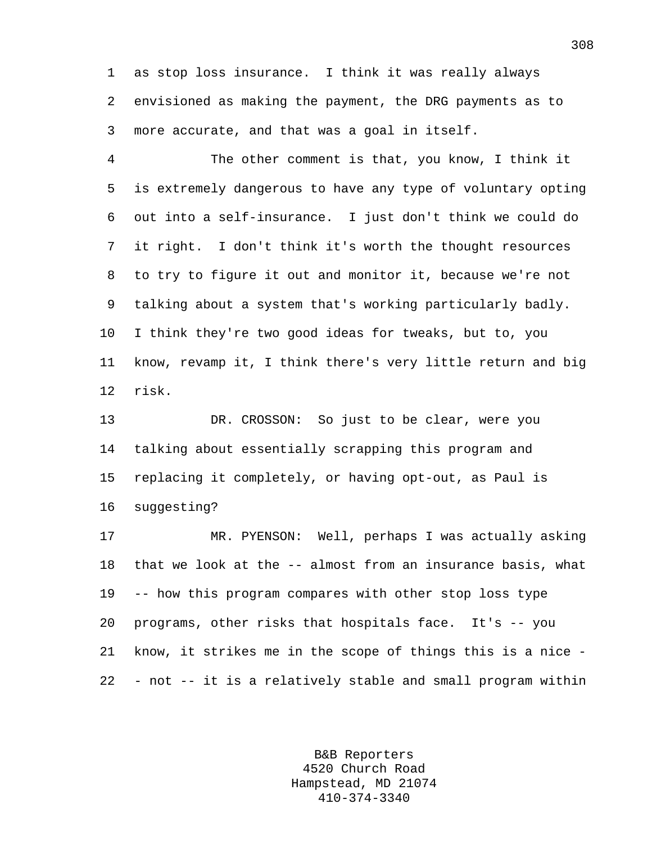1 as stop loss insurance. I think it was really always 2 envisioned as making the payment, the DRG payments as to 3 more accurate, and that was a goal in itself.

4 The other comment is that, you know, I think it 5 is extremely dangerous to have any type of voluntary opting 6 out into a self-insurance. I just don't think we could do 7 it right. I don't think it's worth the thought resources 8 to try to figure it out and monitor it, because we're not 9 talking about a system that's working particularly badly. 10 I think they're two good ideas for tweaks, but to, you 11 know, revamp it, I think there's very little return and big 12 risk.

13 DR. CROSSON: So just to be clear, were you 14 talking about essentially scrapping this program and 15 replacing it completely, or having opt-out, as Paul is 16 suggesting?

17 MR. PYENSON: Well, perhaps I was actually asking 18 that we look at the -- almost from an insurance basis, what 19 -- how this program compares with other stop loss type 20 programs, other risks that hospitals face. It's -- you 21 know, it strikes me in the scope of things this is a nice - 22 - not -- it is a relatively stable and small program within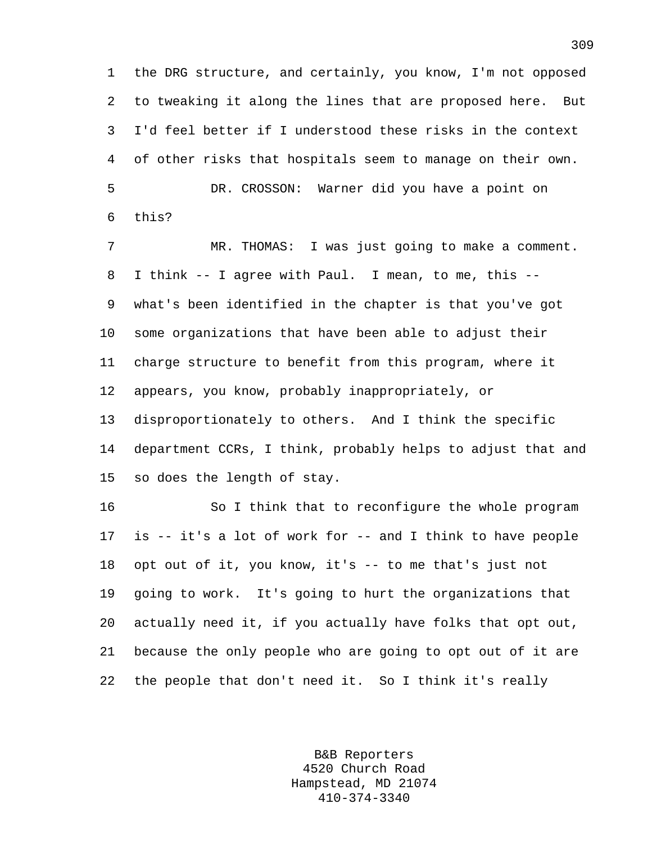1 the DRG structure, and certainly, you know, I'm not opposed 2 to tweaking it along the lines that are proposed here. But 3 I'd feel better if I understood these risks in the context 4 of other risks that hospitals seem to manage on their own. 5 DR. CROSSON: Warner did you have a point on 6 this?

7 MR. THOMAS: I was just going to make a comment. 8 I think -- I agree with Paul. I mean, to me, this -- 9 what's been identified in the chapter is that you've got 10 some organizations that have been able to adjust their 11 charge structure to benefit from this program, where it 12 appears, you know, probably inappropriately, or 13 disproportionately to others. And I think the specific 14 department CCRs, I think, probably helps to adjust that and 15 so does the length of stay.

16 So I think that to reconfigure the whole program 17 is -- it's a lot of work for -- and I think to have people 18 opt out of it, you know, it's -- to me that's just not 19 going to work. It's going to hurt the organizations that 20 actually need it, if you actually have folks that opt out, 21 because the only people who are going to opt out of it are 22 the people that don't need it. So I think it's really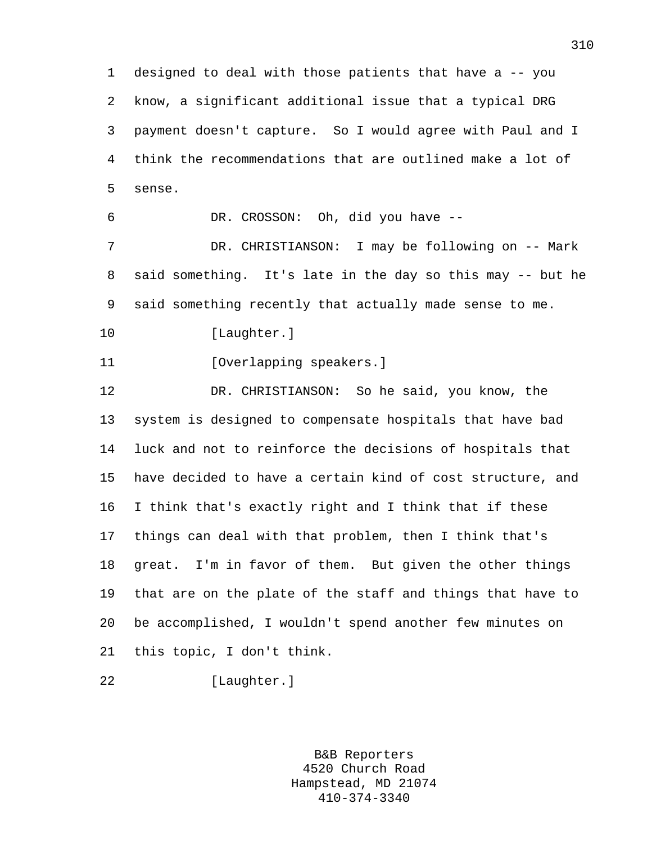1 designed to deal with those patients that have a -- you 2 know, a significant additional issue that a typical DRG 3 payment doesn't capture. So I would agree with Paul and I 4 think the recommendations that are outlined make a lot of 5 sense.

6 DR. CROSSON: Oh, did you have --

7 DR. CHRISTIANSON: I may be following on -- Mark 8 said something. It's late in the day so this may -- but he 9 said something recently that actually made sense to me.

10 [Laughter.]

11 [Overlapping speakers.]

12 DR. CHRISTIANSON: So he said, you know, the 13 system is designed to compensate hospitals that have bad 14 luck and not to reinforce the decisions of hospitals that 15 have decided to have a certain kind of cost structure, and 16 I think that's exactly right and I think that if these 17 things can deal with that problem, then I think that's 18 great. I'm in favor of them. But given the other things 19 that are on the plate of the staff and things that have to 20 be accomplished, I wouldn't spend another few minutes on 21 this topic, I don't think.

22 [Laughter.]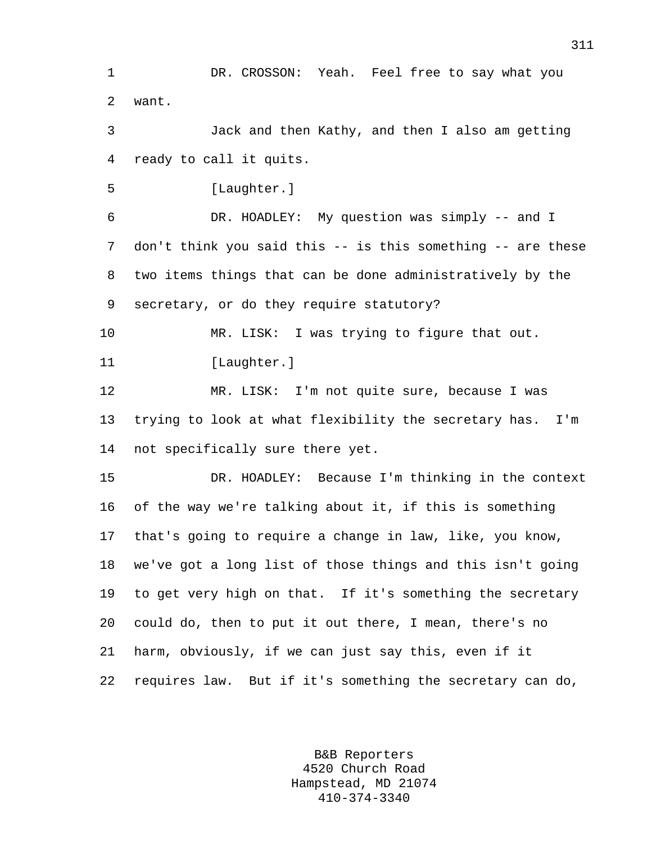B&B Reporters 1 DR. CROSSON: Yeah. Feel free to say what you 2 want. 3 Jack and then Kathy, and then I also am getting 4 ready to call it quits. 5 [Laughter.] 6 DR. HOADLEY: My question was simply -- and I 7 don't think you said this -- is this something -- are these 8 two items things that can be done administratively by the 9 secretary, or do they require statutory? 10 MR. LISK: I was trying to figure that out. 11 [Laughter.] 12 MR. LISK: I'm not quite sure, because I was 13 trying to look at what flexibility the secretary has. I'm 14 not specifically sure there yet. 15 DR. HOADLEY: Because I'm thinking in the context 16 of the way we're talking about it, if this is something 17 that's going to require a change in law, like, you know, 18 we've got a long list of those things and this isn't going 19 to get very high on that. If it's something the secretary 20 could do, then to put it out there, I mean, there's no 21 harm, obviously, if we can just say this, even if it 22 requires law. But if it's something the secretary can do,

4520 Church Road Hampstead, MD 21074 410-374-3340

311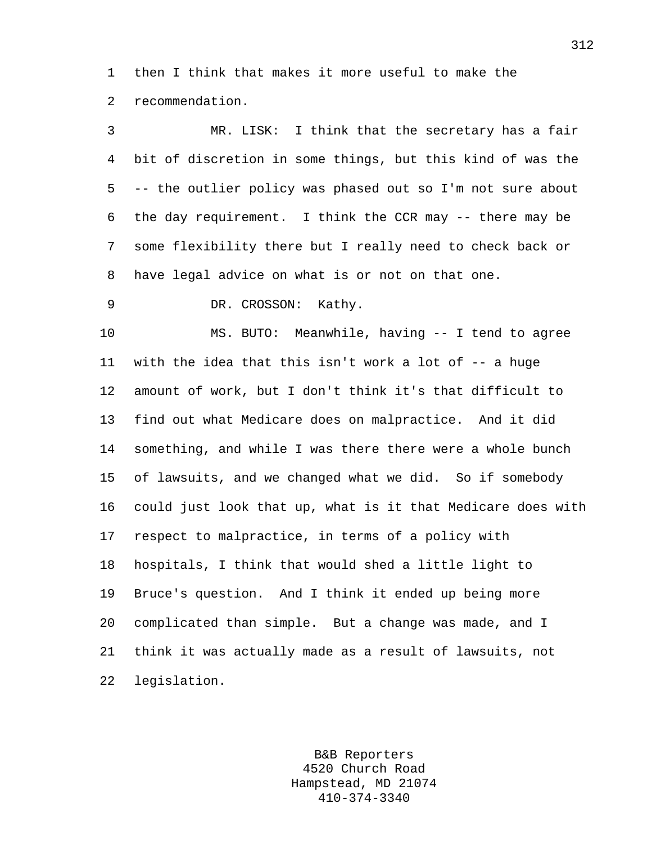1 then I think that makes it more useful to make the 2 recommendation.

3 MR. LISK: I think that the secretary has a fair 4 bit of discretion in some things, but this kind of was the 5 -- the outlier policy was phased out so I'm not sure about 6 the day requirement. I think the CCR may -- there may be 7 some flexibility there but I really need to check back or 8 have legal advice on what is or not on that one.

9 DR. CROSSON: Kathy.

10 MS. BUTO: Meanwhile, having -- I tend to agree 11 with the idea that this isn't work a lot of -- a huge 12 amount of work, but I don't think it's that difficult to 13 find out what Medicare does on malpractice. And it did 14 something, and while I was there there were a whole bunch 15 of lawsuits, and we changed what we did. So if somebody 16 could just look that up, what is it that Medicare does with 17 respect to malpractice, in terms of a policy with 18 hospitals, I think that would shed a little light to 19 Bruce's question. And I think it ended up being more 20 complicated than simple. But a change was made, and I 21 think it was actually made as a result of lawsuits, not 22 legislation.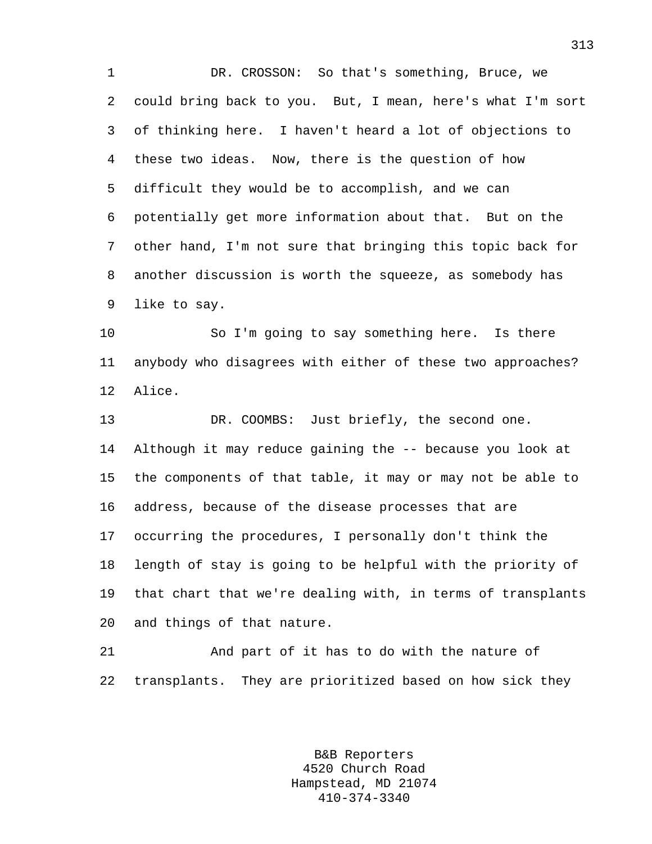1 DR. CROSSON: So that's something, Bruce, we 2 could bring back to you. But, I mean, here's what I'm sort 3 of thinking here. I haven't heard a lot of objections to 4 these two ideas. Now, there is the question of how 5 difficult they would be to accomplish, and we can 6 potentially get more information about that. But on the 7 other hand, I'm not sure that bringing this topic back for 8 another discussion is worth the squeeze, as somebody has 9 like to say.

10 So I'm going to say something here. Is there 11 anybody who disagrees with either of these two approaches? 12 Alice.

13 DR. COOMBS: Just briefly, the second one. 14 Although it may reduce gaining the -- because you look at 15 the components of that table, it may or may not be able to 16 address, because of the disease processes that are 17 occurring the procedures, I personally don't think the 18 length of stay is going to be helpful with the priority of 19 that chart that we're dealing with, in terms of transplants 20 and things of that nature.

21 And part of it has to do with the nature of 22 transplants. They are prioritized based on how sick they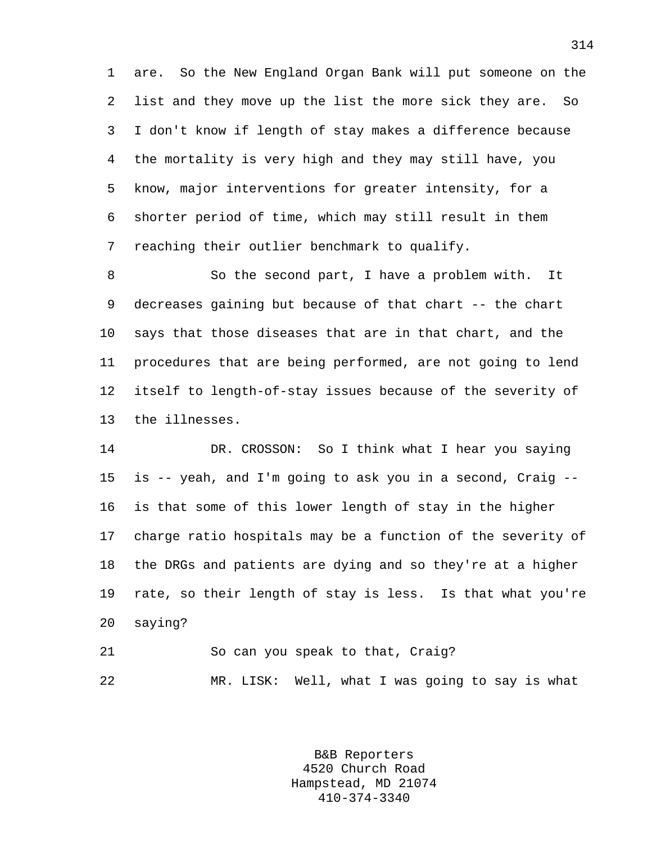1 are. So the New England Organ Bank will put someone on the 2 list and they move up the list the more sick they are. So 3 I don't know if length of stay makes a difference because 4 the mortality is very high and they may still have, you 5 know, major interventions for greater intensity, for a 6 shorter period of time, which may still result in them 7 reaching their outlier benchmark to qualify.

8 So the second part, I have a problem with. It 9 decreases gaining but because of that chart -- the chart 10 says that those diseases that are in that chart, and the 11 procedures that are being performed, are not going to lend 12 itself to length-of-stay issues because of the severity of 13 the illnesses.

14 DR. CROSSON: So I think what I hear you saying 15 is -- yeah, and I'm going to ask you in a second, Craig -- 16 is that some of this lower length of stay in the higher 17 charge ratio hospitals may be a function of the severity of 18 the DRGs and patients are dying and so they're at a higher 19 rate, so their length of stay is less. Is that what you're 20 saying?

21 So can you speak to that, Craig? 22 MR. LISK: Well, what I was going to say is what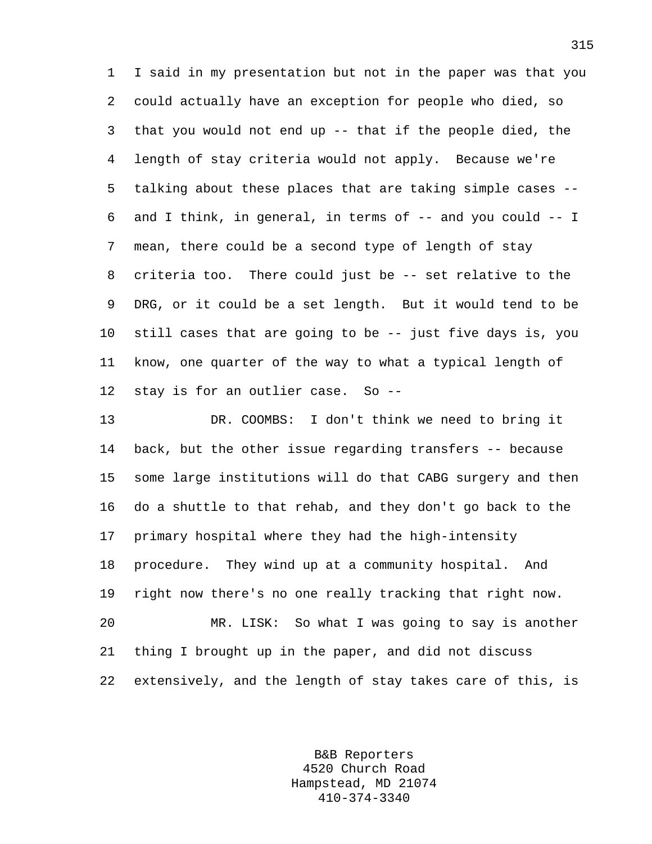1 I said in my presentation but not in the paper was that you 2 could actually have an exception for people who died, so 3 that you would not end up -- that if the people died, the 4 length of stay criteria would not apply. Because we're 5 talking about these places that are taking simple cases -- 6 and I think, in general, in terms of -- and you could -- I 7 mean, there could be a second type of length of stay 8 criteria too. There could just be -- set relative to the 9 DRG, or it could be a set length. But it would tend to be 10 still cases that are going to be -- just five days is, you 11 know, one quarter of the way to what a typical length of 12 stay is for an outlier case. So --

13 DR. COOMBS: I don't think we need to bring it 14 back, but the other issue regarding transfers -- because 15 some large institutions will do that CABG surgery and then 16 do a shuttle to that rehab, and they don't go back to the 17 primary hospital where they had the high-intensity 18 procedure. They wind up at a community hospital. And 19 right now there's no one really tracking that right now. 20 MR. LISK: So what I was going to say is another 21 thing I brought up in the paper, and did not discuss 22 extensively, and the length of stay takes care of this, is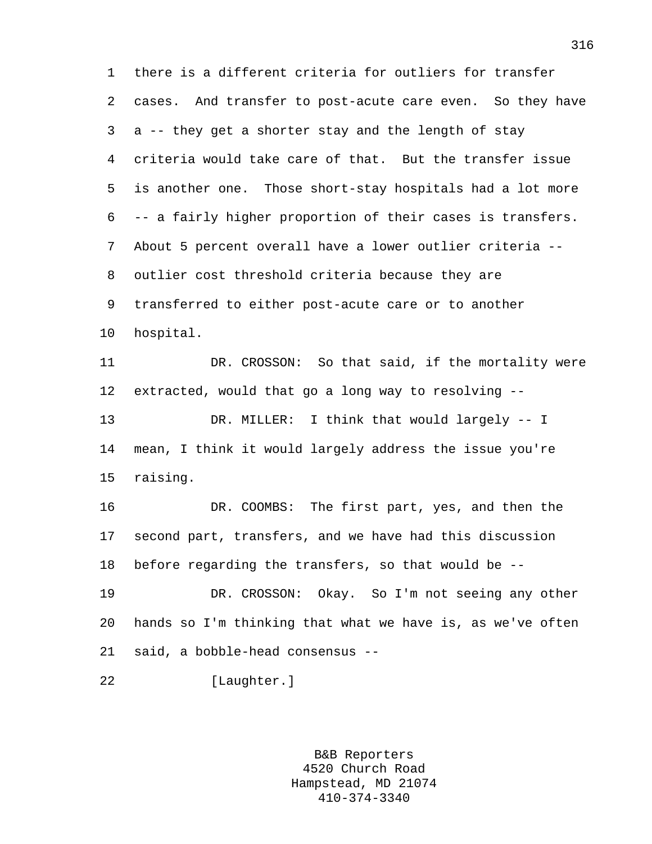1 there is a different criteria for outliers for transfer 2 cases. And transfer to post-acute care even. So they have 3 a -- they get a shorter stay and the length of stay 4 criteria would take care of that. But the transfer issue 5 is another one. Those short-stay hospitals had a lot more 6 -- a fairly higher proportion of their cases is transfers. 7 About 5 percent overall have a lower outlier criteria -- 8 outlier cost threshold criteria because they are 9 transferred to either post-acute care or to another 10 hospital. 11 DR. CROSSON: So that said, if the mortality were 12 extracted, would that go a long way to resolving -- 13 DR. MILLER: I think that would largely -- I 14 mean, I think it would largely address the issue you're 15 raising. 16 DR. COOMBS: The first part, yes, and then the 17 second part, transfers, and we have had this discussion 18 before regarding the transfers, so that would be -- 19 DR. CROSSON: Okay. So I'm not seeing any other 20 hands so I'm thinking that what we have is, as we've often 21 said, a bobble-head consensus -- 22 [Laughter.]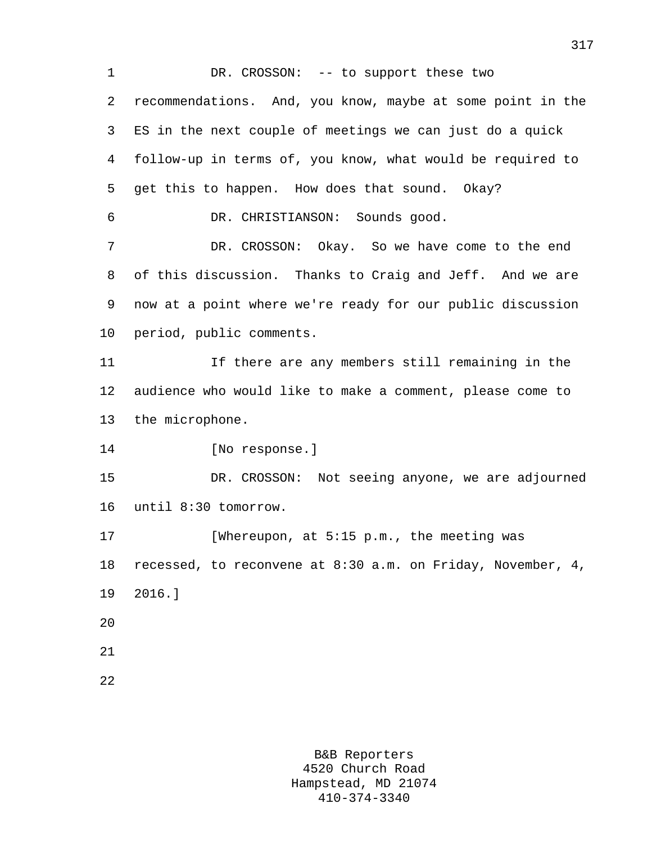1 DR. CROSSON: -- to support these two 2 recommendations. And, you know, maybe at some point in the 3 ES in the next couple of meetings we can just do a quick 4 follow-up in terms of, you know, what would be required to 5 get this to happen. How does that sound. Okay? 6 DR. CHRISTIANSON: Sounds good. 7 DR. CROSSON: Okay. So we have come to the end 8 of this discussion. Thanks to Craig and Jeff. And we are 9 now at a point where we're ready for our public discussion 10 period, public comments. 11 If there are any members still remaining in the 12 audience who would like to make a comment, please come to 13 the microphone. 14 [No response.] 15 DR. CROSSON: Not seeing anyone, we are adjourned 16 until 8:30 tomorrow. 17 [Whereupon, at 5:15 p.m., the meeting was 18 recessed, to reconvene at 8:30 a.m. on Friday, November, 4, 19 2016.] 20 21 22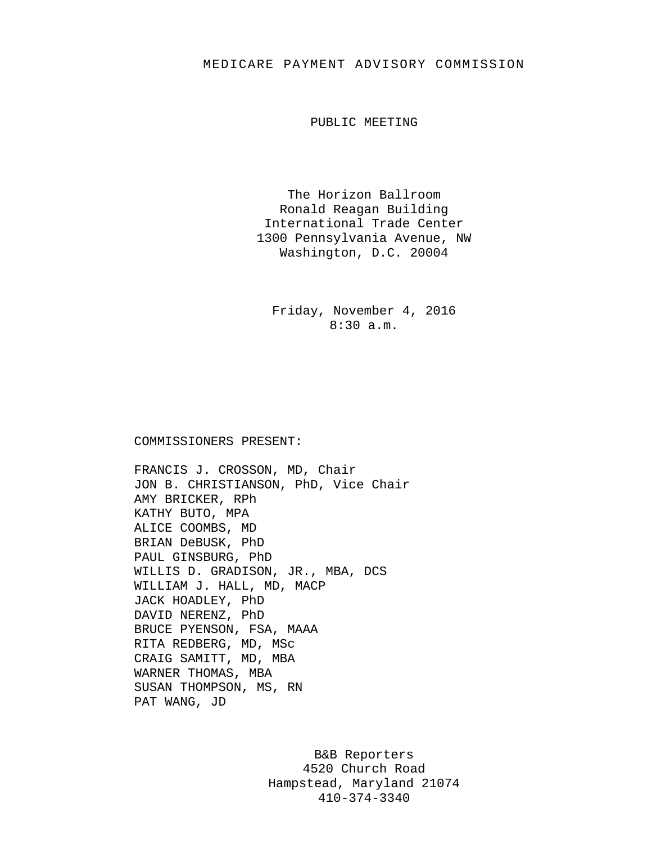## MEDICARE PAYMENT ADVISORY COMMISSION

PUBLIC MEETING

The Horizon Ballroom Ronald Reagan Building International Trade Center 1300 Pennsylvania Avenue, NW Washington, D.C. 20004

Friday, November 4, 2016 8:30 a.m.

## COMMISSIONERS PRESENT:

FRANCIS J. CROSSON, MD, Chair JON B. CHRISTIANSON, PhD, Vice Chair AMY BRICKER, RPh KATHY BUTO, MPA ALICE COOMBS, MD BRIAN DeBUSK, PhD PAUL GINSBURG, PhD WILLIS D. GRADISON, JR., MBA, DCS WILLIAM J. HALL, MD, MACP JACK HOADLEY, PhD DAVID NERENZ, PhD BRUCE PYENSON, FSA, MAAA RITA REDBERG, MD, MSc CRAIG SAMITT, MD, MBA WARNER THOMAS, MBA SUSAN THOMPSON, MS, RN PAT WANG, JD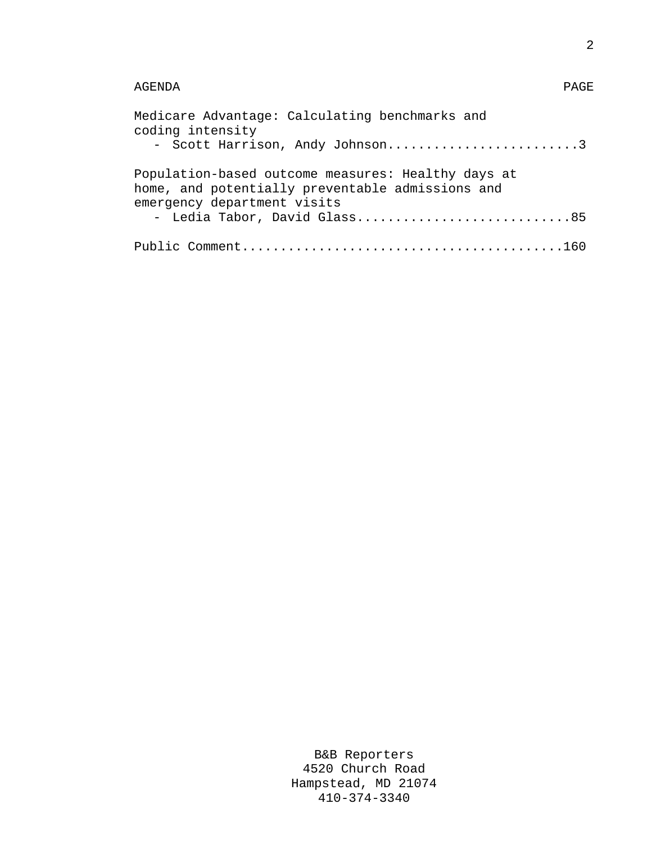## AGENDA PAGE

| Medicare Advantage: Calculating benchmarks and<br>coding intensity<br>- Scott Harrison, Andy Johnson3  |
|--------------------------------------------------------------------------------------------------------|
| Population-based outcome measures: Healthy days at<br>home, and potentially preventable admissions and |
| emergency department visits<br>- Ledia Tabor, David Glass85                                            |
|                                                                                                        |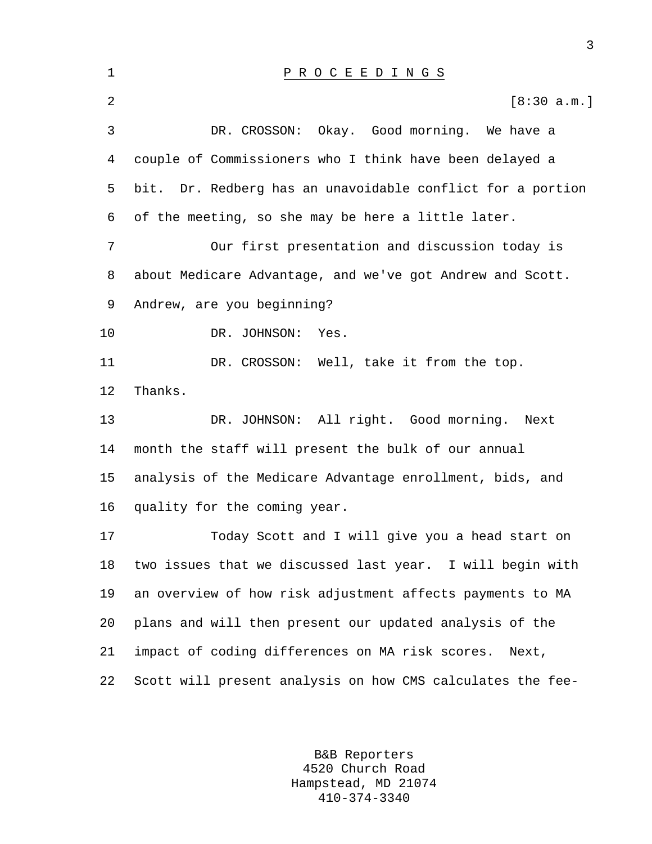| 1  | PROCEEDINGS                                                |
|----|------------------------------------------------------------|
| 2  | [8:30 a.m.]                                                |
| 3  | DR. CROSSON: Okay. Good morning. We have a                 |
| 4  | couple of Commissioners who I think have been delayed a    |
| 5  | bit. Dr. Redberg has an unavoidable conflict for a portion |
| 6  | of the meeting, so she may be here a little later.         |
| 7  | Our first presentation and discussion today is             |
| 8  | about Medicare Advantage, and we've got Andrew and Scott.  |
| 9  | Andrew, are you beginning?                                 |
| 10 | DR. JOHNSON:<br>Yes.                                       |
| 11 | DR. CROSSON: Well, take it from the top.                   |
| 12 | Thanks.                                                    |
| 13 | DR. JOHNSON: All right. Good morning. Next                 |
| 14 | month the staff will present the bulk of our annual        |
| 15 | analysis of the Medicare Advantage enrollment, bids, and   |
| 16 | quality for the coming year.                               |
| 17 | Today Scott and I will give you a head start on            |
| 18 | two issues that we discussed last year. I will begin with  |
| 19 | an overview of how risk adjustment affects payments to MA  |
| 20 | plans and will then present our updated analysis of the    |
| 21 | impact of coding differences on MA risk scores.<br>Next,   |
| 22 | Scott will present analysis on how CMS calculates the fee- |

B&B Reporters 4520 Church Road Hampstead, MD 21074 410-374-3340

3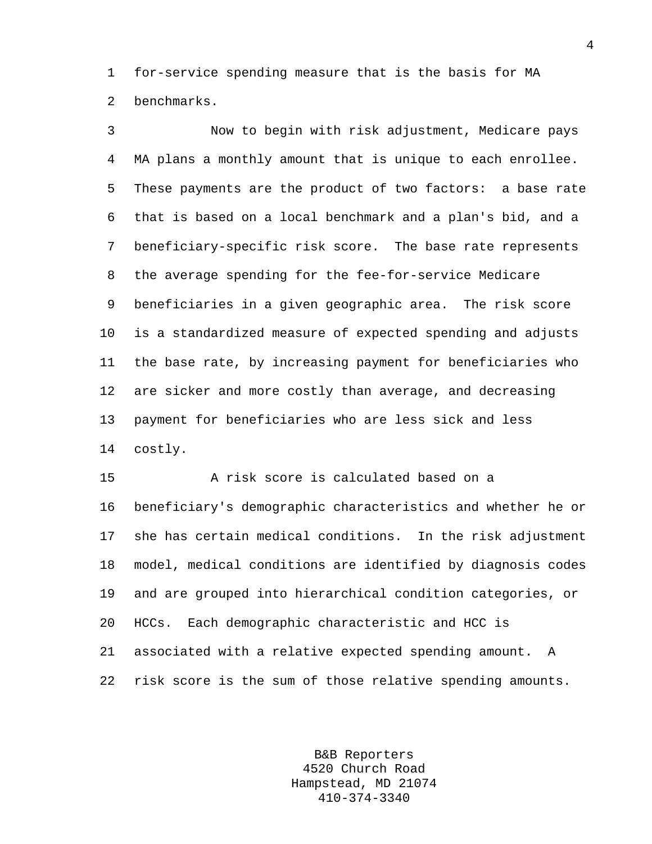1 for-service spending measure that is the basis for MA 2 benchmarks.

3 Now to begin with risk adjustment, Medicare pays 4 MA plans a monthly amount that is unique to each enrollee. 5 These payments are the product of two factors: a base rate 6 that is based on a local benchmark and a plan's bid, and a 7 beneficiary-specific risk score. The base rate represents 8 the average spending for the fee-for-service Medicare 9 beneficiaries in a given geographic area. The risk score 10 is a standardized measure of expected spending and adjusts 11 the base rate, by increasing payment for beneficiaries who 12 are sicker and more costly than average, and decreasing 13 payment for beneficiaries who are less sick and less 14 costly.

15 A risk score is calculated based on a 16 beneficiary's demographic characteristics and whether he or 17 she has certain medical conditions. In the risk adjustment 18 model, medical conditions are identified by diagnosis codes 19 and are grouped into hierarchical condition categories, or 20 HCCs. Each demographic characteristic and HCC is 21 associated with a relative expected spending amount. A 22 risk score is the sum of those relative spending amounts.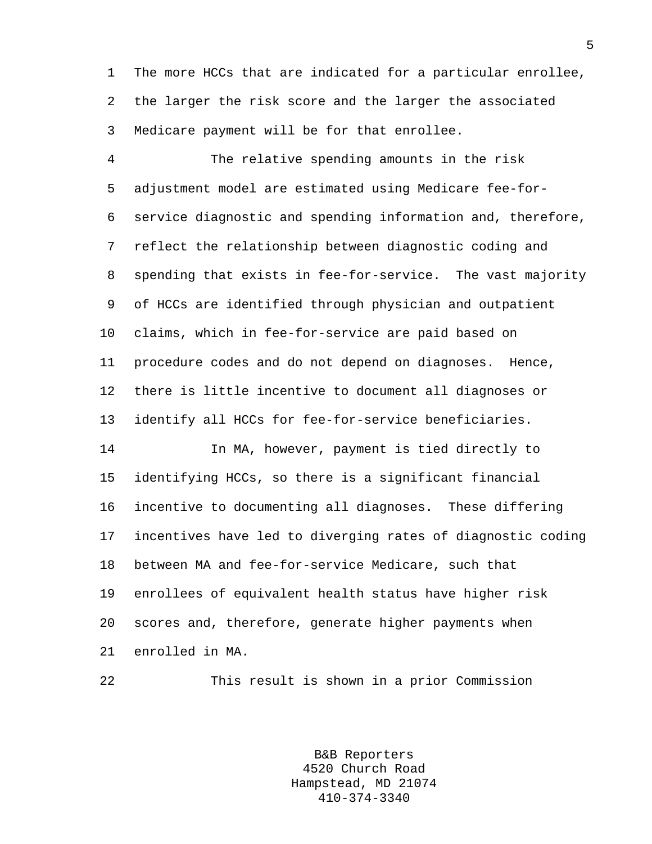1 The more HCCs that are indicated for a particular enrollee, 2 the larger the risk score and the larger the associated 3 Medicare payment will be for that enrollee.

4 The relative spending amounts in the risk 5 adjustment model are estimated using Medicare fee-for-6 service diagnostic and spending information and, therefore, 7 reflect the relationship between diagnostic coding and 8 spending that exists in fee-for-service. The vast majority 9 of HCCs are identified through physician and outpatient 10 claims, which in fee-for-service are paid based on 11 procedure codes and do not depend on diagnoses. Hence, 12 there is little incentive to document all diagnoses or 13 identify all HCCs for fee-for-service beneficiaries.

14 In MA, however, payment is tied directly to 15 identifying HCCs, so there is a significant financial 16 incentive to documenting all diagnoses. These differing 17 incentives have led to diverging rates of diagnostic coding 18 between MA and fee-for-service Medicare, such that 19 enrollees of equivalent health status have higher risk 20 scores and, therefore, generate higher payments when 21 enrolled in MA.

22 This result is shown in a prior Commission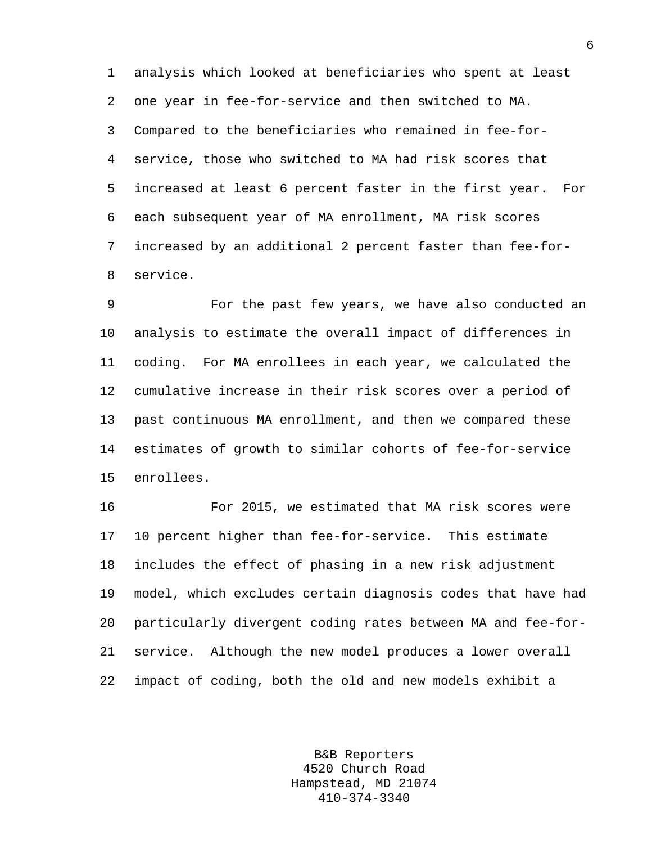1 analysis which looked at beneficiaries who spent at least 2 one year in fee-for-service and then switched to MA. 3 Compared to the beneficiaries who remained in fee-for-4 service, those who switched to MA had risk scores that 5 increased at least 6 percent faster in the first year. For 6 each subsequent year of MA enrollment, MA risk scores 7 increased by an additional 2 percent faster than fee-for-8 service.

9 For the past few years, we have also conducted an 10 analysis to estimate the overall impact of differences in 11 coding. For MA enrollees in each year, we calculated the 12 cumulative increase in their risk scores over a period of 13 past continuous MA enrollment, and then we compared these 14 estimates of growth to similar cohorts of fee-for-service 15 enrollees.

16 For 2015, we estimated that MA risk scores were 17 10 percent higher than fee-for-service. This estimate 18 includes the effect of phasing in a new risk adjustment 19 model, which excludes certain diagnosis codes that have had 20 particularly divergent coding rates between MA and fee-for-21 service. Although the new model produces a lower overall 22 impact of coding, both the old and new models exhibit a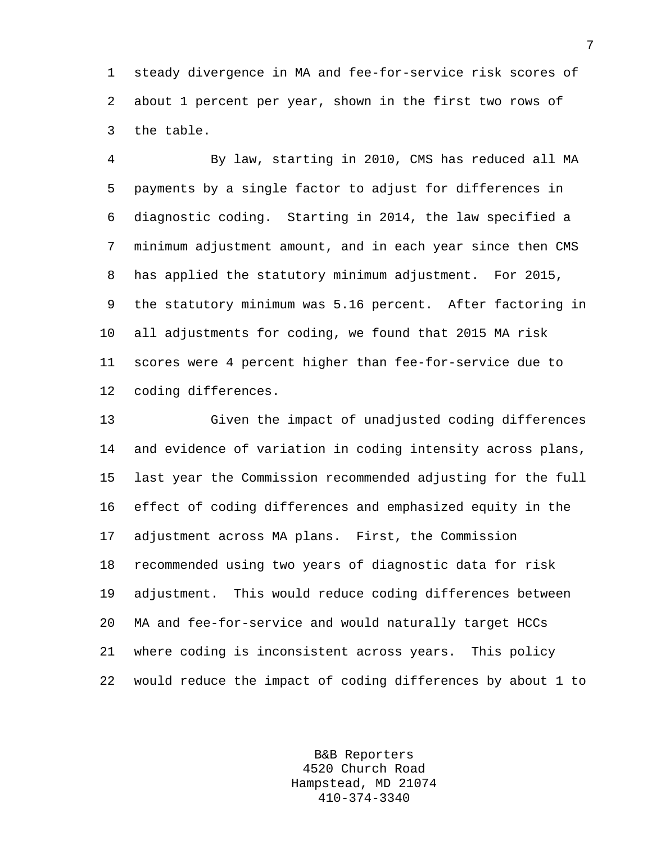1 steady divergence in MA and fee-for-service risk scores of 2 about 1 percent per year, shown in the first two rows of 3 the table.

4 By law, starting in 2010, CMS has reduced all MA 5 payments by a single factor to adjust for differences in 6 diagnostic coding. Starting in 2014, the law specified a 7 minimum adjustment amount, and in each year since then CMS 8 has applied the statutory minimum adjustment. For 2015, 9 the statutory minimum was 5.16 percent. After factoring in 10 all adjustments for coding, we found that 2015 MA risk 11 scores were 4 percent higher than fee-for-service due to 12 coding differences.

13 Given the impact of unadjusted coding differences 14 and evidence of variation in coding intensity across plans, 15 last year the Commission recommended adjusting for the full 16 effect of coding differences and emphasized equity in the 17 adjustment across MA plans. First, the Commission 18 recommended using two years of diagnostic data for risk 19 adjustment. This would reduce coding differences between 20 MA and fee-for-service and would naturally target HCCs 21 where coding is inconsistent across years. This policy 22 would reduce the impact of coding differences by about 1 to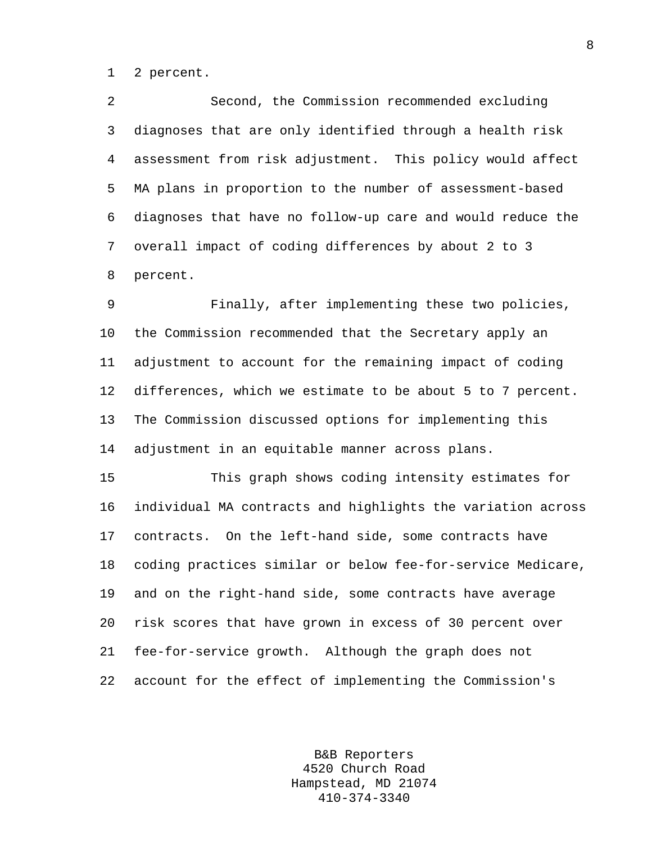1 2 percent.

2 Second, the Commission recommended excluding 3 diagnoses that are only identified through a health risk 4 assessment from risk adjustment. This policy would affect 5 MA plans in proportion to the number of assessment-based 6 diagnoses that have no follow-up care and would reduce the 7 overall impact of coding differences by about 2 to 3 8 percent.

9 Finally, after implementing these two policies, 10 the Commission recommended that the Secretary apply an 11 adjustment to account for the remaining impact of coding 12 differences, which we estimate to be about 5 to 7 percent. 13 The Commission discussed options for implementing this 14 adjustment in an equitable manner across plans.

15 This graph shows coding intensity estimates for 16 individual MA contracts and highlights the variation across 17 contracts. On the left-hand side, some contracts have 18 coding practices similar or below fee-for-service Medicare, 19 and on the right-hand side, some contracts have average 20 risk scores that have grown in excess of 30 percent over 21 fee-for-service growth. Although the graph does not 22 account for the effect of implementing the Commission's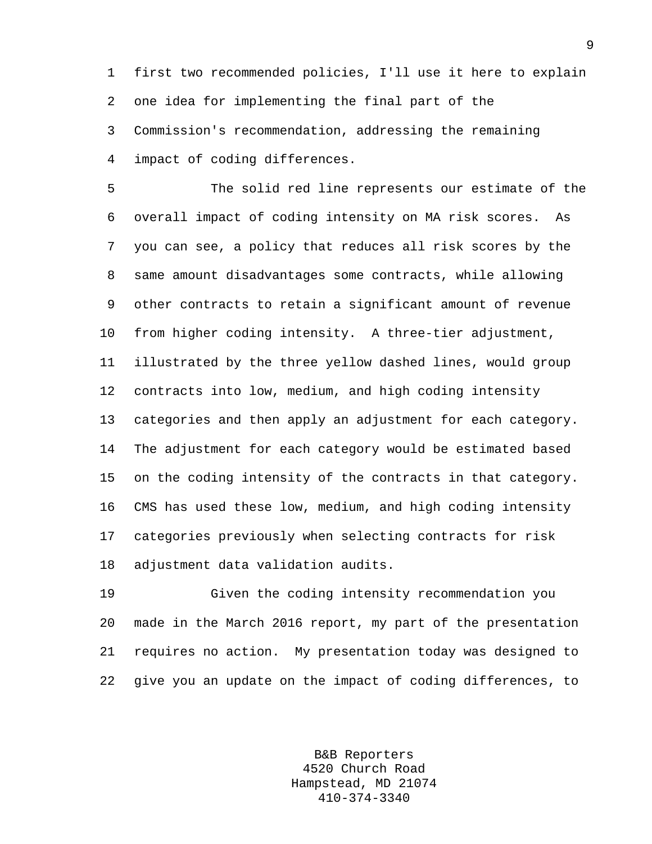1 first two recommended policies, I'll use it here to explain 2 one idea for implementing the final part of the 3 Commission's recommendation, addressing the remaining 4 impact of coding differences.

5 The solid red line represents our estimate of the 6 overall impact of coding intensity on MA risk scores. As 7 you can see, a policy that reduces all risk scores by the 8 same amount disadvantages some contracts, while allowing 9 other contracts to retain a significant amount of revenue 10 from higher coding intensity. A three-tier adjustment, 11 illustrated by the three yellow dashed lines, would group 12 contracts into low, medium, and high coding intensity 13 categories and then apply an adjustment for each category. 14 The adjustment for each category would be estimated based 15 on the coding intensity of the contracts in that category. 16 CMS has used these low, medium, and high coding intensity 17 categories previously when selecting contracts for risk 18 adjustment data validation audits.

19 Given the coding intensity recommendation you 20 made in the March 2016 report, my part of the presentation 21 requires no action. My presentation today was designed to 22 give you an update on the impact of coding differences, to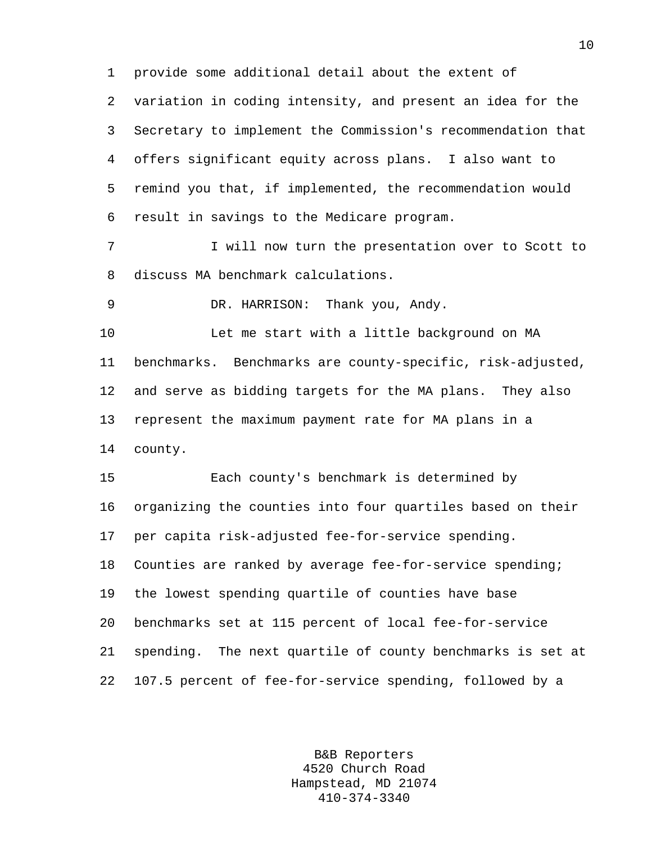1 provide some additional detail about the extent of 2 variation in coding intensity, and present an idea for the 3 Secretary to implement the Commission's recommendation that 4 offers significant equity across plans. I also want to 5 remind you that, if implemented, the recommendation would 6 result in savings to the Medicare program. 7 I will now turn the presentation over to Scott to 8 discuss MA benchmark calculations. 9 DR. HARRISON: Thank you, Andy. 10 Let me start with a little background on MA 11 benchmarks. Benchmarks are county-specific, risk-adjusted, 12 and serve as bidding targets for the MA plans. They also 13 represent the maximum payment rate for MA plans in a 14 county. 15 Each county's benchmark is determined by 16 organizing the counties into four quartiles based on their 17 per capita risk-adjusted fee-for-service spending. 18 Counties are ranked by average fee-for-service spending; 19 the lowest spending quartile of counties have base 20 benchmarks set at 115 percent of local fee-for-service 21 spending. The next quartile of county benchmarks is set at 22 107.5 percent of fee-for-service spending, followed by a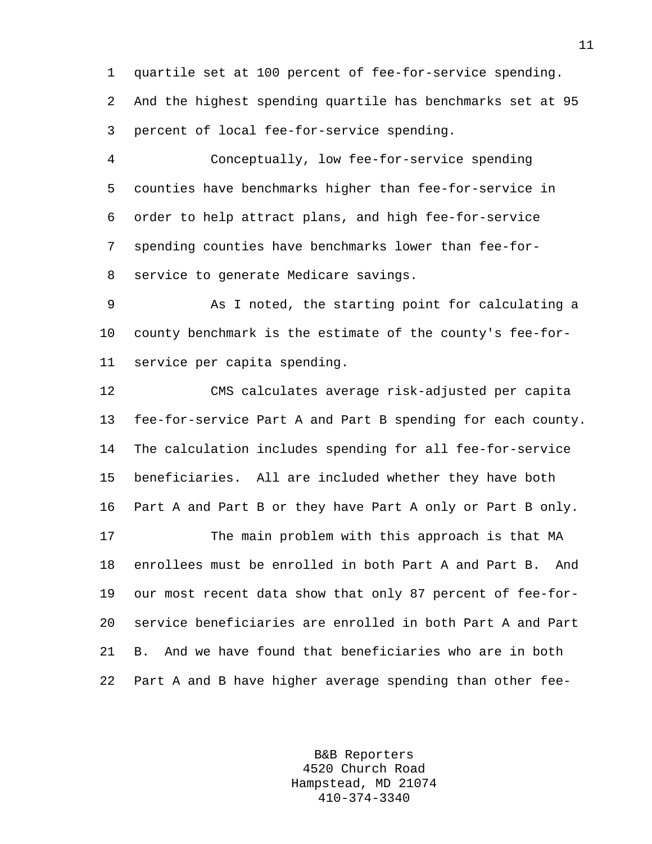1 quartile set at 100 percent of fee-for-service spending. 2 And the highest spending quartile has benchmarks set at 95 3 percent of local fee-for-service spending.

4 Conceptually, low fee-for-service spending 5 counties have benchmarks higher than fee-for-service in 6 order to help attract plans, and high fee-for-service 7 spending counties have benchmarks lower than fee-for-8 service to generate Medicare savings.

9 As I noted, the starting point for calculating a 10 county benchmark is the estimate of the county's fee-for-11 service per capita spending.

12 CMS calculates average risk-adjusted per capita 13 fee-for-service Part A and Part B spending for each county. 14 The calculation includes spending for all fee-for-service 15 beneficiaries. All are included whether they have both 16 Part A and Part B or they have Part A only or Part B only. 17 The main problem with this approach is that MA

18 enrollees must be enrolled in both Part A and Part B. And 19 our most recent data show that only 87 percent of fee-for-20 service beneficiaries are enrolled in both Part A and Part 21 B. And we have found that beneficiaries who are in both 22 Part A and B have higher average spending than other fee-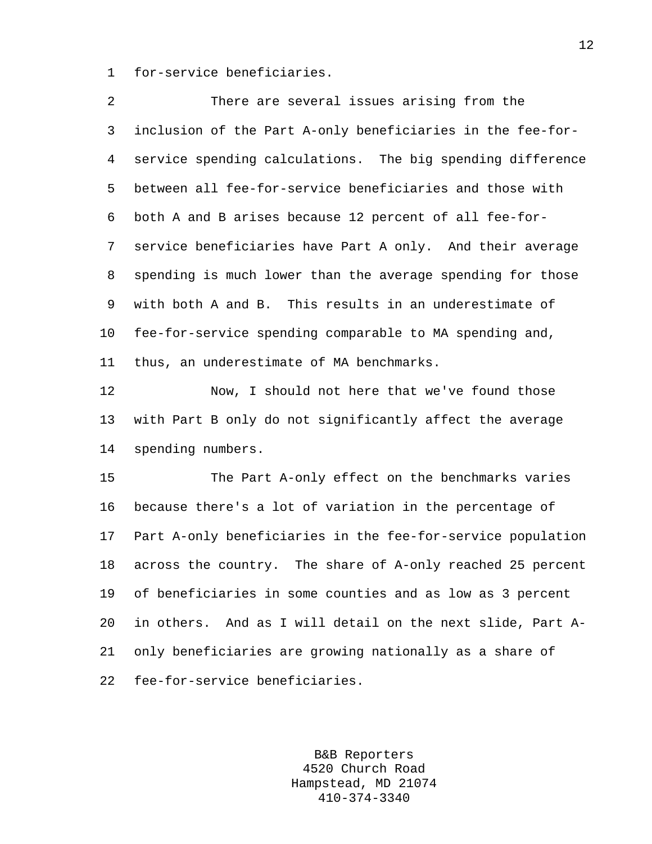1 for-service beneficiaries.

| 2       | There are several issues arising from the                   |
|---------|-------------------------------------------------------------|
| 3       | inclusion of the Part A-only beneficiaries in the fee-for-  |
| 4       | service spending calculations. The big spending difference  |
| 5       | between all fee-for-service beneficiaries and those with    |
| 6       | both A and B arises because 12 percent of all fee-for-      |
| 7       | service beneficiaries have Part A only. And their average   |
| 8       | spending is much lower than the average spending for those  |
| 9       | with both A and B. This results in an underestimate of      |
| $10 \,$ | fee-for-service spending comparable to MA spending and,     |
| 11      | thus, an underestimate of MA benchmarks.                    |
| 12      | Now, I should not here that we've found those               |
| 13      | with Part B only do not significantly affect the average    |
| 14      | spending numbers.                                           |
| 15      | The Part A-only effect on the benchmarks varies             |
| 16      | because there's a lot of variation in the percentage of     |
| 17      | Part A-only beneficiaries in the fee-for-service population |
| 18      | across the country. The share of A-only reached 25 percent  |
| 19      | of beneficiaries in some counties and as low as 3 percent   |
| 20      | in others. And as I will detail on the next slide, Part A-  |
| 21      | only beneficiaries are growing nationally as a share of     |
| 22      | fee-for-service beneficiaries.                              |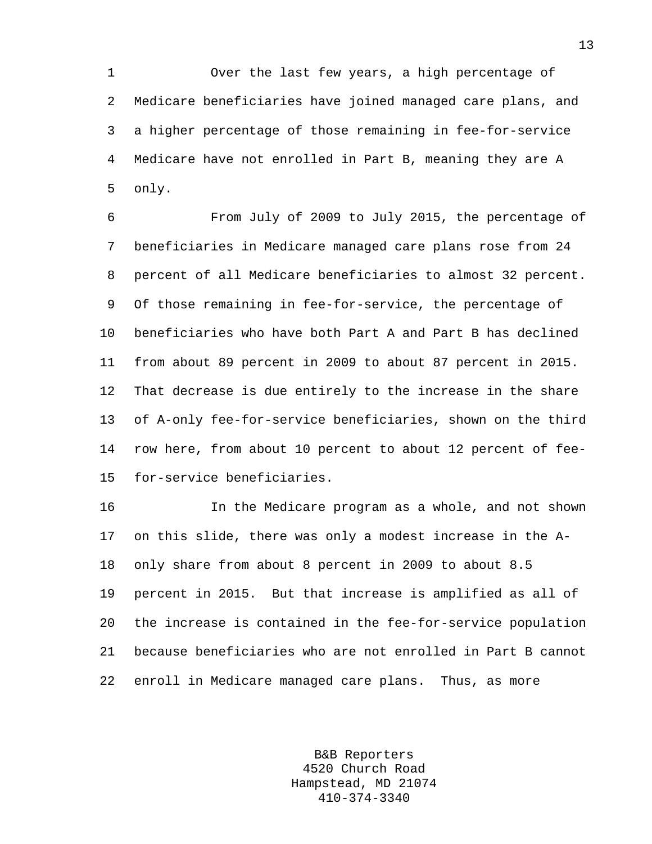1 Over the last few years, a high percentage of 2 Medicare beneficiaries have joined managed care plans, and 3 a higher percentage of those remaining in fee-for-service 4 Medicare have not enrolled in Part B, meaning they are A 5 only.

6 From July of 2009 to July 2015, the percentage of 7 beneficiaries in Medicare managed care plans rose from 24 8 percent of all Medicare beneficiaries to almost 32 percent. 9 Of those remaining in fee-for-service, the percentage of 10 beneficiaries who have both Part A and Part B has declined 11 from about 89 percent in 2009 to about 87 percent in 2015. 12 That decrease is due entirely to the increase in the share 13 of A-only fee-for-service beneficiaries, shown on the third 14 row here, from about 10 percent to about 12 percent of fee-15 for-service beneficiaries.

16 In the Medicare program as a whole, and not shown 17 on this slide, there was only a modest increase in the A-18 only share from about 8 percent in 2009 to about 8.5 19 percent in 2015. But that increase is amplified as all of 20 the increase is contained in the fee-for-service population 21 because beneficiaries who are not enrolled in Part B cannot 22 enroll in Medicare managed care plans. Thus, as more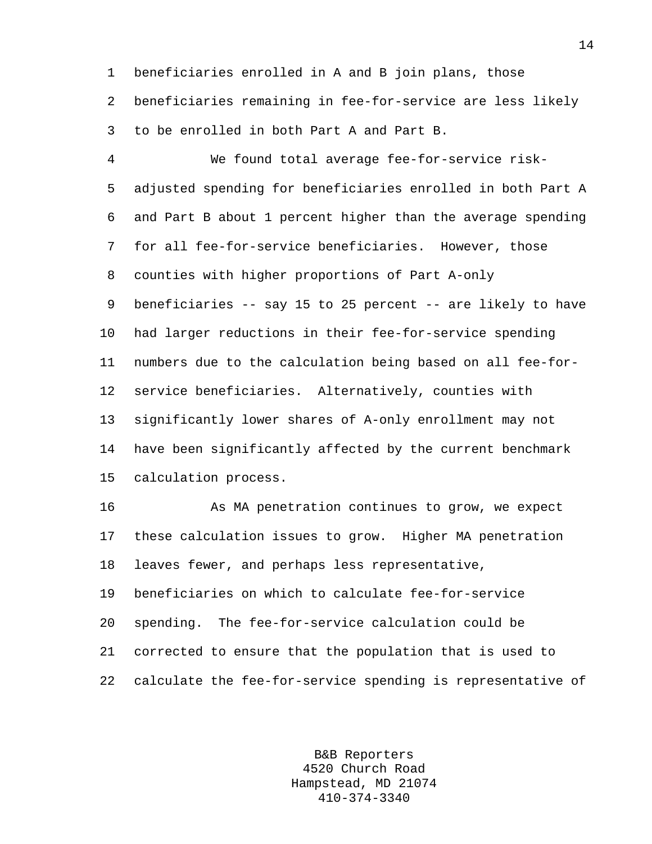1 beneficiaries enrolled in A and B join plans, those 2 beneficiaries remaining in fee-for-service are less likely 3 to be enrolled in both Part A and Part B.

4 We found total average fee-for-service risk-5 adjusted spending for beneficiaries enrolled in both Part A 6 and Part B about 1 percent higher than the average spending 7 for all fee-for-service beneficiaries. However, those 8 counties with higher proportions of Part A-only 9 beneficiaries -- say 15 to 25 percent -- are likely to have 10 had larger reductions in their fee-for-service spending 11 numbers due to the calculation being based on all fee-for-12 service beneficiaries. Alternatively, counties with 13 significantly lower shares of A-only enrollment may not 14 have been significantly affected by the current benchmark 15 calculation process.

16 As MA penetration continues to grow, we expect 17 these calculation issues to grow. Higher MA penetration 18 leaves fewer, and perhaps less representative, 19 beneficiaries on which to calculate fee-for-service 20 spending. The fee-for-service calculation could be 21 corrected to ensure that the population that is used to 22 calculate the fee-for-service spending is representative of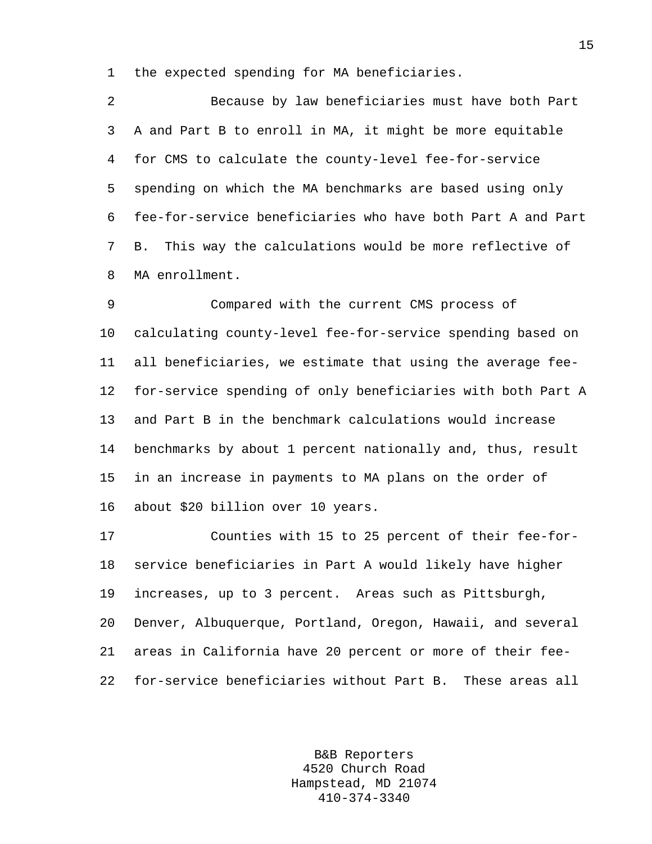1 the expected spending for MA beneficiaries.

2 Because by law beneficiaries must have both Part 3 A and Part B to enroll in MA, it might be more equitable 4 for CMS to calculate the county-level fee-for-service 5 spending on which the MA benchmarks are based using only 6 fee-for-service beneficiaries who have both Part A and Part 7 B. This way the calculations would be more reflective of 8 MA enrollment.

9 Compared with the current CMS process of 10 calculating county-level fee-for-service spending based on 11 all beneficiaries, we estimate that using the average fee-12 for-service spending of only beneficiaries with both Part A 13 and Part B in the benchmark calculations would increase 14 benchmarks by about 1 percent nationally and, thus, result 15 in an increase in payments to MA plans on the order of 16 about \$20 billion over 10 years.

17 Counties with 15 to 25 percent of their fee-for-18 service beneficiaries in Part A would likely have higher 19 increases, up to 3 percent. Areas such as Pittsburgh, 20 Denver, Albuquerque, Portland, Oregon, Hawaii, and several 21 areas in California have 20 percent or more of their fee-22 for-service beneficiaries without Part B. These areas all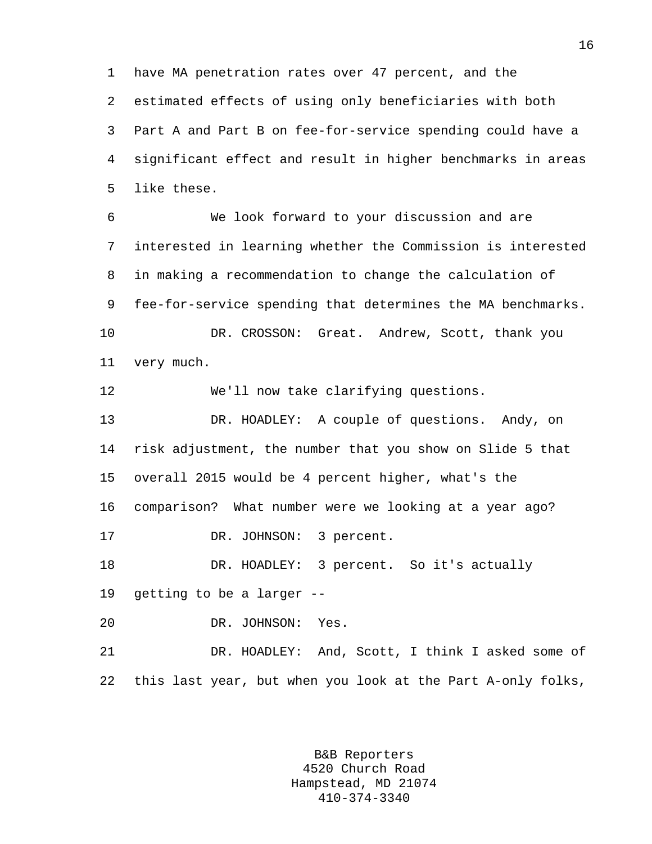1 have MA penetration rates over 47 percent, and the

2 estimated effects of using only beneficiaries with both

3 Part A and Part B on fee-for-service spending could have a 4 significant effect and result in higher benchmarks in areas 5 like these.

6 We look forward to your discussion and are 7 interested in learning whether the Commission is interested 8 in making a recommendation to change the calculation of 9 fee-for-service spending that determines the MA benchmarks. 10 DR. CROSSON: Great. Andrew, Scott, thank you 11 very much.

12 We'll now take clarifying questions.

13 DR. HOADLEY: A couple of questions. Andy, on 14 risk adjustment, the number that you show on Slide 5 that 15 overall 2015 would be 4 percent higher, what's the 16 comparison? What number were we looking at a year ago? 17 DR. JOHNSON: 3 percent. 18 DR. HOADLEY: 3 percent. So it's actually

19 getting to be a larger --

20 DR. JOHNSON: Yes.

21 DR. HOADLEY: And, Scott, I think I asked some of 22 this last year, but when you look at the Part A-only folks,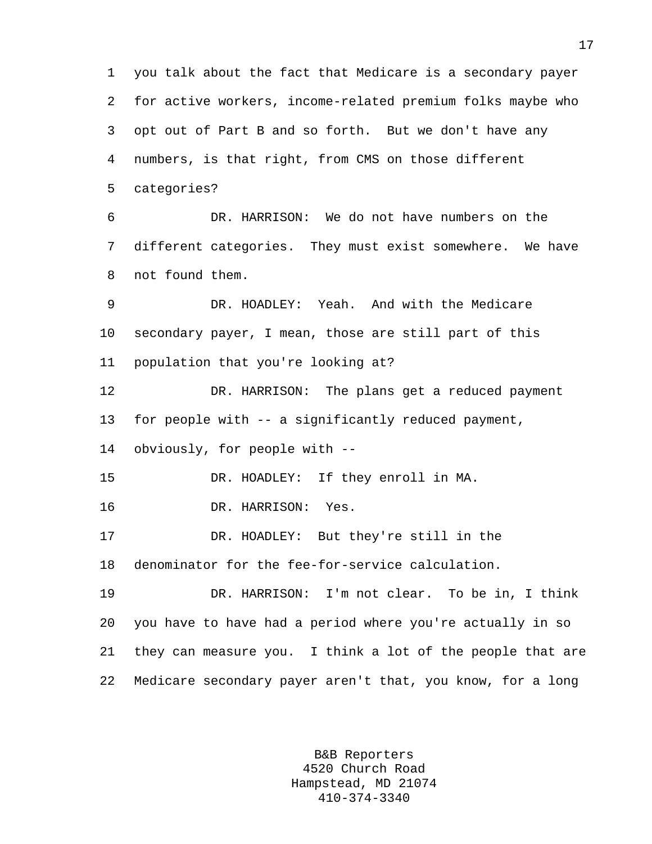1 you talk about the fact that Medicare is a secondary payer 2 for active workers, income-related premium folks maybe who 3 opt out of Part B and so forth. But we don't have any 4 numbers, is that right, from CMS on those different 5 categories? 6 DR. HARRISON: We do not have numbers on the 7 different categories. They must exist somewhere. We have 8 not found them. 9 DR. HOADLEY: Yeah. And with the Medicare 10 secondary payer, I mean, those are still part of this 11 population that you're looking at? 12 DR. HARRISON: The plans get a reduced payment 13 for people with -- a significantly reduced payment, 14 obviously, for people with -- 15 DR. HOADLEY: If they enroll in MA. 16 DR. HARRISON: Yes. 17 DR. HOADLEY: But they're still in the 18 denominator for the fee-for-service calculation. 19 DR. HARRISON: I'm not clear. To be in, I think 20 you have to have had a period where you're actually in so 21 they can measure you. I think a lot of the people that are 22 Medicare secondary payer aren't that, you know, for a long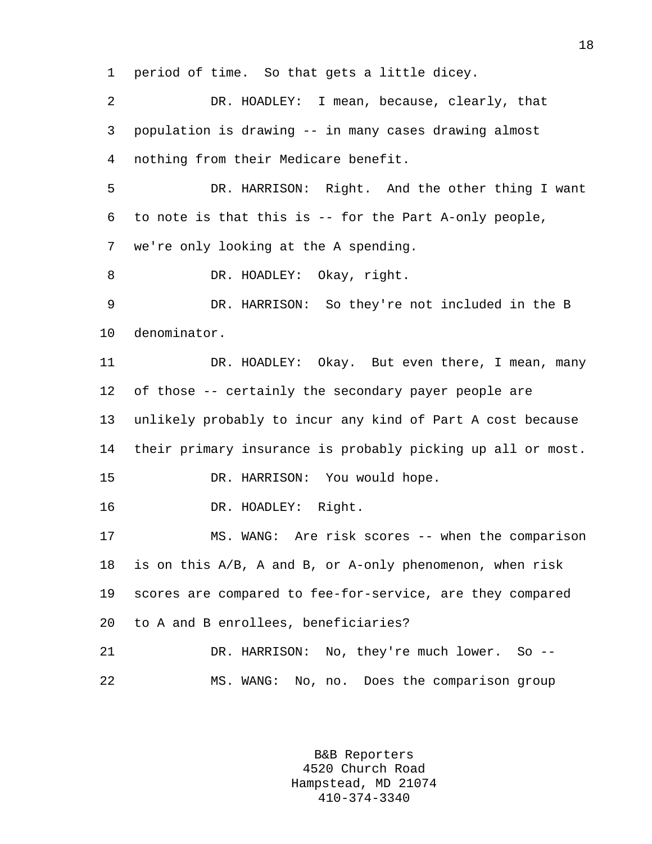1 period of time. So that gets a little dicey.

2 DR. HOADLEY: I mean, because, clearly, that 3 population is drawing -- in many cases drawing almost 4 nothing from their Medicare benefit. 5 DR. HARRISON: Right. And the other thing I want 6 to note is that this is -- for the Part A-only people, 7 we're only looking at the A spending. 8 DR. HOADLEY: Okay, right. 9 DR. HARRISON: So they're not included in the B 10 denominator. 11 DR. HOADLEY: Okay. But even there, I mean, many 12 of those -- certainly the secondary payer people are 13 unlikely probably to incur any kind of Part A cost because 14 their primary insurance is probably picking up all or most. 15 DR. HARRISON: You would hope. 16 DR. HOADLEY: Right. 17 MS. WANG: Are risk scores -- when the comparison 18 is on this A/B, A and B, or A-only phenomenon, when risk 19 scores are compared to fee-for-service, are they compared 20 to A and B enrollees, beneficiaries? 21 DR. HARRISON: No, they're much lower. So -- 22 MS. WANG: No, no. Does the comparison group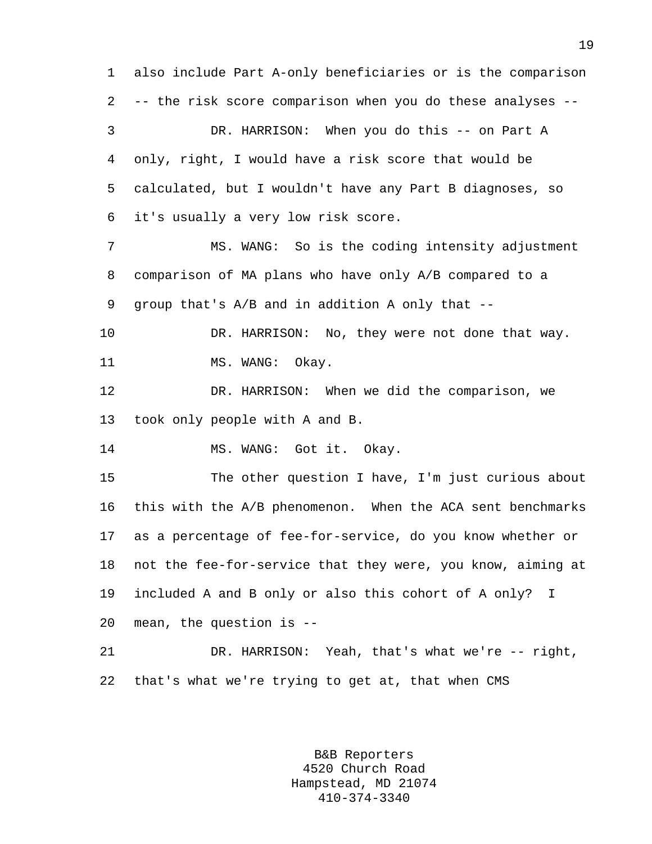1 also include Part A-only beneficiaries or is the comparison 2 -- the risk score comparison when you do these analyses -- 3 DR. HARRISON: When you do this -- on Part A 4 only, right, I would have a risk score that would be 5 calculated, but I wouldn't have any Part B diagnoses, so 6 it's usually a very low risk score. 7 MS. WANG: So is the coding intensity adjustment 8 comparison of MA plans who have only A/B compared to a 9 group that's A/B and in addition A only that -- 10 DR. HARRISON: No, they were not done that way. 11 MS. WANG: Okay. 12 DR. HARRISON: When we did the comparison, we 13 took only people with A and B. 14 MS. WANG: Got it. Okay. 15 The other question I have, I'm just curious about 16 this with the A/B phenomenon. When the ACA sent benchmarks 17 as a percentage of fee-for-service, do you know whether or 18 not the fee-for-service that they were, you know, aiming at 19 included A and B only or also this cohort of A only? I 20 mean, the question is -- 21 DR. HARRISON: Yeah, that's what we're -- right, 22 that's what we're trying to get at, that when CMS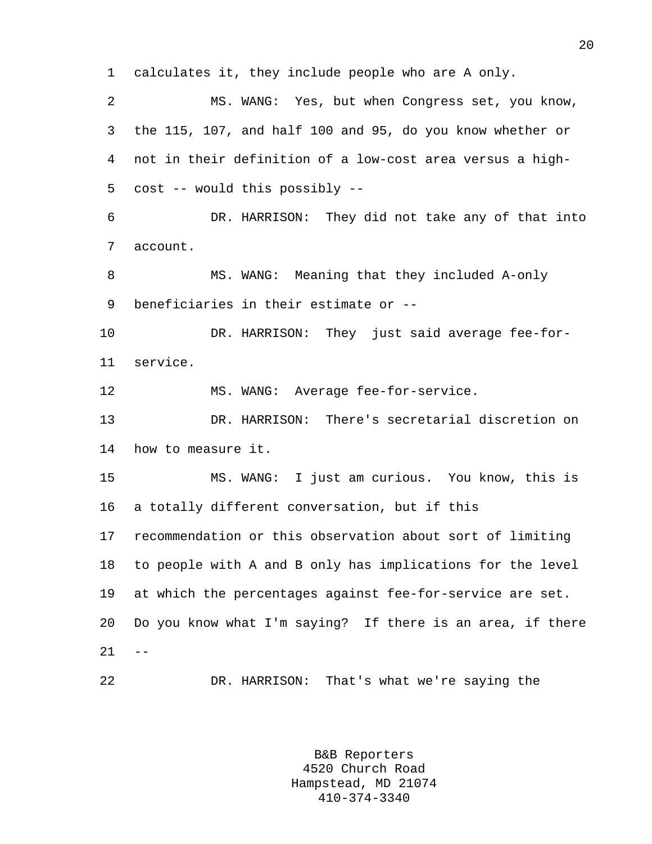1 calculates it, they include people who are A only. 2 MS. WANG: Yes, but when Congress set, you know, 3 the 115, 107, and half 100 and 95, do you know whether or 4 not in their definition of a low-cost area versus a high-5 cost -- would this possibly -- 6 DR. HARRISON: They did not take any of that into 7 account. 8 MS. WANG: Meaning that they included A-only 9 beneficiaries in their estimate or -- 10 DR. HARRISON: They just said average fee-for-11 service. 12 MS. WANG: Average fee-for-service. 13 DR. HARRISON: There's secretarial discretion on 14 how to measure it. 15 MS. WANG: I just am curious. You know, this is 16 a totally different conversation, but if this 17 recommendation or this observation about sort of limiting 18 to people with A and B only has implications for the level 19 at which the percentages against fee-for-service are set. 20 Do you know what I'm saying? If there is an area, if there  $21 - -$ 22 DR. HARRISON: That's what we're saying the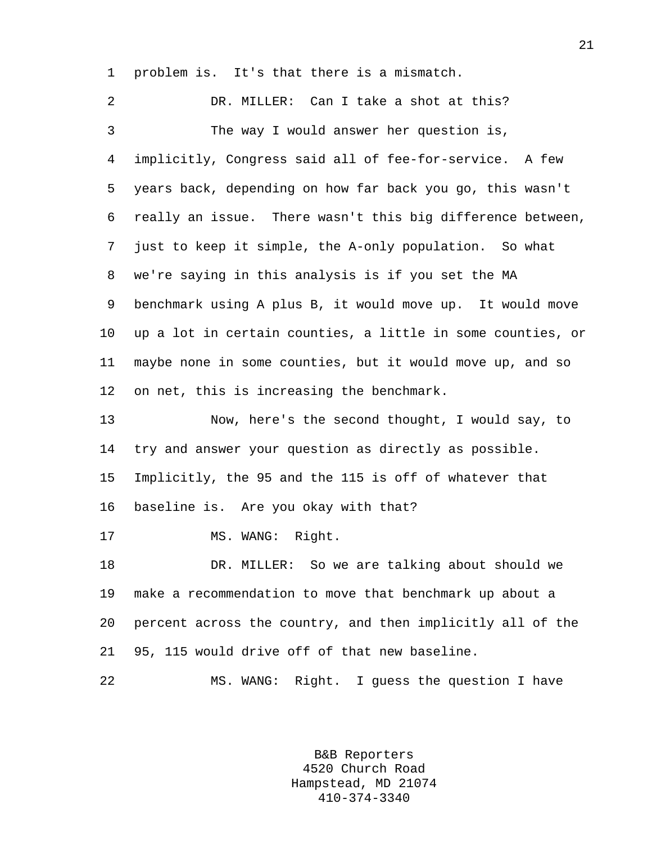1 problem is. It's that there is a mismatch.

2 DR. MILLER: Can I take a shot at this? 3 The way I would answer her question is, 4 implicitly, Congress said all of fee-for-service. A few 5 years back, depending on how far back you go, this wasn't 6 really an issue. There wasn't this big difference between, 7 just to keep it simple, the A-only population. So what 8 we're saying in this analysis is if you set the MA 9 benchmark using A plus B, it would move up. It would move 10 up a lot in certain counties, a little in some counties, or 11 maybe none in some counties, but it would move up, and so 12 on net, this is increasing the benchmark. 13 Now, here's the second thought, I would say, to 14 try and answer your question as directly as possible. 15 Implicitly, the 95 and the 115 is off of whatever that 16 baseline is. Are you okay with that? 17 MS. WANG: Right. 18 DR. MILLER: So we are talking about should we 19 make a recommendation to move that benchmark up about a 20 percent across the country, and then implicitly all of the 21 95, 115 would drive off of that new baseline. 22 MS. WANG: Right. I guess the question I have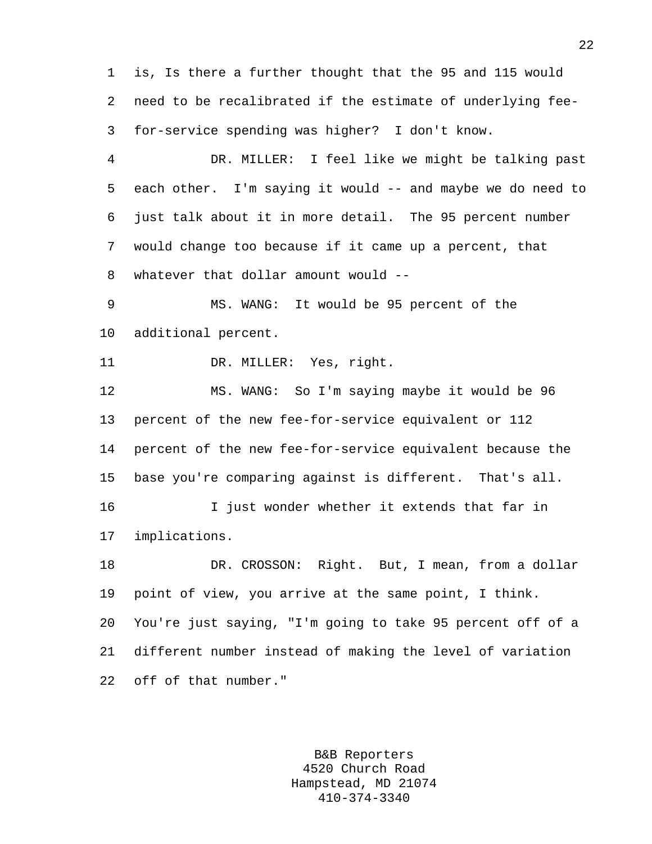1 is, Is there a further thought that the 95 and 115 would 2 need to be recalibrated if the estimate of underlying fee-3 for-service spending was higher? I don't know.

4 DR. MILLER: I feel like we might be talking past 5 each other. I'm saying it would -- and maybe we do need to 6 just talk about it in more detail. The 95 percent number 7 would change too because if it came up a percent, that 8 whatever that dollar amount would --

9 MS. WANG: It would be 95 percent of the 10 additional percent.

11 DR. MILLER: Yes, right.

12 MS. WANG: So I'm saying maybe it would be 96 13 percent of the new fee-for-service equivalent or 112 14 percent of the new fee-for-service equivalent because the 15 base you're comparing against is different. That's all.

16 I just wonder whether it extends that far in 17 implications.

18 DR. CROSSON: Right. But, I mean, from a dollar 19 point of view, you arrive at the same point, I think. 20 You're just saying, "I'm going to take 95 percent off of a 21 different number instead of making the level of variation 22 off of that number."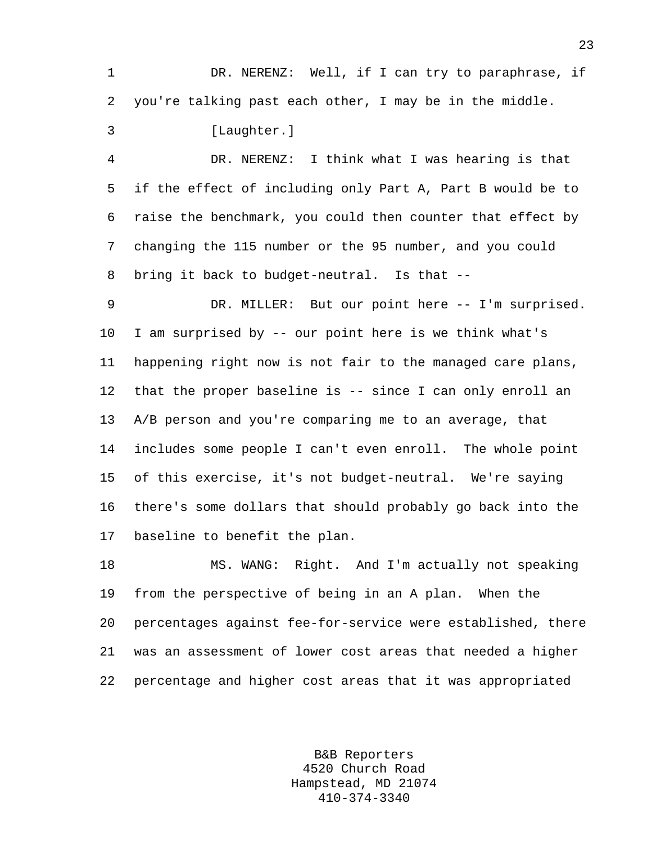1 DR. NERENZ: Well, if I can try to paraphrase, if 2 you're talking past each other, I may be in the middle.

3 [Laughter.]

4 DR. NERENZ: I think what I was hearing is that 5 if the effect of including only Part A, Part B would be to 6 raise the benchmark, you could then counter that effect by 7 changing the 115 number or the 95 number, and you could 8 bring it back to budget-neutral. Is that --

9 DR. MILLER: But our point here -- I'm surprised. 10 I am surprised by -- our point here is we think what's 11 happening right now is not fair to the managed care plans, 12 that the proper baseline is -- since I can only enroll an 13 A/B person and you're comparing me to an average, that 14 includes some people I can't even enroll. The whole point 15 of this exercise, it's not budget-neutral. We're saying 16 there's some dollars that should probably go back into the 17 baseline to benefit the plan.

18 MS. WANG: Right. And I'm actually not speaking 19 from the perspective of being in an A plan. When the 20 percentages against fee-for-service were established, there 21 was an assessment of lower cost areas that needed a higher 22 percentage and higher cost areas that it was appropriated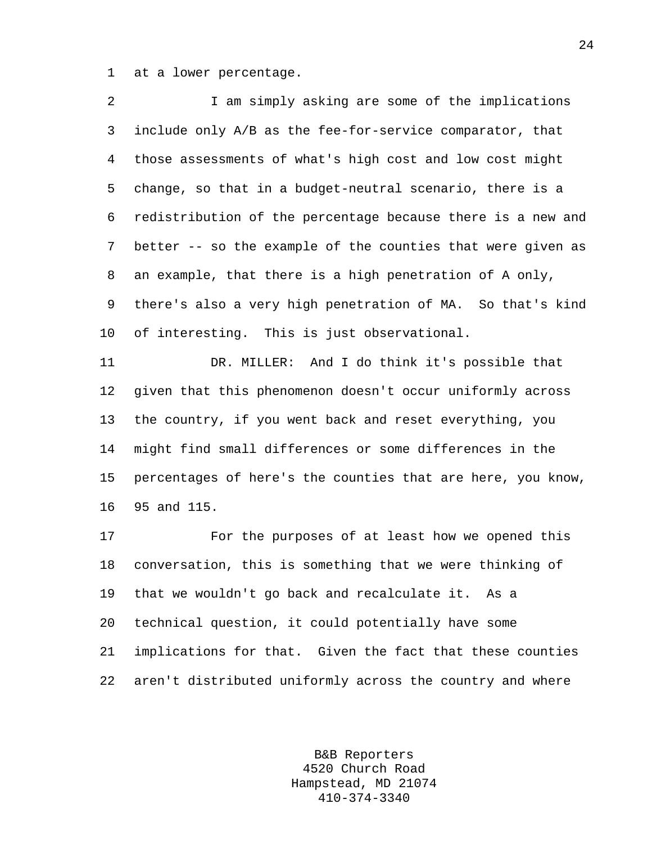1 at a lower percentage.

16 95 and 115.

| $\overline{2}$ | I am simply asking are some of the implications             |
|----------------|-------------------------------------------------------------|
| 3              | include only A/B as the fee-for-service comparator, that    |
| $\overline{4}$ | those assessments of what's high cost and low cost might    |
| 5              | change, so that in a budget-neutral scenario, there is a    |
| 6              | redistribution of the percentage because there is a new and |
| 7              | better -- so the example of the counties that were given as |
| 8              | an example, that there is a high penetration of A only,     |
| 9              | there's also a very high penetration of MA. So that's kind  |
| 10             | of interesting. This is just observational.                 |
| 11             | DR. MILLER: And I do think it's possible that               |
| 12             | given that this phenomenon doesn't occur uniformly across   |
| 13             | the country, if you went back and reset everything, you     |
| 14             | might find small differences or some differences in the     |
| 15             | percentages of here's the counties that are here, you know, |
|                |                                                             |

17 For the purposes of at least how we opened this 18 conversation, this is something that we were thinking of 19 that we wouldn't go back and recalculate it. As a 20 technical question, it could potentially have some 21 implications for that. Given the fact that these counties 22 aren't distributed uniformly across the country and where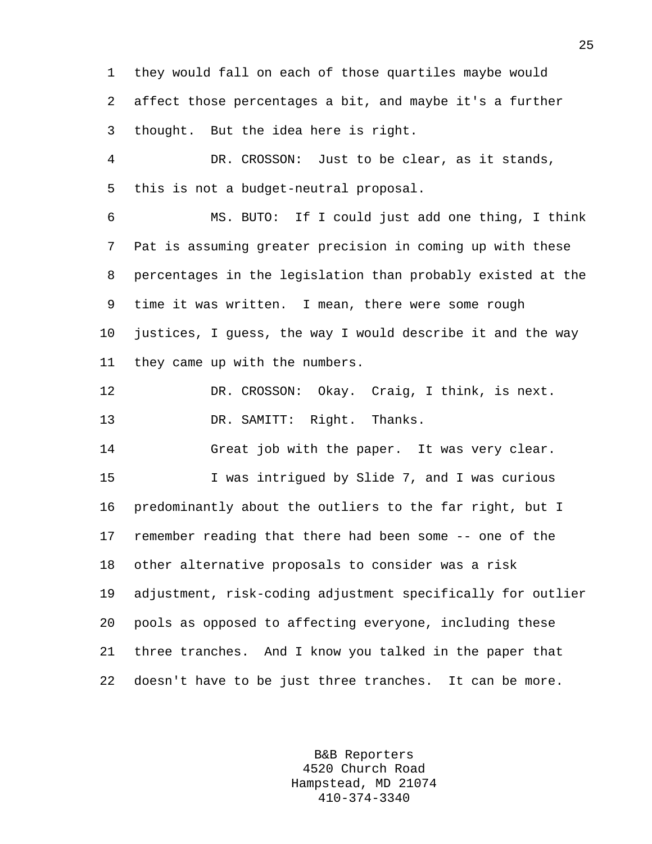1 they would fall on each of those quartiles maybe would 2 affect those percentages a bit, and maybe it's a further 3 thought. But the idea here is right.

4 DR. CROSSON: Just to be clear, as it stands, 5 this is not a budget-neutral proposal.

6 MS. BUTO: If I could just add one thing, I think 7 Pat is assuming greater precision in coming up with these 8 percentages in the legislation than probably existed at the 9 time it was written. I mean, there were some rough 10 justices, I guess, the way I would describe it and the way 11 they came up with the numbers.

12 DR. CROSSON: Okay. Craig, I think, is next. 13 DR. SAMITT: Right. Thanks.

14 Great job with the paper. It was very clear.

15 I was intrigued by Slide 7, and I was curious 16 predominantly about the outliers to the far right, but I 17 remember reading that there had been some -- one of the 18 other alternative proposals to consider was a risk 19 adjustment, risk-coding adjustment specifically for outlier 20 pools as opposed to affecting everyone, including these 21 three tranches. And I know you talked in the paper that 22 doesn't have to be just three tranches. It can be more.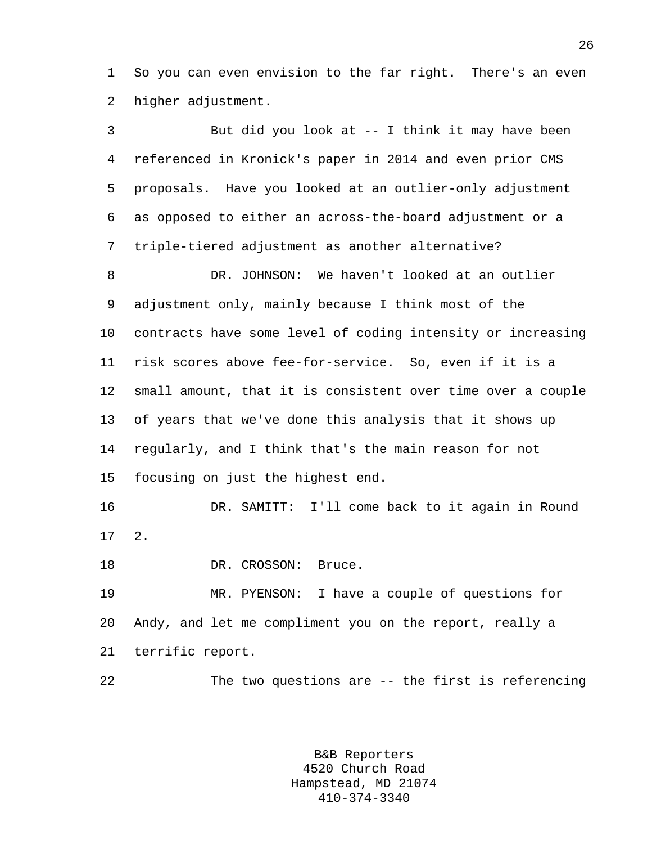1 So you can even envision to the far right. There's an even 2 higher adjustment.

3 But did you look at -- I think it may have been 4 referenced in Kronick's paper in 2014 and even prior CMS 5 proposals. Have you looked at an outlier-only adjustment 6 as opposed to either an across-the-board adjustment or a 7 triple-tiered adjustment as another alternative? 8 DR. JOHNSON: We haven't looked at an outlier 9 adjustment only, mainly because I think most of the 10 contracts have some level of coding intensity or increasing 11 risk scores above fee-for-service. So, even if it is a 12 small amount, that it is consistent over time over a couple 13 of years that we've done this analysis that it shows up 14 regularly, and I think that's the main reason for not 15 focusing on just the highest end. 16 DR. SAMITT: I'll come back to it again in Round 17 2. 18 DR. CROSSON: Bruce. 19 MR. PYENSON: I have a couple of questions for 20 Andy, and let me compliment you on the report, really a 21 terrific report. 22 The two questions are -- the first is referencing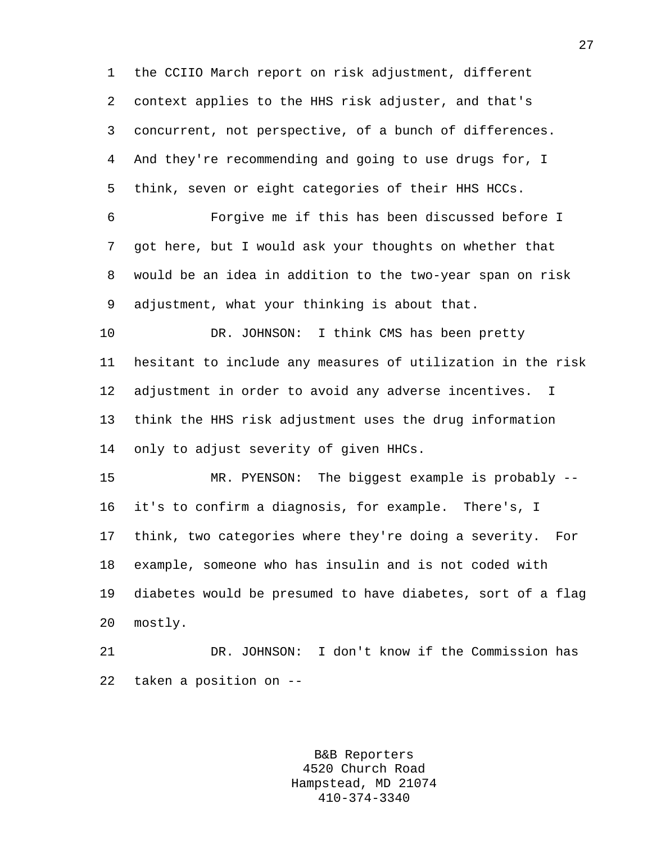1 the CCIIO March report on risk adjustment, different 2 context applies to the HHS risk adjuster, and that's 3 concurrent, not perspective, of a bunch of differences. 4 And they're recommending and going to use drugs for, I 5 think, seven or eight categories of their HHS HCCs. 6 Forgive me if this has been discussed before I 7 got here, but I would ask your thoughts on whether that 8 would be an idea in addition to the two-year span on risk 9 adjustment, what your thinking is about that. 10 DR. JOHNSON: I think CMS has been pretty 11 hesitant to include any measures of utilization in the risk 12 adjustment in order to avoid any adverse incentives. I 13 think the HHS risk adjustment uses the drug information 14 only to adjust severity of given HHCs. 15 MR. PYENSON: The biggest example is probably -- 16 it's to confirm a diagnosis, for example. There's, I 17 think, two categories where they're doing a severity. For 18 example, someone who has insulin and is not coded with 19 diabetes would be presumed to have diabetes, sort of a flag

20 mostly.

21 DR. JOHNSON: I don't know if the Commission has 22 taken a position on --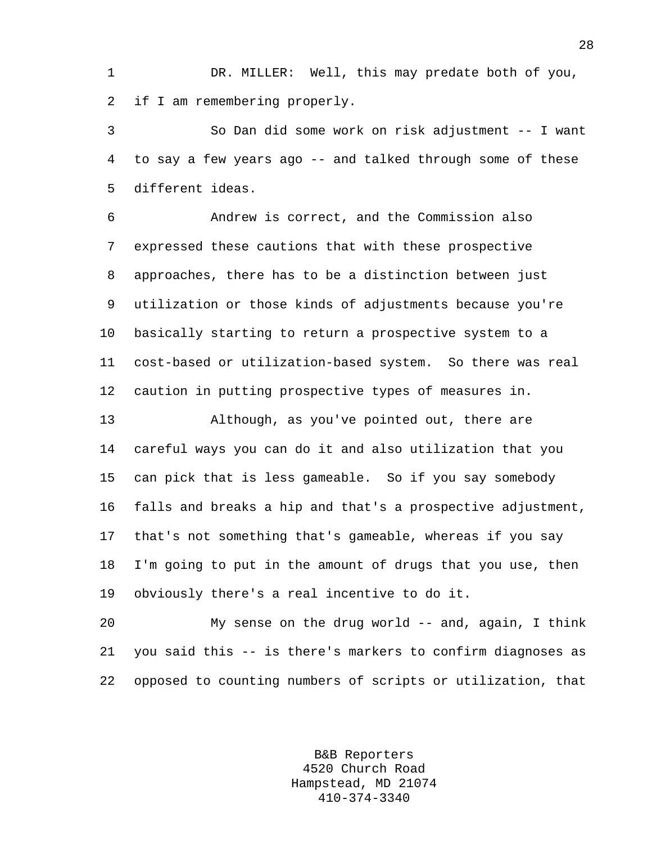1 DR. MILLER: Well, this may predate both of you, 2 if I am remembering properly.

3 So Dan did some work on risk adjustment -- I want 4 to say a few years ago -- and talked through some of these 5 different ideas.

6 Andrew is correct, and the Commission also 7 expressed these cautions that with these prospective 8 approaches, there has to be a distinction between just 9 utilization or those kinds of adjustments because you're 10 basically starting to return a prospective system to a 11 cost-based or utilization-based system. So there was real 12 caution in putting prospective types of measures in.

13 Although, as you've pointed out, there are 14 careful ways you can do it and also utilization that you 15 can pick that is less gameable. So if you say somebody 16 falls and breaks a hip and that's a prospective adjustment, 17 that's not something that's gameable, whereas if you say 18 I'm going to put in the amount of drugs that you use, then 19 obviously there's a real incentive to do it.

20 My sense on the drug world -- and, again, I think 21 you said this -- is there's markers to confirm diagnoses as 22 opposed to counting numbers of scripts or utilization, that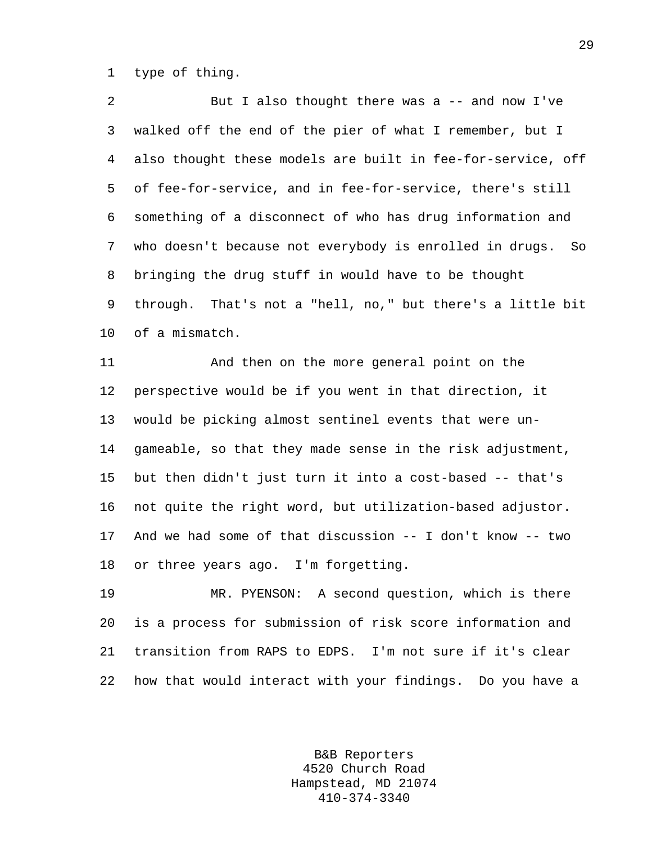1 type of thing.

2 But I also thought there was a -- and now I've 3 walked off the end of the pier of what I remember, but I 4 also thought these models are built in fee-for-service, off 5 of fee-for-service, and in fee-for-service, there's still 6 something of a disconnect of who has drug information and 7 who doesn't because not everybody is enrolled in drugs. So 8 bringing the drug stuff in would have to be thought 9 through. That's not a "hell, no," but there's a little bit 10 of a mismatch.

11 And then on the more general point on the 12 perspective would be if you went in that direction, it 13 would be picking almost sentinel events that were un-14 gameable, so that they made sense in the risk adjustment, 15 but then didn't just turn it into a cost-based -- that's 16 not quite the right word, but utilization-based adjustor. 17 And we had some of that discussion -- I don't know -- two 18 or three years ago. I'm forgetting.

19 MR. PYENSON: A second question, which is there 20 is a process for submission of risk score information and 21 transition from RAPS to EDPS. I'm not sure if it's clear 22 how that would interact with your findings. Do you have a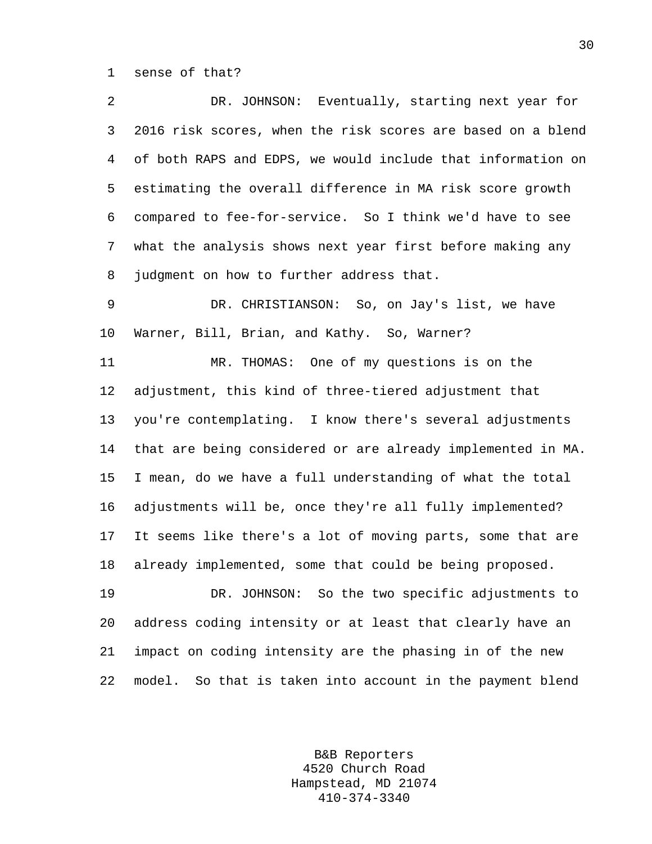1 sense of that?

2 DR. JOHNSON: Eventually, starting next year for 3 2016 risk scores, when the risk scores are based on a blend 4 of both RAPS and EDPS, we would include that information on 5 estimating the overall difference in MA risk score growth 6 compared to fee-for-service. So I think we'd have to see 7 what the analysis shows next year first before making any 8 judgment on how to further address that.

9 DR. CHRISTIANSON: So, on Jay's list, we have 10 Warner, Bill, Brian, and Kathy. So, Warner?

11 MR. THOMAS: One of my questions is on the 12 adjustment, this kind of three-tiered adjustment that 13 you're contemplating. I know there's several adjustments 14 that are being considered or are already implemented in MA. 15 I mean, do we have a full understanding of what the total 16 adjustments will be, once they're all fully implemented? 17 It seems like there's a lot of moving parts, some that are 18 already implemented, some that could be being proposed. 19 DR. JOHNSON: So the two specific adjustments to

20 address coding intensity or at least that clearly have an 21 impact on coding intensity are the phasing in of the new 22 model. So that is taken into account in the payment blend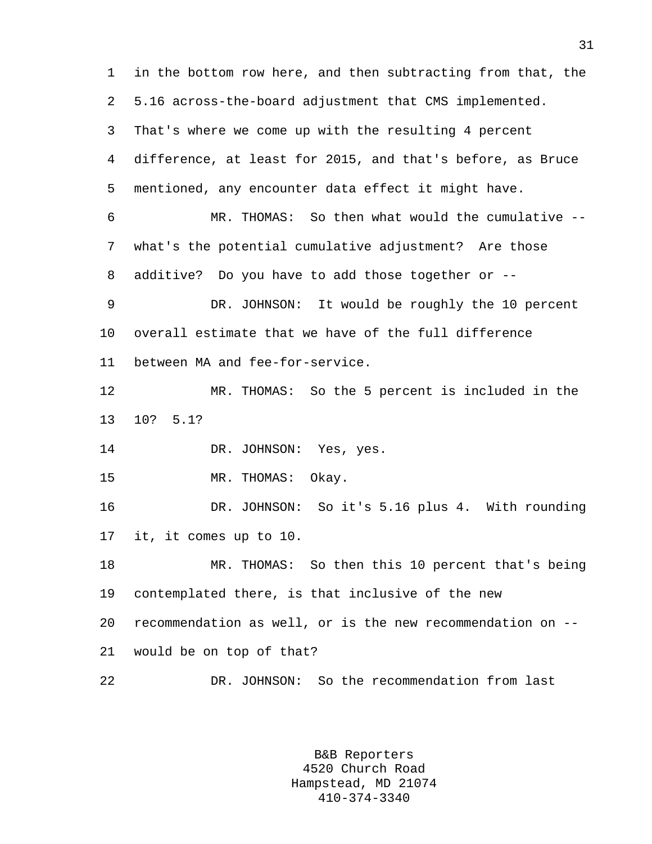1 in the bottom row here, and then subtracting from that, the 2 5.16 across-the-board adjustment that CMS implemented. 3 That's where we come up with the resulting 4 percent 4 difference, at least for 2015, and that's before, as Bruce 5 mentioned, any encounter data effect it might have. 6 MR. THOMAS: So then what would the cumulative -- 7 what's the potential cumulative adjustment? Are those 8 additive? Do you have to add those together or -- 9 DR. JOHNSON: It would be roughly the 10 percent 10 overall estimate that we have of the full difference 11 between MA and fee-for-service. 12 MR. THOMAS: So the 5 percent is included in the 13 10? 5.1? 14 DR. JOHNSON: Yes, yes. 15 MR. THOMAS: Okay. 16 DR. JOHNSON: So it's 5.16 plus 4. With rounding 17 it, it comes up to 10. 18 MR. THOMAS: So then this 10 percent that's being 19 contemplated there, is that inclusive of the new 20 recommendation as well, or is the new recommendation on -- 21 would be on top of that? 22 DR. JOHNSON: So the recommendation from last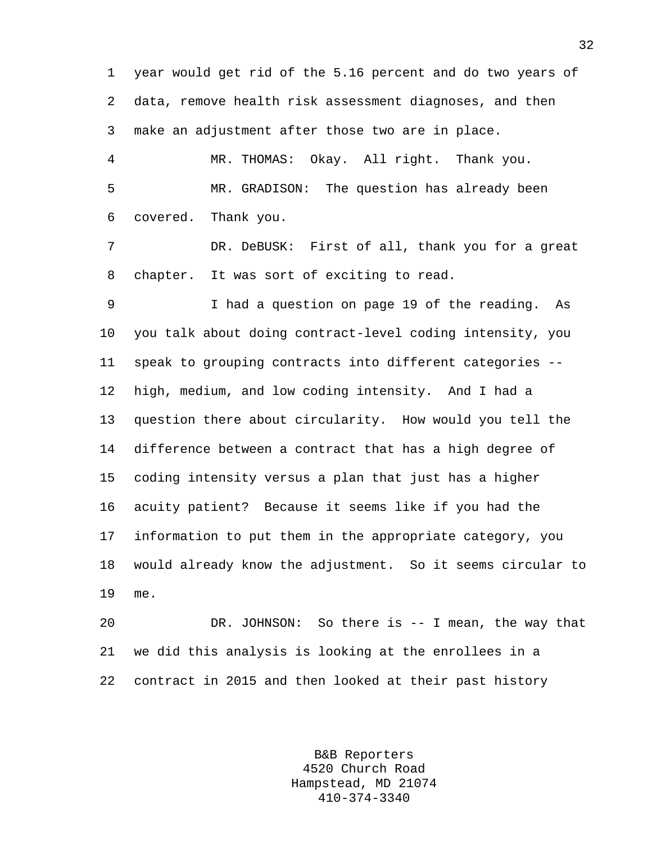1 year would get rid of the 5.16 percent and do two years of 2 data, remove health risk assessment diagnoses, and then 3 make an adjustment after those two are in place. 4 MR. THOMAS: Okay. All right. Thank you. 5 MR. GRADISON: The question has already been 6 covered. Thank you. 7 DR. DeBUSK: First of all, thank you for a great 8 chapter. It was sort of exciting to read. 9 I had a question on page 19 of the reading. As 10 you talk about doing contract-level coding intensity, you 11 speak to grouping contracts into different categories -- 12 high, medium, and low coding intensity. And I had a 13 question there about circularity. How would you tell the 14 difference between a contract that has a high degree of 15 coding intensity versus a plan that just has a higher 16 acuity patient? Because it seems like if you had the 17 information to put them in the appropriate category, you 18 would already know the adjustment. So it seems circular to 19 me. 20 DR. JOHNSON: So there is -- I mean, the way that 21 we did this analysis is looking at the enrollees in a

22 contract in 2015 and then looked at their past history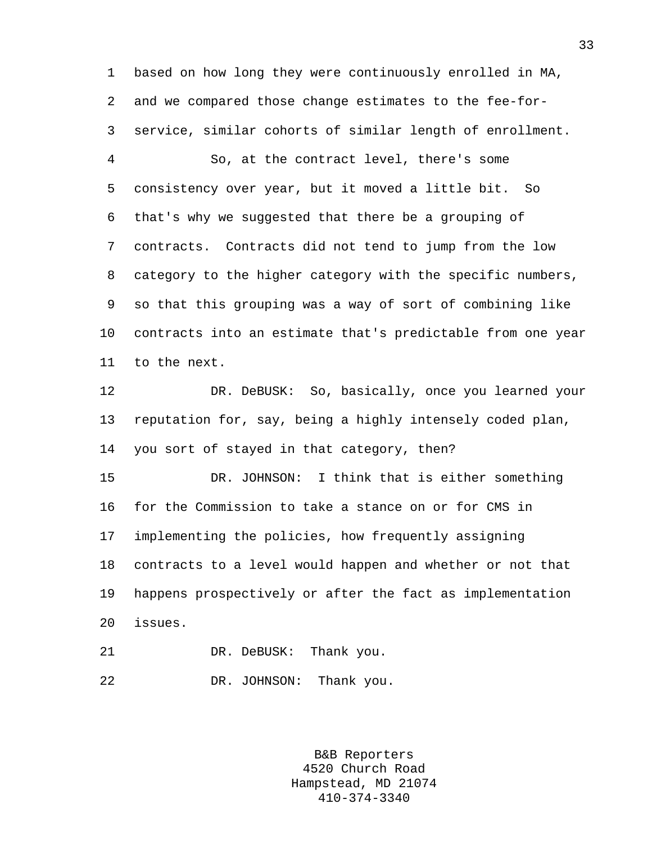1 based on how long they were continuously enrolled in MA, 2 and we compared those change estimates to the fee-for-3 service, similar cohorts of similar length of enrollment. 4 So, at the contract level, there's some 5 consistency over year, but it moved a little bit. So 6 that's why we suggested that there be a grouping of 7 contracts. Contracts did not tend to jump from the low 8 category to the higher category with the specific numbers, 9 so that this grouping was a way of sort of combining like 10 contracts into an estimate that's predictable from one year 11 to the next. 12 DR. DeBUSK: So, basically, once you learned your 13 reputation for, say, being a highly intensely coded plan, 14 you sort of stayed in that category, then? 15 DR. JOHNSON: I think that is either something

16 for the Commission to take a stance on or for CMS in 17 implementing the policies, how frequently assigning 18 contracts to a level would happen and whether or not that 19 happens prospectively or after the fact as implementation 20 issues.

21 DR. DeBUSK: Thank you. 22 DR. JOHNSON: Thank you.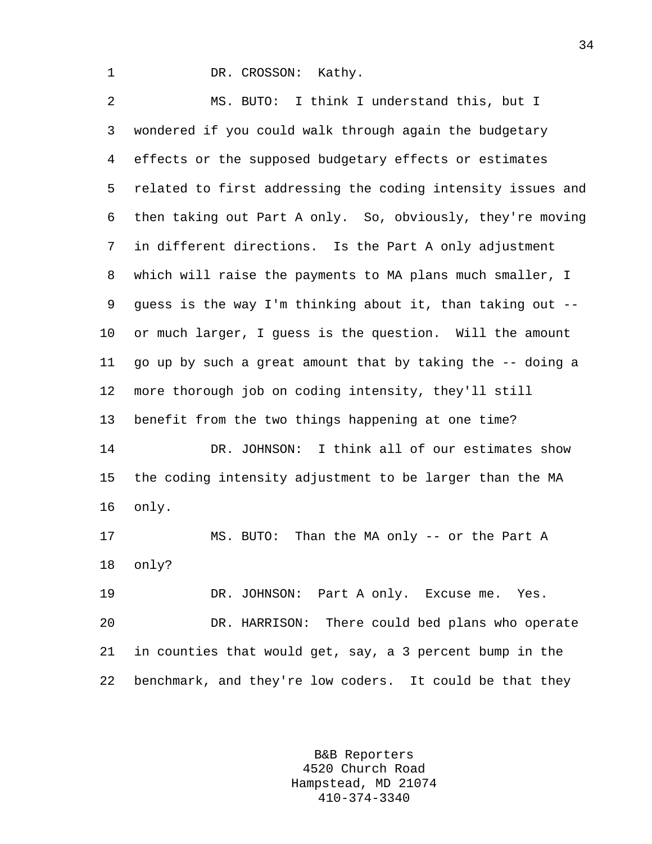1 DR. CROSSON: Kathy.

2 MS. BUTO: I think I understand this, but I 3 wondered if you could walk through again the budgetary 4 effects or the supposed budgetary effects or estimates 5 related to first addressing the coding intensity issues and 6 then taking out Part A only. So, obviously, they're moving 7 in different directions. Is the Part A only adjustment 8 which will raise the payments to MA plans much smaller, I 9 guess is the way I'm thinking about it, than taking out -- 10 or much larger, I guess is the question. Will the amount 11 go up by such a great amount that by taking the -- doing a 12 more thorough job on coding intensity, they'll still 13 benefit from the two things happening at one time? 14 DR. JOHNSON: I think all of our estimates show 15 the coding intensity adjustment to be larger than the MA 16 only. 17 MS. BUTO: Than the MA only -- or the Part A 18 only? 19 DR. JOHNSON: Part A only. Excuse me. Yes.

20 DR. HARRISON: There could bed plans who operate 21 in counties that would get, say, a 3 percent bump in the 22 benchmark, and they're low coders. It could be that they

> B&B Reporters 4520 Church Road Hampstead, MD 21074 410-374-3340

34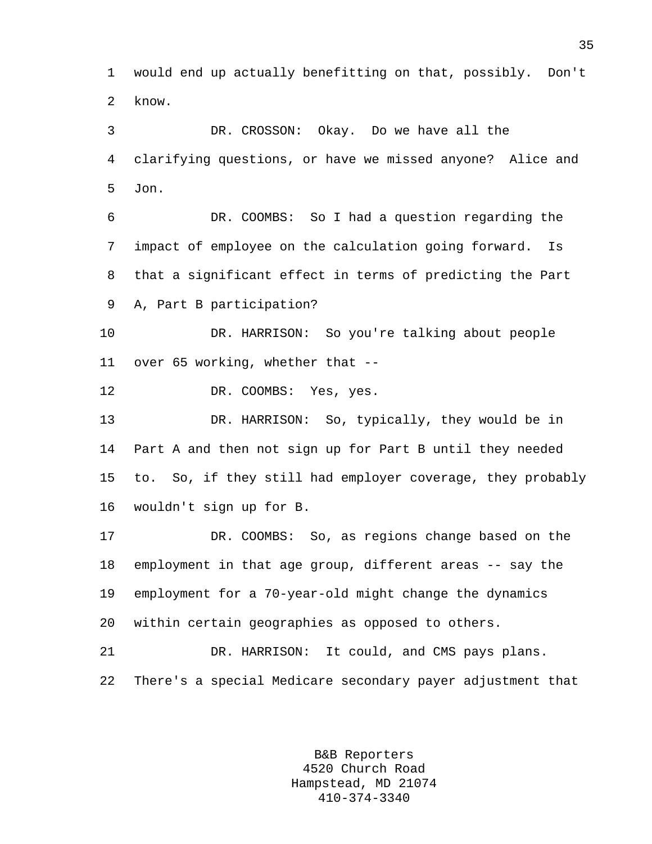1 would end up actually benefitting on that, possibly. Don't 2 know.

3 DR. CROSSON: Okay. Do we have all the 4 clarifying questions, or have we missed anyone? Alice and 5 Jon.

6 DR. COOMBS: So I had a question regarding the 7 impact of employee on the calculation going forward. Is 8 that a significant effect in terms of predicting the Part 9 A, Part B participation?

10 DR. HARRISON: So you're talking about people 11 over 65 working, whether that --

12 DR. COOMBS: Yes, yes.

13 DR. HARRISON: So, typically, they would be in 14 Part A and then not sign up for Part B until they needed 15 to. So, if they still had employer coverage, they probably 16 wouldn't sign up for B.

17 DR. COOMBS: So, as regions change based on the 18 employment in that age group, different areas -- say the 19 employment for a 70-year-old might change the dynamics 20 within certain geographies as opposed to others.

21 DR. HARRISON: It could, and CMS pays plans. 22 There's a special Medicare secondary payer adjustment that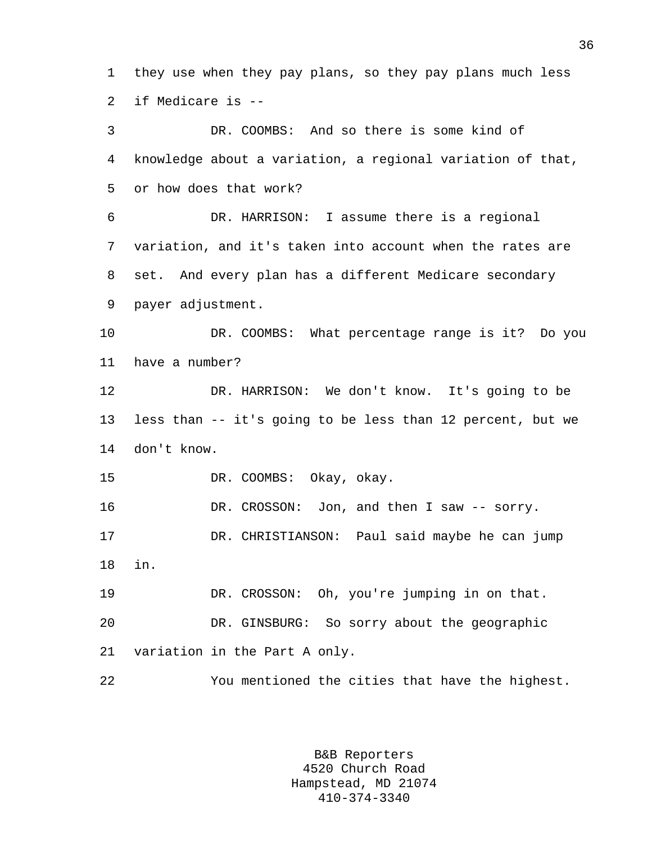1 they use when they pay plans, so they pay plans much less 2 if Medicare is --

3 DR. COOMBS: And so there is some kind of 4 knowledge about a variation, a regional variation of that, 5 or how does that work? 6 DR. HARRISON: I assume there is a regional 7 variation, and it's taken into account when the rates are 8 set. And every plan has a different Medicare secondary 9 payer adjustment. 10 DR. COOMBS: What percentage range is it? Do you 11 have a number? 12 DR. HARRISON: We don't know. It's going to be 13 less than -- it's going to be less than 12 percent, but we 14 don't know. 15 DR. COOMBS: Okay, okay. 16 DR. CROSSON: Jon, and then I saw -- sorry. 17 DR. CHRISTIANSON: Paul said maybe he can jump 18 in. 19 DR. CROSSON: Oh, you're jumping in on that. 20 DR. GINSBURG: So sorry about the geographic 21 variation in the Part A only.

22 You mentioned the cities that have the highest.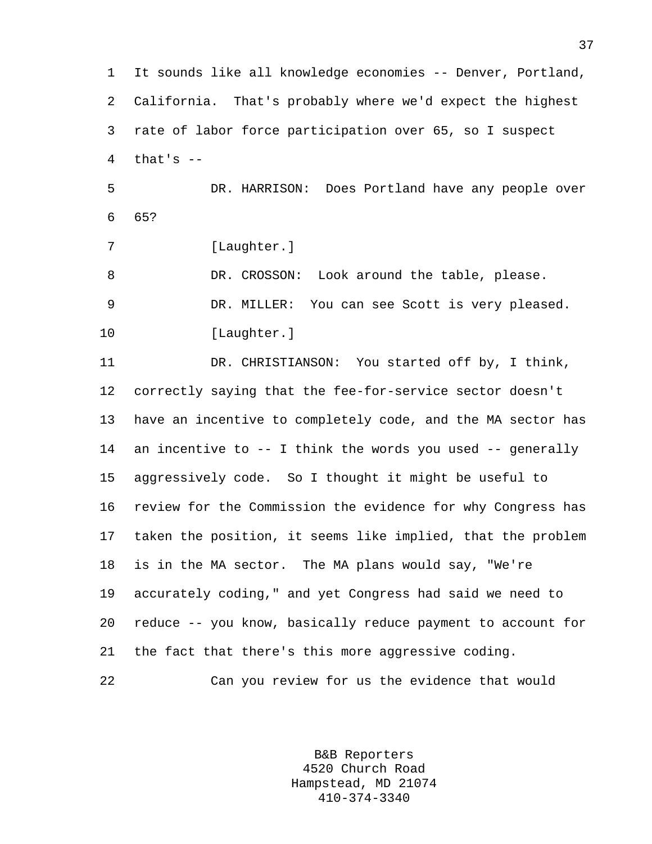1 It sounds like all knowledge economies -- Denver, Portland, 2 California. That's probably where we'd expect the highest 3 rate of labor force participation over 65, so I suspect  $4$  that's  $-$ 5 DR. HARRISON: Does Portland have any people over 6 65? 7 [Laughter.]

8 DR. CROSSON: Look around the table, please. 9 DR. MILLER: You can see Scott is very pleased. 10 [Laughter.]

11 DR. CHRISTIANSON: You started off by, I think, 12 correctly saying that the fee-for-service sector doesn't 13 have an incentive to completely code, and the MA sector has 14 an incentive to -- I think the words you used -- generally 15 aggressively code. So I thought it might be useful to 16 review for the Commission the evidence for why Congress has 17 taken the position, it seems like implied, that the problem 18 is in the MA sector. The MA plans would say, "We're 19 accurately coding," and yet Congress had said we need to 20 reduce -- you know, basically reduce payment to account for 21 the fact that there's this more aggressive coding. 22 Can you review for us the evidence that would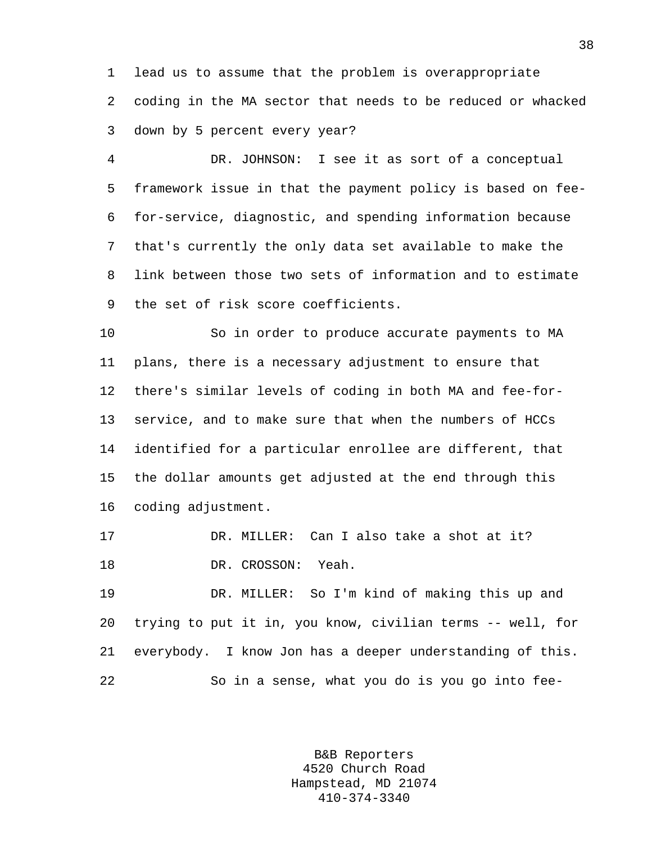1 lead us to assume that the problem is overappropriate 2 coding in the MA sector that needs to be reduced or whacked 3 down by 5 percent every year?

4 DR. JOHNSON: I see it as sort of a conceptual 5 framework issue in that the payment policy is based on fee-6 for-service, diagnostic, and spending information because 7 that's currently the only data set available to make the 8 link between those two sets of information and to estimate 9 the set of risk score coefficients.

10 So in order to produce accurate payments to MA 11 plans, there is a necessary adjustment to ensure that 12 there's similar levels of coding in both MA and fee-for-13 service, and to make sure that when the numbers of HCCs 14 identified for a particular enrollee are different, that 15 the dollar amounts get adjusted at the end through this 16 coding adjustment.

17 DR. MILLER: Can I also take a shot at it? 18 DR. CROSSON: Yeah.

19 DR. MILLER: So I'm kind of making this up and 20 trying to put it in, you know, civilian terms -- well, for 21 everybody. I know Jon has a deeper understanding of this. 22 So in a sense, what you do is you go into fee-

> B&B Reporters 4520 Church Road Hampstead, MD 21074 410-374-3340

38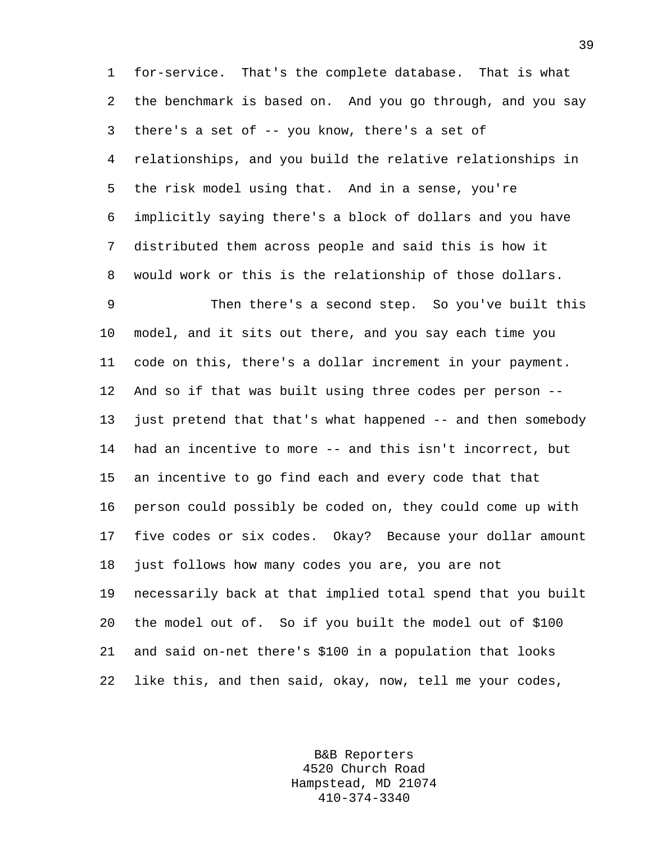1 for-service. That's the complete database. That is what 2 the benchmark is based on. And you go through, and you say 3 there's a set of -- you know, there's a set of 4 relationships, and you build the relative relationships in 5 the risk model using that. And in a sense, you're 6 implicitly saying there's a block of dollars and you have 7 distributed them across people and said this is how it 8 would work or this is the relationship of those dollars.

9 Then there's a second step. So you've built this 10 model, and it sits out there, and you say each time you 11 code on this, there's a dollar increment in your payment. 12 And so if that was built using three codes per person -- 13 just pretend that that's what happened -- and then somebody 14 had an incentive to more -- and this isn't incorrect, but 15 an incentive to go find each and every code that that 16 person could possibly be coded on, they could come up with 17 five codes or six codes. Okay? Because your dollar amount 18 just follows how many codes you are, you are not 19 necessarily back at that implied total spend that you built 20 the model out of. So if you built the model out of \$100 21 and said on-net there's \$100 in a population that looks 22 like this, and then said, okay, now, tell me your codes,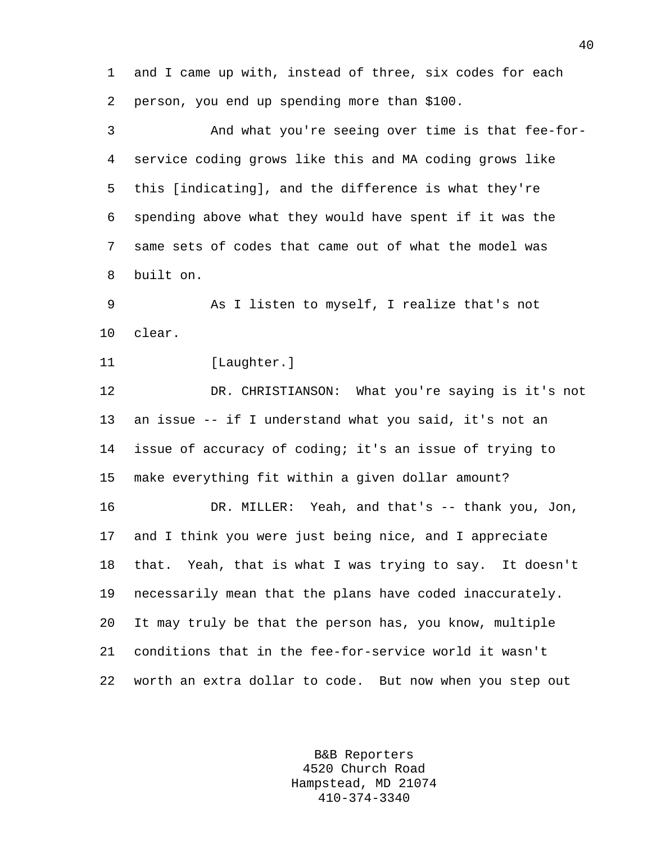1 and I came up with, instead of three, six codes for each 2 person, you end up spending more than \$100.

3 And what you're seeing over time is that fee-for-4 service coding grows like this and MA coding grows like 5 this [indicating], and the difference is what they're 6 spending above what they would have spent if it was the 7 same sets of codes that came out of what the model was 8 built on.

9 As I listen to myself, I realize that's not 10 clear.

11 [Laughter.]

12 DR. CHRISTIANSON: What you're saying is it's not 13 an issue -- if I understand what you said, it's not an 14 issue of accuracy of coding; it's an issue of trying to 15 make everything fit within a given dollar amount?

16 DR. MILLER: Yeah, and that's -- thank you, Jon, 17 and I think you were just being nice, and I appreciate 18 that. Yeah, that is what I was trying to say. It doesn't 19 necessarily mean that the plans have coded inaccurately. 20 It may truly be that the person has, you know, multiple 21 conditions that in the fee-for-service world it wasn't 22 worth an extra dollar to code. But now when you step out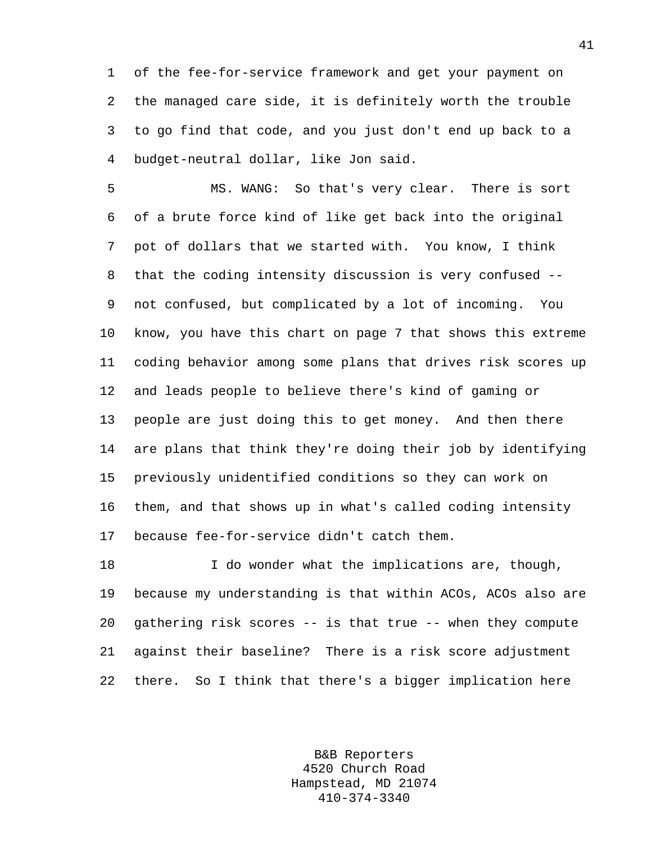1 of the fee-for-service framework and get your payment on 2 the managed care side, it is definitely worth the trouble 3 to go find that code, and you just don't end up back to a 4 budget-neutral dollar, like Jon said.

5 MS. WANG: So that's very clear. There is sort 6 of a brute force kind of like get back into the original 7 pot of dollars that we started with. You know, I think 8 that the coding intensity discussion is very confused -- 9 not confused, but complicated by a lot of incoming. You 10 know, you have this chart on page 7 that shows this extreme 11 coding behavior among some plans that drives risk scores up 12 and leads people to believe there's kind of gaming or 13 people are just doing this to get money. And then there 14 are plans that think they're doing their job by identifying 15 previously unidentified conditions so they can work on 16 them, and that shows up in what's called coding intensity 17 because fee-for-service didn't catch them.

18 I do wonder what the implications are, though, 19 because my understanding is that within ACOs, ACOs also are 20 gathering risk scores -- is that true -- when they compute 21 against their baseline? There is a risk score adjustment 22 there. So I think that there's a bigger implication here

> B&B Reporters 4520 Church Road Hampstead, MD 21074 410-374-3340

41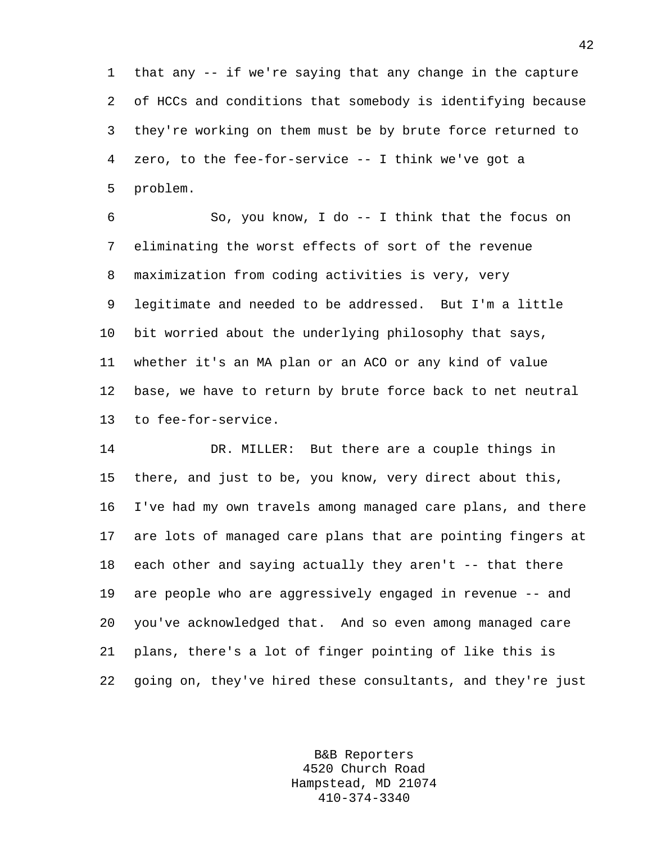1 that any -- if we're saying that any change in the capture 2 of HCCs and conditions that somebody is identifying because 3 they're working on them must be by brute force returned to 4 zero, to the fee-for-service -- I think we've got a 5 problem.

6 So, you know, I do -- I think that the focus on 7 eliminating the worst effects of sort of the revenue 8 maximization from coding activities is very, very 9 legitimate and needed to be addressed. But I'm a little 10 bit worried about the underlying philosophy that says, 11 whether it's an MA plan or an ACO or any kind of value 12 base, we have to return by brute force back to net neutral 13 to fee-for-service.

14 DR. MILLER: But there are a couple things in 15 there, and just to be, you know, very direct about this, 16 I've had my own travels among managed care plans, and there 17 are lots of managed care plans that are pointing fingers at 18 each other and saying actually they aren't -- that there 19 are people who are aggressively engaged in revenue -- and 20 you've acknowledged that. And so even among managed care 21 plans, there's a lot of finger pointing of like this is 22 going on, they've hired these consultants, and they're just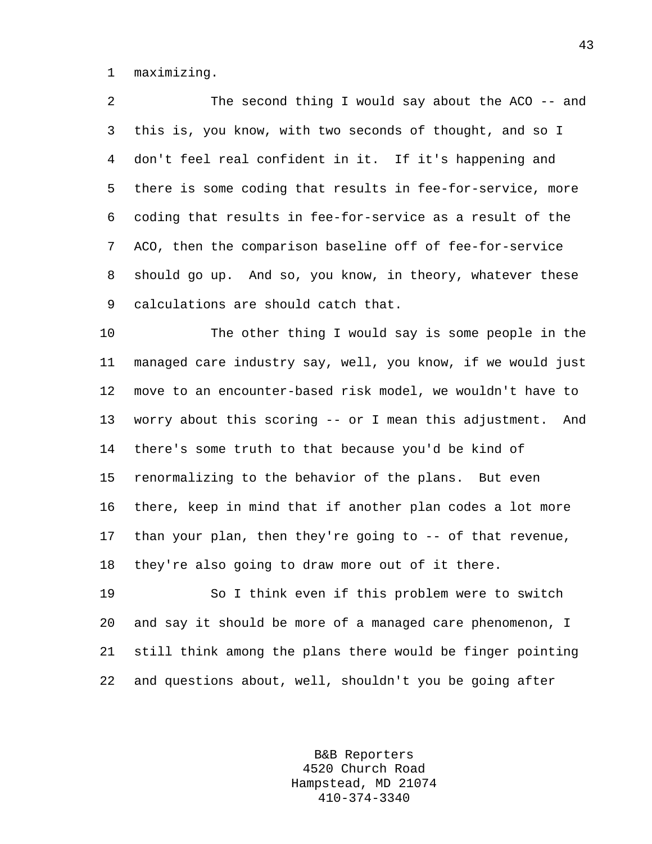1 maximizing.

2 The second thing I would say about the ACO -- and 3 this is, you know, with two seconds of thought, and so I 4 don't feel real confident in it. If it's happening and 5 there is some coding that results in fee-for-service, more 6 coding that results in fee-for-service as a result of the 7 ACO, then the comparison baseline off of fee-for-service 8 should go up. And so, you know, in theory, whatever these 9 calculations are should catch that.

10 The other thing I would say is some people in the 11 managed care industry say, well, you know, if we would just 12 move to an encounter-based risk model, we wouldn't have to 13 worry about this scoring -- or I mean this adjustment. And 14 there's some truth to that because you'd be kind of 15 renormalizing to the behavior of the plans. But even 16 there, keep in mind that if another plan codes a lot more 17 than your plan, then they're going to -- of that revenue, 18 they're also going to draw more out of it there.

19 So I think even if this problem were to switch 20 and say it should be more of a managed care phenomenon, I 21 still think among the plans there would be finger pointing 22 and questions about, well, shouldn't you be going after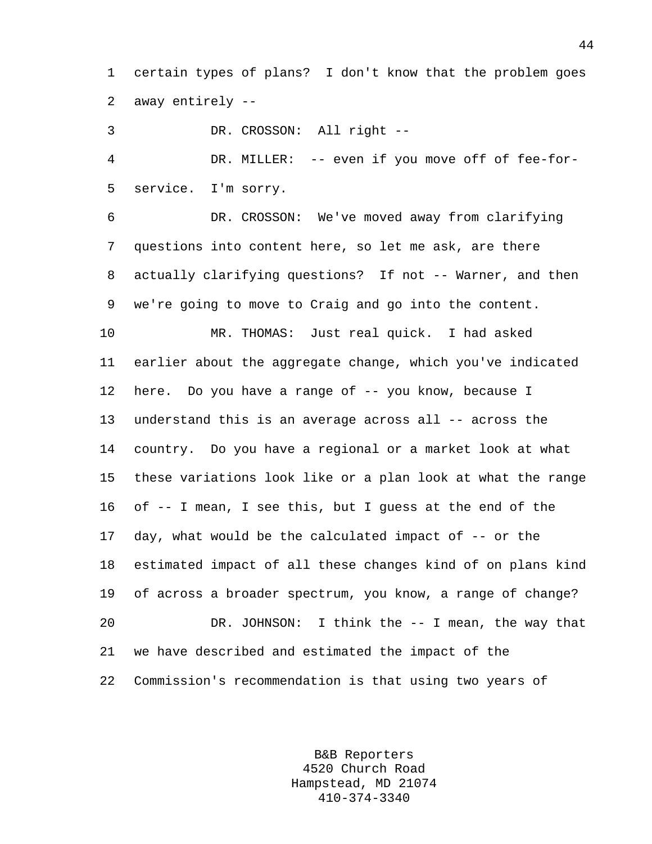1 certain types of plans? I don't know that the problem goes 2 away entirely --

3 DR. CROSSON: All right --

4 DR. MILLER: -- even if you move off of fee-for-5 service. I'm sorry.

6 DR. CROSSON: We've moved away from clarifying 7 questions into content here, so let me ask, are there 8 actually clarifying questions? If not -- Warner, and then 9 we're going to move to Craig and go into the content.

10 MR. THOMAS: Just real quick. I had asked 11 earlier about the aggregate change, which you've indicated 12 here. Do you have a range of -- you know, because I 13 understand this is an average across all -- across the 14 country. Do you have a regional or a market look at what 15 these variations look like or a plan look at what the range 16 of -- I mean, I see this, but I guess at the end of the 17 day, what would be the calculated impact of -- or the 18 estimated impact of all these changes kind of on plans kind 19 of across a broader spectrum, you know, a range of change? 20 DR. JOHNSON: I think the -- I mean, the way that 21 we have described and estimated the impact of the 22 Commission's recommendation is that using two years of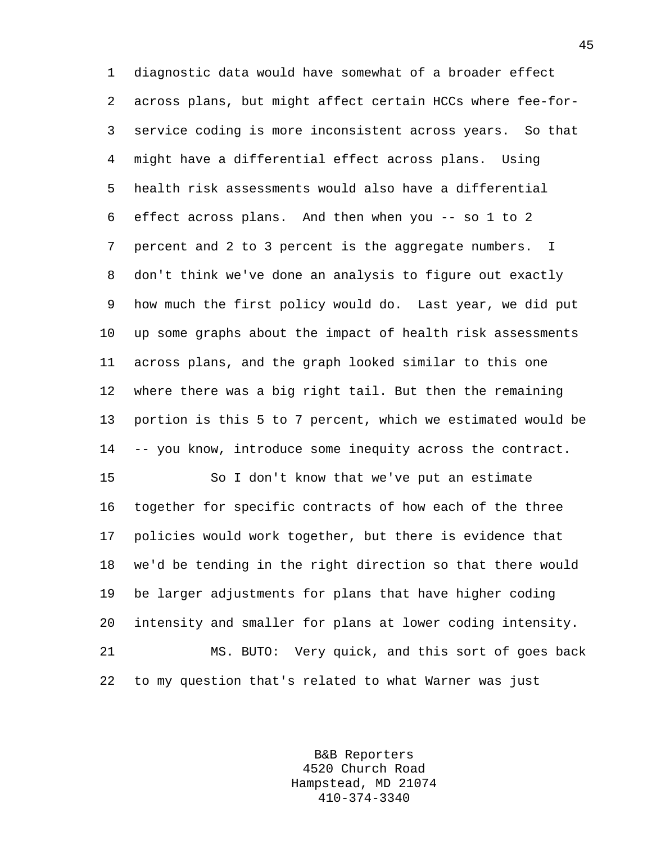1 diagnostic data would have somewhat of a broader effect 2 across plans, but might affect certain HCCs where fee-for-3 service coding is more inconsistent across years. So that 4 might have a differential effect across plans. Using 5 health risk assessments would also have a differential 6 effect across plans. And then when you -- so 1 to 2 7 percent and 2 to 3 percent is the aggregate numbers. I 8 don't think we've done an analysis to figure out exactly 9 how much the first policy would do. Last year, we did put 10 up some graphs about the impact of health risk assessments 11 across plans, and the graph looked similar to this one 12 where there was a big right tail. But then the remaining 13 portion is this 5 to 7 percent, which we estimated would be 14 -- you know, introduce some inequity across the contract.

15 So I don't know that we've put an estimate 16 together for specific contracts of how each of the three 17 policies would work together, but there is evidence that 18 we'd be tending in the right direction so that there would 19 be larger adjustments for plans that have higher coding 20 intensity and smaller for plans at lower coding intensity. 21 MS. BUTO: Very quick, and this sort of goes back 22 to my question that's related to what Warner was just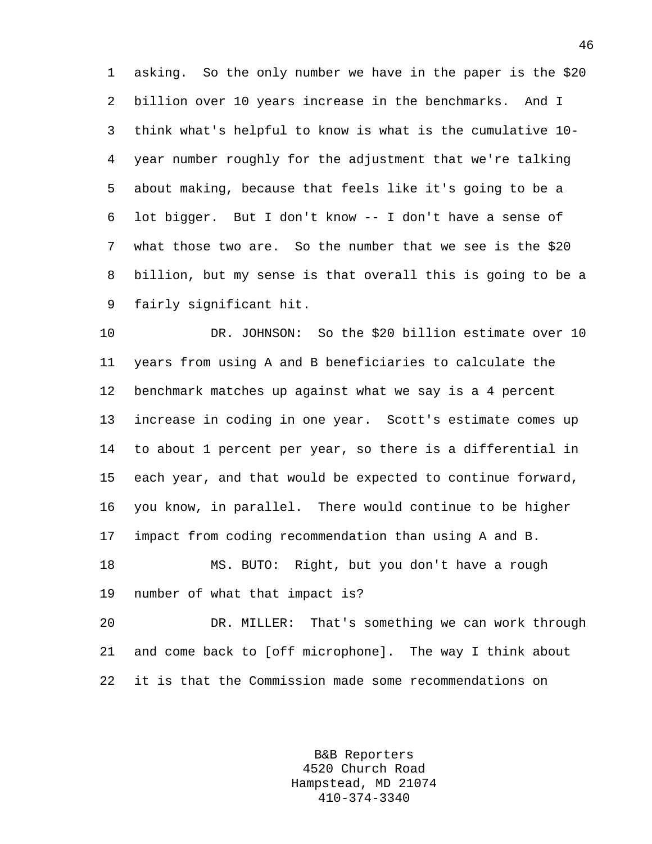1 asking. So the only number we have in the paper is the \$20 2 billion over 10 years increase in the benchmarks. And I 3 think what's helpful to know is what is the cumulative 10- 4 year number roughly for the adjustment that we're talking 5 about making, because that feels like it's going to be a 6 lot bigger. But I don't know -- I don't have a sense of 7 what those two are. So the number that we see is the \$20 8 billion, but my sense is that overall this is going to be a 9 fairly significant hit.

10 DR. JOHNSON: So the \$20 billion estimate over 10 11 years from using A and B beneficiaries to calculate the 12 benchmark matches up against what we say is a 4 percent 13 increase in coding in one year. Scott's estimate comes up 14 to about 1 percent per year, so there is a differential in 15 each year, and that would be expected to continue forward, 16 you know, in parallel. There would continue to be higher 17 impact from coding recommendation than using A and B. 18 MS. BUTO: Right, but you don't have a rough 19 number of what that impact is? 20 DR. MILLER: That's something we can work through

21 and come back to [off microphone]. The way I think about 22 it is that the Commission made some recommendations on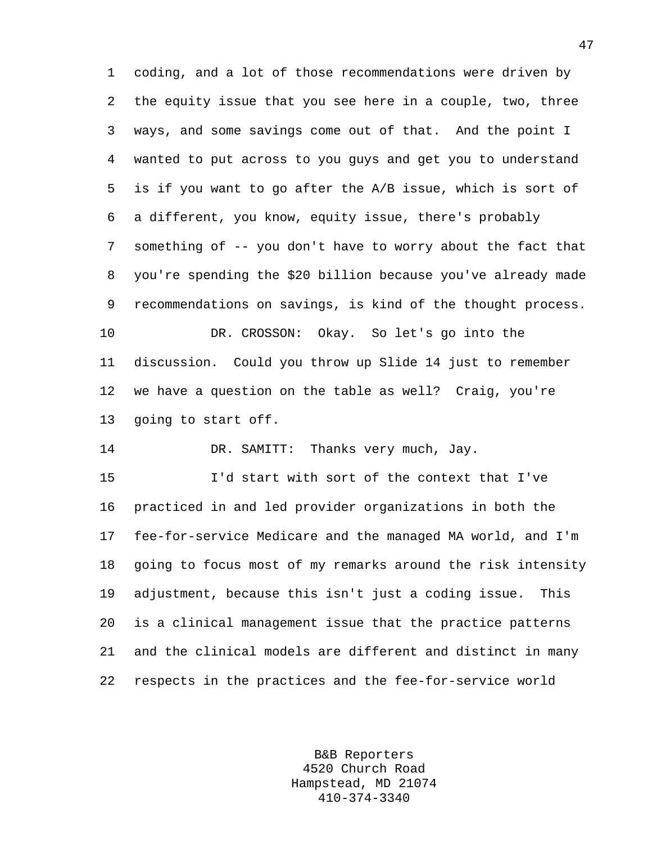1 coding, and a lot of those recommendations were driven by 2 the equity issue that you see here in a couple, two, three 3 ways, and some savings come out of that. And the point I 4 wanted to put across to you guys and get you to understand 5 is if you want to go after the A/B issue, which is sort of 6 a different, you know, equity issue, there's probably 7 something of -- you don't have to worry about the fact that 8 you're spending the \$20 billion because you've already made 9 recommendations on savings, is kind of the thought process. 10 DR. CROSSON: Okay. So let's go into the 11 discussion. Could you throw up Slide 14 just to remember 12 we have a question on the table as well? Craig, you're 13 going to start off.

14 DR. SAMITT: Thanks very much, Jay.

15 I'd start with sort of the context that I've 16 practiced in and led provider organizations in both the 17 fee-for-service Medicare and the managed MA world, and I'm 18 going to focus most of my remarks around the risk intensity 19 adjustment, because this isn't just a coding issue. This 20 is a clinical management issue that the practice patterns 21 and the clinical models are different and distinct in many 22 respects in the practices and the fee-for-service world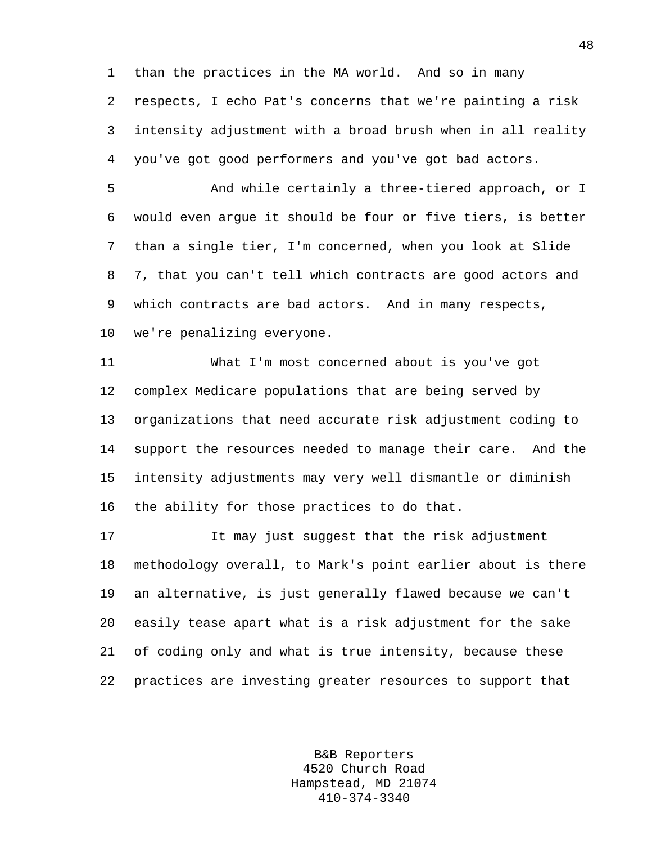1 than the practices in the MA world. And so in many

2 respects, I echo Pat's concerns that we're painting a risk 3 intensity adjustment with a broad brush when in all reality 4 you've got good performers and you've got bad actors.

5 And while certainly a three-tiered approach, or I 6 would even argue it should be four or five tiers, is better 7 than a single tier, I'm concerned, when you look at Slide 8 7, that you can't tell which contracts are good actors and 9 which contracts are bad actors. And in many respects, 10 we're penalizing everyone.

11 What I'm most concerned about is you've got 12 complex Medicare populations that are being served by 13 organizations that need accurate risk adjustment coding to 14 support the resources needed to manage their care. And the 15 intensity adjustments may very well dismantle or diminish 16 the ability for those practices to do that.

17 It may just suggest that the risk adjustment 18 methodology overall, to Mark's point earlier about is there 19 an alternative, is just generally flawed because we can't 20 easily tease apart what is a risk adjustment for the sake 21 of coding only and what is true intensity, because these 22 practices are investing greater resources to support that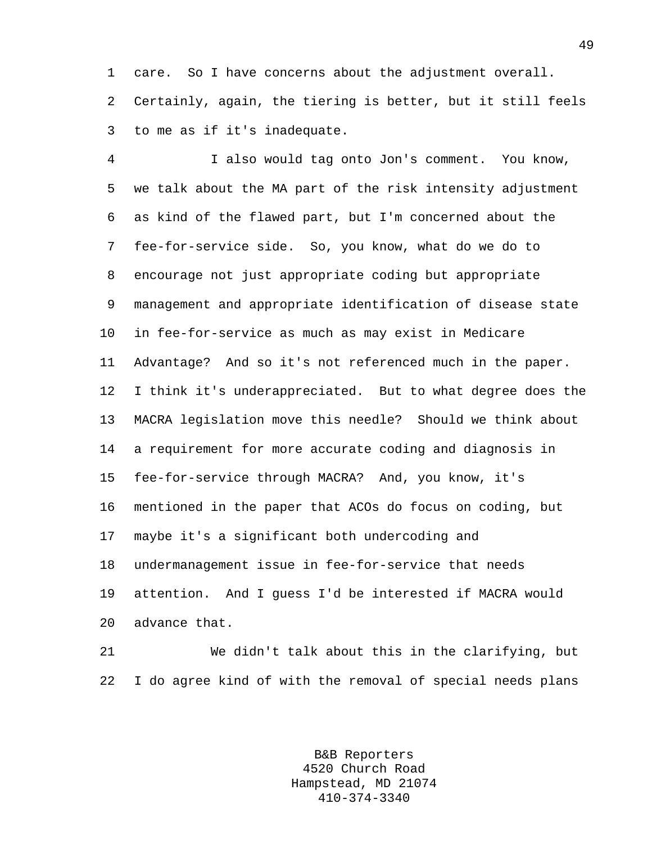1 care. So I have concerns about the adjustment overall. 2 Certainly, again, the tiering is better, but it still feels 3 to me as if it's inadequate.

4 I also would tag onto Jon's comment. You know, 5 we talk about the MA part of the risk intensity adjustment 6 as kind of the flawed part, but I'm concerned about the 7 fee-for-service side. So, you know, what do we do to 8 encourage not just appropriate coding but appropriate 9 management and appropriate identification of disease state 10 in fee-for-service as much as may exist in Medicare 11 Advantage? And so it's not referenced much in the paper. 12 I think it's underappreciated. But to what degree does the 13 MACRA legislation move this needle? Should we think about 14 a requirement for more accurate coding and diagnosis in 15 fee-for-service through MACRA? And, you know, it's 16 mentioned in the paper that ACOs do focus on coding, but 17 maybe it's a significant both undercoding and 18 undermanagement issue in fee-for-service that needs 19 attention. And I guess I'd be interested if MACRA would 20 advance that.

21 We didn't talk about this in the clarifying, but 22 I do agree kind of with the removal of special needs plans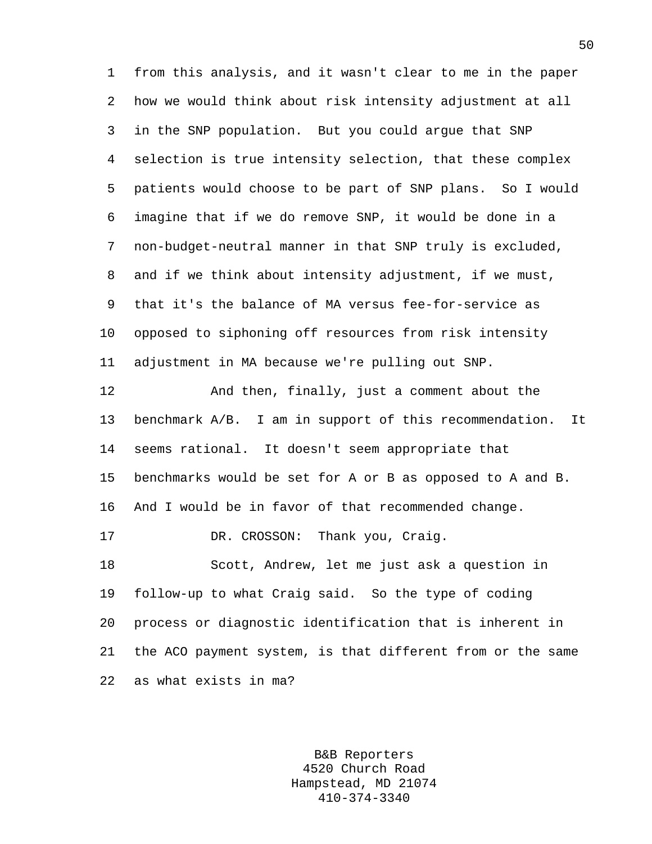1 from this analysis, and it wasn't clear to me in the paper 2 how we would think about risk intensity adjustment at all 3 in the SNP population. But you could argue that SNP 4 selection is true intensity selection, that these complex 5 patients would choose to be part of SNP plans. So I would 6 imagine that if we do remove SNP, it would be done in a 7 non-budget-neutral manner in that SNP truly is excluded, 8 and if we think about intensity adjustment, if we must, 9 that it's the balance of MA versus fee-for-service as 10 opposed to siphoning off resources from risk intensity 11 adjustment in MA because we're pulling out SNP. 12 And then, finally, just a comment about the 13 benchmark A/B. I am in support of this recommendation. It 14 seems rational. It doesn't seem appropriate that 15 benchmarks would be set for A or B as opposed to A and B. 16 And I would be in favor of that recommended change. 17 DR. CROSSON: Thank you, Craig. 18 Scott, Andrew, let me just ask a question in 19 follow-up to what Craig said. So the type of coding 20 process or diagnostic identification that is inherent in 21 the ACO payment system, is that different from or the same 22 as what exists in ma?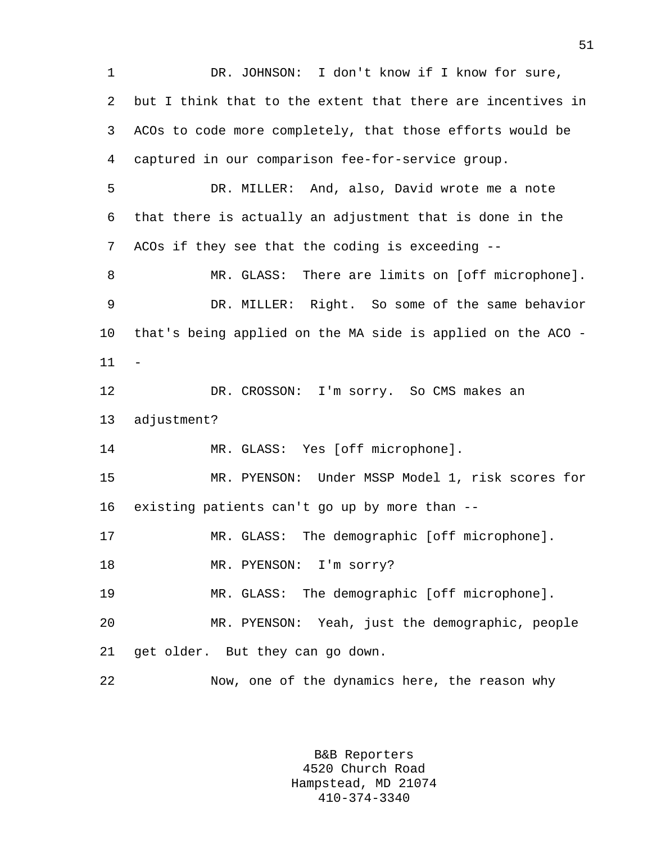1 DR. JOHNSON: I don't know if I know for sure, 2 but I think that to the extent that there are incentives in 3 ACOs to code more completely, that those efforts would be 4 captured in our comparison fee-for-service group. 5 DR. MILLER: And, also, David wrote me a note 6 that there is actually an adjustment that is done in the 7 ACOs if they see that the coding is exceeding -- 8 MR. GLASS: There are limits on [off microphone]. 9 DR. MILLER: Right. So some of the same behavior 10 that's being applied on the MA side is applied on the ACO - 11 - 12 DR. CROSSON: I'm sorry. So CMS makes an 13 adjustment? 14 MR. GLASS: Yes [off microphone]. 15 MR. PYENSON: Under MSSP Model 1, risk scores for 16 existing patients can't go up by more than -- 17 MR. GLASS: The demographic [off microphone]. 18 MR. PYENSON: I'm sorry? 19 MR. GLASS: The demographic [off microphone]. 20 MR. PYENSON: Yeah, just the demographic, people 21 get older. But they can go down. 22 Now, one of the dynamics here, the reason why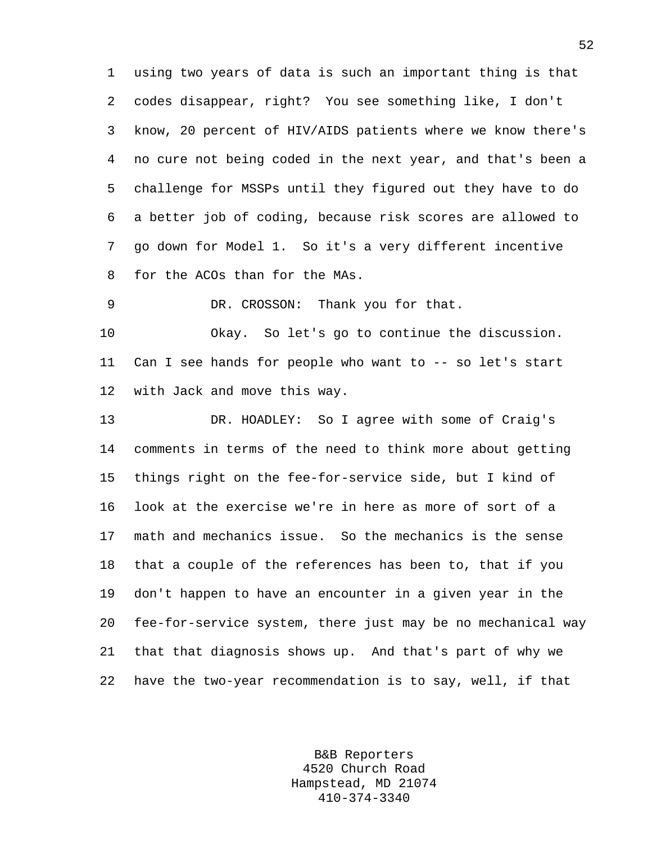1 using two years of data is such an important thing is that 2 codes disappear, right? You see something like, I don't 3 know, 20 percent of HIV/AIDS patients where we know there's 4 no cure not being coded in the next year, and that's been a 5 challenge for MSSPs until they figured out they have to do 6 a better job of coding, because risk scores are allowed to 7 go down for Model 1. So it's a very different incentive 8 for the ACOs than for the MAs.

9 DR. CROSSON: Thank you for that.

10 Okay. So let's go to continue the discussion. 11 Can I see hands for people who want to -- so let's start 12 with Jack and move this way.

13 DR. HOADLEY: So I agree with some of Craig's 14 comments in terms of the need to think more about getting 15 things right on the fee-for-service side, but I kind of 16 look at the exercise we're in here as more of sort of a 17 math and mechanics issue. So the mechanics is the sense 18 that a couple of the references has been to, that if you 19 don't happen to have an encounter in a given year in the 20 fee-for-service system, there just may be no mechanical way 21 that that diagnosis shows up. And that's part of why we 22 have the two-year recommendation is to say, well, if that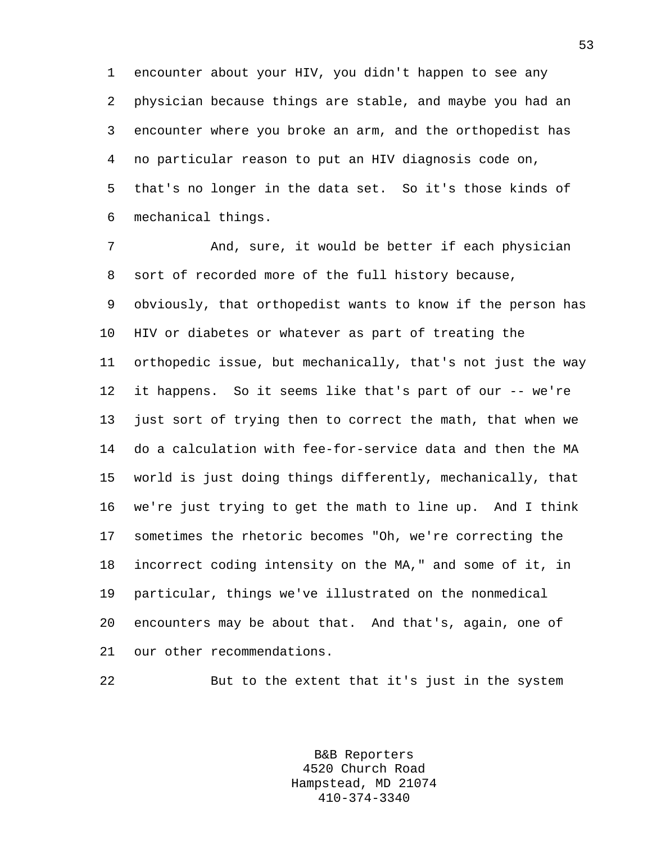1 encounter about your HIV, you didn't happen to see any 2 physician because things are stable, and maybe you had an 3 encounter where you broke an arm, and the orthopedist has 4 no particular reason to put an HIV diagnosis code on, 5 that's no longer in the data set. So it's those kinds of 6 mechanical things.

7 And, sure, it would be better if each physician 8 sort of recorded more of the full history because, 9 obviously, that orthopedist wants to know if the person has 10 HIV or diabetes or whatever as part of treating the 11 orthopedic issue, but mechanically, that's not just the way 12 it happens. So it seems like that's part of our -- we're 13 just sort of trying then to correct the math, that when we 14 do a calculation with fee-for-service data and then the MA 15 world is just doing things differently, mechanically, that 16 we're just trying to get the math to line up. And I think 17 sometimes the rhetoric becomes "Oh, we're correcting the 18 incorrect coding intensity on the MA," and some of it, in 19 particular, things we've illustrated on the nonmedical 20 encounters may be about that. And that's, again, one of 21 our other recommendations.

22 But to the extent that it's just in the system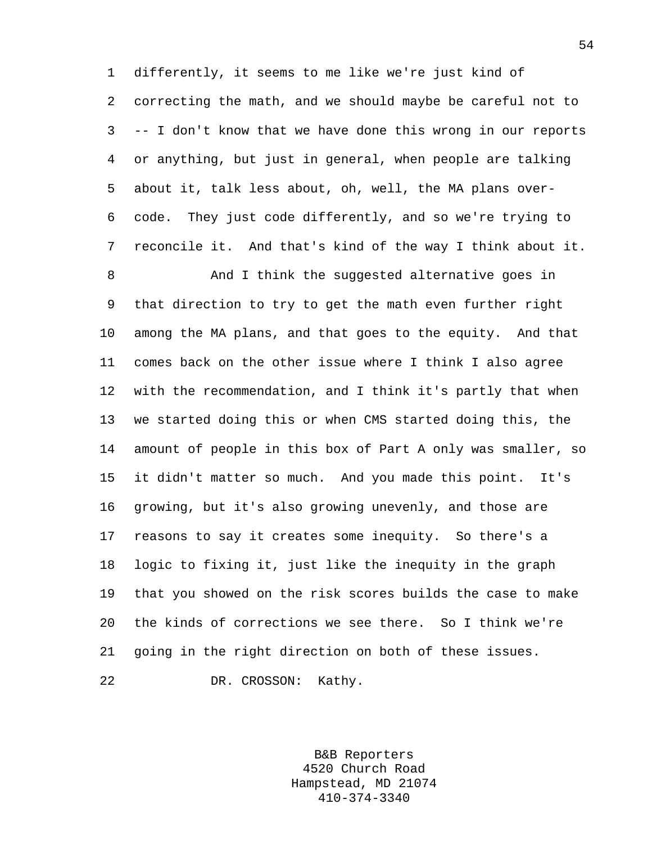1 differently, it seems to me like we're just kind of 2 correcting the math, and we should maybe be careful not to 3 -- I don't know that we have done this wrong in our reports 4 or anything, but just in general, when people are talking 5 about it, talk less about, oh, well, the MA plans over-6 code. They just code differently, and so we're trying to 7 reconcile it. And that's kind of the way I think about it.

8 And I think the suggested alternative goes in 9 that direction to try to get the math even further right 10 among the MA plans, and that goes to the equity. And that 11 comes back on the other issue where I think I also agree 12 with the recommendation, and I think it's partly that when 13 we started doing this or when CMS started doing this, the 14 amount of people in this box of Part A only was smaller, so 15 it didn't matter so much. And you made this point. It's 16 growing, but it's also growing unevenly, and those are 17 reasons to say it creates some inequity. So there's a 18 logic to fixing it, just like the inequity in the graph 19 that you showed on the risk scores builds the case to make 20 the kinds of corrections we see there. So I think we're 21 going in the right direction on both of these issues. 22 DR. CROSSON: Kathy.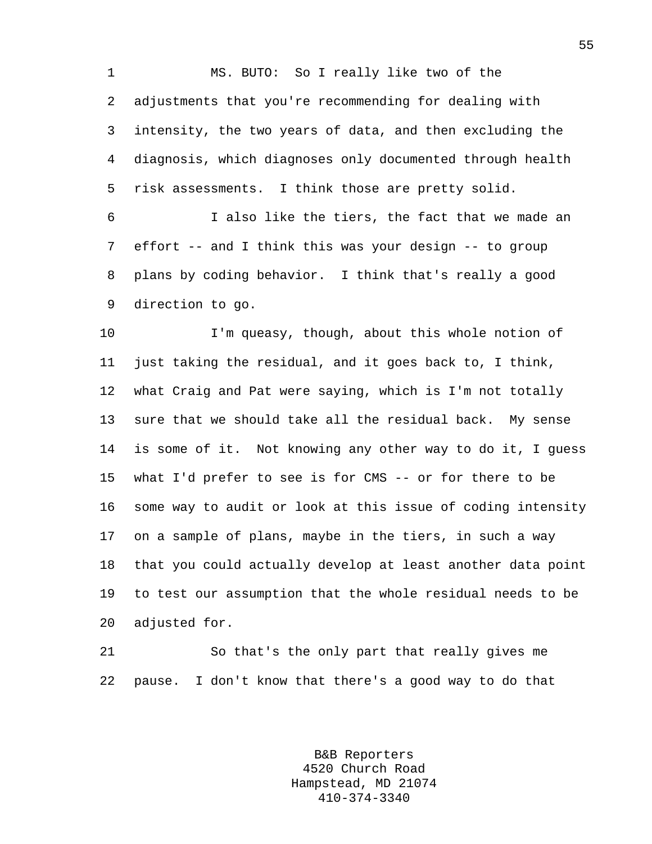1 MS. BUTO: So I really like two of the 2 adjustments that you're recommending for dealing with 3 intensity, the two years of data, and then excluding the 4 diagnosis, which diagnoses only documented through health 5 risk assessments. I think those are pretty solid.

6 I also like the tiers, the fact that we made an 7 effort -- and I think this was your design -- to group 8 plans by coding behavior. I think that's really a good 9 direction to go.

10 I'm queasy, though, about this whole notion of 11 just taking the residual, and it goes back to, I think, 12 what Craig and Pat were saying, which is I'm not totally 13 sure that we should take all the residual back. My sense 14 is some of it. Not knowing any other way to do it, I guess 15 what I'd prefer to see is for CMS -- or for there to be 16 some way to audit or look at this issue of coding intensity 17 on a sample of plans, maybe in the tiers, in such a way 18 that you could actually develop at least another data point 19 to test our assumption that the whole residual needs to be 20 adjusted for.

21 So that's the only part that really gives me 22 pause. I don't know that there's a good way to do that

> B&B Reporters 4520 Church Road Hampstead, MD 21074 410-374-3340

55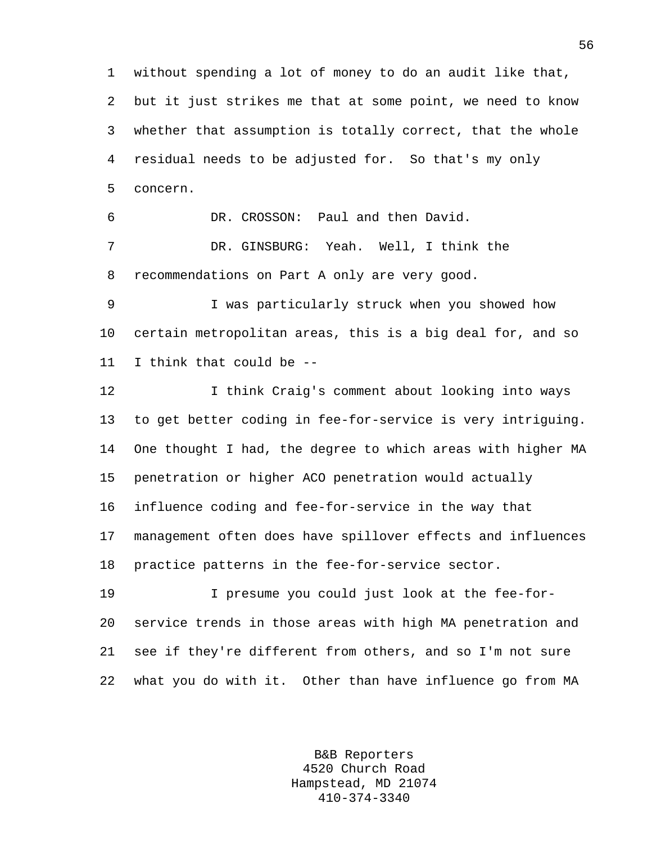1 without spending a lot of money to do an audit like that, 2 but it just strikes me that at some point, we need to know 3 whether that assumption is totally correct, that the whole 4 residual needs to be adjusted for. So that's my only 5 concern. 6 DR. CROSSON: Paul and then David. 7 DR. GINSBURG: Yeah. Well, I think the 8 recommendations on Part A only are very good. 9 I was particularly struck when you showed how 10 certain metropolitan areas, this is a big deal for, and so 11 I think that could be --

12 12 I think Craig's comment about looking into ways 13 to get better coding in fee-for-service is very intriguing. 14 One thought I had, the degree to which areas with higher MA 15 penetration or higher ACO penetration would actually 16 influence coding and fee-for-service in the way that 17 management often does have spillover effects and influences 18 practice patterns in the fee-for-service sector.

19 I presume you could just look at the fee-for-20 service trends in those areas with high MA penetration and 21 see if they're different from others, and so I'm not sure 22 what you do with it. Other than have influence go from MA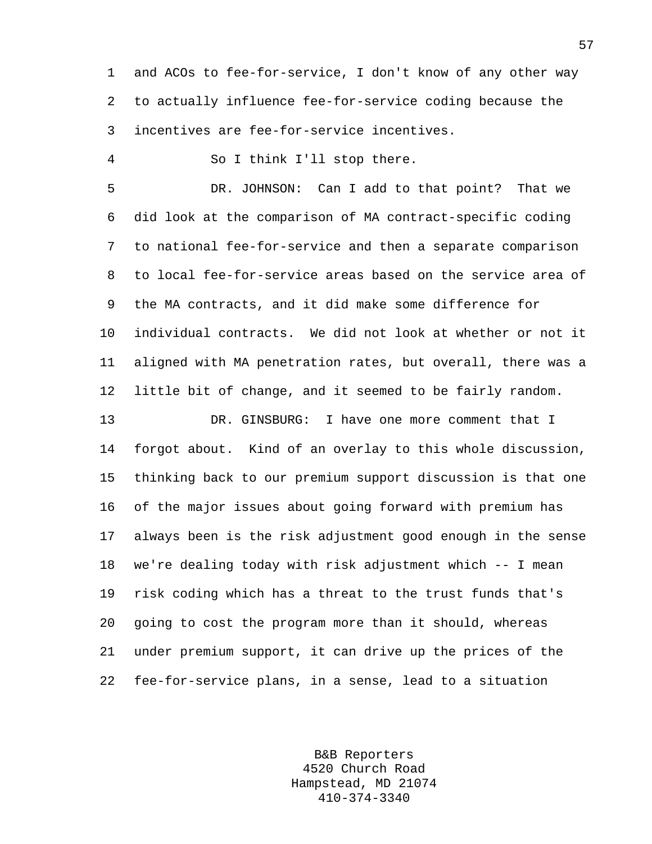1 and ACOs to fee-for-service, I don't know of any other way 2 to actually influence fee-for-service coding because the 3 incentives are fee-for-service incentives.

4 So I think I'll stop there.

5 DR. JOHNSON: Can I add to that point? That we 6 did look at the comparison of MA contract-specific coding 7 to national fee-for-service and then a separate comparison 8 to local fee-for-service areas based on the service area of 9 the MA contracts, and it did make some difference for 10 individual contracts. We did not look at whether or not it 11 aligned with MA penetration rates, but overall, there was a 12 little bit of change, and it seemed to be fairly random.

13 DR. GINSBURG: I have one more comment that I 14 forgot about. Kind of an overlay to this whole discussion, 15 thinking back to our premium support discussion is that one 16 of the major issues about going forward with premium has 17 always been is the risk adjustment good enough in the sense 18 we're dealing today with risk adjustment which -- I mean 19 risk coding which has a threat to the trust funds that's 20 going to cost the program more than it should, whereas 21 under premium support, it can drive up the prices of the 22 fee-for-service plans, in a sense, lead to a situation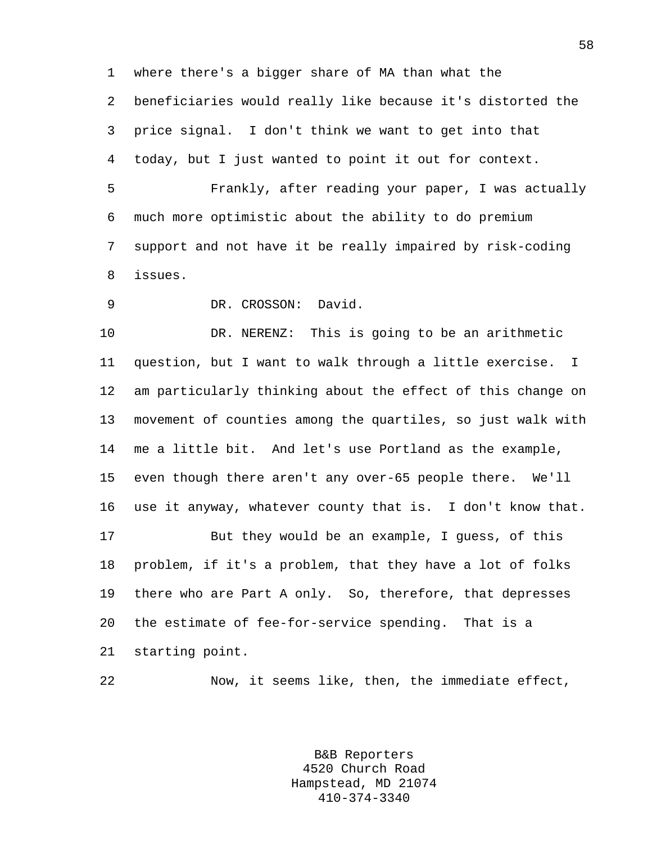1 where there's a bigger share of MA than what the 2 beneficiaries would really like because it's distorted the 3 price signal. I don't think we want to get into that 4 today, but I just wanted to point it out for context.

5 Frankly, after reading your paper, I was actually 6 much more optimistic about the ability to do premium 7 support and not have it be really impaired by risk-coding 8 issues.

9 DR. CROSSON: David.

10 DR. NERENZ: This is going to be an arithmetic 11 question, but I want to walk through a little exercise. I 12 am particularly thinking about the effect of this change on 13 movement of counties among the quartiles, so just walk with 14 me a little bit. And let's use Portland as the example, 15 even though there aren't any over-65 people there. We'll 16 use it anyway, whatever county that is. I don't know that. 17 But they would be an example, I guess, of this 18 problem, if it's a problem, that they have a lot of folks 19 there who are Part A only. So, therefore, that depresses 20 the estimate of fee-for-service spending. That is a 21 starting point.

22 Now, it seems like, then, the immediate effect,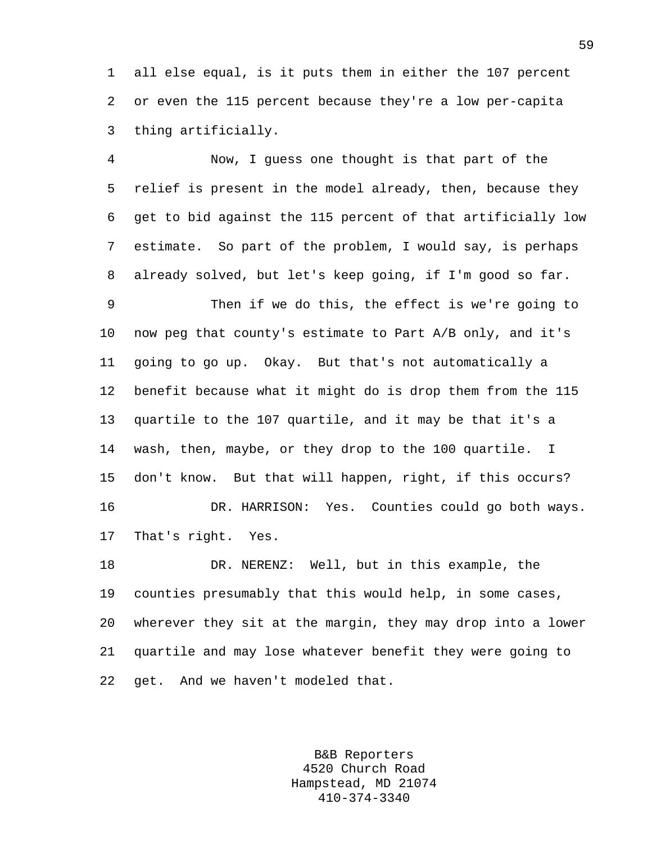1 all else equal, is it puts them in either the 107 percent 2 or even the 115 percent because they're a low per-capita 3 thing artificially.

4 Now, I guess one thought is that part of the 5 relief is present in the model already, then, because they 6 get to bid against the 115 percent of that artificially low 7 estimate. So part of the problem, I would say, is perhaps 8 already solved, but let's keep going, if I'm good so far.

9 Then if we do this, the effect is we're going to 10 now peg that county's estimate to Part A/B only, and it's 11 going to go up. Okay. But that's not automatically a 12 benefit because what it might do is drop them from the 115 13 quartile to the 107 quartile, and it may be that it's a 14 wash, then, maybe, or they drop to the 100 quartile. I 15 don't know. But that will happen, right, if this occurs? 16 DR. HARRISON: Yes. Counties could go both ways. 17 That's right. Yes.

18 DR. NERENZ: Well, but in this example, the 19 counties presumably that this would help, in some cases, 20 wherever they sit at the margin, they may drop into a lower 21 quartile and may lose whatever benefit they were going to 22 get. And we haven't modeled that.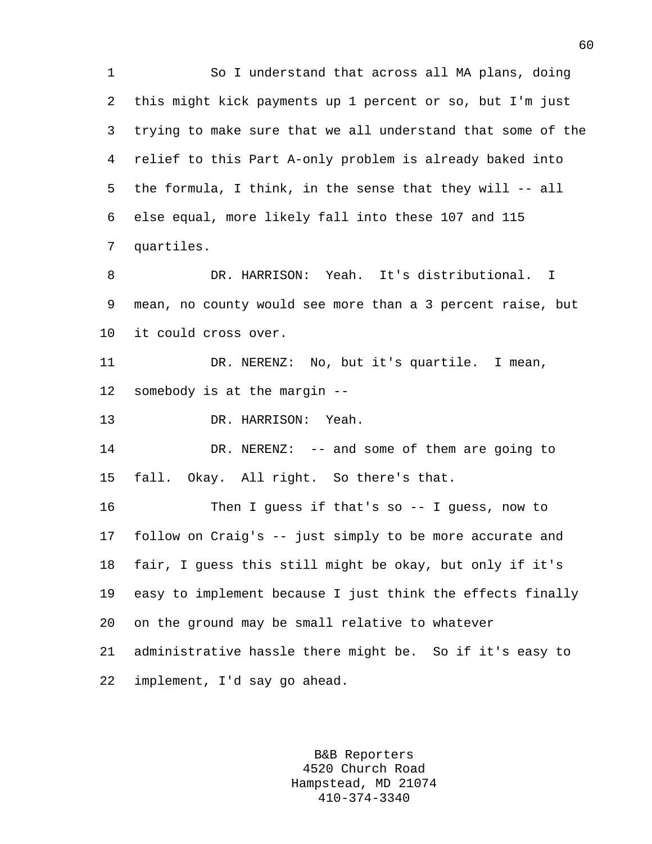1 So I understand that across all MA plans, doing 2 this might kick payments up 1 percent or so, but I'm just 3 trying to make sure that we all understand that some of the 4 relief to this Part A-only problem is already baked into 5 the formula, I think, in the sense that they will -- all 6 else equal, more likely fall into these 107 and 115 7 quartiles. 8 DR. HARRISON: Yeah. It's distributional. I 9 mean, no county would see more than a 3 percent raise, but 10 it could cross over. 11 DR. NERENZ: No, but it's quartile. I mean, 12 somebody is at the margin -- 13 DR. HARRISON: Yeah. 14 DR. NERENZ: -- and some of them are going to 15 fall. Okay. All right. So there's that. 16 Then I guess if that's so -- I guess, now to 17 follow on Craig's -- just simply to be more accurate and 18 fair, I guess this still might be okay, but only if it's 19 easy to implement because I just think the effects finally 20 on the ground may be small relative to whatever 21 administrative hassle there might be. So if it's easy to 22 implement, I'd say go ahead.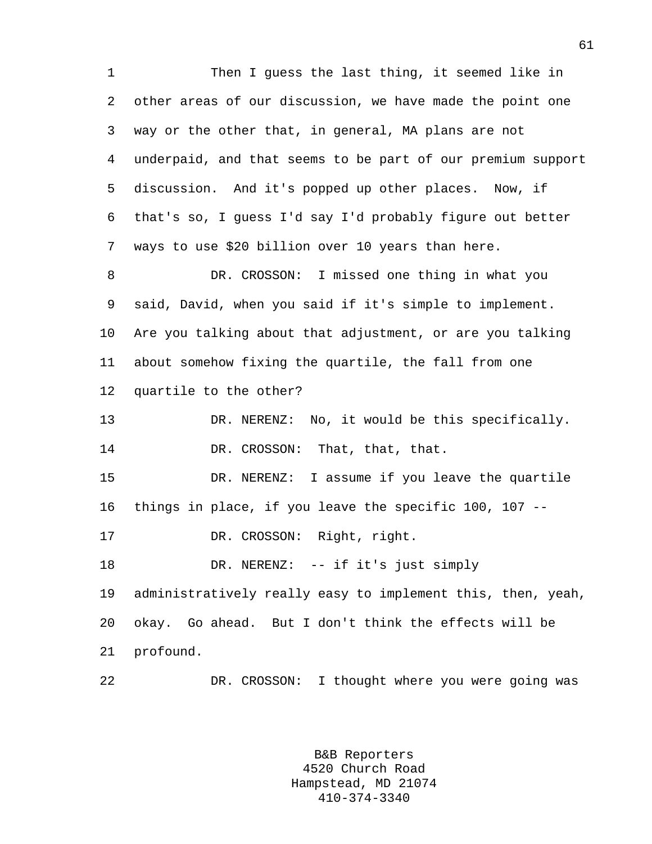1 Then I guess the last thing, it seemed like in 2 other areas of our discussion, we have made the point one 3 way or the other that, in general, MA plans are not 4 underpaid, and that seems to be part of our premium support 5 discussion. And it's popped up other places. Now, if 6 that's so, I guess I'd say I'd probably figure out better 7 ways to use \$20 billion over 10 years than here. 8 DR. CROSSON: I missed one thing in what you 9 said, David, when you said if it's simple to implement. 10 Are you talking about that adjustment, or are you talking 11 about somehow fixing the quartile, the fall from one 12 quartile to the other? 13 DR. NERENZ: No, it would be this specifically. 14 DR. CROSSON: That, that, that. 15 DR. NERENZ: I assume if you leave the quartile 16 things in place, if you leave the specific 100, 107 -- 17 DR. CROSSON: Right, right. 18 DR. NERENZ: -- if it's just simply 19 administratively really easy to implement this, then, yeah, 20 okay. Go ahead. But I don't think the effects will be 21 profound. 22 DR. CROSSON: I thought where you were going was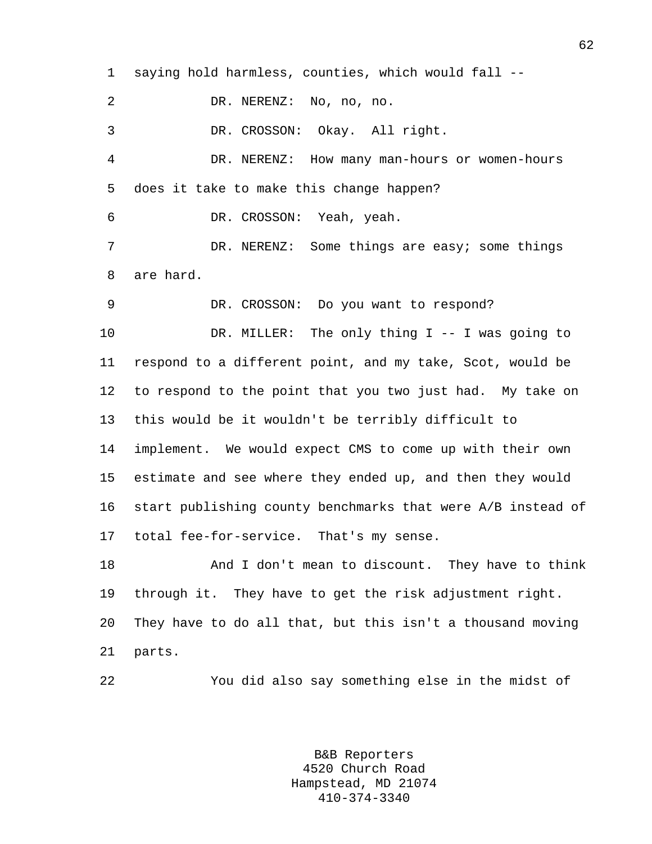1 saying hold harmless, counties, which would fall -- 2 DR. NERENZ: No, no, no. 3 DR. CROSSON: Okay. All right. 4 DR. NERENZ: How many man-hours or women-hours 5 does it take to make this change happen? 6 DR. CROSSON: Yeah, yeah. 7 DR. NERENZ: Some things are easy; some things 8 are hard. 9 DR. CROSSON: Do you want to respond? 10 DR. MILLER: The only thing I -- I was going to 11 respond to a different point, and my take, Scot, would be 12 to respond to the point that you two just had. My take on 13 this would be it wouldn't be terribly difficult to 14 implement. We would expect CMS to come up with their own 15 estimate and see where they ended up, and then they would 16 start publishing county benchmarks that were A/B instead of 17 total fee-for-service. That's my sense. 18 And I don't mean to discount. They have to think 19 through it. They have to get the risk adjustment right. 20 They have to do all that, but this isn't a thousand moving 21 parts. 22 You did also say something else in the midst of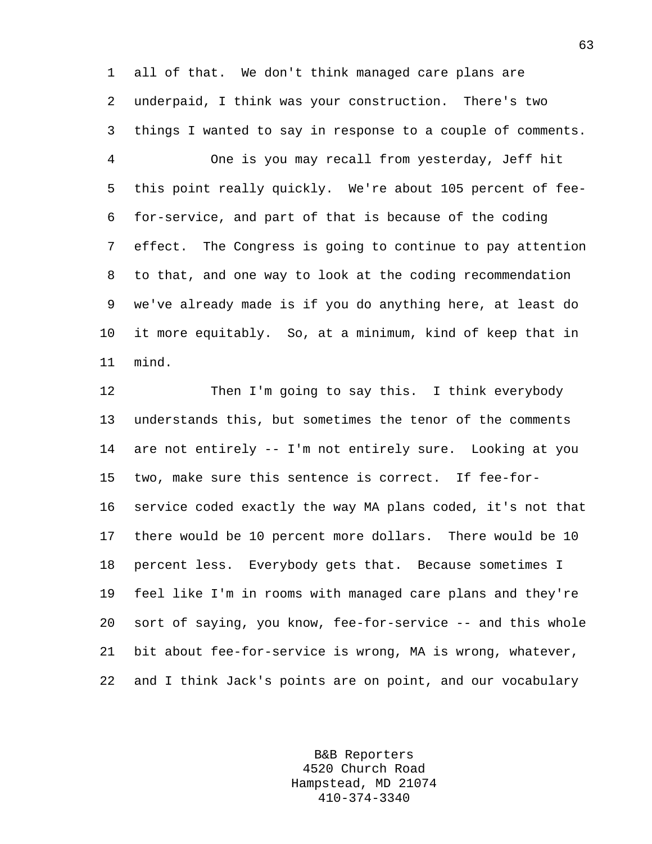1 all of that. We don't think managed care plans are 2 underpaid, I think was your construction. There's two 3 things I wanted to say in response to a couple of comments.

4 One is you may recall from yesterday, Jeff hit 5 this point really quickly. We're about 105 percent of fee-6 for-service, and part of that is because of the coding 7 effect. The Congress is going to continue to pay attention 8 to that, and one way to look at the coding recommendation 9 we've already made is if you do anything here, at least do 10 it more equitably. So, at a minimum, kind of keep that in 11 mind.

12 Then I'm going to say this. I think everybody 13 understands this, but sometimes the tenor of the comments 14 are not entirely -- I'm not entirely sure. Looking at you 15 two, make sure this sentence is correct. If fee-for-16 service coded exactly the way MA plans coded, it's not that 17 there would be 10 percent more dollars. There would be 10 18 percent less. Everybody gets that. Because sometimes I 19 feel like I'm in rooms with managed care plans and they're 20 sort of saying, you know, fee-for-service -- and this whole 21 bit about fee-for-service is wrong, MA is wrong, whatever, 22 and I think Jack's points are on point, and our vocabulary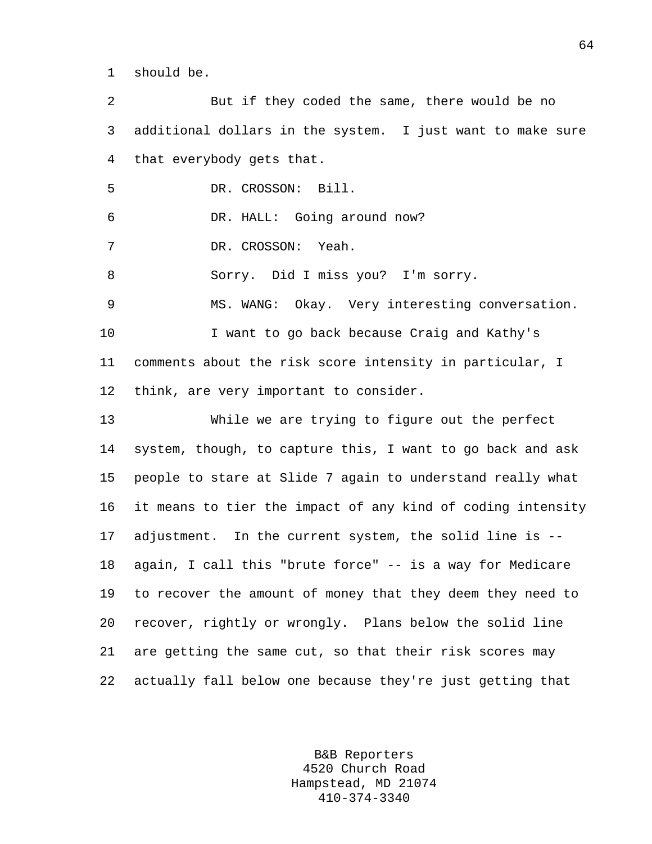1 should be.

2 But if they coded the same, there would be no 3 additional dollars in the system. I just want to make sure 4 that everybody gets that. 5 DR. CROSSON: Bill. 6 DR. HALL: Going around now? 7 DR. CROSSON: Yeah. 8 Sorry. Did I miss you? I'm sorry. 9 MS. WANG: Okay. Very interesting conversation. 10 I want to go back because Craig and Kathy's 11 comments about the risk score intensity in particular, I 12 think, are very important to consider. 13 While we are trying to figure out the perfect 14 system, though, to capture this, I want to go back and ask 15 people to stare at Slide 7 again to understand really what 16 it means to tier the impact of any kind of coding intensity 17 adjustment. In the current system, the solid line is -- 18 again, I call this "brute force" -- is a way for Medicare 19 to recover the amount of money that they deem they need to 20 recover, rightly or wrongly. Plans below the solid line 21 are getting the same cut, so that their risk scores may 22 actually fall below one because they're just getting that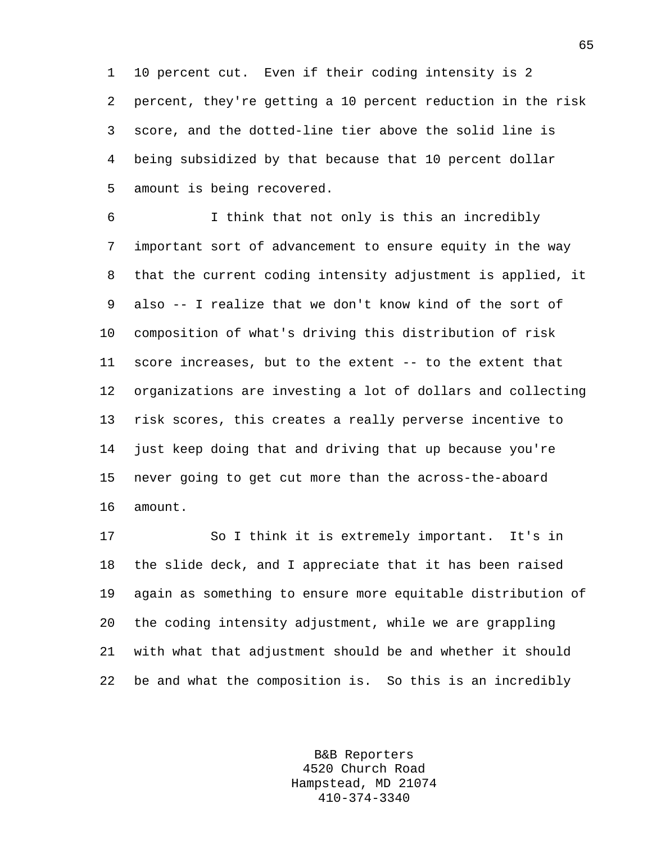1 10 percent cut. Even if their coding intensity is 2 2 percent, they're getting a 10 percent reduction in the risk 3 score, and the dotted-line tier above the solid line is 4 being subsidized by that because that 10 percent dollar 5 amount is being recovered.

6 I think that not only is this an incredibly 7 important sort of advancement to ensure equity in the way 8 that the current coding intensity adjustment is applied, it 9 also -- I realize that we don't know kind of the sort of 10 composition of what's driving this distribution of risk 11 score increases, but to the extent -- to the extent that 12 organizations are investing a lot of dollars and collecting 13 risk scores, this creates a really perverse incentive to 14 just keep doing that and driving that up because you're 15 never going to get cut more than the across-the-aboard 16 amount.

17 So I think it is extremely important. It's in 18 the slide deck, and I appreciate that it has been raised 19 again as something to ensure more equitable distribution of 20 the coding intensity adjustment, while we are grappling 21 with what that adjustment should be and whether it should 22 be and what the composition is. So this is an incredibly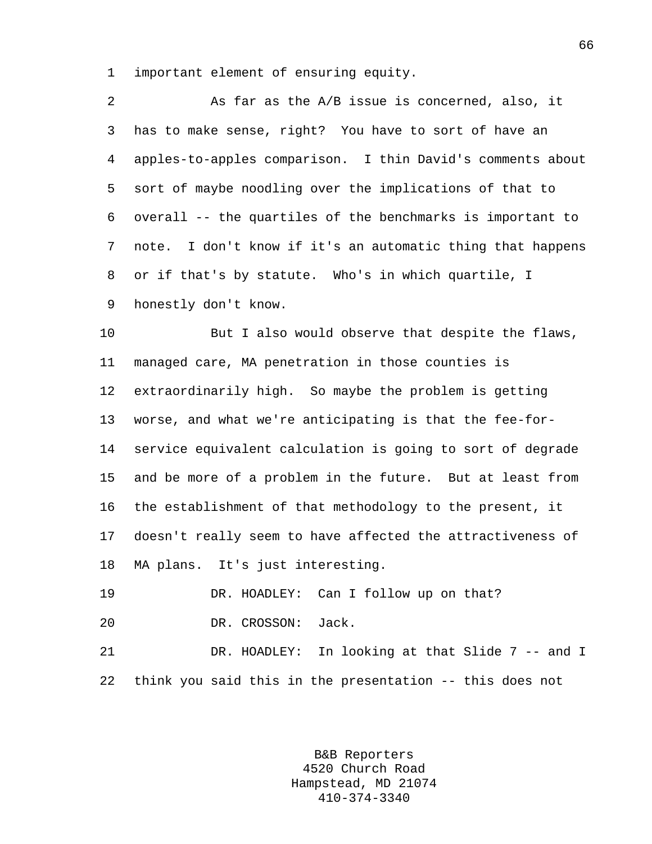1 important element of ensuring equity.

| 2  | As far as the A/B issue is concerned, also, it             |
|----|------------------------------------------------------------|
| 3  | has to make sense, right? You have to sort of have an      |
| 4  | apples-to-apples comparison. I thin David's comments about |
| 5  | sort of maybe noodling over the implications of that to    |
| 6  | overall -- the quartiles of the benchmarks is important to |
| 7  | note. I don't know if it's an automatic thing that happens |
| 8  | or if that's by statute. Who's in which quartile, I        |
| 9  | honestly don't know.                                       |
| 10 | But I also would observe that despite the flaws,           |
| 11 | managed care, MA penetration in those counties is          |
| 12 | extraordinarily high. So maybe the problem is getting      |
| 13 | worse, and what we're anticipating is that the fee-for-    |
| 14 | service equivalent calculation is going to sort of degrade |
| 15 | and be more of a problem in the future. But at least from  |
| 16 | the establishment of that methodology to the present, it   |
| 17 | doesn't really seem to have affected the attractiveness of |
| 18 | MA plans. It's just interesting.                           |
| 19 | DR. HOADLEY: Can I follow up on that?                      |
| 20 | DR. CROSSON:<br>Jack.                                      |
|    |                                                            |

21 DR. HOADLEY: In looking at that Slide 7 -- and I 22 think you said this in the presentation -- this does not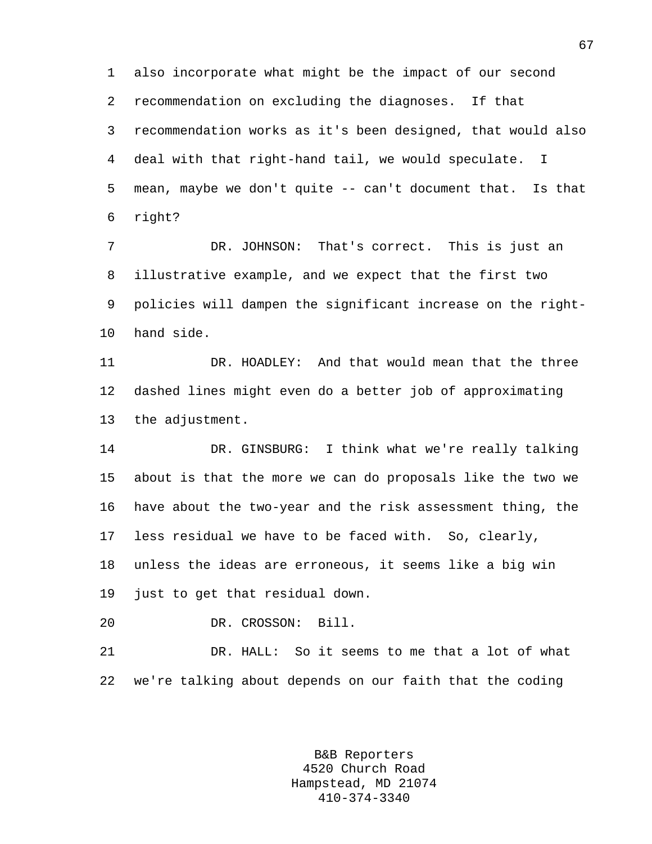1 also incorporate what might be the impact of our second 2 recommendation on excluding the diagnoses. If that 3 recommendation works as it's been designed, that would also 4 deal with that right-hand tail, we would speculate. I 5 mean, maybe we don't quite -- can't document that. Is that 6 right?

7 DR. JOHNSON: That's correct. This is just an 8 illustrative example, and we expect that the first two 9 policies will dampen the significant increase on the right-10 hand side.

11 DR. HOADLEY: And that would mean that the three 12 dashed lines might even do a better job of approximating 13 the adjustment.

14 DR. GINSBURG: I think what we're really talking 15 about is that the more we can do proposals like the two we 16 have about the two-year and the risk assessment thing, the 17 less residual we have to be faced with. So, clearly, 18 unless the ideas are erroneous, it seems like a big win 19 just to get that residual down.

20 DR. CROSSON: Bill.

21 DR. HALL: So it seems to me that a lot of what 22 we're talking about depends on our faith that the coding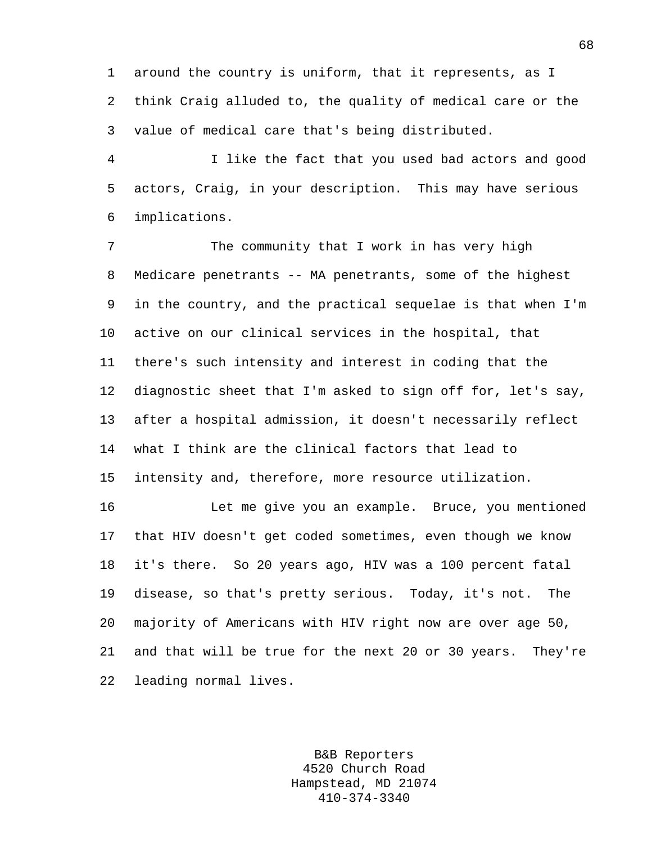1 around the country is uniform, that it represents, as I 2 think Craig alluded to, the quality of medical care or the 3 value of medical care that's being distributed.

4 I like the fact that you used bad actors and good 5 actors, Craig, in your description. This may have serious 6 implications.

7 The community that I work in has very high 8 Medicare penetrants -- MA penetrants, some of the highest 9 in the country, and the practical sequelae is that when I'm 10 active on our clinical services in the hospital, that 11 there's such intensity and interest in coding that the 12 diagnostic sheet that I'm asked to sign off for, let's say, 13 after a hospital admission, it doesn't necessarily reflect 14 what I think are the clinical factors that lead to 15 intensity and, therefore, more resource utilization.

16 Let me give you an example. Bruce, you mentioned 17 that HIV doesn't get coded sometimes, even though we know 18 it's there. So 20 years ago, HIV was a 100 percent fatal 19 disease, so that's pretty serious. Today, it's not. The 20 majority of Americans with HIV right now are over age 50, 21 and that will be true for the next 20 or 30 years. They're 22 leading normal lives.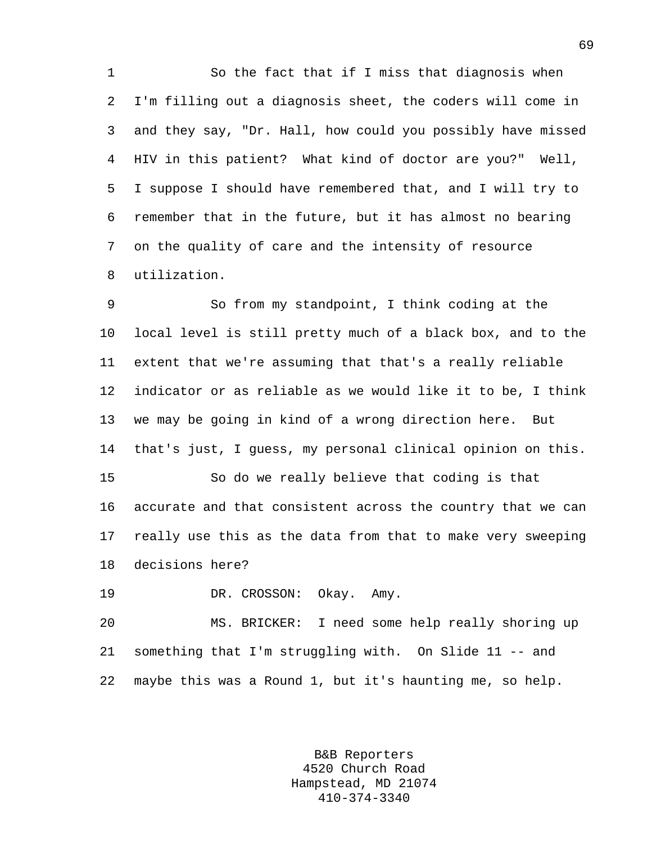1 So the fact that if I miss that diagnosis when 2 I'm filling out a diagnosis sheet, the coders will come in 3 and they say, "Dr. Hall, how could you possibly have missed 4 HIV in this patient? What kind of doctor are you?" Well, 5 I suppose I should have remembered that, and I will try to 6 remember that in the future, but it has almost no bearing 7 on the quality of care and the intensity of resource 8 utilization.

9 So from my standpoint, I think coding at the 10 local level is still pretty much of a black box, and to the 11 extent that we're assuming that that's a really reliable 12 indicator or as reliable as we would like it to be, I think 13 we may be going in kind of a wrong direction here. But 14 that's just, I guess, my personal clinical opinion on this. 15 So do we really believe that coding is that

16 accurate and that consistent across the country that we can 17 really use this as the data from that to make very sweeping 18 decisions here?

19 DR. CROSSON: Okay. Amy.

20 MS. BRICKER: I need some help really shoring up 21 something that I'm struggling with. On Slide 11 -- and 22 maybe this was a Round 1, but it's haunting me, so help.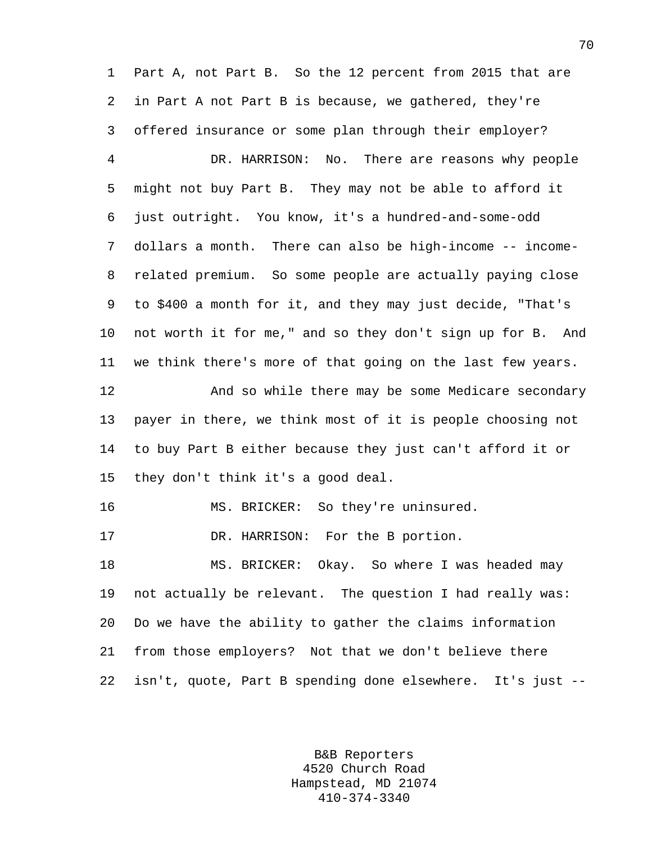1 Part A, not Part B. So the 12 percent from 2015 that are 2 in Part A not Part B is because, we gathered, they're 3 offered insurance or some plan through their employer? 4 DR. HARRISON: No. There are reasons why people 5 might not buy Part B. They may not be able to afford it 6 just outright. You know, it's a hundred-and-some-odd 7 dollars a month. There can also be high-income -- income-8 related premium. So some people are actually paying close 9 to \$400 a month for it, and they may just decide, "That's 10 not worth it for me," and so they don't sign up for B. And 11 we think there's more of that going on the last few years. 12 And so while there may be some Medicare secondary

13 payer in there, we think most of it is people choosing not 14 to buy Part B either because they just can't afford it or 15 they don't think it's a good deal.

16 MS. BRICKER: So they're uninsured.

17 DR. HARRISON: For the B portion.

18 MS. BRICKER: Okay. So where I was headed may 19 not actually be relevant. The question I had really was: 20 Do we have the ability to gather the claims information 21 from those employers? Not that we don't believe there 22 isn't, quote, Part B spending done elsewhere. It's just --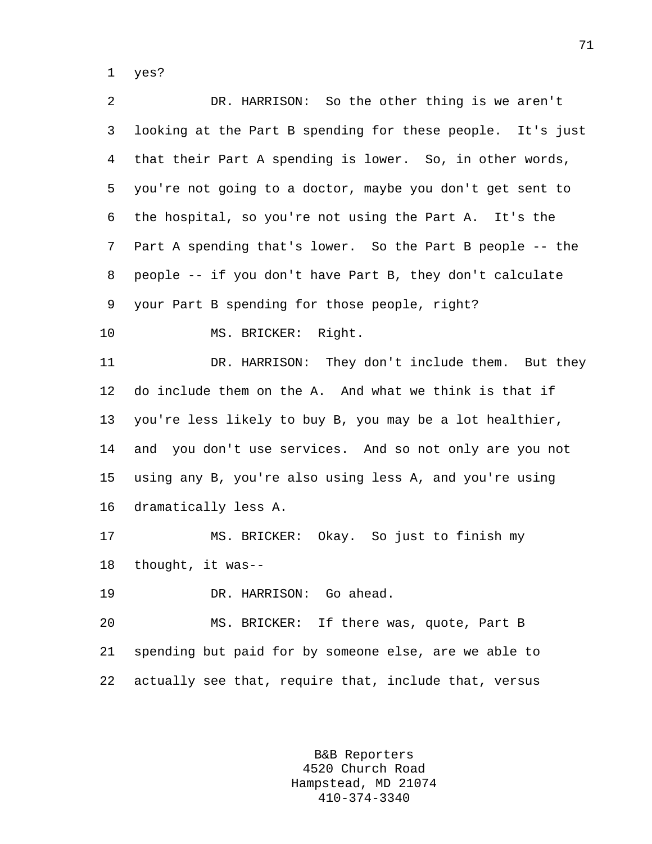1 yes?

2 DR. HARRISON: So the other thing is we aren't 3 looking at the Part B spending for these people. It's just 4 that their Part A spending is lower. So, in other words, 5 you're not going to a doctor, maybe you don't get sent to 6 the hospital, so you're not using the Part A. It's the 7 Part A spending that's lower. So the Part B people -- the 8 people -- if you don't have Part B, they don't calculate 9 your Part B spending for those people, right? 10 MS. BRICKER: Right. 11 DR. HARRISON: They don't include them. But they 12 do include them on the A. And what we think is that if 13 you're less likely to buy B, you may be a lot healthier, 14 and you don't use services. And so not only are you not 15 using any B, you're also using less A, and you're using 16 dramatically less A. 17 MS. BRICKER: Okay. So just to finish my 18 thought, it was-- 19 DR. HARRISON: Go ahead. 20 MS. BRICKER: If there was, quote, Part B 21 spending but paid for by someone else, are we able to 22 actually see that, require that, include that, versus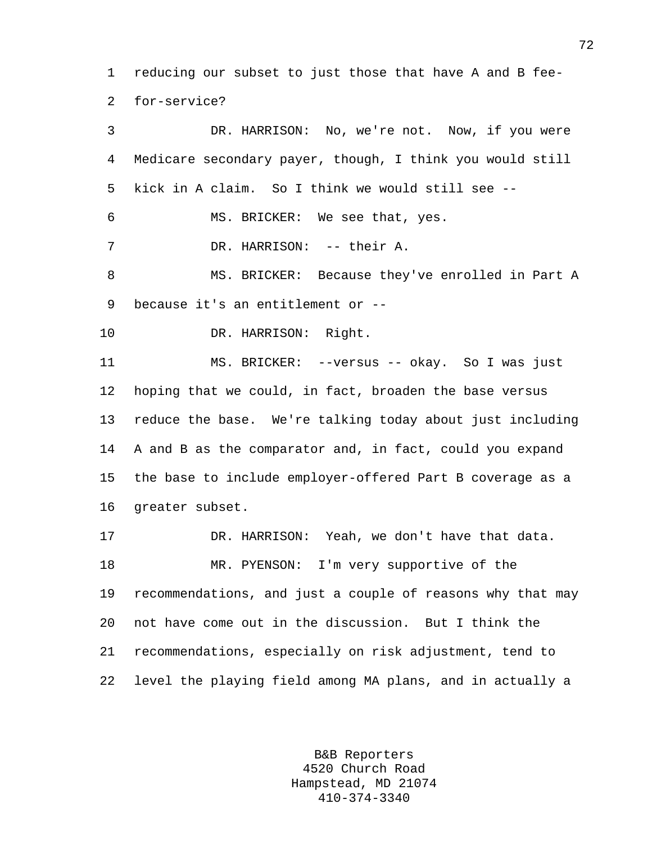1 reducing our subset to just those that have A and B fee-2 for-service?

3 DR. HARRISON: No, we're not. Now, if you were 4 Medicare secondary payer, though, I think you would still 5 kick in A claim. So I think we would still see -- 6 MS. BRICKER: We see that, yes. 7 DR. HARRISON: -- their A. 8 MS. BRICKER: Because they've enrolled in Part A 9 because it's an entitlement or -- 10 DR. HARRISON: Right. 11 MS. BRICKER: --versus -- okay. So I was just 12 hoping that we could, in fact, broaden the base versus 13 reduce the base. We're talking today about just including 14 A and B as the comparator and, in fact, could you expand 15 the base to include employer-offered Part B coverage as a 16 greater subset. 17 DR. HARRISON: Yeah, we don't have that data. 18 MR. PYENSON: I'm very supportive of the 19 recommendations, and just a couple of reasons why that may 20 not have come out in the discussion. But I think the

21 recommendations, especially on risk adjustment, tend to 22 level the playing field among MA plans, and in actually a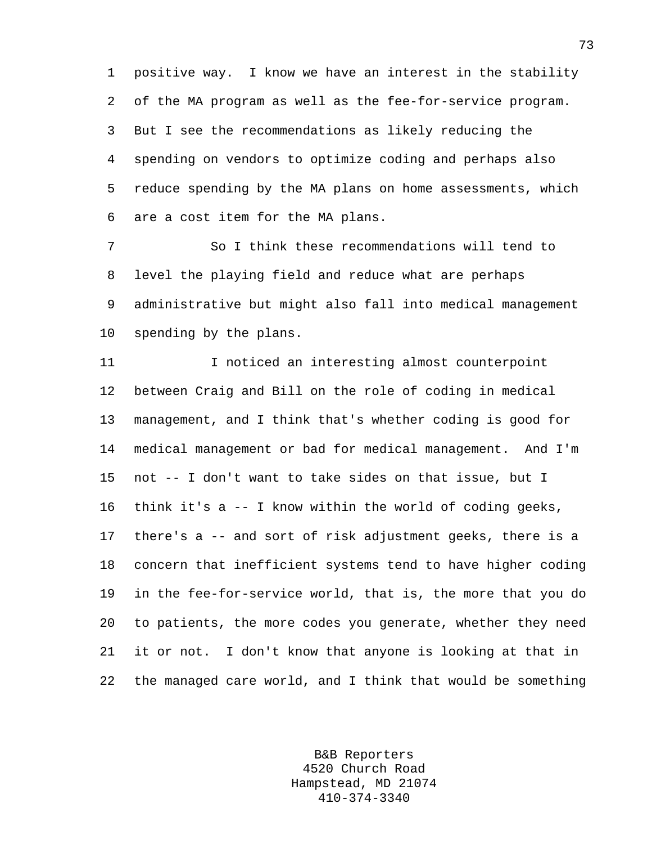1 positive way. I know we have an interest in the stability 2 of the MA program as well as the fee-for-service program. 3 But I see the recommendations as likely reducing the 4 spending on vendors to optimize coding and perhaps also 5 reduce spending by the MA plans on home assessments, which 6 are a cost item for the MA plans.

7 So I think these recommendations will tend to 8 level the playing field and reduce what are perhaps 9 administrative but might also fall into medical management 10 spending by the plans.

11 I noticed an interesting almost counterpoint 12 between Craig and Bill on the role of coding in medical 13 management, and I think that's whether coding is good for 14 medical management or bad for medical management. And I'm 15 not -- I don't want to take sides on that issue, but I 16 think it's a -- I know within the world of coding geeks, 17 there's a -- and sort of risk adjustment geeks, there is a 18 concern that inefficient systems tend to have higher coding 19 in the fee-for-service world, that is, the more that you do 20 to patients, the more codes you generate, whether they need 21 it or not. I don't know that anyone is looking at that in 22 the managed care world, and I think that would be something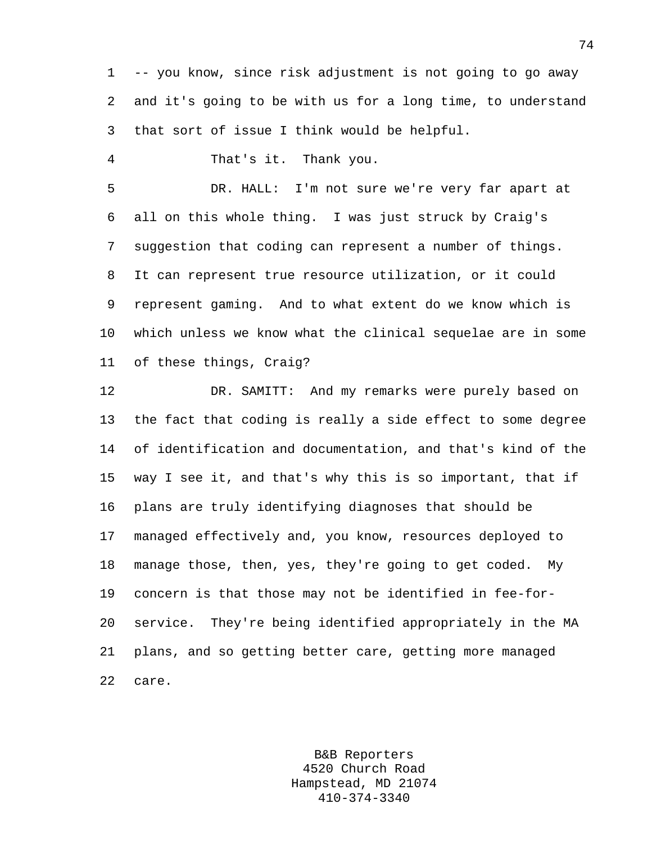1 -- you know, since risk adjustment is not going to go away 2 and it's going to be with us for a long time, to understand 3 that sort of issue I think would be helpful.

4 That's it. Thank you.

5 DR. HALL: I'm not sure we're very far apart at 6 all on this whole thing. I was just struck by Craig's 7 suggestion that coding can represent a number of things. 8 It can represent true resource utilization, or it could 9 represent gaming. And to what extent do we know which is 10 which unless we know what the clinical sequelae are in some 11 of these things, Craig?

12 DR. SAMITT: And my remarks were purely based on 13 the fact that coding is really a side effect to some degree 14 of identification and documentation, and that's kind of the 15 way I see it, and that's why this is so important, that if 16 plans are truly identifying diagnoses that should be 17 managed effectively and, you know, resources deployed to 18 manage those, then, yes, they're going to get coded. My 19 concern is that those may not be identified in fee-for-20 service. They're being identified appropriately in the MA 21 plans, and so getting better care, getting more managed 22 care.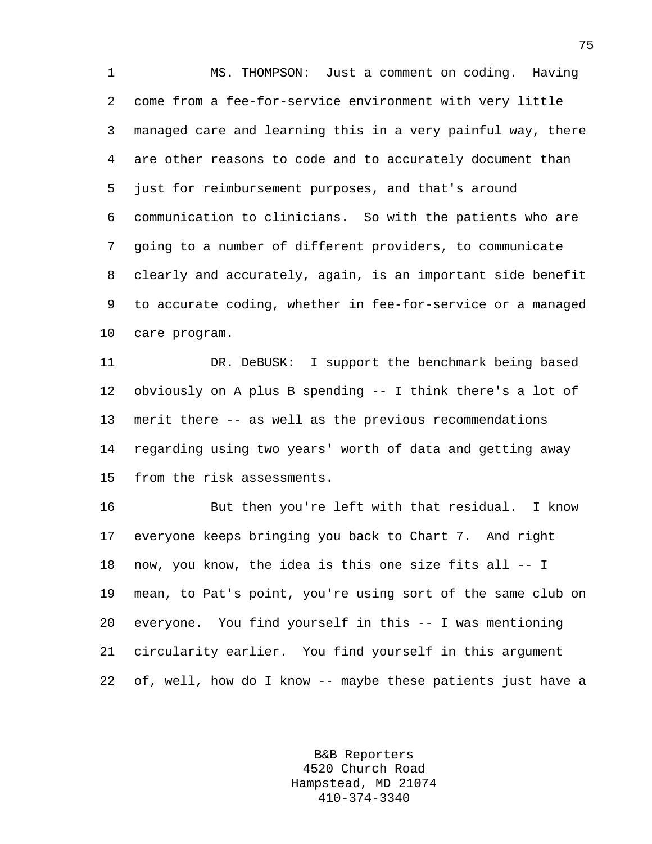1 MS. THOMPSON: Just a comment on coding. Having 2 come from a fee-for-service environment with very little 3 managed care and learning this in a very painful way, there 4 are other reasons to code and to accurately document than 5 just for reimbursement purposes, and that's around 6 communication to clinicians. So with the patients who are 7 going to a number of different providers, to communicate 8 clearly and accurately, again, is an important side benefit 9 to accurate coding, whether in fee-for-service or a managed 10 care program.

11 DR. DeBUSK: I support the benchmark being based 12 obviously on A plus B spending -- I think there's a lot of 13 merit there -- as well as the previous recommendations 14 regarding using two years' worth of data and getting away 15 from the risk assessments.

16 But then you're left with that residual. I know 17 everyone keeps bringing you back to Chart 7. And right 18 now, you know, the idea is this one size fits all -- I 19 mean, to Pat's point, you're using sort of the same club on 20 everyone. You find yourself in this -- I was mentioning 21 circularity earlier. You find yourself in this argument 22 of, well, how do I know -- maybe these patients just have a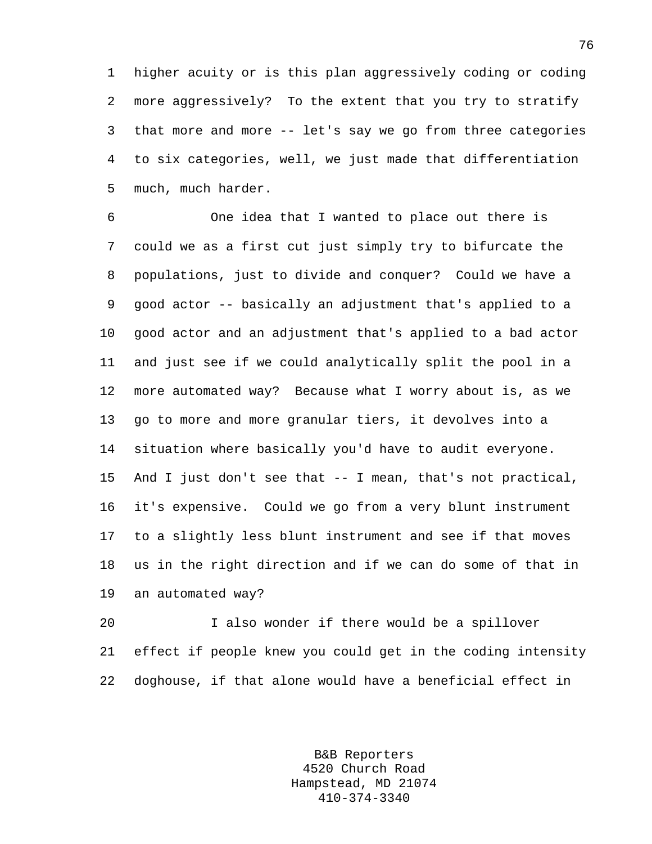1 higher acuity or is this plan aggressively coding or coding 2 more aggressively? To the extent that you try to stratify 3 that more and more -- let's say we go from three categories 4 to six categories, well, we just made that differentiation 5 much, much harder.

6 One idea that I wanted to place out there is 7 could we as a first cut just simply try to bifurcate the 8 populations, just to divide and conquer? Could we have a 9 good actor -- basically an adjustment that's applied to a 10 good actor and an adjustment that's applied to a bad actor 11 and just see if we could analytically split the pool in a 12 more automated way? Because what I worry about is, as we 13 go to more and more granular tiers, it devolves into a 14 situation where basically you'd have to audit everyone. 15 And I just don't see that -- I mean, that's not practical, 16 it's expensive. Could we go from a very blunt instrument 17 to a slightly less blunt instrument and see if that moves 18 us in the right direction and if we can do some of that in 19 an automated way?

20 I also wonder if there would be a spillover 21 effect if people knew you could get in the coding intensity 22 doghouse, if that alone would have a beneficial effect in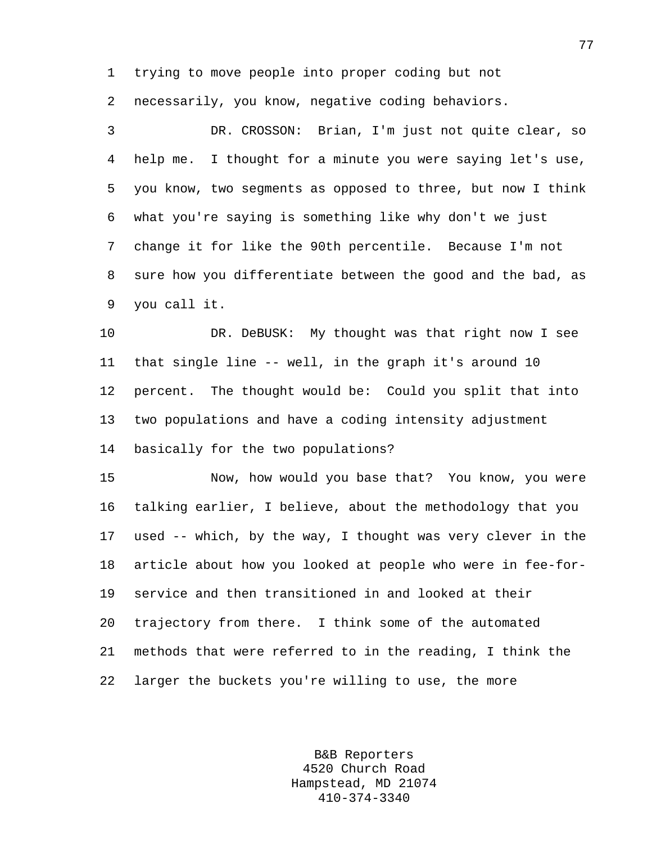1 trying to move people into proper coding but not

2 necessarily, you know, negative coding behaviors.

3 DR. CROSSON: Brian, I'm just not quite clear, so 4 help me. I thought for a minute you were saying let's use, 5 you know, two segments as opposed to three, but now I think 6 what you're saying is something like why don't we just 7 change it for like the 90th percentile. Because I'm not 8 sure how you differentiate between the good and the bad, as 9 you call it.

10 DR. DeBUSK: My thought was that right now I see 11 that single line -- well, in the graph it's around 10 12 percent. The thought would be: Could you split that into 13 two populations and have a coding intensity adjustment 14 basically for the two populations?

15 Now, how would you base that? You know, you were 16 talking earlier, I believe, about the methodology that you 17 used -- which, by the way, I thought was very clever in the 18 article about how you looked at people who were in fee-for-19 service and then transitioned in and looked at their 20 trajectory from there. I think some of the automated 21 methods that were referred to in the reading, I think the 22 larger the buckets you're willing to use, the more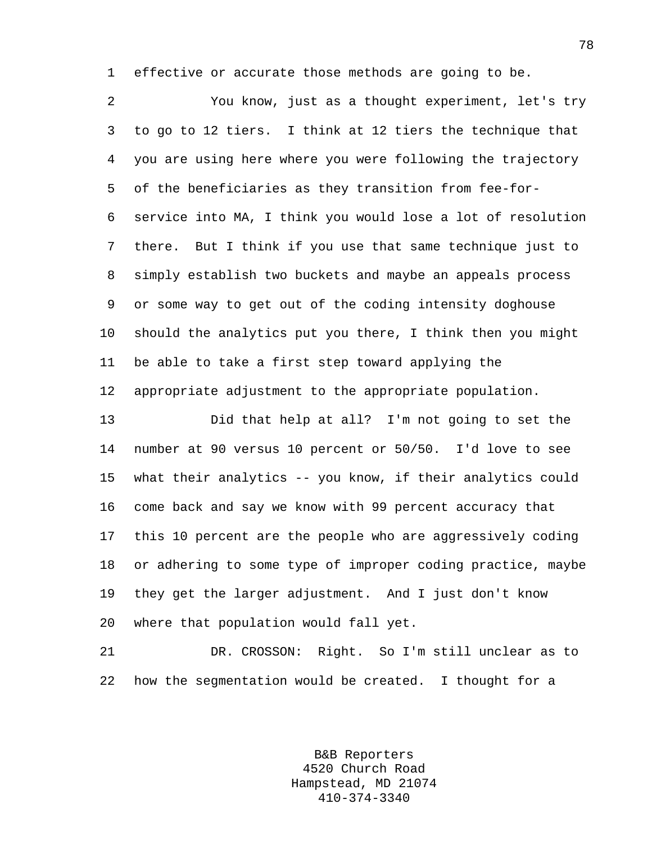1 effective or accurate those methods are going to be.

2 You know, just as a thought experiment, let's try 3 to go to 12 tiers. I think at 12 tiers the technique that 4 you are using here where you were following the trajectory 5 of the beneficiaries as they transition from fee-for-6 service into MA, I think you would lose a lot of resolution 7 there. But I think if you use that same technique just to 8 simply establish two buckets and maybe an appeals process 9 or some way to get out of the coding intensity doghouse 10 should the analytics put you there, I think then you might 11 be able to take a first step toward applying the 12 appropriate adjustment to the appropriate population.

13 Did that help at all? I'm not going to set the 14 number at 90 versus 10 percent or 50/50. I'd love to see 15 what their analytics -- you know, if their analytics could 16 come back and say we know with 99 percent accuracy that 17 this 10 percent are the people who are aggressively coding 18 or adhering to some type of improper coding practice, maybe 19 they get the larger adjustment. And I just don't know 20 where that population would fall yet.

21 DR. CROSSON: Right. So I'm still unclear as to 22 how the segmentation would be created. I thought for a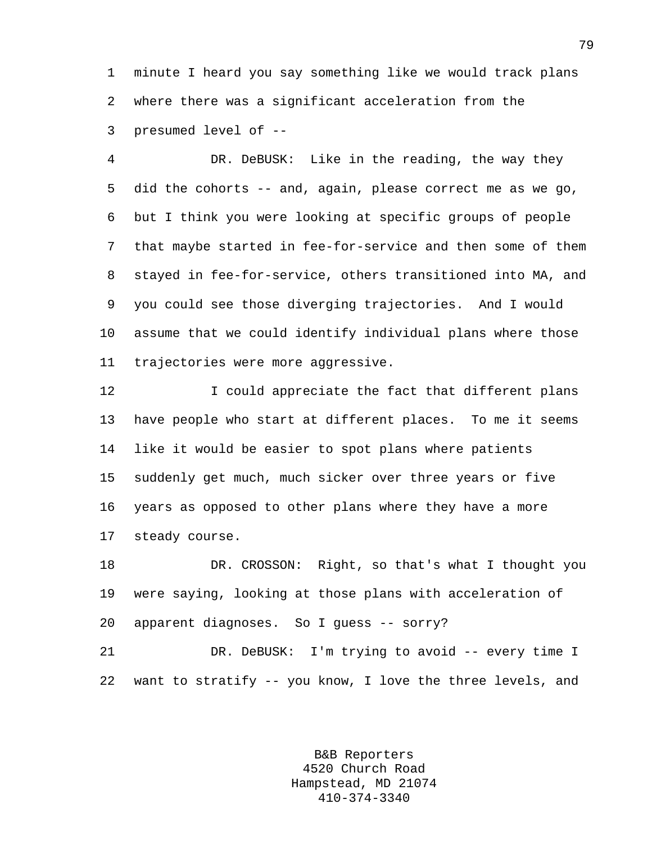1 minute I heard you say something like we would track plans 2 where there was a significant acceleration from the 3 presumed level of --

4 DR. DeBUSK: Like in the reading, the way they 5 did the cohorts -- and, again, please correct me as we go, 6 but I think you were looking at specific groups of people 7 that maybe started in fee-for-service and then some of them 8 stayed in fee-for-service, others transitioned into MA, and 9 you could see those diverging trajectories. And I would 10 assume that we could identify individual plans where those 11 trajectories were more aggressive.

12 I could appreciate the fact that different plans 13 have people who start at different places. To me it seems 14 like it would be easier to spot plans where patients 15 suddenly get much, much sicker over three years or five 16 years as opposed to other plans where they have a more 17 steady course.

18 DR. CROSSON: Right, so that's what I thought you 19 were saying, looking at those plans with acceleration of 20 apparent diagnoses. So I guess -- sorry?

21 DR. DeBUSK: I'm trying to avoid -- every time I 22 want to stratify -- you know, I love the three levels, and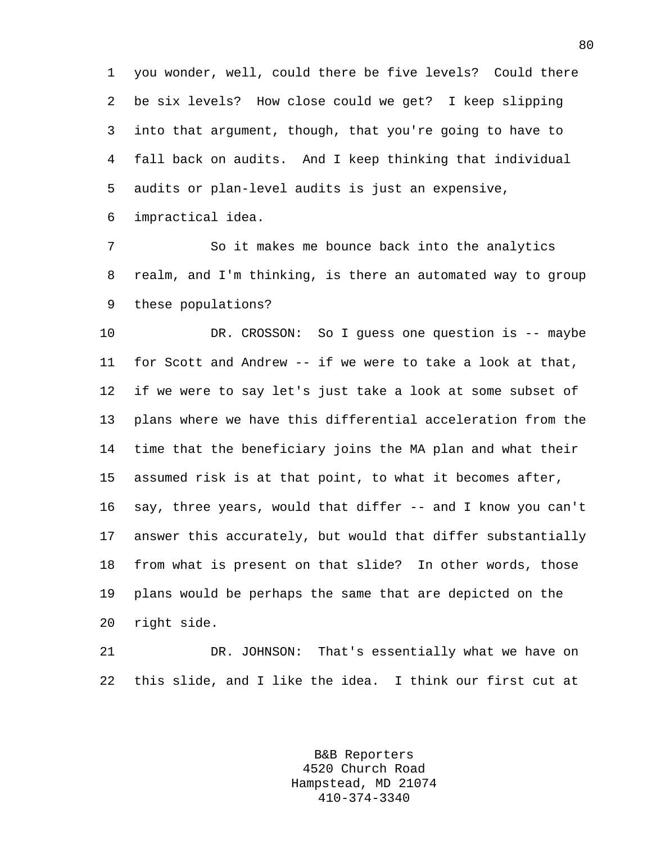1 you wonder, well, could there be five levels? Could there 2 be six levels? How close could we get? I keep slipping 3 into that argument, though, that you're going to have to 4 fall back on audits. And I keep thinking that individual 5 audits or plan-level audits is just an expensive, 6 impractical idea.

7 So it makes me bounce back into the analytics 8 realm, and I'm thinking, is there an automated way to group 9 these populations?

10 DR. CROSSON: So I guess one question is -- maybe 11 for Scott and Andrew -- if we were to take a look at that, 12 if we were to say let's just take a look at some subset of 13 plans where we have this differential acceleration from the 14 time that the beneficiary joins the MA plan and what their 15 assumed risk is at that point, to what it becomes after, 16 say, three years, would that differ -- and I know you can't 17 answer this accurately, but would that differ substantially 18 from what is present on that slide? In other words, those 19 plans would be perhaps the same that are depicted on the 20 right side.

21 DR. JOHNSON: That's essentially what we have on 22 this slide, and I like the idea. I think our first cut at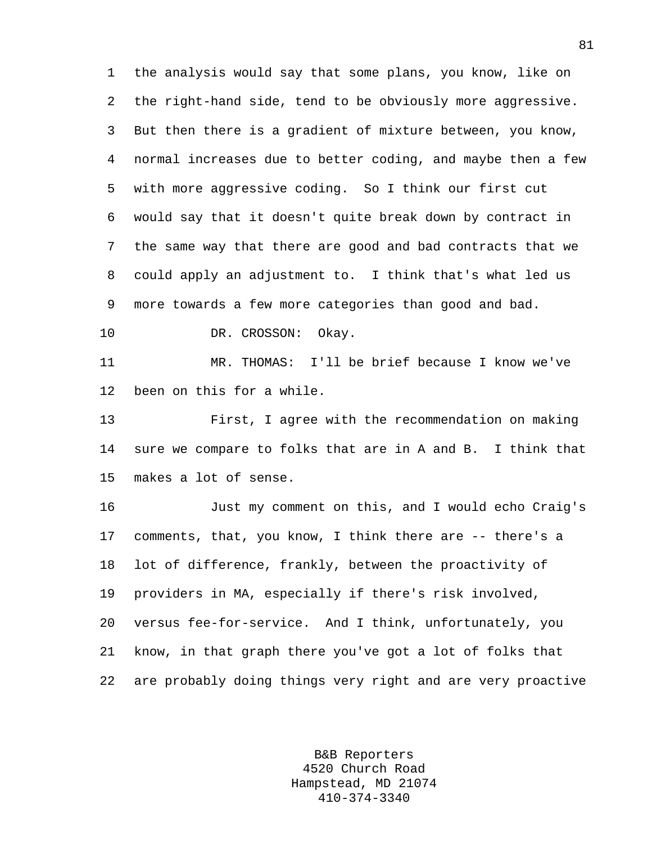1 the analysis would say that some plans, you know, like on 2 the right-hand side, tend to be obviously more aggressive. 3 But then there is a gradient of mixture between, you know, 4 normal increases due to better coding, and maybe then a few 5 with more aggressive coding. So I think our first cut 6 would say that it doesn't quite break down by contract in 7 the same way that there are good and bad contracts that we 8 could apply an adjustment to. I think that's what led us 9 more towards a few more categories than good and bad.

10 DR. CROSSON: Okay.

11 MR. THOMAS: I'll be brief because I know we've 12 been on this for a while.

13 First, I agree with the recommendation on making 14 sure we compare to folks that are in A and B. I think that 15 makes a lot of sense.

16 Just my comment on this, and I would echo Craig's 17 comments, that, you know, I think there are -- there's a 18 lot of difference, frankly, between the proactivity of 19 providers in MA, especially if there's risk involved, 20 versus fee-for-service. And I think, unfortunately, you 21 know, in that graph there you've got a lot of folks that 22 are probably doing things very right and are very proactive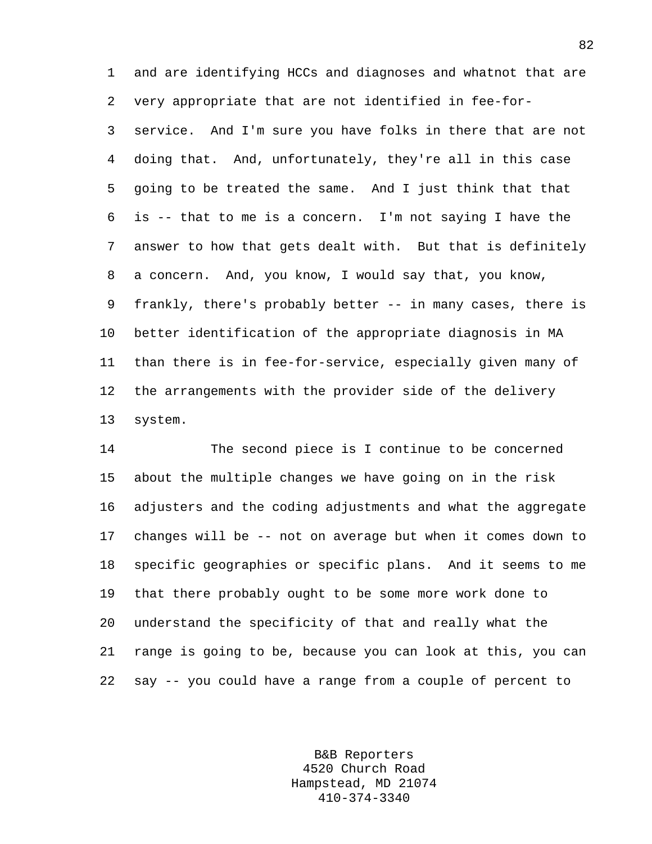1 and are identifying HCCs and diagnoses and whatnot that are 2 very appropriate that are not identified in fee-for-3 service. And I'm sure you have folks in there that are not 4 doing that. And, unfortunately, they're all in this case 5 going to be treated the same. And I just think that that 6 is -- that to me is a concern. I'm not saying I have the 7 answer to how that gets dealt with. But that is definitely 8 a concern. And, you know, I would say that, you know, 9 frankly, there's probably better -- in many cases, there is 10 better identification of the appropriate diagnosis in MA 11 than there is in fee-for-service, especially given many of 12 the arrangements with the provider side of the delivery 13 system.

14 The second piece is I continue to be concerned 15 about the multiple changes we have going on in the risk 16 adjusters and the coding adjustments and what the aggregate 17 changes will be -- not on average but when it comes down to 18 specific geographies or specific plans. And it seems to me 19 that there probably ought to be some more work done to 20 understand the specificity of that and really what the 21 range is going to be, because you can look at this, you can 22 say -- you could have a range from a couple of percent to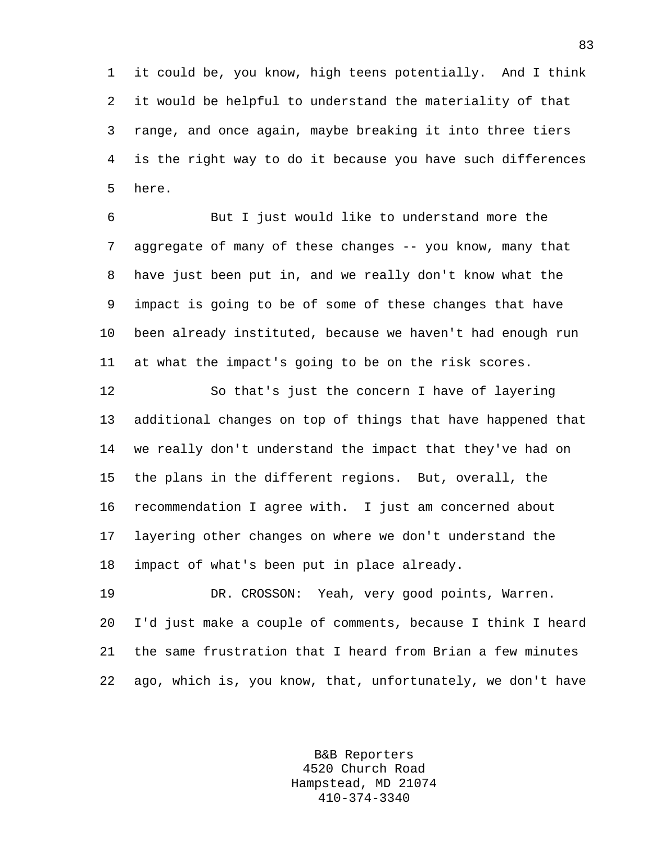1 it could be, you know, high teens potentially. And I think 2 it would be helpful to understand the materiality of that 3 range, and once again, maybe breaking it into three tiers 4 is the right way to do it because you have such differences 5 here.

6 But I just would like to understand more the 7 aggregate of many of these changes -- you know, many that 8 have just been put in, and we really don't know what the 9 impact is going to be of some of these changes that have 10 been already instituted, because we haven't had enough run 11 at what the impact's going to be on the risk scores.

12 So that's just the concern I have of layering 13 additional changes on top of things that have happened that 14 we really don't understand the impact that they've had on 15 the plans in the different regions. But, overall, the 16 recommendation I agree with. I just am concerned about 17 layering other changes on where we don't understand the 18 impact of what's been put in place already.

19 DR. CROSSON: Yeah, very good points, Warren. 20 I'd just make a couple of comments, because I think I heard 21 the same frustration that I heard from Brian a few minutes 22 ago, which is, you know, that, unfortunately, we don't have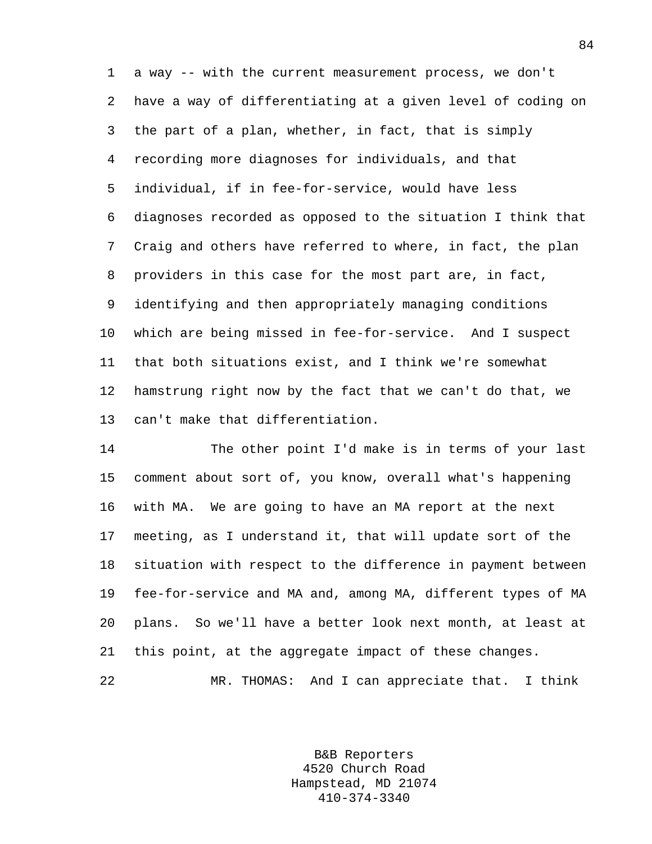1 a way -- with the current measurement process, we don't 2 have a way of differentiating at a given level of coding on 3 the part of a plan, whether, in fact, that is simply 4 recording more diagnoses for individuals, and that 5 individual, if in fee-for-service, would have less 6 diagnoses recorded as opposed to the situation I think that 7 Craig and others have referred to where, in fact, the plan 8 providers in this case for the most part are, in fact, 9 identifying and then appropriately managing conditions 10 which are being missed in fee-for-service. And I suspect 11 that both situations exist, and I think we're somewhat 12 hamstrung right now by the fact that we can't do that, we 13 can't make that differentiation.

14 The other point I'd make is in terms of your last 15 comment about sort of, you know, overall what's happening 16 with MA. We are going to have an MA report at the next 17 meeting, as I understand it, that will update sort of the 18 situation with respect to the difference in payment between 19 fee-for-service and MA and, among MA, different types of MA 20 plans. So we'll have a better look next month, at least at 21 this point, at the aggregate impact of these changes.

22 MR. THOMAS: And I can appreciate that. I think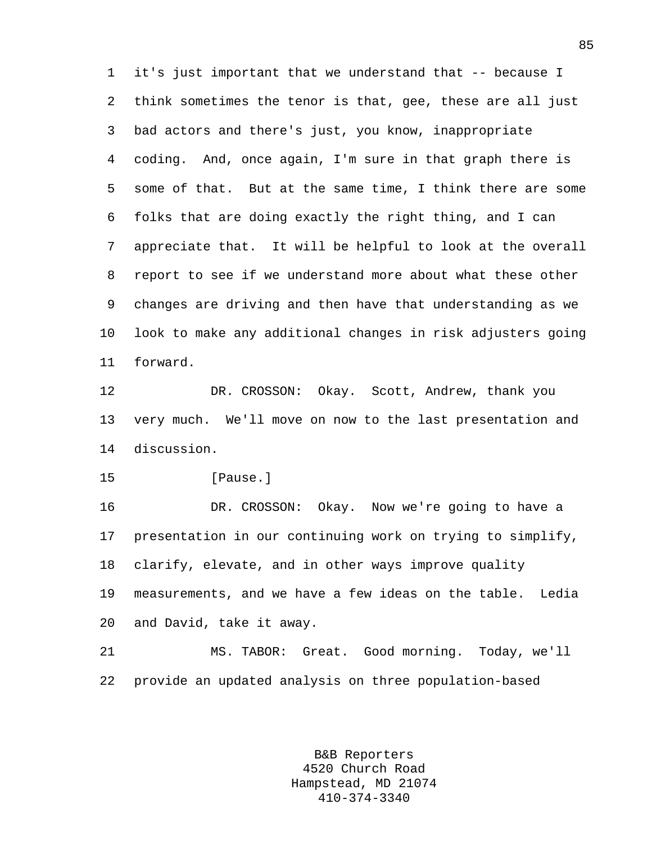1 it's just important that we understand that -- because I 2 think sometimes the tenor is that, gee, these are all just 3 bad actors and there's just, you know, inappropriate 4 coding. And, once again, I'm sure in that graph there is 5 some of that. But at the same time, I think there are some 6 folks that are doing exactly the right thing, and I can 7 appreciate that. It will be helpful to look at the overall 8 report to see if we understand more about what these other 9 changes are driving and then have that understanding as we 10 look to make any additional changes in risk adjusters going 11 forward.

12 DR. CROSSON: Okay. Scott, Andrew, thank you 13 very much. We'll move on now to the last presentation and 14 discussion.

15 **[Pause.]** 

16 DR. CROSSON: Okay. Now we're going to have a 17 presentation in our continuing work on trying to simplify, 18 clarify, elevate, and in other ways improve quality 19 measurements, and we have a few ideas on the table. Ledia 20 and David, take it away.

21 MS. TABOR: Great. Good morning. Today, we'll 22 provide an updated analysis on three population-based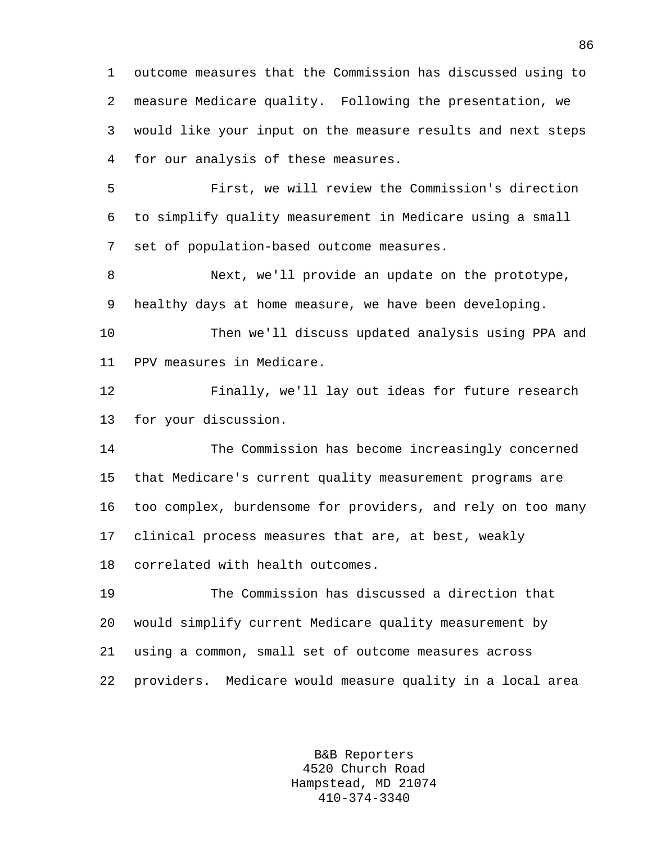1 outcome measures that the Commission has discussed using to 2 measure Medicare quality. Following the presentation, we 3 would like your input on the measure results and next steps 4 for our analysis of these measures.

5 First, we will review the Commission's direction 6 to simplify quality measurement in Medicare using a small 7 set of population-based outcome measures.

8 Next, we'll provide an update on the prototype, 9 healthy days at home measure, we have been developing.

10 Then we'll discuss updated analysis using PPA and 11 PPV measures in Medicare.

12 Finally, we'll lay out ideas for future research 13 for your discussion.

14 The Commission has become increasingly concerned 15 that Medicare's current quality measurement programs are 16 too complex, burdensome for providers, and rely on too many 17 clinical process measures that are, at best, weakly 18 correlated with health outcomes.

19 The Commission has discussed a direction that 20 would simplify current Medicare quality measurement by 21 using a common, small set of outcome measures across 22 providers. Medicare would measure quality in a local area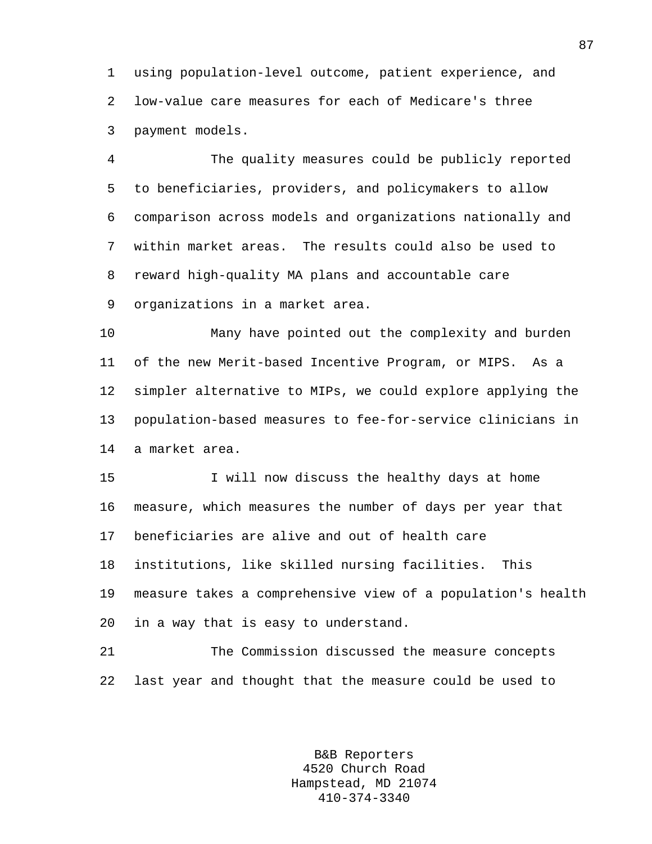1 using population-level outcome, patient experience, and 2 low-value care measures for each of Medicare's three 3 payment models.

4 The quality measures could be publicly reported 5 to beneficiaries, providers, and policymakers to allow 6 comparison across models and organizations nationally and 7 within market areas. The results could also be used to 8 reward high-quality MA plans and accountable care 9 organizations in a market area.

10 Many have pointed out the complexity and burden 11 of the new Merit-based Incentive Program, or MIPS. As a 12 simpler alternative to MIPs, we could explore applying the 13 population-based measures to fee-for-service clinicians in 14 a market area.

15 I will now discuss the healthy days at home 16 measure, which measures the number of days per year that 17 beneficiaries are alive and out of health care 18 institutions, like skilled nursing facilities. This 19 measure takes a comprehensive view of a population's health 20 in a way that is easy to understand.

21 The Commission discussed the measure concepts 22 last year and thought that the measure could be used to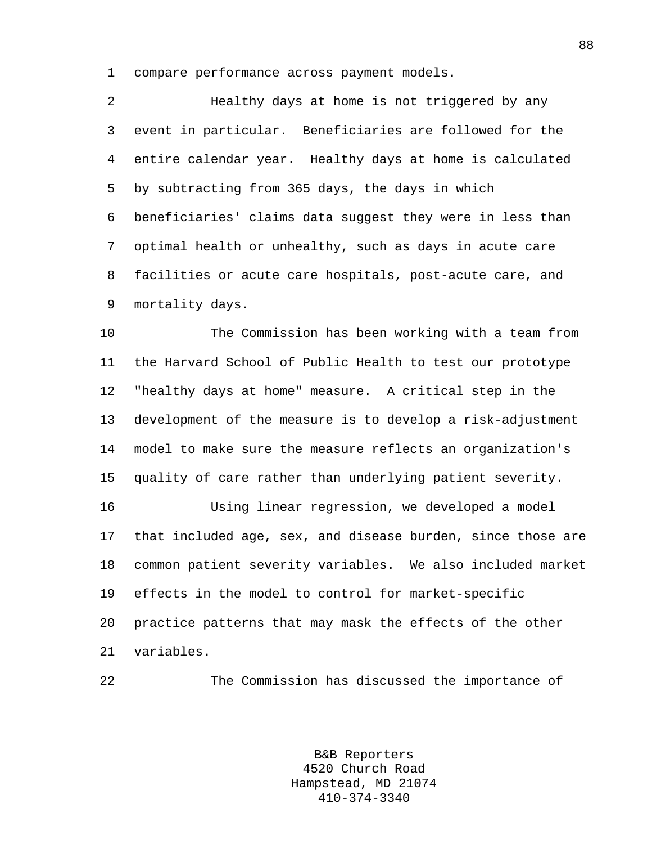1 compare performance across payment models.

2 Healthy days at home is not triggered by any 3 event in particular. Beneficiaries are followed for the 4 entire calendar year. Healthy days at home is calculated 5 by subtracting from 365 days, the days in which 6 beneficiaries' claims data suggest they were in less than 7 optimal health or unhealthy, such as days in acute care 8 facilities or acute care hospitals, post-acute care, and 9 mortality days.

10 The Commission has been working with a team from 11 the Harvard School of Public Health to test our prototype 12 "healthy days at home" measure. A critical step in the 13 development of the measure is to develop a risk-adjustment 14 model to make sure the measure reflects an organization's 15 quality of care rather than underlying patient severity.

16 Using linear regression, we developed a model 17 that included age, sex, and disease burden, since those are 18 common patient severity variables. We also included market 19 effects in the model to control for market-specific 20 practice patterns that may mask the effects of the other 21 variables.

22 The Commission has discussed the importance of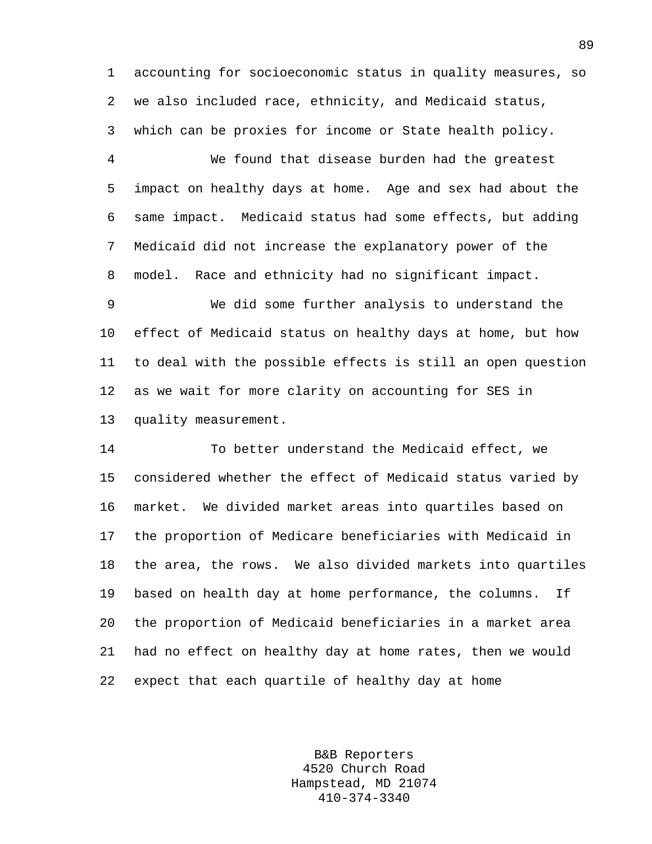1 accounting for socioeconomic status in quality measures, so 2 we also included race, ethnicity, and Medicaid status, 3 which can be proxies for income or State health policy.

4 We found that disease burden had the greatest 5 impact on healthy days at home. Age and sex had about the 6 same impact. Medicaid status had some effects, but adding 7 Medicaid did not increase the explanatory power of the 8 model. Race and ethnicity had no significant impact.

9 We did some further analysis to understand the 10 effect of Medicaid status on healthy days at home, but how 11 to deal with the possible effects is still an open question 12 as we wait for more clarity on accounting for SES in 13 quality measurement.

14 To better understand the Medicaid effect, we 15 considered whether the effect of Medicaid status varied by 16 market. We divided market areas into quartiles based on 17 the proportion of Medicare beneficiaries with Medicaid in 18 the area, the rows. We also divided markets into quartiles 19 based on health day at home performance, the columns. If 20 the proportion of Medicaid beneficiaries in a market area 21 had no effect on healthy day at home rates, then we would 22 expect that each quartile of healthy day at home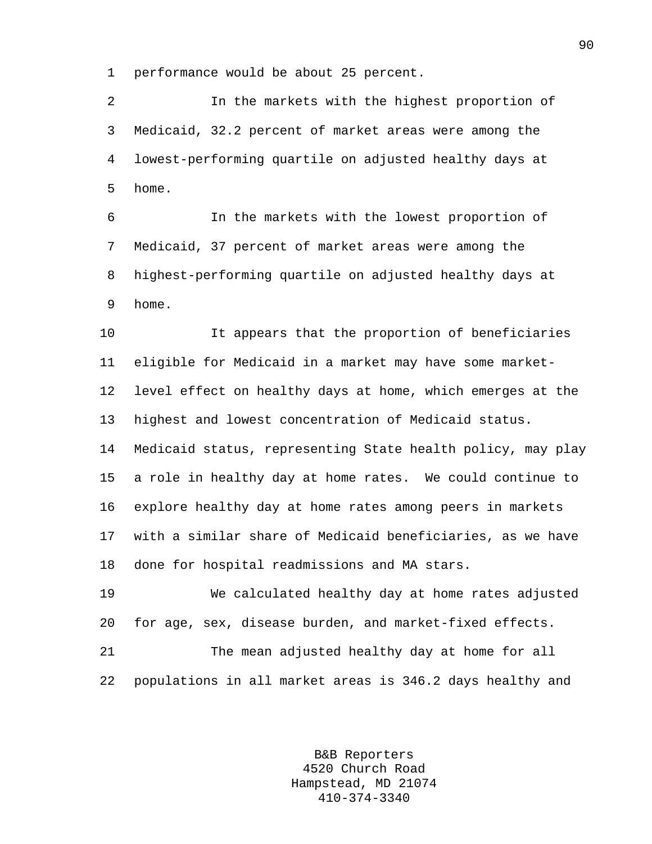1 performance would be about 25 percent.

2 In the markets with the highest proportion of 3 Medicaid, 32.2 percent of market areas were among the 4 lowest-performing quartile on adjusted healthy days at 5 home.

6 In the markets with the lowest proportion of 7 Medicaid, 37 percent of market areas were among the 8 highest-performing quartile on adjusted healthy days at 9 home.

10 It appears that the proportion of beneficiaries 11 eligible for Medicaid in a market may have some market-12 level effect on healthy days at home, which emerges at the 13 highest and lowest concentration of Medicaid status. 14 Medicaid status, representing State health policy, may play 15 a role in healthy day at home rates. We could continue to 16 explore healthy day at home rates among peers in markets 17 with a similar share of Medicaid beneficiaries, as we have 18 done for hospital readmissions and MA stars.

19 We calculated healthy day at home rates adjusted 20 for age, sex, disease burden, and market-fixed effects.

21 The mean adjusted healthy day at home for all 22 populations in all market areas is 346.2 days healthy and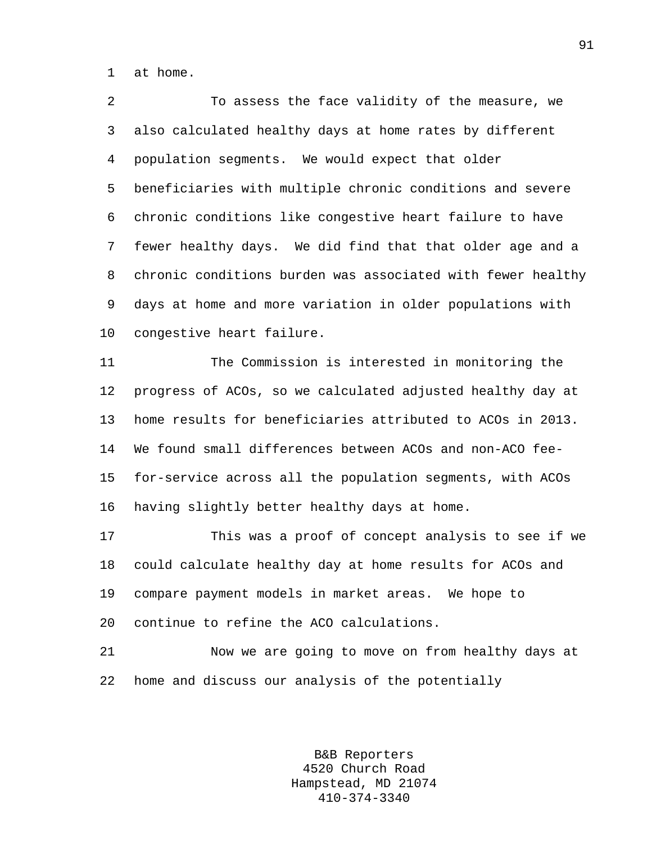1 at home.

2 To assess the face validity of the measure, we 3 also calculated healthy days at home rates by different 4 population segments. We would expect that older 5 beneficiaries with multiple chronic conditions and severe 6 chronic conditions like congestive heart failure to have 7 fewer healthy days. We did find that that older age and a 8 chronic conditions burden was associated with fewer healthy 9 days at home and more variation in older populations with 10 congestive heart failure.

11 The Commission is interested in monitoring the 12 progress of ACOs, so we calculated adjusted healthy day at 13 home results for beneficiaries attributed to ACOs in 2013. 14 We found small differences between ACOs and non-ACO fee-15 for-service across all the population segments, with ACOs 16 having slightly better healthy days at home.

17 This was a proof of concept analysis to see if we 18 could calculate healthy day at home results for ACOs and 19 compare payment models in market areas. We hope to 20 continue to refine the ACO calculations.

21 Now we are going to move on from healthy days at 22 home and discuss our analysis of the potentially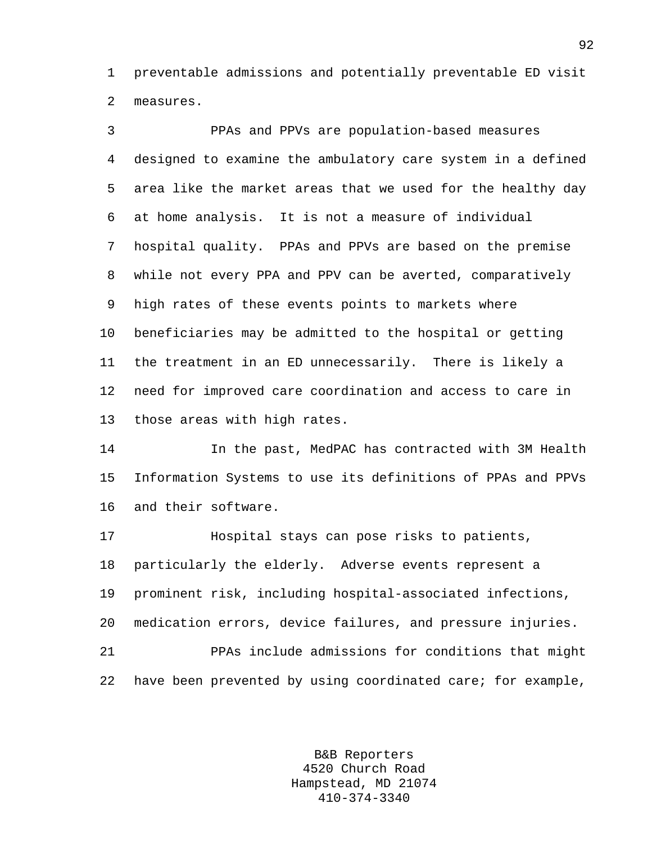1 preventable admissions and potentially preventable ED visit 2 measures.

3 PPAs and PPVs are population-based measures 4 designed to examine the ambulatory care system in a defined 5 area like the market areas that we used for the healthy day 6 at home analysis. It is not a measure of individual 7 hospital quality. PPAs and PPVs are based on the premise 8 while not every PPA and PPV can be averted, comparatively 9 high rates of these events points to markets where 10 beneficiaries may be admitted to the hospital or getting 11 the treatment in an ED unnecessarily. There is likely a 12 need for improved care coordination and access to care in 13 those areas with high rates.

14 In the past, MedPAC has contracted with 3M Health 15 Information Systems to use its definitions of PPAs and PPVs 16 and their software.

17 Hospital stays can pose risks to patients, 18 particularly the elderly. Adverse events represent a 19 prominent risk, including hospital-associated infections, 20 medication errors, device failures, and pressure injuries. 21 PPAs include admissions for conditions that might 22 have been prevented by using coordinated care; for example,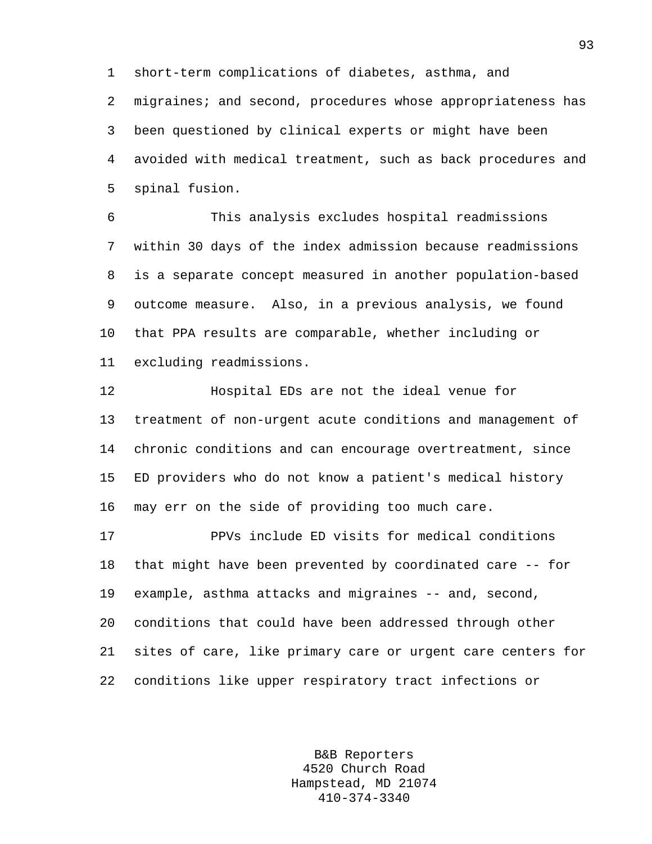1 short-term complications of diabetes, asthma, and

2 migraines; and second, procedures whose appropriateness has 3 been questioned by clinical experts or might have been 4 avoided with medical treatment, such as back procedures and 5 spinal fusion.

6 This analysis excludes hospital readmissions 7 within 30 days of the index admission because readmissions 8 is a separate concept measured in another population-based 9 outcome measure. Also, in a previous analysis, we found 10 that PPA results are comparable, whether including or 11 excluding readmissions.

12 Hospital EDs are not the ideal venue for 13 treatment of non-urgent acute conditions and management of 14 chronic conditions and can encourage overtreatment, since 15 ED providers who do not know a patient's medical history 16 may err on the side of providing too much care.

17 PPVs include ED visits for medical conditions 18 that might have been prevented by coordinated care -- for 19 example, asthma attacks and migraines -- and, second, 20 conditions that could have been addressed through other 21 sites of care, like primary care or urgent care centers for 22 conditions like upper respiratory tract infections or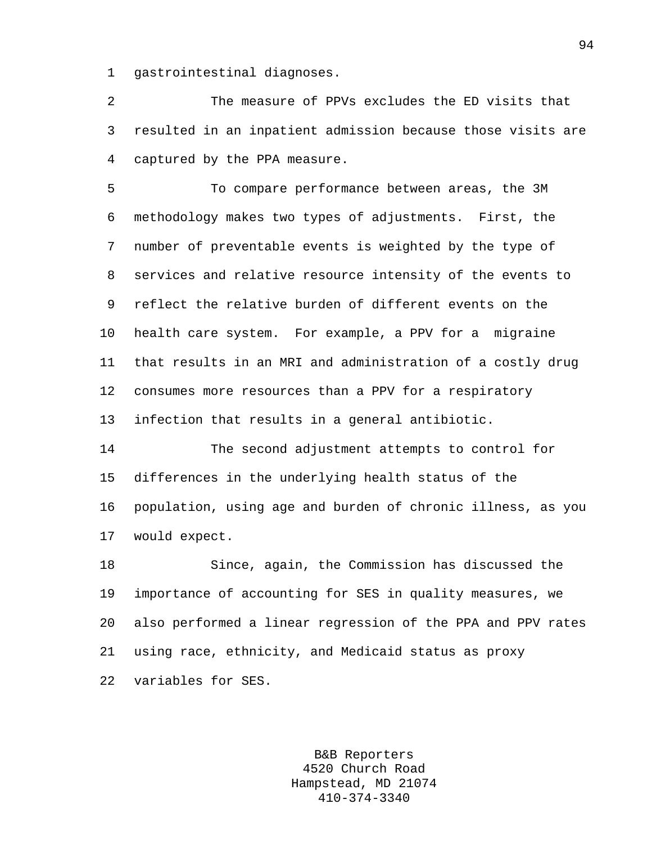1 gastrointestinal diagnoses.

2 The measure of PPVs excludes the ED visits that 3 resulted in an inpatient admission because those visits are 4 captured by the PPA measure.

5 To compare performance between areas, the 3M 6 methodology makes two types of adjustments. First, the 7 number of preventable events is weighted by the type of 8 services and relative resource intensity of the events to 9 reflect the relative burden of different events on the 10 health care system. For example, a PPV for a migraine 11 that results in an MRI and administration of a costly drug 12 consumes more resources than a PPV for a respiratory 13 infection that results in a general antibiotic.

14 The second adjustment attempts to control for 15 differences in the underlying health status of the 16 population, using age and burden of chronic illness, as you 17 would expect.

18 Since, again, the Commission has discussed the 19 importance of accounting for SES in quality measures, we 20 also performed a linear regression of the PPA and PPV rates 21 using race, ethnicity, and Medicaid status as proxy 22 variables for SES.

> B&B Reporters 4520 Church Road Hampstead, MD 21074 410-374-3340

94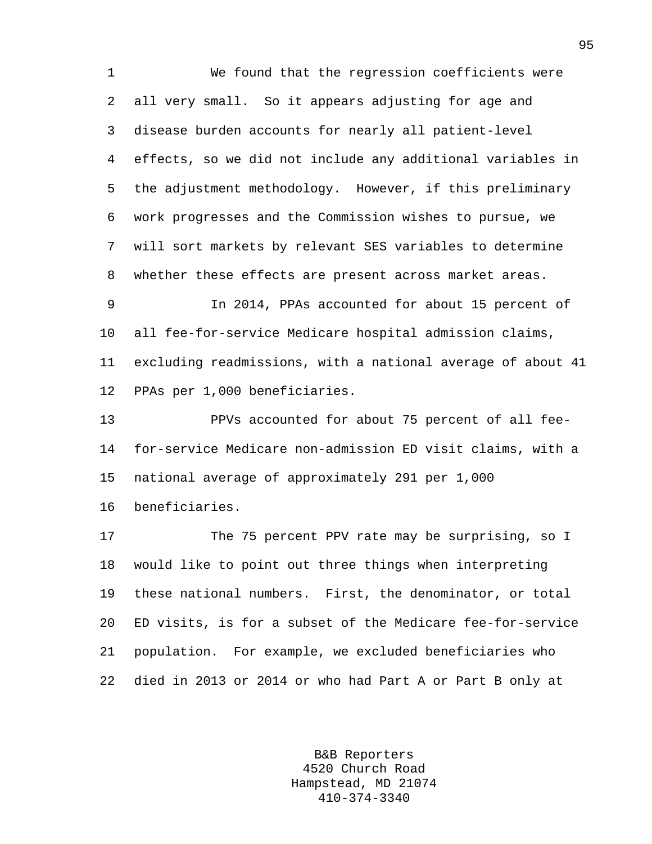1 We found that the regression coefficients were 2 all very small. So it appears adjusting for age and 3 disease burden accounts for nearly all patient-level 4 effects, so we did not include any additional variables in 5 the adjustment methodology. However, if this preliminary 6 work progresses and the Commission wishes to pursue, we 7 will sort markets by relevant SES variables to determine 8 whether these effects are present across market areas.

9 In 2014, PPAs accounted for about 15 percent of 10 all fee-for-service Medicare hospital admission claims, 11 excluding readmissions, with a national average of about 41 12 PPAs per 1,000 beneficiaries.

13 PPVs accounted for about 75 percent of all fee-14 for-service Medicare non-admission ED visit claims, with a 15 national average of approximately 291 per 1,000

16 beneficiaries.

17 The 75 percent PPV rate may be surprising, so I 18 would like to point out three things when interpreting 19 these national numbers. First, the denominator, or total 20 ED visits, is for a subset of the Medicare fee-for-service 21 population. For example, we excluded beneficiaries who 22 died in 2013 or 2014 or who had Part A or Part B only at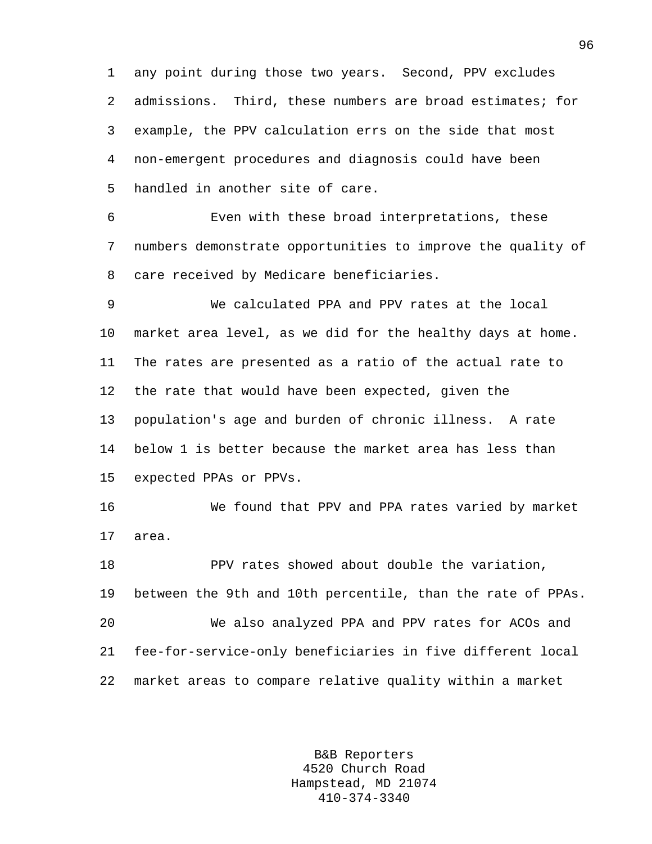1 any point during those two years. Second, PPV excludes 2 admissions. Third, these numbers are broad estimates; for 3 example, the PPV calculation errs on the side that most 4 non-emergent procedures and diagnosis could have been 5 handled in another site of care.

6 Even with these broad interpretations, these 7 numbers demonstrate opportunities to improve the quality of 8 care received by Medicare beneficiaries.

9 We calculated PPA and PPV rates at the local 10 market area level, as we did for the healthy days at home. 11 The rates are presented as a ratio of the actual rate to 12 the rate that would have been expected, given the 13 population's age and burden of chronic illness. A rate 14 below 1 is better because the market area has less than 15 expected PPAs or PPVs.

16 We found that PPV and PPA rates varied by market 17 area.

18 PPV rates showed about double the variation, 19 between the 9th and 10th percentile, than the rate of PPAs. 20 We also analyzed PPA and PPV rates for ACOs and 21 fee-for-service-only beneficiaries in five different local 22 market areas to compare relative quality within a market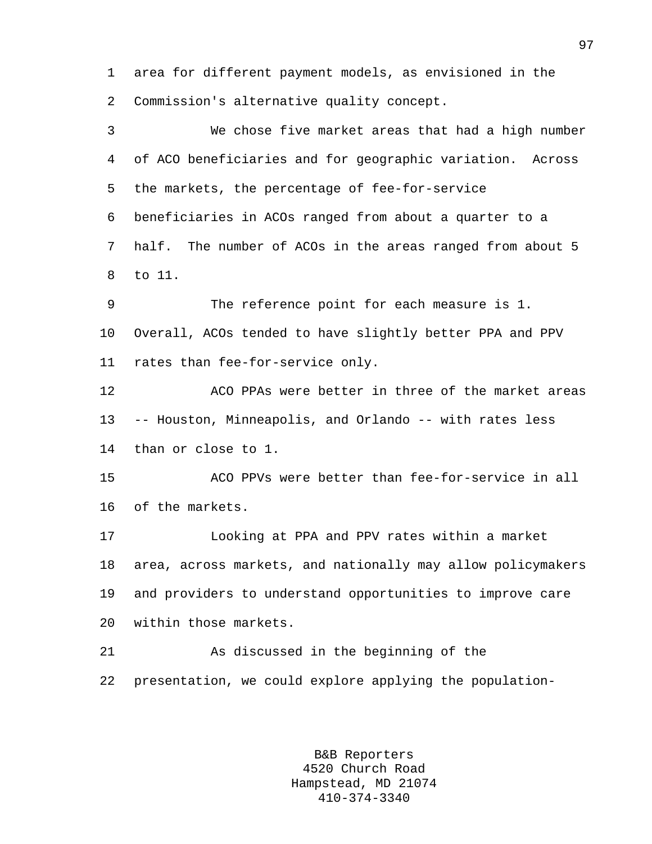1 area for different payment models, as envisioned in the 2 Commission's alternative quality concept.

3 We chose five market areas that had a high number 4 of ACO beneficiaries and for geographic variation. Across 5 the markets, the percentage of fee-for-service 6 beneficiaries in ACOs ranged from about a quarter to a 7 half. The number of ACOs in the areas ranged from about 5 8 to 11. 9 The reference point for each measure is 1.

10 Overall, ACOs tended to have slightly better PPA and PPV 11 rates than fee-for-service only.

12 ACO PPAs were better in three of the market areas 13 -- Houston, Minneapolis, and Orlando -- with rates less 14 than or close to 1.

15 ACO PPVs were better than fee-for-service in all 16 of the markets.

17 Looking at PPA and PPV rates within a market 18 area, across markets, and nationally may allow policymakers 19 and providers to understand opportunities to improve care 20 within those markets.

21 As discussed in the beginning of the 22 presentation, we could explore applying the population-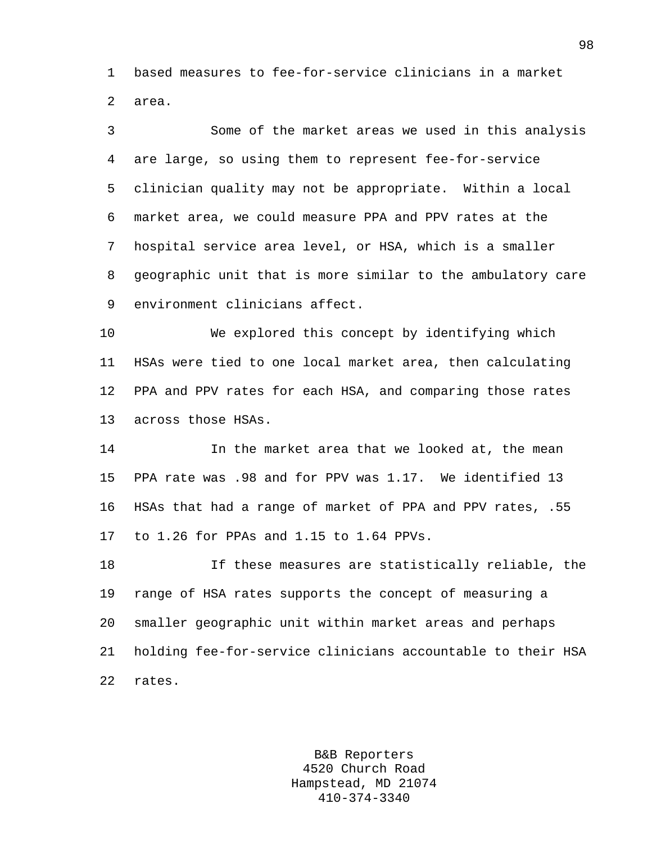1 based measures to fee-for-service clinicians in a market 2 area.

3 Some of the market areas we used in this analysis 4 are large, so using them to represent fee-for-service 5 clinician quality may not be appropriate. Within a local 6 market area, we could measure PPA and PPV rates at the 7 hospital service area level, or HSA, which is a smaller 8 geographic unit that is more similar to the ambulatory care 9 environment clinicians affect.

10 We explored this concept by identifying which 11 HSAs were tied to one local market area, then calculating 12 PPA and PPV rates for each HSA, and comparing those rates 13 across those HSAs.

14 In the market area that we looked at, the mean 15 PPA rate was .98 and for PPV was 1.17. We identified 13 16 HSAs that had a range of market of PPA and PPV rates, .55 17 to 1.26 for PPAs and 1.15 to 1.64 PPVs.

18 If these measures are statistically reliable, the 19 range of HSA rates supports the concept of measuring a 20 smaller geographic unit within market areas and perhaps 21 holding fee-for-service clinicians accountable to their HSA 22 rates.

> B&B Reporters 4520 Church Road Hampstead, MD 21074 410-374-3340

98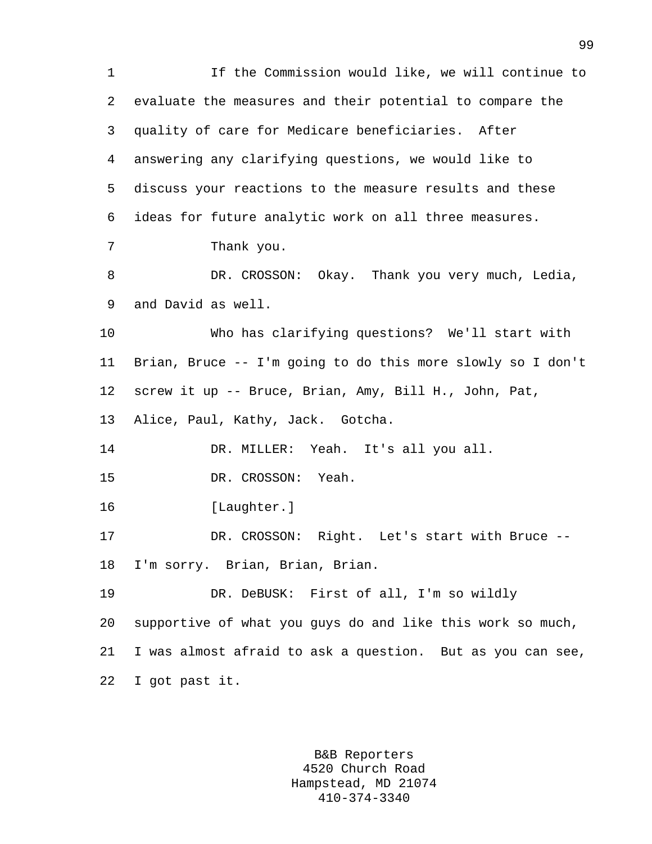1 If the Commission would like, we will continue to 2 evaluate the measures and their potential to compare the 3 quality of care for Medicare beneficiaries. After 4 answering any clarifying questions, we would like to 5 discuss your reactions to the measure results and these 6 ideas for future analytic work on all three measures. 7 Thank you. 8 DR. CROSSON: Okay. Thank you very much, Ledia, 9 and David as well. 10 Who has clarifying questions? We'll start with 11 Brian, Bruce -- I'm going to do this more slowly so I don't 12 screw it up -- Bruce, Brian, Amy, Bill H., John, Pat, 13 Alice, Paul, Kathy, Jack. Gotcha. 14 DR. MILLER: Yeah. It's all you all. 15 DR. CROSSON: Yeah. 16 [Laughter.] 17 DR. CROSSON: Right. Let's start with Bruce -- 18 I'm sorry. Brian, Brian, Brian. 19 DR. DeBUSK: First of all, I'm so wildly 20 supportive of what you guys do and like this work so much, 21 I was almost afraid to ask a question. But as you can see, 22 I got past it.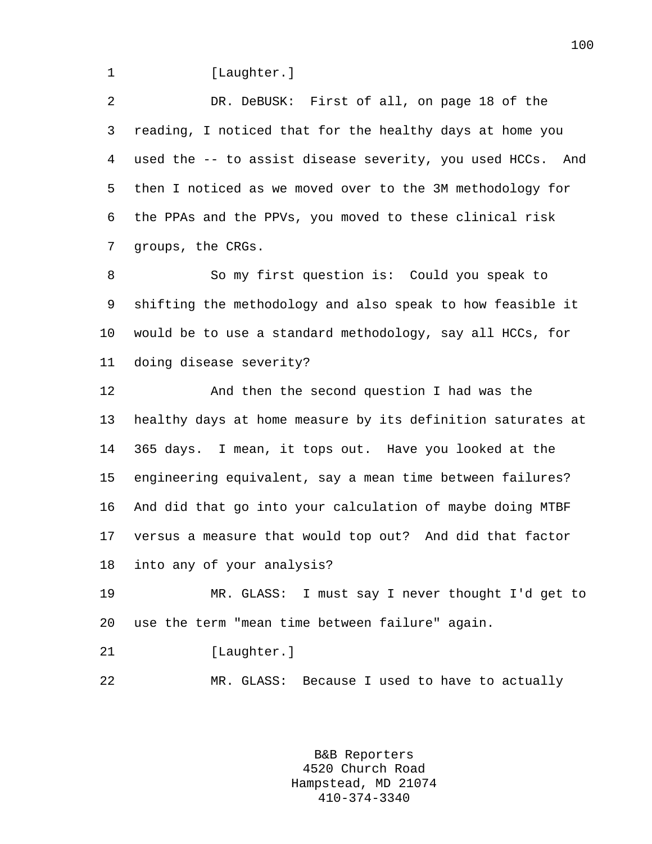1 [Laughter.]

2 DR. DeBUSK: First of all, on page 18 of the 3 reading, I noticed that for the healthy days at home you 4 used the -- to assist disease severity, you used HCCs. And 5 then I noticed as we moved over to the 3M methodology for 6 the PPAs and the PPVs, you moved to these clinical risk 7 groups, the CRGs.

8 So my first question is: Could you speak to 9 shifting the methodology and also speak to how feasible it 10 would be to use a standard methodology, say all HCCs, for 11 doing disease severity?

12 And then the second question I had was the 13 healthy days at home measure by its definition saturates at 14 365 days. I mean, it tops out. Have you looked at the 15 engineering equivalent, say a mean time between failures? 16 And did that go into your calculation of maybe doing MTBF 17 versus a measure that would top out? And did that factor 18 into any of your analysis?

19 MR. GLASS: I must say I never thought I'd get to 20 use the term "mean time between failure" again.

- 21 [Laughter.]
- 22 MR. GLASS: Because I used to have to actually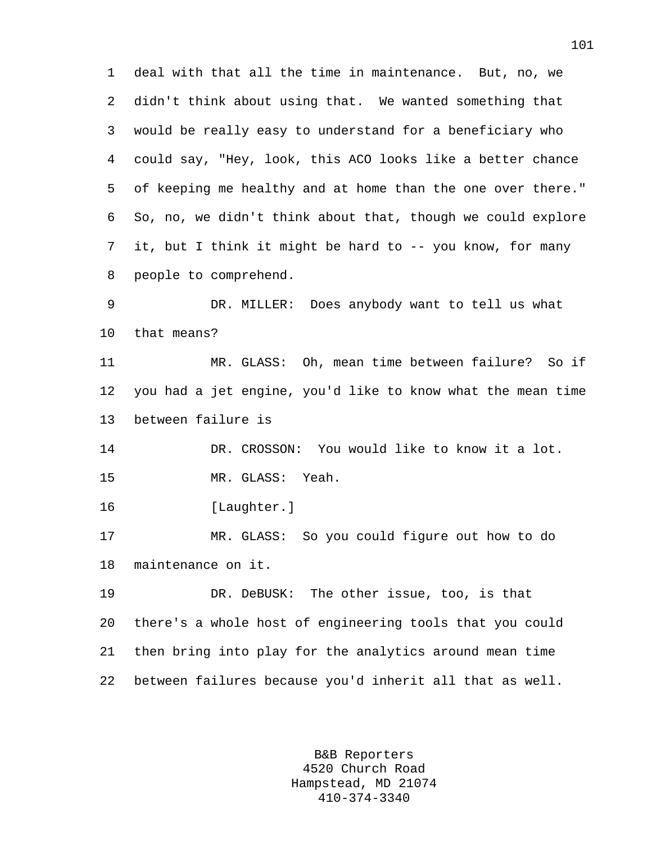1 deal with that all the time in maintenance. But, no, we 2 didn't think about using that. We wanted something that 3 would be really easy to understand for a beneficiary who 4 could say, "Hey, look, this ACO looks like a better chance 5 of keeping me healthy and at home than the one over there." 6 So, no, we didn't think about that, though we could explore 7 it, but I think it might be hard to -- you know, for many 8 people to comprehend.

9 DR. MILLER: Does anybody want to tell us what 10 that means?

11 MR. GLASS: Oh, mean time between failure? So if 12 you had a jet engine, you'd like to know what the mean time 13 between failure is

14 DR. CROSSON: You would like to know it a lot. 15 MR. GLASS: Yeah.

16 [Laughter.]

17 MR. GLASS: So you could figure out how to do 18 maintenance on it.

19 DR. DeBUSK: The other issue, too, is that 20 there's a whole host of engineering tools that you could 21 then bring into play for the analytics around mean time 22 between failures because you'd inherit all that as well.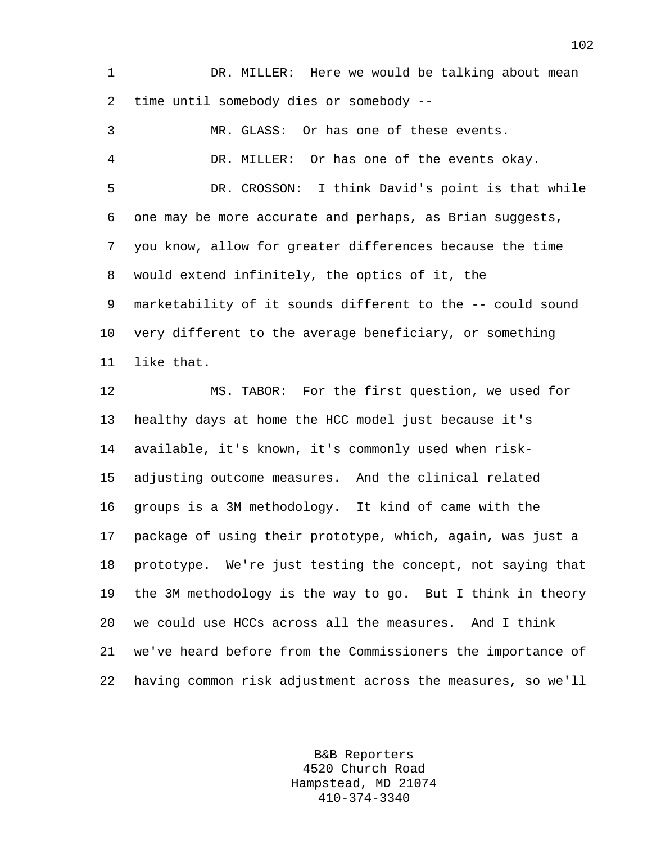1 DR. MILLER: Here we would be talking about mean 2 time until somebody dies or somebody --

3 MR. GLASS: Or has one of these events. 4 DR. MILLER: Or has one of the events okay. 5 DR. CROSSON: I think David's point is that while 6 one may be more accurate and perhaps, as Brian suggests, 7 you know, allow for greater differences because the time 8 would extend infinitely, the optics of it, the 9 marketability of it sounds different to the -- could sound 10 very different to the average beneficiary, or something 11 like that.

12 MS. TABOR: For the first question, we used for 13 healthy days at home the HCC model just because it's 14 available, it's known, it's commonly used when risk-15 adjusting outcome measures. And the clinical related 16 groups is a 3M methodology. It kind of came with the 17 package of using their prototype, which, again, was just a 18 prototype. We're just testing the concept, not saying that 19 the 3M methodology is the way to go. But I think in theory 20 we could use HCCs across all the measures. And I think 21 we've heard before from the Commissioners the importance of 22 having common risk adjustment across the measures, so we'll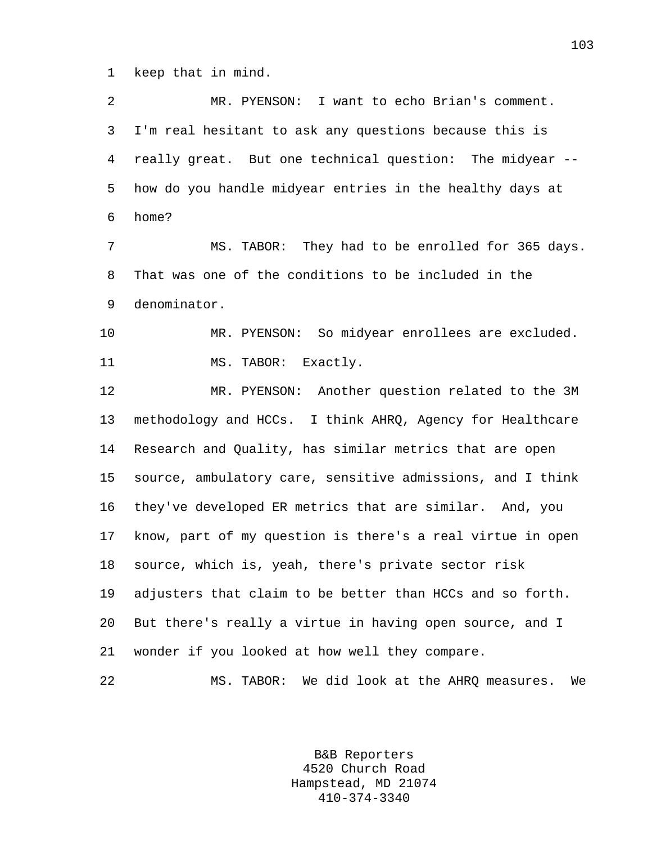1 keep that in mind.

2 MR. PYENSON: I want to echo Brian's comment. 3 I'm real hesitant to ask any questions because this is 4 really great. But one technical question: The midyear -- 5 how do you handle midyear entries in the healthy days at 6 home? 7 MS. TABOR: They had to be enrolled for 365 days. 8 That was one of the conditions to be included in the 9 denominator. 10 MR. PYENSON: So midyear enrollees are excluded. 11 MS. TABOR: Exactly. 12 MR. PYENSON: Another question related to the 3M 13 methodology and HCCs. I think AHRQ, Agency for Healthcare 14 Research and Quality, has similar metrics that are open 15 source, ambulatory care, sensitive admissions, and I think 16 they've developed ER metrics that are similar. And, you 17 know, part of my question is there's a real virtue in open 18 source, which is, yeah, there's private sector risk 19 adjusters that claim to be better than HCCs and so forth. 20 But there's really a virtue in having open source, and I 21 wonder if you looked at how well they compare. 22 MS. TABOR: We did look at the AHRQ measures. We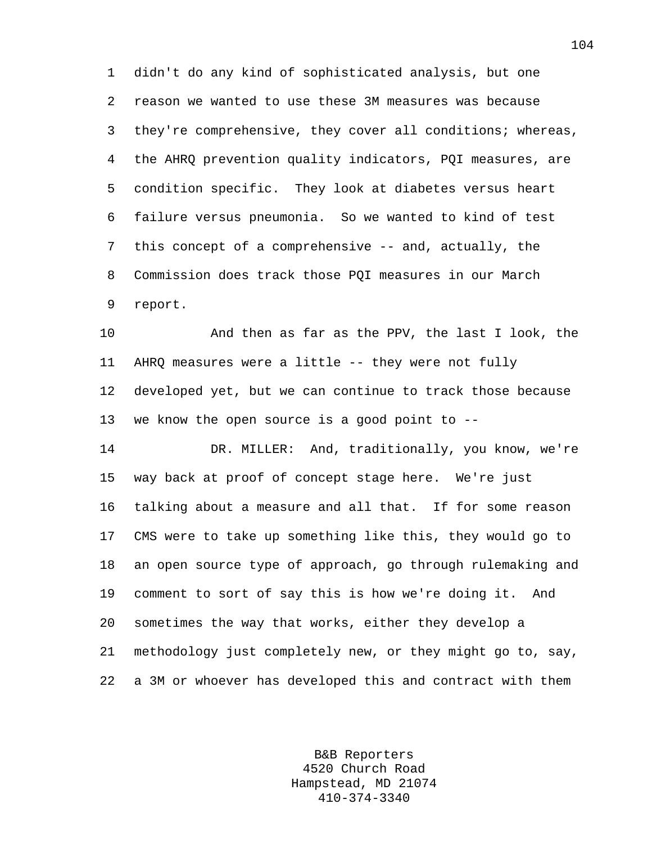1 didn't do any kind of sophisticated analysis, but one 2 reason we wanted to use these 3M measures was because 3 they're comprehensive, they cover all conditions; whereas, 4 the AHRQ prevention quality indicators, PQI measures, are 5 condition specific. They look at diabetes versus heart 6 failure versus pneumonia. So we wanted to kind of test 7 this concept of a comprehensive -- and, actually, the 8 Commission does track those PQI measures in our March 9 report.

10 And then as far as the PPV, the last I look, the 11 AHRQ measures were a little -- they were not fully 12 developed yet, but we can continue to track those because 13 we know the open source is a good point to --

14 DR. MILLER: And, traditionally, you know, we're 15 way back at proof of concept stage here. We're just 16 talking about a measure and all that. If for some reason 17 CMS were to take up something like this, they would go to 18 an open source type of approach, go through rulemaking and 19 comment to sort of say this is how we're doing it. And 20 sometimes the way that works, either they develop a 21 methodology just completely new, or they might go to, say, 22 a 3M or whoever has developed this and contract with them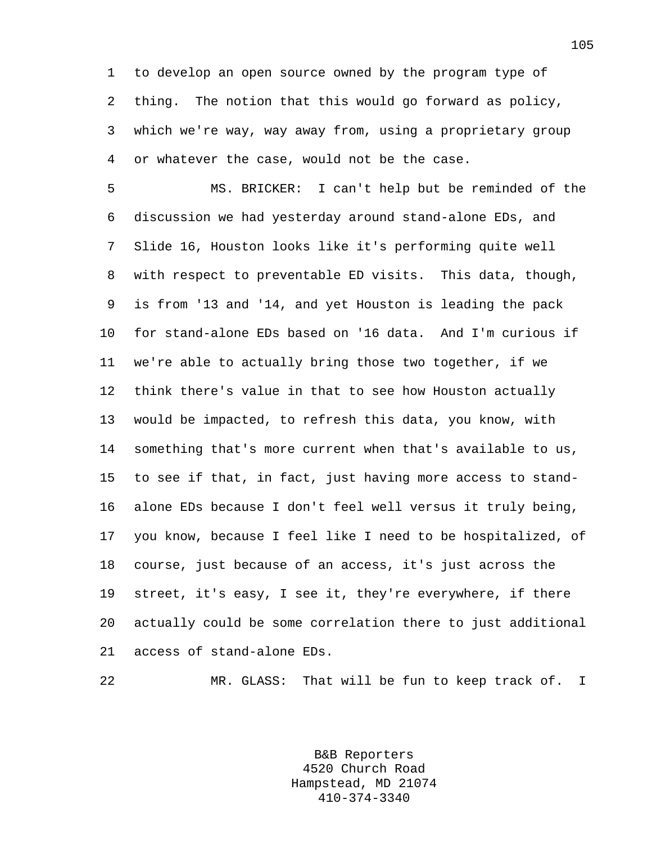1 to develop an open source owned by the program type of 2 thing. The notion that this would go forward as policy, 3 which we're way, way away from, using a proprietary group 4 or whatever the case, would not be the case.

5 MS. BRICKER: I can't help but be reminded of the 6 discussion we had yesterday around stand-alone EDs, and 7 Slide 16, Houston looks like it's performing quite well 8 with respect to preventable ED visits. This data, though, 9 is from '13 and '14, and yet Houston is leading the pack 10 for stand-alone EDs based on '16 data. And I'm curious if 11 we're able to actually bring those two together, if we 12 think there's value in that to see how Houston actually 13 would be impacted, to refresh this data, you know, with 14 something that's more current when that's available to us, 15 to see if that, in fact, just having more access to stand-16 alone EDs because I don't feel well versus it truly being, 17 you know, because I feel like I need to be hospitalized, of 18 course, just because of an access, it's just across the 19 street, it's easy, I see it, they're everywhere, if there 20 actually could be some correlation there to just additional 21 access of stand-alone EDs.

22 MR. GLASS: That will be fun to keep track of. I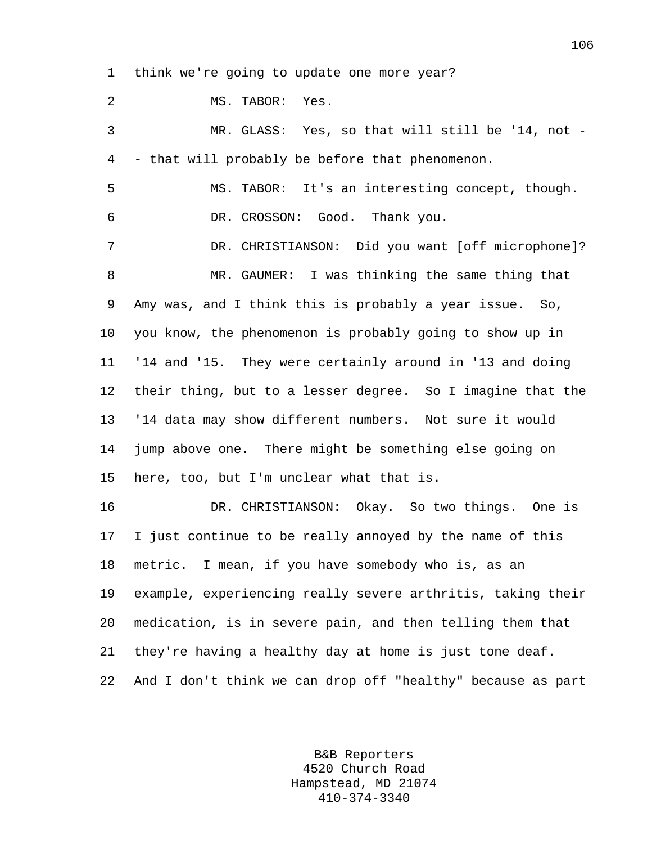1 think we're going to update one more year?

2 MS. TABOR: Yes. 3 MR. GLASS: Yes, so that will still be '14, not - 4 - that will probably be before that phenomenon. 5 MS. TABOR: It's an interesting concept, though. 6 DR. CROSSON: Good. Thank you. 7 DR. CHRISTIANSON: Did you want [off microphone]? 8 MR. GAUMER: I was thinking the same thing that 9 Amy was, and I think this is probably a year issue. So, 10 you know, the phenomenon is probably going to show up in 11 '14 and '15. They were certainly around in '13 and doing 12 their thing, but to a lesser degree. So I imagine that the 13 '14 data may show different numbers. Not sure it would 14 jump above one. There might be something else going on 15 here, too, but I'm unclear what that is. 16 DR. CHRISTIANSON: Okay. So two things. One is 17 I just continue to be really annoyed by the name of this 18 metric. I mean, if you have somebody who is, as an 19 example, experiencing really severe arthritis, taking their 20 medication, is in severe pain, and then telling them that 21 they're having a healthy day at home is just tone deaf.

22 And I don't think we can drop off "healthy" because as part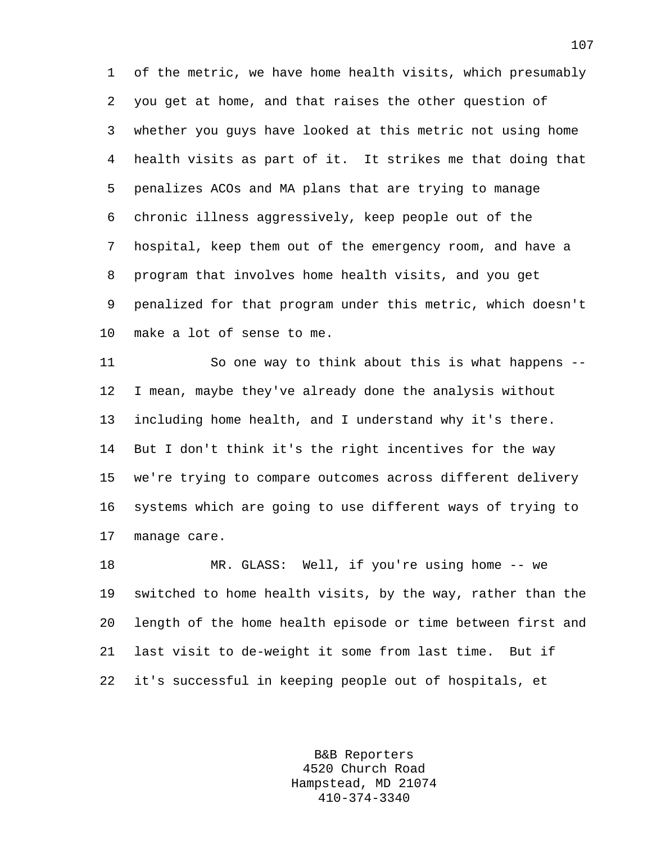1 of the metric, we have home health visits, which presumably 2 you get at home, and that raises the other question of 3 whether you guys have looked at this metric not using home 4 health visits as part of it. It strikes me that doing that 5 penalizes ACOs and MA plans that are trying to manage 6 chronic illness aggressively, keep people out of the 7 hospital, keep them out of the emergency room, and have a 8 program that involves home health visits, and you get 9 penalized for that program under this metric, which doesn't 10 make a lot of sense to me.

11 So one way to think about this is what happens -- 12 I mean, maybe they've already done the analysis without 13 including home health, and I understand why it's there. 14 But I don't think it's the right incentives for the way 15 we're trying to compare outcomes across different delivery 16 systems which are going to use different ways of trying to 17 manage care.

18 MR. GLASS: Well, if you're using home -- we 19 switched to home health visits, by the way, rather than the 20 length of the home health episode or time between first and 21 last visit to de-weight it some from last time. But if 22 it's successful in keeping people out of hospitals, et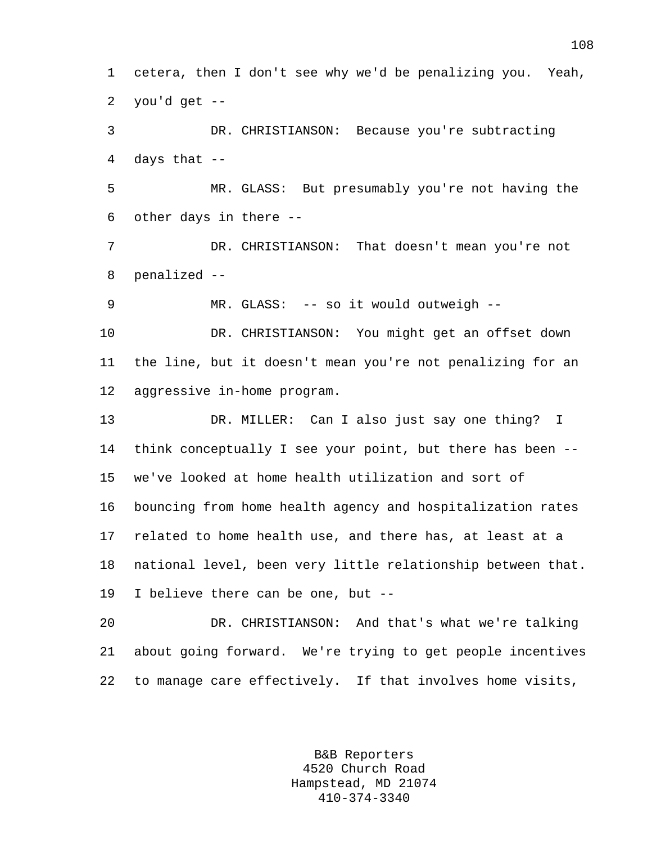1 cetera, then I don't see why we'd be penalizing you. Yeah, 2 you'd get --

3 DR. CHRISTIANSON: Because you're subtracting 4 days that --

5 MR. GLASS: But presumably you're not having the 6 other days in there --

7 DR. CHRISTIANSON: That doesn't mean you're not 8 penalized --

9 MR. GLASS: -- so it would outweigh --

10 DR. CHRISTIANSON: You might get an offset down 11 the line, but it doesn't mean you're not penalizing for an 12 aggressive in-home program.

13 DR. MILLER: Can I also just say one thing? I 14 think conceptually I see your point, but there has been -- 15 we've looked at home health utilization and sort of 16 bouncing from home health agency and hospitalization rates 17 related to home health use, and there has, at least at a 18 national level, been very little relationship between that. 19 I believe there can be one, but --

20 DR. CHRISTIANSON: And that's what we're talking 21 about going forward. We're trying to get people incentives 22 to manage care effectively. If that involves home visits,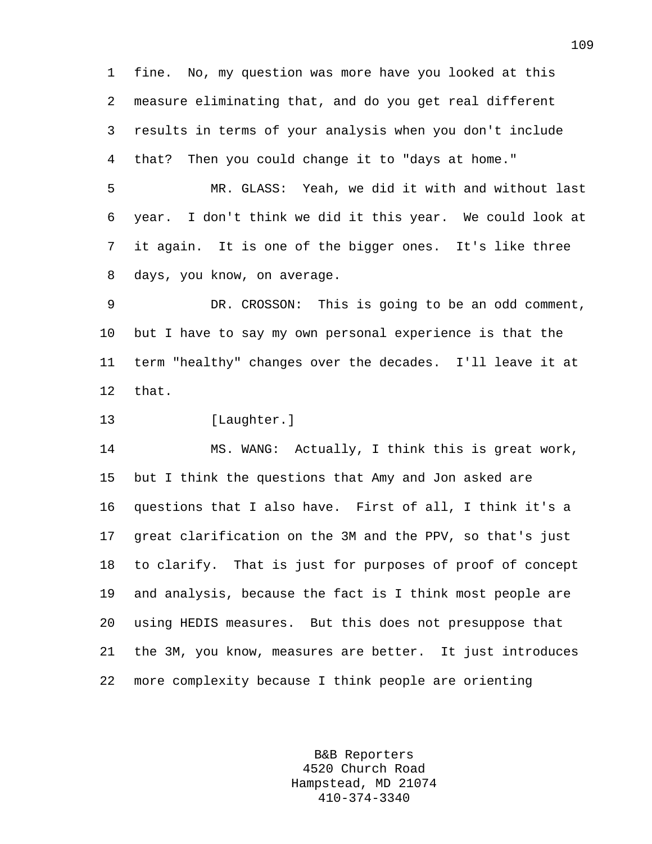1 fine. No, my question was more have you looked at this 2 measure eliminating that, and do you get real different 3 results in terms of your analysis when you don't include 4 that? Then you could change it to "days at home."

5 MR. GLASS: Yeah, we did it with and without last 6 year. I don't think we did it this year. We could look at 7 it again. It is one of the bigger ones. It's like three 8 days, you know, on average.

9 DR. CROSSON: This is going to be an odd comment, 10 but I have to say my own personal experience is that the 11 term "healthy" changes over the decades. I'll leave it at 12 that.

13 [Laughter.]

14 MS. WANG: Actually, I think this is great work, 15 but I think the questions that Amy and Jon asked are 16 questions that I also have. First of all, I think it's a 17 great clarification on the 3M and the PPV, so that's just 18 to clarify. That is just for purposes of proof of concept 19 and analysis, because the fact is I think most people are 20 using HEDIS measures. But this does not presuppose that 21 the 3M, you know, measures are better. It just introduces 22 more complexity because I think people are orienting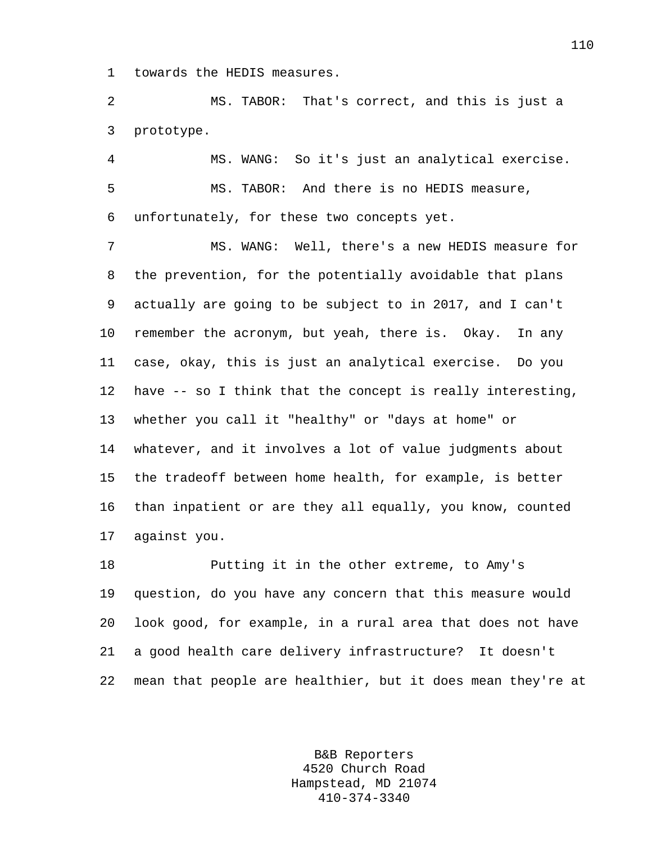1 towards the HEDIS measures.

2 MS. TABOR: That's correct, and this is just a 3 prototype.

4 MS. WANG: So it's just an analytical exercise. 5 MS. TABOR: And there is no HEDIS measure, 6 unfortunately, for these two concepts yet.

7 MS. WANG: Well, there's a new HEDIS measure for 8 the prevention, for the potentially avoidable that plans 9 actually are going to be subject to in 2017, and I can't 10 remember the acronym, but yeah, there is. Okay. In any 11 case, okay, this is just an analytical exercise. Do you 12 have -- so I think that the concept is really interesting, 13 whether you call it "healthy" or "days at home" or 14 whatever, and it involves a lot of value judgments about 15 the tradeoff between home health, for example, is better 16 than inpatient or are they all equally, you know, counted 17 against you.

18 Putting it in the other extreme, to Amy's 19 question, do you have any concern that this measure would 20 look good, for example, in a rural area that does not have 21 a good health care delivery infrastructure? It doesn't 22 mean that people are healthier, but it does mean they're at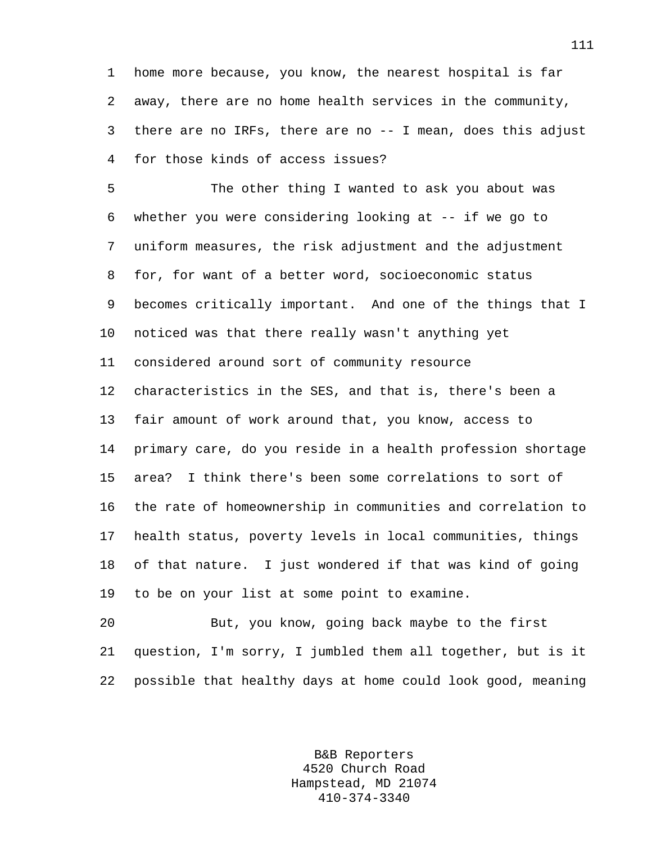1 home more because, you know, the nearest hospital is far 2 away, there are no home health services in the community, 3 there are no IRFs, there are no -- I mean, does this adjust 4 for those kinds of access issues?

5 The other thing I wanted to ask you about was 6 whether you were considering looking at -- if we go to 7 uniform measures, the risk adjustment and the adjustment 8 for, for want of a better word, socioeconomic status 9 becomes critically important. And one of the things that I 10 noticed was that there really wasn't anything yet 11 considered around sort of community resource 12 characteristics in the SES, and that is, there's been a 13 fair amount of work around that, you know, access to 14 primary care, do you reside in a health profession shortage 15 area? I think there's been some correlations to sort of 16 the rate of homeownership in communities and correlation to 17 health status, poverty levels in local communities, things 18 of that nature. I just wondered if that was kind of going 19 to be on your list at some point to examine.

20 But, you know, going back maybe to the first 21 question, I'm sorry, I jumbled them all together, but is it 22 possible that healthy days at home could look good, meaning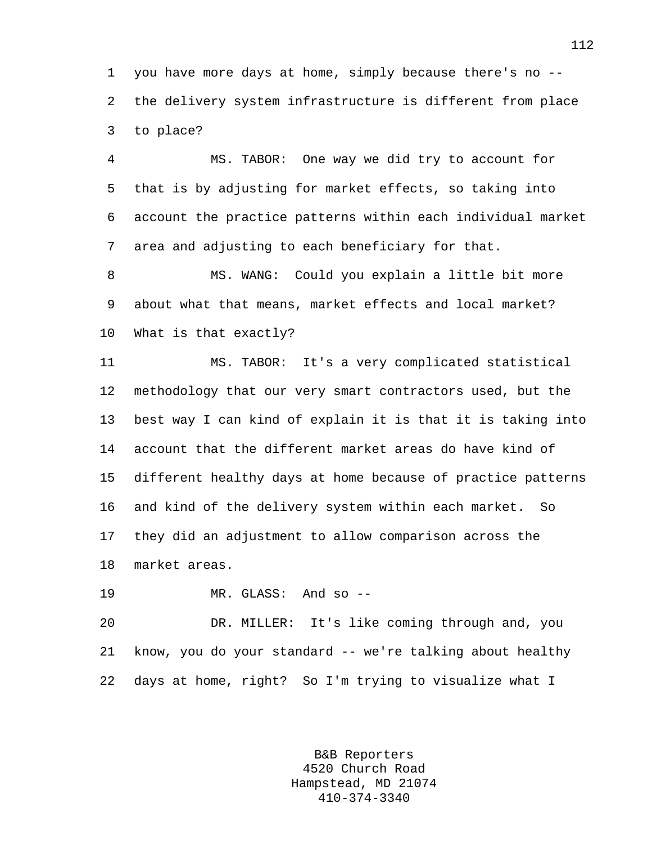1 you have more days at home, simply because there's no -- 2 the delivery system infrastructure is different from place 3 to place?

4 MS. TABOR: One way we did try to account for 5 that is by adjusting for market effects, so taking into 6 account the practice patterns within each individual market 7 area and adjusting to each beneficiary for that.

8 MS. WANG: Could you explain a little bit more 9 about what that means, market effects and local market? 10 What is that exactly?

11 MS. TABOR: It's a very complicated statistical 12 methodology that our very smart contractors used, but the 13 best way I can kind of explain it is that it is taking into 14 account that the different market areas do have kind of 15 different healthy days at home because of practice patterns 16 and kind of the delivery system within each market. So 17 they did an adjustment to allow comparison across the 18 market areas.

19 MR. GLASS: And so --

20 DR. MILLER: It's like coming through and, you 21 know, you do your standard -- we're talking about healthy 22 days at home, right? So I'm trying to visualize what I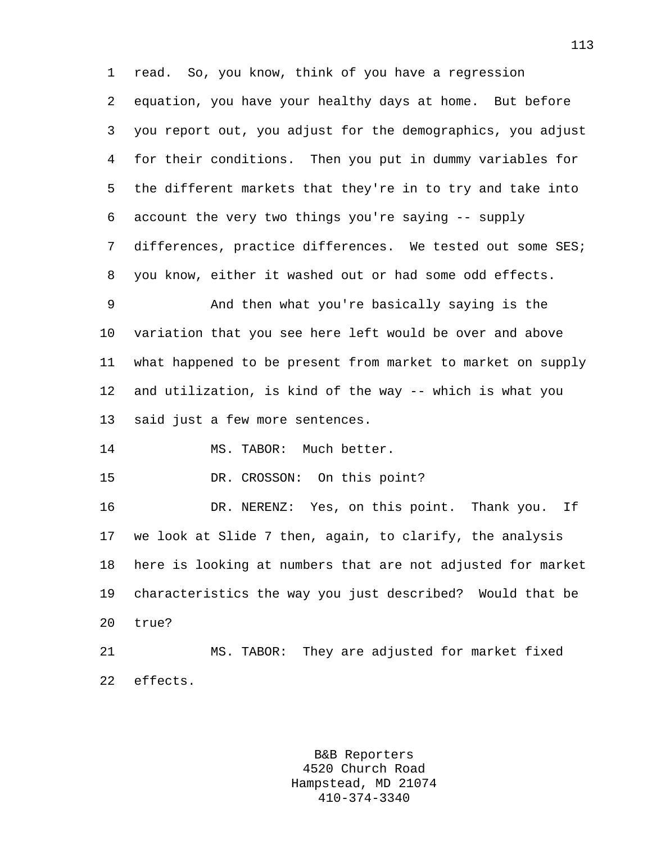1 read. So, you know, think of you have a regression 2 equation, you have your healthy days at home. But before 3 you report out, you adjust for the demographics, you adjust 4 for their conditions. Then you put in dummy variables for 5 the different markets that they're in to try and take into 6 account the very two things you're saying -- supply 7 differences, practice differences. We tested out some SES; 8 you know, either it washed out or had some odd effects. 9 And then what you're basically saying is the 10 variation that you see here left would be over and above 11 what happened to be present from market to market on supply 12 and utilization, is kind of the way -- which is what you 13 said just a few more sentences. 14 MS. TABOR: Much better. 15 DR. CROSSON: On this point? 16 DR. NERENZ: Yes, on this point. Thank you. If 17 we look at Slide 7 then, again, to clarify, the analysis 18 here is looking at numbers that are not adjusted for market 19 characteristics the way you just described? Would that be 20 true? 21 MS. TABOR: They are adjusted for market fixed 22 effects.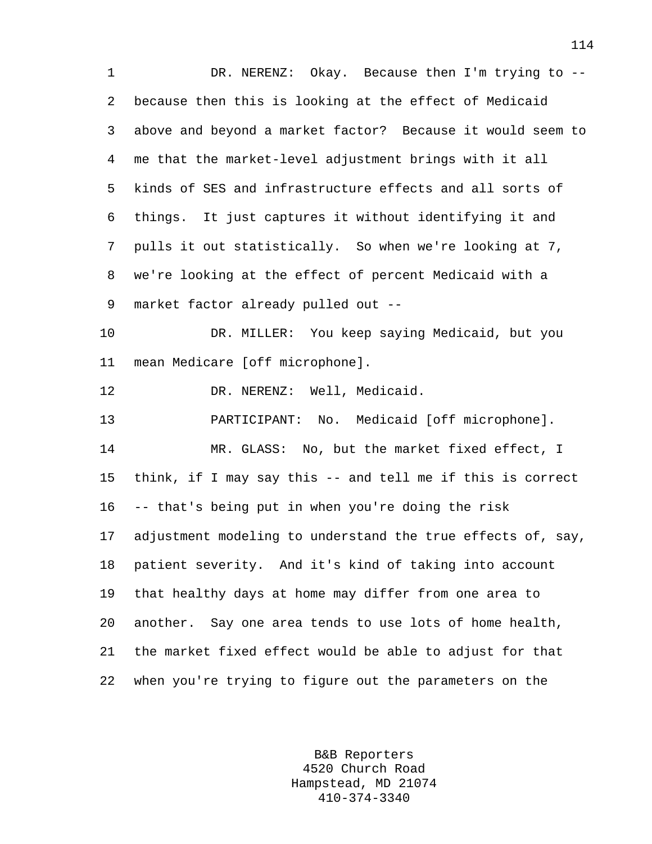1 DR. NERENZ: Okay. Because then I'm trying to -- 2 because then this is looking at the effect of Medicaid 3 above and beyond a market factor? Because it would seem to 4 me that the market-level adjustment brings with it all 5 kinds of SES and infrastructure effects and all sorts of 6 things. It just captures it without identifying it and 7 pulls it out statistically. So when we're looking at 7, 8 we're looking at the effect of percent Medicaid with a 9 market factor already pulled out -- 10 DR. MILLER: You keep saying Medicaid, but you 11 mean Medicare [off microphone]. 12 DR. NERENZ: Well, Medicaid. 13 PARTICIPANT: No. Medicaid [off microphone]. 14 MR. GLASS: No, but the market fixed effect, I 15 think, if I may say this -- and tell me if this is correct 16 -- that's being put in when you're doing the risk 17 adjustment modeling to understand the true effects of, say, 18 patient severity. And it's kind of taking into account 19 that healthy days at home may differ from one area to 20 another. Say one area tends to use lots of home health, 21 the market fixed effect would be able to adjust for that 22 when you're trying to figure out the parameters on the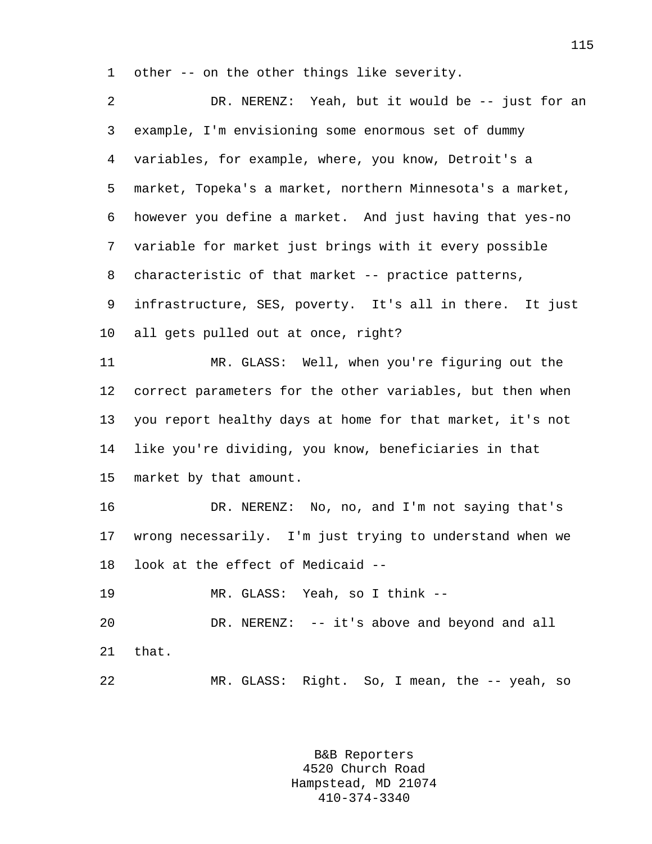1 other -- on the other things like severity.

| 2      | DR. NERENZ: Yeah, but it would be -- just for an          |
|--------|-----------------------------------------------------------|
| 3      | example, I'm envisioning some enormous set of dummy       |
| 4      | variables, for example, where, you know, Detroit's a      |
| 5      | market, Topeka's a market, northern Minnesota's a market, |
| 6      | however you define a market. And just having that yes-no  |
| 7      | variable for market just brings with it every possible    |
| 8      | characteristic of that market -- practice patterns,       |
| 9      | infrastructure, SES, poverty. It's all in there. It just  |
| $10\,$ | all gets pulled out at once, right?                       |
| 11     | MR. GLASS: Well, when you're figuring out the             |
| 12     | correct parameters for the other variables, but then when |
| 13     | you report healthy days at home for that market, it's not |
| 14     | like you're dividing, you know, beneficiaries in that     |
| 15     | market by that amount.                                    |
| 16     | DR. NERENZ: No, no, and I'm not saying that's             |
| 17     | wrong necessarily. I'm just trying to understand when we  |
| 18     | look at the effect of Medicaid --                         |
| 19     | MR. GLASS: Yeah, so I think --                            |
| 20     | DR. NERENZ: -- it's above and beyond and all              |
| 21     | that.                                                     |
| 22     | MR. GLASS: Right. So, I mean, the -- yeah, so             |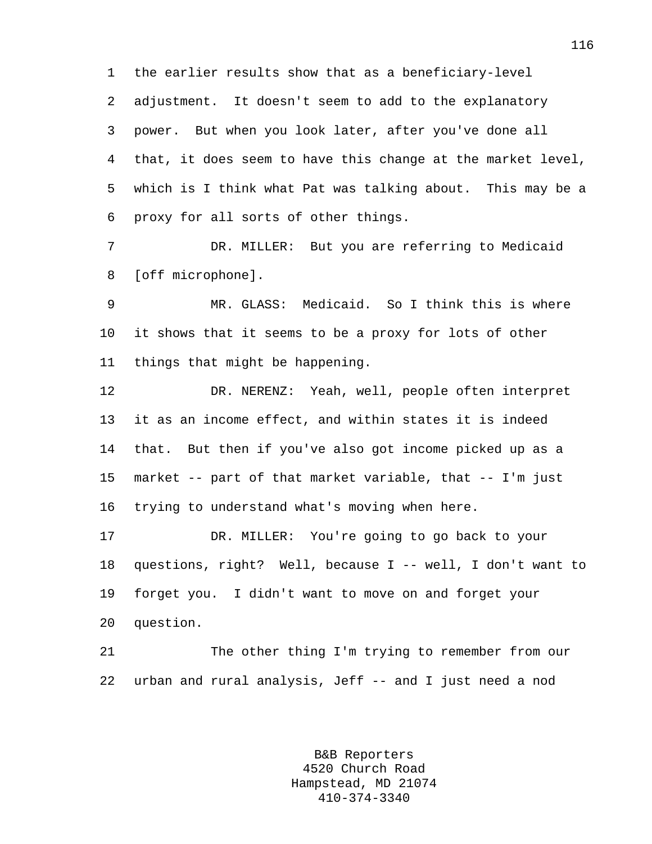1 the earlier results show that as a beneficiary-level 2 adjustment. It doesn't seem to add to the explanatory 3 power. But when you look later, after you've done all 4 that, it does seem to have this change at the market level, 5 which is I think what Pat was talking about. This may be a 6 proxy for all sorts of other things.

7 DR. MILLER: But you are referring to Medicaid 8 [off microphone].

9 MR. GLASS: Medicaid. So I think this is where 10 it shows that it seems to be a proxy for lots of other 11 things that might be happening.

12 DR. NERENZ: Yeah, well, people often interpret 13 it as an income effect, and within states it is indeed 14 that. But then if you've also got income picked up as a 15 market -- part of that market variable, that -- I'm just 16 trying to understand what's moving when here.

17 DR. MILLER: You're going to go back to your 18 questions, right? Well, because I -- well, I don't want to 19 forget you. I didn't want to move on and forget your 20 question.

21 The other thing I'm trying to remember from our 22 urban and rural analysis, Jeff -- and I just need a nod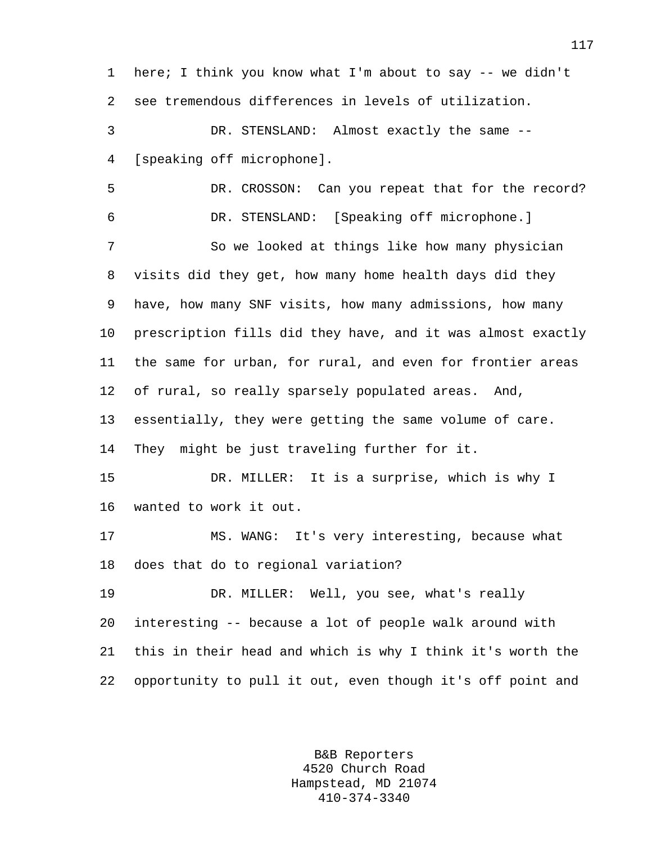1 here; I think you know what I'm about to say -- we didn't 2 see tremendous differences in levels of utilization. 3 DR. STENSLAND: Almost exactly the same -- 4 [speaking off microphone]. 5 DR. CROSSON: Can you repeat that for the record? 6 DR. STENSLAND: [Speaking off microphone.] 7 So we looked at things like how many physician 8 visits did they get, how many home health days did they 9 have, how many SNF visits, how many admissions, how many 10 prescription fills did they have, and it was almost exactly 11 the same for urban, for rural, and even for frontier areas 12 of rural, so really sparsely populated areas. And, 13 essentially, they were getting the same volume of care. 14 They might be just traveling further for it. 15 DR. MILLER: It is a surprise, which is why I 16 wanted to work it out. 17 MS. WANG: It's very interesting, because what 18 does that do to regional variation? 19 DR. MILLER: Well, you see, what's really 20 interesting -- because a lot of people walk around with 21 this in their head and which is why I think it's worth the 22 opportunity to pull it out, even though it's off point and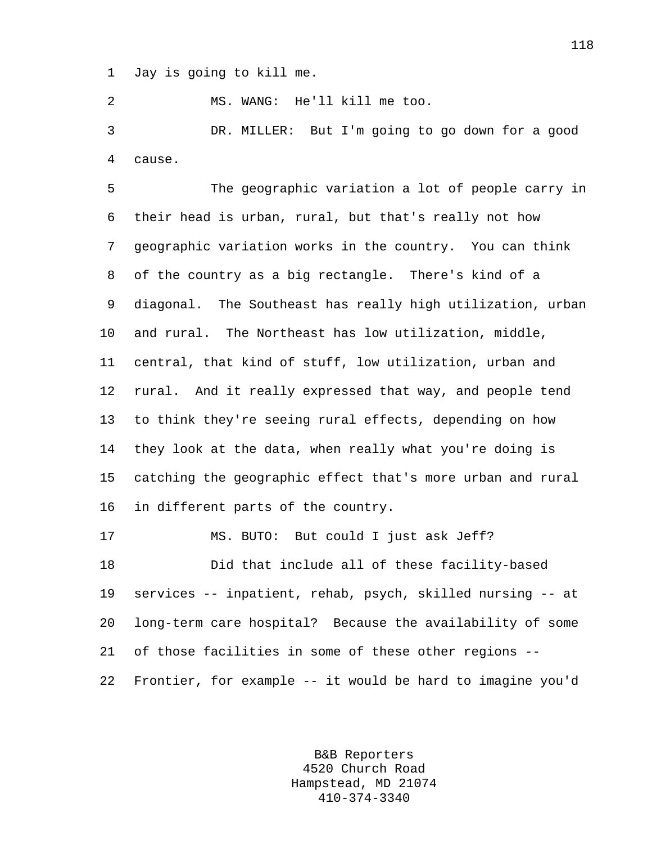1 Jay is going to kill me.

2 MS. WANG: He'll kill me too.

3 DR. MILLER: But I'm going to go down for a good 4 cause.

5 The geographic variation a lot of people carry in 6 their head is urban, rural, but that's really not how 7 geographic variation works in the country. You can think 8 of the country as a big rectangle. There's kind of a 9 diagonal. The Southeast has really high utilization, urban 10 and rural. The Northeast has low utilization, middle, 11 central, that kind of stuff, low utilization, urban and 12 rural. And it really expressed that way, and people tend 13 to think they're seeing rural effects, depending on how 14 they look at the data, when really what you're doing is 15 catching the geographic effect that's more urban and rural 16 in different parts of the country.

18 Did that include all of these facility-based 19 services -- inpatient, rehab, psych, skilled nursing -- at 20 long-term care hospital? Because the availability of some 21 of those facilities in some of these other regions -- 22 Frontier, for example -- it would be hard to imagine you'd

17 MS. BUTO: But could I just ask Jeff?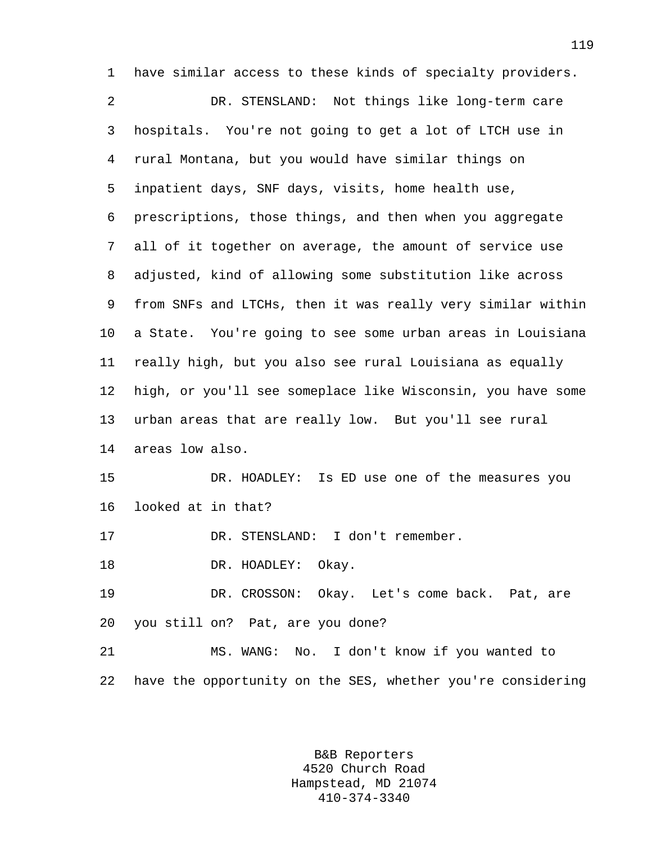1 have similar access to these kinds of specialty providers. 2 DR. STENSLAND: Not things like long-term care 3 hospitals. You're not going to get a lot of LTCH use in 4 rural Montana, but you would have similar things on 5 inpatient days, SNF days, visits, home health use, 6 prescriptions, those things, and then when you aggregate 7 all of it together on average, the amount of service use 8 adjusted, kind of allowing some substitution like across 9 from SNFs and LTCHs, then it was really very similar within 10 a State. You're going to see some urban areas in Louisiana 11 really high, but you also see rural Louisiana as equally 12 high, or you'll see someplace like Wisconsin, you have some 13 urban areas that are really low. But you'll see rural 14 areas low also. 15 DR. HOADLEY: Is ED use one of the measures you 16 looked at in that? 17 DR. STENSLAND: I don't remember. 18 DR. HOADLEY: Okay. 19 DR. CROSSON: Okay. Let's come back. Pat, are 20 you still on? Pat, are you done?

21 MS. WANG: No. I don't know if you wanted to 22 have the opportunity on the SES, whether you're considering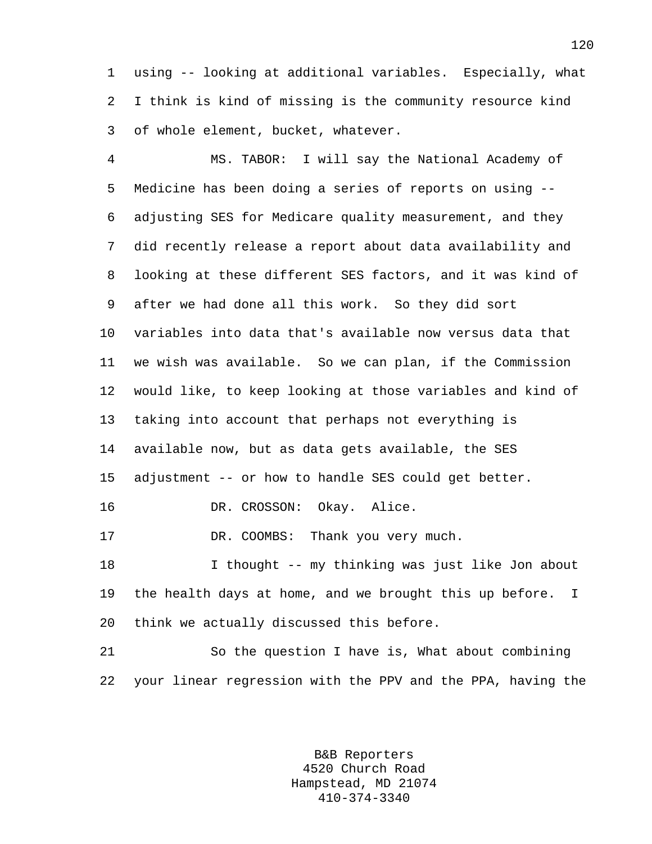1 using -- looking at additional variables. Especially, what 2 I think is kind of missing is the community resource kind 3 of whole element, bucket, whatever.

4 MS. TABOR: I will say the National Academy of 5 Medicine has been doing a series of reports on using -- 6 adjusting SES for Medicare quality measurement, and they 7 did recently release a report about data availability and 8 looking at these different SES factors, and it was kind of 9 after we had done all this work. So they did sort 10 variables into data that's available now versus data that 11 we wish was available. So we can plan, if the Commission 12 would like, to keep looking at those variables and kind of 13 taking into account that perhaps not everything is 14 available now, but as data gets available, the SES 15 adjustment -- or how to handle SES could get better. 16 DR. CROSSON: Okay. Alice. 17 DR. COOMBS: Thank you very much. 18 I thought -- my thinking was just like Jon about 19 the health days at home, and we brought this up before. I 20 think we actually discussed this before. 21 So the question I have is, What about combining

> B&B Reporters 4520 Church Road Hampstead, MD 21074 410-374-3340

22 your linear regression with the PPV and the PPA, having the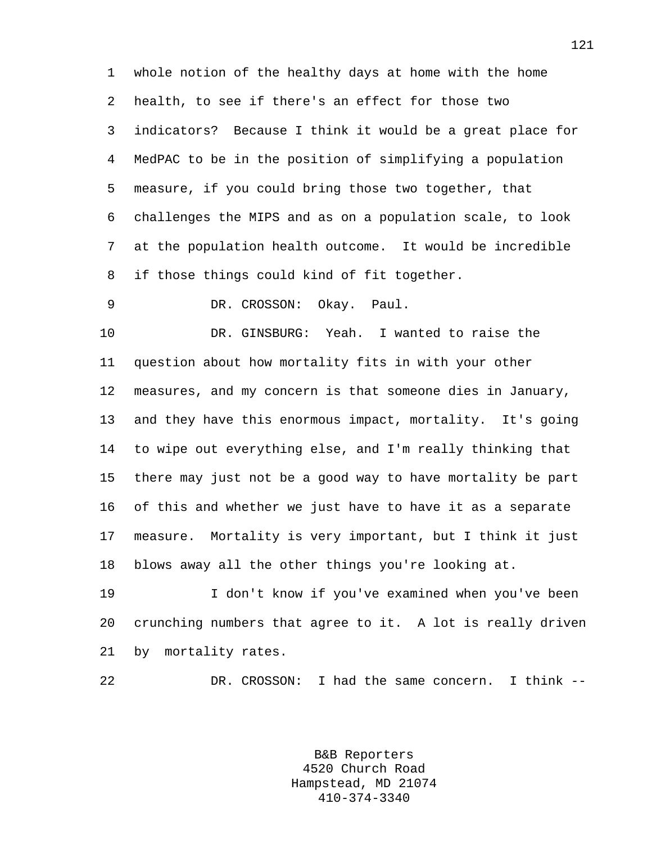1 whole notion of the healthy days at home with the home 2 health, to see if there's an effect for those two 3 indicators? Because I think it would be a great place for 4 MedPAC to be in the position of simplifying a population 5 measure, if you could bring those two together, that 6 challenges the MIPS and as on a population scale, to look 7 at the population health outcome. It would be incredible 8 if those things could kind of fit together.

9 DR. CROSSON: Okay. Paul.

10 DR. GINSBURG: Yeah. I wanted to raise the 11 question about how mortality fits in with your other 12 measures, and my concern is that someone dies in January, 13 and they have this enormous impact, mortality. It's going 14 to wipe out everything else, and I'm really thinking that 15 there may just not be a good way to have mortality be part 16 of this and whether we just have to have it as a separate 17 measure. Mortality is very important, but I think it just 18 blows away all the other things you're looking at.

19 I don't know if you've examined when you've been 20 crunching numbers that agree to it. A lot is really driven 21 by mortality rates.

22 DR. CROSSON: I had the same concern. I think --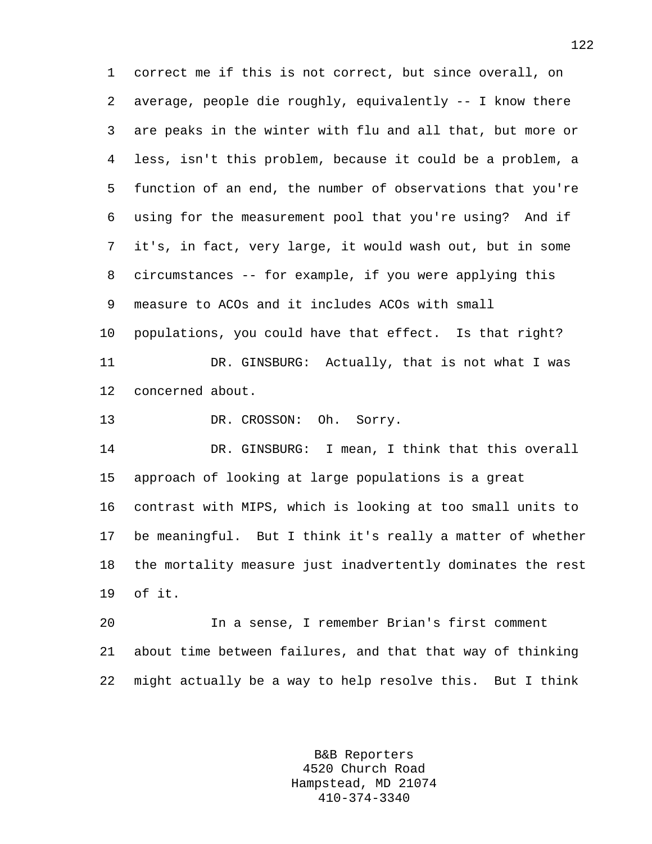1 correct me if this is not correct, but since overall, on 2 average, people die roughly, equivalently -- I know there 3 are peaks in the winter with flu and all that, but more or 4 less, isn't this problem, because it could be a problem, a 5 function of an end, the number of observations that you're 6 using for the measurement pool that you're using? And if 7 it's, in fact, very large, it would wash out, but in some 8 circumstances -- for example, if you were applying this 9 measure to ACOs and it includes ACOs with small 10 populations, you could have that effect. Is that right? 11 DR. GINSBURG: Actually, that is not what I was 12 concerned about. 13 DR. CROSSON: Oh. Sorry. 14 DR. GINSBURG: I mean, I think that this overall 15 approach of looking at large populations is a great 16 contrast with MIPS, which is looking at too small units to 17 be meaningful. But I think it's really a matter of whether 18 the mortality measure just inadvertently dominates the rest 19 of it. 20 In a sense, I remember Brian's first comment

21 about time between failures, and that that way of thinking 22 might actually be a way to help resolve this. But I think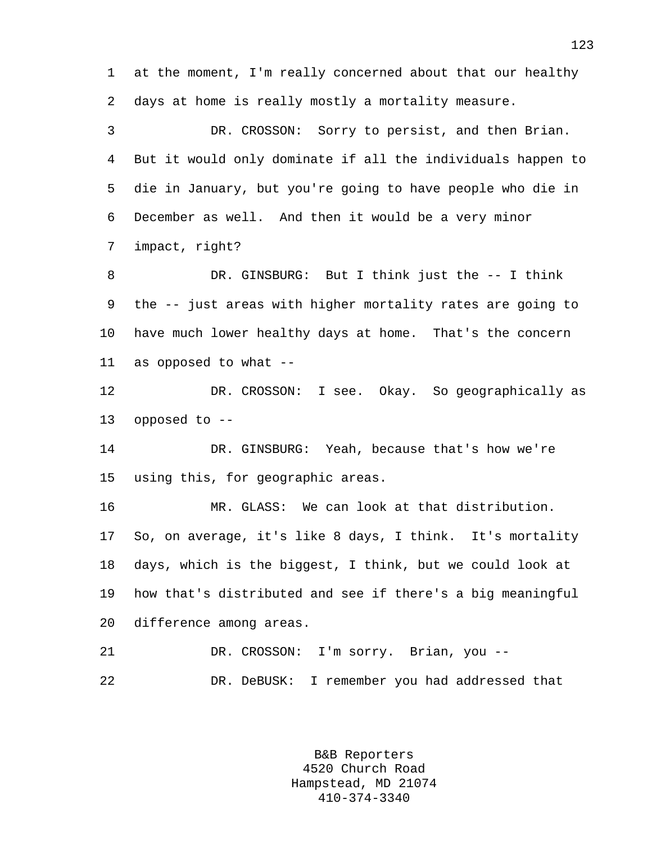1 at the moment, I'm really concerned about that our healthy 2 days at home is really mostly a mortality measure.

3 DR. CROSSON: Sorry to persist, and then Brian. 4 But it would only dominate if all the individuals happen to 5 die in January, but you're going to have people who die in 6 December as well. And then it would be a very minor 7 impact, right?

8 DR. GINSBURG: But I think just the -- I think 9 the -- just areas with higher mortality rates are going to 10 have much lower healthy days at home. That's the concern 11 as opposed to what --

12 DR. CROSSON: I see. Okay. So geographically as 13 opposed to --

14 DR. GINSBURG: Yeah, because that's how we're 15 using this, for geographic areas.

16 MR. GLASS: We can look at that distribution. 17 So, on average, it's like 8 days, I think. It's mortality 18 days, which is the biggest, I think, but we could look at 19 how that's distributed and see if there's a big meaningful 20 difference among areas.

21 DR. CROSSON: I'm sorry. Brian, you -- 22 DR. DeBUSK: I remember you had addressed that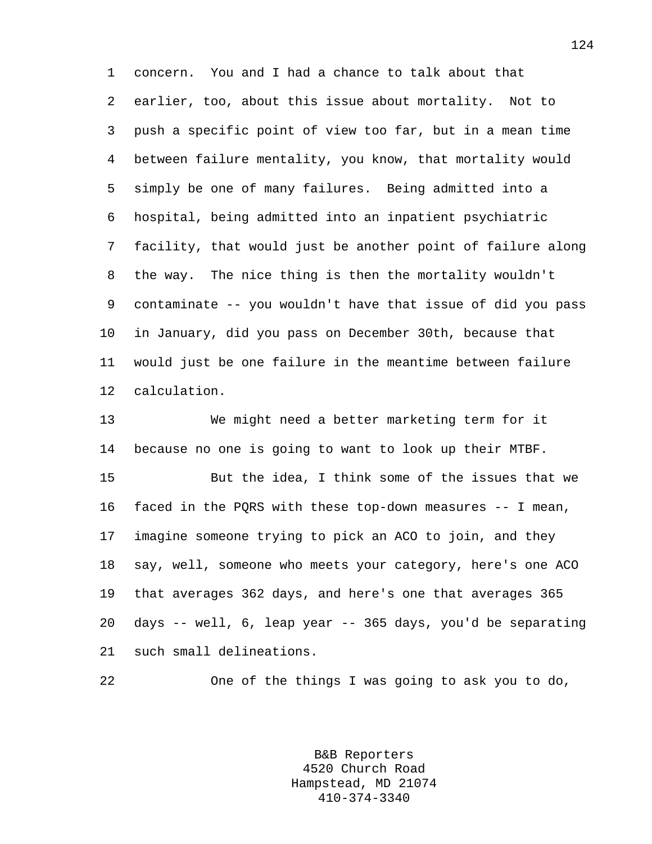1 concern. You and I had a chance to talk about that 2 earlier, too, about this issue about mortality. Not to 3 push a specific point of view too far, but in a mean time 4 between failure mentality, you know, that mortality would 5 simply be one of many failures. Being admitted into a 6 hospital, being admitted into an inpatient psychiatric 7 facility, that would just be another point of failure along 8 the way. The nice thing is then the mortality wouldn't 9 contaminate -- you wouldn't have that issue of did you pass 10 in January, did you pass on December 30th, because that 11 would just be one failure in the meantime between failure 12 calculation.

13 We might need a better marketing term for it 14 because no one is going to want to look up their MTBF.

15 But the idea, I think some of the issues that we 16 faced in the PQRS with these top-down measures -- I mean, 17 imagine someone trying to pick an ACO to join, and they 18 say, well, someone who meets your category, here's one ACO 19 that averages 362 days, and here's one that averages 365 20 days -- well, 6, leap year -- 365 days, you'd be separating 21 such small delineations.

22 One of the things I was going to ask you to do,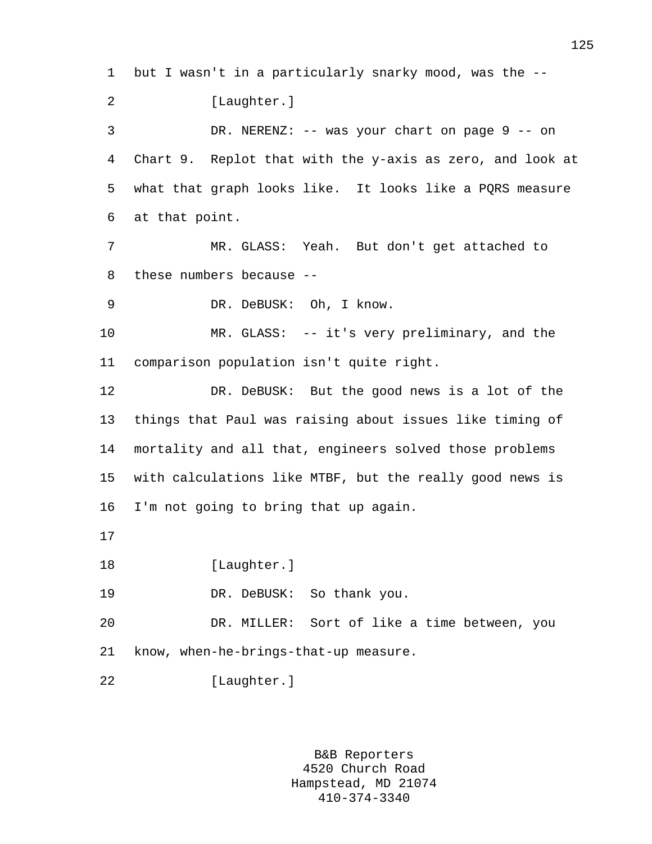1 but I wasn't in a particularly snarky mood, was the -- 2 [Laughter.] 3 DR. NERENZ: -- was your chart on page 9 -- on 4 Chart 9. Replot that with the y-axis as zero, and look at 5 what that graph looks like. It looks like a PQRS measure 6 at that point. 7 MR. GLASS: Yeah. But don't get attached to 8 these numbers because -- 9 DR. DeBUSK: Oh, I know. 10 MR. GLASS: -- it's very preliminary, and the 11 comparison population isn't quite right. 12 DR. DeBUSK: But the good news is a lot of the 13 things that Paul was raising about issues like timing of 14 mortality and all that, engineers solved those problems 15 with calculations like MTBF, but the really good news is 16 I'm not going to bring that up again. 17 18 [Laughter.] 19 DR. DeBUSK: So thank you. 20 DR. MILLER: Sort of like a time between, you 21 know, when-he-brings-that-up measure. 22 [Laughter.]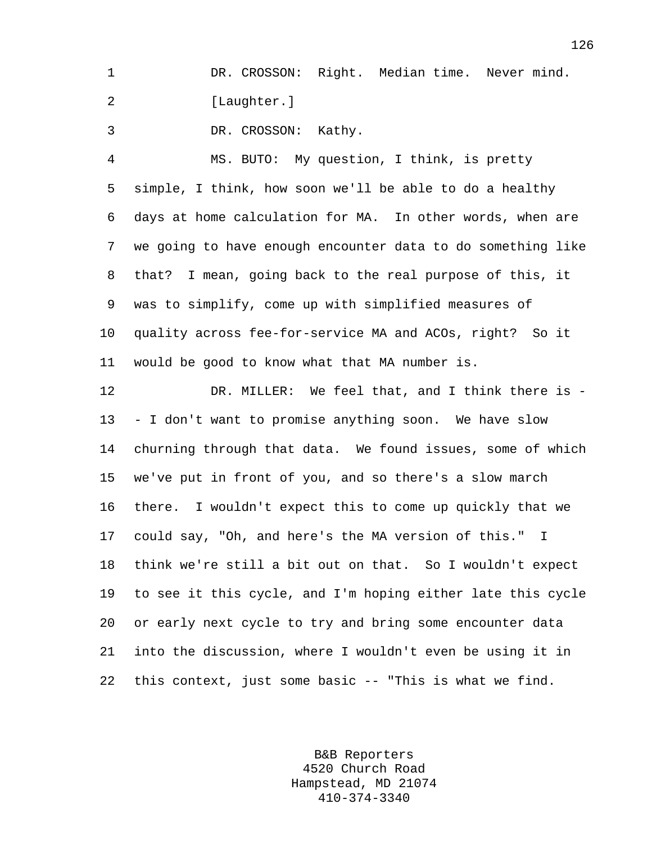1 DR. CROSSON: Right. Median time. Never mind. 2 [Laughter.]

3 DR. CROSSON: Kathy.

4 MS. BUTO: My question, I think, is pretty 5 simple, I think, how soon we'll be able to do a healthy 6 days at home calculation for MA. In other words, when are 7 we going to have enough encounter data to do something like 8 that? I mean, going back to the real purpose of this, it 9 was to simplify, come up with simplified measures of 10 quality across fee-for-service MA and ACOs, right? So it 11 would be good to know what that MA number is.

12 DR. MILLER: We feel that, and I think there is - 13 - I don't want to promise anything soon. We have slow 14 churning through that data. We found issues, some of which 15 we've put in front of you, and so there's a slow march 16 there. I wouldn't expect this to come up quickly that we 17 could say, "Oh, and here's the MA version of this." I 18 think we're still a bit out on that. So I wouldn't expect 19 to see it this cycle, and I'm hoping either late this cycle 20 or early next cycle to try and bring some encounter data 21 into the discussion, where I wouldn't even be using it in 22 this context, just some basic -- "This is what we find.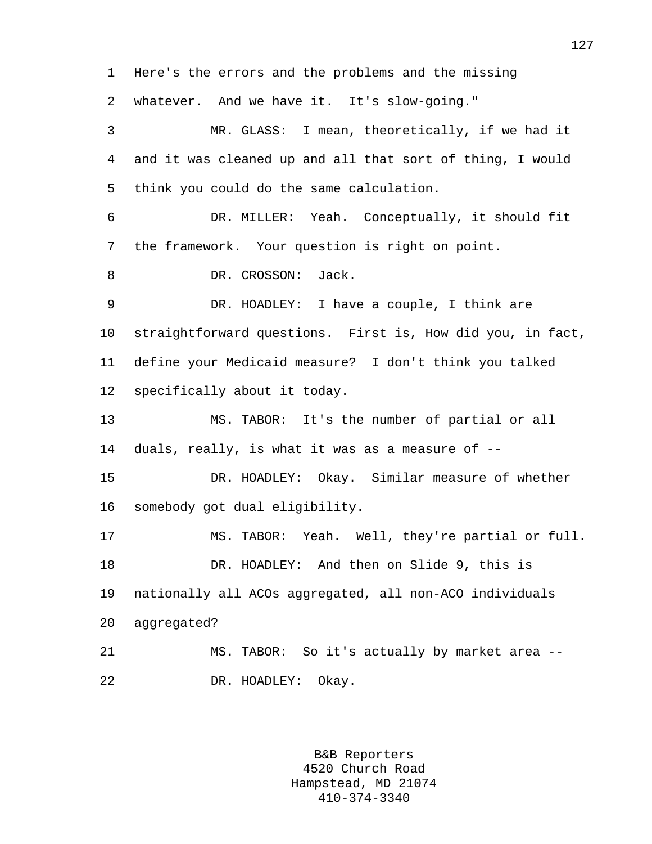1 Here's the errors and the problems and the missing 2 whatever. And we have it. It's slow-going." 3 MR. GLASS: I mean, theoretically, if we had it 4 and it was cleaned up and all that sort of thing, I would 5 think you could do the same calculation. 6 DR. MILLER: Yeah. Conceptually, it should fit 7 the framework. Your question is right on point. 8 DR. CROSSON: Jack. 9 DR. HOADLEY: I have a couple, I think are 10 straightforward questions. First is, How did you, in fact, 11 define your Medicaid measure? I don't think you talked 12 specifically about it today. 13 MS. TABOR: It's the number of partial or all 14 duals, really, is what it was as a measure of -- 15 DR. HOADLEY: Okay. Similar measure of whether 16 somebody got dual eligibility. 17 MS. TABOR: Yeah. Well, they're partial or full. 18 DR. HOADLEY: And then on Slide 9, this is 19 nationally all ACOs aggregated, all non-ACO individuals 20 aggregated? 21 MS. TABOR: So it's actually by market area -- 22 DR. HOADLEY: Okay.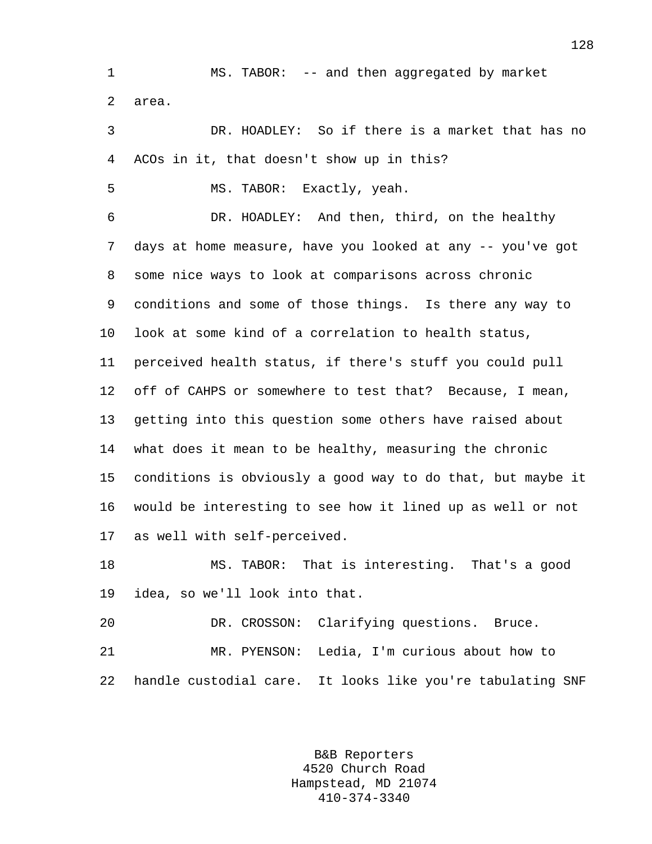1 MS. TABOR: -- and then aggregated by market 2 area.

3 DR. HOADLEY: So if there is a market that has no 4 ACOs in it, that doesn't show up in this?

5 MS. TABOR: Exactly, yeah.

6 DR. HOADLEY: And then, third, on the healthy 7 days at home measure, have you looked at any -- you've got 8 some nice ways to look at comparisons across chronic 9 conditions and some of those things. Is there any way to 10 look at some kind of a correlation to health status, 11 perceived health status, if there's stuff you could pull 12 off of CAHPS or somewhere to test that? Because, I mean, 13 getting into this question some others have raised about 14 what does it mean to be healthy, measuring the chronic 15 conditions is obviously a good way to do that, but maybe it 16 would be interesting to see how it lined up as well or not 17 as well with self-perceived.

18 MS. TABOR: That is interesting. That's a good 19 idea, so we'll look into that.

20 DR. CROSSON: Clarifying questions. Bruce. 21 MR. PYENSON: Ledia, I'm curious about how to 22 handle custodial care. It looks like you're tabulating SNF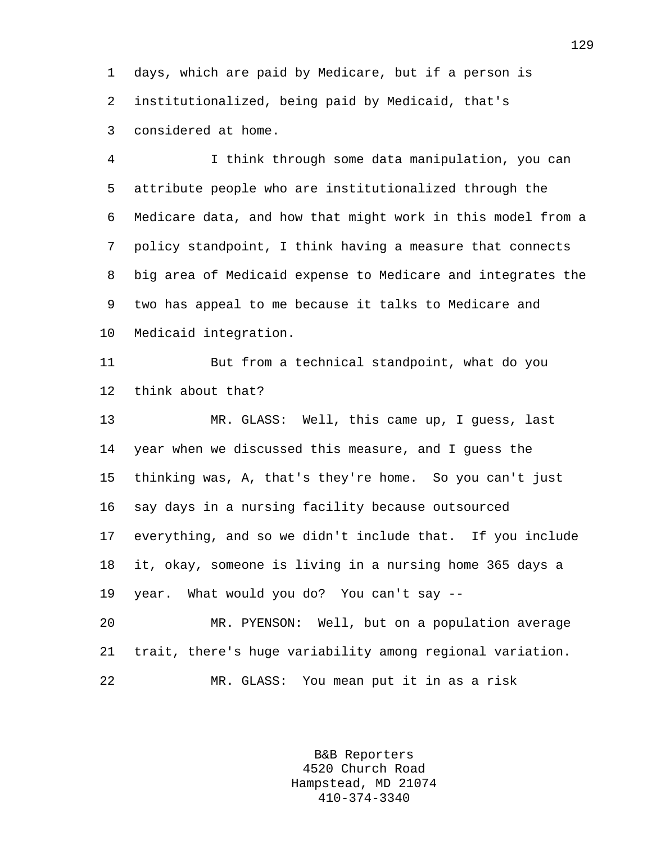1 days, which are paid by Medicare, but if a person is 2 institutionalized, being paid by Medicaid, that's 3 considered at home.

4 I think through some data manipulation, you can 5 attribute people who are institutionalized through the 6 Medicare data, and how that might work in this model from a 7 policy standpoint, I think having a measure that connects 8 big area of Medicaid expense to Medicare and integrates the 9 two has appeal to me because it talks to Medicare and 10 Medicaid integration.

11 But from a technical standpoint, what do you 12 think about that?

13 MR. GLASS: Well, this came up, I guess, last 14 year when we discussed this measure, and I guess the 15 thinking was, A, that's they're home. So you can't just 16 say days in a nursing facility because outsourced 17 everything, and so we didn't include that. If you include 18 it, okay, someone is living in a nursing home 365 days a 19 year. What would you do? You can't say --

20 MR. PYENSON: Well, but on a population average 21 trait, there's huge variability among regional variation. 22 MR. GLASS: You mean put it in as a risk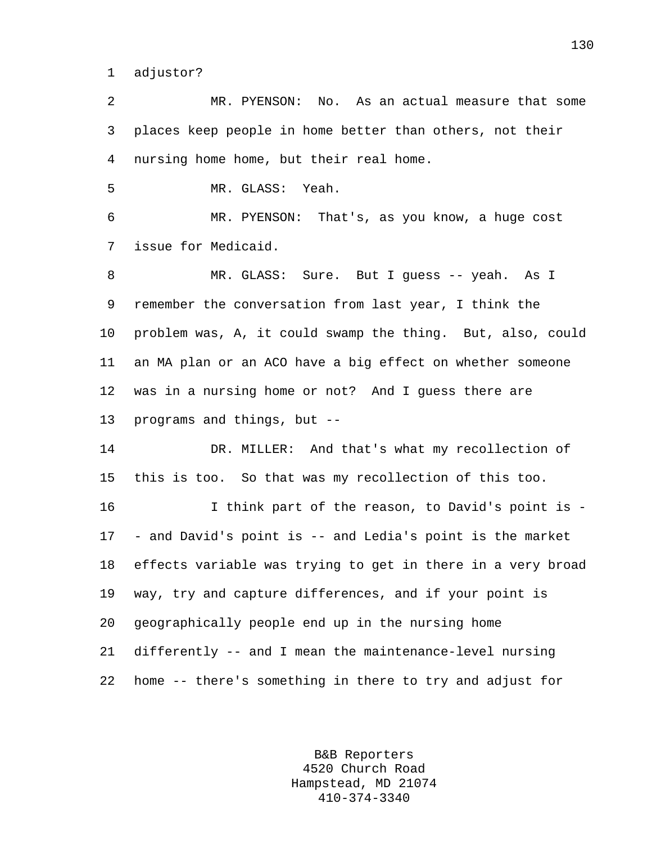1 adjustor?

2 MR. PYENSON: No. As an actual measure that some 3 places keep people in home better than others, not their 4 nursing home home, but their real home.

5 MR. GLASS: Yeah.

6 MR. PYENSON: That's, as you know, a huge cost 7 issue for Medicaid.

8 MR. GLASS: Sure. But I guess -- yeah. As I 9 remember the conversation from last year, I think the 10 problem was, A, it could swamp the thing. But, also, could 11 an MA plan or an ACO have a big effect on whether someone 12 was in a nursing home or not? And I guess there are 13 programs and things, but --

14 DR. MILLER: And that's what my recollection of 15 this is too. So that was my recollection of this too.

16 I think part of the reason, to David's point is - 17 - and David's point is -- and Ledia's point is the market 18 effects variable was trying to get in there in a very broad 19 way, try and capture differences, and if your point is 20 geographically people end up in the nursing home 21 differently -- and I mean the maintenance-level nursing 22 home -- there's something in there to try and adjust for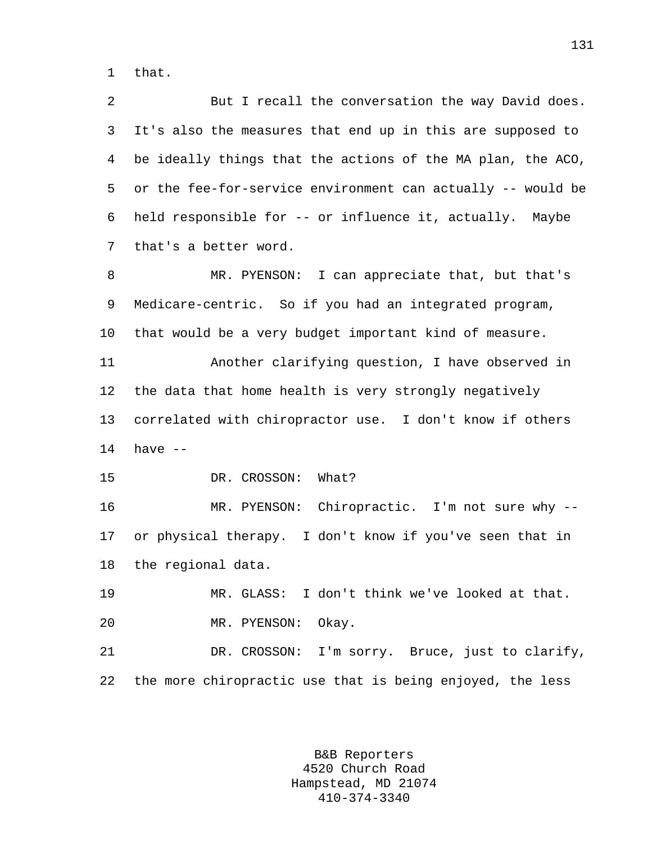1 that.

2 But I recall the conversation the way David does. 3 It's also the measures that end up in this are supposed to 4 be ideally things that the actions of the MA plan, the ACO, 5 or the fee-for-service environment can actually -- would be 6 held responsible for -- or influence it, actually. Maybe 7 that's a better word.

8 MR. PYENSON: I can appreciate that, but that's 9 Medicare-centric. So if you had an integrated program, 10 that would be a very budget important kind of measure. 11 Another clarifying question, I have observed in 12 the data that home health is very strongly negatively 13 correlated with chiropractor use. I don't know if others 14 have -- 15 DR. CROSSON: What?

16 MR. PYENSON: Chiropractic. I'm not sure why -- 17 or physical therapy. I don't know if you've seen that in 18 the regional data.

19 MR. GLASS: I don't think we've looked at that. 20 MR. PYENSON: Okay.

21 DR. CROSSON: I'm sorry. Bruce, just to clarify, 22 the more chiropractic use that is being enjoyed, the less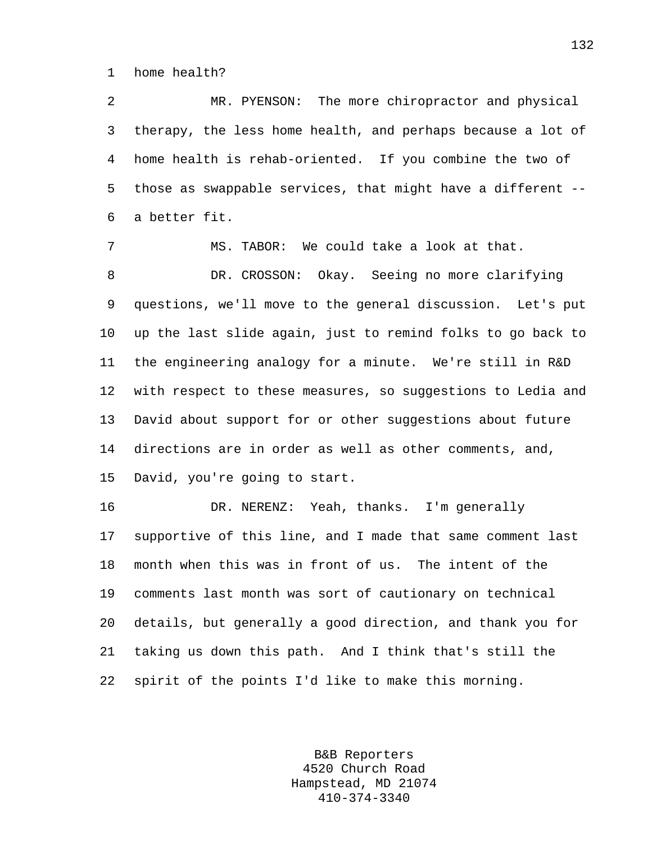1 home health?

2 MR. PYENSON: The more chiropractor and physical 3 therapy, the less home health, and perhaps because a lot of 4 home health is rehab-oriented. If you combine the two of 5 those as swappable services, that might have a different -- 6 a better fit.

7 MS. TABOR: We could take a look at that. 8 DR. CROSSON: Okay. Seeing no more clarifying 9 questions, we'll move to the general discussion. Let's put 10 up the last slide again, just to remind folks to go back to 11 the engineering analogy for a minute. We're still in R&D 12 with respect to these measures, so suggestions to Ledia and 13 David about support for or other suggestions about future 14 directions are in order as well as other comments, and, 15 David, you're going to start.

16 DR. NERENZ: Yeah, thanks. I'm generally 17 supportive of this line, and I made that same comment last 18 month when this was in front of us. The intent of the 19 comments last month was sort of cautionary on technical 20 details, but generally a good direction, and thank you for 21 taking us down this path. And I think that's still the 22 spirit of the points I'd like to make this morning.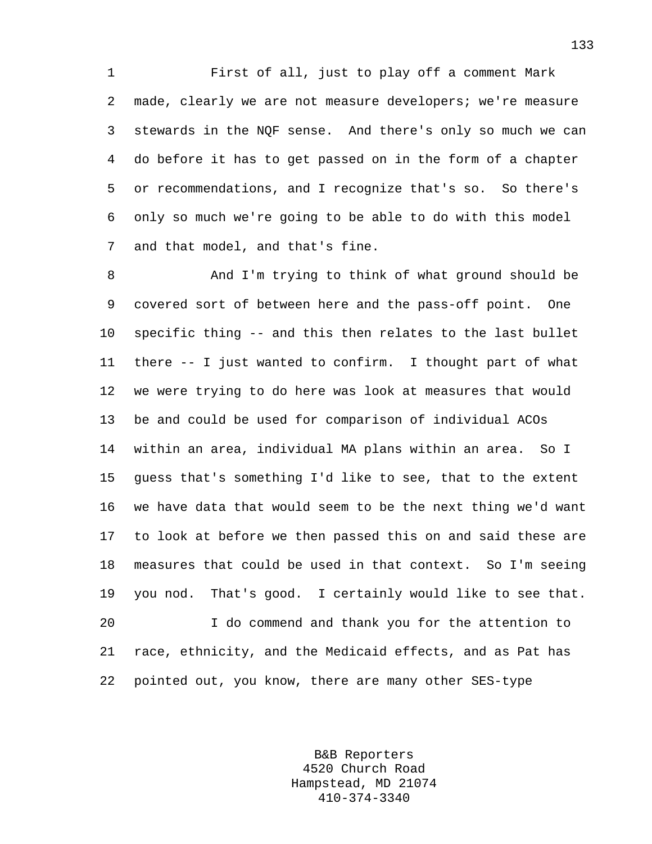1 First of all, just to play off a comment Mark 2 made, clearly we are not measure developers; we're measure 3 stewards in the NQF sense. And there's only so much we can 4 do before it has to get passed on in the form of a chapter 5 or recommendations, and I recognize that's so. So there's 6 only so much we're going to be able to do with this model 7 and that model, and that's fine.

8 And I'm trying to think of what ground should be 9 covered sort of between here and the pass-off point. One 10 specific thing -- and this then relates to the last bullet 11 there -- I just wanted to confirm. I thought part of what 12 we were trying to do here was look at measures that would 13 be and could be used for comparison of individual ACOs 14 within an area, individual MA plans within an area. So I 15 guess that's something I'd like to see, that to the extent 16 we have data that would seem to be the next thing we'd want 17 to look at before we then passed this on and said these are 18 measures that could be used in that context. So I'm seeing 19 you nod. That's good. I certainly would like to see that. 20 I do commend and thank you for the attention to 21 race, ethnicity, and the Medicaid effects, and as Pat has 22 pointed out, you know, there are many other SES-type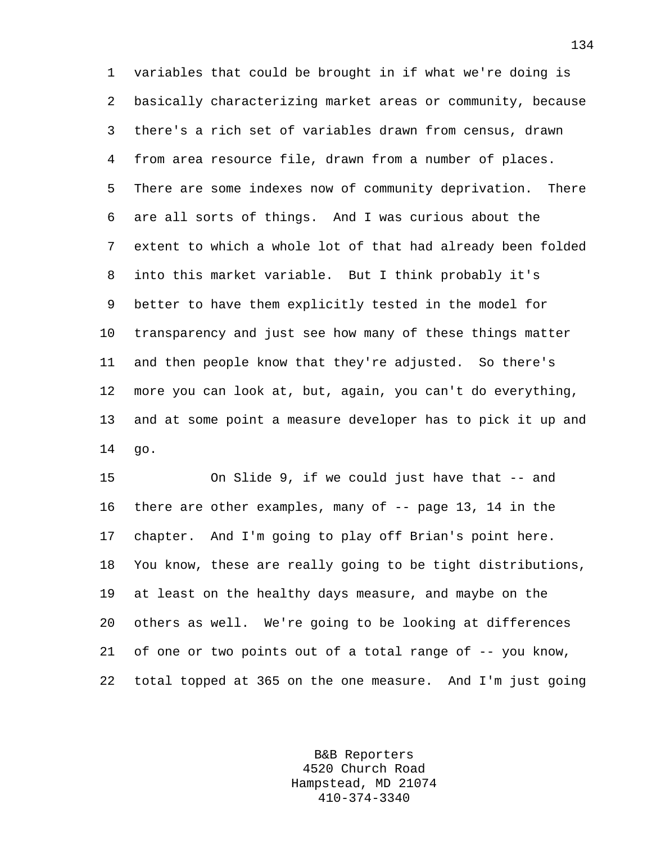1 variables that could be brought in if what we're doing is 2 basically characterizing market areas or community, because 3 there's a rich set of variables drawn from census, drawn 4 from area resource file, drawn from a number of places. 5 There are some indexes now of community deprivation. There 6 are all sorts of things. And I was curious about the 7 extent to which a whole lot of that had already been folded 8 into this market variable. But I think probably it's 9 better to have them explicitly tested in the model for 10 transparency and just see how many of these things matter 11 and then people know that they're adjusted. So there's 12 more you can look at, but, again, you can't do everything, 13 and at some point a measure developer has to pick it up and 14 go.

15 On Slide 9, if we could just have that -- and 16 there are other examples, many of -- page 13, 14 in the 17 chapter. And I'm going to play off Brian's point here. 18 You know, these are really going to be tight distributions, 19 at least on the healthy days measure, and maybe on the 20 others as well. We're going to be looking at differences 21 of one or two points out of a total range of -- you know, 22 total topped at 365 on the one measure. And I'm just going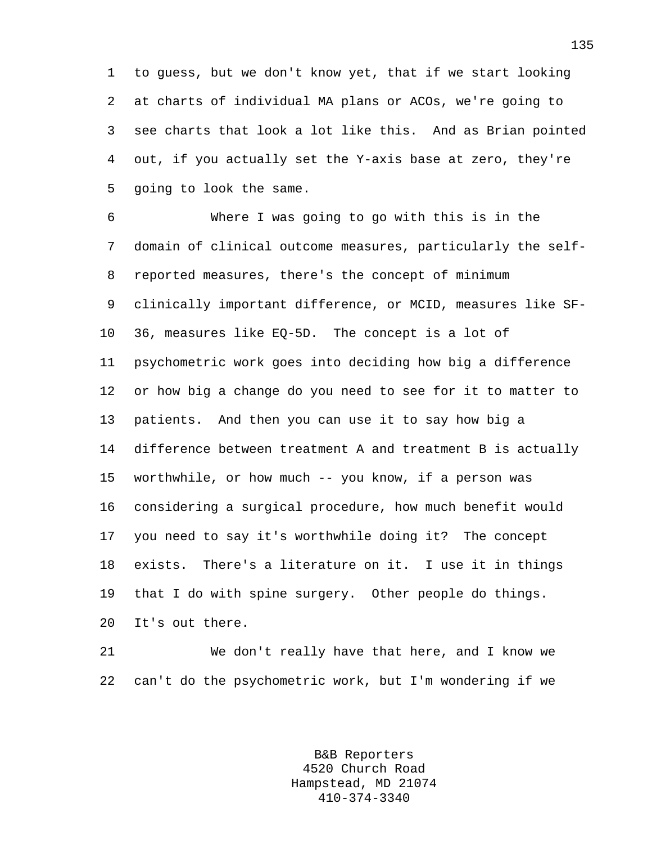1 to guess, but we don't know yet, that if we start looking 2 at charts of individual MA plans or ACOs, we're going to 3 see charts that look a lot like this. And as Brian pointed 4 out, if you actually set the Y-axis base at zero, they're 5 going to look the same.

6 Where I was going to go with this is in the 7 domain of clinical outcome measures, particularly the self-8 reported measures, there's the concept of minimum 9 clinically important difference, or MCID, measures like SF-10 36, measures like EQ-5D. The concept is a lot of 11 psychometric work goes into deciding how big a difference 12 or how big a change do you need to see for it to matter to 13 patients. And then you can use it to say how big a 14 difference between treatment A and treatment B is actually 15 worthwhile, or how much -- you know, if a person was 16 considering a surgical procedure, how much benefit would 17 you need to say it's worthwhile doing it? The concept 18 exists. There's a literature on it. I use it in things 19 that I do with spine surgery. Other people do things. 20 It's out there.

21 We don't really have that here, and I know we 22 can't do the psychometric work, but I'm wondering if we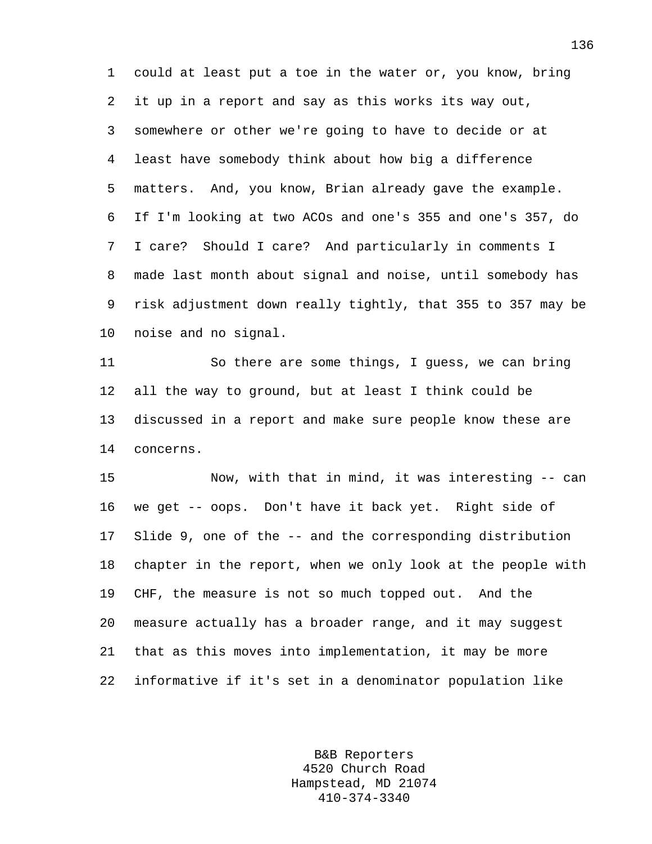1 could at least put a toe in the water or, you know, bring 2 it up in a report and say as this works its way out, 3 somewhere or other we're going to have to decide or at 4 least have somebody think about how big a difference 5 matters. And, you know, Brian already gave the example. 6 If I'm looking at two ACOs and one's 355 and one's 357, do 7 I care? Should I care? And particularly in comments I 8 made last month about signal and noise, until somebody has 9 risk adjustment down really tightly, that 355 to 357 may be 10 noise and no signal.

11 So there are some things, I guess, we can bring 12 all the way to ground, but at least I think could be 13 discussed in a report and make sure people know these are 14 concerns.

15 Now, with that in mind, it was interesting -- can 16 we get -- oops. Don't have it back yet. Right side of 17 Slide 9, one of the -- and the corresponding distribution 18 chapter in the report, when we only look at the people with 19 CHF, the measure is not so much topped out. And the 20 measure actually has a broader range, and it may suggest 21 that as this moves into implementation, it may be more 22 informative if it's set in a denominator population like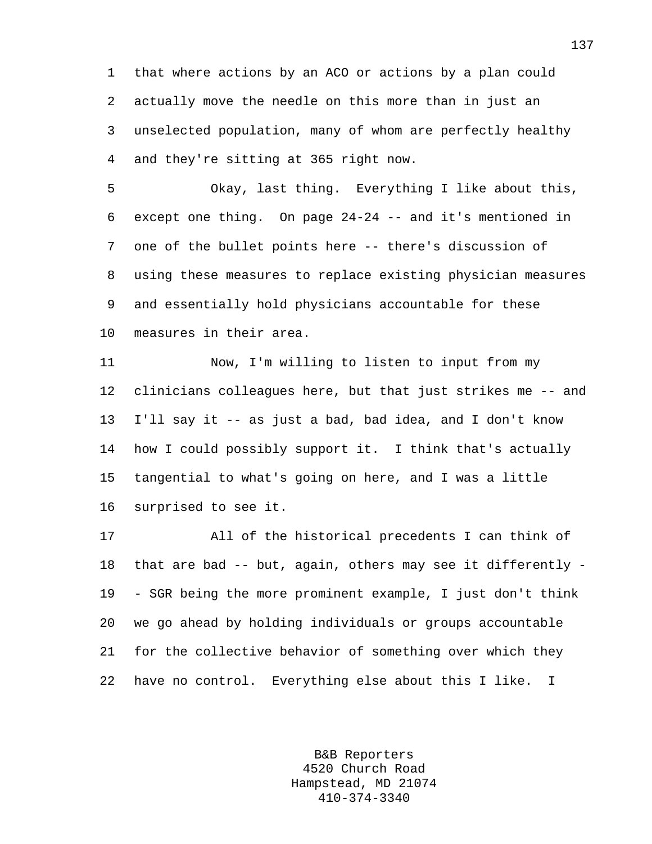1 that where actions by an ACO or actions by a plan could 2 actually move the needle on this more than in just an 3 unselected population, many of whom are perfectly healthy 4 and they're sitting at 365 right now.

5 Okay, last thing. Everything I like about this, 6 except one thing. On page 24-24 -- and it's mentioned in 7 one of the bullet points here -- there's discussion of 8 using these measures to replace existing physician measures 9 and essentially hold physicians accountable for these 10 measures in their area.

11 Now, I'm willing to listen to input from my 12 clinicians colleagues here, but that just strikes me -- and 13 I'll say it -- as just a bad, bad idea, and I don't know 14 how I could possibly support it. I think that's actually 15 tangential to what's going on here, and I was a little 16 surprised to see it.

17 All of the historical precedents I can think of 18 that are bad -- but, again, others may see it differently - 19 - SGR being the more prominent example, I just don't think 20 we go ahead by holding individuals or groups accountable 21 for the collective behavior of something over which they 22 have no control. Everything else about this I like. I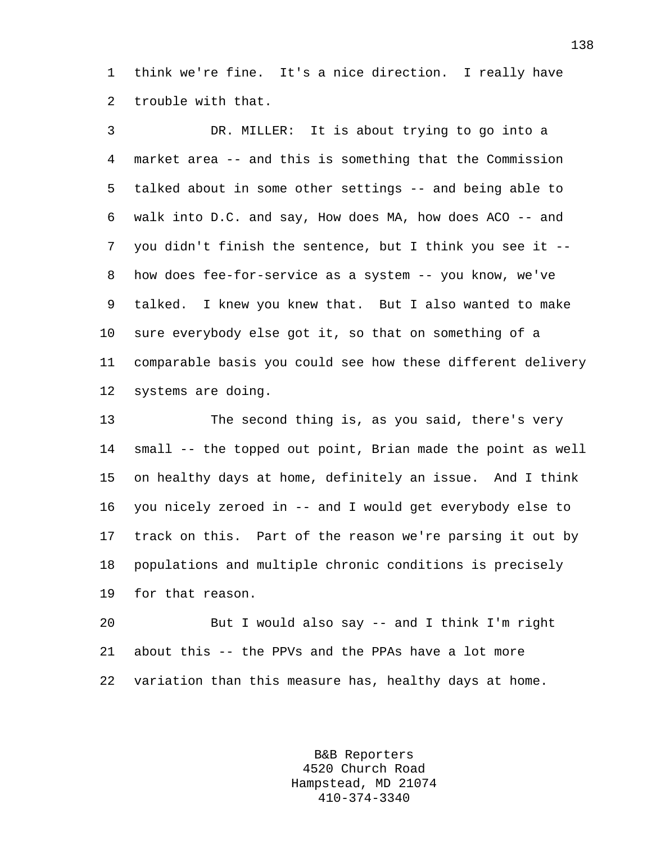1 think we're fine. It's a nice direction. I really have 2 trouble with that.

3 DR. MILLER: It is about trying to go into a 4 market area -- and this is something that the Commission 5 talked about in some other settings -- and being able to 6 walk into D.C. and say, How does MA, how does ACO -- and 7 you didn't finish the sentence, but I think you see it -- 8 how does fee-for-service as a system -- you know, we've 9 talked. I knew you knew that. But I also wanted to make 10 sure everybody else got it, so that on something of a 11 comparable basis you could see how these different delivery 12 systems are doing.

13 The second thing is, as you said, there's very 14 small -- the topped out point, Brian made the point as well 15 on healthy days at home, definitely an issue. And I think 16 you nicely zeroed in -- and I would get everybody else to 17 track on this. Part of the reason we're parsing it out by 18 populations and multiple chronic conditions is precisely 19 for that reason.

20 But I would also say -- and I think I'm right 21 about this -- the PPVs and the PPAs have a lot more 22 variation than this measure has, healthy days at home.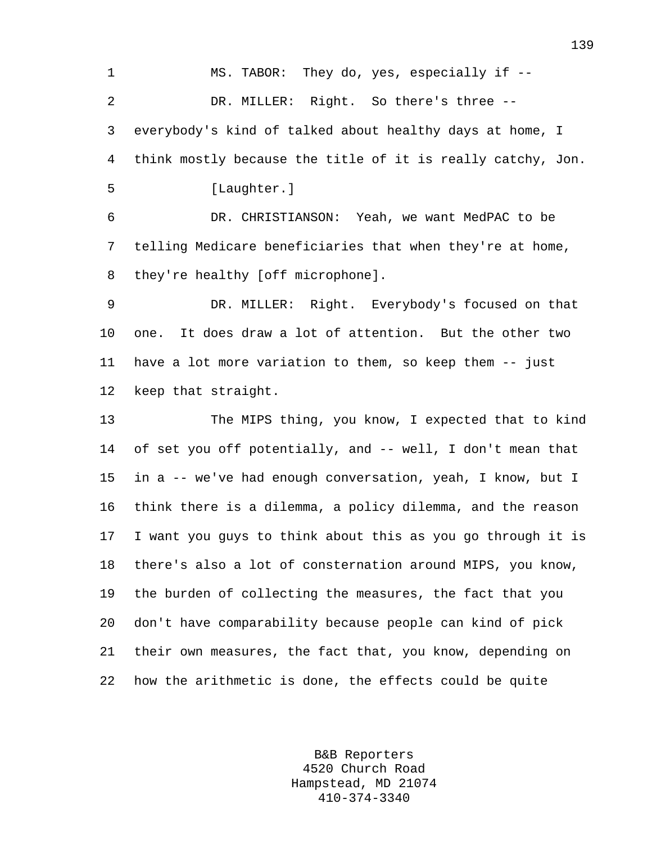1 MS. TABOR: They do, yes, especially if -- 2 DR. MILLER: Right. So there's three -- 3 everybody's kind of talked about healthy days at home, I 4 think mostly because the title of it is really catchy, Jon. 5 [Laughter.] 6 DR. CHRISTIANSON: Yeah, we want MedPAC to be 7 telling Medicare beneficiaries that when they're at home, 8 they're healthy [off microphone]. 9 DR. MILLER: Right. Everybody's focused on that 10 one. It does draw a lot of attention. But the other two 11 have a lot more variation to them, so keep them -- just 12 keep that straight. 13 The MIPS thing, you know, I expected that to kind 14 of set you off potentially, and -- well, I don't mean that 15 in a -- we've had enough conversation, yeah, I know, but I 16 think there is a dilemma, a policy dilemma, and the reason 17 I want you guys to think about this as you go through it is 18 there's also a lot of consternation around MIPS, you know, 19 the burden of collecting the measures, the fact that you 20 don't have comparability because people can kind of pick 21 their own measures, the fact that, you know, depending on 22 how the arithmetic is done, the effects could be quite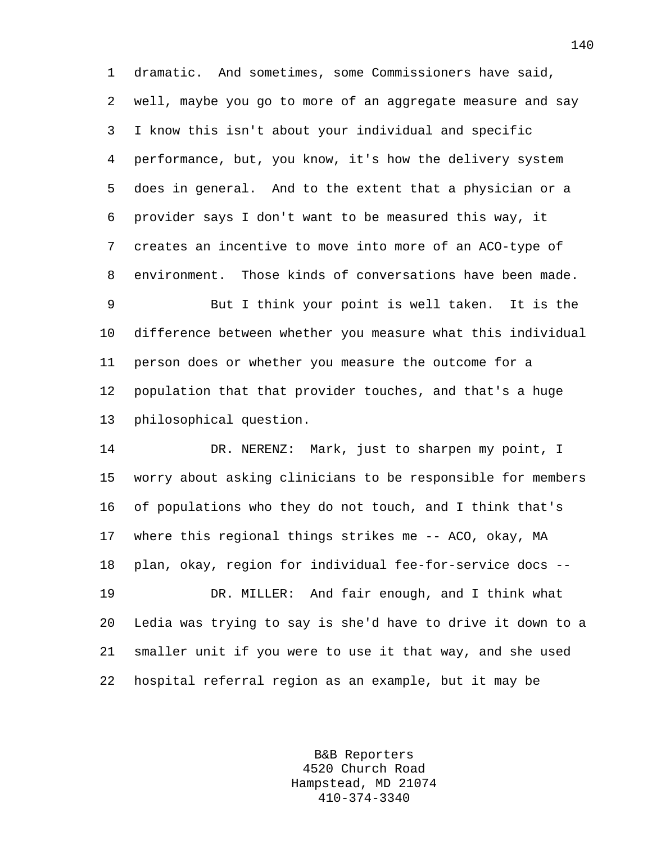1 dramatic. And sometimes, some Commissioners have said, 2 well, maybe you go to more of an aggregate measure and say 3 I know this isn't about your individual and specific 4 performance, but, you know, it's how the delivery system 5 does in general. And to the extent that a physician or a 6 provider says I don't want to be measured this way, it 7 creates an incentive to move into more of an ACO-type of 8 environment. Those kinds of conversations have been made.

9 But I think your point is well taken. It is the 10 difference between whether you measure what this individual 11 person does or whether you measure the outcome for a 12 population that that provider touches, and that's a huge 13 philosophical question.

14 DR. NERENZ: Mark, just to sharpen my point, I 15 worry about asking clinicians to be responsible for members 16 of populations who they do not touch, and I think that's 17 where this regional things strikes me -- ACO, okay, MA 18 plan, okay, region for individual fee-for-service docs -- 19 DR. MILLER: And fair enough, and I think what

20 Ledia was trying to say is she'd have to drive it down to a 21 smaller unit if you were to use it that way, and she used 22 hospital referral region as an example, but it may be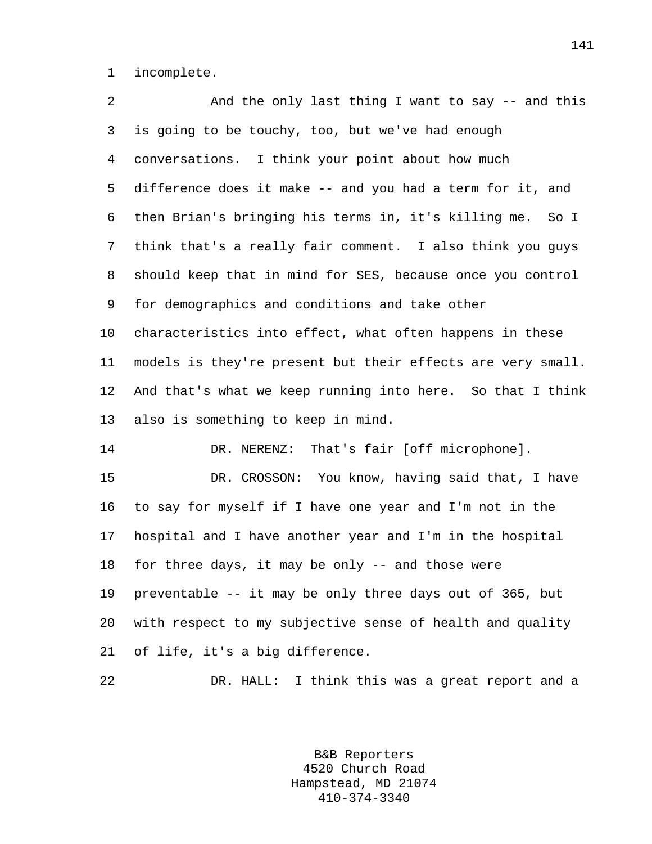1 incomplete.

2 And the only last thing I want to say -- and this 3 is going to be touchy, too, but we've had enough 4 conversations. I think your point about how much 5 difference does it make -- and you had a term for it, and 6 then Brian's bringing his terms in, it's killing me. So I 7 think that's a really fair comment. I also think you guys 8 should keep that in mind for SES, because once you control 9 for demographics and conditions and take other 10 characteristics into effect, what often happens in these 11 models is they're present but their effects are very small. 12 And that's what we keep running into here. So that I think 13 also is something to keep in mind. 14 DR. NERENZ: That's fair [off microphone]. 15 DR. CROSSON: You know, having said that, I have 16 to say for myself if I have one year and I'm not in the 17 hospital and I have another year and I'm in the hospital 18 for three days, it may be only -- and those were 19 preventable -- it may be only three days out of 365, but 20 with respect to my subjective sense of health and quality 21 of life, it's a big difference. 22 DR. HALL: I think this was a great report and a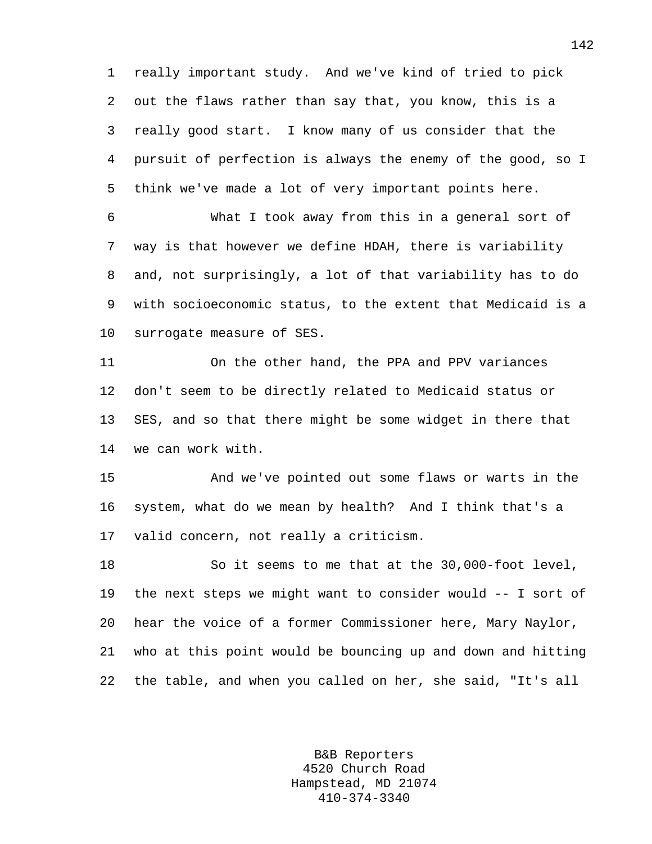1 really important study. And we've kind of tried to pick 2 out the flaws rather than say that, you know, this is a 3 really good start. I know many of us consider that the 4 pursuit of perfection is always the enemy of the good, so I 5 think we've made a lot of very important points here.

6 What I took away from this in a general sort of 7 way is that however we define HDAH, there is variability 8 and, not surprisingly, a lot of that variability has to do 9 with socioeconomic status, to the extent that Medicaid is a 10 surrogate measure of SES.

11 On the other hand, the PPA and PPV variances 12 don't seem to be directly related to Medicaid status or 13 SES, and so that there might be some widget in there that 14 we can work with.

15 And we've pointed out some flaws or warts in the 16 system, what do we mean by health? And I think that's a 17 valid concern, not really a criticism.

18 So it seems to me that at the 30,000-foot level, 19 the next steps we might want to consider would -- I sort of 20 hear the voice of a former Commissioner here, Mary Naylor, 21 who at this point would be bouncing up and down and hitting 22 the table, and when you called on her, she said, "It's all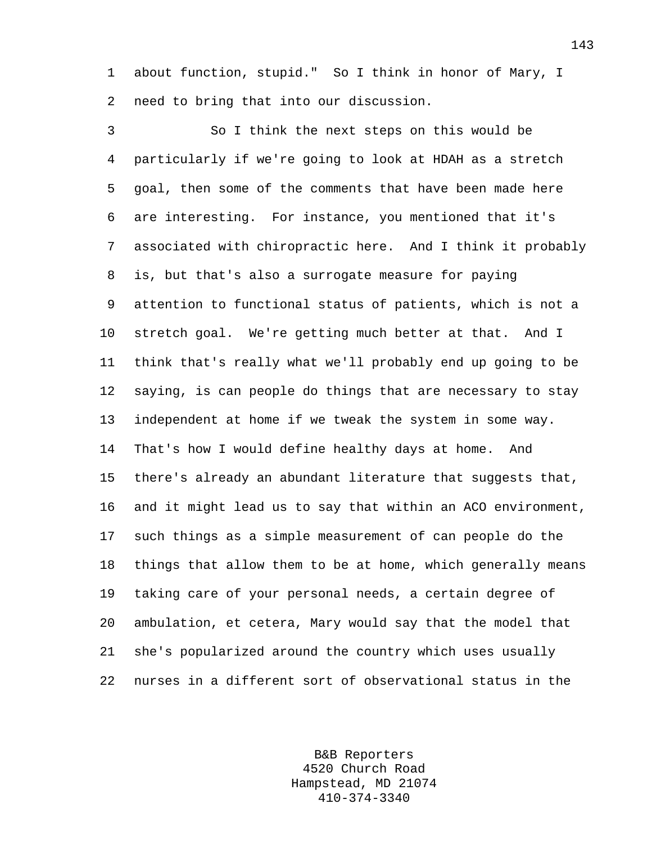1 about function, stupid." So I think in honor of Mary, I 2 need to bring that into our discussion.

3 So I think the next steps on this would be 4 particularly if we're going to look at HDAH as a stretch 5 goal, then some of the comments that have been made here 6 are interesting. For instance, you mentioned that it's 7 associated with chiropractic here. And I think it probably 8 is, but that's also a surrogate measure for paying 9 attention to functional status of patients, which is not a 10 stretch goal. We're getting much better at that. And I 11 think that's really what we'll probably end up going to be 12 saying, is can people do things that are necessary to stay 13 independent at home if we tweak the system in some way. 14 That's how I would define healthy days at home. And 15 there's already an abundant literature that suggests that, 16 and it might lead us to say that within an ACO environment, 17 such things as a simple measurement of can people do the 18 things that allow them to be at home, which generally means 19 taking care of your personal needs, a certain degree of 20 ambulation, et cetera, Mary would say that the model that 21 she's popularized around the country which uses usually 22 nurses in a different sort of observational status in the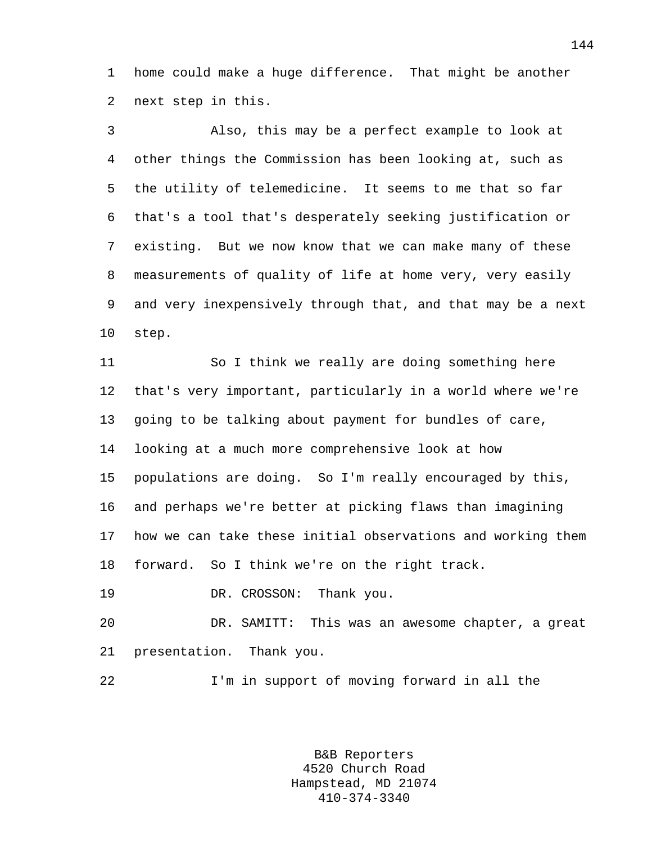1 home could make a huge difference. That might be another 2 next step in this.

3 Also, this may be a perfect example to look at 4 other things the Commission has been looking at, such as 5 the utility of telemedicine. It seems to me that so far 6 that's a tool that's desperately seeking justification or 7 existing. But we now know that we can make many of these 8 measurements of quality of life at home very, very easily 9 and very inexpensively through that, and that may be a next 10 step.

11 So I think we really are doing something here 12 that's very important, particularly in a world where we're 13 going to be talking about payment for bundles of care, 14 looking at a much more comprehensive look at how 15 populations are doing. So I'm really encouraged by this, 16 and perhaps we're better at picking flaws than imagining 17 how we can take these initial observations and working them 18 forward. So I think we're on the right track.

19 DR. CROSSON: Thank you.

20 DR. SAMITT: This was an awesome chapter, a great 21 presentation. Thank you.

22 I'm in support of moving forward in all the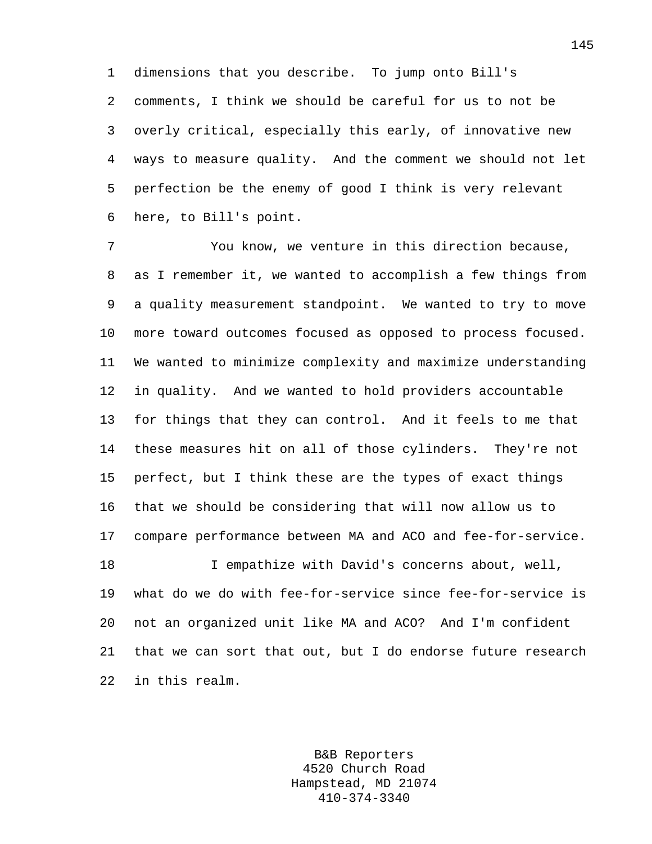1 dimensions that you describe. To jump onto Bill's 2 comments, I think we should be careful for us to not be 3 overly critical, especially this early, of innovative new 4 ways to measure quality. And the comment we should not let 5 perfection be the enemy of good I think is very relevant 6 here, to Bill's point.

7 You know, we venture in this direction because, 8 as I remember it, we wanted to accomplish a few things from 9 a quality measurement standpoint. We wanted to try to move 10 more toward outcomes focused as opposed to process focused. 11 We wanted to minimize complexity and maximize understanding 12 in quality. And we wanted to hold providers accountable 13 for things that they can control. And it feels to me that 14 these measures hit on all of those cylinders. They're not 15 perfect, but I think these are the types of exact things 16 that we should be considering that will now allow us to 17 compare performance between MA and ACO and fee-for-service. 18 I empathize with David's concerns about, well, 19 what do we do with fee-for-service since fee-for-service is 20 not an organized unit like MA and ACO? And I'm confident 21 that we can sort that out, but I do endorse future research 22 in this realm.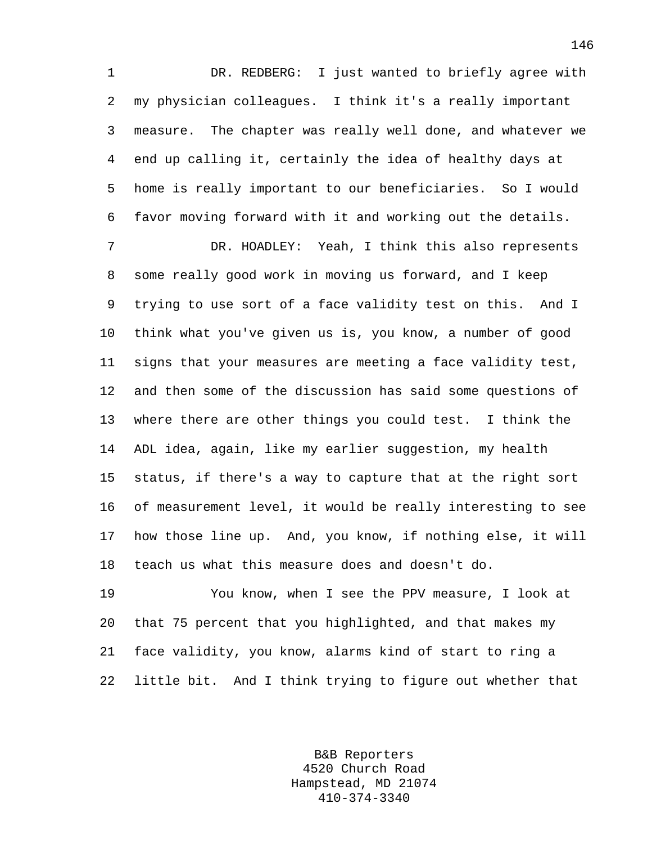1 DR. REDBERG: I just wanted to briefly agree with 2 my physician colleagues. I think it's a really important 3 measure. The chapter was really well done, and whatever we 4 end up calling it, certainly the idea of healthy days at 5 home is really important to our beneficiaries. So I would 6 favor moving forward with it and working out the details.

7 DR. HOADLEY: Yeah, I think this also represents 8 some really good work in moving us forward, and I keep 9 trying to use sort of a face validity test on this. And I 10 think what you've given us is, you know, a number of good 11 signs that your measures are meeting a face validity test, 12 and then some of the discussion has said some questions of 13 where there are other things you could test. I think the 14 ADL idea, again, like my earlier suggestion, my health 15 status, if there's a way to capture that at the right sort 16 of measurement level, it would be really interesting to see 17 how those line up. And, you know, if nothing else, it will 18 teach us what this measure does and doesn't do.

19 You know, when I see the PPV measure, I look at 20 that 75 percent that you highlighted, and that makes my 21 face validity, you know, alarms kind of start to ring a 22 little bit. And I think trying to figure out whether that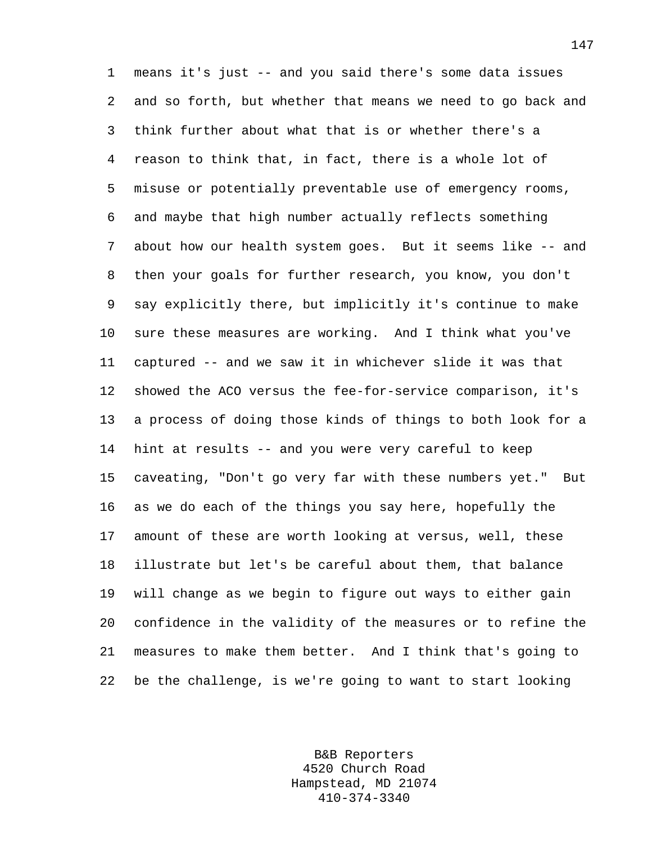1 means it's just -- and you said there's some data issues 2 and so forth, but whether that means we need to go back and 3 think further about what that is or whether there's a 4 reason to think that, in fact, there is a whole lot of 5 misuse or potentially preventable use of emergency rooms, 6 and maybe that high number actually reflects something 7 about how our health system goes. But it seems like -- and 8 then your goals for further research, you know, you don't 9 say explicitly there, but implicitly it's continue to make 10 sure these measures are working. And I think what you've 11 captured -- and we saw it in whichever slide it was that 12 showed the ACO versus the fee-for-service comparison, it's 13 a process of doing those kinds of things to both look for a 14 hint at results -- and you were very careful to keep 15 caveating, "Don't go very far with these numbers yet." But 16 as we do each of the things you say here, hopefully the 17 amount of these are worth looking at versus, well, these 18 illustrate but let's be careful about them, that balance 19 will change as we begin to figure out ways to either gain 20 confidence in the validity of the measures or to refine the 21 measures to make them better. And I think that's going to 22 be the challenge, is we're going to want to start looking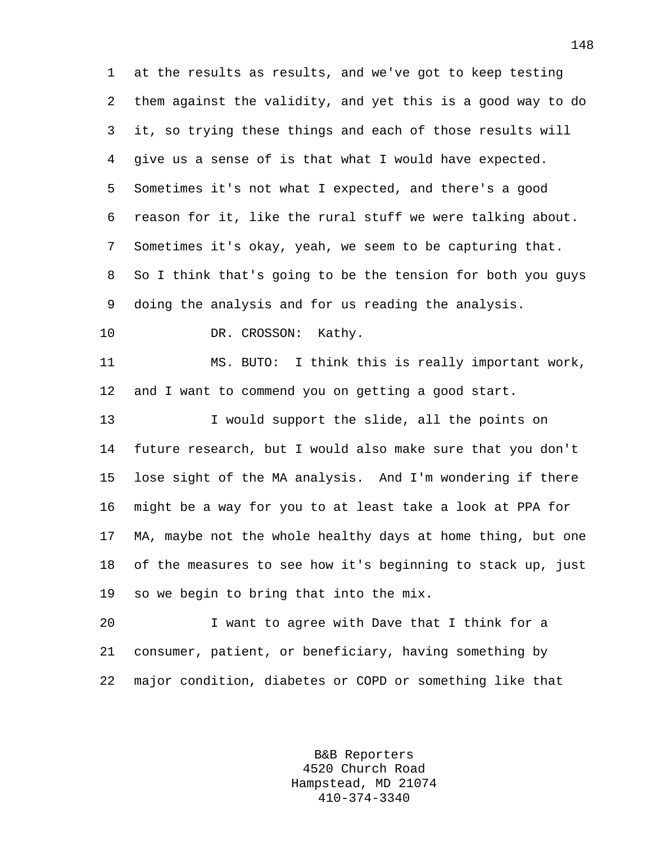1 at the results as results, and we've got to keep testing 2 them against the validity, and yet this is a good way to do 3 it, so trying these things and each of those results will 4 give us a sense of is that what I would have expected. 5 Sometimes it's not what I expected, and there's a good 6 reason for it, like the rural stuff we were talking about. 7 Sometimes it's okay, yeah, we seem to be capturing that. 8 So I think that's going to be the tension for both you guys 9 doing the analysis and for us reading the analysis.

10 DR. CROSSON: Kathy.

11 MS. BUTO: I think this is really important work, 12 and I want to commend you on getting a good start.

13 I would support the slide, all the points on 14 future research, but I would also make sure that you don't 15 lose sight of the MA analysis. And I'm wondering if there 16 might be a way for you to at least take a look at PPA for 17 MA, maybe not the whole healthy days at home thing, but one 18 of the measures to see how it's beginning to stack up, just 19 so we begin to bring that into the mix.

20 I want to agree with Dave that I think for a 21 consumer, patient, or beneficiary, having something by 22 major condition, diabetes or COPD or something like that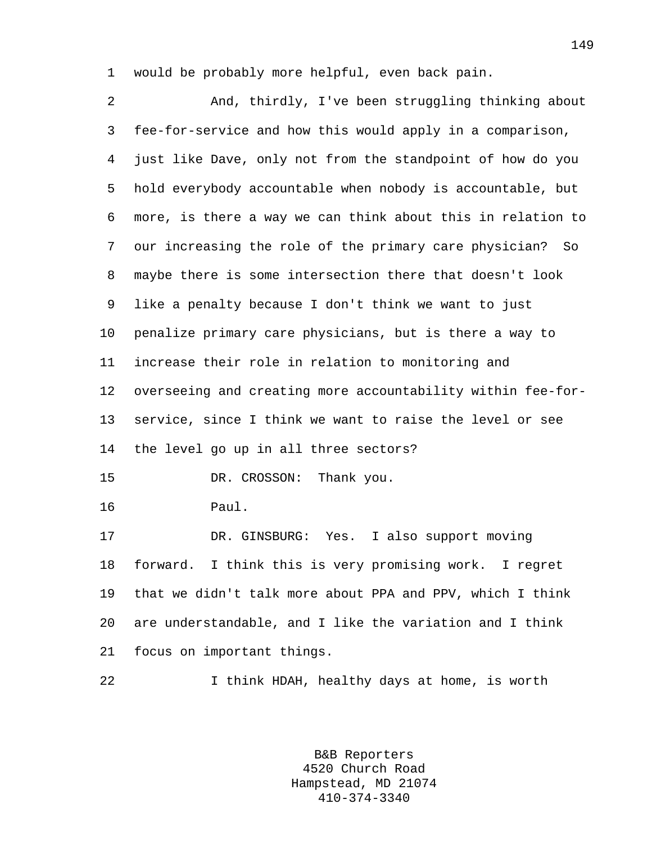1 would be probably more helpful, even back pain.

2 And, thirdly, I've been struggling thinking about 3 fee-for-service and how this would apply in a comparison, 4 just like Dave, only not from the standpoint of how do you 5 hold everybody accountable when nobody is accountable, but 6 more, is there a way we can think about this in relation to 7 our increasing the role of the primary care physician? So 8 maybe there is some intersection there that doesn't look 9 like a penalty because I don't think we want to just 10 penalize primary care physicians, but is there a way to 11 increase their role in relation to monitoring and 12 overseeing and creating more accountability within fee-for-13 service, since I think we want to raise the level or see 14 the level go up in all three sectors? 15 DR. CROSSON: Thank you. 16 Paul. 17 DR. GINSBURG: Yes. I also support moving 18 forward. I think this is very promising work. I regret 19 that we didn't talk more about PPA and PPV, which I think 20 are understandable, and I like the variation and I think 21 focus on important things.

22 I think HDAH, healthy days at home, is worth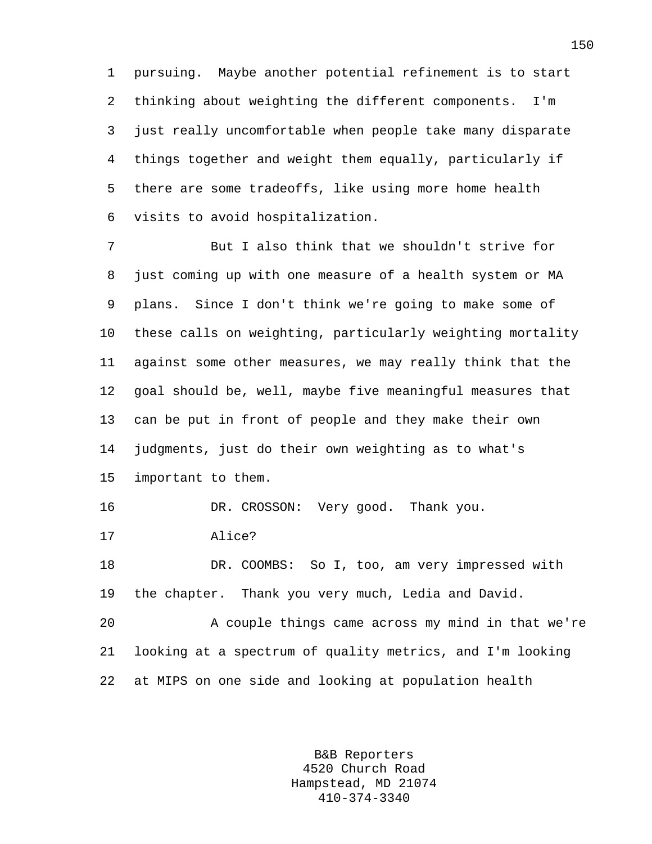1 pursuing. Maybe another potential refinement is to start 2 thinking about weighting the different components. I'm 3 just really uncomfortable when people take many disparate 4 things together and weight them equally, particularly if 5 there are some tradeoffs, like using more home health 6 visits to avoid hospitalization.

7 But I also think that we shouldn't strive for 8 just coming up with one measure of a health system or MA 9 plans. Since I don't think we're going to make some of 10 these calls on weighting, particularly weighting mortality 11 against some other measures, we may really think that the 12 goal should be, well, maybe five meaningful measures that 13 can be put in front of people and they make their own 14 judgments, just do their own weighting as to what's 15 important to them. 16 DR. CROSSON: Very good. Thank you. 17 Alice? 18 DR. COOMBS: So I, too, am very impressed with 19 the chapter. Thank you very much, Ledia and David. 20 A couple things came across my mind in that we're

22 at MIPS on one side and looking at population health

21 looking at a spectrum of quality metrics, and I'm looking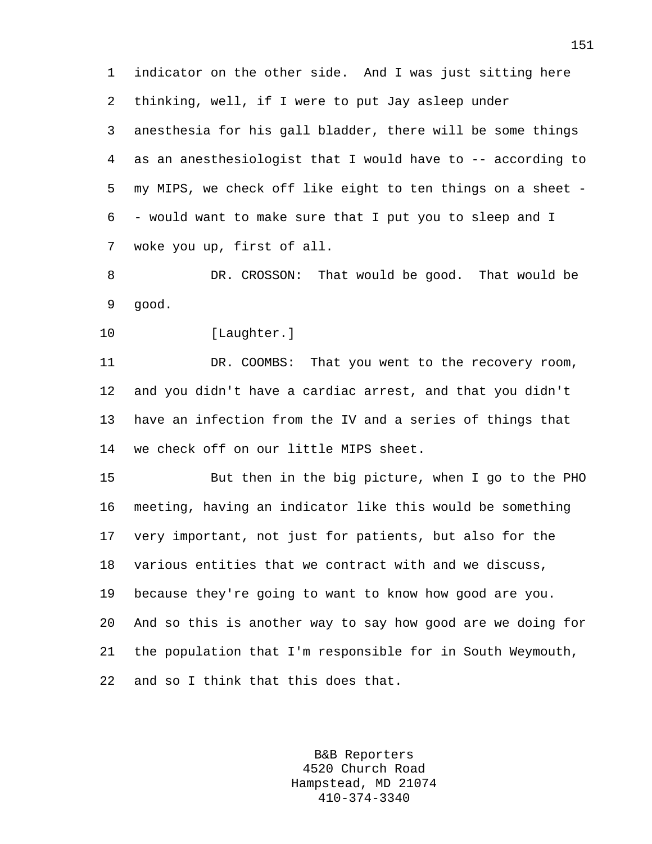1 indicator on the other side. And I was just sitting here 2 thinking, well, if I were to put Jay asleep under 3 anesthesia for his gall bladder, there will be some things 4 as an anesthesiologist that I would have to -- according to 5 my MIPS, we check off like eight to ten things on a sheet - 6 - would want to make sure that I put you to sleep and I 7 woke you up, first of all.

8 DR. CROSSON: That would be good. That would be 9 good.

10 [Laughter.]

11 DR. COOMBS: That you went to the recovery room, 12 and you didn't have a cardiac arrest, and that you didn't 13 have an infection from the IV and a series of things that 14 we check off on our little MIPS sheet.

15 But then in the big picture, when I go to the PHO 16 meeting, having an indicator like this would be something 17 very important, not just for patients, but also for the 18 various entities that we contract with and we discuss, 19 because they're going to want to know how good are you. 20 And so this is another way to say how good are we doing for 21 the population that I'm responsible for in South Weymouth, 22 and so I think that this does that.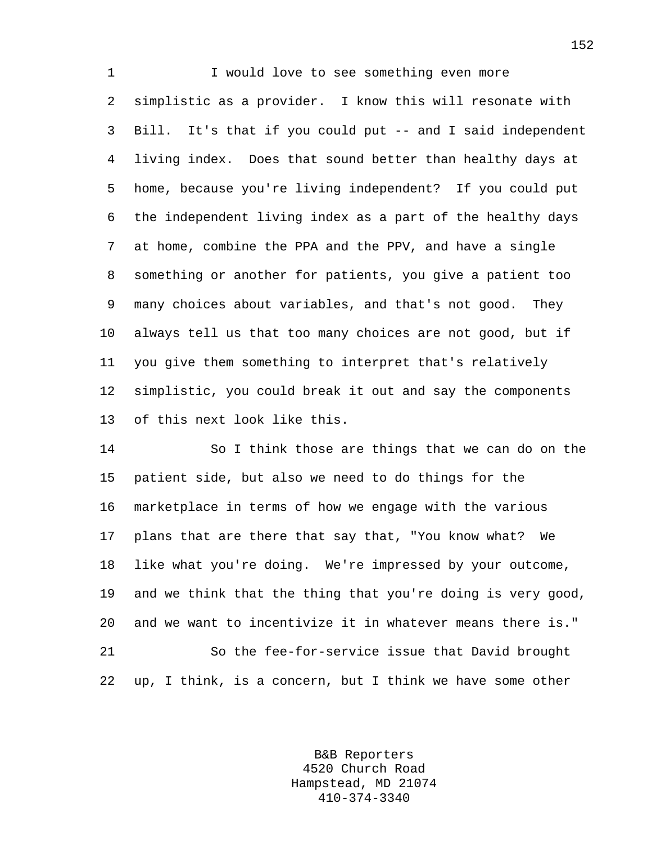1 I would love to see something even more 2 simplistic as a provider. I know this will resonate with 3 Bill. It's that if you could put -- and I said independent 4 living index. Does that sound better than healthy days at 5 home, because you're living independent? If you could put 6 the independent living index as a part of the healthy days 7 at home, combine the PPA and the PPV, and have a single 8 something or another for patients, you give a patient too 9 many choices about variables, and that's not good. They 10 always tell us that too many choices are not good, but if 11 you give them something to interpret that's relatively 12 simplistic, you could break it out and say the components 13 of this next look like this.

14 So I think those are things that we can do on the 15 patient side, but also we need to do things for the 16 marketplace in terms of how we engage with the various 17 plans that are there that say that, "You know what? We 18 like what you're doing. We're impressed by your outcome, 19 and we think that the thing that you're doing is very good, 20 and we want to incentivize it in whatever means there is." 21 So the fee-for-service issue that David brought 22 up, I think, is a concern, but I think we have some other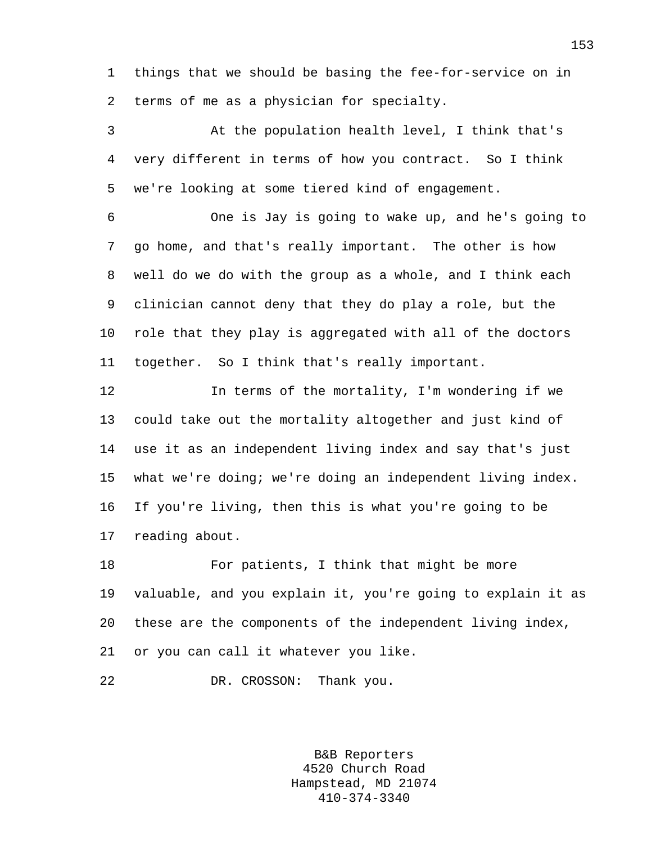1 things that we should be basing the fee-for-service on in 2 terms of me as a physician for specialty.

3 At the population health level, I think that's 4 very different in terms of how you contract. So I think 5 we're looking at some tiered kind of engagement.

6 One is Jay is going to wake up, and he's going to 7 go home, and that's really important. The other is how 8 well do we do with the group as a whole, and I think each 9 clinician cannot deny that they do play a role, but the 10 role that they play is aggregated with all of the doctors 11 together. So I think that's really important.

12 In terms of the mortality, I'm wondering if we 13 could take out the mortality altogether and just kind of 14 use it as an independent living index and say that's just 15 what we're doing; we're doing an independent living index. 16 If you're living, then this is what you're going to be 17 reading about.

18 For patients, I think that might be more 19 valuable, and you explain it, you're going to explain it as 20 these are the components of the independent living index, 21 or you can call it whatever you like.

22 DR. CROSSON: Thank you.

B&B Reporters 4520 Church Road Hampstead, MD 21074 410-374-3340

153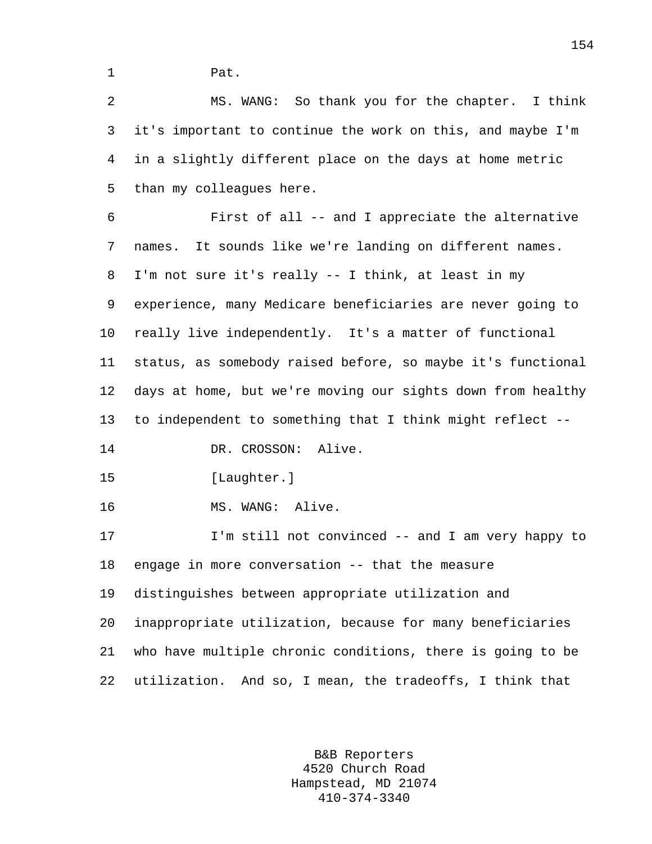1 Pat.

2 MS. WANG: So thank you for the chapter. I think 3 it's important to continue the work on this, and maybe I'm 4 in a slightly different place on the days at home metric 5 than my colleagues here.

6 First of all -- and I appreciate the alternative 7 names. It sounds like we're landing on different names. 8 I'm not sure it's really -- I think, at least in my 9 experience, many Medicare beneficiaries are never going to 10 really live independently. It's a matter of functional 11 status, as somebody raised before, so maybe it's functional 12 days at home, but we're moving our sights down from healthy 13 to independent to something that I think might reflect -- 14 DR. CROSSON: Alive. 15 [Laughter.] 16 MS. WANG: Alive. 17 I'm still not convinced -- and I am very happy to 18 engage in more conversation -- that the measure 19 distinguishes between appropriate utilization and

20 inappropriate utilization, because for many beneficiaries 21 who have multiple chronic conditions, there is going to be 22 utilization. And so, I mean, the tradeoffs, I think that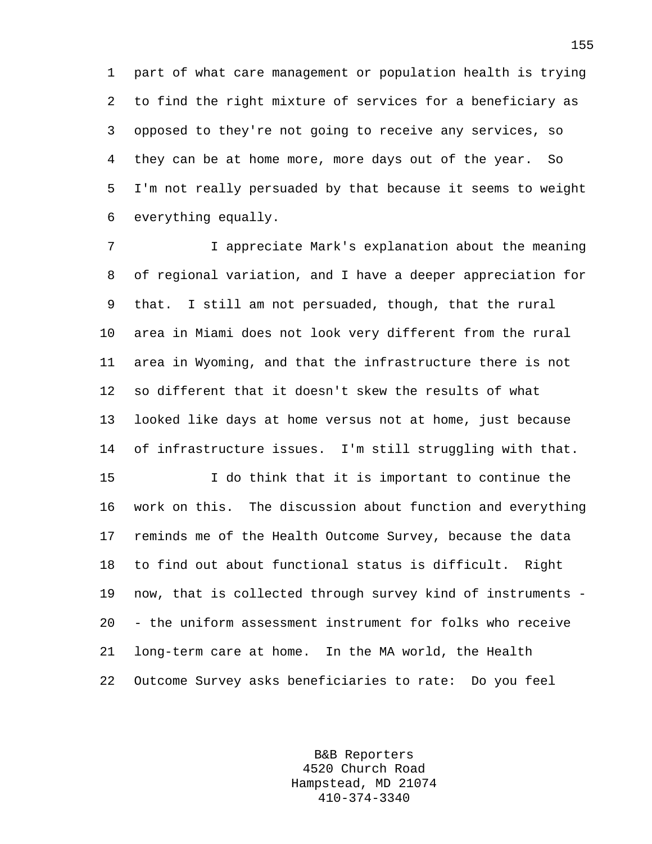1 part of what care management or population health is trying 2 to find the right mixture of services for a beneficiary as 3 opposed to they're not going to receive any services, so 4 they can be at home more, more days out of the year. So 5 I'm not really persuaded by that because it seems to weight 6 everything equally.

7 I appreciate Mark's explanation about the meaning 8 of regional variation, and I have a deeper appreciation for 9 that. I still am not persuaded, though, that the rural 10 area in Miami does not look very different from the rural 11 area in Wyoming, and that the infrastructure there is not 12 so different that it doesn't skew the results of what 13 looked like days at home versus not at home, just because 14 of infrastructure issues. I'm still struggling with that.

15 I do think that it is important to continue the 16 work on this. The discussion about function and everything 17 reminds me of the Health Outcome Survey, because the data 18 to find out about functional status is difficult. Right 19 now, that is collected through survey kind of instruments - 20 - the uniform assessment instrument for folks who receive 21 long-term care at home. In the MA world, the Health 22 Outcome Survey asks beneficiaries to rate: Do you feel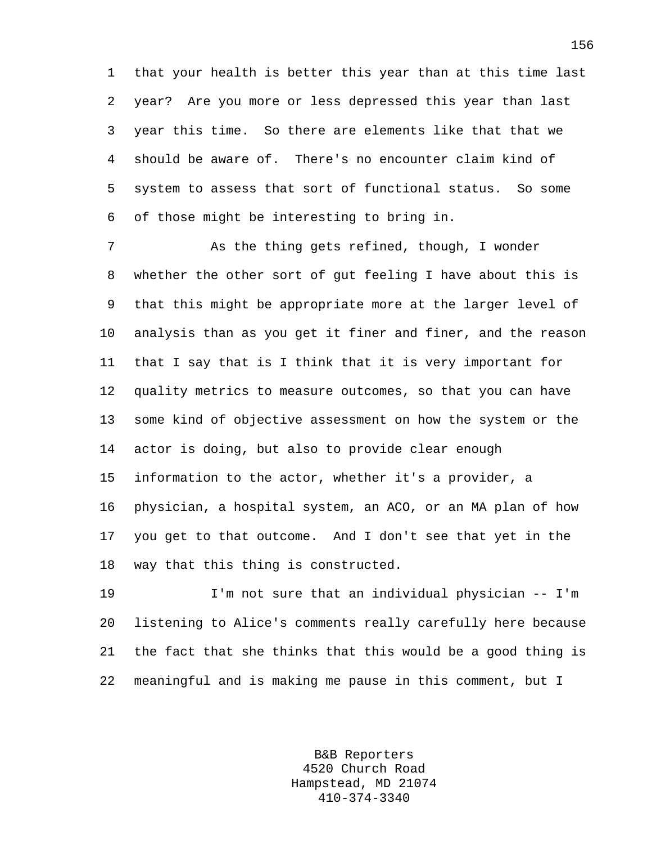1 that your health is better this year than at this time last 2 year? Are you more or less depressed this year than last 3 year this time. So there are elements like that that we 4 should be aware of. There's no encounter claim kind of 5 system to assess that sort of functional status. So some 6 of those might be interesting to bring in.

7 As the thing gets refined, though, I wonder 8 whether the other sort of gut feeling I have about this is 9 that this might be appropriate more at the larger level of 10 analysis than as you get it finer and finer, and the reason 11 that I say that is I think that it is very important for 12 quality metrics to measure outcomes, so that you can have 13 some kind of objective assessment on how the system or the 14 actor is doing, but also to provide clear enough 15 information to the actor, whether it's a provider, a 16 physician, a hospital system, an ACO, or an MA plan of how 17 you get to that outcome. And I don't see that yet in the 18 way that this thing is constructed.

19 I'm not sure that an individual physician -- I'm 20 listening to Alice's comments really carefully here because 21 the fact that she thinks that this would be a good thing is 22 meaningful and is making me pause in this comment, but I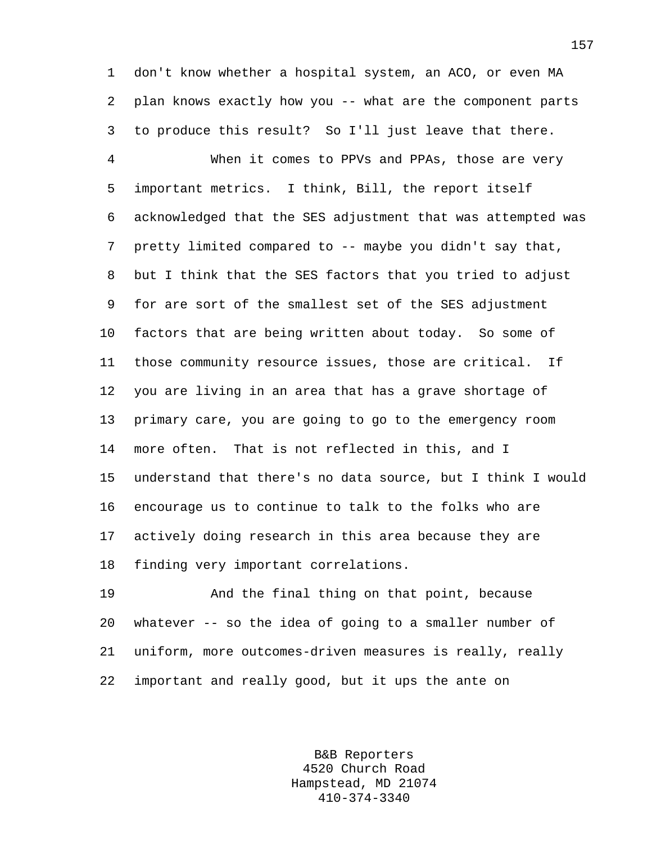1 don't know whether a hospital system, an ACO, or even MA 2 plan knows exactly how you -- what are the component parts 3 to produce this result? So I'll just leave that there.

4 When it comes to PPVs and PPAs, those are very 5 important metrics. I think, Bill, the report itself 6 acknowledged that the SES adjustment that was attempted was 7 pretty limited compared to -- maybe you didn't say that, 8 but I think that the SES factors that you tried to adjust 9 for are sort of the smallest set of the SES adjustment 10 factors that are being written about today. So some of 11 those community resource issues, those are critical. If 12 you are living in an area that has a grave shortage of 13 primary care, you are going to go to the emergency room 14 more often. That is not reflected in this, and I 15 understand that there's no data source, but I think I would 16 encourage us to continue to talk to the folks who are 17 actively doing research in this area because they are 18 finding very important correlations.

19 And the final thing on that point, because 20 whatever -- so the idea of going to a smaller number of 21 uniform, more outcomes-driven measures is really, really 22 important and really good, but it ups the ante on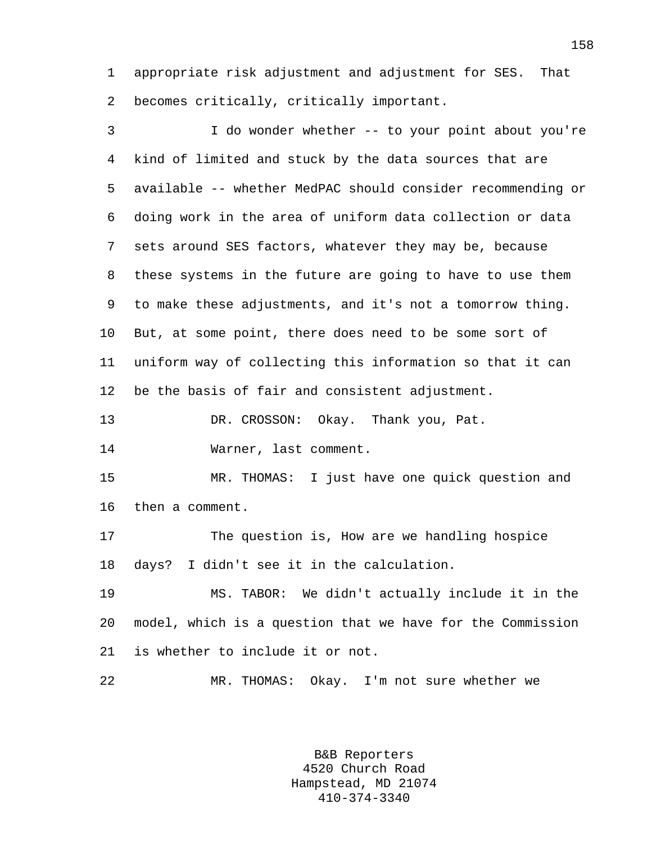1 appropriate risk adjustment and adjustment for SES. That 2 becomes critically, critically important.

3 I do wonder whether -- to your point about you're 4 kind of limited and stuck by the data sources that are 5 available -- whether MedPAC should consider recommending or 6 doing work in the area of uniform data collection or data 7 sets around SES factors, whatever they may be, because 8 these systems in the future are going to have to use them 9 to make these adjustments, and it's not a tomorrow thing. 10 But, at some point, there does need to be some sort of 11 uniform way of collecting this information so that it can 12 be the basis of fair and consistent adjustment. 13 DR. CROSSON: Okay. Thank you, Pat. 14 Warner, last comment. 15 MR. THOMAS: I just have one quick question and 16 then a comment.

17 The question is, How are we handling hospice 18 days? I didn't see it in the calculation.

19 MS. TABOR: We didn't actually include it in the 20 model, which is a question that we have for the Commission 21 is whether to include it or not.

22 MR. THOMAS: Okay. I'm not sure whether we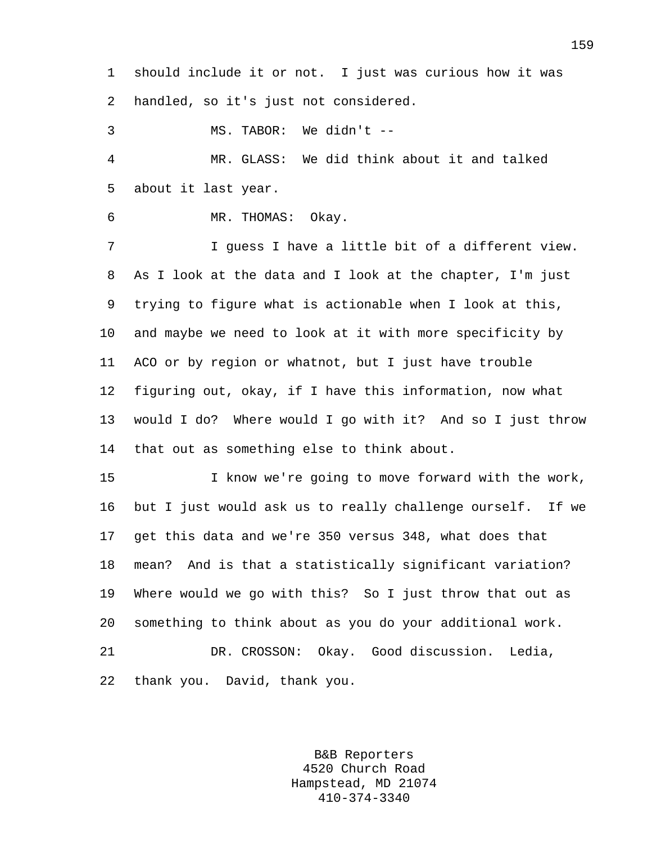1 should include it or not. I just was curious how it was 2 handled, so it's just not considered.

3 MS. TABOR: We didn't --

4 MR. GLASS: We did think about it and talked 5 about it last year.

6 MR. THOMAS: Okay.

7 I guess I have a little bit of a different view. 8 As I look at the data and I look at the chapter, I'm just 9 trying to figure what is actionable when I look at this, 10 and maybe we need to look at it with more specificity by 11 ACO or by region or whatnot, but I just have trouble 12 figuring out, okay, if I have this information, now what 13 would I do? Where would I go with it? And so I just throw 14 that out as something else to think about.

15 I know we're going to move forward with the work, 16 but I just would ask us to really challenge ourself. If we 17 get this data and we're 350 versus 348, what does that 18 mean? And is that a statistically significant variation? 19 Where would we go with this? So I just throw that out as 20 something to think about as you do your additional work. 21 DR. CROSSON: Okay. Good discussion. Ledia, 22 thank you. David, thank you.